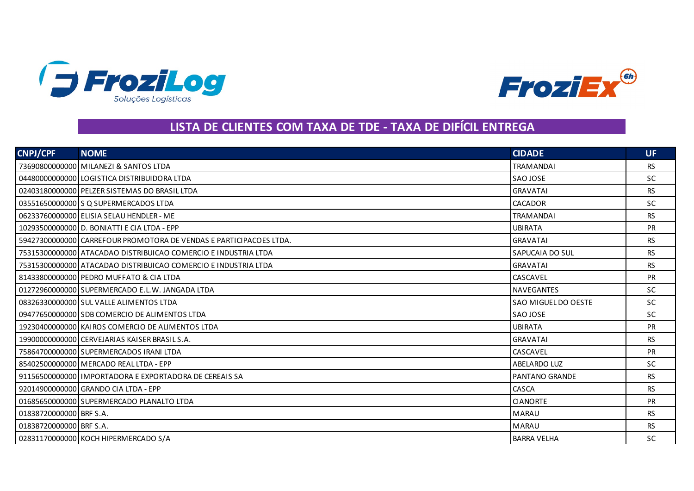



## **LISTA DE CLIENTES COM TAXA DE TDE - TAXA DE DIFÍCIL ENTREGA**

| <b>CNPJ/CPF</b>         | <b>NOME</b>                                                        | <b>CIDADE</b>          | UF.       |
|-------------------------|--------------------------------------------------------------------|------------------------|-----------|
|                         | 73690800000000 MILANEZI & SANTOS LTDA                              | <b>TRAMANDAI</b>       | <b>RS</b> |
|                         | 04480000000000 LOGISTICA DISTRIBUIDORA LTDA                        | SAO JOSE               | <b>SC</b> |
|                         | 02403180000000 PELZER SISTEMAS DO BRASIL LTDA                      | <b>GRAVATAI</b>        | <b>RS</b> |
|                         | 03551650000000 S Q SUPERMERCADOS LTDA                              | CACADOR                | <b>SC</b> |
|                         | 06233760000000 ELISIA SELAU HENDLER - ME                           | <b>TRAMANDAI</b>       | <b>RS</b> |
|                         | 10293500000000 D. BONIATTI E CIA LTDA - EPP                        | <b>UBIRATA</b>         | <b>PR</b> |
|                         | 59427300000000 CARREFOUR PROMOTORA DE VENDAS E PARTICIPACOES LTDA. | <b>GRAVATAI</b>        | <b>RS</b> |
|                         | 75315300000000 ATACADAO DISTRIBUICAO COMERCIO E INDUSTRIA LTDA     | <b>SAPUCAIA DO SUL</b> | <b>RS</b> |
|                         | 75315300000000 ATACADAO DISTRIBUICAO COMERCIO E INDUSTRIA LTDA     | <b>GRAVATAI</b>        | <b>RS</b> |
|                         | 81433800000000 PEDRO MUFFATO & CIA LTDA                            | <b>CASCAVEL</b>        | <b>PR</b> |
|                         | 01272960000000 SUPERMERCADO E.L.W. JANGADA LTDA                    | <b>NAVEGANTES</b>      | <b>SC</b> |
|                         | 08326330000000 SUL VALLE ALIMENTOS LTDA                            | ISAO MIGUEL DO OESTE   | <b>SC</b> |
|                         | 09477650000000 SDB COMERCIO DE ALIMENTOS LTDA                      | SAO JOSE               | <b>SC</b> |
|                         | 19230400000000 KAIROS COMERCIO DE ALIMENTOS LTDA                   | <b>UBIRATA</b>         | <b>PR</b> |
|                         | 199000000000000 CERVEJARIAS KAISER BRASIL S.A.                     | <b>GRAVATAI</b>        | <b>RS</b> |
|                         | 75864700000000 SUPERMERCADOS IRANI LTDA                            | <b>CASCAVEL</b>        | <b>PR</b> |
|                         | 85402500000000 MERCADO REAL LTDA - EPP                             | <b>ABELARDO LUZ</b>    | <b>SC</b> |
|                         | 91156500000000 I IMPORTADORA E EXPORTADORA DE CEREAIS SA           | PANTANO GRANDE         | <b>RS</b> |
|                         | 92014900000000 GRANDO CIA LTDA - EPP                               | CASCA                  | <b>RS</b> |
|                         | 01685650000000 SUPERMERCADO PLANALTO LTDA                          | <b>CIANORTE</b>        | <b>PR</b> |
| 01838720000000 BRF S.A. |                                                                    | <b>MARAU</b>           | <b>RS</b> |
| 01838720000000 BRF S.A. |                                                                    | <b>MARAU</b>           | <b>RS</b> |
|                         | 02831170000000 KOCH HIPERMERCADO S/A                               | <b>BARRA VELHA</b>     | <b>SC</b> |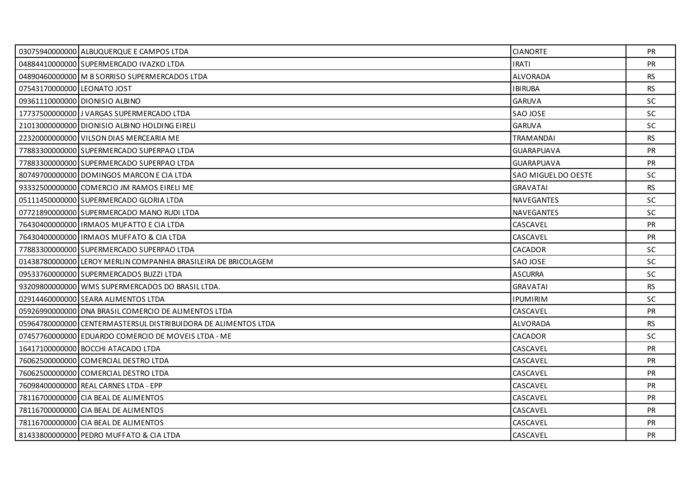|                             | 03075940000000 ALBUQUERQUE E CAMPOS LTDA                       | <b>CIANORTE</b>     | PR.       |
|-----------------------------|----------------------------------------------------------------|---------------------|-----------|
|                             | 04884410000000 SUPERMERCADO IVAZKO LTDA                        | <b>IRATI</b>        | PR        |
|                             | 04890460000000 M B SORRISO SUPERMERCADOS LTDA                  | <b>ALVORADA</b>     | <b>RS</b> |
| 07543170000000 LEONATO JOST |                                                                | <b>IBIRUBA</b>      | RS.       |
|                             | 09361110000000 DIONISIO ALBINO                                 | <b>GARUVA</b>       | SC        |
|                             | 17737500000000 JJ VARGAS SUPERMERCADO LTDA                     | SAO JOSE            | <b>SC</b> |
|                             | 21013000000000 DIONISIO ALBINO HOLDING EIRELI                  | <b>GARUVA</b>       | <b>SC</b> |
|                             | 22320000000000 VILSON DIAS MERCEARIA ME                        | <b>TRAMANDAI</b>    | <b>RS</b> |
|                             | 77883300000000 SUPERMERCADO SUPERPAO LTDA                      | <b>GUARAPUAVA</b>   | <b>PR</b> |
|                             | 77883300000000 SUPERMERCADO SUPERPAO LTDA                      | <b>GUARAPUAVA</b>   | <b>PR</b> |
|                             | 80749700000000 DOMINGOS MARCON E CIA LTDA                      | SAO MIGUEL DO OESTE | <b>SC</b> |
|                             | 93332500000000 COMERCIO JM RAMOS EIRELI ME                     | <b>GRAVATAI</b>     | <b>RS</b> |
|                             | 05111450000000 SUPERMERCADO GLORIA LTDA                        | <b>NAVEGANTES</b>   | <b>SC</b> |
|                             | 07721890000000 SUPERMERCADO MANO RUDI LTDA                     | NAVEGANTES          | <b>SC</b> |
|                             | 764304000000001IRMAOS MUFATTO E CIA LTDA                       | CASCAVEL            | <b>PR</b> |
|                             | 76430400000000 IRMAOS MUFFATO & CIA LTDA                       | CASCAVEL            | <b>PR</b> |
|                             | 77883300000000 SUPERMERCADO SUPERPAO LTDA                      | CACADOR             | <b>SC</b> |
|                             | 014387800000001LEROY MERLIN COMPANHIA BRASILEIRA DE BRICOLAGEM | SAO JOSE            | <b>SC</b> |
|                             | 09533760000000 SUPERMERCADOS BUZZI LTDA                        | <b>ASCURRA</b>      | <b>SC</b> |
|                             | 93209800000000 WMS SUPERMERCADOS DO BRASIL LTDA.               | <b>GRAVATAI</b>     | <b>RS</b> |
|                             | 02914460000000 SEARA ALIMENTOS LTDA                            | <b>IPUMIRIM</b>     | <b>SC</b> |
|                             | 05926990000000 DNA BRASIL COMERCIO DE ALIMENTOS LTDA           | CASCAVEL            | <b>PR</b> |
|                             | 05964780000000 CENTERMASTERSUL DISTRIBUIDORA DE ALIMENTOS LTDA | ALVORADA            | <b>RS</b> |
|                             | 07457760000000 EDUARDO COMERCIO DE MOVEIS LTDA - ME            | <b>CACADOR</b>      | <b>SC</b> |
|                             | 16417100000000 BOCCHI ATACADO LTDA                             | CASCAVEL            | <b>PR</b> |
|                             | 76062500000000 COMERCIAL DESTRO LTDA                           | CASCAVEL            | PR        |
|                             | 76062500000000 COMERCIAL DESTRO LTDA                           | CASCAVEL            | <b>PR</b> |
|                             | 76098400000000 REAL CARNES LTDA - EPP                          | CASCAVEL            | <b>PR</b> |
|                             | 78116700000000 CIA BEAL DE ALIMENTOS                           | CASCAVEL            | PR        |
|                             | 78116700000000 CIA BEAL DE ALIMENTOS                           | CASCAVEL            | <b>PR</b> |
|                             | 78116700000000 CIA BEAL DE ALIMENTOS                           | CASCAVEL            | <b>PR</b> |
|                             | 81433800000000 PEDRO MUFFATO & CIA LTDA                        | CASCAVEL            | <b>PR</b> |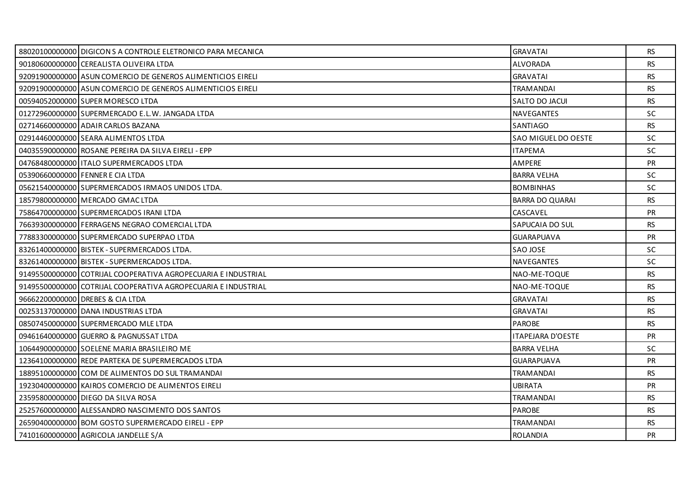| 88020100000000 DIGICON S A CONTROLE ELETRONICO PARA MECANICA  | <b>GRAVATAI</b>            | <b>RS</b> |
|---------------------------------------------------------------|----------------------------|-----------|
| 90180600000000 CEREALISTA OLIVEIRA LTDA                       | <b>ALVORADA</b>            | <b>RS</b> |
| 92091900000000 ASUN COMERCIO DE GENEROS ALIMENTICIOS EIRELI   | <b>GRAVATAI</b>            | <b>RS</b> |
| 92091900000000 ASUN COMERCIO DE GENEROS ALIMENTICIOS EIRELI   | <b>TRAMANDAI</b>           | <b>RS</b> |
| 00594052000000 SUPER MORESCO LTDA                             | <b>SALTO DO JACUI</b>      | <b>RS</b> |
| 01272960000000 SUPERMERCADO E.L.W. JANGADA LTDA               | NAVEGANTES                 | <b>SC</b> |
| 02714660000000 ADAIR CARLOS BAZANA                            | SANTIAGO                   | <b>RS</b> |
| 02914460000000 SEARA ALIMENTOS LTDA                           | <b>SAO MIGUEL DO OESTE</b> | SC        |
| 04035590000000 ROSANE PEREIRA DA SILVA EIRELI - EPP           | <b>ITAPEMA</b>             | <b>SC</b> |
| 04768480000000 ITALO SUPERMERCADOS LTDA                       | AMPERE                     | <b>PR</b> |
| 05390660000000 FENNER E CIA LTDA                              | <b>BARRA VELHA</b>         | SC        |
| 05621540000000 SUPERMERCADOS IRMAOS UNIDOS LTDA.              | <b>BOMBINHAS</b>           | <b>SC</b> |
| 18579800000000 MERCADO GMAC LTDA                              | <b>BARRA DO QUARAI</b>     | <b>RS</b> |
| 75864700000000 SUPERMERCADOS IRANI LTDA                       | CASCAVEL                   | PR        |
| 76639300000000 FERRAGENS NEGRAO COMERCIAL LTDA                | SAPUCAIA DO SUL            | <b>RS</b> |
| 77883300000000 SUPERMERCADO SUPERPAO LTDA                     | <b>GUARAPUAVA</b>          | <b>PR</b> |
| 83261400000000 BISTEK - SUPERMERCADOS LTDA.                   | SAO JOSE                   | <b>SC</b> |
| 83261400000000 BISTEK - SUPERMERCADOS LTDA.                   | NAVEGANTES                 | <b>SC</b> |
| 91495500000000 COTRIJAL COOPERATIVA AGROPECUARIA E INDUSTRIAL | NAO-ME-TOQUE               | <b>RS</b> |
| 91495500000000 COTRIJAL COOPERATIVA AGROPECUARIA E INDUSTRIAL | NAO-ME-TOQUE               | <b>RS</b> |
| 96662200000000 DREBES & CIA LTDA                              | <b>GRAVATAI</b>            | <b>RS</b> |
| 00253137000000 DANA INDUSTRIAS LTDA                           | <b>GRAVATAI</b>            | <b>RS</b> |
| 08507450000000 SUPERMERCADO MLE LTDA                          | <b>PAROBE</b>              | <b>RS</b> |
| 09461640000000 GUERRO & PAGNUSSAT LTDA                        | <b>ITAPEJARA D'OESTE</b>   | <b>PR</b> |
| 10644900000000 SOELENE MARIA BRASILEIRO ME                    | <b>BARRA VELHA</b>         | <b>SC</b> |
| 12364100000000 REDE PARTEKA DE SUPERMERCADOS LTDA             | <b>GUARAPUAVA</b>          | PR        |
| 18895100000000 COM DE ALIMENTOS DO SUL TRAMANDAI              | <b>TRAMANDAI</b>           | <b>RS</b> |
| 19230400000000 KAIROS COMERCIO DE ALIMENTOS EIRELI            | <b>UBIRATA</b>             | <b>PR</b> |
| 23595800000000 DIEGO DA SILVA ROSA                            | <b>TRAMANDAI</b>           | <b>RS</b> |
| 25257600000000 ALESSANDRO NASCIMENTO DOS SANTOS               | <b>PAROBE</b>              | <b>RS</b> |
| 26590400000000 BOM GOSTO SUPERMERCADO EIRELI - EPP            | <b>TRAMANDAI</b>           | <b>RS</b> |
| 74101600000000 AGRICOLA JANDELLE S/A                          | <b>ROLANDIA</b>            | <b>PR</b> |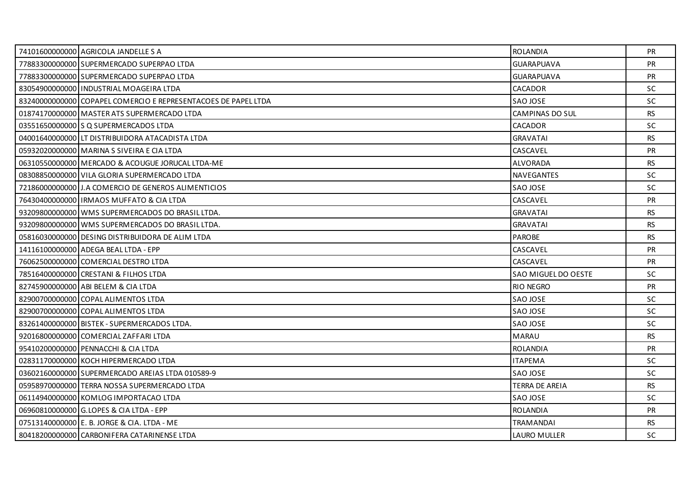| 74101600000000 AGRICOLA JANDELLE S A                           | <b>ROLANDIA</b>     | PR.       |
|----------------------------------------------------------------|---------------------|-----------|
| 77883300000000 SUPERMERCADO SUPERPAO LTDA                      | <b>GUARAPUAVA</b>   | <b>PR</b> |
| 778833000000001SUPERMERCADO SUPERPAO LTDA                      | <b>GUARAPUAVA</b>   | <b>PR</b> |
| 83054900000000 INDUSTRIAL MOAGEIRA LTDA                        | <b>CACADOR</b>      | <b>SC</b> |
| 83240000000000 COPAPEL COMERCIO E REPRESENTACOES DE PAPEL LTDA | SAO JOSE            | <b>SC</b> |
| 01874170000000 MASTER ATS SUPERMERCADO LTDA                    | CAMPINAS DO SUL     | <b>RS</b> |
| 03551650000000 S Q SUPERMERCADOS LTDA                          | CACADOR             | <b>SC</b> |
| 04001640000000 LT DISTRIBUIDORA ATACADISTA LTDA                | <b>GRAVATAI</b>     | <b>RS</b> |
| 05932020000000 MARINA S SIVEIRA E CIA LTDA                     | CASCAVEL            | <b>PR</b> |
| 06310550000000 MERCADO & ACOUGUE JORUCAL LTDA-ME               | <b>ALVORADA</b>     | <b>RS</b> |
| 08308850000000 VILA GLORIA SUPERMERCADO LTDA                   | <b>NAVEGANTES</b>   | <b>SC</b> |
| 72186000000000 J.A COMERCIO DE GENEROS ALIMENTICIOS            | SAO JOSE            | <b>SC</b> |
| 76430400000000 IRMAOS MUFFATO & CIA LTDA                       | CASCAVEL            | <b>PR</b> |
| 93209800000000 WMS SUPERMERCADOS DO BRASIL LTDA.               | <b>GRAVATAI</b>     | <b>RS</b> |
| 93209800000000 WMS SUPERMERCADOS DO BRASIL LTDA.               | <b>GRAVATAI</b>     | RS.       |
| 05816030000000 DESING DISTRIBUIDORA DE ALIM LTDA               | <b>PAROBE</b>       | <b>RS</b> |
| 14116100000000 ADEGA BEAL LTDA - EPP                           | CASCAVEL            | <b>PR</b> |
| 76062500000000 COMERCIAL DESTRO LTDA                           | CASCAVEL            | <b>PR</b> |
| 78516400000000 CRESTANI & FILHOS LTDA                          | SAO MIGUEL DO OESTE | SC        |
| 82745900000000 ABI BELEM & CIA LTDA                            | <b>RIO NEGRO</b>    | <b>PR</b> |
| 829007000000000 COPAL ALIMENTOS LTDA                           | SAO JOSE            | SC.       |
| 82900700000000 COPAL ALIMENTOS LTDA                            | SAO JOSE            | <b>SC</b> |
| 83261400000000 BISTEK - SUPERMERCADOS LTDA.                    | SAO JOSE            | <b>SC</b> |
| 92016800000000 COMERCIAL ZAFFARI LTDA                          | MARAU               | <b>RS</b> |
| 95410200000000 PENNACCHI & CIA LTDA                            | <b>ROLANDIA</b>     | <b>PR</b> |
| 02831170000000 KOCH HIPERMERCADO LTDA                          | <b>ITAPEMA</b>      | <b>SC</b> |
| 03602160000000 SUPERMERCADO AREIAS LTDA 010589-9               | SAO JOSE            | SC.       |
| 05958970000000 TERRA NOSSA SUPERMERCADO LTDA                   | TERRA DE AREIA      | <b>RS</b> |
| 06114940000000 KOMLOG IMPORTACAO LTDA                          | SAO JOSE            | <b>SC</b> |
| 06960810000000 G.LOPES & CIA LTDA - EPP                        | <b>ROLANDIA</b>     | <b>PR</b> |
| 07513140000000 E. B. JORGE & CIA. LTDA - ME                    | TRAMANDAI           | RS.       |
| 80418200000000 CARBONIFERA CATARINENSE LTDA                    | LAURO MULLER        | <b>SC</b> |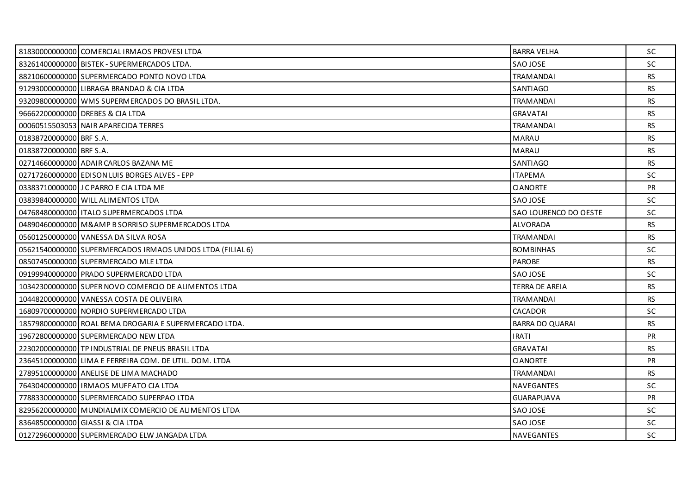|                         | 81830000000000 COMERCIAL IRMAOS PROVESI LTDA               | <b>BARRA VELHA</b>     | SC.       |
|-------------------------|------------------------------------------------------------|------------------------|-----------|
|                         | 83261400000000 BISTEK - SUPERMERCADOS LTDA.                | SAO JOSE               | SC        |
|                         | 88210600000000 SUPERMERCADO PONTO NOVO LTDA                | <b>TRAMANDAI</b>       | <b>RS</b> |
|                         | 91293000000000 LIBRAGA BRANDAO & CIA LTDA                  | SANTIAGO               | <b>RS</b> |
|                         | 93209800000000 WMS SUPERMERCADOS DO BRASIL LTDA.           | <b>TRAMANDAI</b>       | <b>RS</b> |
|                         | 96662200000000 DREBES & CIA LTDA                           | <b>GRAVATAI</b>        | <b>RS</b> |
|                         | 00060515503053 NAIR APARECIDA TERRES                       | <b>TRAMANDAI</b>       | <b>RS</b> |
| 01838720000000 BRF S.A. |                                                            | <b>MARAU</b>           | <b>RS</b> |
| 01838720000000 BRF S.A. |                                                            | <b>MARAU</b>           | RS.       |
|                         | 02714660000000 ADAIR CARLOS BAZANA ME                      | SANTIAGO               | <b>RS</b> |
|                         | 02717260000000 EDISON LUIS BORGES ALVES - EPP              | <b>ITAPEMA</b>         | SC        |
|                         | 03383710000000 J C PARRO E CIA LTDA ME                     | <b>CIANORTE</b>        | <b>PR</b> |
|                         | 03839840000000 WILL ALIMENTOS LTDA                         | SAO JOSE               | SC.       |
|                         | 04768480000000   ITALO SUPERMERCADOS LTDA                  | SAO LOURENCO DO OESTE  | SC        |
|                         | 04890460000000 M& B SORRISO SUPERMERCADOS LTDA             | ALVORADA               | <b>RS</b> |
|                         | 05601250000000 VANESSA DA SILVA ROSA                       | <b>TRAMANDAI</b>       | <b>RS</b> |
|                         | 05621540000000 SUPERMERCADOS IRMAOS UNIDOS LTDA (FILIAL 6) | <b>BOMBINHAS</b>       | SC        |
|                         | 08507450000000 SUPERMERCADO MLE LTDA                       | <b>PAROBE</b>          | <b>RS</b> |
|                         | 09199940000000 PRADO SUPERMERCADO LTDA                     | SAO JOSE               | SC        |
|                         | 10342300000000 SUPER NOVO COMERCIO DE ALIMENTOS LTDA       | TERRA DE AREIA         | <b>RS</b> |
|                         | 10448200000000 VANESSA COSTA DE OLIVEIRA                   | <b>TRAMANDAI</b>       | <b>RS</b> |
|                         | 16809700000000 NORDIO SUPERMERCADO LTDA                    | <b>CACADOR</b>         | <b>SC</b> |
|                         | 18579800000000 ROAL BEMA DROGARIA E SUPERMERCADO LTDA.     | <b>BARRA DO QUARAI</b> | <b>RS</b> |
|                         | 19672800000000 SUPERMERCADO NEW LTDA                       | <b>IRATI</b>           | <b>PR</b> |
|                         | 22302000000000 TP INDUSTRIAL DE PNEUS BRASIL LTDA          | <b>GRAVATAI</b>        | <b>RS</b> |
|                         | 23645100000000 LIMA E FERREIRA COM. DE UTIL. DOM. LTDA     | <b>CIANORTE</b>        | PR        |
|                         | 27895100000000 ANELISE DE LIMA MACHADO                     | <b>TRAMANDAI</b>       | RS.       |
|                         | 76430400000000   IRMAOS MUFFATO CIA LTDA                   | <b>NAVEGANTES</b>      | SC.       |
|                         | 77883300000000 SUPERMERCADO SUPERPAO LTDA                  | <b>GUARAPUAVA</b>      | <b>PR</b> |
|                         | 82956200000000 MUNDIALMIX COMERCIO DE ALIMENTOS LTDA       | SAO JOSE               | SC.       |
|                         | 83648500000000 GIASSI & CIA LTDA                           | SAO JOSE               | SC.       |
|                         | 01272960000000 SUPERMERCADO ELW JANGADA LTDA               | NAVEGANTES             | SC        |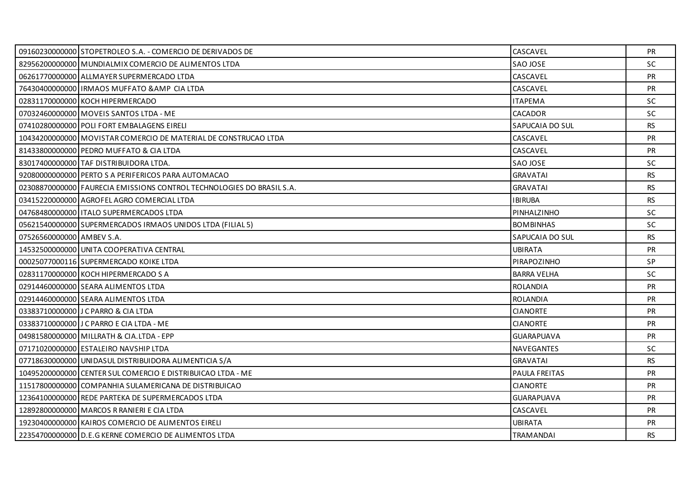|                           | 09160230000000 STOPETROLEO S.A. - COMERCIO DE DERIVADOS DE            | CASCAVEL           | <b>PR</b> |
|---------------------------|-----------------------------------------------------------------------|--------------------|-----------|
|                           | 82956200000000 MUNDIALMIX COMERCIO DE ALIMENTOS LTDA                  | SAO JOSE           | <b>SC</b> |
|                           | 06261770000000 ALLMAYER SUPERMERCADO LTDA                             | CASCAVEL           | <b>PR</b> |
|                           | 76430400000000 IRMAOS MUFFATO & AMP CIA LTDA                          | CASCAVEL           | PR        |
|                           | 02831170000000 KOCH HIPERMERCADO                                      | <b>ITAPEMA</b>     | SC        |
|                           | 07032460000000 MOVEIS SANTOS LTDA - ME                                | <b>CACADOR</b>     | <b>SC</b> |
|                           | 07410280000000 POLI FORT EMBALAGENS EIRELI                            | SAPUCAIA DO SUL    | <b>RS</b> |
|                           | 10434200000000 MOVISTAR COMERCIO DE MATERIAL DE CONSTRUCAO LTDA       | CASCAVEL           | PR        |
|                           | 81433800000000 PEDRO MUFFATO & CIA LTDA                               | CASCAVEL           | <b>PR</b> |
|                           | 83017400000000 TAF DISTRIBUIDORA LTDA.                                | SAO JOSE           | <b>SC</b> |
|                           | 92080000000000 PERTO S A PERIFERICOS PARA AUTOMACAO                   | <b>GRAVATAI</b>    | <b>RS</b> |
|                           | 02308870000000 FAURECIA EMISSIONS CONTROL TECHNOLOGIES DO BRASIL S.A. | <b>GRAVATAI</b>    | <b>RS</b> |
|                           | 03415220000000 AGROFEL AGRO COMERCIAL LTDA                            | <b>IBIRUBA</b>     | RS.       |
|                           | 04768480000000   ITALO SUPERMERCADOS LTDA                             | PINHALZINHO        | <b>SC</b> |
|                           | 05621540000000 SUPERMERCADOS IRMAOS UNIDOS LTDA (FILIAL 5)            | <b>BOMBINHAS</b>   | SC.       |
| 07526560000000 AMBEV S.A. |                                                                       | SAPUCAIA DO SUL    | <b>RS</b> |
|                           | 14532500000000 UNITA COOPERATIVA CENTRAL                              | <b>UBIRATA</b>     | PR        |
|                           | 00025077000116 SUPERMERCADO KOIKE LTDA                                | PIRAPOZINHO        | SP        |
|                           | 02831170000000 KOCH HIPERMERCADO S A                                  | <b>BARRA VELHA</b> | <b>SC</b> |
|                           | 02914460000000 SEARA ALIMENTOS LTDA                                   | <b>ROLANDIA</b>    | PR        |
|                           | 02914460000000 SEARA ALIMENTOS LTDA                                   | <b>ROLANDIA</b>    | <b>PR</b> |
|                           | 03383710000000 J C PARRO & CIA LTDA                                   | <b>CIANORTE</b>    | <b>PR</b> |
|                           | 03383710000000 J C PARRO E CIA LTDA - ME                              | <b>CIANORTE</b>    | <b>PR</b> |
|                           | 04981580000000 MILLRATH & CIA.LTDA - EPP                              | <b>GUARAPUAVA</b>  | <b>PR</b> |
|                           | 07171020000000 ESTALEIRO NAVSHIP LTDA                                 | <b>NAVEGANTES</b>  | SC        |
|                           | 07718630000000 UNIDASUL DISTRIBUIDORA ALIMENTICIA S/A                 | <b>GRAVATAI</b>    | <b>RS</b> |
|                           | 10495200000000 CENTER SUL COMERCIO E DISTRIBUICAO LTDA - ME           | PAULA FREITAS      | <b>PR</b> |
|                           | 11517800000000 COMPANHIA SULAMERICANA DE DISTRIBUICAO                 | <b>CIANORTE</b>    | <b>PR</b> |
|                           | 12364100000000 REDE PARTEKA DE SUPERMERCADOS LTDA                     | <b>GUARAPUAVA</b>  | <b>PR</b> |
|                           | 12892800000000 MARCOS R RANIERI E CIA LTDA                            | CASCAVEL           | <b>PR</b> |
|                           | 19230400000000 KAIROS COMERCIO DE ALIMENTOS EIRELI                    | <b>UBIRATA</b>     | <b>PR</b> |
|                           | 22354700000000 D.E.G KERNE COMERCIO DE ALIMENTOS LTDA                 | <b>TRAMANDAI</b>   | <b>RS</b> |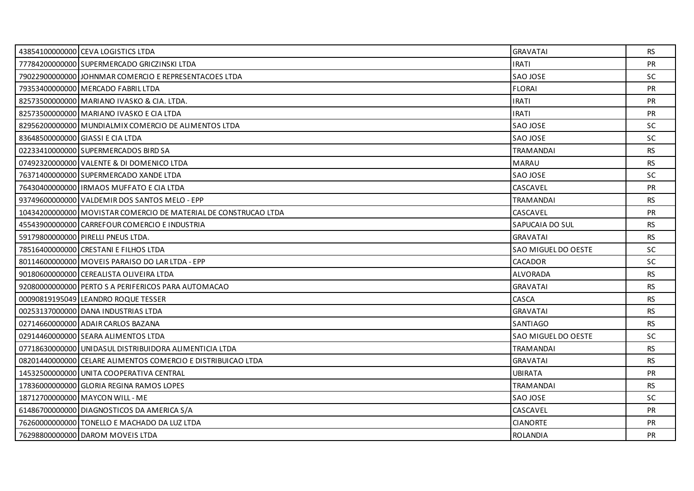| 43854100000000 CEVA LOGISTICS LTDA                              | <b>GRAVATAI</b>     | RS.       |
|-----------------------------------------------------------------|---------------------|-----------|
| 77784200000000 SUPERMERCADO GRICZINSKI LTDA                     | <b>IRATI</b>        | <b>PR</b> |
| 79022900000000 JOHNMAR COMERCIO E REPRESENTACOES LTDA           | SAO JOSE            | <b>SC</b> |
| 79353400000000 MERCADO FABRIL LTDA                              | <b>FLORAI</b>       | <b>PR</b> |
| 82573500000000 MARIANO IVASKO & CIA. LTDA.                      | <b>IRATI</b>        | <b>PR</b> |
| 82573500000000 MARIANO IVASKO E CIA LTDA                        | <b>IRATI</b>        | <b>PR</b> |
| 82956200000000 MUNDIALMIX COMERCIO DE ALIMENTOS LTDA            | SAO JOSE            | SC.       |
| 83648500000000 GIASSI E CIA LTDA                                | SAO JOSE            | <b>SC</b> |
| 02233410000000 SUPERMERCADOS BIRD SA                            | <b>TRAMANDAI</b>    | <b>RS</b> |
| 07492320000000 VALENTE & DI DOMENICO LTDA                       | <b>MARAU</b>        | <b>RS</b> |
| 76371400000000 SUPERMERCADO XANDE LTDA                          | SAO JOSE            | SC        |
| 76430400000000   IRMAOS MUFFATO E CIA LTDA                      | CASCAVEL            | <b>PR</b> |
| 93749600000000 VALDEMIR DOS SANTOS MELO - EPP                   | <b>TRAMANDAI</b>    | <b>RS</b> |
| 10434200000000 MOVISTAR COMERCIO DE MATERIAL DE CONSTRUCAO LTDA | CASCAVEL            | PR        |
| 45543900000000 CARREFOUR COMERCIO E INDUSTRIA                   | SAPUCAIA DO SUL     | <b>RS</b> |
| 59179800000000 PIRELLI PNEUS LTDA.                              | <b>GRAVATAI</b>     | RS.       |
| 78516400000000 CRESTANI E FILHOS LTDA                           | SAO MIGUEL DO OESTE | <b>SC</b> |
| 80114600000000 MOVEIS PARAISO DO LAR LTDA - EPP                 | CACADOR             | <b>SC</b> |
| 90180600000000 CEREALISTA OLIVEIRA LTDA                         | ALVORADA            | <b>RS</b> |
| 92080000000000 PERTO S A PERIFERICOS PARA AUTOMACAO             | <b>GRAVATAI</b>     | RS.       |
| 00090819195049 LEANDRO ROQUE TESSER                             | CASCA               | RS.       |
| 00253137000000 DANA INDUSTRIAS LTDA                             | <b>GRAVATAI</b>     | RS        |
| 02714660000000 ADAIR CARLOS BAZANA                              | <b>SANTIAGO</b>     | <b>RS</b> |
| 02914460000000 SEARA ALIMENTOS LTDA                             | SAO MIGUEL DO OESTE | <b>SC</b> |
| 07718630000000 UNIDASUL DISTRIBUIDORA ALIMENTICIA LTDA          | <b>TRAMANDAI</b>    | RS        |
| 08201440000000 CELARE ALIMENTOS COMERCIO E DISTRIBUICAO LTDA    | <b>GRAVATAI</b>     | <b>RS</b> |
| 14532500000000 UNITA COOPERATIVA CENTRAL                        | <b>UBIRATA</b>      | <b>PR</b> |
| 178360000000000 GLORIA REGINA RAMOS LOPES                       | TRAMANDAI           | RS.       |
| 18712700000000 MAYCON WILL - ME                                 | SAO JOSE            | <b>SC</b> |
| 61486700000000 DIAGNOSTICOS DA AMERICA S/A                      | CASCAVEL            | <b>PR</b> |
| 76260000000000 TONELLO E MACHADO DA LUZ LTDA                    | <b>CIANORTE</b>     | <b>PR</b> |
| 76298800000000 DAROM MOVEIS LTDA                                | <b>ROLANDIA</b>     | <b>PR</b> |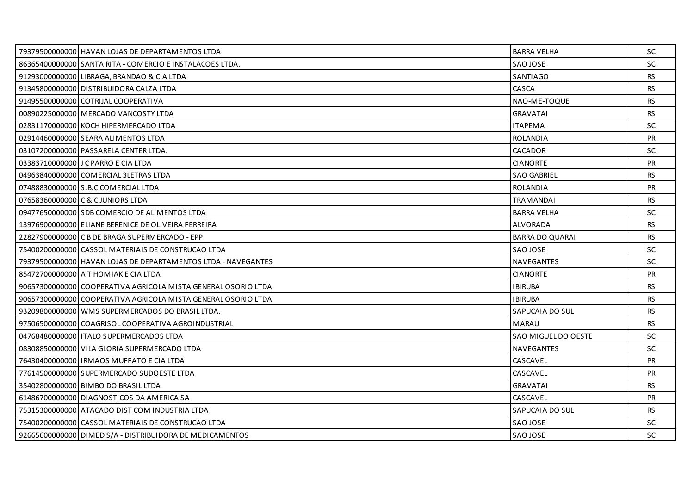| 79379500000000 HAVAN LOJAS DE DEPARTAMENTOS LTDA              | <b>BARRA VELHA</b>     | <b>SC</b> |
|---------------------------------------------------------------|------------------------|-----------|
| 86365400000000 SANTA RITA - COMERCIO E INSTALACOES LTDA.      | SAO JOSE               | SC        |
| 91293000000000 LIBRAGA, BRANDAO & CIA LTDA                    | SANTIAGO               | <b>RS</b> |
| 91345800000000 DISTRIBUIDORA CALZA LTDA                       | CASCA                  | <b>RS</b> |
| 91495500000000 COTRIJAL COOPERATIVA                           | NAO-ME-TOQUE           | <b>RS</b> |
| 00890225000000 MERCADO VANCOSTY LTDA                          | <b>GRAVATAI</b>        | <b>RS</b> |
| 02831170000000 KOCH HIPERMERCADO LTDA                         | <b>ITAPEMA</b>         | <b>SC</b> |
| 02914460000000 SEARA ALIMENTOS LTDA                           | <b>ROLANDIA</b>        | <b>PR</b> |
| 03107200000000 PASSARELA CENTER LTDA.                         | <b>CACADOR</b>         | SC.       |
| 03383710000000 J C PARRO E CIA LTDA                           | <b>CIANORTE</b>        | PR        |
| 04963840000000 COMERCIAL 3LETRAS LTDA                         | <b>SAO GABRIEL</b>     | <b>RS</b> |
| 07488830000000 S.B.C COMERCIAL LTDA                           | <b>ROLANDIA</b>        | PR        |
| 07658360000000 C & C JUNIORS LTDA                             | <b>TRAMANDAI</b>       | RS.       |
| 09477650000000 SDB COMERCIO DE ALIMENTOS LTDA                 | <b>BARRA VELHA</b>     | <b>SC</b> |
| 13976900000000 ELIANE BERENICE DE OLIVEIRA FERREIRA           | ALVORADA               | <b>RS</b> |
| 22827900000000 C B DE BRAGA SUPERMERCADO - EPP                | <b>BARRA DO QUARAI</b> | <b>RS</b> |
| 75400200000000 CASSOL MATERIAIS DE CONSTRUCAO LTDA            | SAO JOSE               | <b>SC</b> |
| 79379500000000 HAVAN LOJAS DE DEPARTAMENTOS LTDA - NAVEGANTES | <b>NAVEGANTES</b>      | <b>SC</b> |
| 85472700000000 A T HOMIAK E CIA LTDA                          | <b>CIANORTE</b>        | <b>PR</b> |
| 90657300000000 COOPERATIVA AGRICOLA MISTA GENERAL OSORIO LTDA | <b>IBIRUBA</b>         | <b>RS</b> |
| 90657300000000 COOPERATIVA AGRICOLA MISTA GENERAL OSORIO LTDA | <b>IBIRUBA</b>         | RS        |
| 93209800000000 WMS SUPERMERCADOS DO BRASIL LTDA.              | SAPUCAIA DO SUL        | <b>RS</b> |
| 97506500000000 COAGRISOL COOPERATIVA AGROINDUSTRIAL           | <b>MARAU</b>           | <b>RS</b> |
| 04768480000000 ITALO SUPERMERCADOS LTDA                       | SAO MIGUEL DO OESTE    | SC        |
| 08308850000000 VILA GLORIA SUPERMERCADO LTDA                  | <b>NAVEGANTES</b>      | SC        |
| 76430400000000   IRMAOS MUFFATO E CIA LTDA                    | CASCAVEL               | <b>PR</b> |
| 77614500000000 SUPERMERCADO SUDOESTE LTDA                     | CASCAVEL               | <b>PR</b> |
| 35402800000000 BIMBO DO BRASIL LTDA                           | <b>GRAVATAI</b>        | <b>RS</b> |
| 61486700000000 DIAGNOSTICOS DA AMERICA SA                     | CASCAVEL               | <b>PR</b> |
| 75315300000000 ATACADO DIST COM INDUSTRIA LTDA                | SAPUCAIA DO SUL        | RS.       |
| 75400200000000 CASSOL MATERIAIS DE CONSTRUCAO LTDA            | SAO JOSE               | <b>SC</b> |
| 92665600000000 DIMED S/A - DISTRIBUIDORA DE MEDICAMENTOS      | SAO JOSE               | SC        |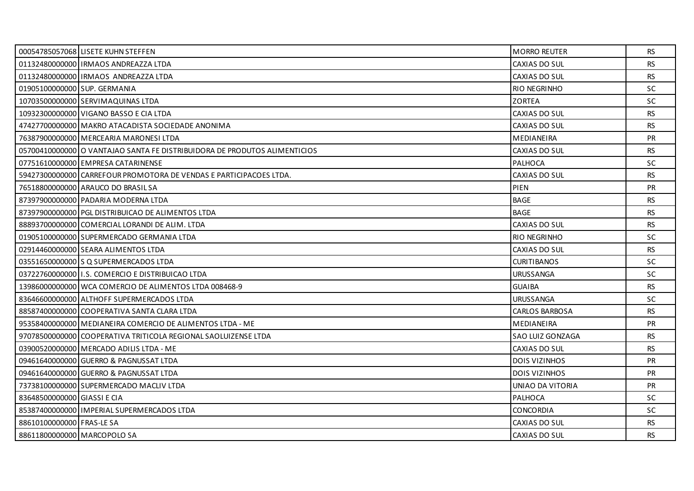|                              | 00054785057068 LISETE KUHN STEFFEN                                        | <b>MORRO REUTER</b>   | RS        |
|------------------------------|---------------------------------------------------------------------------|-----------------------|-----------|
|                              | 01132480000000 IRMAOS ANDREAZZA LTDA                                      | CAXIAS DO SUL         | <b>RS</b> |
|                              | 01132480000000 IRMAOS ANDREAZZA LTDA                                      | CAXIAS DO SUL         | <b>RS</b> |
| 01905100000000 SUP. GERMANIA |                                                                           | <b>RIO NEGRINHO</b>   | <b>SC</b> |
|                              | 10703500000000 SERVIMAQUINAS LTDA                                         | <b>ZORTEA</b>         | SC        |
|                              | 10932300000000 VIGANO BASSO E CIA LTDA                                    | CAXIAS DO SUL         | <b>RS</b> |
|                              | 47427700000000   MAKRO ATACADISTA SOCIEDADE ANONIMA                       | CAXIAS DO SUL         | <b>RS</b> |
|                              | 76387900000000 MERCEARIA MARONESI LTDA                                    | <b>MEDIANEIRA</b>     | PR        |
|                              | 0570041000000010 VANTAJAO SANTA FE DISTRIBUIDORA DE PRODUTOS ALIMENTICIOS | CAXIAS DO SUL         | <b>RS</b> |
|                              | 07751610000000 EMPRESA CATARINENSE                                        | <b>PALHOCA</b>        | <b>SC</b> |
|                              | 59427300000000 CARREFOUR PROMOTORA DE VENDAS E PARTICIPACOES LTDA.        | CAXIAS DO SUL         | <b>RS</b> |
|                              | 76518800000000 ARAUCO DO BRASIL SA                                        | PIEN                  | PR        |
|                              | 87397900000000 PADARIA MODERNA LTDA                                       | <b>BAGE</b>           | RS.       |
|                              | 87397900000000 PGL DISTRIBUICAO DE ALIMENTOS LTDA                         | <b>BAGE</b>           | <b>RS</b> |
|                              | 88893700000000 COMERCIAL LORANDI DE ALIM. LTDA                            | CAXIAS DO SUL         | <b>RS</b> |
|                              | 01905100000000 SUPERMERCADO GERMANIA LTDA                                 | <b>RIO NEGRINHO</b>   | <b>SC</b> |
|                              | 02914460000000 SEARA ALIMENTOS LTDA                                       | CAXIAS DO SUL         | <b>RS</b> |
|                              | 03551650000000 S Q SUPERMERCADOS LTDA                                     | <b>CURITIBANOS</b>    | <b>SC</b> |
|                              | 0372276000000011.S. COMERCIO E DISTRIBUICAO LTDA                          | <b>URUSSANGA</b>      | <b>SC</b> |
|                              | 13986000000000 WCA COMERCIO DE ALIMENTOS LTDA 008468-9                    | <b>GUAIBA</b>         | <b>RS</b> |
|                              | 83646600000000 ALTHOFF SUPERMERCADOS LTDA                                 | <b>URUSSANGA</b>      | <b>SC</b> |
|                              | 88587400000000 COOPERATIVA SANTA CLARA LTDA                               | <b>CARLOS BARBOSA</b> | <b>RS</b> |
|                              | 95358400000000 MEDIANEIRA COMERCIO DE ALIMENTOS LTDA - ME                 | MEDIANEIRA            | PR        |
|                              | 97078500000000 COOPERATIVA TRITICOLA REGIONAL SAOLUIZENSE LTDA            | SAO LUIZ GONZAGA      | RS        |
|                              | 03900520000000 MERCADO ADILIS LTDA - ME                                   | CAXIAS DO SUL         | <b>RS</b> |
|                              | 09461640000000 GUERRO & PAGNUSSAT LTDA                                    | <b>DOIS VIZINHOS</b>  | PR        |
|                              | 09461640000000 GUERRO & PAGNUSSAT LTDA                                    | <b>DOIS VIZINHOS</b>  | <b>PR</b> |
|                              | 73738100000000 SUPERMERCADO MACLIV LTDA                                   | UNIAO DA VITORIA      | <b>PR</b> |
| 83648500000000 GIASSI E CIA  |                                                                           | PALHOCA               | SC        |
|                              | 85387400000000 IMPERIAL SUPERMERCADOS LTDA                                | <b>CONCORDIA</b>      | <b>SC</b> |
| 88610100000000 FRAS-LE SA    |                                                                           | CAXIAS DO SUL         | <b>RS</b> |
| 88611800000000 MARCOPOLO SA  |                                                                           | CAXIAS DO SUL         | RS.       |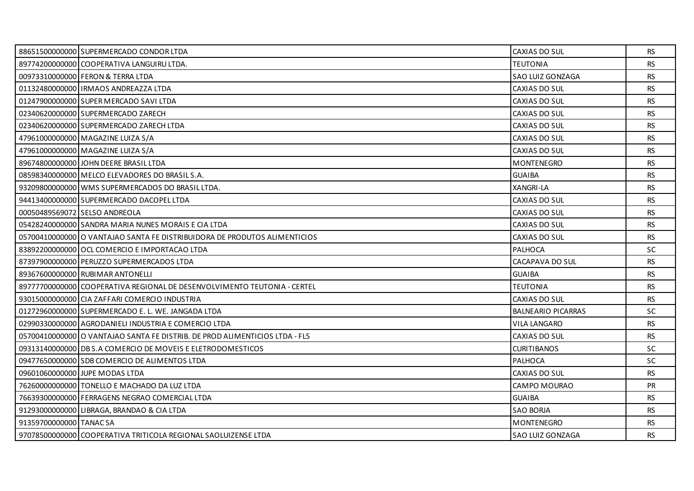|                         | 88651500000000 SUPERMERCADO CONDOR LTDA                                     | CAXIAS DO SUL             | <b>RS</b> |
|-------------------------|-----------------------------------------------------------------------------|---------------------------|-----------|
|                         | 89774200000000 COOPERATIVA LANGUIRU LTDA.                                   | <b>TEUTONIA</b>           | <b>RS</b> |
|                         | 00973310000000 FERON & TERRA LTDA                                           | SAO LUIZ GONZAGA          | <b>RS</b> |
|                         | 01132480000000   IRMAOS ANDREAZZA LTDA                                      | CAXIAS DO SUL             | <b>RS</b> |
|                         | 01247900000000 SUPER MERCADO SAVI LTDA                                      | CAXIAS DO SUL             | <b>RS</b> |
|                         | 02340620000000 SUPERMERCADO ZARECH                                          | CAXIAS DO SUL             | <b>RS</b> |
|                         | 02340620000000 SUPERMERCADO ZARECH LTDA                                     | CAXIAS DO SUL             | <b>RS</b> |
|                         | 47961000000000 MAGAZINE LUIZA S/A                                           | CAXIAS DO SUL             | <b>RS</b> |
|                         | 47961000000000 MAGAZINE LUIZA S/A                                           | CAXIAS DO SUL             | RS        |
|                         | 89674800000000 JOHN DEERE BRASIL LTDA                                       | <b>MONTENEGRO</b>         | <b>RS</b> |
|                         | 08598340000000 MELCO ELEVADORES DO BRASIL S.A.                              | <b>GUAIBA</b>             | <b>RS</b> |
|                         | 93209800000000 WMS SUPERMERCADOS DO BRASIL LTDA.                            | XANGRI-LA                 | <b>RS</b> |
|                         | 94413400000000 SUPERMERCADO DACOPEL LTDA                                    | CAXIAS DO SUL             | <b>RS</b> |
|                         | 00050489569072 SELSO ANDREOLA                                               | CAXIAS DO SUL             | <b>RS</b> |
|                         | 05428240000000 SANDRA MARIA NUNES MORAIS E CIA LTDA                         | CAXIAS DO SUL             | <b>RS</b> |
|                         | 0570041000000010 VANTAJAO SANTA FE DISTRIBUIDORA DE PRODUTOS ALIMENTICIOS   | CAXIAS DO SUL             | <b>RS</b> |
|                         | 83892200000000 OCL COMERCIO E IMPORTACAO LTDA                               | PALHOCA                   | SC        |
|                         | 87397900000000 PERUZZO SUPERMERCADOS LTDA                                   | CACAPAVA DO SUL           | <b>RS</b> |
|                         | 89367600000000 RUBIMAR ANTONELLI                                            | <b>GUAIBA</b>             | <b>RS</b> |
|                         | 89777700000000 COOPERATIVA REGIONAL DE DESENVOLVIMENTO TEUTONIA - CERTEL    | <b>TEUTONIA</b>           | <b>RS</b> |
|                         | 93015000000000 CIA ZAFFARI COMERCIO INDUSTRIA                               | CAXIAS DO SUL             | <b>RS</b> |
|                         | 01272960000000 SUPERMERCADO E. L. WE. JANGADA LTDA                          | <b>BALNEARIO PICARRAS</b> | <b>SC</b> |
|                         | 02990330000000 AGRODANIELI INDUSTRIA E COMERCIO LTDA                        | <b>VILA LANGARO</b>       | <b>RS</b> |
|                         | 0570041000000010 VANTAJAO SANTA FE DISTRIB. DE PROD ALIMENTICIOS LTDA - FL5 | CAXIAS DO SUL             | <b>RS</b> |
|                         | 09313140000000 DB S.A COMERCIO DE MOVEIS E ELETRODOMESTICOS                 | <b>CURITIBANOS</b>        | <b>SC</b> |
|                         | 09477650000000 SDB COMERCIO DE ALIMENTOS LTDA                               | <b>PALHOCA</b>            | <b>SC</b> |
|                         | 09601060000000 JUPE MODAS LTDA                                              | CAXIAS DO SUL             | <b>RS</b> |
|                         | 76260000000000 TONELLO E MACHADO DA LUZ LTDA                                | CAMPO MOURAO              | <b>PR</b> |
|                         | 76639300000000 FERRAGENS NEGRAO COMERCIAL LTDA                              | <b>GUAIBA</b>             | <b>RS</b> |
|                         | 91293000000000 LIBRAGA, BRANDAO & CIA LTDA                                  | <b>SAO BORJA</b>          | RS        |
| 91359700000000 TANAC SA |                                                                             | <b>MONTENEGRO</b>         | RS.       |
|                         | 97078500000000 COOPERATIVA TRITICOLA REGIONAL SAOLUIZENSE LTDA              | <b>SAO LUIZ GONZAGA</b>   | <b>RS</b> |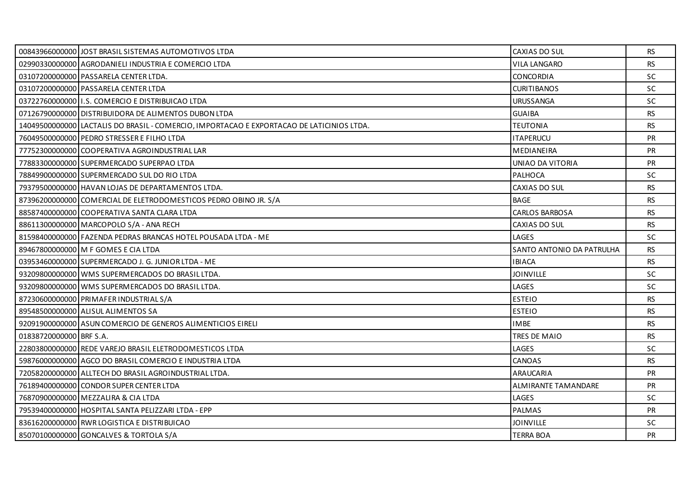|                         | 00843966000000 JOST BRASIL SISTEMAS AUTOMOTIVOS LTDA                                      | CAXIAS DO SUL             | RS.       |
|-------------------------|-------------------------------------------------------------------------------------------|---------------------------|-----------|
|                         | 02990330000000 AGRODANIELI INDUSTRIA E COMERCIO LTDA                                      | <b>VILA LANGARO</b>       | RS.       |
|                         | 03107200000000 PASSARELA CENTER LTDA.                                                     | <b>CONCORDIA</b>          | <b>SC</b> |
|                         | 03107200000000 PASSARELA CENTER LTDA                                                      | <b>CURITIBANOS</b>        | <b>SC</b> |
|                         | 0372276000000011.S. COMERCIO E DISTRIBUICAO LTDA                                          | <b>URUSSANGA</b>          | <b>SC</b> |
|                         | 07126790000000 DISTRIBUIDORA DE ALIMENTOS DUBON LTDA                                      | <b>GUAIBA</b>             | <b>RS</b> |
|                         | 14049500000000 LACTALIS DO BRASIL - COMERCIO, IMPORTACAO E EXPORTACAO DE LATICINIOS LTDA. | <b>TEUTONIA</b>           | <b>RS</b> |
|                         | 76049500000000 PEDRO STRESSER E FILHO LTDA                                                | <b>ITAPERUCU</b>          | <b>PR</b> |
|                         | 77752300000000 COOPERATIVA AGROINDUSTRIAL LAR                                             | MEDIANEIRA                | <b>PR</b> |
|                         | 77883300000000 SUPERMERCADO SUPERPAO LTDA                                                 | UNIAO DA VITORIA          | <b>PR</b> |
|                         | 78849900000000 SUPERMERCADO SUL DO RIO LTDA                                               | PALHOCA                   | <b>SC</b> |
|                         | 79379500000000 HAVAN LOJAS DE DEPARTAMENTOS LTDA.                                         | CAXIAS DO SUL             | <b>RS</b> |
|                         | 87396200000000 COMERCIAL DE ELETRODOMESTICOS PEDRO OBINO JR. S/A                          | <b>BAGE</b>               | RS        |
|                         | 88587400000000 COOPERATIVA SANTA CLARA LTDA                                               | <b>CARLOS BARBOSA</b>     | <b>RS</b> |
|                         | 88611300000000 MARCOPOLO S/A - ANA RECH                                                   | CAXIAS DO SUL             | <b>RS</b> |
|                         | 81598400000000 FAZENDA PEDRAS BRANCAS HOTEL POUSADA LTDA - ME                             | LAGES                     | <b>SC</b> |
|                         | 89467800000000 M F GOMES E CIA LTDA                                                       | SANTO ANTONIO DA PATRULHA | <b>RS</b> |
|                         | 03953460000000 SUPERMERCADO J. G. JUNIOR LTDA - ME                                        | <b>IBIACA</b>             | <b>RS</b> |
|                         | 93209800000000 WMS SUPERMERCADOS DO BRASIL LTDA.                                          | <b>JOINVILLE</b>          | SC        |
|                         | 93209800000000 WMS SUPERMERCADOS DO BRASIL LTDA.                                          | LAGES                     | SC        |
|                         | 87230600000000 PRIMAFER INDUSTRIAL S/A                                                    | <b>ESTEIO</b>             | <b>RS</b> |
|                         | 89548500000000 ALISUL ALIMENTOS SA                                                        | <b>ESTEIO</b>             | <b>RS</b> |
|                         | 92091900000000 ASUN COMERCIO DE GENEROS ALIMENTICIOS EIRELI                               | <b>IMBE</b>               | <b>RS</b> |
| 01838720000000 BRF S.A. |                                                                                           | TRES DE MAIO              | <b>RS</b> |
|                         | 22803800000000 REDE VAREJO BRASIL ELETRODOMESTICOS LTDA                                   | LAGES                     | <b>SC</b> |
|                         | 59876000000000 AGCO DO BRASIL COMERCIO E INDUSTRIA LTDA                                   | CANOAS                    | <b>RS</b> |
|                         | 72058200000000 ALLTECH DO BRASIL AGROINDUSTRIAL LTDA.                                     | ARAUCARIA                 | <b>PR</b> |
|                         | 76189400000000 CONDOR SUPER CENTER LTDA                                                   | ALMIRANTE TAMANDARE       | <b>PR</b> |
|                         | 76870900000000 MEZZALIRA & CIA LTDA                                                       | LAGES                     | <b>SC</b> |
|                         | 79539400000000 HOSPITAL SANTA PELIZZARI LTDA - EPP                                        | PALMAS                    | <b>PR</b> |
|                         | 83616200000000 RWR LOGISTICA E DISTRIBUICAO                                               | <b>JOINVILLE</b>          | <b>SC</b> |
|                         | 85070100000000 GONCALVES & TORTOLA S/A                                                    | <b>TERRA BOA</b>          | <b>PR</b> |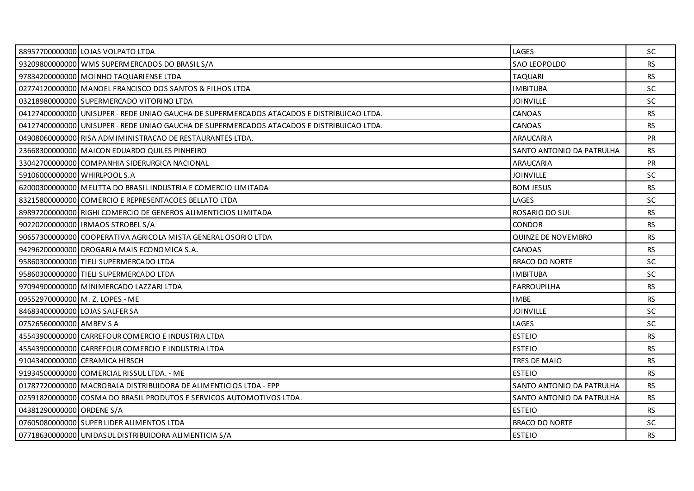|                                | 88957700000000 LOJAS VOLPATO LTDA                                                          | LAGES                     | <b>SC</b> |
|--------------------------------|--------------------------------------------------------------------------------------------|---------------------------|-----------|
|                                | 93209800000000 WMS SUPERMERCADOS DO BRASIL S/A                                             | SAO LEOPOLDO              | <b>RS</b> |
|                                | 97834200000000 MOINHO TAQUARIENSE LTDA                                                     | <b>TAQUARI</b>            | RS.       |
|                                | 02774120000000 MANOEL FRANCISCO DOS SANTOS & FILHOS LTDA                                   | <b>IMBITUBA</b>           | <b>SC</b> |
|                                | 03218980000000 SUPERMERCADO VITORINO LTDA                                                  | <b>JOINVILLE</b>          | <b>SC</b> |
|                                | 04127400000000 UNISUPER - REDE UNIAO GAUCHA DE SUPERMERCADOS ATACADOS E DISTRIBUICAO LTDA. | <b>CANOAS</b>             | <b>RS</b> |
|                                | .04127400000000 UNISUPER - REDE UNIAO GAUCHA DE SUPERMERCADOS ATACADOS E DISTRIBUICAO LTDA | <b>CANOAS</b>             | <b>RS</b> |
|                                | 04908060000000 RISA ADMIMINISTRACAO DE RESTAURANTES LTDA.                                  | <b>ARAUCARIA</b>          | PR        |
|                                | 23668300000000   MAICON EDUARDO QUILES PINHEIRO                                            | SANTO ANTONIO DA PATRULHA | <b>RS</b> |
|                                | 33042700000000 COMPANHIA SIDERURGICA NACIONAL                                              | ARAUCARIA                 | <b>PR</b> |
| 59106000000000 WHIRLPOOL S.A   |                                                                                            | <b>JOINVILLE</b>          | <b>SC</b> |
|                                | 62000300000000 MELITTA DO BRASIL INDUSTRIA E COMERCIO LIMITADA                             | <b>BOM JESUS</b>          | <b>RS</b> |
|                                | 83215800000000 COMERCIO E REPRESENTACOES BELLATO LTDA                                      | LAGES                     | <b>SC</b> |
|                                | 89897200000000 RIGHI COMERCIO DE GENEROS ALIMENTICIOS LIMITADA                             | ROSARIO DO SUL            | RS.       |
|                                | 90220200000000   IRMAOS STROBEL S/A                                                        | <b>CONDOR</b>             | <b>RS</b> |
|                                | 90657300000000 COOPERATIVA AGRICOLA MISTA GENERAL OSORIO LTDA                              | <b>QUINZE DE NOVEMBRO</b> | <b>RS</b> |
|                                | 94296200000000 DROGARIA MAIS ECONOMICA S.A.                                                | <b>CANOAS</b>             | RS.       |
|                                | 95860300000000 TIELI SUPERMERCADO LTDA                                                     | <b>BRACO DO NORTE</b>     | <b>SC</b> |
|                                | 95860300000000 TIELI SUPERMERCADO LTDA                                                     | <b>IMBITUBA</b>           | <b>SC</b> |
|                                | 97094900000000 MINIMERCADO LAZZARI LTDA                                                    | <b>FARROUPILHA</b>        | RS.       |
|                                | 09552970000000 M. Z. LOPES - ME                                                            | <b>IMBE</b>               | RS.       |
| 84683400000000 LOJAS SALFER SA |                                                                                            | <b>JOINVILLE</b>          | <b>SC</b> |
| 07526560000000 AMBEV S A       |                                                                                            | LAGES                     | <b>SC</b> |
|                                | 45543900000000 CARREFOUR COMERCIO E INDUSTRIA LTDA                                         | <b>ESTEIO</b>             | RS.       |
|                                | 45543900000000 CARREFOUR COMERCIO E INDUSTRIA LTDA                                         | <b>ESTEIO</b>             | <b>RS</b> |
|                                | 91043400000000 CERAMICA HIRSCH                                                             | TRES DE MAIO              | <b>RS</b> |
|                                | 91934500000000 COMERCIAL RISSUL LTDA. - ME                                                 | <b>ESTEIO</b>             | RS.       |
|                                | 01787720000000 MACROBALA DISTRIBUIDORA DE ALIMENTICIOS LTDA - EPP                          | SANTO ANTONIO DA PATRULHA | <b>RS</b> |
|                                | 02591820000000 COSMA DO BRASIL PRODUTOS E SERVICOS AUTOMOTIVOS LTDA.                       | SANTO ANTONIO DA PATRULHA | RS.       |
| 04381290000000 ORDENE S/A      |                                                                                            | <b>ESTEIO</b>             | RS.       |
|                                | 07605080000000 SUPER LIDER ALIMENTOS LTDA                                                  | <b>BRACO DO NORTE</b>     | <b>SC</b> |
|                                | 07718630000000 UNIDASUL DISTRIBUIDORA ALIMENTICIA S/A                                      | <b>ESTEIO</b>             | RS.       |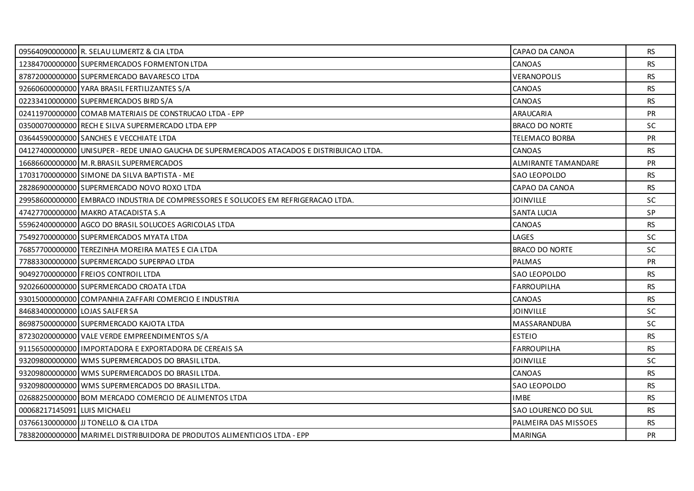|                                | 09564090000000 R. SELAU LUMERTZ & CIA LTDA                                                 | CAPAO DA CANOA             | RS        |
|--------------------------------|--------------------------------------------------------------------------------------------|----------------------------|-----------|
|                                | 12384700000000 SUPERMERCADOS FORMENTON LTDA                                                | CANOAS                     | <b>RS</b> |
|                                | 87872000000000 SUPERMERCADO BAVARESCO LTDA                                                 | VERANOPOLIS                | <b>RS</b> |
|                                | 92660600000000 YARA BRASIL FERTILIZANTES S/A                                               | CANOAS                     | <b>RS</b> |
|                                | 02233410000000 SUPERMERCADOS BIRD S/A                                                      | CANOAS                     | <b>RS</b> |
|                                | 02411970000000 COMAB MATERIAIS DE CONSTRUCAO LTDA - EPP                                    | ARAUCARIA                  | <b>PR</b> |
|                                | 03500070000000 RECH E SILVA SUPERMERCADO LTDA EPP                                          | <b>BRACO DO NORTE</b>      | SC.       |
|                                | 03644590000000 SANCHES E VECCHIATE LTDA                                                    | TELEMACO BORBA             | PR        |
|                                | 04127400000000 UNISUPER - REDE UNIAO GAUCHA DE SUPERMERCADOS ATACADOS E DISTRIBUICAO LTDA. | CANOAS                     | <b>RS</b> |
|                                | 16686600000000 M.R. BRASIL SUPERMERCADOS                                                   | <b>ALMIRANTE TAMANDARE</b> | <b>PR</b> |
|                                | 17031700000000 SIMONE DA SILVA BAPTISTA - ME                                               | SAO LEOPOLDO               | <b>RS</b> |
|                                | 28286900000000 SUPERMERCADO NOVO ROXO LTDA                                                 | CAPAO DA CANOA             | <b>RS</b> |
|                                | 29958600000000 EMBRACO INDUSTRIA DE COMPRESSORES E SOLUCOES EM REFRIGERACAO LTDA.          | <b>JOINVILLE</b>           | SC.       |
|                                | 47427700000000 MAKRO ATACADISTA S.A                                                        | <b>SANTA LUCIA</b>         | SP        |
|                                | 55962400000000 AGCO DO BRASIL SOLUCOES AGRICOLAS LTDA                                      | <b>CANOAS</b>              | RS.       |
|                                | 75492700000000 SUPERMERCADOS MYATA LTDA                                                    | LAGES                      | SC.       |
|                                | 76857700000000 TEREZINHA MOREIRA MATES E CIA LTDA                                          | <b>BRACO DO NORTE</b>      | <b>SC</b> |
|                                | 77883300000000 SUPERMERCADO SUPERPAO LTDA                                                  | <b>PALMAS</b>              | PR        |
|                                | 90492700000000 FREIOS CONTROIL LTDA                                                        | SAO LEOPOLDO               | <b>RS</b> |
|                                | 92026600000000 SUPERMERCADO CROATA LTDA                                                    | <b>FARROUPILHA</b>         | <b>RS</b> |
|                                | 93015000000000 COMPANHIA ZAFFARI COMERCIO E INDUSTRIA                                      | <b>CANOAS</b>              | <b>RS</b> |
| 84683400000000 LOJAS SALFER SA |                                                                                            | <b>JOINVILLE</b>           | <b>SC</b> |
|                                | 86987500000000 SUPERMERCADO KAJOTA LTDA                                                    | MASSARANDUBA               | <b>SC</b> |
|                                | 87230200000000 VALE VERDE EMPREENDIMENTOS S/A                                              | <b>ESTEIO</b>              | <b>RS</b> |
|                                | 91156500000000 I IMPORTADORA E EXPORTADORA DE CEREAIS SA                                   | <b>FARROUPILHA</b>         | <b>RS</b> |
|                                | 93209800000000 WMS SUPERMERCADOS DO BRASIL LTDA.                                           | <b>JOINVILLE</b>           | <b>SC</b> |
|                                | 93209800000000 WMS SUPERMERCADOS DO BRASIL LTDA.                                           | <b>CANOAS</b>              | RS        |
|                                | 93209800000000 WMS SUPERMERCADOS DO BRASIL LTDA.                                           | SAO LEOPOLDO               | <b>RS</b> |
|                                | 02688250000000 BOM MERCADO COMERCIO DE ALIMENTOS LTDA                                      | <b>IMBE</b>                | <b>RS</b> |
| 00068217145091 LUIS MICHAELI   |                                                                                            | SAO LOURENCO DO SUL        | <b>RS</b> |
|                                | 03766130000000 JJJ TONELLO & CIA LTDA                                                      | PALMEIRA DAS MISSOES       | <b>RS</b> |
|                                | 78382000000000 MARIMEL DISTRIBUIDORA DE PRODUTOS ALIMENTICIOS LTDA - EPP                   | <b>MARINGA</b>             | <b>PR</b> |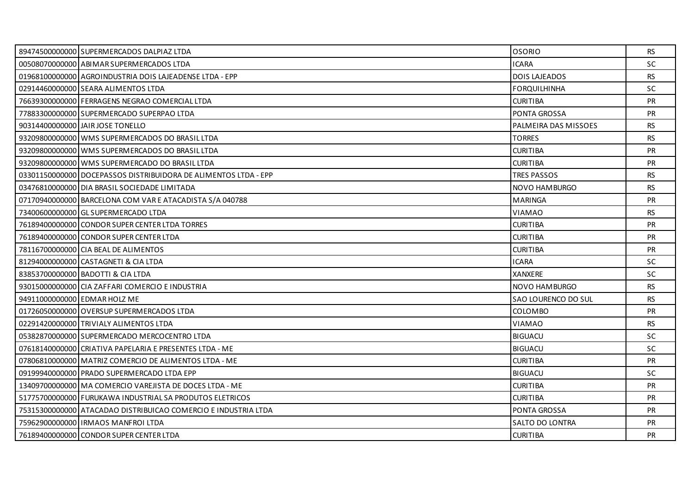| 89474500000000 SUPERMERCADOS DALPIAZ LTDA                       | <b>OSORIO</b>        | <b>RS</b> |
|-----------------------------------------------------------------|----------------------|-----------|
| 00508070000000 ABIMAR SUPERMERCADOS LTDA                        | <b>ICARA</b>         | SC        |
| 01968100000000 AGROINDUSTRIA DOIS LAJEADENSE LTDA - EPP         | <b>DOIS LAJEADOS</b> | <b>RS</b> |
| 02914460000000 SEARA ALIMENTOS LTDA                             | <b>FORQUILHINHA</b>  | <b>SC</b> |
| 76639300000000 FERRAGENS NEGRAO COMERCIAL LTDA                  | <b>CURITIBA</b>      | <b>PR</b> |
| 77883300000000 SUPERMERCADO SUPERPAO LTDA                       | PONTA GROSSA         | <b>PR</b> |
| 90314400000000 JAIR JOSE TONELLO                                | PALMEIRA DAS MISSOES | <b>RS</b> |
| 93209800000000 WMS SUPERMERCADOS DO BRASIL LTDA                 | <b>TORRES</b>        | <b>RS</b> |
| 93209800000000 WMS SUPERMERCADOS DO BRASIL LTDA                 | <b>CURITIBA</b>      | PR        |
| 93209800000000 WMS SUPERMERCADO DO BRASIL LTDA                  | <b>CURITIBA</b>      | <b>PR</b> |
| 03301150000000 DOCEPASSOS DISTRIBUIDORA DE ALIMENTOS LTDA - EPP | <b>TRES PASSOS</b>   | <b>RS</b> |
| 03476810000000 DIA BRASIL SOCIEDADE LIMITADA                    | NOVO HAMBURGO        | <b>RS</b> |
| 07170940000000 BARCELONA COM VAR E ATACADISTA S/A 040788        | <b>MARINGA</b>       | <b>PR</b> |
| 73400600000000 GL SUPERMERCADO LTDA                             | VIAMAO               | <b>RS</b> |
| 76189400000000 CONDOR SUPER CENTER LTDA TORRES                  | <b>CURITIBA</b>      | <b>PR</b> |
| 76189400000000 CONDOR SUPER CENTER LTDA                         | <b>CURITIBA</b>      | PR        |
| 78116700000000 CIA BEAL DE ALIMENTOS                            | <b>CURITIBA</b>      | PR        |
| 81294000000000 CASTAGNETI & CIA LTDA                            | <b>ICARA</b>         | <b>SC</b> |
| 83853700000000 BADOTTI & CIA LTDA                               | <b>XANXERE</b>       | <b>SC</b> |
| 93015000000000 CIA ZAFFARI COMERCIO E INDUSTRIA                 | NOVO HAMBURGO        | <b>RS</b> |
| 94911000000000 EDMAR HOLZ ME                                    | SAO LOURENCO DO SUL  | RS.       |
| 01726050000000 OVERSUP SUPERMERCADOS LTDA                       | <b>COLOMBO</b>       | <b>PR</b> |
| 02291420000000 TRIVIALY ALIMENTOS LTDA                          | VIAMAO               | <b>RS</b> |
| 05382870000000 SUPERMERCADO MERCOCENTRO LTDA                    | <b>BIGUACU</b>       | <b>SC</b> |
| 07618140000000 CRIATIVA PAPELARIA E PRESENTES LTDA - ME         | <b>BIGUACU</b>       | <b>SC</b> |
| 07806810000000 MATRIZ COMERCIO DE ALIMENTOS LTDA - ME           | <b>CURITIBA</b>      | <b>PR</b> |
| 09199940000000 PRADO SUPERMERCADO LTDA EPP                      | <b>BIGUACU</b>       | <b>SC</b> |
| 13409700000000 MA COMERCIO VAREJISTA DE DOCES LTDA - ME         | <b>CURITIBA</b>      | <b>PR</b> |
| 51775700000000 FURUKAWA INDUSTRIAL SA PRODUTOS ELETRICOS        | <b>CURITIBA</b>      | <b>PR</b> |
| 75315300000000 ATACADAO DISTRIBUICAO COMERCIO E INDUSTRIA LTDA  | PONTA GROSSA         | <b>PR</b> |
| 75962900000000 IRMAOS MANFROI LTDA                              | SALTO DO LONTRA      | <b>PR</b> |
| 76189400000000 CONDOR SUPER CENTER LTDA                         | <b>CURITIBA</b>      | <b>PR</b> |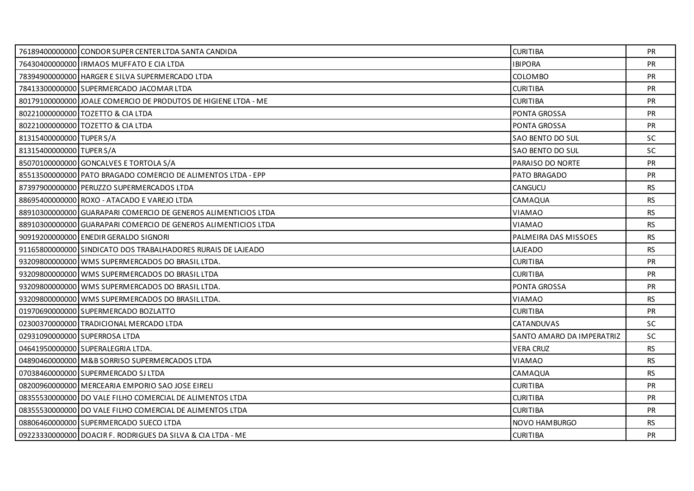|                          | 76189400000000 CONDOR SUPER CENTER LTDA SANTA CANDIDA          | <b>CURITIBA</b>           | PR.       |
|--------------------------|----------------------------------------------------------------|---------------------------|-----------|
|                          | 76430400000000 IRMAOS MUFFATO E CIA LTDA                       | <b>IBIPORA</b>            | PR        |
|                          | 78394900000000 HARGER E SILVA SUPERMERCADO LTDA                | <b>COLOMBO</b>            | <b>PR</b> |
|                          | 78413300000000 SUPERMERCADO JACOMAR LTDA                       | <b>CURITIBA</b>           | <b>PR</b> |
|                          | 80179100000000 JOALE COMERCIO DE PRODUTOS DE HIGIENE LTDA - ME | <b>CURITIBA</b>           | PR        |
|                          | 80221000000000 TOZETTO & CIA LTDA                              | <b>PONTA GROSSA</b>       | <b>PR</b> |
|                          | 80221000000000 TOZETTO & CIA LTDA                              | PONTA GROSSA              | <b>PR</b> |
| 81315400000000 TUPER S/A |                                                                | SAO BENTO DO SUL          | <b>SC</b> |
| 81315400000000 TUPER S/A |                                                                | SAO BENTO DO SUL          | <b>SC</b> |
|                          | 85070100000000 GONCALVES E TORTOLA S/A                         | PARAISO DO NORTE          | <b>PR</b> |
|                          | 85513500000000 PATO BRAGADO COMERCIO DE ALIMENTOS LTDA - EPP   | PATO BRAGADO              | PR        |
|                          | 87397900000000 PERUZZO SUPERMERCADOS LTDA                      | <b>CANGUCU</b>            | <b>RS</b> |
|                          | 88695400000000 ROXO - ATACADO E VAREJO LTDA                    | CAMAQUA                   | <b>RS</b> |
|                          | 88910300000000 GUARAPARI COMERCIO DE GENEROS ALIMENTICIOS LTDA | VIAMAO                    | <b>RS</b> |
|                          | 88910300000000 GUARAPARI COMERCIO DE GENEROS ALIMENTICIOS LTDA | VIAMAO                    | <b>RS</b> |
|                          | 90919200000000 ENEDIR GERALDO SIGNORI                          | PALMEIRA DAS MISSOES      | <b>RS</b> |
|                          | 91165800000000 SINDICATO DOS TRABALHADORES RURAIS DE LAJEADO   | LAJEADO                   | <b>RS</b> |
|                          | 93209800000000 WMS SUPERMERCADOS DO BRASIL LTDA.               | <b>CURITIBA</b>           | <b>PR</b> |
|                          | 93209800000000 WMS SUPERMERCADOS DO BRASIL LTDA                | <b>CURITIBA</b>           | <b>PR</b> |
|                          | 93209800000000 WMS SUPERMERCADOS DO BRASIL LTDA.               | PONTA GROSSA              | <b>PR</b> |
|                          | 93209800000000 WMS SUPERMERCADOS DO BRASIL LTDA.               | VIAMAO                    | <b>RS</b> |
|                          | 01970690000000 SUPERMERCADO BOZLATTO                           | <b>CURITIBA</b>           | <b>PR</b> |
|                          | 02300370000000 TRADICIONAL MERCADO LTDA                        | <b>CATANDUVAS</b>         | <b>SC</b> |
|                          | 02931090000000 SUPERROSA LTDA                                  | SANTO AMARO DA IMPERATRIZ | SC.       |
|                          | 04641950000000 SUPERALEGRIA LTDA.                              | <b>VERA CRUZ</b>          | RS.       |
|                          | 04890460000000 M&B SORRISO SUPERMERCADOS LTDA                  | <b>VIAMAO</b>             | <b>RS</b> |
|                          | 07038460000000 SUPERMERCADO SJ LTDA                            | CAMAQUA                   | <b>RS</b> |
|                          | 08200960000000 MERCEARIA EMPORIO SAO JOSE EIRELI               | <b>CURITIBA</b>           | <b>PR</b> |
|                          | 08355530000000 DO VALE FILHO COMERCIAL DE ALIMENTOS LTDA       | <b>CURITIBA</b>           | <b>PR</b> |
|                          | 08355530000000 DO VALE FILHO COMERCIAL DE ALIMENTOS LTDA       | <b>CURITIBA</b>           | <b>PR</b> |
|                          | 08806460000000 SUPERMERCADO SUECO LTDA                         | NOVO HAMBURGO             | RS.       |
|                          | 09223330000000 DOACIR F. RODRIGUES DA SILVA & CIA LTDA - ME    | <b>CURITIBA</b>           | <b>PR</b> |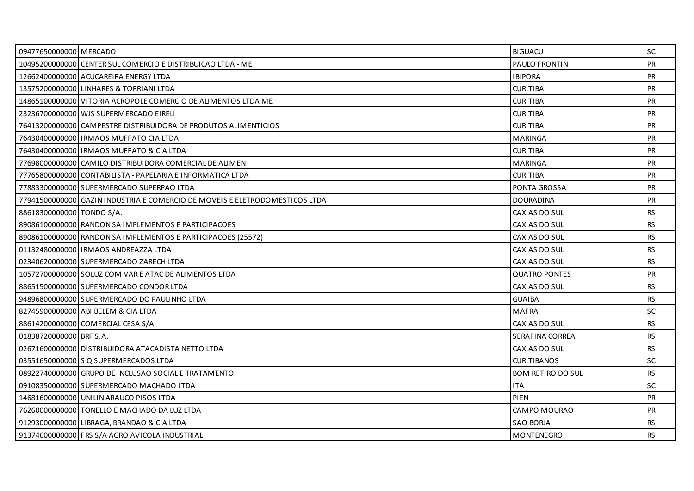| 09477650000000 MERCADO    |                                                                             | <b>BIGUACU</b>           | <b>SC</b> |
|---------------------------|-----------------------------------------------------------------------------|--------------------------|-----------|
|                           | 10495200000000 CENTER SUL COMERCIO E DISTRIBUICAO LTDA - ME                 | PAULO FRONTIN            | PR        |
|                           | 12662400000000 ACUCAREIRA ENERGY LTDA                                       | <b>IBIPORA</b>           | <b>PR</b> |
|                           | 13575200000000 LINHARES & TORRIANI LTDA                                     | <b>CURITIBA</b>          | PR        |
|                           | 14865100000000 VITORIA ACROPOLE COMERCIO DE ALIMENTOS LTDA ME               | <b>CURITIBA</b>          | PR        |
|                           | 23236700000000 WJS SUPERMERCADO EIRELI                                      | <b>CURITIBA</b>          | <b>PR</b> |
|                           | 76413200000000 CAMPESTRE DISTRIBUIDORA DE PRODUTOS ALIMENTICIOS             | <b>CURITIBA</b>          | <b>PR</b> |
|                           | 76430400000000 IRMAOS MUFFATO CIA LTDA                                      | <b>MARINGA</b>           | PR        |
|                           | 76430400000000 IRMAOS MUFFATO & CIA LTDA                                    | <b>CURITIBA</b>          | <b>PR</b> |
|                           | 77698000000000 CAMILO DISTRIBUIDORA COMERCIAL DE ALIMEN                     | <b>MARINGA</b>           | <b>PR</b> |
|                           | 77765800000000 CONTABILISTA - PAPELARIA E INFORMATICA LTDA                  | <b>CURITIBA</b>          | PR        |
|                           | 77883300000000 SUPERMERCADO SUPERPAO LTDA                                   | PONTA GROSSA             | <b>PR</b> |
|                           | 77941500000000 GAZIN INDUSTRIA E COMERCIO DE MOVEIS E ELETRODOMESTICOS LTDA | <b>DOURADINA</b>         | <b>PR</b> |
| 88618300000000 TONDO S/A. |                                                                             | CAXIAS DO SUL            | <b>RS</b> |
|                           | 89086100000000 RANDON SA IMPLEMENTOS E PARTICIPACOES                        | CAXIAS DO SUL            | RS.       |
|                           | 89086100000000 RANDON SA IMPLEMENTOS E PARTICIPACOES (25572)                | CAXIAS DO SUL            | <b>RS</b> |
|                           | 01132480000000   IRMAOS ANDREAZZA LTDA                                      | CAXIAS DO SUL            | <b>RS</b> |
|                           | 02340620000000 SUPERMERCADO ZARECH LTDA                                     | CAXIAS DO SUL            | <b>RS</b> |
|                           | 10572700000000 SOLUZ COM VAR E ATAC DE ALIMENTOS LTDA                       | <b>QUATRO PONTES</b>     | <b>PR</b> |
|                           | 88651500000000 SUPERMERCADO CONDOR LTDA                                     | CAXIAS DO SUL            | <b>RS</b> |
|                           | 94896800000000 SUPERMERCADO DO PAULINHO LTDA                                | <b>GUAIBA</b>            | <b>RS</b> |
|                           | 82745900000000 ABI BELEM & CIA LTDA                                         | <b>MAFRA</b>             | <b>SC</b> |
|                           | 88614200000000 COMERCIAL CESA S/A                                           | CAXIAS DO SUL            | <b>RS</b> |
| 01838720000000 BRF S.A.   |                                                                             | SERAFINA CORREA          | <b>RS</b> |
|                           | 02671600000000 DISTRIBUIDORA ATACADISTA NETTO LTDA                          | CAXIAS DO SUL            | RS.       |
|                           | 03551650000000 S Q SUPERMERCADOS LTDA                                       | <b>CURITIBANOS</b>       | <b>SC</b> |
|                           | 08922740000000 GRUPO DE INCLUSAO SOCIAL E TRATAMENTO                        | <b>BOM RETIRO DO SUL</b> | <b>RS</b> |
|                           | 09108350000000 SUPERMERCADO MACHADO LTDA                                    | <b>ITA</b>               | SC.       |
|                           | 14681600000000 UNILIN ARAUCO PISOS LTDA                                     | PIEN                     | PR        |
|                           | 76260000000000 TONELLO E MACHADO DA LUZ LTDA                                | CAMPO MOURAO             | <b>PR</b> |
|                           | 91293000000000 LIBRAGA, BRANDAO & CIA LTDA                                  | <b>SAO BORJA</b>         | RS.       |
|                           | 91374600000000 FRS S/A AGRO AVICOLA INDUSTRIAL                              | <b>MONTENEGRO</b>        | <b>RS</b> |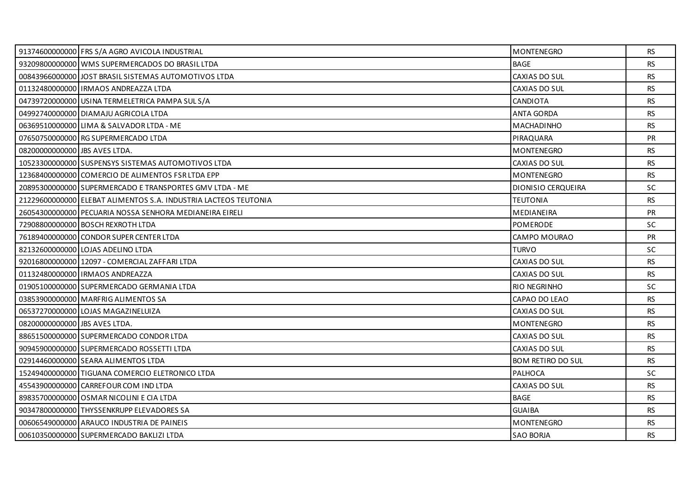|                               | 91374600000000 FRS S/A AGRO AVICOLA INDUSTRIAL                  | <b>MONTENEGRO</b>        | RS.       |
|-------------------------------|-----------------------------------------------------------------|--------------------------|-----------|
|                               | 93209800000000 WMS SUPERMERCADOS DO BRASIL LTDA                 | <b>BAGE</b>              | <b>RS</b> |
|                               | 00843966000000 JOST BRASIL SISTEMAS AUTOMOTIVOS LTDA            | CAXIAS DO SUL            | <b>RS</b> |
|                               | 01132480000000 IRMAOS ANDREAZZA LTDA                            | CAXIAS DO SUL            | RS.       |
|                               | 04739720000000 USINA TERMELETRICA PAMPA SUL S/A                 | <b>CANDIOTA</b>          | <b>RS</b> |
|                               | 04992740000000 DIAMAJU AGRICOLA LTDA                            | <b>ANTA GORDA</b>        | <b>RS</b> |
|                               | 06369510000000 LIMA & SALVADOR LTDA - ME                        | MACHADINHO               | RS.       |
|                               | 07650750000000 RG SUPERMERCADO LTDA                             | PIRAQUARA                | PR        |
| 08200000000000 UBS AVES LTDA. |                                                                 | MONTENEGRO               | <b>RS</b> |
|                               | 10523300000000 SUSPENSYS SISTEMAS AUTOMOTIVOS LTDA              | <b>CAXIAS DO SUL</b>     | RS.       |
|                               | 12368400000000 COMERCIO DE ALIMENTOS FSR LTDA EPP               | MONTENEGRO               | <b>RS</b> |
|                               | 20895300000000 SUPERMERCADO E TRANSPORTES GMV LTDA - ME         | DIONISIO CERQUEIRA       | <b>SC</b> |
|                               | 21229600000000 ELEBAT ALIMENTOS S.A. INDUSTRIA LACTEOS TEUTONIA | <b>TEUTONIA</b>          | <b>RS</b> |
|                               | 26054300000000 PECUARIA NOSSA SENHORA MEDIANEIRA EIRELI         | <b>MEDIANEIRA</b>        | <b>PR</b> |
|                               | 72908800000000 BOSCH REXROTH LTDA                               | <b>POMERODE</b>          | SC.       |
|                               | 76189400000000 CONDOR SUPER CENTER LTDA                         | CAMPO MOURAO             | <b>PR</b> |
|                               | 82132600000000 LOJAS ADELINO LTDA                               | <b>TURVO</b>             | <b>SC</b> |
|                               |                                                                 |                          |           |
|                               | 92016800000000 12097 - COMERCIAL ZAFFARI LTDA                   | CAXIAS DO SUL            | <b>RS</b> |
|                               | 01132480000000 IRMAOS ANDREAZZA                                 | CAXIAS DO SUL            | <b>RS</b> |
|                               | 01905100000000 SUPERMERCADO GERMANIA LTDA                       | RIO NEGRINHO             | <b>SC</b> |
|                               | 03853900000000 MARFRIG ALIMENTOS SA                             | CAPAO DO LEAO            | RS        |
|                               | 06537270000000 LOJAS MAGAZINELUIZA                              | CAXIAS DO SUL            | <b>RS</b> |
| 08200000000000 UBS AVES LTDA. |                                                                 | <b>MONTENEGRO</b>        | <b>RS</b> |
|                               | 88651500000000 SUPERMERCADO CONDOR LTDA                         | CAXIAS DO SUL            | RS        |
|                               | 90945900000000 SUPERMERCADO ROSSETTI LTDA                       | CAXIAS DO SUL            | <b>RS</b> |
|                               | 02914460000000 SEARA ALIMENTOS LTDA                             | <b>BOM RETIRO DO SUL</b> | <b>RS</b> |
|                               | 15249400000000 TIGUANA COMERCIO ELETRONICO LTDA                 | <b>PALHOCA</b>           | <b>SC</b> |
|                               | 45543900000000 CARREFOUR COM IND LTDA                           | CAXIAS DO SUL            | <b>RS</b> |
|                               | 89835700000000 OSMAR NICOLINI E CIA LTDA                        | <b>BAGE</b>              | <b>RS</b> |
|                               | 90347800000000 THYSSENKRUPP ELEVADORES SA                       | <b>GUAIBA</b>            | <b>RS</b> |
|                               | 00606549000000 ARAUCO INDUSTRIA DE PAINEIS                      | MONTENEGRO               | RS.       |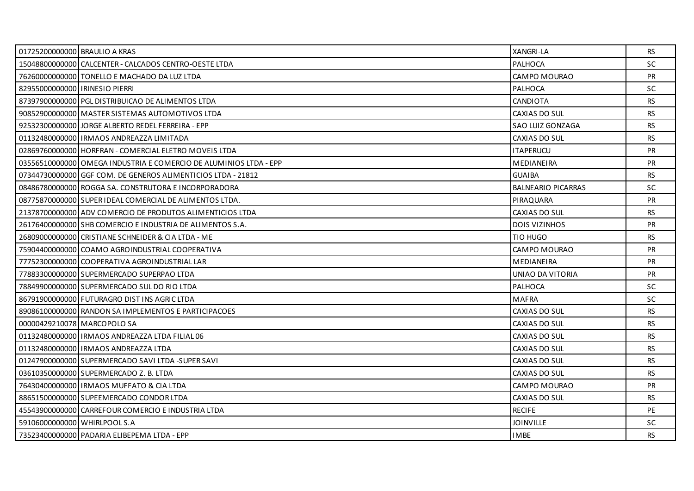| 01725200000000 BRAULIO A KRAS  |                                                                   | <b>XANGRI-LA</b>          | <b>RS</b> |
|--------------------------------|-------------------------------------------------------------------|---------------------------|-----------|
|                                | 15048800000000 CALCENTER - CALCADOS CENTRO-OESTE LTDA             | <b>PALHOCA</b>            | <b>SC</b> |
|                                | 76260000000000 TONELLO E MACHADO DA LUZ LTDA                      | CAMPO MOURAO              | <b>PR</b> |
| 82955000000000 IRINESIO PIERRI |                                                                   | PALHOCA                   | <b>SC</b> |
|                                | 87397900000000 PGL DISTRIBUICAO DE ALIMENTOS LTDA                 | CANDIOTA                  | <b>RS</b> |
|                                | 90852900000000 MASTER SISTEMAS AUTOMOTIVOS LTDA                   | CAXIAS DO SUL             | <b>RS</b> |
|                                | 92532300000000 JJORGE ALBERTO REDEL FERREIRA - EPP                | SAO LUIZ GONZAGA          | <b>RS</b> |
|                                | 01132480000000 IRMAOS ANDREAZZA LIMITADA                          | CAXIAS DO SUL             | <b>RS</b> |
|                                | 02869760000000 HORFRAN - COMERCIAL ELETRO MOVEIS LTDA             | <b>ITAPERUCU</b>          | <b>PR</b> |
|                                | 03556510000000 OMEGA INDUSTRIA E COMERCIO DE ALUMINIOS LTDA - EPP | <b>MEDIANEIRA</b>         | <b>PR</b> |
|                                | 07344730000000 GGF COM. DE GENEROS ALIMENTICIOS LTDA - 21812      | <b>GUAIBA</b>             | <b>RS</b> |
|                                | 08486780000000 ROGGA SA. CONSTRUTORA E INCORPORADORA              | <b>BALNEARIO PICARRAS</b> | <b>SC</b> |
|                                | 08775870000000 SUPER IDEAL COMERCIAL DE ALIMENTOS LTDA.           | PIRAQUARA                 | <b>PR</b> |
|                                | 21378700000000 ADV COMERCIO DE PRODUTOS ALIMENTICIOS LTDA         | CAXIAS DO SUL             | <b>RS</b> |
|                                | 26176400000000 SHB COMERCIO E INDUSTRIA DE ALIMENTOS S.A.         | <b>DOIS VIZINHOS</b>      | <b>PR</b> |
|                                | 26809000000000 CRISTIANE SCHNEIDER & CIA LTDA - ME                | TIO HUGO                  | RS.       |
|                                | 75904400000000 COAMO AGROINDUSTRIAL COOPERATIVA                   | CAMPO MOURAO              | PR        |
|                                | 77752300000000 COOPERATIVA AGROINDUSTRIAL LAR                     | <b>MEDIANEIRA</b>         | <b>PR</b> |
|                                | 77883300000000 SUPERMERCADO SUPERPAO LTDA                         | UNIAO DA VITORIA          | <b>PR</b> |
|                                | 78849900000000 SUPERMERCADO SUL DO RIO LTDA                       | <b>PALHOCA</b>            | SC        |
|                                | 86791900000000 FUTURAGRO DIST INS AGRIC LTDA                      | <b>MAFRA</b>              | <b>SC</b> |
|                                | 89086100000000 RANDON SA IMPLEMENTOS E PARTICIPACOES              | CAXIAS DO SUL             | <b>RS</b> |
| 00000429210078 MARCOPOLO SA    |                                                                   | CAXIAS DO SUL             | <b>RS</b> |
|                                | 01132480000000 IRMAOS ANDREAZZA LTDA FILIAL 06                    | CAXIAS DO SUL             | <b>RS</b> |
|                                | 01132480000000 IRMAOS ANDREAZZA LTDA                              | CAXIAS DO SUL             | <b>RS</b> |
|                                | 01247900000000 SUPERMERCADO SAVI LTDA -SUPER SAVI                 | CAXIAS DO SUL             | <b>RS</b> |
|                                | 03610350000000 SUPERMERCADO Z. B. LTDA                            | CAXIAS DO SUL             | <b>RS</b> |
|                                | 76430400000000 IRMAOS MUFFATO & CIA LTDA                          | CAMPO MOURAO              | <b>PR</b> |
|                                | 88651500000000 SUPEEMERCADO CONDOR LTDA                           | CAXIAS DO SUL             | RS        |
|                                | 45543900000000 CARREFOUR COMERCIO E INDUSTRIA LTDA                | <b>RECIFE</b>             | PE        |
| 59106000000000 WHIRLPOOL S.A   |                                                                   | <b>JOINVILLE</b>          | <b>SC</b> |
|                                | 73523400000000 PADARIA ELIBEPEMA LTDA - EPP                       | <b>IMBE</b>               | <b>RS</b> |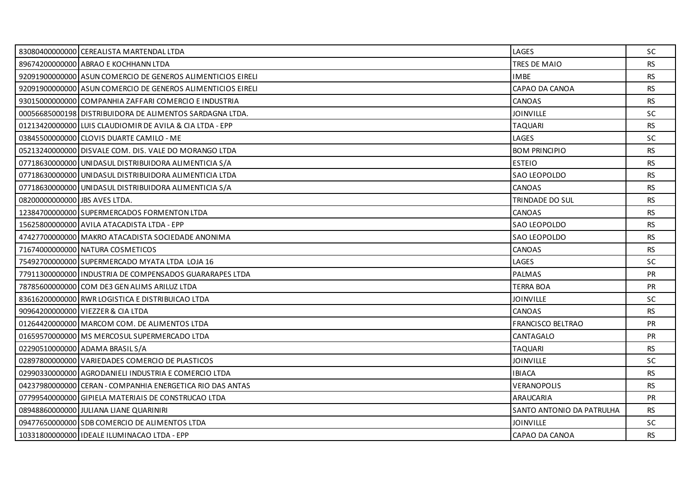|                               | 83080400000000 CEREALISTA MARTENDAL LTDA                    | LAGES                     | <b>SC</b> |
|-------------------------------|-------------------------------------------------------------|---------------------------|-----------|
|                               | 89674200000000 ABRAO E KOCHHANN LTDA                        | TRES DE MAIO              | <b>RS</b> |
|                               | 92091900000000 ASUN COMERCIO DE GENEROS ALIMENTICIOS EIRELI | <b>IMBE</b>               | <b>RS</b> |
|                               | 92091900000000 ASUN COMERCIO DE GENEROS ALIMENTICIOS EIRELI | CAPAO DA CANOA            | <b>RS</b> |
|                               | 93015000000000 COMPANHIA ZAFFARI COMERCIO E INDUSTRIA       | CANOAS                    | <b>RS</b> |
|                               | 00056685000198 DISTRIBUIDORA DE ALIMENTOS SARDAGNA LTDA.    | <b>JOINVILLE</b>          | <b>SC</b> |
|                               | 01213420000000 LUIS CLAUDIOMIR DE AVILA & CIA LTDA - EPP    | <b>TAQUARI</b>            | <b>RS</b> |
|                               | 03845500000000 CLOVIS DUARTE CAMILO - ME                    | LAGES                     | SC        |
|                               | 05213240000000 DISVALE COM. DIS. VALE DO MORANGO LTDA       | <b>BOM PRINCIPIO</b>      | <b>RS</b> |
|                               | 07718630000000 UNIDASUL DISTRIBUIDORA ALIMENTICIA S/A       | <b>ESTEIO</b>             | <b>RS</b> |
|                               | 07718630000000 UNIDASUL DISTRIBUIDORA ALIMENTICIA LTDA      | SAO LEOPOLDO              | <b>RS</b> |
|                               | 07718630000000 UNIDASUL DISTRIBUIDORA ALIMENTICIA S/A       | CANOAS                    | <b>RS</b> |
| 08200000000000 UBS AVES LTDA. |                                                             | <b>TRINDADE DO SUL</b>    | <b>RS</b> |
|                               | 12384700000000 SUPERMERCADOS FORMENTON LTDA                 | CANOAS                    | <b>RS</b> |
|                               | 15625800000000 AVILA ATACADISTA LTDA - EPP                  | <b>SAO LEOPOLDO</b>       | <b>RS</b> |
|                               | 47427700000000 MAKRO ATACADISTA SOCIEDADE ANONIMA           | SAO LEOPOLDO              | <b>RS</b> |
|                               | 71674000000000 NATURA COSMETICOS                            | CANOAS                    | <b>RS</b> |
|                               | 75492700000000 SUPERMERCADO MYATA LTDA LOJA 16              | LAGES                     | <b>SC</b> |
|                               | 77911300000000 I INDUSTRIA DE COMPENSADOS GUARARAPES LTDA   | PALMAS                    | <b>PR</b> |
|                               | 78785600000000 COM DE3 GEN ALIMS ARILUZ LTDA                | <b>TERRA BOA</b>          | PR        |
|                               | 83616200000000 RWR LOGISTICA E DISTRIBUICAO LTDA            | <b>JOINVILLE</b>          | SC.       |
|                               | 90964200000000 VIEZZER & CIA LTDA                           | <b>CANOAS</b>             | <b>RS</b> |
|                               | 01264420000000 MARCOM COM. DE ALIMENTOS LTDA                | <b>FRANCISCO BELTRAO</b>  | PR        |
|                               | 01659570000000 MS MERCOSUL SUPERMERCADO LTDA                | CANTAGALO                 | <b>PR</b> |
|                               | 02290510000000 ADAMA BRASIL S/A                             | <b>TAQUARI</b>            | <b>RS</b> |
|                               | 02897800000000 VARIEDADES COMERCIO DE PLASTICOS             | <b>JOINVILLE</b>          | SC        |
|                               | 02990330000000 AGRODANIELI INDUSTRIA E COMERCIO LTDA        | <b>IBIACA</b>             | <b>RS</b> |
|                               | 04237980000000 CERAN - COMPANHIA ENERGETICA RIO DAS ANTAS   | <b>VERANOPOLIS</b>        | <b>RS</b> |
|                               | 07799540000000 GIPIELA MATERIAIS DE CONSTRUCAO LTDA         | <b>ARAUCARIA</b>          | PR        |
|                               | 08948860000000 JJULIANA LIANE QUARINIRI                     | SANTO ANTONIO DA PATRULHA | <b>RS</b> |
|                               | 09477650000000 SDB COMERCIO DE ALIMENTOS LTDA               | <b>JOINVILLE</b>          | SC.       |
|                               | 10331800000000 IDEALE ILUMINACAO LTDA - EPP                 | CAPAO DA CANOA            | <b>RS</b> |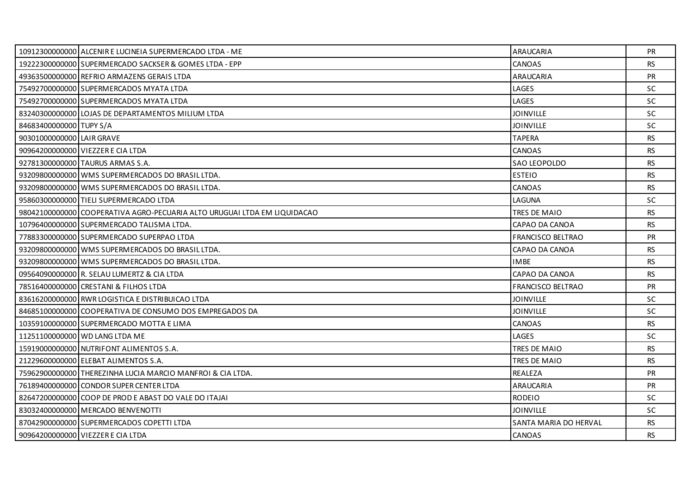|                           | 10912300000000 ALCENIR E LUCINEIA SUPERMERCADO LTDA - ME                 | ARAUCARIA                | PR.       |
|---------------------------|--------------------------------------------------------------------------|--------------------------|-----------|
|                           | 19222300000000 SUPERMERCADO SACKSER & GOMES LTDA - EPP                   | CANOAS                   | <b>RS</b> |
|                           | 49363500000000 REFRIO ARMAZENS GERAIS LTDA                               | <b>ARAUCARIA</b>         | <b>PR</b> |
|                           | 75492700000000 SUPERMERCADOS MYATA LTDA                                  | LAGES                    | SC.       |
|                           | 75492700000000 SUPERMERCADOS MYATA LTDA                                  | LAGES                    | SC        |
|                           | 83240300000000 LOJAS DE DEPARTAMENTOS MILIUM LTDA                        | <b>JOINVILLE</b>         | <b>SC</b> |
| 84683400000000 TUPY S/A   |                                                                          | <b>JOINVILLE</b>         | SC.       |
| 90301000000000 LAIR GRAVE |                                                                          | <b>TAPERA</b>            | <b>RS</b> |
|                           | 90964200000000 VIEZZER E CIA LTDA                                        | CANOAS                   | <b>RS</b> |
|                           | 92781300000000 TAURUS ARMAS S.A.                                         | SAO LEOPOLDO             | <b>RS</b> |
|                           | 93209800000000 WMS SUPERMERCADOS DO BRASIL LTDA.                         | <b>ESTEIO</b>            | RS.       |
|                           | 93209800000000 WMS SUPERMERCADOS DO BRASIL LTDA.                         | CANOAS                   | <b>RS</b> |
|                           | 95860300000000 TIELI SUPERMERCADO LTDA                                   | LAGUNA                   | SC.       |
|                           | 98042100000000 COOPERATIVA AGRO-PECUARIA ALTO URUGUAI LTDA EM LIQUIDACAO | TRES DE MAIO             | <b>RS</b> |
|                           | 10796400000000 SUPERMERCADO TALISMA LTDA.                                | CAPAO DA CANOA           | <b>RS</b> |
|                           | 77883300000000 SUPERMERCADO SUPERPAO LTDA                                | <b>FRANCISCO BELTRAO</b> | <b>PR</b> |
|                           | 93209800000000 WMS SUPERMERCADOS DO BRASIL LTDA.                         | CAPAO DA CANOA           | <b>RS</b> |
|                           | 93209800000000 WMS SUPERMERCADOS DO BRASIL LTDA.                         | <b>IMBE</b>              | <b>RS</b> |
|                           | 09564090000000 R. SELAU LUMERTZ & CIA LTDA                               | CAPAO DA CANOA           | <b>RS</b> |
|                           | 78516400000000 CRESTANI & FILHOS LTDA                                    | <b>FRANCISCO BELTRAO</b> | PR        |
|                           | 83616200000000 RWR LOGISTICA E DISTRIBUICAO LTDA                         | <b>JOINVILLE</b>         | SC.       |
|                           | 84685100000000 COOPERATIVA DE CONSUMO DOS EMPREGADOS DA                  | <b>JOINVILLE</b>         | <b>SC</b> |
|                           | 10359100000000 SUPERMERCADO MOTTA E LIMA                                 | CANOAS                   | <b>RS</b> |
|                           | 11251100000000 WD LANG LTDA ME                                           | LAGES                    | <b>SC</b> |
|                           | 15919000000000 NUTRIFONT ALIMENTOS S.A.                                  | TRES DE MAIO             | <b>RS</b> |
|                           | 21229600000000 ELEBAT ALIMENTOS S.A.                                     | TRES DE MAIO             | <b>RS</b> |
|                           | 75962900000000 THEREZINHA LUCIA MARCIO MANFROI & CIA LTDA.               | <b>REALEZA</b>           | <b>PR</b> |
|                           | 76189400000000 CONDOR SUPER CENTER LTDA                                  | ARAUCARIA                | PR        |
|                           | 82647200000000 COOP DE PROD E ABAST DO VALE DO ITAJAI                    | <b>RODEIO</b>            | <b>SC</b> |
|                           | 83032400000000 MERCADO BENVENOTTI                                        | <b>JOINVILLE</b>         | <b>SC</b> |
|                           | 87042900000000 SUPERMERCADOS COPETTI LTDA                                | SANTA MARIA DO HERVAL    | <b>RS</b> |
|                           | 90964200000000 VIEZZER E CIA LTDA                                        | CANOAS                   | RS.       |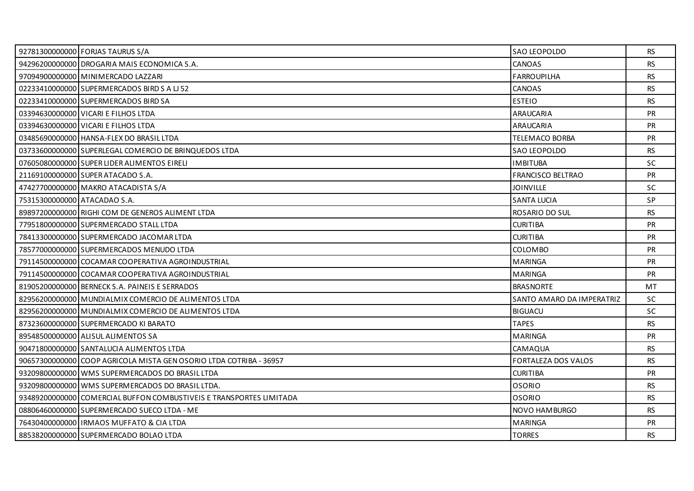|                              | 92781300000000 FORJAS TAURUS S/A                                    | SAO LEOPOLDO              | RS        |
|------------------------------|---------------------------------------------------------------------|---------------------------|-----------|
|                              | 94296200000000 DROGARIA MAIS ECONOMICA S.A.                         | <b>CANOAS</b>             | <b>RS</b> |
|                              | 97094900000000 MINIMERCADO LAZZARI                                  | <b>FARROUPILHA</b>        | RS.       |
|                              | 02233410000000 SUPERMERCADOS BIRD S A LI 52                         | CANOAS                    | <b>RS</b> |
|                              | 02233410000000 SUPERMERCADOS BIRD SA                                | <b>ESTEIO</b>             | <b>RS</b> |
|                              | 03394630000000 VICARI E FILHOS LTDA                                 | ARAUCARIA                 | PR        |
|                              | 03394630000000 VICARI E FILHOS LTDA                                 | ARAUCARIA                 | <b>PR</b> |
|                              | 03485690000000 HANSA-FLEX DO BRASIL LTDA                            | <b>TELEMACO BORBA</b>     | PR        |
|                              | 03733600000000 SUPERLEGAL COMERCIO DE BRINQUEDOS LTDA               | SAO LEOPOLDO              | <b>RS</b> |
|                              | 07605080000000 SUPER LIDER ALIMENTOS EIRELI                         | <b>IMBITUBA</b>           | <b>SC</b> |
|                              | 21169100000000 SUPER ATACADO S.A.                                   | FRANCISCO BELTRAO         | PR        |
|                              | 47427700000000 MAKRO ATACADISTA S/A                                 | <b>JOINVILLE</b>          | <b>SC</b> |
| 75315300000000 ATACADAO S.A. |                                                                     | <b>SANTA LUCIA</b>        | SP        |
|                              | 89897200000000 RIGHI COM DE GENEROS ALIMENT LTDA                    | ROSARIO DO SUL            | <b>RS</b> |
|                              | 77951800000000 SUPERMERCADO STALL LTDA                              | <b>CURITIBA</b>           | <b>PR</b> |
|                              | 78413300000000 SUPERMERCADO JACOMAR LTDA                            | <b>CURITIBA</b>           | <b>PR</b> |
|                              | 78577000000000 SUPERMERCADOS MENUDO LTDA                            | COLOMBO                   | <b>PR</b> |
|                              | 79114500000000 COCAMAR COOPERATIVA AGROINDUSTRIAL                   | <b>MARINGA</b>            | <b>PR</b> |
|                              | 79114500000000 COCAMAR COOPERATIVA AGROINDUSTRIAL                   | <b>MARINGA</b>            | <b>PR</b> |
|                              | 81905200000000 BERNECK S.A. PAINEIS E SERRADOS                      | <b>BRASNORTE</b>          | <b>MT</b> |
|                              | 82956200000000 MUNDIALMIX COMERCIO DE ALIMENTOS LTDA                | SANTO AMARO DA IMPERATRIZ | <b>SC</b> |
|                              | 82956200000000 MUNDIALMIX COMERCIO DE ALIMENTOS LTDA                | <b>BIGUACU</b>            | <b>SC</b> |
|                              | 87323600000000 SUPERMERCADO KI BARATO                               | <b>TAPES</b>              | <b>RS</b> |
|                              | 89548500000000 ALISUL ALIMENTOS SA                                  | <b>MARINGA</b>            | <b>PR</b> |
|                              | 90471800000000 SANTALUCIA ALIMENTOS LTDA                            | CAMAQUA                   | <b>RS</b> |
|                              | 90657300000000 COOP AGRICOLA MISTA GEN OSORIO LTDA COTRIBA - 36957  | FORTALEZA DOS VALOS       | <b>RS</b> |
|                              | 93209800000000 WMS SUPERMERCADOS DO BRASIL LTDA                     | <b>CURITIBA</b>           | <b>PR</b> |
|                              | 93209800000000 WMS SUPERMERCADOS DO BRASIL LTDA.                    | <b>OSORIO</b>             | <b>RS</b> |
|                              | 93489200000000 COMERCIAL BUFFON COMBUSTIVEIS E TRANSPORTES LIMITADA | <b>OSORIO</b>             | <b>RS</b> |
|                              | 08806460000000 SUPERMERCADO SUECO LTDA - ME                         | NOVO HAMBURGO             | <b>RS</b> |
|                              | 76430400000000 IRMAOS MUFFATO & CIA LTDA                            | <b>MARINGA</b>            | <b>PR</b> |
|                              | 88538200000000 SUPERMERCADO BOLAO LTDA                              | <b>TORRES</b>             | RS.       |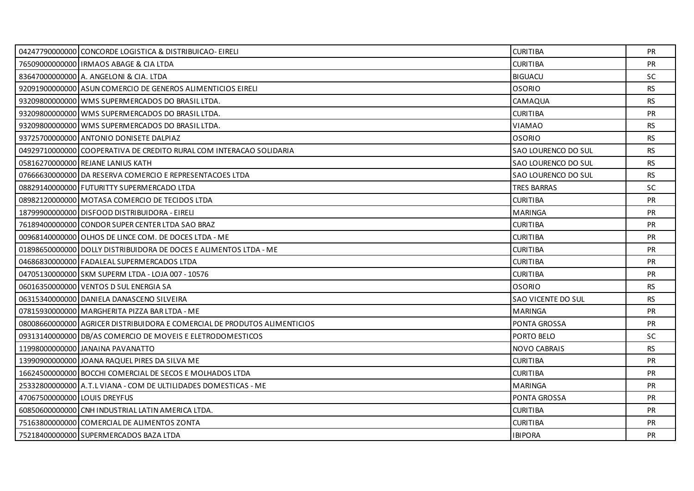|                              | 04247790000000 CONCORDE LOGISTICA & DISTRIBUICAO- EIRELI                  | <b>CURITIBA</b>           | PR.       |
|------------------------------|---------------------------------------------------------------------------|---------------------------|-----------|
|                              | 76509000000000 IRMAOS ABAGE & CIA LTDA                                    | <b>CURITIBA</b>           | <b>PR</b> |
|                              | 836470000000000 A. ANGELONI & CIA. LTDA                                   | <b>BIGUACU</b>            | SC.       |
|                              | 92091900000000 ASUN COMERCIO DE GENEROS ALIMENTICIOS EIRELI               | <b>OSORIO</b>             | <b>RS</b> |
|                              | 93209800000000 WMS SUPERMERCADOS DO BRASIL LTDA.                          | CAMAQUA                   | <b>RS</b> |
|                              | 93209800000000 WMS SUPERMERCADOS DO BRASIL LTDA.                          | <b>CURITIBA</b>           | <b>PR</b> |
|                              | 93209800000000 WMS SUPERMERCADOS DO BRASIL LTDA.                          | VIAMAO                    | RS.       |
|                              | 93725700000000 ANTONIO DONISETE DALPIAZ                                   | <b>OSORIO</b>             | <b>RS</b> |
|                              | 049297100000001COOPERATIVA DE CREDITO RURAL COM INTERACAO SOLIDARIA       | SAO LOURENCO DO SUL       | RS.       |
|                              | 05816270000000 REJANE LANIUS KATH                                         | SAO LOURENCO DO SUL       | RS.       |
|                              | 07666630000000 DA RESERVA COMERCIO E REPRESENTACOES LTDA                  | SAO LOURENCO DO SUL       | <b>RS</b> |
|                              | 08829140000000 FUTURITTY SUPERMERCADO LTDA                                | <b>TRES BARRAS</b>        | <b>SC</b> |
|                              | 08982120000000 MOTASA COMERCIO DE TECIDOS LTDA                            | <b>CURITIBA</b>           | PR        |
|                              | 18799900000000 DISFOOD DISTRIBUIDORA - EIRELI                             | <b>MARINGA</b>            | PR        |
|                              | 76189400000000 CONDOR SUPER CENTER LTDA SAO BRAZ                          | <b>CURITIBA</b>           | <b>PR</b> |
|                              | 00968140000000 OLHOS DE LINCE COM. DE DOCES LTDA - ME                     | <b>CURITIBA</b>           | <b>PR</b> |
|                              | 01898650000000 DOLLY DISTRIBUIDORA DE DOCES E ALIMENTOS LTDA - ME         | <b>CURITIBA</b>           | PR        |
|                              | 04686830000000 FADALEAL SUPERMERCADOS LTDA                                | <b>CURITIBA</b>           | <b>PR</b> |
|                              | 04705130000000 SKM SUPERM LTDA - LOJA 007 - 10576                         | <b>CURITIBA</b>           | <b>PR</b> |
|                              | 06016350000000 VENTOS D SUL ENERGIA SA                                    | <b>OSORIO</b>             | <b>RS</b> |
|                              | 06315340000000 DANIELA DANASCENO SILVEIRA                                 | <b>SAO VICENTE DO SUL</b> | RS        |
|                              | 07815930000000 MARGHERITA PIZZA BAR LTDA - ME                             | <b>MARINGA</b>            | <b>PR</b> |
|                              | 08008660000000 AGRICER DISTRIBUIDORA E COMERCIAL DE PRODUTOS ALIMENTICIOS | PONTA GROSSA              | <b>PR</b> |
|                              | 09313140000000 DB/AS COMERCIO DE MOVEIS E ELETRODOMESTICOS                | PORTO BELO                | <b>SC</b> |
|                              | 11998000000000 JANAINA PAVANATTO                                          | <b>NOVO CABRAIS</b>       | <b>RS</b> |
|                              | 13990900000000 JOANA RAQUEL PIRES DA SILVA ME                             | <b>CURITIBA</b>           | PR        |
|                              | 16624500000000 BOCCHI COMERCIAL DE SECOS E MOLHADOS LTDA                  | <b>CURITIBA</b>           | <b>PR</b> |
|                              | 25332800000000 A.T.L VIANA - COM DE ULTILIDADES DOMESTICAS - ME           | <b>MARINGA</b>            | <b>PR</b> |
| 47067500000000 LOUIS DREYFUS |                                                                           | PONTA GROSSA              | PR        |
|                              | 60850600000000 CNH INDUSTRIAL LATIN AMERICA LTDA.                         | <b>CURITIBA</b>           | <b>PR</b> |
|                              | 75163800000000 COMERCIAL DE ALIMENTOS ZONTA                               | <b>CURITIBA</b>           | <b>PR</b> |
|                              | 75218400000000 SUPERMERCADOS BAZA LTDA                                    | <b>IBIPORA</b>            | <b>PR</b> |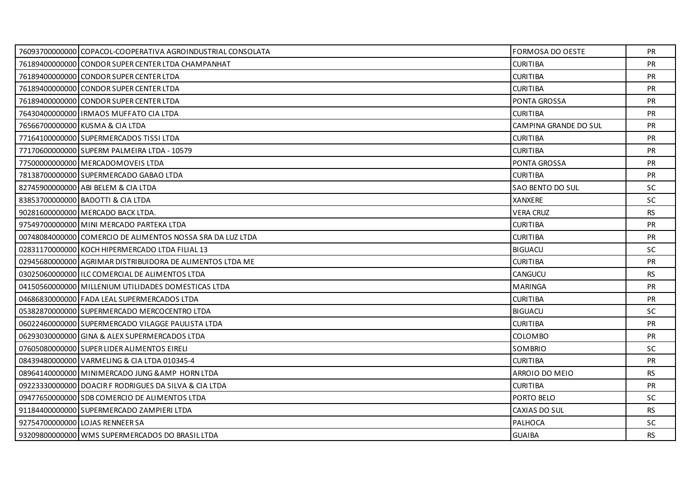| 76093700000000 COPACOL-COOPERATIVA AGROINDUSTRIAL CONSOLATA | <b>FORMOSA DO OESTE</b> | <b>PR</b> |
|-------------------------------------------------------------|-------------------------|-----------|
| 76189400000000 CONDOR SUPER CENTER LTDA CHAMPANHAT          | <b>CURITIBA</b>         | <b>PR</b> |
| 76189400000000 CONDOR SUPER CENTER LTDA                     | <b>CURITIBA</b>         | <b>PR</b> |
| 76189400000000 CONDOR SUPER CENTER LTDA                     | <b>CURITIBA</b>         | <b>PR</b> |
| 76189400000000 CONDOR SUPER CENTER LTDA                     | PONTA GROSSA            | PR        |
| 76430400000000   IRMAOS MUFFATO CIA LTDA                    | <b>CURITIBA</b>         | <b>PR</b> |
| 76566700000000 KUSMA & CIA LTDA                             | CAMPINA GRANDE DO SUL   | <b>PR</b> |
| 77164100000000 SUPERMERCADOS TISSI LTDA                     | <b>CURITIBA</b>         | PR        |
| 77170600000000 SUPERM PALMEIRA LTDA - 10579                 | <b>CURITIBA</b>         | <b>PR</b> |
| 77500000000000 MERCADOMOVEIS LTDA                           | <b>PONTA GROSSA</b>     | <b>PR</b> |
| 78138700000000 SUPERMERCADO GABAO LTDA                      | <b>CURITIBA</b>         | <b>PR</b> |
| 82745900000000 ABI BELEM & CIA LTDA                         | SAO BENTO DO SUL        | <b>SC</b> |
| 83853700000000 BADOTTI & CIA LTDA                           | <b>XANXERE</b>          | SC.       |
| 90281600000000 MERCADO BACK LTDA.                           | <b>VERA CRUZ</b>        | <b>RS</b> |
| 97549700000000 MINI MERCADO PARTEKA LTDA                    | <b>CURITIBA</b>         | <b>PR</b> |
| 007480840000001COMERCIO DE ALIMENTOS NOSSA SRA DA LUZ LTDA  | <b>CURITIBA</b>         | <b>PR</b> |
| 02831170000000 KOCH HIPERMERCADO LTDA FILIAL 13             | <b>BIGUACU</b>          | SC        |
| 02945680000000 AGRIMAR DISTRIBUIDORA DE ALIMENTOS LTDA ME   | <b>CURITIBA</b>         | <b>PR</b> |
| 03025060000000 ILC COMERCIAL DE ALIMENTOS LTDA              | CANGUCU                 | <b>RS</b> |
| 04150560000000 MILLENIUM UTILIDADES DOMESTICAS LTDA         | <b>MARINGA</b>          | <b>PR</b> |
| 04686830000000 FADA LEAL SUPERMERCADOS LTDA                 | <b>CURITIBA</b>         | <b>PR</b> |
| 05382870000000 SUPERMERCADO MERCOCENTRO LTDA                | <b>BIGUACU</b>          | <b>SC</b> |
| 06022460000000 SUPERMERCADO VILAGGE PAULISTA LTDA           | <b>CURITIBA</b>         | <b>PR</b> |
| 06293030000000 GINA & ALEX SUPERMERCADOS LTDA               | <b>COLOMBO</b>          | PR        |
| 07605080000000 SUPER LIDER ALIMENTOS EIRELI                 | <b>SOMBRIO</b>          | <b>SC</b> |
| 08439480000000 VARMELING & CIA LTDA 010345-4                | <b>CURITIBA</b>         | <b>PR</b> |
| 08964140000000 MINIMERCADO JUNG & AMP HORN LTDA             | ARROIO DO MEIO          | <b>RS</b> |
| 09223330000000 DOACIR F RODRIGUES DA SILVA & CIA LTDA       | <b>CURITIBA</b>         | <b>PR</b> |
| 09477650000000 SDB COMERCIO DE ALIMENTOS LTDA               | PORTO BELO              | <b>SC</b> |
| 91184400000000 SUPERMERCADO ZAMPIERI LTDA                   | CAXIAS DO SUL           | <b>RS</b> |
| 92754700000000 LOJAS RENNEER SA                             | PALHOCA                 | <b>SC</b> |
| 93209800000000 WMS SUPERMERCADOS DO BRASIL LTDA             | <b>GUAIBA</b>           | <b>RS</b> |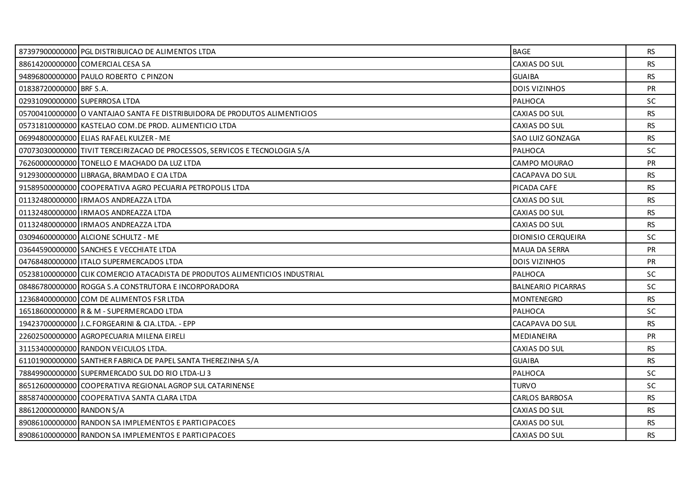|                           | 87397900000000 PGL DISTRIBUICAO DE ALIMENTOS LTDA                           | <b>BAGE</b>               | RS        |
|---------------------------|-----------------------------------------------------------------------------|---------------------------|-----------|
|                           | 88614200000000 COMERCIAL CESA SA                                            | CAXIAS DO SUL             | <b>RS</b> |
|                           | 94896800000000 PAULO ROBERTO C PINZON                                       | <b>GUAIBA</b>             | <b>RS</b> |
| 01838720000000 BRF S.A.   |                                                                             | <b>DOIS VIZINHOS</b>      | <b>PR</b> |
|                           | 02931090000000 SUPERROSA LTDA                                               | PALHOCA                   | <b>SC</b> |
|                           | 05700410000000 O VANTAJAO SANTA FE DISTRIBUIDORA DE PRODUTOS ALIMENTICIOS   | CAXIAS DO SUL             | <b>RS</b> |
|                           | 05731810000000 KASTELAO COM. DE PROD. ALIMENTICIO LTDA                      | CAXIAS DO SUL             | <b>RS</b> |
|                           | 06994800000000 ELIAS RAFAEL KULZER - ME                                     | SAO LUIZ GONZAGA          | <b>RS</b> |
|                           | 07073030000000 TIVIT TERCEIRIZACAO DE PROCESSOS, SERVICOS E TECNOLOGIA S/A  | PALHOCA                   | <b>SC</b> |
|                           | 76260000000000 TONELLO E MACHADO DA LUZ LTDA                                | CAMPO MOURAO              | <b>PR</b> |
|                           | 91293000000000 LIBRAGA, BRAMDAO E CIA LTDA                                  | CACAPAVA DO SUL           | <b>RS</b> |
|                           | 91589500000000 COOPERATIVA AGRO PECUARIA PETROPOLIS LTDA                    | PICADA CAFE               | <b>RS</b> |
|                           | 01132480000000 IRMAOS ANDREAZZA LTDA                                        | CAXIAS DO SUL             | <b>RS</b> |
|                           | 01132480000000   IRMAOS ANDREAZZA LTDA                                      | CAXIAS DO SUL             | <b>RS</b> |
|                           | 01132480000000 IRMAOS ANDREAZZA LTDA                                        | CAXIAS DO SUL             | <b>RS</b> |
|                           | 03094600000000 ALCIONE SCHULTZ - ME                                         | DIONISIO CERQUEIRA        | SC.       |
|                           | 03644590000000 SANCHES E VECCHIATE LTDA                                     | <b>MAUA DA SERRA</b>      | <b>PR</b> |
|                           | 04768480000000   ITALO SUPERMERCADOS LTDA                                   | <b>DOIS VIZINHOS</b>      | PR        |
|                           | 05238100000000 CLIK COMERCIO ATACADISTA DE PRODUTOS ALIMENTICIOS INDUSTRIAL | <b>PALHOCA</b>            | <b>SC</b> |
|                           | 08486780000000 ROGGA S.A CONSTRUTORA E INCORPORADORA                        | <b>BALNEARIO PICARRAS</b> | <b>SC</b> |
|                           | 12368400000000 COM DE ALIMENTOS FSR LTDA                                    | <b>MONTENEGRO</b>         | <b>RS</b> |
|                           | 16518600000000 R & M - SUPERMERCADO LTDA                                    | PALHOCA                   | <b>SC</b> |
|                           | 19423700000000 J.C.FORGEARINI & CIA.LTDA. - EPP                             | CACAPAVA DO SUL           | <b>RS</b> |
|                           | 22602500000000 AGROPECUARIA MILENA EIRELI                                   | <b>MEDIANEIRA</b>         | PR        |
|                           | 31153400000000 RANDON VEICULOS LTDA.                                        | CAXIAS DO SUL             | <b>RS</b> |
|                           | 61101900000000 SANTHER FABRICA DE PAPEL SANTA THEREZINHA S/A                | <b>GUAIBA</b>             | <b>RS</b> |
|                           | 78849900000000 SUPERMERCADO SUL DO RIO LTDA-LI 3                            | PALHOCA                   | <b>SC</b> |
|                           | 86512600000000 COOPERATIVA REGIONAL AGROP SUL CATARINENSE                   | <b>TURVO</b>              | <b>SC</b> |
|                           | 88587400000000 COOPERATIVA SANTA CLARA LTDA                                 | <b>CARLOS BARBOSA</b>     | <b>RS</b> |
| 88612000000000 RANDON S/A |                                                                             | CAXIAS DO SUL             | <b>RS</b> |
|                           | 89086100000000 RANDON SA IMPLEMENTOS E PARTICIPACOES                        | CAXIAS DO SUL             | <b>RS</b> |
|                           | 89086100000000 RANDON SA IMPLEMENTOS E PARTICIPACOES                        | CAXIAS DO SUL             | RS.       |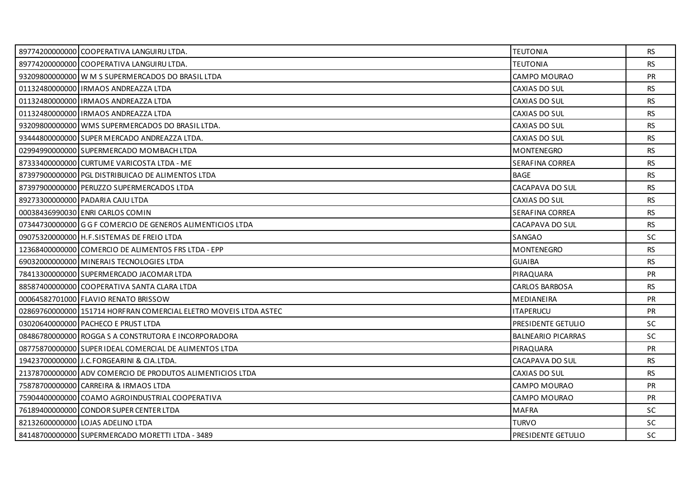| 89774200000000 COOPERATIVA LANGUIRU LTDA.                        | <b>TEUTONIA</b>           | RS.       |
|------------------------------------------------------------------|---------------------------|-----------|
| 89774200000000 COOPERATIVA LANGUIRU LTDA.                        | <b>TEUTONIA</b>           | <b>RS</b> |
| 93209800000000 W M S SUPERMERCADOS DO BRASIL LTDA                | CAMPO MOURAO              | <b>PR</b> |
| 01132480000000   IRMAOS ANDREAZZA LTDA                           | CAXIAS DO SUL             | RS.       |
| 01132480000000 IRMAOS ANDREAZZA LTDA                             | CAXIAS DO SUL             | <b>RS</b> |
| 01132480000000 IRMAOS ANDREAZZA LTDA                             | CAXIAS DO SUL             | <b>RS</b> |
| 93209800000000 WMS SUPERMERCADOS DO BRASIL LTDA.                 | CAXIAS DO SUL             | <b>RS</b> |
| 93444800000000 SUPER MERCADO ANDREAZZA LTDA.                     | CAXIAS DO SUL             | <b>RS</b> |
| 02994990000000 SUPERMERCADO MOMBACH LTDA                         | <b>MONTENEGRO</b>         | RS        |
| 87333400000000 CURTUME VARICOSTA LTDA - ME                       | SERAFINA CORREA           | <b>RS</b> |
| 87397900000000 PGL DISTRIBUICAO DE ALIMENTOS LTDA                | <b>BAGE</b>               | <b>RS</b> |
| 87397900000000 PERUZZO SUPERMERCADOS LTDA                        | CACAPAVA DO SUL           | <b>RS</b> |
| 89273300000000 PADARIA CAJU LTDA                                 | CAXIAS DO SUL             | <b>RS</b> |
| 00038436990030 ENRI CARLOS COMIN                                 | SERAFINA CORREA           | <b>RS</b> |
| 07344730000000 G G F COMERCIO DE GENEROS ALIMENTICIOS LTDA       | CACAPAVA DO SUL           | <b>RS</b> |
| 09075320000000 H.F.SISTEMAS DE FREIO LTDA                        | SANGAO                    | <b>SC</b> |
| 12368400000000 COMERCIO DE ALIMENTOS FRS LTDA - EPP              | <b>MONTENEGRO</b>         | <b>RS</b> |
| 69032000000000 MINERAIS TECNOLOGIES LTDA                         | <b>GUAIBA</b>             | <b>RS</b> |
| 78413300000000 SUPERMERCADO JACOMAR LTDA                         | PIRAQUARA                 | <b>PR</b> |
| 88587400000000 COOPERATIVA SANTA CLARA LTDA                      | <b>CARLOS BARBOSA</b>     | <b>RS</b> |
| 00064582701000 FLAVIO RENATO BRISSOW                             | <b>MEDIANEIRA</b>         | <b>PR</b> |
| 02869760000000 151714 HORFRAN COMERCIAL ELETRO MOVEIS LTDA ASTEC | <b>ITAPERUCU</b>          | PR        |
| 03020640000000 PACHECO E PRUST LTDA                              | PRESIDENTE GETULIO        | <b>SC</b> |
| 08486780000000 ROGGA S A CONSTRUTORA E INCORPORADORA             | <b>BALNEARIO PICARRAS</b> | SC.       |
| 08775870000000 SUPER IDEAL COMERCIAL DE ALIMENTOS LTDA           | PIRAQUARA                 | <b>PR</b> |
| 19423700000000 J.C.FORGEARINI & CIA.LTDA.                        | CACAPAVA DO SUL           | <b>RS</b> |
| 21378700000000 ADV COMERCIO DE PRODUTOS ALIMENTICIOS LTDA        | CAXIAS DO SUL             | <b>RS</b> |
| 75878700000000 CARREIRA & IRMAOS LTDA                            | CAMPO MOURAO              | <b>PR</b> |
| 75904400000000 COAMO AGROINDUSTRIAL COOPERATIVA                  | CAMPO MOURAO              | <b>PR</b> |
| 76189400000000 CONDOR SUPER CENTER LTDA                          | <b>MAFRA</b>              | <b>SC</b> |
| 82132600000000 LOJAS ADELINO LTDA                                | <b>TURVO</b>              | <b>SC</b> |
| 84148700000000 SUPERMERCADO MORETTI LTDA - 3489                  | PRESIDENTE GETULIO        | <b>SC</b> |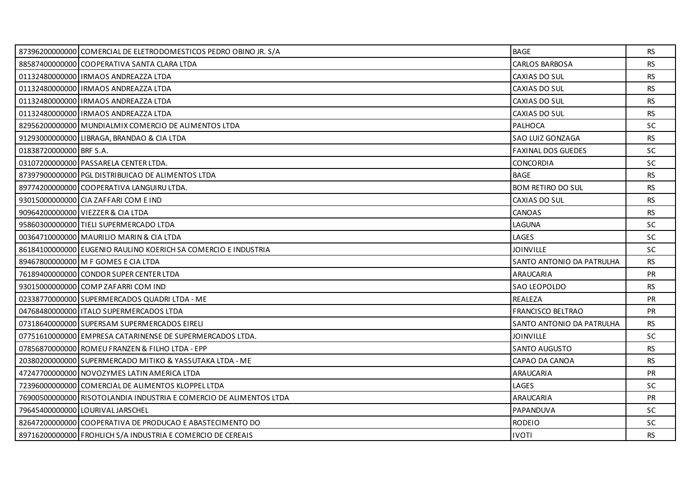|                         | 87396200000000 COMERCIAL DE ELETRODOMESTICOS PEDRO OBINO JR. S/A   | <b>BAGE</b>               | <b>RS</b> |
|-------------------------|--------------------------------------------------------------------|---------------------------|-----------|
|                         | 88587400000000 COOPERATIVA SANTA CLARA LTDA                        | <b>CARLOS BARBOSA</b>     | <b>RS</b> |
|                         | 01132480000000 IRMAOS ANDREAZZA LTDA                               | CAXIAS DO SUL             | <b>RS</b> |
|                         | 01132480000000 IRMAOS ANDREAZZA LTDA                               | CAXIAS DO SUL             | RS.       |
|                         | 01132480000000 IRMAOS ANDREAZZA LTDA                               | CAXIAS DO SUL             | <b>RS</b> |
|                         | 01132480000000 IRMAOS ANDREAZZA LTDA                               | CAXIAS DO SUL             | <b>RS</b> |
|                         | 82956200000000 MUNDIALMIX COMERCIO DE ALIMENTOS LTDA               | <b>PALHOCA</b>            | SC.       |
|                         | 91293000000000 LIBRAGA, BRANDAO & CIA LTDA                         | SAO LUIZ GONZAGA          | <b>RS</b> |
| 01838720000000 BRF S.A. |                                                                    | <b>FAXINAL DOS GUEDES</b> | <b>SC</b> |
|                         | 03107200000000 PASSARELA CENTER LTDA.                              | <b>CONCORDIA</b>          | <b>SC</b> |
|                         | 87397900000000 PGL DISTRIBUICAO DE ALIMENTOS LTDA                  | <b>BAGE</b>               | <b>RS</b> |
|                         | 89774200000000 COOPERATIVA LANGUIRU LTDA.                          | <b>BOM RETIRO DO SUL</b>  | <b>RS</b> |
|                         | 93015000000000 CIA ZAFFARI COM E IND                               | CAXIAS DO SUL             | RS.       |
|                         | 90964200000000 VIEZZER & CIA LTDA                                  | CANOAS                    | RS.       |
|                         | 95860300000000 TIELI SUPERMERCADO LTDA                             | LAGUNA                    | <b>SC</b> |
|                         | 00364710000000 MAURILIO MARIN & CIA LTDA                           | LAGES                     | <b>SC</b> |
|                         | 86184100000000 EUGENIO RAULINO KOERICH SA COMERCIO E INDUSTRIA     | <b>JOINVILLE</b>          | SC        |
|                         | 89467800000000 M F GOMES E CIA LTDA                                | SANTO ANTONIO DA PATRULHA | RS        |
|                         | 76189400000000 CONDOR SUPER CENTER LTDA                            | ARAUCARIA                 | <b>PR</b> |
|                         | 93015000000000 COMP ZAFARRI COM IND                                | <b>SAO LEOPOLDO</b>       | <b>RS</b> |
|                         | 02338770000000 SUPERMERCADOS QUADRI LTDA - ME                      | REALEZA                   | <b>PR</b> |
|                         | 04768480000000 ITALO SUPERMERCADOS LTDA                            | <b>FRANCISCO BELTRAO</b>  | <b>PR</b> |
|                         | 07318640000000 SUPERSAM SUPERMERCADOS EIRELI                       | SANTO ANTONIO DA PATRULHA | <b>RS</b> |
|                         | 07751610000000 EMPRESA CATARINENSE DE SUPERMERCADOS LTDA.          | <b>JOINVILLE</b>          | SC        |
|                         | 07856870000000 ROMEU FRANZEN & FILHO LTDA - EPP                    | <b>SANTO AUGUSTO</b>      | <b>RS</b> |
|                         | 20380200000000 SUPERMERCADO MITIKO & YASSUTAKA LTDA - ME           | CAPAO DA CANOA            | <b>RS</b> |
|                         | 47247700000000 NOVOZYMES LATIN AMERICA LTDA                        | ARAUCARIA                 | PR        |
|                         | 72396000000000 COMERCIAL DE ALIMENTOS KLOPPEL LTDA                 | LAGES                     | SC        |
|                         | 76900500000000 RISOTOLANDIA INDUSTRIA E COMERCIO DE ALIMENTOS LTDA | <b>ARAUCARIA</b>          | <b>PR</b> |
|                         | 79645400000000 LOURIVAL JARSCHEL                                   | PAPANDUVA                 | SC        |
|                         | 82647200000000 COOPERATIVA DE PRODUCAO E ABASTECIMENTO DO          | <b>RODEIO</b>             | <b>SC</b> |
|                         | 89716200000000 FROHLICH S/A INDUSTRIA E COMERCIO DE CEREAIS        | <b>IVOTI</b>              | <b>RS</b> |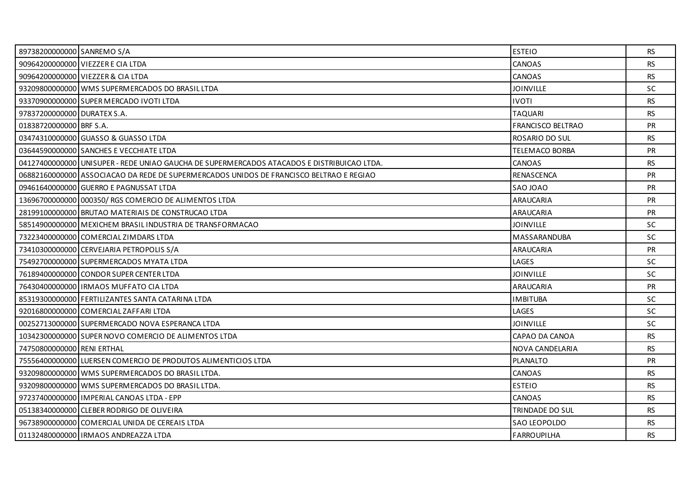| 89738200000000 SANREMO S/A  |                                                                                            | <b>ESTEIO</b>            | <b>RS</b> |
|-----------------------------|--------------------------------------------------------------------------------------------|--------------------------|-----------|
|                             | 90964200000000 VIEZZER E CIA LTDA                                                          | CANOAS                   | <b>RS</b> |
|                             | 90964200000000 VIEZZER & CIA LTDA                                                          | CANOAS                   | <b>RS</b> |
|                             | 93209800000000 WMS SUPERMERCADOS DO BRASIL LTDA                                            | <b>JOINVILLE</b>         | SC.       |
|                             | 93370900000000 SUPER MERCADO IVOTI LTDA                                                    | <b>IVOTI</b>             | <b>RS</b> |
| 97837200000000 DURATEX S.A. |                                                                                            | <b>TAQUARI</b>           | <b>RS</b> |
| 01838720000000 BRF S.A.     |                                                                                            | <b>FRANCISCO BELTRAO</b> | <b>PR</b> |
|                             | 03474310000000 GUASSO & GUASSO LTDA                                                        | ROSARIO DO SUL           | <b>RS</b> |
|                             | 03644590000000 SANCHES E VECCHIATE LTDA                                                    | <b>TELEMACO BORBA</b>    | PR        |
|                             | 04127400000000 UNISUPER - REDE UNIAO GAUCHA DE SUPERMERCADOS ATACADOS E DISTRIBUICAO LTDA. | <b>CANOAS</b>            | <b>RS</b> |
|                             | 06882160000000 ASSOCIACAO DA REDE DE SUPERMERCADOS UNIDOS DE FRANCISCO BELTRAO E REGIAO    | <b>RENASCENCA</b>        | PR        |
|                             | 09461640000000 GUERRO E PAGNUSSAT LTDA                                                     | SAO JOAO                 | <b>PR</b> |
|                             | 13696700000000 000350 / RGS COMERCIO DE ALIMENTOS LTDA                                     | ARAUCARIA                | <b>PR</b> |
|                             | 28199100000000 BRUTAO MATERIAIS DE CONSTRUCAO LTDA                                         | ARAUCARIA                | <b>PR</b> |
|                             | 58514900000000 MEXICHEM BRASIL INDUSTRIA DE TRANSFORMACAO                                  | <b>JOINVILLE</b>         | SC        |
|                             | 73223400000000 COMERCIAL ZIMDARS LTDA                                                      | MASSARANDUBA             | <b>SC</b> |
|                             | 73410300000000 CERVEJARIA PETROPOLIS S/A                                                   | ARAUCARIA                | PR        |
|                             | 75492700000000 SUPERMERCADOS MYATA LTDA                                                    | LAGES                    | SC        |
|                             | 76189400000000 CONDOR SUPER CENTER LTDA                                                    | <b>JOINVILLE</b>         | <b>SC</b> |
|                             | 76430400000000   IRMAOS MUFFATO CIA LTDA                                                   | ARAUCARIA                | <b>PR</b> |
|                             | 85319300000000 FERTILIZANTES SANTA CATARINA LTDA                                           | <b>IMBITUBA</b>          | SC.       |
|                             | 92016800000000 COMERCIAL ZAFFARI LTDA                                                      | LAGES                    | SC        |
|                             | 00252713000000 SUPERMERCADO NOVA ESPERANCA LTDA                                            | <b>JOINVILLE</b>         | <b>SC</b> |
|                             | 10342300000000 SUPER NOVO COMERCIO DE ALIMENTOS LTDA                                       | CAPAO DA CANOA           | <b>RS</b> |
| 74750800000000 RENI ERTHAL  |                                                                                            | NOVA CANDELARIA          | <b>RS</b> |
|                             | 75556400000000 LUERSEN COMERCIO DE PRODUTOS ALIMENTICIOS LTDA                              | PLANALTO                 | PR        |
|                             | 93209800000000 WMS SUPERMERCADOS DO BRASIL LTDA.                                           | CANOAS                   | <b>RS</b> |
|                             | 93209800000000 WMS SUPERMERCADOS DO BRASIL LTDA.                                           | <b>ESTEIO</b>            | <b>RS</b> |
|                             | 97237400000000   IMPERIAL CANOAS LTDA - EPP                                                | CANOAS                   | <b>RS</b> |
|                             | 05138340000000 CLEBER RODRIGO DE OLIVEIRA                                                  | TRINDADE DO SUL          | <b>RS</b> |
|                             | 96738900000000 COMERCIAL UNIDA DE CEREAIS LTDA                                             | <b>SAO LEOPOLDO</b>      | <b>RS</b> |
|                             | 01132480000000   IRMAOS ANDREAZZA LTDA                                                     | <b>FARROUPILHA</b>       | <b>RS</b> |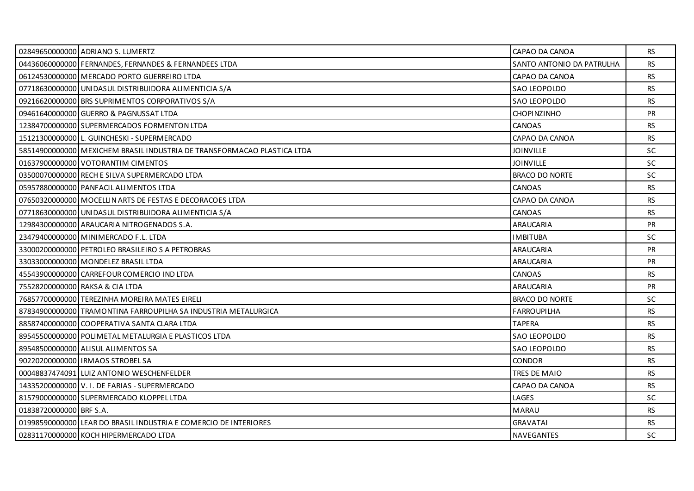|                         | 02849650000000 ADRIANO S. LUMERTZ                                         | CAPAO DA CANOA            | <b>RS</b> |
|-------------------------|---------------------------------------------------------------------------|---------------------------|-----------|
|                         | 04436060000000 FERNANDES, FERNANDES & FERNANDEES LTDA                     | SANTO ANTONIO DA PATRULHA | <b>RS</b> |
|                         | 06124530000000 MERCADO PORTO GUERREIRO LTDA                               | CAPAO DA CANOA            | <b>RS</b> |
|                         | 07718630000000 UNIDASUL DISTRIBUIDORA ALIMENTICIA S/A                     | <b>SAO LEOPOLDO</b>       | <b>RS</b> |
|                         | 09216620000000 BRS SUPRIMENTOS CORPORATIVOS S/A                           | <b>SAO LEOPOLDO</b>       | <b>RS</b> |
|                         | 09461640000000 GUERRO & PAGNUSSAT LTDA                                    | <b>CHOPINZINHO</b>        | <b>PR</b> |
|                         | 12384700000000 SUPERMERCADOS FORMENTON LTDA                               | CANOAS                    | <b>RS</b> |
|                         | 15121300000000 L. GUINCHESKI - SUPERMERCADO                               | CAPAO DA CANOA            | <b>RS</b> |
|                         | 58514900000000   MEXICHEM BRASIL INDUSTRIA DE TRANSFORMACAO PLASTICA LTDA | <b>JOINVILLE</b>          | SC        |
|                         | 01637900000000 VOTORANTIM CIMENTOS                                        | <b>JOINVILLE</b>          | <b>SC</b> |
|                         | 03500070000000 RECH E SILVA SUPERMERCADO LTDA                             | <b>BRACO DO NORTE</b>     | <b>SC</b> |
|                         | 05957880000000 PANFACIL ALIMENTOS LTDA                                    | CANOAS                    | <b>RS</b> |
|                         | 07650320000000 MOCELLIN ARTS DE FESTAS E DECORACOES LTDA                  | CAPAO DA CANOA            | <b>RS</b> |
|                         | 07718630000000 UNIDASUL DISTRIBUIDORA ALIMENTICIA S/A                     | CANOAS                    | <b>RS</b> |
|                         | 12984300000000 ARAUCARIA NITROGENADOS S.A.                                | ARAUCARIA                 | PR        |
|                         | 23479400000000 MINIMERCADO F.L. LTDA                                      | <b>IMBITUBA</b>           | <b>SC</b> |
|                         | 33000200000000 PETROLEO BRASILEIRO S A PETROBRAS                          | ARAUCARIA                 | <b>PR</b> |
|                         | 33033000000000 MONDELEZ BRASIL LTDA                                       | ARAUCARIA                 | <b>PR</b> |
|                         | 45543900000000 CARREFOUR COMERCIO IND LTDA                                | CANOAS                    | <b>RS</b> |
|                         | 75528200000000 RAKSA & CIA LTDA                                           | <b>ARAUCARIA</b>          | PR        |
|                         | 76857700000000 TEREZINHA MOREIRA MATES EIRELI                             | <b>BRACO DO NORTE</b>     | <b>SC</b> |
|                         | 87834900000000 TRAMONTINA FARROUPILHA SA INDUSTRIA METALURGICA            | <b>FARROUPILHA</b>        | <b>RS</b> |
|                         | 88587400000000 COOPERATIVA SANTA CLARA LTDA                               | <b>TAPERA</b>             | <b>RS</b> |
|                         | 89545500000000 POLIMETAL METALURGIA E PLASTICOS LTDA                      | <b>SAO LEOPOLDO</b>       | <b>RS</b> |
|                         | 89548500000000 ALISUL ALIMENTOS SA                                        | SAO LEOPOLDO              | <b>RS</b> |
|                         | 90220200000000 IRMAOS STROBEL SA                                          | <b>CONDOR</b>             | <b>RS</b> |
|                         | 00048837474091 LUIZ ANTONIO WESCHENFELDER                                 | TRES DE MAIO              | <b>RS</b> |
|                         | 14335200000000 V. I. DE FARIAS - SUPERMERCADO                             | CAPAO DA CANOA            | <b>RS</b> |
|                         | 81579000000000 SUPERMERCADO KLOPPEL LTDA                                  | LAGES                     | <b>SC</b> |
| 01838720000000 BRF S.A. |                                                                           | <b>MARAU</b>              | <b>RS</b> |
|                         | 01998590000000 LEAR DO BRASIL INDUSTRIA E COMERCIO DE INTERIORES          | <b>GRAVATAI</b>           | <b>RS</b> |
|                         | 02831170000000 KOCH HIPERMERCADO LTDA                                     | <b>NAVEGANTES</b>         | <b>SC</b> |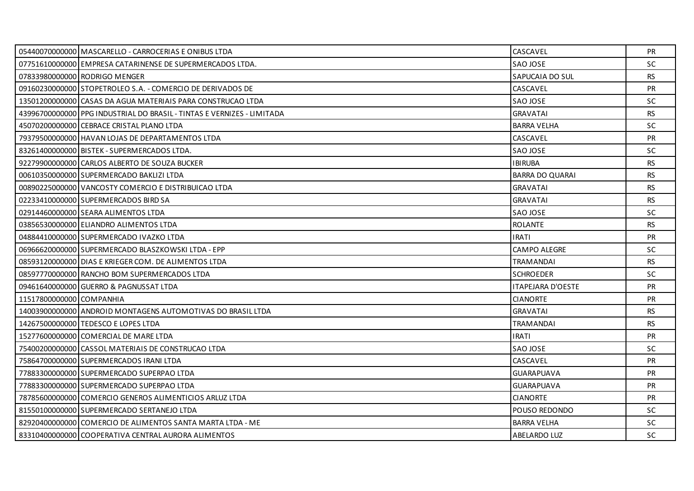|                          | 05440070000000 MASCARELLO - CARROCERIAS E ONIBUS LTDA                  | CASCAVEL                 | <b>PR</b> |
|--------------------------|------------------------------------------------------------------------|--------------------------|-----------|
|                          | 07751610000000 EMPRESA CATARINENSE DE SUPERMERCADOS LTDA.              | SAO JOSE                 | <b>SC</b> |
|                          | 07833980000000 RODRIGO MENGER                                          | SAPUCAIA DO SUL          | RS.       |
|                          | 091602300000001STOPETROLEO S.A. - COMERCIO DE DERIVADOS DE             | CASCAVEL                 | <b>PR</b> |
|                          | 13501200000000 CASAS DA AGUA MATERIAIS PARA CONSTRUCAO LTDA            | SAO JOSE                 | SC        |
|                          | 43996700000000 PPG INDUSTRIAL DO BRASIL - TINTAS E VERNIZES - LIMITADA | <b>GRAVATAI</b>          | <b>RS</b> |
|                          | 45070200000000 CEBRACE CRISTAL PLANO LTDA                              | <b>BARRA VELHA</b>       | <b>SC</b> |
|                          | 79379500000000 HAVAN LOJAS DE DEPARTAMENTOS LTDA                       | CASCAVEL                 | <b>PR</b> |
|                          | 83261400000000 BISTEK - SUPERMERCADOS LTDA.                            | SAO JOSE                 | SC.       |
|                          | 92279900000000 CARLOS ALBERTO DE SOUZA BUCKER                          | <b>IBIRUBA</b>           | <b>RS</b> |
|                          | 00610350000000 SUPERMERCADO BAKLIZI LTDA                               | <b>BARRA DO QUARAI</b>   | <b>RS</b> |
|                          | 00890225000000 VANCOSTY COMERCIO E DISTRIBUICAO LTDA                   | <b>GRAVATAI</b>          | <b>RS</b> |
|                          | 02233410000000 SUPERMERCADOS BIRD SA                                   | <b>GRAVATAI</b>          | <b>RS</b> |
|                          | 02914460000000 SEARA ALIMENTOS LTDA                                    | SAO JOSE                 | <b>SC</b> |
|                          | 03856530000000 ELIANDRO ALIMENTOS LTDA                                 | <b>ROLANTE</b>           | <b>RS</b> |
|                          | 04884410000000 SUPERMERCADO IVAZKO LTDA                                | <b>IRATI</b>             | PR        |
|                          | 06966620000000 SUPERMERCADO BLASZKOWSKI LTDA - EPP                     | <b>CAMPO ALEGRE</b>      | SC        |
|                          | 08593120000000 DIAS E KRIEGER COM. DE ALIMENTOS LTDA                   | <b>TRAMANDAI</b>         | <b>RS</b> |
|                          | 08597770000000 RANCHO BOM SUPERMERCADOS LTDA                           | <b>SCHROEDER</b>         | <b>SC</b> |
|                          | 09461640000000 GUERRO & PAGNUSSAT LTDA                                 | <b>ITAPEJARA D'OESTE</b> | <b>PR</b> |
| 11517800000000 COMPANHIA |                                                                        | <b>CIANORTE</b>          | <b>PR</b> |
|                          | 14003900000000 ANDROID MONTAGENS AUTOMOTIVAS DO BRASIL LTDA            | <b>GRAVATAI</b>          | <b>RS</b> |
|                          | 14267500000000 TEDESCO E LOPES LTDA                                    | <b>TRAMANDAI</b>         | RS        |
|                          | 15277600000000 COMERCIAL DE MARE LTDA                                  | <b>IRATI</b>             | <b>PR</b> |
|                          | 75400200000000 CASSOL MATERIAIS DE CONSTRUCAO LTDA                     | SAO JOSE                 | SC.       |
|                          | 75864700000000 SUPERMERCADOS IRANI LTDA                                | CASCAVEL                 | <b>PR</b> |
|                          | 77883300000000 SUPERMERCADO SUPERPAO LTDA                              | <b>GUARAPUAVA</b>        | <b>PR</b> |
|                          | 77883300000000 SUPERMERCADO SUPERPAO LTDA                              | GUARAPUAVA               | PR        |
|                          | 78785600000000 COMERCIO GENEROS ALIMENTICIOS ARLUZ LTDA                | <b>CIANORTE</b>          | <b>PR</b> |
|                          | 81550100000000 SUPERMERCADO SERTANEJO LTDA                             | POUSO REDONDO            | <b>SC</b> |
|                          | 82920400000000 COMERCIO DE ALIMENTOS SANTA MARTA LTDA - ME             | <b>BARRA VELHA</b>       | <b>SC</b> |
|                          | 83310400000000 COOPERATIVA CENTRAL AURORA ALIMENTOS                    | <b>ABELARDO LUZ</b>      | SC        |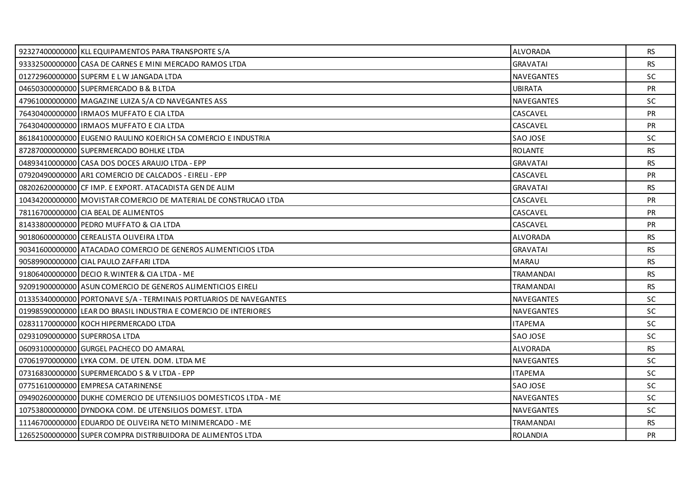|                               | 92327400000000 KLL EQUIPAMENTOS PARA TRANSPORTE S/A               | <b>ALVORADA</b>   | RS.       |
|-------------------------------|-------------------------------------------------------------------|-------------------|-----------|
|                               | 93332500000000 CASA DE CARNES E MINI MERCADO RAMOS LTDA           | <b>GRAVATAI</b>   | <b>RS</b> |
|                               | 01272960000000 SUPERM E LW JANGADA LTDA                           | <b>NAVEGANTES</b> | <b>SC</b> |
|                               | 04650300000000 SUPERMERCADO B & B LTDA                            | <b>UBIRATA</b>    | PR        |
|                               | 47961000000000 MAGAZINE LUIZA S/A CD NAVEGANTES ASS               | NAVEGANTES        | SC        |
|                               | 76430400000000   IRMAOS MUFFATO E CIA LTDA                        | CASCAVEL          | <b>PR</b> |
|                               | 76430400000000 IRMAOS MUFFATO E CIA LTDA                          | CASCAVEL          | <b>PR</b> |
|                               | 86184100000000 EUGENIO RAULINO KOERICH SA COMERCIO E INDUSTRIA    | SAO JOSE          | SC        |
|                               | 87287000000000 SUPERMERCADO BOHLKE LTDA                           | <b>ROLANTE</b>    | RS.       |
|                               | 04893410000000 CASA DOS DOCES ARAUJO LTDA - EPP                   | <b>GRAVATAI</b>   | <b>RS</b> |
|                               | 07920490000000 AR1 COMERCIO DE CALCADOS - EIRELI - EPP            | CASCAVEL          | PR        |
|                               | 08202620000000 CF IMP. E EXPORT. ATACADISTA GEN DE ALIM           | <b>GRAVATAI</b>   | <b>RS</b> |
|                               | 10434200000000 MOVISTAR COMERCIO DE MATERIAL DE CONSTRUCAO LTDA   | CASCAVEL          | <b>PR</b> |
|                               | 78116700000000 CIA BEAL DE ALIMENTOS                              | CASCAVEL          | <b>PR</b> |
|                               | 81433800000000 PEDRO MUFFATO & CIA LTDA                           | CASCAVEL          | <b>PR</b> |
|                               | 90180600000000 CEREALISTA OLIVEIRA LTDA                           | ALVORADA          | <b>RS</b> |
|                               | 90341600000000 ATACADAO COMERCIO DE GENEROS ALIMENTICIOS LTDA     | <b>GRAVATAI</b>   | <b>RS</b> |
|                               | 90589900000000 CIAL PAULO ZAFFARI LTDA                            | <b>MARAU</b>      | <b>RS</b> |
|                               | 91806400000000 DECIO R. WINTER & CIA LTDA - ME                    | <b>TRAMANDAI</b>  | <b>RS</b> |
|                               | 92091900000000 ASUN COMERCIO DE GENEROS ALIMENTICIOS EIRELI       | <b>TRAMANDAI</b>  | <b>RS</b> |
|                               | 01335340000000 PORTONAVE S/A - TERMINAIS PORTUARIOS DE NAVEGANTES | <b>NAVEGANTES</b> | <b>SC</b> |
|                               | 01998590000000 LEAR DO BRASIL INDUSTRIA E COMERCIO DE INTERIORES  | <b>NAVEGANTES</b> | <b>SC</b> |
|                               | 02831170000000 KOCH HIPERMERCADO LTDA                             | <b>ITAPEMA</b>    | SC        |
| 02931090000000 SUPERROSA LTDA |                                                                   | SAO JOSE          | <b>SC</b> |
|                               | 06093100000000 GURGEL PACHECO DO AMARAL                           | <b>ALVORADA</b>   | <b>RS</b> |
|                               | 07061970000000 LYKA COM. DE UTEN. DOM. LTDA ME                    | NAVEGANTES        | SC        |
|                               | 07316830000000 SUPERMERCADO S & V LTDA - EPP                      | <b>ITAPEMA</b>    | <b>SC</b> |
|                               | 07751610000000 EMPRESA CATARINENSE                                | SAO JOSE          | SC.       |
|                               | 09490260000000 DUKHE COMERCIO DE UTENSILIOS DOMESTICOS LTDA - ME  | NAVEGANTES        | SC        |
|                               | 10753800000000 DYNDOKA COM. DE UTENSILIOS DOMEST. LTDA            | <b>NAVEGANTES</b> | <b>SC</b> |
|                               | 11146700000000 EDUARDO DE OLIVEIRA NETO MINIMERCADO - ME          | TRAMANDAI         | <b>RS</b> |
|                               | 12652500000000 SUPER COMPRA DISTRIBUIDORA DE ALIMENTOS LTDA       | <b>ROLANDIA</b>   | <b>PR</b> |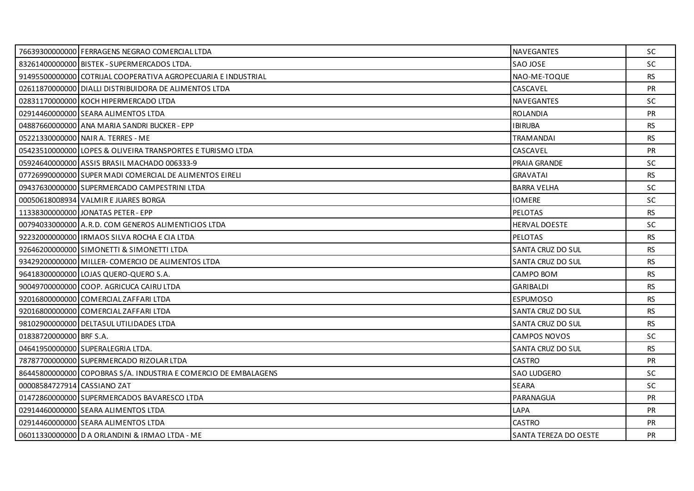|                             | 76639300000000 FERRAGENS NEGRAO COMERCIAL LTDA                  | <b>NAVEGANTES</b>            | <b>SC</b> |
|-----------------------------|-----------------------------------------------------------------|------------------------------|-----------|
|                             | 83261400000000 BISTEK - SUPERMERCADOS LTDA.                     | SAO JOSE                     | <b>SC</b> |
|                             | 91495500000000 COTRIJAL COOPERATIVA AGROPECUARIA E INDUSTRIAL   | NAO-ME-TOQUE                 | <b>RS</b> |
|                             | 02611870000000 DIALLI DISTRIBUIDORA DE ALIMENTOS LTDA           | CASCAVEL                     | <b>PR</b> |
|                             | 02831170000000 KOCH HIPERMERCADO LTDA                           | NAVEGANTES                   | <b>SC</b> |
|                             | 02914460000000 SEARA ALIMENTOS LTDA                             | <b>ROLANDIA</b>              | <b>PR</b> |
|                             | 04887660000000 ANA MARIA SANDRI BUCKER - EPP                    | <b>IBIRUBA</b>               | RS.       |
|                             | 05221330000000 NAIR A. TERRES - ME                              | <b>TRAMANDAI</b>             | <b>RS</b> |
|                             | 05423510000000 LOPES & OLIVEIRA TRANSPORTES E TURISMO LTDA      | CASCAVEL                     | <b>PR</b> |
|                             | 05924640000000 ASSIS BRASIL MACHADO 006333-9                    | PRAIA GRANDE                 | SC.       |
|                             | 07726990000000 SUPER MADI COMERCIAL DE ALIMENTOS EIRELI         | <b>GRAVATAI</b>              | <b>RS</b> |
|                             | 09437630000000 SUPERMERCADO CAMPESTRINI LTDA                    | <b>BARRA VELHA</b>           | <b>SC</b> |
|                             | 00050618008934 VALMIR E JUARES BORGA                            | <b>IOMERE</b>                | <b>SC</b> |
|                             | 11338300000000 JONATAS PETER - EPP                              | <b>PELOTAS</b>               | <b>RS</b> |
|                             | 00794033000000 A.R.D. COM GENEROS ALIMENTICIOS LTDA             | <b>HERVAL DOESTE</b>         | <b>SC</b> |
|                             | 92232000000000 IRMAOS SILVA ROCHA E CIA LTDA                    | <b>PELOTAS</b>               | <b>RS</b> |
|                             | 92646200000000 SIMONETTI & SIMONETTI LTDA                       | SANTA CRUZ DO SUL            | <b>RS</b> |
|                             | 93429200000000 MILLER-COMERCIO DE ALIMENTOS LTDA                | SANTA CRUZ DO SUL            | <b>RS</b> |
|                             | 96418300000000 LOJAS QUERO-QUERO S.A.                           | CAMPO BOM                    | <b>RS</b> |
|                             | 90049700000000 COOP. AGRICUCA CAIRU LTDA                        | <b>GARIBALDI</b>             | <b>RS</b> |
|                             | 92016800000000 COMERCIAL ZAFFARI LTDA                           | <b>ESPUMOSO</b>              | <b>RS</b> |
|                             | 92016800000000 COMERCIAL ZAFFARI LTDA                           | SANTA CRUZ DO SUL            | <b>RS</b> |
|                             | 98102900000000 DELTASUL UTILIDADES LTDA                         | SANTA CRUZ DO SUL            | <b>RS</b> |
| 01838720000000 BRF S.A.     |                                                                 | <b>CAMPOS NOVOS</b>          | <b>SC</b> |
|                             | 04641950000000 SUPERALEGRIA LTDA.                               | <b>SANTA CRUZ DO SUL</b>     | <b>RS</b> |
|                             | 78787700000000 SUPERMERCADO RIZOLAR LTDA                        | <b>CASTRO</b>                | <b>PR</b> |
|                             | 86445800000000 COPOBRAS S/A. INDUSTRIA E COMERCIO DE EMBALAGENS | <b>SAO LUDGERO</b>           | SC.       |
| 00008584727914 CASSIANO ZAT |                                                                 | <b>SEARA</b>                 | <b>SC</b> |
|                             | 014728600000001SUPERMERCADOS BAVARESCO LTDA                     | PARANAGUA                    | <b>PR</b> |
|                             | 02914460000000 SEARA ALIMENTOS LTDA                             | LAPA                         | <b>PR</b> |
|                             | 02914460000000 SEARA ALIMENTOS LTDA                             | <b>CASTRO</b>                | <b>PR</b> |
|                             | 06011330000000 D A ORLANDINI & IRMAO LTDA - ME                  | <b>SANTA TEREZA DO OESTE</b> | <b>PR</b> |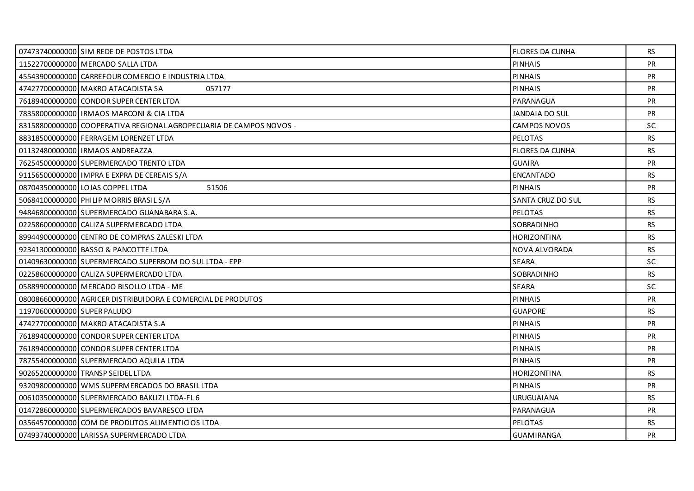|                             | 07473740000000 SIM REDE DE POSTOS LTDA                             | <b>FLORES DA CUNHA</b> | RS        |
|-----------------------------|--------------------------------------------------------------------|------------------------|-----------|
|                             | 11522700000000 MERCADO SALLA LTDA                                  | <b>PINHAIS</b>         | <b>PR</b> |
|                             | 45543900000000 CARREFOUR COMERCIO E INDUSTRIA LTDA                 | <b>PINHAIS</b>         | <b>PR</b> |
|                             | 47427700000000 MAKRO ATACADISTA SA<br>057177                       | <b>PINHAIS</b>         | <b>PR</b> |
|                             | 76189400000000 CONDOR SUPER CENTER LTDA                            | PARANAGUA              | <b>PR</b> |
|                             | 78358000000000 IRMAOS MARCONI & CIA LTDA                           | JANDAIA DO SUL         | <b>PR</b> |
|                             | 83158800000000 COOPERATIVA REGIONAL AGROPECUARIA DE CAMPOS NOVOS - | <b>CAMPOS NOVOS</b>    | <b>SC</b> |
|                             | 88318500000000 FERRAGEM LORENZET LTDA                              | <b>PELOTAS</b>         | <b>RS</b> |
|                             | 01132480000000 IRMAOS ANDREAZZA                                    | <b>FLORES DA CUNHA</b> | RS.       |
|                             | 76254500000000 SUPERMERCADO TRENTO LTDA                            | <b>GUAIRA</b>          | <b>PR</b> |
|                             | 91156500000000 IMPRA E EXPRA DE CEREAIS S/A                        | <b>ENCANTADO</b>       | <b>RS</b> |
|                             | 08704350000000 LOJAS COPPEL LTDA<br>51506                          | <b>PINHAIS</b>         | PR        |
|                             | 50684100000000 PHILIP MORRIS BRASIL S/A                            | SANTA CRUZ DO SUL      | RS.       |
|                             | 94846800000000 SUPERMERCADO GUANABARA S.A.                         | PELOTAS                | <b>RS</b> |
|                             | 022586000000001 CALIZA SUPERMERCADO LTDA                           | SOBRADINHO             | <b>RS</b> |
|                             | 89944900000000 CENTRO DE COMPRAS ZALESKI LTDA                      | <b>HORIZONTINA</b>     | <b>RS</b> |
|                             | 92341300000000 BASSO & PANCOTTE LTDA                               | NOVA ALVORADA          | <b>RS</b> |
|                             | 01409630000000 SUPERMERCADO SUPERBOM DO SUL LTDA - EPP             | <b>SEARA</b>           | <b>SC</b> |
|                             | 02258600000000 CALIZA SUPERMERCADO LTDA                            | SOBRADINHO             | <b>RS</b> |
|                             | 05889900000000 MERCADO BISOLLO LTDA - ME                           | <b>SEARA</b>           | <b>SC</b> |
|                             | 08008660000000 AGRICER DISTRIBUIDORA E COMERCIAL DE PRODUTOS       | <b>PINHAIS</b>         | <b>PR</b> |
| 11970600000000 SUPER PALUDO |                                                                    | <b>GUAPORE</b>         | <b>RS</b> |
|                             | 47427700000000 MAKRO ATACADISTA S.A                                | <b>PINHAIS</b>         | PR        |
|                             | 76189400000000 CONDOR SUPER CENTER LTDA                            | <b>PINHAIS</b>         | <b>PR</b> |
|                             | 76189400000000 CONDOR SUPER CENTER LTDA                            | <b>PINHAIS</b>         | <b>PR</b> |
|                             | 78755400000000 SUPERMERCADO AQUILA LTDA                            | <b>PINHAIS</b>         | PR        |
|                             | 90265200000000 TRANSP SEIDEL LTDA                                  | <b>HORIZONTINA</b>     | <b>RS</b> |
|                             | 93209800000000 WMS SUPERMERCADOS DO BRASIL LTDA                    | <b>PINHAIS</b>         | <b>PR</b> |
|                             | 00610350000000 SUPERMERCADO BAKLIZI LTDA-FL 6                      | <b>URUGUAIANA</b>      | <b>RS</b> |
|                             | 01472860000000 SUPERMERCADOS BAVARESCO LTDA                        | PARANAGUA              | <b>PR</b> |
|                             | 03564570000000 COM DE PRODUTOS ALIMENTICIOS LTDA                   | <b>PELOTAS</b>         | <b>RS</b> |
|                             | 07493740000000 LARISSA SUPERMERCADO LTDA                           | <b>GUAMIRANGA</b>      | <b>PR</b> |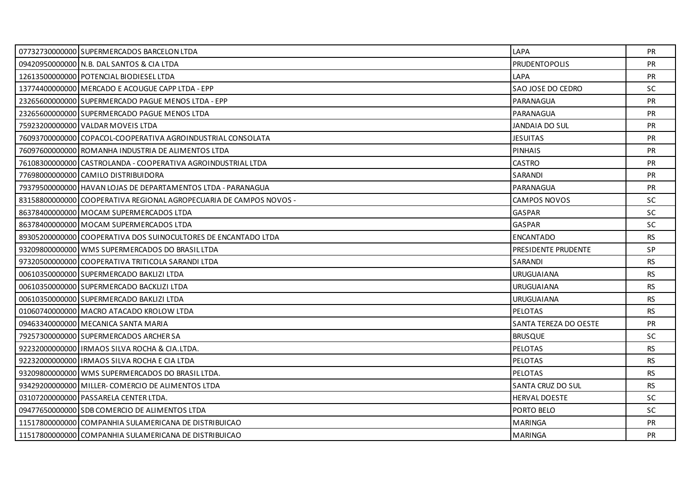| 07732730000000 SUPERMERCADOS BARCELON LTDA                         | LAPA                  | <b>PR</b> |
|--------------------------------------------------------------------|-----------------------|-----------|
| 09420950000000 N.B. DAL SANTOS & CIA LTDA                          | <b>PRUDENTOPOLIS</b>  | <b>PR</b> |
| 12613500000000 POTENCIAL BIODIESEL LTDA                            | LAPA                  | <b>PR</b> |
| 13774400000000 MERCADO E ACOUGUE CAPP LTDA - EPP                   | SAO JOSE DO CEDRO     | SC        |
| 23265600000000 SUPERMERCADO PAGUE MENOS LTDA - EPP                 | PARANAGUA             | <b>PR</b> |
| 23265600000000 SUPERMERCADO PAGUE MENOS LTDA                       | PARANAGUA             | <b>PR</b> |
| 75923200000000 VALDAR MOVEIS LTDA                                  | <b>JANDAIA DO SUL</b> | <b>PR</b> |
| 76093700000000 COPACOL-COOPERATIVA AGROINDUSTRIAL CONSOLATA        | <b>JESUITAS</b>       | <b>PR</b> |
| 76097600000000 ROMANHA INDUSTRIA DE ALIMENTOS LTDA                 | <b>PINHAIS</b>        | <b>PR</b> |
| 76108300000000   CASTROLANDA - COOPERATIVA AGROINDUSTRIAL LTDA     | <b>CASTRO</b>         | <b>PR</b> |
| 77698000000000 CAMILO DISTRIBUIDORA                                | SARANDI               | PR        |
| 79379500000000 HAVAN LOJAS DE DEPARTAMENTOS LTDA - PARANAGUA       | PARANAGUA             | <b>PR</b> |
| 83158800000000 COOPERATIVA REGIONAL AGROPECUARIA DE CAMPOS NOVOS - | <b>CAMPOS NOVOS</b>   | SC.       |
| 86378400000000   MOCAM SUPERMERCADOS LTDA                          | GASPAR                | SC        |
| 86378400000000 MOCAM SUPERMERCADOS LTDA                            | <b>GASPAR</b>         | <b>SC</b> |
| 89305200000000 COOPERATIVA DOS SUINOCULTORES DE ENCANTADO LTDA     | <b>ENCANTADO</b>      | RS.       |
| 93209800000000 WMS SUPERMERCADOS DO BRASIL LTDA                    | PRESIDENTE PRUDENTE   | SP        |
| 97320500000000 COOPERATIVA TRITICOLA SARANDI LTDA                  | SARANDI               | RS.       |
| 00610350000000 SUPERMERCADO BAKLIZI LTDA                           | <b>URUGUAIANA</b>     | RS.       |
| 00610350000000 SUPERMERCADO BACKLIZI LTDA                          | <b>URUGUAIANA</b>     | <b>RS</b> |
| 00610350000000 SUPERMERCADO BAKLIZI LTDA                           | <b>URUGUAIANA</b>     | RS.       |
| 01060740000000 MACRO ATACADO KROLOW LTDA                           | <b>PELOTAS</b>        | RS.       |
| 09463340000000 MECANICA SANTA MARIA                                | SANTA TEREZA DO OESTE | PR        |
| 79257300000000 SUPERMERCADOS ARCHER SA                             | <b>BRUSQUE</b>        | <b>SC</b> |
| 92232000000000 IRMAOS SILVA ROCHA & CIA.LTDA.                      | <b>PELOTAS</b>        | RS.       |
| 92232000000000   IRMAOS SILVA ROCHA E CIA LTDA                     | <b>PELOTAS</b>        | <b>RS</b> |
| 93209800000000 WMS SUPERMERCADOS DO BRASIL LTDA.                   | <b>PELOTAS</b>        | RS.       |
| 93429200000000 MILLER-COMERCIO DE ALIMENTOS LTDA                   | SANTA CRUZ DO SUL     | <b>RS</b> |
| 03107200000000 PASSARELA CENTER LTDA.                              | HERVAL DOESTE         | SC        |
| 09477650000000 SDB COMERCIO DE ALIMENTOS LTDA                      | PORTO BELO            | <b>SC</b> |
| 11517800000000 COMPANHIA SULAMERICANA DE DISTRIBUICAO              | <b>MARINGA</b>        | <b>PR</b> |
| 11517800000000 COMPANHIA SULAMERICANA DE DISTRIBUICAO              | <b>MARINGA</b>        | <b>PR</b> |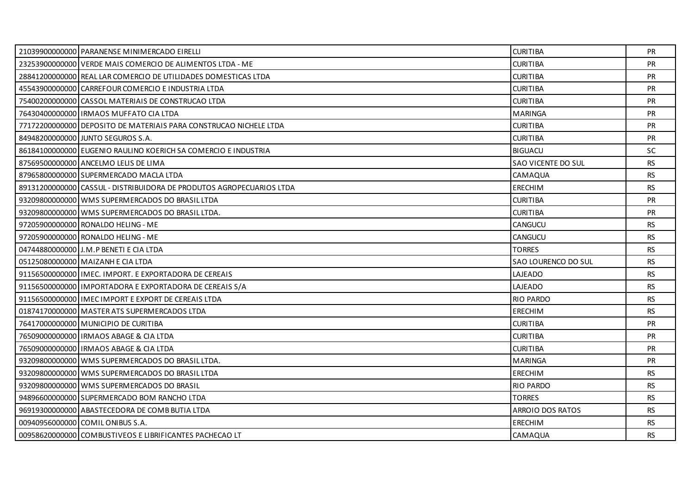| 21039900000000 PARANENSE MINIMERCADO EIRELLI                         | <b>CURITIBA</b>     | <b>PR</b> |
|----------------------------------------------------------------------|---------------------|-----------|
| 23253900000000 VERDE MAIS COMERCIO DE ALIMENTOS LTDA - ME            | <b>CURITIBA</b>     | <b>PR</b> |
| 28841200000000 REAL LAR COMERCIO DE UTILIDADES DOMESTICAS LTDA       | <b>CURITIBA</b>     | <b>PR</b> |
| 45543900000000 CARREFOUR COMERCIO E INDUSTRIA LTDA                   | <b>CURITIBA</b>     | PR        |
| 75400200000000 CASSOL MATERIAIS DE CONSTRUCAO LTDA                   | <b>CURITIBA</b>     | <b>PR</b> |
| 76430400000000 IRMAOS MUFFATO CIA LTDA                               | <b>MARINGA</b>      | <b>PR</b> |
| 77172200000000 DEPOSITO DE MATERIAIS PARA CONSTRUCAO NICHELE LTDA    | <b>CURITIBA</b>     | <b>PR</b> |
| 84948200000000 JUNTO SEGUROS S.A.                                    | <b>CURITIBA</b>     | PR        |
| 86184100000000 EUGENIO RAULINO KOERICH SA COMERCIO E INDUSTRIA       | <b>BIGUACU</b>      | SC.       |
| 87569500000000 ANCELMO LELIS DE LIMA                                 | SAO VICENTE DO SUL  | <b>RS</b> |
| 87965800000000 SUPERMERCADO MACLA LTDA                               | CAMAQUA             | <b>RS</b> |
| 89131200000000 CASSUL - DISTRIBUIDORA DE PRODUTOS AGROPECUARIOS LTDA | <b>ERECHIM</b>      | <b>RS</b> |
| 93209800000000 WMS SUPERMERCADOS DO BRASIL LTDA                      | <b>CURITIBA</b>     | <b>PR</b> |
| 93209800000000 WMS SUPERMERCADOS DO BRASIL LTDA.                     | <b>CURITIBA</b>     | <b>PR</b> |
| 97205900000000 RONALDO HELING - ME                                   | <b>CANGUCU</b>      | <b>RS</b> |
| 97205900000000 RONALDO HELING - ME                                   | <b>CANGUCU</b>      | <b>RS</b> |
|                                                                      |                     |           |
| 04744880000000 J.M.P BENETI E CIA LTDA                               | <b>TORRES</b>       | RS        |
| 05125080000000 MAIZANH E CIA LTDA                                    | SAO LOURENCO DO SUL | <b>RS</b> |
| 91156500000000 LIMEC. IMPORT. E EXPORTADORA DE CEREAIS               | LAJEADO             | <b>RS</b> |
| 91156500000000 IMPORTADORA E EXPORTADORA DE CEREAIS S/A              | LAJEADO             | <b>RS</b> |
| 91156500000000 LIMEC IMPORT E EXPORT DE CEREAIS LTDA                 | <b>RIO PARDO</b>    | <b>RS</b> |
| 01874170000000 MASTER ATS SUPERMERCADOS LTDA                         | <b>ERECHIM</b>      | <b>RS</b> |
| 76417000000000 MUNICIPIO DE CURITIBA                                 | <b>CURITIBA</b>     | PR        |
| 76509000000000 IRMAOS ABAGE & CIA LTDA                               | <b>CURITIBA</b>     | <b>PR</b> |
| 76509000000000 IRMAOS ABAGE & CIA LTDA                               | <b>CURITIBA</b>     | <b>PR</b> |
| 93209800000000 WMS SUPERMERCADOS DO BRASIL LTDA.                     | <b>MARINGA</b>      | PR        |
| 93209800000000 WMS SUPERMERCADOS DO BRASIL LTDA                      | <b>ERECHIM</b>      | RS.       |
| 93209800000000 WMS SUPERMERCADOS DO BRASIL                           | <b>RIO PARDO</b>    | <b>RS</b> |
| 94896600000000 SUPERMERCADO BOM RANCHO LTDA                          | <b>TORRES</b>       | RS        |
| 96919300000000 ABASTECEDORA DE COMB BUTIA LTDA                       | ARROIO DOS RATOS    | RS.       |
| 00940956000000 COMIL ONIBUS S.A.                                     | ERECHIM             | <b>RS</b> |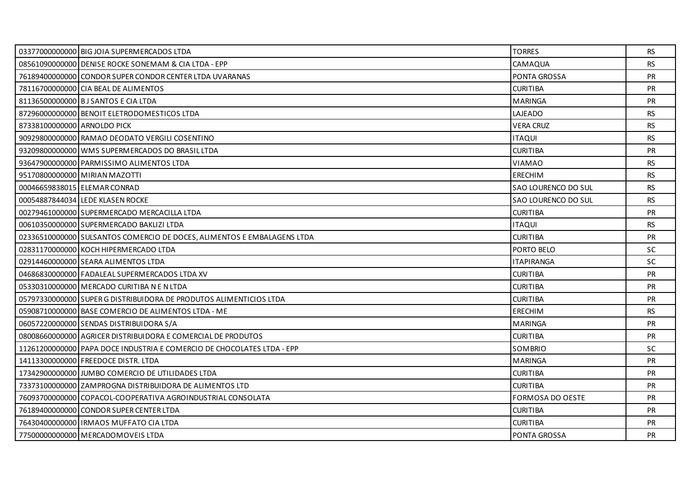|                             | 03377000000000 BIG JOIA SUPERMERCADOS LTDA                              | <b>TORRES</b>       | <b>RS</b> |
|-----------------------------|-------------------------------------------------------------------------|---------------------|-----------|
|                             | 08561090000000 DENISE ROCKE SONEMAM & CIA LTDA - EPP                    | CAMAQUA             | <b>RS</b> |
|                             | 76189400000000 CONDOR SUPER CONDOR CENTER LTDA UVARANAS                 | <b>PONTA GROSSA</b> | <b>PR</b> |
|                             | 78116700000000 CIA BEAL DE ALIMENTOS                                    | <b>CURITIBA</b>     | <b>PR</b> |
|                             | 81136500000000 BJ SANTOS E CIA LTDA                                     | <b>MARINGA</b>      | PR        |
|                             | 87296000000000 BENOIT ELETRODOMESTICOS LTDA                             | LAJEADO             | <b>RS</b> |
| 87338100000000 ARNOLDO PICK |                                                                         | <b>VERA CRUZ</b>    | <b>RS</b> |
|                             | 90929800000000 RAMAO DEODATO VERGILI COSENTINO                          | <b>ITAQUI</b>       | <b>RS</b> |
|                             | 93209800000000 WMS SUPERMERCADOS DO BRASIL LTDA                         | <b>CURITIBA</b>     | <b>PR</b> |
|                             | 93647900000000 PARMISSIMO ALIMENTOS LTDA                                | VIAMAO              | RS.       |
|                             | 95170800000000 MIRIAN MAZOTTI                                           | ERECHIM             | <b>RS</b> |
|                             | 00046659838015 ELEMAR CONRAD                                            | SAO LOURENCO DO SUL | <b>RS</b> |
|                             | 00054887844034 LEDE KLASEN ROCKE                                        | SAO LOURENCO DO SUL | RS.       |
|                             | 00279461000000 SUPERMERCADO MERCACILLA LTDA                             | <b>CURITIBA</b>     | PR        |
|                             | 00610350000000 SUPERMERCADO BAKLIZI LTDA                                | <b>ITAQUI</b>       | <b>RS</b> |
|                             | 02336510000000 SULSANTOS COMERCIO DE DOCES, ALIMENTOS E EMBALAGENS LTDA | <b>CURITIBA</b>     | <b>PR</b> |
|                             | 02831170000000 KOCH HIPERMERCADO LTDA                                   | PORTO BELO          | <b>SC</b> |
|                             | 02914460000000 SEARA ALIMENTOS LTDA                                     | <b>ITAPIRANGA</b>   | <b>SC</b> |
|                             | 04686830000000 FADALEAL SUPERMERCADOS LTDA XV                           | <b>CURITIBA</b>     | <b>PR</b> |
|                             | 05330310000000 MERCADO CURITIBA N E N LTDA                              | <b>CURITIBA</b>     | PR        |
|                             | 05797330000000 SUPER G DISTRIBUIDORA DE PRODUTOS ALIMENTICIOS LTDA      | <b>CURITIBA</b>     | <b>PR</b> |
|                             | 05908710000000 BASE COMERCIO DE ALIMENTOS LTDA - ME                     | ERECHIM             | <b>RS</b> |
|                             | 06057220000000 SENDAS DISTRIBUIDORA S/A                                 | <b>MARINGA</b>      | PR        |
|                             | 08008660000000 AGRICER DISTRIBUIDORA E COMERCIAL DE PRODUTOS            | <b>CURITIBA</b>     | <b>PR</b> |
|                             | 11261200000000 PAPA DOCE INDUSTRIA E COMERCIO DE CHOCOLATES LTDA - EPP  | SOMBRIO             | <b>SC</b> |
|                             | 14113300000000 FREEDOCE DISTR. LTDA                                     | <b>MARINGA</b>      | PR        |
|                             | 17342900000000 JJUMBO COMERCIO DE UTILIDADES LTDA                       | <b>CURITIBA</b>     | <b>PR</b> |
|                             | 73373100000000 ZAMPROGNA DISTRIBUIDORA DE ALIMENTOS LTD                 | <b>CURITIBA</b>     | <b>PR</b> |
|                             | 76093700000000 COPACOL-COOPERATIVA AGROINDUSTRIAL CONSOLATA             | FORMOSA DO OESTE    | PR        |
|                             | 76189400000000 CONDOR SUPER CENTER LTDA                                 | <b>CURITIBA</b>     | <b>PR</b> |
|                             | 76430400000000   IRMAOS MUFFATO CIA LTDA                                | <b>CURITIBA</b>     | <b>PR</b> |
|                             | 77500000000000 MERCADOMOVEIS LTDA                                       | PONTA GROSSA        | <b>PR</b> |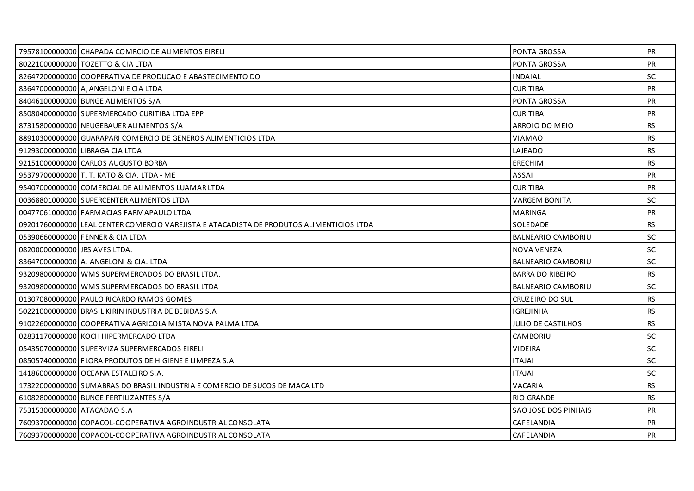|                               | 79578100000000 CHAPADA COMRCIO DE ALIMENTOS EIRELI                                       | PONTA GROSSA                | <b>PR</b> |
|-------------------------------|------------------------------------------------------------------------------------------|-----------------------------|-----------|
|                               | 80221000000000 TOZETTO & CIA LTDA                                                        | PONTA GROSSA                | PR        |
|                               | 82647200000000 COOPERATIVA DE PRODUCAO E ABASTECIMENTO DO                                | <b>INDAIAL</b>              | <b>SC</b> |
|                               | 83647000000000 A, ANGELONI E CIA LTDA                                                    | <b>CURITIBA</b>             | <b>PR</b> |
|                               | 84046100000000 BUNGE ALIMENTOS S/A                                                       | PONTA GROSSA                | <b>PR</b> |
|                               | 85080400000000 SUPERMERCADO CURITIBA LTDA EPP                                            | <b>CURITIBA</b>             | <b>PR</b> |
|                               | 87315800000000 NEUGEBAUER ALIMENTOS S/A                                                  | ARROIO DO MEIO              | <b>RS</b> |
|                               | 88910300000000 GUARAPARI COMERCIO DE GENEROS ALIMENTICIOS LTDA                           | <b>VIAMAO</b>               | <b>RS</b> |
|                               | 91293000000000 LIBRAGA CIA LTDA                                                          | LAJEADO                     | RS.       |
|                               | 92151000000000 CARLOS AUGUSTO BORBA                                                      | <b>ERECHIM</b>              | RS.       |
|                               | 95379700000000 T. T. KATO & CIA. LTDA - ME                                               | <b>ASSAI</b>                | PR        |
|                               | 95407000000000 COMERCIAL DE ALIMENTOS LUAMAR LTDA                                        | <b>CURITIBA</b>             | <b>PR</b> |
|                               | 00368801000000 SUPERCENTER ALIMENTOS LTDA                                                | <b>VARGEM BONITA</b>        | <b>SC</b> |
|                               | 00477061000000 FARMACIAS FARMAPAULO LTDA                                                 | <b>MARINGA</b>              | PR        |
|                               | 092017600000001LEAL CENTER COMERCIO VAREJISTA E ATACADISTA DE PRODUTOS ALIMENTICIOS LTDA | SOLEDADE                    | <b>RS</b> |
|                               | 05390660000000 FENNER & CIA LTDA                                                         | BALNEARIO CAMBORIU          | <b>SC</b> |
| 08200000000000 JBS AVES LTDA. |                                                                                          | <b>NOVA VENEZA</b>          | <b>SC</b> |
|                               | 83647000000000 A. ANGELONI & CIA. LTDA                                                   | BALNEARIO CAMBORIU          | <b>SC</b> |
|                               | 93209800000000 WMS SUPERMERCADOS DO BRASIL LTDA.                                         | <b>BARRA DO RIBEIRO</b>     | <b>RS</b> |
|                               | 93209800000000 WMS SUPERMERCADOS DO BRASIL LTDA                                          | BALNEARIO CAMBORIU          | <b>SC</b> |
|                               | 01307080000000 PAULO RICARDO RAMOS GOMES                                                 | CRUZEIRO DO SUL             | <b>RS</b> |
|                               | 50221000000000 BRASIL KIRIN INDUSTRIA DE BEBIDAS S.A                                     | <b>IGREJINHA</b>            | <b>RS</b> |
|                               | 91022600000000 COOPERATIVA AGRICOLA MISTA NOVA PALMA LTDA                                | JULIO DE CASTILHOS          | <b>RS</b> |
|                               | 02831170000000 KOCH HIPERMERCADO LTDA                                                    | CAMBORIU                    | SC        |
|                               | 05435070000000 SUPERVIZA SUPERMERCADOS EIRELI                                            | <b>VIDEIRA</b>              | <b>SC</b> |
|                               | 08505740000000 FLORA PRODUTOS DE HIGIENE E LIMPEZA S.A                                   | <b>ITAJAI</b>               | <b>SC</b> |
|                               | 14186000000000 OCEANA ESTALEIRO S.A.                                                     | <b>ITAJAI</b>               | <b>SC</b> |
|                               | 17322000000000 SUMABRAS DO BRASIL INDUSTRIA E COMERCIO DE SUCOS DE MACA LTD              | VACARIA                     | <b>RS</b> |
|                               | 61082800000000 BUNGE FERTILIZANTES S/A                                                   | <b>RIO GRANDE</b>           | <b>RS</b> |
| 75315300000000 ATACADAO S.A   |                                                                                          | <b>SAO JOSE DOS PINHAIS</b> | <b>PR</b> |
|                               | 76093700000000 COPACOL-COOPERATIVA AGROINDUSTRIAL CONSOLATA                              | CAFELANDIA                  | <b>PR</b> |
|                               | 76093700000000 COPACOL-COOPERATIVA AGROINDUSTRIAL CONSOLATA                              | CAFELANDIA                  | <b>PR</b> |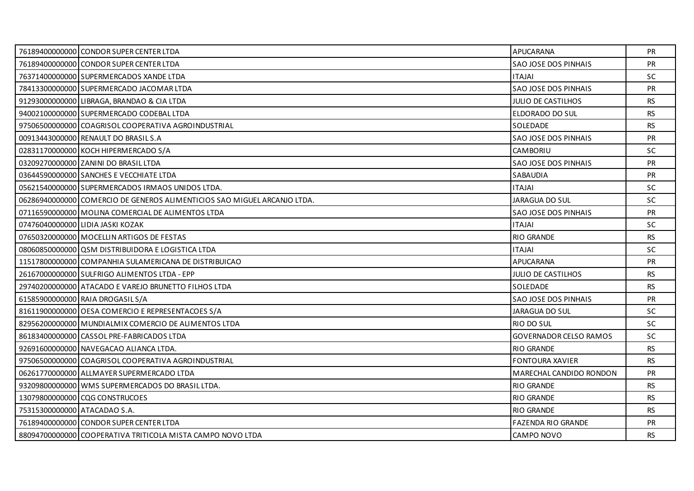|                              | 76189400000000 CONDOR SUPER CENTER LTDA                                  | APUCARANA                     | <b>PR</b> |
|------------------------------|--------------------------------------------------------------------------|-------------------------------|-----------|
|                              | 76189400000000 CONDOR SUPER CENTER LTDA                                  | SAO JOSE DOS PINHAIS          | PR        |
|                              | 76371400000000 SUPERMERCADOS XANDE LTDA                                  | ITAJAI                        | <b>SC</b> |
|                              | 78413300000000 SUPERMERCADO JACOMAR LTDA                                 | <b>SAO JOSE DOS PINHAIS</b>   | PR        |
|                              | 91293000000000 LIBRAGA, BRANDAO & CIA LTDA                               | <b>JULIO DE CASTILHOS</b>     | <b>RS</b> |
|                              | 94002100000000 SUPERMERCADO CODEBAL LTDA                                 | ELDORADO DO SUL               | <b>RS</b> |
|                              | 97506500000000 COAGRISOL COOPERATIVA AGROINDUSTRIAL                      | SOLEDADE                      | <b>RS</b> |
|                              | 00913443000000 RENAULT DO BRASIL S.A                                     | SAO JOSE DOS PINHAIS          | PR        |
|                              | 02831170000000 KOCH HIPERMERCADO S/A                                     | CAMBORIU                      | SC        |
|                              | 03209270000000 ZANINI DO BRASIL LTDA                                     | <b>SAO JOSE DOS PINHAIS</b>   | <b>PR</b> |
|                              | 03644590000000 SANCHES E VECCHIATE LTDA                                  | SABAUDIA                      | PR        |
|                              | 05621540000000 SUPERMERCADOS IRMAOS UNIDOS LTDA.                         | ITAJAI                        | <b>SC</b> |
|                              | 06286940000000 COMERCIO DE GENEROS ALIMENTICIOS SAO MIGUEL ARCANJO LTDA. | <b>JARAGUA DO SUL</b>         | <b>SC</b> |
|                              | 07116590000000 MOLINA COMERCIAL DE ALIMENTOS LTDA                        | SAO JOSE DOS PINHAIS          | PR        |
|                              | 07476040000000 LIDIA JASKI KOZAK                                         | <b>ITAJAI</b>                 | SC        |
|                              | 07650320000000 MOCELLIN ARTIGOS DE FESTAS                                | <b>RIO GRANDE</b>             | <b>RS</b> |
|                              | 08060850000000 QSM DISTRIBUIDORA E LOGISTICA LTDA                        | <b>ITAJAI</b>                 | SC        |
|                              | 11517800000000 COMPANHIA SULAMERICANA DE DISTRIBUICAO                    | APUCARANA                     | PR        |
|                              | 26167000000000 SULFRIGO ALIMENTOS LTDA - EPP                             | <b>JULIO DE CASTILHOS</b>     | <b>RS</b> |
|                              | 29740200000000 ATACADO E VAREJO BRUNETTO FILHOS LTDA                     | SOLEDADE                      | <b>RS</b> |
|                              | 61585900000000 RAIA DROGASIL S/A                                         | SAO JOSE DOS PINHAIS          | PR        |
|                              | 81611900000000 OESA COMERCIO E REPRESENTACOES S/A                        | <b>JARAGUA DO SUL</b>         | SC        |
|                              | 82956200000000 MUNDIALMIX COMERCIO DE ALIMENTOS LTDA                     | RIO DO SUL                    | SC        |
|                              | 86183400000000 CASSOL PRE-FABRICADOS LTDA                                | <b>GOVERNADOR CELSO RAMOS</b> | SC        |
|                              | 92691600000000 NAVEGACAO ALIANCA LTDA.                                   | <b>RIO GRANDE</b>             | <b>RS</b> |
|                              | 97506500000000 COAGRISOL COOPERATIVA AGROINDUSTRIAL                      | <b>FONTOURA XAVIER</b>        | <b>RS</b> |
|                              | 06261770000000 ALLMAYER SUPERMERCADO LTDA                                | MARECHAL CANDIDO RONDON       | <b>PR</b> |
|                              | 93209800000000 WMS SUPERMERCADOS DO BRASIL LTDA.                         | <b>RIO GRANDE</b>             | <b>RS</b> |
|                              | 13079800000000 CQG CONSTRUCOES                                           | <b>RIO GRANDE</b>             | <b>RS</b> |
| 75315300000000 ATACADAO S.A. |                                                                          | <b>RIO GRANDE</b>             | <b>RS</b> |
|                              | 76189400000000 CONDOR SUPER CENTER LTDA                                  | <b>FAZENDA RIO GRANDE</b>     | <b>PR</b> |
|                              | 88094700000000 COOPERATIVA TRITICOLA MISTA CAMPO NOVO LTDA               | CAMPO NOVO                    | <b>RS</b> |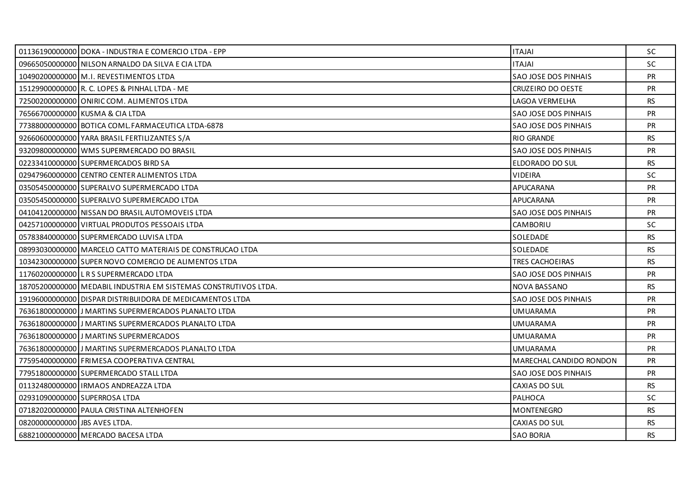|                                | 01136190000000 DOKA - INDUSTRIA E COMERCIO LTDA - EPP           | <b>IALATI</b>               | <b>SC</b> |
|--------------------------------|-----------------------------------------------------------------|-----------------------------|-----------|
|                                | 09665050000000 NILSON ARNALDO DA SILVA E CIA LTDA               | <b>ITAJAI</b>               | SC        |
|                                | 10490200000000 M.I. REVESTIMENTOS LTDA                          | <b>SAO JOSE DOS PINHAIS</b> | <b>PR</b> |
|                                | 15129900000000 R. C. LOPES & PINHAL LTDA - ME                   | CRUZEIRO DO OESTE           | <b>PR</b> |
|                                | 72500200000000 ONIRIC COM. ALIMENTOS LTDA                       | LAGOA VERMELHA              | <b>RS</b> |
|                                | 76566700000000 KUSMA & CIA LTDA                                 | SAO JOSE DOS PINHAIS        | PR        |
|                                | 77388000000000 BOTICA COML FARMACEUTICA LTDA-6878               | SAO JOSE DOS PINHAIS        | <b>PR</b> |
|                                | 92660600000000 YARA BRASIL FERTILIZANTES S/A                    | <b>RIO GRANDE</b>           | <b>RS</b> |
|                                | 93209800000000 WMS SUPERMERCADO DO BRASIL                       | SAO JOSE DOS PINHAIS        | <b>PR</b> |
|                                | 02233410000000 SUPERMERCADOS BIRD SA                            | ELDORADO DO SUL             | <b>RS</b> |
|                                | 02947960000000 CENTRO CENTER ALIMENTOS LTDA                     | <b>VIDEIRA</b>              | SC        |
|                                | 03505450000000 SUPERALVO SUPERMERCADO LTDA                      | APUCARANA                   | <b>PR</b> |
|                                | 03505450000000 SUPERALVO SUPERMERCADO LTDA                      | APUCARANA                   | <b>PR</b> |
|                                | 04104120000000 NISSAN DO BRASIL AUTOMOVEIS LTDA                 | <b>SAO JOSE DOS PINHAIS</b> | <b>PR</b> |
|                                | 04257100000000 VIRTUAL PRODUTOS PESSOAIS LTDA                   | CAMBORIU                    | <b>SC</b> |
|                                | 05783840000000 SUPERMERCADO LUVISA LTDA                         | SOLEDADE                    | RS.       |
|                                | 08993030000000 MARCELO CATTO MATERIAIS DE CONSTRUCAO LTDA       | SOLEDADE                    | RS.       |
|                                | 10342300000000 SUPER NOVO COMERCIO DE ALIMENTOS LTDA            | TRES CACHOEIRAS             | <b>RS</b> |
|                                | 11760200000000 LRS SUPERMERCADO LTDA                            | <b>SAO JOSE DOS PINHAIS</b> | <b>PR</b> |
|                                | 18705200000000 MEDABIL INDUSTRIA EM SISTEMAS CONSTRUTIVOS LTDA. | NOVA BASSANO                | <b>RS</b> |
|                                | 19196000000000 DISPAR DISTRIBUIDORA DE MEDICAMENTOS LTDA        | SAO JOSE DOS PINHAIS        | <b>PR</b> |
|                                | 76361800000000 JJ MARTINS SUPERMERCADOS PLANALTO LTDA           | UMUARAMA                    | <b>PR</b> |
|                                | 76361800000000 JJ MARTINS SUPERMERCADOS PLANALTO LTDA           | <b>UMUARAMA</b>             | PR        |
|                                | 76361800000000 J MARTINS SUPERMERCADOS                          | <b>UMUARAMA</b>             | <b>PR</b> |
|                                | 76361800000000 JJ MARTINS SUPERMERCADOS PLANALTO LTDA           | UMUARAMA                    | <b>PR</b> |
|                                | 77595400000000 FRIMESA COOPERATIVA CENTRAL                      | MARECHAL CANDIDO RONDON     | PR        |
|                                | 77951800000000 SUPERMERCADO STALL LTDA                          | <b>SAO JOSE DOS PINHAIS</b> | <b>PR</b> |
|                                | 011324800000001IRMAOS ANDREAZZA LTDA                            | CAXIAS DO SUL               | RS.       |
|                                | 02931090000000 SUPERROSA LTDA                                   | PALHOCA                     | <b>SC</b> |
|                                | 07182020000000 PAULA CRISTINA ALTENHOFEN                        | MONTENEGRO                  | RS.       |
| 082000000000000 UBS AVES LTDA. |                                                                 | CAXIAS DO SUL               | <b>RS</b> |
|                                | 68821000000000 MERCADO BACESA LTDA                              | <b>SAO BORJA</b>            | <b>RS</b> |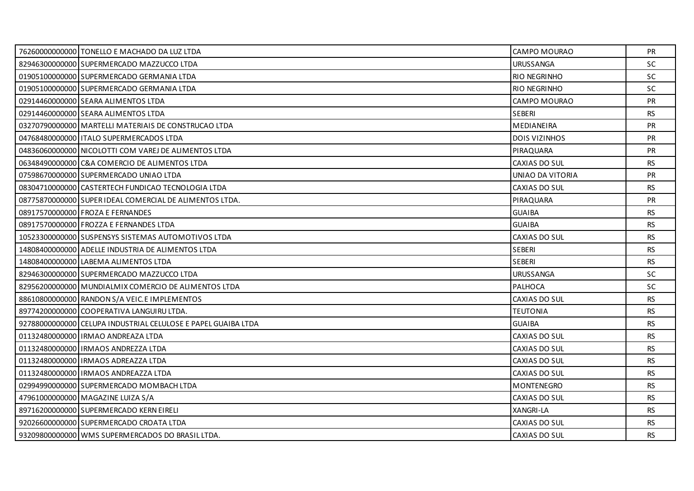| 76260000000000 TONELLO E MACHADO DA LUZ LTDA                  | CAMPO MOURAO         | <b>PR</b> |
|---------------------------------------------------------------|----------------------|-----------|
| 82946300000000 SUPERMERCADO MAZZUCCO LTDA                     | <b>URUSSANGA</b>     | SC        |
| 01905100000000 SUPERMERCADO GERMANIA LTDA                     | <b>RIO NEGRINHO</b>  | <b>SC</b> |
| 01905100000000 SUPERMERCADO GERMANIA LTDA                     | <b>RIO NEGRINHO</b>  | <b>SC</b> |
| 02914460000000 SEARA ALIMENTOS LTDA                           | CAMPO MOURAO         | <b>PR</b> |
| 02914460000000 SEARA ALIMENTOS LTDA                           | <b>SEBERI</b>        | <b>RS</b> |
| 03270790000000 MARTELLI MATERIAIS DE CONSTRUCAO LTDA          | MEDIANEIRA           | <b>PR</b> |
| 04768480000000   ITALO SUPERMERCADOS LTDA                     | <b>DOIS VIZINHOS</b> | <b>PR</b> |
| 04836060000000 NICOLOTTI COM VAREJ DE ALIMENTOS LTDA          | PIRAQUARA            | <b>PR</b> |
| 06348490000000 C&A COMERCIO DE ALIMENTOS LTDA                 | CAXIAS DO SUL        | <b>RS</b> |
| 07598670000000 SUPERMERCADO UNIAO LTDA                        | UNIAO DA VITORIA     | PR        |
| 08304710000000 CASTERTECH FUNDICAO TECNOLOGIA LTDA            | CAXIAS DO SUL        | <b>RS</b> |
| 08775870000000 SUPER IDEAL COMERCIAL DE ALIMENTOS LTDA.       | PIRAQUARA            | <b>PR</b> |
| 08917570000000 FROZA E FERNANDES                              | <b>GUAIBA</b>        | <b>RS</b> |
| 08917570000000 FROZZA E FERNANDES LTDA                        | <b>GUAIBA</b>        | <b>RS</b> |
| 10523300000000 SUSPENSYS SISTEMAS AUTOMOTIVOS LTDA            | CAXIAS DO SUL        | <b>RS</b> |
| 14808400000000 ADELLE INDUSTRIA DE ALIMENTOS LTDA             | <b>SEBERI</b>        | <b>RS</b> |
| 14808400000000 LABEMA ALIMENTOS LTDA                          | <b>SEBERI</b>        | <b>RS</b> |
| 82946300000000 SUPERMERCADO MAZZUCCO LTDA                     | <b>URUSSANGA</b>     | <b>SC</b> |
| 82956200000000 MUNDIALMIX COMERCIO DE ALIMENTOS LTDA          | <b>PALHOCA</b>       | SC        |
| 88610800000000 RANDON S/A VEIC.E IMPLEMENTOS                  | CAXIAS DO SUL        | <b>RS</b> |
| 89774200000000 COOPERATIVA LANGUIRU LTDA.                     | <b>TEUTONIA</b>      | <b>RS</b> |
| 92788000000000 CELUPA INDUSTRIAL CELULOSE E PAPEL GUAIBA LTDA | <b>GUAIBA</b>        | <b>RS</b> |
| 01132480000000 IRMAO ANDREAZA LTDA                            | CAXIAS DO SUL        | <b>RS</b> |
| 01132480000000 IRMAOS ANDREZZA LTDA                           | CAXIAS DO SUL        | <b>RS</b> |
| 01132480000000   IRMAOS ADREAZZA LTDA                         | CAXIAS DO SUL        | <b>RS</b> |
| 01132480000000 IRMAOS ANDREAZZA LTDA                          | CAXIAS DO SUL        | <b>RS</b> |
| 02994990000000 SUPERMERCADO MOMBACH LTDA                      | <b>MONTENEGRO</b>    | <b>RS</b> |
| 47961000000000 MAGAZINE LUIZA S/A                             | CAXIAS DO SUL        | <b>RS</b> |
| 89716200000000 SUPERMERCADO KERN EIRELI                       | XANGRI-LA            | RS        |
| 92026600000000 SUPERMERCADO CROATA LTDA                       | CAXIAS DO SUL        | <b>RS</b> |
| 93209800000000 WMS SUPERMERCADOS DO BRASIL LTDA.              | CAXIAS DO SUL        | <b>RS</b> |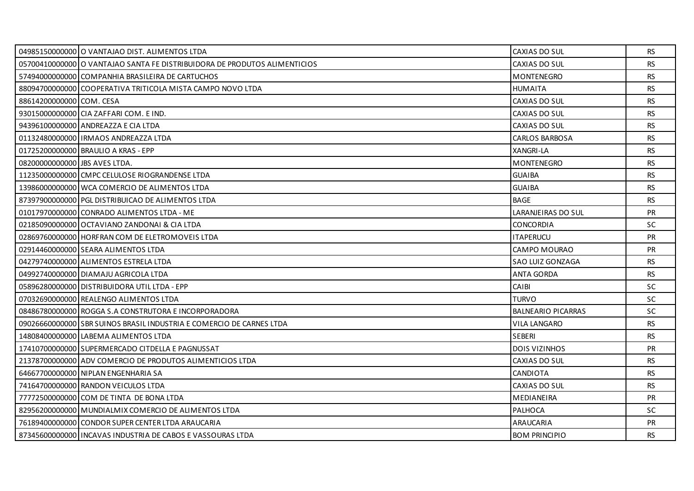|                               | 04985150000000 O VANTAJAO DIST. ALIMENTOS LTDA                            | CAXIAS DO SUL             | RS        |
|-------------------------------|---------------------------------------------------------------------------|---------------------------|-----------|
|                               | O5700410000000 O VANTAJAO SANTA FE DISTRIBUIDORA DE PRODUTOS ALIMENTICIOS | CAXIAS DO SUL             | <b>RS</b> |
|                               | 57494000000000 COMPANHIA BRASILEIRA DE CARTUCHOS                          | <b>MONTENEGRO</b>         | <b>RS</b> |
|                               | 88094700000000 COOPERATIVA TRITICOLA MISTA CAMPO NOVO LTDA                | <b>HUMAITA</b>            | <b>RS</b> |
| 88614200000000 COM. CESA      |                                                                           | CAXIAS DO SUL             | <b>RS</b> |
|                               | 93015000000000 CIA ZAFFARI COM. E IND.                                    | CAXIAS DO SUL             | <b>RS</b> |
|                               | 94396100000000 ANDREAZZA E CIA LTDA                                       | CAXIAS DO SUL             | <b>RS</b> |
|                               | 01132480000000   IRMAOS ANDREAZZA LTDA                                    | <b>CARLOS BARBOSA</b>     | <b>RS</b> |
|                               | 01725200000000 BRAULIO A KRAS - EPP                                       | XANGRI-LA                 | <b>RS</b> |
| 08200000000000 JBS AVES LTDA. |                                                                           | <b>MONTENEGRO</b>         | <b>RS</b> |
|                               | 11235000000000 CMPC CELULOSE RIOGRANDENSE LTDA                            | <b>GUAIBA</b>             | <b>RS</b> |
|                               | 13986000000000 WCA COMERCIO DE ALIMENTOS LTDA                             | <b>GUAIBA</b>             | <b>RS</b> |
|                               | 87397900000000 PGL DISTRIBUICAO DE ALIMENTOS LTDA                         | <b>BAGE</b>               | <b>RS</b> |
|                               | 01017970000000 CONRADO ALIMENTOS LTDA - ME                                | LARANJEIRAS DO SUL        | PR        |
|                               | 02185090000000 OCTAVIANO ZANDONAI & CIA LTDA                              | <b>CONCORDIA</b>          | <b>SC</b> |
|                               | 02869760000000 HORFRAN COM DE ELETROMOVEIS LTDA                           | <b>ITAPERUCU</b>          | <b>PR</b> |
|                               | 02914460000000 SEARA ALIMENTOS LTDA                                       | CAMPO MOURAO              | PR        |
|                               | 04279740000000 ALIMENTOS ESTRELA LTDA                                     | SAO LUIZ GONZAGA          | RS.       |
|                               | 04992740000000 DIAMAJU AGRICOLA LTDA                                      | <b>ANTA GORDA</b>         | <b>RS</b> |
|                               | 05896280000000 DISTRIBUIDORA UTIL LTDA - EPP                              | <b>CAIBI</b>              | <b>SC</b> |
|                               | 07032690000000 REALENGO ALIMENTOS LTDA                                    | <b>TURVO</b>              | SC.       |
|                               | 08486780000000 ROGGA S.A CONSTRUTORA E INCORPORADORA                      | <b>BALNEARIO PICARRAS</b> | <b>SC</b> |
|                               | 09026660000000 SBR SUINOS BRASIL INDUSTRIA E COMERCIO DE CARNES LTDA      | <b>VILA LANGARO</b>       | <b>RS</b> |
|                               | 14808400000000 LABEMA ALIMENTOS LTDA                                      | <b>SEBERI</b>             | <b>RS</b> |
|                               | 17410700000000 SUPERMERCADO CITDELLA E PAGNUSSAT                          | <b>DOIS VIZINHOS</b>      | <b>PR</b> |
|                               | 21378700000000 ADV COMERCIO DE PRODUTOS ALIMENTICIOS LTDA                 | CAXIAS DO SUL             | <b>RS</b> |
|                               | 64667700000000 NIPLAN ENGENHARIA SA                                       | <b>CANDIOTA</b>           | <b>RS</b> |
|                               | 74164700000000 RANDON VEICULOS LTDA                                       | CAXIAS DO SUL             | <b>RS</b> |
|                               | 77772500000000 COM DE TINTA DE BONA LTDA                                  | <b>MEDIANEIRA</b>         | <b>PR</b> |
|                               | 82956200000000 MUNDIALMIX COMERCIO DE ALIMENTOS LTDA                      | PALHOCA                   | <b>SC</b> |
|                               | 76189400000000 CONDOR SUPER CENTER LTDA ARAUCARIA                         | ARAUCARIA                 | <b>PR</b> |
|                               | 87345600000000 INCAVAS INDUSTRIA DE CABOS E VASSOURAS LTDA                | <b>BOM PRINCIPIO</b>      | <b>RS</b> |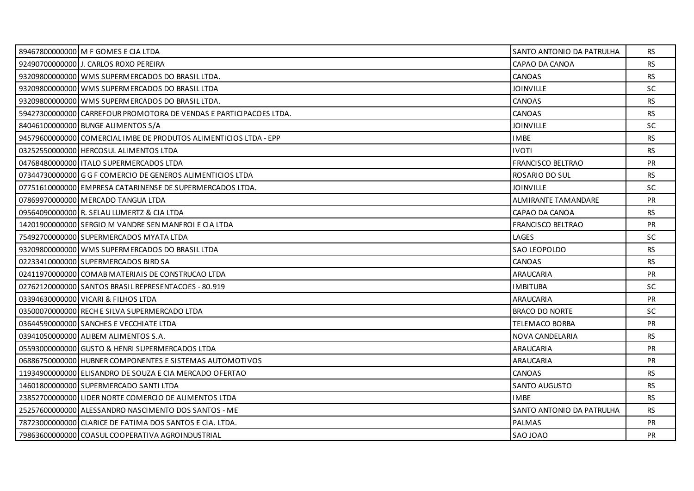| 89467800000000 M F GOMES E CIA LTDA                                | SANTO ANTONIO DA PATRULHA | RS.       |
|--------------------------------------------------------------------|---------------------------|-----------|
| 92490700000000 J. CARLOS ROXO PEREIRA                              | CAPAO DA CANOA            | <b>RS</b> |
| 93209800000000 WMS SUPERMERCADOS DO BRASIL LTDA.                   | CANOAS                    | <b>RS</b> |
| 93209800000000 WMS SUPERMERCADOS DO BRASIL LTDA                    | <b>JOINVILLE</b>          | <b>SC</b> |
| 93209800000000 WMS SUPERMERCADOS DO BRASIL LTDA.                   | CANOAS                    | <b>RS</b> |
| 59427300000000 CARREFOUR PROMOTORA DE VENDAS E PARTICIPACOES LTDA. | CANOAS                    | <b>RS</b> |
| 84046100000000 BUNGE ALIMENTOS S/A                                 | <b>JOINVILLE</b>          | <b>SC</b> |
| 94579600000000 COMERCIAL IMBE DE PRODUTOS ALIMENTICIOS LTDA - EPP  | <b>IMBE</b>               | <b>RS</b> |
| 03252550000000 HERCOSUL ALIMENTOS LTDA                             | <b>IVOTI</b>              | RS        |
| 04768480000000 ITALO SUPERMERCADOS LTDA                            | FRANCISCO BELTRAO         | <b>PR</b> |
| 07344730000000 G G F COMERCIO DE GENEROS ALIMENTICIOS LTDA         | ROSARIO DO SUL            | <b>RS</b> |
| 07751610000000 EMPRESA CATARINENSE DE SUPERMERCADOS LTDA.          | <b>JOINVILLE</b>          | <b>SC</b> |
| 07869970000000 MERCADO TANGUA LTDA                                 | ALMIRANTE TAMANDARE       | <b>PR</b> |
| 09564090000000 R. SELAU LUMERTZ & CIA LTDA                         | CAPAO DA CANOA            | <b>RS</b> |
| 14201900000000 SERGIO M VANDRE SEN MANFROI E CIA LTDA              | FRANCISCO BELTRAO         | <b>PR</b> |
| 75492700000000 SUPERMERCADOS MYATA LTDA                            | LAGES                     | SC.       |
| 93209800000000 WMS SUPERMERCADOS DO BRASIL LTDA                    | SAO LEOPOLDO              | RS        |
| 02233410000000 SUPERMERCADOS BIRD SA                               | CANOAS                    | RS.       |
| 02411970000000 COMAB MATERIAIS DE CONSTRUCAO LTDA                  | ARAUCARIA                 | <b>PR</b> |
| 02762120000000 SANTOS BRASIL REPRESENTACOES - 80.919               | <b>IMBITUBA</b>           | SC        |
| 03394630000000 VICARI & FILHOS LTDA                                | ARAUCARIA                 | <b>PR</b> |
| 03500070000000 RECH E SILVA SUPERMERCADO LTDA                      | <b>BRACO DO NORTE</b>     | <b>SC</b> |
| 03644590000000 SANCHES E VECCHIATE LTDA                            | TELEMACO BORBA            | <b>PR</b> |
| 03941050000000 ALIBEM ALIMENTOS S.A.                               | NOVA CANDELARIA           | <b>RS</b> |
| 05593000000000 GUSTO & HENRI SUPERMERCADOS LTDA                    | ARAUCARIA                 | <b>PR</b> |
| 06886750000000 HUBNER COMPONENTES E SISTEMAS AUTOMOTIVOS           | ARAUCARIA                 | <b>PR</b> |
| 11934900000000 ELISANDRO DE SOUZA E CIA MERCADO OFERTAO            | CANOAS                    | RS.       |
| 14601800000000 SUPERMERCADO SANTI LTDA                             | <b>SANTO AUGUSTO</b>      | <b>RS</b> |
| 23852700000000 LIDER NORTE COMERCIO DE ALIMENTOS LTDA              | <b>IMBE</b>               | <b>RS</b> |
| 25257600000000 ALESSANDRO NASCIMENTO DOS SANTOS - ME               | SANTO ANTONIO DA PATRULHA | RS        |
| 78723000000000 CLARICE DE FATIMA DOS SANTOS E CIA. LTDA.           | PALMAS                    | <b>PR</b> |
| 79863600000000 COASUL COOPERATIVA AGROINDUSTRIAL                   | SAO JOAO                  | <b>PR</b> |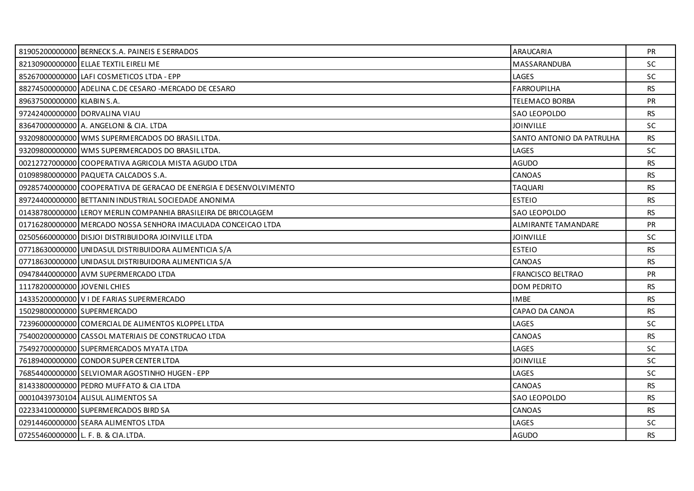|                              | 81905200000000 BERNECK S.A. PAINEIS E SERRADOS                     | ARAUCARIA                  | <b>PR</b> |
|------------------------------|--------------------------------------------------------------------|----------------------------|-----------|
|                              | 82130900000000 ELLAE TEXTIL EIRELI ME                              | MASSARANDUBA               | SC        |
|                              | 85267000000000 LAFI COSMETICOS LTDA - EPP                          | LAGES                      | <b>SC</b> |
|                              | 88274500000000 ADELINA C. DE CESARO -MERCADO DE CESARO             | <b>FARROUPILHA</b>         | <b>RS</b> |
| 89637500000000 KLABIN S.A.   |                                                                    | TELEMACO BORBA             | PR        |
|                              | 97242400000000 DORVALINA VIAU                                      | SAO LEOPOLDO               | <b>RS</b> |
|                              | 83647000000000 A. ANGELONI & CIA. LTDA                             | <b>JOINVILLE</b>           | SC.       |
|                              | 93209800000000 WMS SUPERMERCADOS DO BRASIL LTDA.                   | SANTO ANTONIO DA PATRULHA  | RS        |
|                              | 93209800000000 WMS SUPERMERCADOS DO BRASIL LTDA.                   | LAGES                      | <b>SC</b> |
|                              | 00212727000000 COOPERATIVA AGRICOLA MISTA AGUDO LTDA               | <b>AGUDO</b>               | <b>RS</b> |
|                              | 01098980000000 PAQUETA CALCADOS S.A.                               | CANOAS                     | <b>RS</b> |
|                              | 09285740000000 COOPERATIVA DE GERACAO DE ENERGIA E DESENVOLVIMENTO | <b>TAQUARI</b>             | <b>RS</b> |
|                              | 89724400000000 BETTANIN INDUSTRIAL SOCIEDADE ANONIMA               | <b>ESTEIO</b>              | <b>RS</b> |
|                              | 01438780000000 LEROY MERLIN COMPANHIA BRASILEIRA DE BRICOLAGEM     | SAO LEOPOLDO               | <b>RS</b> |
|                              | 01716280000000 MERCADO NOSSA SENHORA IMACULADA CONCEICAO LTDA      | <b>ALMIRANTE TAMANDARE</b> | <b>PR</b> |
|                              | 02505660000000 DISJOI DISTRIBUIDORA JOINVILLE LTDA                 | <b>JOINVILLE</b>           | SC.       |
|                              | 07718630000000 UNIDASUL DISTRIBUIDORA ALIMENTICIA S/A              | <b>ESTEIO</b>              | <b>RS</b> |
|                              | 07718630000000 UNIDASUL DISTRIBUIDORA ALIMENTICIA S/A              | <b>CANOAS</b>              | RS        |
|                              | 09478440000000 AVM SUPERMERCADO LTDA                               | <b>FRANCISCO BELTRAO</b>   | <b>PR</b> |
| 11178200000000 JOVENIL CHIES |                                                                    | <b>DOM PEDRITO</b>         | <b>RS</b> |
|                              | 14335200000000 V I DE FARIAS SUPERMERCADO                          | <b>IMBE</b>                | RS.       |
| 15029800000000 SUPERMERCADO  |                                                                    | CAPAO DA CANOA             | RS        |
|                              | 72396000000000 COMERCIAL DE ALIMENTOS KLOPPEL LTDA                 | LAGES                      | <b>SC</b> |
|                              | 75400200000000 CASSOL MATERIAIS DE CONSTRUCAO LTDA                 | CANOAS                     | <b>RS</b> |
|                              | 75492700000000 SUPERMERCADOS MYATA LTDA                            | LAGES                      | <b>SC</b> |
|                              | 76189400000000 CONDOR SUPER CENTER LTDA                            | <b>JOINVILLE</b>           | <b>SC</b> |
|                              | 76854400000000 SELVIOMAR AGOSTINHO HUGEN - EPP                     | LAGES                      | <b>SC</b> |
|                              | 81433800000000 PEDRO MUFFATO & CIA LTDA                            | <b>CANOAS</b>              | <b>RS</b> |
|                              | 00010439730104 ALISUL ALIMENTOS SA                                 | SAO LEOPOLDO               | <b>RS</b> |
|                              | 02233410000000 SUPERMERCADOS BIRD SA                               | CANOAS                     | <b>RS</b> |
|                              | 02914460000000 SEARA ALIMENTOS LTDA                                | LAGES                      | SC.       |
|                              | 07255460000000 L. F. B. & CIA.LTDA.                                | <b>AGUDO</b>               | <b>RS</b> |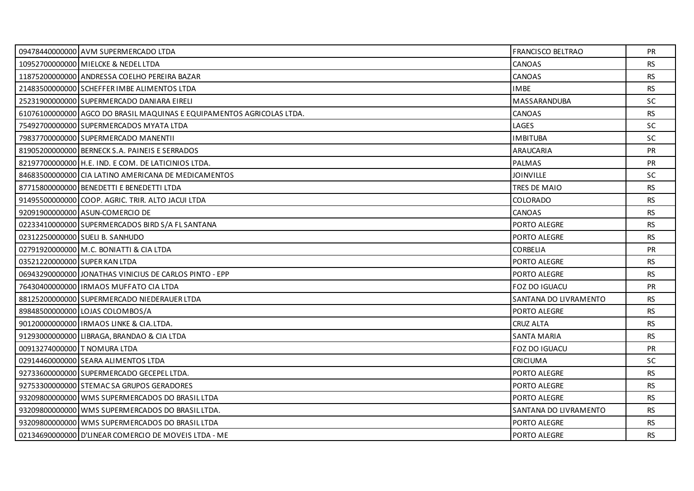|                               | 09478440000000 AVM SUPERMERCADO LTDA                                  | FRANCISCO BELTRAO     | <b>PR</b> |
|-------------------------------|-----------------------------------------------------------------------|-----------------------|-----------|
|                               | 10952700000000 MIELCKE & NEDEL LTDA                                   | CANOAS                | <b>RS</b> |
|                               | 11875200000000 ANDRESSA COELHO PEREIRA BAZAR                          | CANOAS                | <b>RS</b> |
|                               | 21483500000000 SCHEFFER IMBE ALIMENTOS LTDA                           | <b>IMBE</b>           | <b>RS</b> |
|                               | 25231900000000 SUPERMERCADO DANIARA EIRELI                            | <b>MASSARANDUBA</b>   | <b>SC</b> |
|                               | 61076100000000 AGCO DO BRASIL MAQUINAS E EQUIPAMENTOS AGRICOLAS LTDA. | CANOAS                | <b>RS</b> |
|                               | 75492700000000 SUPERMERCADOS MYATA LTDA                               | LAGES                 | <b>SC</b> |
|                               | 79837700000000 SUPERMERCADO MANENTII                                  | <b>IMBITUBA</b>       | <b>SC</b> |
|                               | 81905200000000 BERNECK S.A. PAINEIS E SERRADOS                        | ARAUCARIA             | <b>PR</b> |
|                               | 82197700000000 H.E. IND. E COM. DE LATICINIOS LTDA.                   | <b>PALMAS</b>         | <b>PR</b> |
|                               | 84683500000000 CIA LATINO AMERICANA DE MEDICAMENTOS                   | <b>JOINVILLE</b>      | SC        |
|                               | 87715800000000 BENEDETTI E BENEDETTI LTDA                             | TRES DE MAIO          | <b>RS</b> |
|                               | 91495500000000 COOP, AGRIC, TRIR, ALTO JACUI LTDA                     | <b>COLORADO</b>       | <b>RS</b> |
|                               | 92091900000000 ASUN-COMERCIO DE                                       | CANOAS                | <b>RS</b> |
|                               | 02233410000000 SUPERMERCADOS BIRD S/A FL SANTANA                      | PORTO ALEGRE          | <b>RS</b> |
|                               | 02312250000000 SUELI B. SANHUDO                                       | PORTO ALEGRE          | <b>RS</b> |
|                               | 02791920000000 M.C. BONIATTI & CIA LTDA                               | CORBELIA              | PR        |
| 03521220000000 SUPER KAN LTDA |                                                                       | PORTO ALEGRE          | <b>RS</b> |
|                               | 06943290000000 JONATHAS VINICIUS DE CARLOS PINTO - EPP                | PORTO ALEGRE          | <b>RS</b> |
|                               | 76430400000000   IRMAOS MUFFATO CIA LTDA                              | FOZ DO IGUACU         | PR        |
|                               | 88125200000000 SUPERMERCADO NIEDERAUER LTDA                           | SANTANA DO LIVRAMENTO | <b>RS</b> |
|                               | 89848500000000 LOJAS COLOMBOS/A                                       | PORTO ALEGRE          | <b>RS</b> |
|                               | 90120000000000   IRMAOS LINKE & CIA.LTDA.                             | <b>CRUZ ALTA</b>      | <b>RS</b> |
|                               | 91293000000000 LIBRAGA, BRANDAO & CIA LTDA                            | <b>SANTA MARIA</b>    | <b>RS</b> |
| 00913274000000 T NOMURA LTDA  |                                                                       | FOZ DO IGUACU         | <b>PR</b> |
|                               | 02914460000000 SEARA ALIMENTOS LTDA                                   | <b>CRICIUMA</b>       | SC        |
|                               | 92733600000000 SUPERMERCADO GECEPEL LTDA.                             | PORTO ALEGRE          | <b>RS</b> |
|                               | 92753300000000 STEMACSA GRUPOS GERADORES                              | PORTO ALEGRE          | <b>RS</b> |
|                               | 93209800000000 WMS SUPERMERCADOS DO BRASIL LTDA                       | PORTO ALEGRE          | <b>RS</b> |
|                               | 93209800000000 WMS SUPERMERCADOS DO BRASIL LTDA.                      | SANTANA DO LIVRAMENTO | <b>RS</b> |
|                               | 93209800000000 WMS SUPERMERCADOS DO BRASIL LTDA                       | PORTO ALEGRE          | <b>RS</b> |
|                               | 02134690000000 D'LINEAR COMERCIO DE MOVEIS LTDA - ME                  | PORTO ALEGRE          | <b>RS</b> |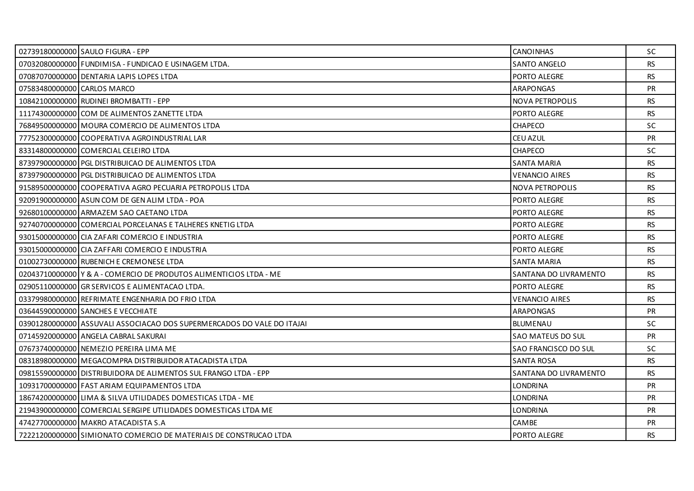|                             | 02739180000000 SAULO FIGURA - EPP                                      | <b>CANOINHAS</b>       | <b>SC</b> |
|-----------------------------|------------------------------------------------------------------------|------------------------|-----------|
|                             | 07032080000000 FUNDIMISA - FUNDICAO E USINAGEM LTDA.                   | <b>SANTO ANGELO</b>    | <b>RS</b> |
|                             | 07087070000000 DENTARIA LAPIS LOPES LTDA                               | PORTO ALEGRE           | <b>RS</b> |
| 07583480000000 CARLOS MARCO |                                                                        | <b>ARAPONGAS</b>       | PR        |
|                             | 10842100000000 RUDINEI BROMBATTI - EPP                                 | <b>NOVA PETROPOLIS</b> | <b>RS</b> |
|                             | 11174300000000 COM DE ALIMENTOS ZANETTE LTDA                           | PORTO ALEGRE           | <b>RS</b> |
|                             | 76849500000000 MOURA COMERCIO DE ALIMENTOS LTDA                        | <b>CHAPECO</b>         | <b>SC</b> |
|                             | 77752300000000 COOPERATIVA AGROINDUSTRIAL LAR                          | CEU AZUL               | PR        |
|                             | 83314800000000 COMERCIAL CELEIRO LTDA                                  | <b>CHAPECO</b>         | SC.       |
|                             | 87397900000000 PGL DISTRIBUICAO DE ALIMENTOS LTDA                      | <b>SANTA MARIA</b>     | RS.       |
|                             | 87397900000000 PGL DISTRIBUICAO DE ALIMENTOS LTDA                      | <b>VENANCIO AIRES</b>  | <b>RS</b> |
|                             | 91589500000000 COOPERATIVA AGRO PECUARIA PETROPOLIS LTDA               | NOVA PETROPOLIS        | <b>RS</b> |
|                             | 92091900000000 ASUN COM DE GEN ALIM LTDA - POA                         | PORTO ALEGRE           | RS.       |
|                             | 92680100000000 ARMAZEM SAO CAETANO LTDA                                | PORTO ALEGRE           | <b>RS</b> |
|                             | 92740700000000 COMERCIAL PORCELANAS E TALHERES KNETIG LTDA             | <b>PORTO ALEGRE</b>    | <b>RS</b> |
|                             | 93015000000000 CIA ZAFARI COMERCIO E INDUSTRIA                         | PORTO ALEGRE           | <b>RS</b> |
|                             | 93015000000000 CIA ZAFFARI COMERCIO E INDUSTRIA                        | PORTO ALEGRE           | <b>RS</b> |
|                             | 01002730000000 RUBENICH E CREMONESE LTDA                               | SANTA MARIA            | RS        |
|                             | 02043710000000 Y & A - COMERCIO DE PRODUTOS ALIMENTICIOS LTDA - ME     | SANTANA DO LIVRAMENTO  | <b>RS</b> |
|                             | 02905110000000 GR SERVICOS E ALIMENTACAO LTDA.                         | PORTO ALEGRE           | <b>RS</b> |
|                             | 03379980000000 REFRIMATE ENGENHARIA DO FRIO LTDA                       | <b>VENANCIO AIRES</b>  | <b>RS</b> |
|                             | 03644590000000 SANCHES E VECCHIATE                                     | <b>ARAPONGAS</b>       | <b>PR</b> |
|                             | 03901280000000 ASSUVALI ASSOCIACAO DOS SUPERMERCADOS DO VALE DO ITAJAI | <b>BLUMENAU</b>        | <b>SC</b> |
|                             | 07145920000000 ANGELA CABRAL SAKURAI                                   | SAO MATEUS DO SUL      | <b>PR</b> |
|                             | 07673740000000 NEMEZIO PEREIRA LIMA ME                                 | SAO FRANCISCO DO SUL   | SC        |
|                             | 08318980000000   MEGACOMPRA DISTRIBUIDOR ATACADISTA LTDA               | <b>SANTA ROSA</b>      | <b>RS</b> |
|                             | 09815590000000 DISTRIBUIDORA DE ALIMENTOS SUL FRANGO LTDA - EPP        | SANTANA DO LIVRAMENTO  | <b>RS</b> |
|                             | 10931700000000 FAST ARIAM EQUIPAMENTOS LTDA                            | <b>LONDRINA</b>        | <b>PR</b> |
|                             | 18674200000000 LIMA & SILVA UTILIDADES DOMESTICAS LTDA - ME            | <b>LONDRINA</b>        | PR        |
|                             | 21943900000000 COMERCIAL SERGIPE UTILIDADES DOMESTICAS LTDA ME         | <b>LONDRINA</b>        | <b>PR</b> |
|                             | 47427700000000 MAKRO ATACADISTA S.A                                    | <b>CAMBE</b>           | <b>PR</b> |
|                             | 72221200000000 SIMIONATO COMERCIO DE MATERIAIS DE CONSTRUCAO LTDA      | PORTO ALEGRE           | <b>RS</b> |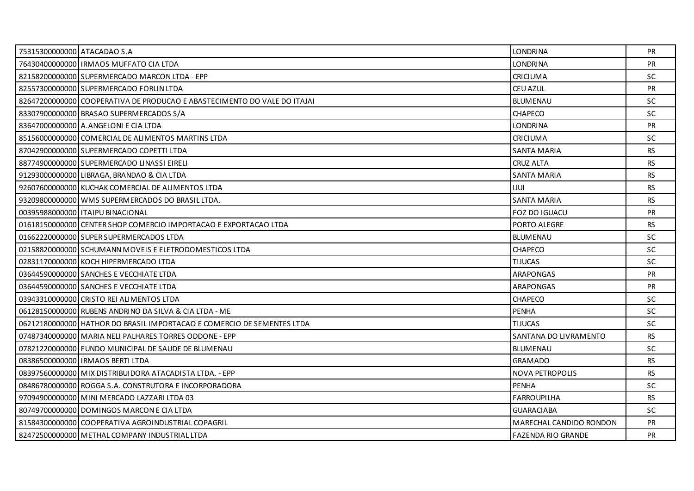| 75315300000000 ATACADAO S.A |                                                                          | <b>LONDRINA</b>           | <b>PR</b> |
|-----------------------------|--------------------------------------------------------------------------|---------------------------|-----------|
|                             | 76430400000000 IRMAOS MUFFATO CIA LTDA                                   | <b>LONDRINA</b>           | PR        |
|                             | 82158200000000 SUPERMERCADO MARCON LTDA - EPP                            | <b>CRICIUMA</b>           | <b>SC</b> |
|                             | 82557300000000 SUPERMERCADO FORLIN LTDA                                  | CEU AZUL                  | PR        |
|                             | 82647200000000 COOPERATIVA DE PRODUCAO E ABASTECIMENTO DO VALE DO ITAJAI | <b>BLUMENAU</b>           | SC        |
|                             | 83307900000000 BRASAO SUPERMERCADOS S/A                                  | <b>CHAPECO</b>            | SC.       |
|                             | 83647000000000 A.ANGELONI E CIA LTDA                                     | <b>LONDRINA</b>           | <b>PR</b> |
|                             | 85156000000000 COMERCIAL DE ALIMENTOS MARTINS LTDA                       | <b>CRICIUMA</b>           | <b>SC</b> |
|                             | 87042900000000 SUPERMERCADO COPETTI LTDA                                 | <b>SANTA MARIA</b>        | <b>RS</b> |
|                             | 88774900000000 SUPERMERCADO LINASSI EIRELI                               | <b>CRUZ ALTA</b>          | <b>RS</b> |
|                             | 91293000000000 LIBRAGA, BRANDAO & CIA LTDA                               | <b>SANTA MARIA</b>        | <b>RS</b> |
|                             | 92607600000000 KUCHAK COMERCIAL DE ALIMENTOS LTDA                        | <b>IJUI</b>               | <b>RS</b> |
|                             | 93209800000000 WMS SUPERMERCADOS DO BRASIL LTDA.                         | <b>SANTA MARIA</b>        | <b>RS</b> |
|                             | 00395988000000   ITAIPU BINACIONAL                                       | FOZ DO IGUACU             | PR        |
|                             | 01618150000000 CENTER SHOP COMERCIO IMPORTACAO E EXPORTACAO LTDA         | PORTO ALEGRE              | <b>RS</b> |
|                             | 01662220000000 SUPER SUPERMERCADOS LTDA                                  | <b>BLUMENAU</b>           | SC        |
|                             | 02158820000000 SCHUMANN MOVEIS E ELETRODOMESTICOS LTDA                   | CHAPECO                   | SC        |
|                             | 02831170000000 KOCH HIPERMERCADO LTDA                                    | <b>TIJUCAS</b>            | <b>SC</b> |
|                             | 03644590000000 SANCHES E VECCHIATE LTDA                                  | <b>ARAPONGAS</b>          | <b>PR</b> |
|                             | 03644590000000 SANCHES E VECCHIATE LTDA                                  | <b>ARAPONGAS</b>          | <b>PR</b> |
|                             | 03943310000000 CRISTO REI ALIMENTOS LTDA                                 | <b>CHAPECO</b>            | SC.       |
|                             | 06128150000000 RUBENS ANDRINO DA SILVA & CIA LTDA - ME                   | PENHA                     | <b>SC</b> |
|                             | 06212180000000 HATHOR DO BRASIL IMPORTACAO E COMERCIO DE SEMENTES LTDA   | <b>TIJUCAS</b>            | <b>SC</b> |
|                             | 07487340000000 MARIA NELI PALHARES TORRES ODDONE - EPP                   | SANTANA DO LIVRAMENTO     | <b>RS</b> |
|                             | 07821220000000 FUNDO MUNICIPAL DE SAUDE DE BLUMENAU                      | BLUMENAU                  | <b>SC</b> |
|                             | 08386500000000 IRMAOS BERTI LTDA                                         | <b>GRAMADO</b>            | <b>RS</b> |
|                             | 08397560000000 MIX DISTRIBUIDORA ATACADISTA LTDA. - EPP                  | <b>NOVA PETROPOLIS</b>    | <b>RS</b> |
|                             | 08486780000000 ROGGA S.A. CONSTRUTORA E INCORPORADORA                    | <b>PENHA</b>              | <b>SC</b> |
|                             | 97094900000000 MINI MERCADO LAZZARI LTDA 03                              | <b>FARROUPILHA</b>        | <b>RS</b> |
|                             | 80749700000000 DOMINGOS MARCON E CIA LTDA                                | <b>GUARACIABA</b>         | SC        |
|                             | 81584300000000 COOPERATIVA AGROINDUSTRIAL COPAGRIL                       | MARECHAL CANDIDO RONDON   | <b>PR</b> |
|                             | 82472500000000 METHAL COMPANY INDUSTRIAL LTDA                            | <b>FAZENDA RIO GRANDE</b> | <b>PR</b> |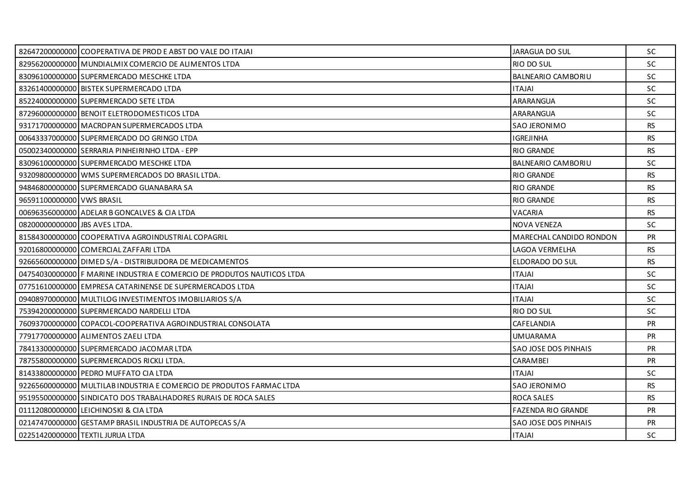|                               | 82647200000000 COOPERATIVA DE PROD E ABST DO VALE DO ITAJAI            | JARAGUA DO SUL            | <b>SC</b> |
|-------------------------------|------------------------------------------------------------------------|---------------------------|-----------|
|                               | 82956200000000 MUNDIALMIX COMERCIO DE ALIMENTOS LTDA                   | RIO DO SUL                | SC        |
|                               | 83096100000000 SUPERMERCADO MESCHKE LTDA                               | <b>BALNEARIO CAMBORIU</b> | <b>SC</b> |
|                               | 83261400000000 BISTEK SUPERMERCADO LTDA                                | <b>ITAJAI</b>             | SC.       |
|                               | 85224000000000 SUPERMERCADO SETE LTDA                                  | ARARANGUA                 | SC        |
|                               | 87296000000000 BENOIT ELETRODOMESTICOS LTDA                            | ARARANGUA                 | <b>SC</b> |
|                               | 93171700000000 MACROPAN SUPERMERCADOS LTDA                             | <b>SAO JERONIMO</b>       | <b>RS</b> |
|                               | 00643337000000 SUPERMERCADO DO GRINGO LTDA                             | <b>IGREJINHA</b>          | <b>RS</b> |
|                               | 05002340000000 SERRARIA PINHEIRINHO LTDA - EPP                         | <b>RIO GRANDE</b>         | RS.       |
|                               | 83096100000000 SUPERMERCADO MESCHKE LTDA                               | <b>BALNEARIO CAMBORIU</b> | <b>SC</b> |
|                               | 93209800000000 WMS SUPERMERCADOS DO BRASIL LTDA.                       | <b>RIO GRANDE</b>         | <b>RS</b> |
|                               | 94846800000000 SUPERMERCADO GUANABARA SA                               | <b>RIO GRANDE</b>         | <b>RS</b> |
| 96591100000000 VWS BRASIL     |                                                                        | <b>RIO GRANDE</b>         | <b>RS</b> |
|                               | 00696356000000 ADELAR B GONCALVES & CIA LTDA                           | <b>VACARIA</b>            | <b>RS</b> |
| 08200000000000 JBS AVES LTDA. |                                                                        | <b>NOVA VENEZA</b>        | <b>SC</b> |
|                               | 81584300000000 COOPERATIVA AGROINDUSTRIAL COPAGRIL                     | MARECHAL CANDIDO RONDON   | <b>PR</b> |
|                               | 92016800000000 COMERCIAL ZAFFARI LTDA                                  | LAGOA VERMELHA            | <b>RS</b> |
|                               | 92665600000000 DIMED S/A - DISTRIBUIDORA DE MEDICAMENTOS               | ELDORADO DO SUL           | RS        |
|                               | 04754030000000 F MARINE INDUSTRIA E COMERCIO DE PRODUTOS NAUTICOS LTDA | <b>ITAJAI</b>             | <b>SC</b> |
|                               | 07751610000000 EMPRESA CATARINENSE DE SUPERMERCADOS LTDA               | <b>ITAJAI</b>             | <b>SC</b> |
|                               | 09408970000000 MULTILOG INVESTIMENTOS IMOBILIARIOS S/A                 | <b>IALATI</b>             | <b>SC</b> |
|                               | 75394200000000 SUPERMERCADO NARDELLI LTDA                              | RIO DO SUL                | <b>SC</b> |
|                               | 76093700000000 COPACOL-COOPERATIVA AGROINDUSTRIAL CONSOLATA            | CAFELANDIA                | PR        |
|                               | 77917700000000 ALIMENTOS ZAELI LTDA                                    | <b>UMUARAMA</b>           | <b>PR</b> |
|                               | 78413300000000 SUPERMERCADO JACOMAR LTDA                               | SAO JOSE DOS PINHAIS      | <b>PR</b> |
|                               | 78755800000000 SUPERMERCADOS RICKLI LTDA.                              | <b>CARAMBEI</b>           | <b>PR</b> |
|                               | 81433800000000 PEDRO MUFFATO CIA LTDA                                  | <b>ITAJAI</b>             | SC        |
|                               | 92265600000000 MULTILAB INDUSTRIA E COMERCIO DE PRODUTOS FARMAC LTDA   | <b>SAO JERONIMO</b>       | <b>RS</b> |
|                               | 95195500000000 SINDICATO DOS TRABALHADORES RURAIS DE ROCA SALES        | <b>ROCA SALES</b>         | RS.       |
|                               | 01112080000000 LEICHINOSKI & CIA LTDA                                  | <b>FAZENDA RIO GRANDE</b> | <b>PR</b> |
|                               | 02147470000000 GESTAMP BRASIL INDUSTRIA DE AUTOPECAS S/A               | SAO JOSE DOS PINHAIS      | PR        |
|                               | 02251420000000 TEXTIL JURUA LTDA                                       | <b>ITAJAI</b>             | <b>SC</b> |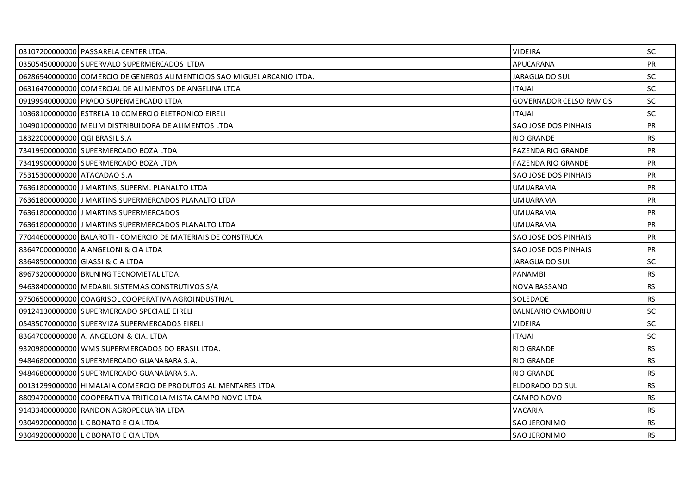|                               | 03107200000000 PASSARELA CENTER LTDA.                                    | <b>VIDEIRA</b>                | <b>SC</b> |
|-------------------------------|--------------------------------------------------------------------------|-------------------------------|-----------|
|                               | 03505450000000 SUPERVALO SUPERMERCADOS LTDA                              | <b>APUCARANA</b>              | <b>PR</b> |
|                               | 06286940000000 COMERCIO DE GENEROS ALIMENTICIOS SAO MIGUEL ARCANJO LTDA. | JARAGUA DO SUL                | <b>SC</b> |
|                               | 06316470000000 COMERCIAL DE ALIMENTOS DE ANGELINA LTDA                   | <b>ITAJAI</b>                 | <b>SC</b> |
|                               | 09199940000000 PRADO SUPERMERCADO LTDA                                   | <b>GOVERNADOR CELSO RAMOS</b> | <b>SC</b> |
|                               | 10368100000000 ESTRELA 10 COMERCIO ELETRONICO EIRELI                     | <b>ITAJAI</b>                 | <b>SC</b> |
|                               | 10490100000000 MELIM DISTRIBUIDORA DE ALIMENTOS LTDA                     | SAO JOSE DOS PINHAIS          | PR        |
| 18322000000000 QGI BRASIL S.A |                                                                          | <b>RIO GRANDE</b>             | <b>RS</b> |
|                               | 73419900000000 SUPERMERCADO BOZA LTDA                                    | <b>FAZENDA RIO GRANDE</b>     | <b>PR</b> |
|                               | 73419900000000 SUPERMERCADO BOZA LTDA                                    | <b>FAZENDA RIO GRANDE</b>     | <b>PR</b> |
| 75315300000000 ATACADAO S.A   |                                                                          | SAO JOSE DOS PINHAIS          | PR        |
|                               | 76361800000000 JJ MARTINS, SUPERM. PLANALTO LTDA                         | UMUARAMA                      | <b>PR</b> |
|                               | 76361800000000 J MARTINS SUPERMERCADOS PLANALTO LTDA                     | <b>UMUARAMA</b>               | <b>PR</b> |
|                               | 76361800000000 J MARTINS SUPERMERCADOS                                   | <b>UMUARAMA</b>               | PR        |
|                               | 763618000000001J MARTINS SUPERMERCADOS PLANALTO LTDA                     | UMUARAMA                      | <b>PR</b> |
|                               | 77044600000000 BALAROTI - COMERCIO DE MATERIAIS DE CONSTRUCA             | SAO JOSE DOS PINHAIS          | <b>PR</b> |
|                               | 83647000000000 A ANGELONI & CIA LTDA                                     | SAO JOSE DOS PINHAIS          | PR        |
|                               | 83648500000000 GIASSI & CIA LTDA                                         | JARAGUA DO SUL                | <b>SC</b> |
|                               | 89673200000000 BRUNING TECNOMETAL LTDA.                                  | <b>PANAMBI</b>                | <b>RS</b> |
|                               | 94638400000000 MEDABIL SISTEMAS CONSTRUTIVOS S/A                         | NOVA BASSANO                  | <b>RS</b> |
|                               | 97506500000000 COAGRISOL COOPERATIVA AGROINDUSTRIAL                      | SOLEDADE                      | <b>RS</b> |
|                               | 09124130000000 SUPERMERCADO SPECIALE EIRELI                              | BALNEARIO CAMBORIU            | <b>SC</b> |
|                               | 05435070000000 SUPERVIZA SUPERMERCADOS EIRELI                            | <b>VIDEIRA</b>                | <b>SC</b> |
|                               | 83647000000000 A. ANGELONI & CIA. LTDA                                   | <b>ITAJAI</b>                 | <b>SC</b> |
|                               | 93209800000000 WMS SUPERMERCADOS DO BRASIL LTDA.                         | <b>RIO GRANDE</b>             | <b>RS</b> |
|                               | 94846800000000 SUPERMERCADO GUANABARA S.A.                               | <b>RIO GRANDE</b>             | <b>RS</b> |
|                               | 94846800000000 SUPERMERCADO GUANABARA S.A.                               | <b>RIO GRANDE</b>             | <b>RS</b> |
|                               | 00131299000000 HIMALAIA COMERCIO DE PRODUTOS ALIMENTARES LTDA            | ELDORADO DO SUL               | <b>RS</b> |
|                               | 88094700000000 COOPERATIVA TRITICOLA MISTA CAMPO NOVO LTDA               | CAMPO NOVO                    | <b>RS</b> |
|                               | 91433400000000 RANDON AGROPECUARIA LTDA                                  | VACARIA                       | RS.       |
|                               | 93049200000000 LC BONATO E CIA LTDA                                      | <b>SAO JERONIMO</b>           | <b>RS</b> |
|                               | 93049200000000 L C BONATO E CIA LTDA                                     | <b>SAO JERONIMO</b>           | RS.       |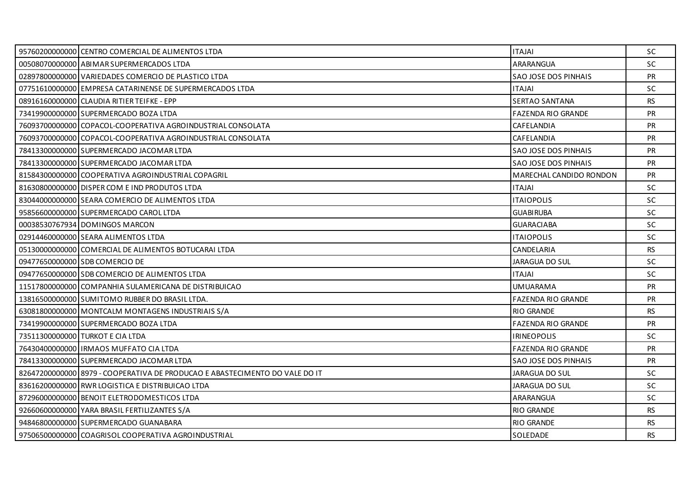| 95760200000000 CENTRO COMERCIAL DE ALIMENTOS LTDA                           | <b>ITAJAI</b>             | <b>SC</b> |
|-----------------------------------------------------------------------------|---------------------------|-----------|
| 00508070000000 ABIMAR SUPERMERCADOS LTDA                                    | ARARANGUA                 | <b>SC</b> |
| 02897800000000 VARIEDADES COMERCIO DE PLASTICO LTDA                         | SAO JOSE DOS PINHAIS      | <b>PR</b> |
| 07751610000000 EMPRESA CATARINENSE DE SUPERMERCADOS LTDA                    | <b>ITAJAI</b>             | <b>SC</b> |
| 08916160000000 CLAUDIA RITIER TEIFKE - EPP                                  | <b>SERTAO SANTANA</b>     | <b>RS</b> |
| 73419900000000 SUPERMERCADO BOZA LTDA                                       | <b>FAZENDA RIO GRANDE</b> | <b>PR</b> |
| 76093700000000 COPACOL-COOPERATIVA AGROINDUSTRIAL CONSOLATA                 | CAFELANDIA                | <b>PR</b> |
| 76093700000000 COPACOL-COOPERATIVA AGROINDUSTRIAL CONSOLATA                 | CAFELANDIA                | PR        |
| 78413300000000 SUPERMERCADO JACOMAR LTDA                                    | SAO JOSE DOS PINHAIS      | <b>PR</b> |
| 78413300000000 SUPERMERCADO JACOMAR LTDA                                    | SAO JOSE DOS PINHAIS      | <b>PR</b> |
| 81584300000000 COOPERATIVA AGROINDUSTRIAL COPAGRIL                          | MARECHAL CANDIDO RONDON   | <b>PR</b> |
| 81630800000000 DISPER COM E IND PRODUTOS LTDA                               | <b>ITAJAI</b>             | <b>SC</b> |
| 83044000000000 SEARA COMERCIO DE ALIMENTOS LTDA                             | <b>ITAIOPOLIS</b>         | SC        |
| 95856600000000 SUPERMERCADO CAROL LTDA                                      | <b>GUABIRUBA</b>          | SC        |
| 000385307679341DOMINGOS MARCON                                              | <b>GUARACIABA</b>         | <b>SC</b> |
| 02914460000000 SEARA ALIMENTOS LTDA                                         | <b>ITAIOPOLIS</b>         | SC        |
| 05130000000000 COMERCIAL DE ALIMENTOS BOTUCARAI LTDA                        | CANDELARIA                | <b>RS</b> |
| 09477650000000 SDB COMERCIO DE                                              | JARAGUA DO SUL            | <b>SC</b> |
| 09477650000000 SDB COMERCIO DE ALIMENTOS LTDA                               | <b>ITAJAI</b>             | SC        |
| 11517800000000 COMPANHIA SULAMERICANA DE DISTRIBUICAO                       | <b>UMUARAMA</b>           | PR        |
| 13816500000000 SUMITOMO RUBBER DO BRASIL LTDA.                              | <b>FAZENDA RIO GRANDE</b> | <b>PR</b> |
| 63081800000000 MONTCALM MONTAGENS INDUSTRIAIS S/A                           | <b>RIO GRANDE</b>         | RS.       |
| 73419900000000 SUPERMERCADO BOZA LTDA                                       | <b>FAZENDA RIO GRANDE</b> | <b>PR</b> |
| 73511300000000 TURKOT E CIA LTDA                                            | <b>IRINEOPOLIS</b>        | SC.       |
| 76430400000000   IRMAOS MUFFATO CIA LTDA                                    | <b>FAZENDA RIO GRANDE</b> | <b>PR</b> |
| 78413300000000 SUPERMERCADO JACOMAR LTDA                                    | SAO JOSE DOS PINHAIS      | <b>PR</b> |
| 8264720000000018979 - COOPERATIVA DE PRODUCAO E ABASTECIMENTO DO VALE DO IT | JARAGUA DO SUL            | SC.       |
| 83616200000000 RWR LOGISTICA E DISTRIBUICAO LTDA                            | JARAGUA DO SUL            | <b>SC</b> |
| 87296000000000 BENOIT ELETRODOMESTICOS LTDA                                 | ARARANGUA                 | <b>SC</b> |
| 92660600000000 YARA BRASIL FERTILIZANTES S/A                                | <b>RIO GRANDE</b>         | RS        |
| 94846800000000 SUPERMERCADO GUANABARA                                       | <b>RIO GRANDE</b>         | RS.       |
| 97506500000000 COAGRISOL COOPERATIVA AGROINDUSTRIAL                         | SOLEDADE                  | <b>RS</b> |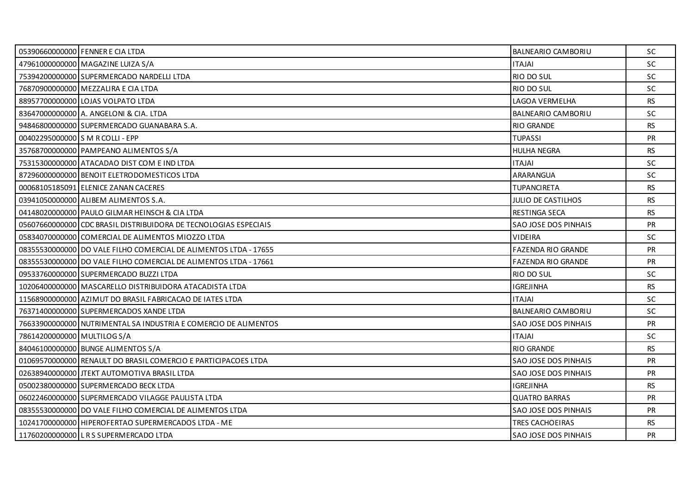|                                  | 05390660000000 FENNER E CIA LTDA                                 | BALNEARIO CAMBORIU          | <b>SC</b> |
|----------------------------------|------------------------------------------------------------------|-----------------------------|-----------|
|                                  | 47961000000000 MAGAZINE LUIZA S/A                                | <b>ITAJAI</b>               | SC        |
|                                  | 75394200000000 SUPERMERCADO NARDELLI LTDA                        | RIO DO SUL                  | <b>SC</b> |
|                                  | 76870900000000 MEZZALIRA E CIA LTDA                              | RIO DO SUL                  | <b>SC</b> |
|                                  | 88957700000000 LOJAS VOLPATO LTDA                                | LAGOA VERMELHA              | <b>RS</b> |
|                                  | 83647000000000 A. ANGELONI & CIA. LTDA                           | BALNEARIO CAMBORIU          | <b>SC</b> |
|                                  | 94846800000000 SUPERMERCADO GUANABARA S.A.                       | <b>RIO GRANDE</b>           | <b>RS</b> |
| 00402295000000 S M R COLLI - EPP |                                                                  | <b>TUPASSI</b>              | <b>PR</b> |
|                                  | 35768700000000 PAMPEANO ALIMENTOS S/A                            | <b>HULHA NEGRA</b>          | RS.       |
|                                  | 75315300000000 ATACADAO DIST COM E IND LTDA                      | <b>ITAJAI</b>               | SC.       |
|                                  | 87296000000000 BENOIT ELETRODOMESTICOS LTDA                      | ARARANGUA                   | <b>SC</b> |
|                                  | 00068105185091 ELENICE ZANAN CACERES                             | <b>TUPANCIRETA</b>          | <b>RS</b> |
|                                  | 03941050000000 ALIBEM ALIMENTOS S.A.                             | <b>JULIO DE CASTILHOS</b>   | <b>RS</b> |
|                                  | 04148020000000 PAULO GILMAR HEINSCH & CIA LTDA                   | RESTINGA SECA               | <b>RS</b> |
|                                  | 05607660000000 CDC BRASIL DISTRIBUIDORA DE TECNOLOGIAS ESPECIAIS | SAO JOSE DOS PINHAIS        | <b>PR</b> |
|                                  | 05834070000000 COMERCIAL DE ALIMENTOS MIOZZO LTDA                | <b>VIDEIRA</b>              | SC        |
|                                  | 08355530000000 DO VALE FILHO COMERCIAL DE ALIMENTOS LTDA - 17655 | <b>FAZENDA RIO GRANDE</b>   | PR        |
|                                  | 08355530000000 DO VALE FILHO COMERCIAL DE ALIMENTOS LTDA - 17661 | <b>FAZENDA RIO GRANDE</b>   | <b>PR</b> |
|                                  | 09533760000000 SUPERMERCADO BUZZI LTDA                           | RIO DO SUL                  | SC        |
|                                  | 10206400000000 MASCARELLO DISTRIBUIDORA ATACADISTA LTDA          | <b>IGREJINHA</b>            | RS        |
|                                  | 11568900000000 AZIMUT DO BRASIL FABRICACAO DE IATES LTDA         | <b>ITAJAI</b>               | <b>SC</b> |
|                                  | 76371400000000 SUPERMERCADOS XANDE LTDA                          | BALNEARIO CAMBORIU          | SC.       |
|                                  | 76633900000000 NUTRIMENTAL SA INDUSTRIA E COMERCIO DE ALIMENTOS  | <b>SAO JOSE DOS PINHAIS</b> | PR        |
| 78614200000000 MULTILOG S/A      |                                                                  | <b>ITAJAI</b>               | <b>SC</b> |
|                                  | 84046100000000 BUNGE ALIMENTOS S/A                               | <b>RIO GRANDE</b>           | <b>RS</b> |
|                                  | 01069570000000 RENAULT DO BRASIL COMERCIO E PARTICIPACOES LTDA   | <b>SAO JOSE DOS PINHAIS</b> | <b>PR</b> |
|                                  | 02638940000000 JTEKT AUTOMOTIVA BRASIL LTDA                      | SAO JOSE DOS PINHAIS        | <b>PR</b> |
|                                  | 05002380000000 SUPERMERCADO BECK LTDA                            | <b>IGREJINHA</b>            | <b>RS</b> |
|                                  | 06022460000000 SUPERMERCADO VILAGGE PAULISTA LTDA                | <b>QUATRO BARRAS</b>        | PR        |
|                                  | 08355530000000 DO VALE FILHO COMERCIAL DE ALIMENTOS LTDA         | SAO JOSE DOS PINHAIS        | <b>PR</b> |
|                                  | 10241700000000 HIPEROFERTAO SUPERMERCADOS LTDA - ME              | TRES CACHOEIRAS             | RS.       |
|                                  | 11760200000000 LRS SUPERMERCADO LTDA                             | <b>SAO JOSE DOS PINHAIS</b> | <b>PR</b> |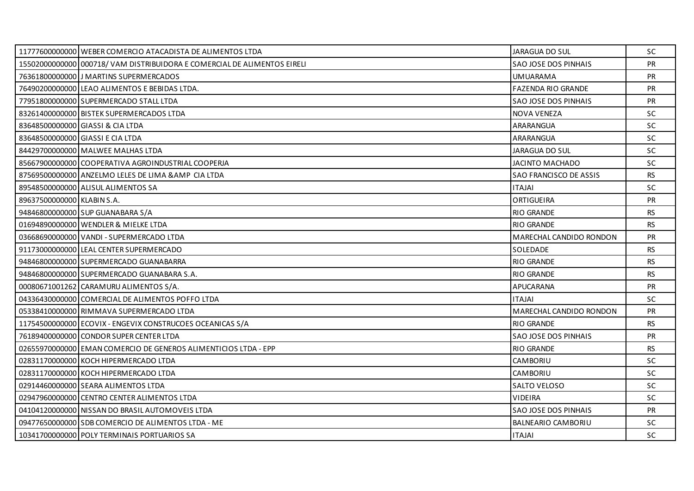|                            | 11777600000000 WEBER COMERCIO ATACADISTA DE ALIMENTOS LTDA               | JARAGUA DO SUL              | <b>SC</b> |
|----------------------------|--------------------------------------------------------------------------|-----------------------------|-----------|
|                            | 15502000000000 000718/ VAM DISTRIBUIDORA E COMERCIAL DE ALIMENTOS EIRELI | SAO JOSE DOS PINHAIS        | <b>PR</b> |
|                            | 76361800000000 J MARTINS SUPERMERCADOS                                   | <b>UMUARAMA</b>             | PR        |
|                            | 76490200000000 LEAO ALIMENTOS E BEBIDAS LTDA.                            | <b>FAZENDA RIO GRANDE</b>   | <b>PR</b> |
|                            | 77951800000000 SUPERMERCADO STALL LTDA                                   | SAO JOSE DOS PINHAIS        | PR        |
|                            | 83261400000000 BISTEK SUPERMERCADOS LTDA                                 | <b>NOVA VENEZA</b>          | <b>SC</b> |
|                            | 83648500000000 GIASSI & CIA LTDA                                         | ARARANGUA                   | <b>SC</b> |
|                            | 83648500000000 GIASSI E CIA LTDA                                         | ARARANGUA                   | <b>SC</b> |
|                            | 84429700000000 MALWEE MALHAS LTDA                                        | <b>JARAGUA DO SUL</b>       | <b>SC</b> |
|                            | 85667900000000 COOPERATIVA AGROINDUSTRIAL COOPERJA                       | <b>JACINTO MACHADO</b>      | <b>SC</b> |
|                            | 87569500000000 ANZELMO LELES DE LIMA & AMP CIA LTDA                      | SAO FRANCISCO DE ASSIS      | <b>RS</b> |
|                            | 89548500000000 ALISUL ALIMENTOS SA                                       | <b>ITAJAI</b>               | <b>SC</b> |
| 89637500000000 KLABIN S.A. |                                                                          | ORTIGUEIRA                  | <b>PR</b> |
|                            | 94846800000000 SUP GUANABARA S/A                                         | <b>RIO GRANDE</b>           | <b>RS</b> |
|                            | 01694890000000 WENDLER & MIELKE LTDA                                     | <b>RIO GRANDE</b>           | RS.       |
|                            | 03668690000000 VANDI - SUPERMERCADO LTDA                                 | MARECHAL CANDIDO RONDON     | <b>PR</b> |
|                            | 91173000000000 LEAL CENTER SUPERMERCADO                                  | SOLEDADE                    | <b>RS</b> |
|                            | 94846800000000 SUPERMERCADO GUANABARRA                                   | <b>RIO GRANDE</b>           | <b>RS</b> |
|                            | 94846800000000 SUPERMERCADO GUANABARA S.A.                               | <b>RIO GRANDE</b>           | <b>RS</b> |
|                            | 00080671001262 CARAMURU ALIMENTOS S/A.                                   | APUCARANA                   | PR        |
|                            | 04336430000000 COMERCIAL DE ALIMENTOS POFFO LTDA                         | <b>ITAJAI</b>               | SC        |
|                            | 05338410000000 RIMMAVA SUPERMERCADO LTDA                                 | MARECHAL CANDIDO RONDON     | <b>PR</b> |
|                            | 11754500000000 ECOVIX - ENGEVIX CONSTRUCOES OCEANICAS S/A                | <b>RIO GRANDE</b>           | <b>RS</b> |
|                            | 76189400000000 CONDOR SUPER CENTER LTDA                                  | SAO JOSE DOS PINHAIS        | <b>PR</b> |
|                            | 02655970000000 EMAN COMERCIO DE GENEROS ALIMENTICIOS LTDA - EPP          | <b>RIO GRANDE</b>           | RS.       |
|                            | 02831170000000 KOCH HIPERMERCADO LTDA                                    | CAMBORIU                    | <b>SC</b> |
|                            | 02831170000000 KOCH HIPERMERCADO LTDA                                    | CAMBORIU                    | <b>SC</b> |
|                            | 02914460000000 SEARA ALIMENTOS LTDA                                      | SALTO VELOSO                | SC        |
|                            | 02947960000000 CENTRO CENTER ALIMENTOS LTDA                              | <b>VIDEIRA</b>              | SC        |
|                            | 04104120000000 NISSAN DO BRASIL AUTOMOVEIS LTDA                          | <b>SAO JOSE DOS PINHAIS</b> | <b>PR</b> |
|                            | 09477650000000 SDB COMERCIO DE ALIMENTOS LTDA - ME                       | <b>BALNEARIO CAMBORIU</b>   | SC.       |
|                            | 10341700000000 POLY TERMINAIS PORTUARIOS SA                              | <b>ITAJAI</b>               | <b>SC</b> |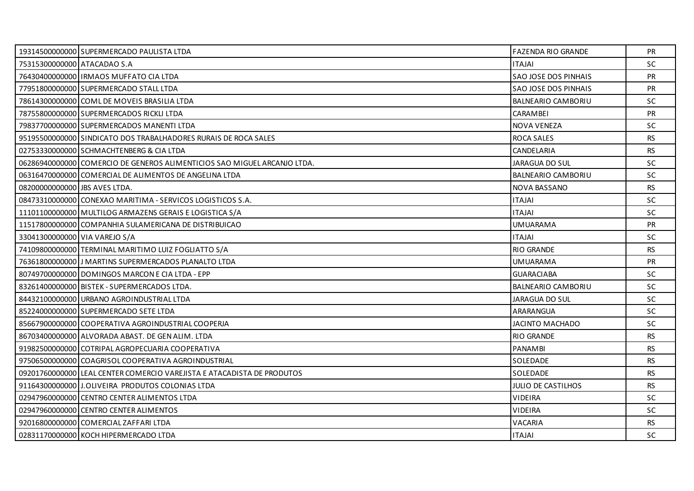|                               | 19314500000000 SUPERMERCADO PAULISTA LTDA                                | <b>FAZENDA RIO GRANDE</b>   | <b>PR</b> |
|-------------------------------|--------------------------------------------------------------------------|-----------------------------|-----------|
| 75315300000000 ATACADAO S.A   |                                                                          | <b>ITAJAI</b>               | <b>SC</b> |
|                               | 76430400000000   IRMAOS MUFFATO CIA LTDA                                 | <b>SAO JOSE DOS PINHAIS</b> | <b>PR</b> |
|                               | 77951800000000 SUPERMERCADO STALL LTDA                                   | SAO JOSE DOS PINHAIS        | PR        |
|                               | 78614300000000 COML DE MOVEIS BRASILIA LTDA                              | <b>BALNEARIO CAMBORIU</b>   | <b>SC</b> |
|                               | 78755800000000 SUPERMERCADOS RICKLI LTDA                                 | <b>CARAMBEI</b>             | <b>PR</b> |
|                               | 79837700000000 SUPERMERCADOS MANENTI LTDA                                | <b>NOVA VENEZA</b>          | <b>SC</b> |
|                               | 95195500000000 SINDICATO DOS TRABALHADORES RURAIS DE ROCA SALES          | <b>ROCA SALES</b>           | <b>RS</b> |
|                               | 02753330000000 SCHMACHTENBERG & CIA LTDA                                 | CANDELARIA                  | RS        |
|                               | 06286940000000 COMERCIO DE GENEROS ALIMENTICIOS SAO MIGUEL ARCANJO LTDA. | JARAGUA DO SUL              | <b>SC</b> |
|                               | 06316470000000 COMERCIAL DE ALIMENTOS DE ANGELINA LTDA                   | BALNEARIO CAMBORIU          | <b>SC</b> |
| 08200000000000 JBS AVES LTDA. |                                                                          | NOVA BASSANO                | <b>RS</b> |
|                               | 08473310000000 CONEXAO MARITIMA - SERVICOS LOGISTICOS S.A.               | <b>IALATI</b>               | <b>SC</b> |
|                               | 11101100000000 MULTILOG ARMAZENS GERAIS E LOGISTICA S/A                  | <b>ITAJAI</b>               | SC        |
|                               | 11517800000000 COMPANHIA SULAMERICANA DE DISTRIBUICAO                    | <b>UMUARAMA</b>             | <b>PR</b> |
| 33041300000000 VIA VAREJO S/A |                                                                          | <b>ITAJAI</b>               | <b>SC</b> |
|                               | 74109800000000 TERMINAL MARITIMO LUIZ FOGLIATTO S/A                      | <b>RIO GRANDE</b>           | <b>RS</b> |
|                               | 76361800000000 J MARTINS SUPERMERCADOS PLANALTO LTDA                     | <b>UMUARAMA</b>             | <b>PR</b> |
|                               | 80749700000000 DOMINGOS MARCON E CIA LTDA - EPP                          | <b>GUARACIABA</b>           | <b>SC</b> |
|                               | 83261400000000 BISTEK - SUPERMERCADOS LTDA.                              | BALNEARIO CAMBORIU          | SC        |
|                               | 84432100000000 URBANO AGROINDUSTRIAL LTDA                                | <b>JARAGUA DO SUL</b>       | SC.       |
|                               | 85224000000000 SUPERMERCADO SETE LTDA                                    | ARARANGUA                   | <b>SC</b> |
|                               | 85667900000000 COOPERATIVA AGROINDUSTRIAL COOPERJA                       | <b>JACINTO MACHADO</b>      | <b>SC</b> |
|                               | 86703400000000 ALVORADA ABAST. DE GEN ALIM. LTDA                         | <b>RIO GRANDE</b>           | <b>RS</b> |
|                               | 91982500000000 COTRIPAL AGROPECUARIA COOPERATIVA                         | <b>PANAMBI</b>              | RS.       |
|                               | 97506500000000 COAGRISOL COOPERATIVA AGROINDUSTRIAL                      | SOLEDADE                    | <b>RS</b> |
|                               | 09201760000000 LEAL CENTER COMERCIO VAREJISTA E ATACADISTA DE PRODUTOS   | SOLEDADE                    | <b>RS</b> |
|                               | 91164300000000 J.OLIVEIRA PRODUTOS COLONIAS LTDA                         | <b>JULIO DE CASTILHOS</b>   | <b>RS</b> |
|                               | 02947960000000 CENTRO CENTER ALIMENTOS LTDA                              | <b>VIDEIRA</b>              | <b>SC</b> |
|                               | 02947960000000 CENTRO CENTER ALIMENTOS                                   | <b>VIDEIRA</b>              | SC        |
|                               | 92016800000000 COMERCIAL ZAFFARI LTDA                                    | VACARIA                     | RS.       |
|                               | 02831170000000 KOCH HIPERMERCADO LTDA                                    | <b>ITAJAI</b>               | <b>SC</b> |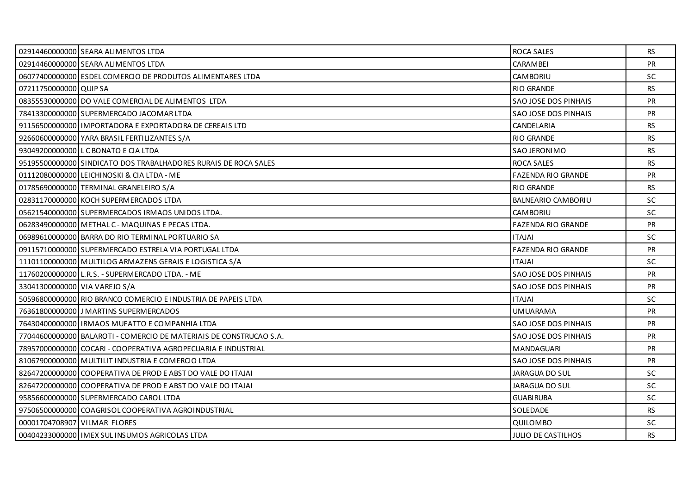|                               | 02914460000000 SEARA ALIMENTOS LTDA                                | ROCA SALES                  | RS.       |
|-------------------------------|--------------------------------------------------------------------|-----------------------------|-----------|
|                               | 02914460000000 SEARA ALIMENTOS LTDA                                | <b>CARAMBEI</b>             | PR        |
|                               | 06077400000000 ESDEL COMERCIO DE PRODUTOS ALIMENTARES LTDA         | CAMBORIU                    | <b>SC</b> |
| 07211750000000 QUIP SA        |                                                                    | <b>RIO GRANDE</b>           | <b>RS</b> |
|                               | 08355530000000 DO VALE COMERCIAL DE ALIMENTOS LTDA                 | SAO JOSE DOS PINHAIS        | PR        |
|                               | 78413300000000 SUPERMERCADO JACOMAR LTDA                           | <b>SAO JOSE DOS PINHAIS</b> | <b>PR</b> |
|                               | 91156500000000 I IMPORTADORA E EXPORTADORA DE CEREAIS LTD          | CANDELARIA                  | RS.       |
|                               | 92660600000000 YARA BRASIL FERTILIZANTES S/A                       | <b>RIO GRANDE</b>           | <b>RS</b> |
|                               | 93049200000000 L C BONATO E CIA LTDA                               | <b>SAO JERONIMO</b>         | <b>RS</b> |
|                               | 95195500000000 SINDICATO DOS TRABALHADORES RURAIS DE ROCA SALES    | <b>ROCA SALES</b>           | RS.       |
|                               | 01112080000000 LEICHINOSKI & CIA LTDA - ME                         | <b>FAZENDA RIO GRANDE</b>   | PR        |
|                               | 01785690000000 TERMINAL GRANELEIRO S/A                             | <b>RIO GRANDE</b>           | <b>RS</b> |
|                               | 02831170000000 KOCH SUPERMERCADOS LTDA                             | <b>BALNEARIO CAMBORIU</b>   | SC.       |
|                               | 05621540000000 SUPERMERCADOS IRMAOS UNIDOS LTDA.                   | CAMBORIU                    | SC        |
|                               | 06283490000000 METHAL C - MAQUINAS E PECAS LTDA.                   | <b>FAZENDA RIO GRANDE</b>   | <b>PR</b> |
|                               | 06989610000000 BARRA DO RIO TERMINAL PORTUARIO SA                  | <b>ITAJAI</b>               | SC        |
|                               | 09115710000000 SUPERMERCADO ESTRELA VIA PORTUGAL LTDA              | <b>FAZENDA RIO GRANDE</b>   | PR        |
|                               | 11101100000000 MULTILOG ARMAZENS GERAIS E LOGISTICA S/A            | <b>ITAJAI</b>               | <b>SC</b> |
|                               | 11760200000000 L.R.S. - SUPERMERCADO LTDA. - ME                    | <b>SAO JOSE DOS PINHAIS</b> | <b>PR</b> |
| 33041300000000 VIA VAREJO S/A |                                                                    | SAO JOSE DOS PINHAIS        | PR        |
|                               | 50596800000000 RIO BRANCO COMERCIO E INDUSTRIA DE PAPEIS LTDA      | <b>ITAJAI</b>               | <b>SC</b> |
|                               | 76361800000000 J MARTINS SUPERMERCADOS                             | <b>UMUARAMA</b>             | PR        |
|                               | 76430400000000   IRMAOS MUFATTO E COMPANHIA LTDA                   | SAO JOSE DOS PINHAIS        | PR        |
|                               | 77044600000000 BALAROTI - COMERCIO DE MATERIAIS DE CONSTRUCAO S.A. | SAO JOSE DOS PINHAIS        | <b>PR</b> |
|                               | 78957000000000 COCARI - COOPERATIVA AGROPECUARIA E INDUSTRIAL      | MANDAGUARI                  | PR        |
|                               | 81067900000000 MULTILIT INDUSTRIA E COMERCIO LTDA                  | <b>SAO JOSE DOS PINHAIS</b> | PR        |
|                               | 82647200000000 COOPERATIVA DE PROD E ABST DO VALE DO ITAJAI        | JARAGUA DO SUL              | SC        |
|                               | 82647200000000 COOPERATIVA DE PROD E ABST DO VALE DO ITAJAI        | <b>JARAGUA DO SUL</b>       | <b>SC</b> |
|                               | 95856600000000 SUPERMERCADO CAROL LTDA                             | <b>GUABIRUBA</b>            | <b>SC</b> |
|                               | 97506500000000 COAGRISOL COOPERATIVA AGROINDUSTRIAL                | SOLEDADE                    | RS        |
| 00001704708907 VILMAR FLORES  |                                                                    | QUILOMBO                    | SC        |
|                               | 00404233000000   IMEX SUL INSUMOS AGRICOLAS LTDA                   | <b>JULIO DE CASTILHOS</b>   | <b>RS</b> |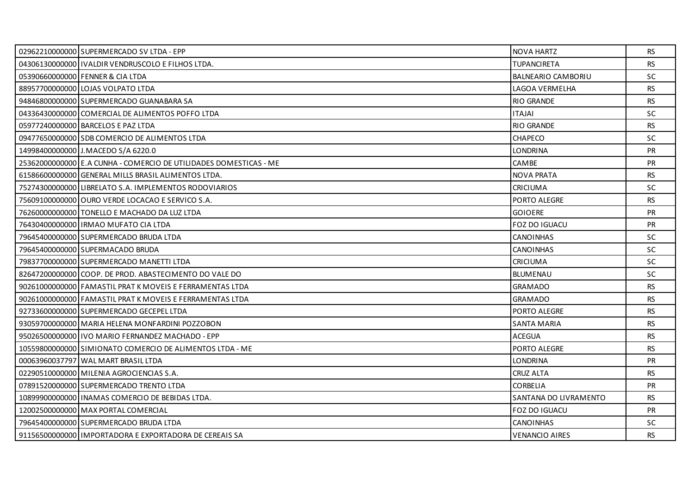| 02962210000000 SUPERMERCADO SV LTDA - EPP                         | NOVA HARTZ                | <b>RS</b> |
|-------------------------------------------------------------------|---------------------------|-----------|
| 04306130000000   IVALDIR VENDRUSCOLO E FILHOS LTDA.               | <b>TUPANCIRETA</b>        | <b>RS</b> |
| 05390660000000 FENNER & CIA LTDA                                  | <b>BALNEARIO CAMBORIU</b> | <b>SC</b> |
| 88957700000000 LOJAS VOLPATO LTDA                                 | LAGOA VERMELHA            | <b>RS</b> |
| 94846800000000 SUPERMERCADO GUANABARA SA                          | <b>RIO GRANDE</b>         | <b>RS</b> |
| 04336430000000 COMERCIAL DE ALIMENTOS POFFO LTDA                  | <b>ITAJAI</b>             | SC.       |
| 05977240000000 BARCELOS E PAZ LTDA                                | <b>RIO GRANDE</b>         | <b>RS</b> |
| 09477650000000 SDB COMERCIO DE ALIMENTOS LTDA                     | <b>CHAPECO</b>            | <b>SC</b> |
| 14998400000000 J.MACEDO S/A 6220.0                                | <b>LONDRINA</b>           | <b>PR</b> |
| 25362000000000 E.A CUNHA - COMERCIO DE UTILIDADES DOMESTICAS - ME | <b>CAMBE</b>              | <b>PR</b> |
| 61586600000000 GENERAL MILLS BRASIL ALIMENTOS LTDA.               | <b>NOVA PRATA</b>         | <b>RS</b> |
| 75274300000000 LIBRELATO S.A. IMPLEMENTOS RODOVIARIOS             | <b>CRICIUMA</b>           | <b>SC</b> |
| 75609100000000 OURO VERDE LOCACAO E SERVICO S.A.                  | PORTO ALEGRE              | <b>RS</b> |
| 76260000000000 TONELLO E MACHADO DA LUZ LTDA                      | <b>GOIOERE</b>            | PR        |
| 76430400000000 IRMAO MUFATO CIA LTDA                              | <b>FOZ DO IGUACU</b>      | <b>PR</b> |
| 79645400000000 SUPERMERCADO BRUDA LTDA                            | <b>CANOINHAS</b>          | <b>SC</b> |
| 79645400000000 SUPERMACADO BRUDA                                  | <b>CANOINHAS</b>          | SC        |
| 79837700000000 SUPERMERCADO MANETTI LTDA                          | <b>CRICIUMA</b>           | <b>SC</b> |
| 82647200000000 COOP. DE PROD. ABASTECIMENTO DO VALE DO            | <b>BLUMENAU</b>           | <b>SC</b> |
| 90261000000000 FAMASTIL PRAT K MOVEIS E FERRAMENTAS LTDA          | <b>GRAMADO</b>            | <b>RS</b> |
| 90261000000000 FAMASTIL PRAT K MOVEIS E FERRAMENTAS LTDA          | <b>GRAMADO</b>            | <b>RS</b> |
| 92733600000000 SUPERMERCADO GECEPEL LTDA                          | PORTO ALEGRE              | <b>RS</b> |
| 93059700000000 MARIA HELENA MONFARDINI POZZOBON                   | <b>SANTA MARIA</b>        | <b>RS</b> |
| 95026500000000 I IVO MARIO FERNANDEZ MACHADO - EPP                | <b>ACEGUA</b>             | <b>RS</b> |
| 10559800000000 SIMIONATO COMERCIO DE ALIMENTOS LTDA - ME          | PORTO ALEGRE              | RS.       |
| 00063960037797 WAL MART BRASIL LTDA                               | <b>LONDRINA</b>           | <b>PR</b> |
| 02290510000000 MILENIA AGROCIENCIAS S.A.                          | <b>CRUZ ALTA</b>          | <b>RS</b> |
| 07891520000000 SUPERMERCADO TRENTO LTDA                           | <b>CORBELIA</b>           | <b>PR</b> |
| 10899900000000   INAMAS COMERCIO DE BEBIDAS LTDA.                 | SANTANA DO LIVRAMENTO     | <b>RS</b> |
| 12002500000000 MAX PORTAL COMERCIAL                               | FOZ DO IGUACU             | <b>PR</b> |
| 79645400000000 SUPERMERCADO BRUDA LTDA                            | <b>CANOINHAS</b>          | <b>SC</b> |
| 91156500000000 IMPORTADORA E EXPORTADORA DE CEREAIS SA            | <b>VENANCIO AIRES</b>     | <b>RS</b> |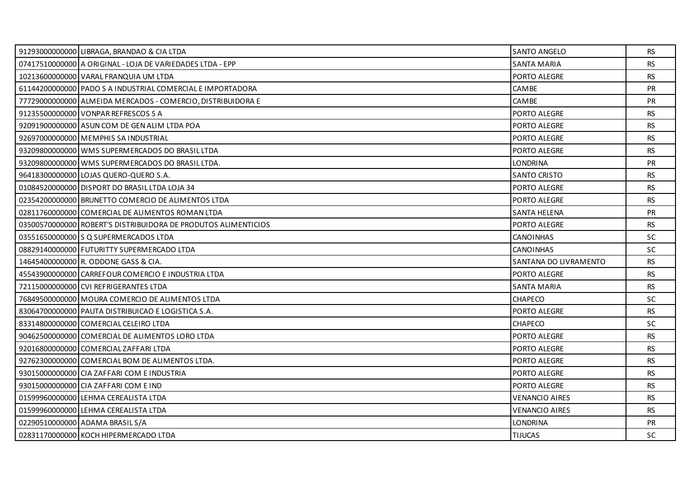| 91293000000000 LIBRAGA, BRANDAO & CIA LTDA                     | <b>SANTO ANGELO</b>   | <b>RS</b> |
|----------------------------------------------------------------|-----------------------|-----------|
| 07417510000000 A ORIGINAL - LOJA DE VARIEDADES LTDA - EPP      | <b>SANTA MARIA</b>    | <b>RS</b> |
| 10213600000000 VARAL FRANQUIA UM LTDA                          | PORTO ALEGRE          | <b>RS</b> |
| 61144200000000 PADO S A INDUSTRIAL COMERCIAL E IMPORTADORA     | CAMBE                 | PR        |
| 77729000000000 ALMEIDA MERCADOS - COMERCIO, DISTRIBUIDORA E    | CAMBE                 | <b>PR</b> |
| 91235500000000 VONPAR REFRESCOS S A                            | PORTO ALEGRE          | <b>RS</b> |
| 92091900000000 ASUN COM DE GEN ALIM LTDA POA                   | PORTO ALEGRE          | <b>RS</b> |
| 92697000000000 MEMPHIS SA INDUSTRIAL                           | PORTO ALEGRE          | <b>RS</b> |
| 93209800000000 WMS SUPERMERCADOS DO BRASIL LTDA                | PORTO ALEGRE          | <b>RS</b> |
| 93209800000000 WMS SUPERMERCADOS DO BRASIL LTDA.               | <b>LONDRINA</b>       | PR        |
| 96418300000000 LOJAS QUERO-QUERO S.A.                          | <b>SANTO CRISTO</b>   | <b>RS</b> |
| 01084520000000 DISPORT DO BRASIL LTDA LOJA 34                  | PORTO ALEGRE          | <b>RS</b> |
| 02354200000000 BRUNETTO COMERCIO DE ALIMENTOS LTDA             | PORTO ALEGRE          | RS.       |
| 02811760000000 COMERCIAL DE ALIMENTOS ROMAN LTDA               | <b>SANTA HELENA</b>   | PR        |
| 03500570000000 ROBERT'S DISTRIBUIDORA DE PRODUTOS ALIMENTICIOS | PORTO ALEGRE          | <b>RS</b> |
| 03551650000000 S Q SUPERMERCADOS LTDA                          | <b>CANOINHAS</b>      | <b>SC</b> |
| 08829140000000 FUTURITTY SUPERMERCADO LTDA                     | <b>CANOINHAS</b>      | <b>SC</b> |
| 14645400000000 R. ODDONE GASS & CIA.                           | SANTANA DO LIVRAMENTO | RS        |
| 45543900000000 CARREFOUR COMERCIO E INDUSTRIA LTDA             | PORTO ALEGRE          | <b>RS</b> |
| 72115000000000 CVI REFRIGERANTES LTDA                          | <b>SANTA MARIA</b>    | <b>RS</b> |
| 76849500000000 MOURA COMERCIO DE ALIMENTOS LTDA                | <b>CHAPECO</b>        | <b>SC</b> |
| 83064700000000 PAUTA DISTRIBUICAO E LOGISTICA S.A.             | PORTO ALEGRE          | <b>RS</b> |
| 83314800000000 COMERCIAL CELEIRO LTDA                          | CHAPECO               | <b>SC</b> |
| 90462500000000 COMERCIAL DE ALIMENTOS LORO LTDA                | PORTO ALEGRE          | <b>RS</b> |
| 92016800000000 COMERCIAL ZAFFARI LTDA                          | PORTO ALEGRE          | <b>RS</b> |
| 92762300000000 COMERCIAL BOM DE ALIMENTOS LTDA.                | PORTO ALEGRE          | <b>RS</b> |
| 93015000000000 CIA ZAFFARI COM E INDUSTRIA                     | PORTO ALEGRE          | <b>RS</b> |
| 93015000000000 CIA ZAFFARI COM E IND                           | PORTO ALEGRE          | <b>RS</b> |
| 01599960000000 LEHMA CEREALISTA LTDA                           | <b>VENANCIO AIRES</b> | <b>RS</b> |
| 01599960000000 LEHMA CEREALISTA LTDA                           | <b>VENANCIO AIRES</b> | <b>RS</b> |
|                                                                |                       |           |
| 02290510000000 ADAMA BRASIL S/A                                | <b>LONDRINA</b>       | <b>PR</b> |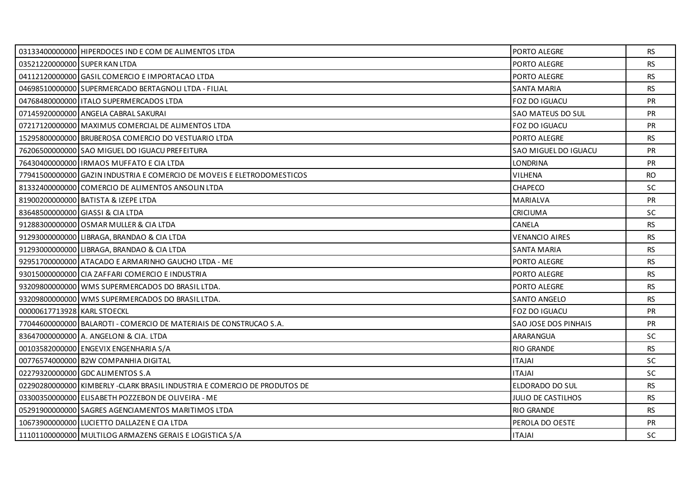|                               | 03133400000000 HIPERDOCES IND E COM DE ALIMENTOS LTDA                    | PORTO ALEGRE              | <b>RS</b> |
|-------------------------------|--------------------------------------------------------------------------|---------------------------|-----------|
| 03521220000000 SUPER KAN LTDA |                                                                          | PORTO ALEGRE              | <b>RS</b> |
|                               | 04112120000000 GASIL COMERCIO E IMPORTACAO LTDA                          | PORTO ALEGRE              | <b>RS</b> |
|                               | 04698510000000 SUPERMERCADO BERTAGNOLI LTDA - FILIAL                     | <b>SANTA MARIA</b>        | <b>RS</b> |
|                               | 04768480000000   ITALO SUPERMERCADOS LTDA                                | FOZ DO IGUACU             | PR        |
|                               | 07145920000000 ANGELA CABRAL SAKURAI                                     | SAO MATEUS DO SUL         | PR        |
|                               | 07217120000000 MAXIMUS COMERCIAL DE ALIMENTOS LTDA                       | <b>FOZ DO IGUACU</b>      | PR        |
|                               | 15295800000000 BRUBEROSA COMERCIO DO VESTUARIO LTDA                      | PORTO ALEGRE              | <b>RS</b> |
|                               | 76206500000000 SAO MIGUEL DO IGUACU PREFEITURA                           | SAO MIGUEL DO IGUACU      | PR        |
|                               | 76430400000000   IRMAOS MUFFATO E CIA LTDA                               | <b>LONDRINA</b>           | PR        |
|                               | 77941500000000 GAZIN INDUSTRIA E COMERCIO DE MOVEIS E ELETRODOMESTICOS   | VILHENA                   | <b>RO</b> |
|                               | 81332400000000 COMERCIO DE ALIMENTOS ANSOLIN LTDA                        | CHAPECO                   | SC        |
|                               | 81900200000000 BATISTA & IZEPE LTDA                                      | MARIALVA                  | <b>PR</b> |
|                               | 83648500000000 GIASSI & CIA LTDA                                         | <b>CRICIUMA</b>           | <b>SC</b> |
|                               | 91288300000000 OSMAR MULLER & CIA LTDA                                   | CANELA                    | <b>RS</b> |
|                               | 91293000000000 LIBRAGA, BRANDAO & CIA LTDA                               | <b>VENANCIO AIRES</b>     | <b>RS</b> |
|                               | 91293000000000 LIBRAGA, BRANDAO & CIA LTDA                               | <b>SANTA MARIA</b>        | <b>RS</b> |
|                               | 92951700000000 ATACADO E ARMARINHO GAUCHO LTDA - ME                      | <b>PORTO ALEGRE</b>       | RS        |
|                               | 93015000000000 CIA ZAFFARI COMERCIO E INDUSTRIA                          | PORTO ALEGRE              | <b>RS</b> |
|                               | 93209800000000 WMS SUPERMERCADOS DO BRASIL LTDA.                         | PORTO ALEGRE              | <b>RS</b> |
|                               | 93209800000000 WMS SUPERMERCADOS DO BRASIL LTDA.                         | <b>SANTO ANGELO</b>       | RS        |
| 00000617713928 KARL STOECKL   |                                                                          | <b>FOZ DO IGUACU</b>      | <b>PR</b> |
|                               | 77044600000000 BALAROTI - COMERCIO DE MATERIAIS DE CONSTRUCAO S.A.       | SAO JOSE DOS PINHAIS      | PR        |
|                               | 83647000000000 A. ANGELONI & CIA. LTDA                                   | ARARANGUA                 | <b>SC</b> |
|                               | 00103582000000 ENGEVIX ENGENHARIA S/A                                    | <b>RIO GRANDE</b>         | <b>RS</b> |
|                               | 00776574000000 B2W COMPANHIA DIGITAL                                     | <b>ITAJAI</b>             | <b>SC</b> |
|                               | 02279320000000 GDC ALIMENTOS S.A                                         | <b>ITAJAI</b>             | <b>SC</b> |
|                               | 02290280000000 KIMBERLY-CLARK BRASIL INDUSTRIA E COMERCIO DE PRODUTOS DE | ELDORADO DO SUL           | <b>RS</b> |
|                               | 03300350000000 ELISABETH POZZEBON DE OLIVEIRA - ME                       | <b>JULIO DE CASTILHOS</b> | <b>RS</b> |
|                               | 05291900000000 SAGRES AGENCIAMENTOS MARITIMOS LTDA                       | <b>RIO GRANDE</b>         | <b>RS</b> |
|                               | 10673900000000 LUCIETTO DALLAZEN E CIA LTDA                              | PEROLA DO OESTE           | <b>PR</b> |
|                               | 11101100000000 MULTILOG ARMAZENS GERAIS E LOGISTICA S/A                  | <b>ITAJAI</b>             | SC        |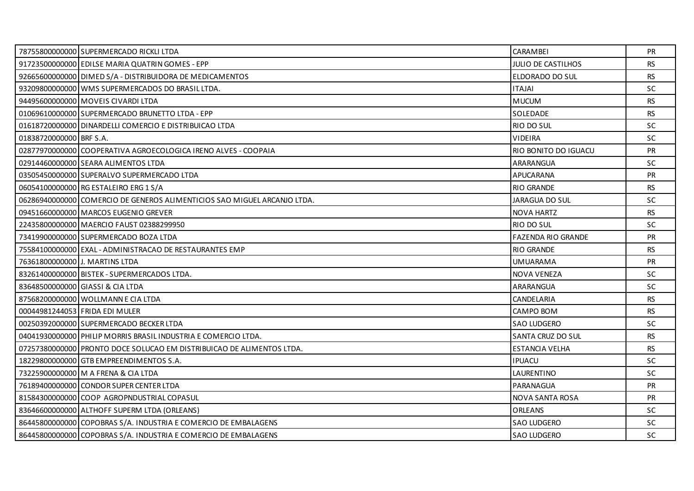|                                | 78755800000000 SUPERMERCADO RICKLI LTDA                                  | CARAMBEI                  | <b>PR</b> |
|--------------------------------|--------------------------------------------------------------------------|---------------------------|-----------|
|                                | 91723500000000 EDILSE MARIA QUATRIN GOMES - EPP                          | <b>JULIO DE CASTILHOS</b> | <b>RS</b> |
|                                | 92665600000000 DIMED S/A - DISTRIBUIDORA DE MEDICAMENTOS                 | ELDORADO DO SUL           | <b>RS</b> |
|                                | 93209800000000 WMS SUPERMERCADOS DO BRASIL LTDA.                         | <b>ITAJAI</b>             | <b>SC</b> |
|                                | 94495600000000 MOVEIS CIVARDI LTDA                                       | <b>MUCUM</b>              | <b>RS</b> |
|                                | 01069610000000 SUPERMERCADO BRUNETTO LTDA - EPP                          | SOLEDADE                  | <b>RS</b> |
|                                | 01618720000000 DINARDELLI COMERCIO E DISTRIBUICAO LTDA                   | RIO DO SUL                | SC        |
| 01838720000000 BRF S.A.        |                                                                          | <b>VIDEIRA</b>            | <b>SC</b> |
|                                | 02877970000000 COOPERATIVA AGROECOLOGICA IRENO ALVES - COOPAIA           | RIO BONITO DO IGUACU      | <b>PR</b> |
|                                | 02914460000000 SEARA ALIMENTOS LTDA                                      | ARARANGUA                 | SC        |
|                                | 03505450000000 SUPERALVO SUPERMERCADO LTDA                               | <b>APUCARANA</b>          | PR        |
|                                | 06054100000000 RG ESTALEIRO ERG 1 S/A                                    | <b>RIO GRANDE</b>         | <b>RS</b> |
|                                | 06286940000000 COMERCIO DE GENEROS ALIMENTICIOS SAO MIGUEL ARCANJO LTDA. | <b>JARAGUA DO SUL</b>     | <b>SC</b> |
|                                | 09451660000000 MARCOS EUGENIO GREVER                                     | <b>NOVA HARTZ</b>         | <b>RS</b> |
|                                | 22435800000000 MAERCIO FAUST 02388299950                                 | RIO DO SUL                | SC.       |
|                                | 73419900000000 SUPERMERCADO BOZA LTDA                                    | <b>FAZENDA RIO GRANDE</b> | PR        |
|                                | 75584100000000 EXAL - ADMINISTRACAO DE RESTAURANTES EMP                  | <b>RIO GRANDE</b>         | <b>RS</b> |
| 76361800000000 J. MARTINS LTDA |                                                                          | <b>UMUARAMA</b>           | PR        |
|                                | 83261400000000 BISTEK - SUPERMERCADOS LTDA.                              | NOVA VENEZA               | <b>SC</b> |
|                                | 83648500000000 GIASSI & CIA LTDA                                         | ARARANGUA                 | <b>SC</b> |
|                                | 87568200000000 WOLLMANN E CIA LTDA                                       | CANDELARIA                | <b>RS</b> |
|                                | 00044981244053 FRIDA EDI MULER                                           | CAMPO BOM                 | <b>RS</b> |
|                                | 00250392000000 SUPERMERCADO BECKER LTDA                                  | <b>SAO LUDGERO</b>        | <b>SC</b> |
|                                | 04041930000000 PHILIP MORRIS BRASIL INDUSTRIA E COMERCIO LTDA.           | SANTA CRUZ DO SUL         | <b>RS</b> |
|                                | 07257380000000 PRONTO DOCE SOLUCAO EM DISTRIBUICAO DE ALIMENTOS LTDA.    | <b>ESTANCIA VELHA</b>     | <b>RS</b> |
|                                | 18229800000000 GTB EMPREENDIMENTOS S.A.                                  | <b>IPUACU</b>             | <b>SC</b> |
|                                | 73225900000000 M A FRENA & CIA LTDA                                      | LAURENTINO                | <b>SC</b> |
|                                | 76189400000000 CONDOR SUPER CENTER LTDA                                  | PARANAGUA                 | <b>PR</b> |
|                                | 81584300000000 COOP AGROPNDUSTRIAL COPASUL                               | NOVA SANTA ROSA           | <b>PR</b> |
|                                | 83646600000000 ALTHOFF SUPERM LTDA (ORLEANS)                             | ORLEANS                   | <b>SC</b> |
|                                | 86445800000000 COPOBRAS S/A. INDUSTRIA E COMERCIO DE EMBALAGENS          | SAO LUDGERO               | <b>SC</b> |
|                                | 86445800000000 COPOBRAS S/A. INDUSTRIA E COMERCIO DE EMBALAGENS          | <b>SAO LUDGERO</b>        | <b>SC</b> |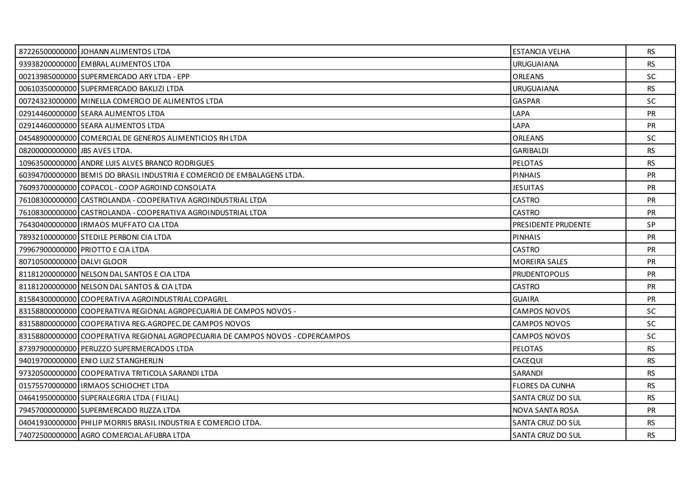|                               | 87226500000000 JOHANN ALIMENTOS LTDA                                           | <b>ESTANCIA VELHA</b>  | <b>RS</b> |
|-------------------------------|--------------------------------------------------------------------------------|------------------------|-----------|
|                               | 93938200000000 EMBRAL ALIMENTOS LTDA                                           | <b>URUGUAIANA</b>      | <b>RS</b> |
|                               | 00213985000000 SUPERMERCADO ARY LTDA - EPP                                     | <b>ORLEANS</b>         | <b>SC</b> |
|                               | 00610350000000 SUPERMERCADO BAKLIZI LTDA                                       | <b>URUGUAIANA</b>      | <b>RS</b> |
|                               | 00724323000000 MINELLA COMERCIO DE ALIMENTOS LTDA                              | <b>GASPAR</b>          | <b>SC</b> |
|                               | 02914460000000 SEARA ALIMENTOS LTDA                                            | LAPA                   | <b>PR</b> |
|                               | 02914460000000 SEARA ALIMENTOS LTDA                                            | LAPA                   | PR        |
|                               | 04548900000000 COMERCIAL DE GENEROS ALIMENTICIOS RH LTDA                       | ORLEANS                | <b>SC</b> |
| 08200000000000 UBS AVES LTDA. |                                                                                | <b>GARIBALDI</b>       | <b>RS</b> |
|                               | 10963500000000 ANDRE LUIS ALVES BRANCO RODRIGUES                               | <b>PELOTAS</b>         | <b>RS</b> |
|                               | 60394700000000 BEMIS DO BRASIL INDUSTRIA E COMERCIO DE EMBALAGENS LTDA.        | <b>PINHAIS</b>         | PR        |
|                               | 76093700000000 COPACOL - COOP AGROIND CONSOLATA                                | <b>JESUITAS</b>        | <b>PR</b> |
|                               | 76108300000000 CASTROLANDA - COOPERATIVA AGROINDUSTRIAL LTDA                   | <b>CASTRO</b>          | <b>PR</b> |
|                               | 76108300000000 CASTROLANDA - COOPERATIVA AGROINDUSTRIAL LTDA                   | <b>CASTRO</b>          | PR        |
|                               | 76430400000000 IRMAOS MUFFATO CIA LTDA                                         | PRESIDENTE PRUDENTE    | SP        |
|                               | 78932100000000 STEDILE PERBONI CIA LTDA                                        | <b>PINHAIS</b>         | PR        |
|                               | 79967900000000 PRIOTTO E CIA LTDA                                              | <b>CASTRO</b>          | PR        |
| 80710500000000 DALVI GLOOR    |                                                                                | <b>MOREIRA SALES</b>   | <b>PR</b> |
|                               | 81181200000000 NELSON DAL SANTOS E CIA LTDA                                    | <b>PRUDENTOPOLIS</b>   | <b>PR</b> |
|                               | 81181200000000 NELSON DAL SANTOS & CIA LTDA                                    | <b>CASTRO</b>          | PR        |
|                               | 81584300000000 COOPERATIVA AGROINDUSTRIAL COPAGRIL                             | <b>GUAIRA</b>          | <b>PR</b> |
|                               | 83158800000000 COOPERATIVA REGIONAL AGROPECUARIA DE CAMPOS NOVOS -             | <b>CAMPOS NOVOS</b>    | SC.       |
|                               | 83158800000000 COOPERATIVA REG.AGROPEC.DE CAMPOS NOVOS                         | CAMPOS NOVOS           | SC        |
|                               | 83158800000000 COOPERATIVA REGIONAL AGROPECUARIA DE CAMPOS NOVOS - COPERCAMPOS | <b>CAMPOS NOVOS</b>    | <b>SC</b> |
|                               | 87397900000000 PERUZZO SUPERMERCADOS LTDA                                      | <b>PELOTAS</b>         | <b>RS</b> |
|                               | 94019700000000 ENIO LUIZ STANGHERLIN                                           | CACEQUI                | <b>RS</b> |
|                               | 97320500000000 COOPERATIVA TRITICOLA SARANDI LTDA                              | SARANDI                | <b>RS</b> |
|                               | 01575570000000 IRMAOS SCHIOCHET LTDA                                           | <b>FLORES DA CUNHA</b> | <b>RS</b> |
|                               | 04641950000000 SUPERALEGRIA LTDA ( FILIAL)                                     | SANTA CRUZ DO SUL      | RS        |
|                               | 79457000000000 SUPERMERCADO RUZZA LTDA                                         | NOVA SANTA ROSA        | PR        |
|                               | 04041930000000 PHILIP MORRIS BRASIL INDUSTRIA E COMERCIO LTDA.                 | SANTA CRUZ DO SUL      | <b>RS</b> |
|                               | 74072500000000 AGRO COMERCIAL AFUBRA LTDA                                      | SANTA CRUZ DO SUL      | <b>RS</b> |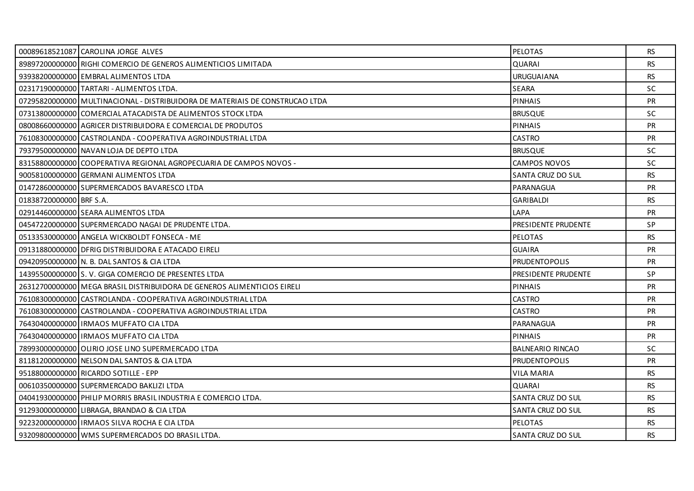|                         | 00089618521087 CAROLINA JORGE ALVES                                          | <b>PELOTAS</b>           | <b>RS</b> |
|-------------------------|------------------------------------------------------------------------------|--------------------------|-----------|
|                         | 89897200000000 RIGHI COMERCIO DE GENEROS ALIMENTICIOS LIMITADA               | <b>QUARAI</b>            | <b>RS</b> |
|                         | 93938200000000 EMBRAL ALIMENTOS LTDA                                         | <b>URUGUAIANA</b>        | <b>RS</b> |
|                         | 02317190000000 TARTARI - ALIMENTOS LTDA.                                     | <b>SEARA</b>             | <b>SC</b> |
|                         | 07295820000000 MULTINACIONAL - DISTRIBUIDORA DE MATERIAIS DE CONSTRUCAO LTDA | <b>PINHAIS</b>           | PR        |
|                         | 07313800000000 COMERCIAL ATACADISTA DE ALIMENTOS STOCK LTDA                  | <b>BRUSQUE</b>           | SC.       |
|                         | 08008660000000 AGRICER DISTRIBUIDORA E COMERCIAL DE PRODUTOS                 | <b>PINHAIS</b>           | <b>PR</b> |
|                         | 76108300000000 CASTROLANDA - COOPERATIVA AGROINDUSTRIAL LTDA                 | <b>CASTRO</b>            | PR        |
|                         | 79379500000000 NAVAN LOJA DE DEPTO LTDA                                      | <b>BRUSQUE</b>           | <b>SC</b> |
|                         | 83158800000000 COOPERATIVA REGIONAL AGROPECUARIA DE CAMPOS NOVOS -           | <b>CAMPOS NOVOS</b>      | <b>SC</b> |
|                         | 90058100000000 GERMANI ALIMENTOS LTDA                                        | SANTA CRUZ DO SUL        | <b>RS</b> |
|                         | 01472860000000 SUPERMERCADOS BAVARESCO LTDA                                  | PARANAGUA                | <b>PR</b> |
| 01838720000000 BRF S.A. |                                                                              | <b>GARIBALDI</b>         | <b>RS</b> |
|                         | 02914460000000 SEARA ALIMENTOS LTDA                                          | LAPA                     | PR        |
|                         | 04547220000000 SUPERMERCADO NAGAI DE PRUDENTE LTDA.                          | PRESIDENTE PRUDENTE      | <b>SP</b> |
|                         | 05133530000000 ANGELA WICKBOLDT FONSECA - ME                                 | <b>PELOTAS</b>           | <b>RS</b> |
|                         | 09131880000000 DFRIG DISTRIBUIDORA E ATACADO EIRELI                          | <b>GUAIRA</b>            | PR        |
|                         | 09420950000000 N. B. DAL SANTOS & CIA LTDA                                   | <b>PRUDENTOPOLIS</b>     | <b>PR</b> |
|                         | 143955000000001S.V. GIGA COMERCIO DE PRESENTES LTDA                          | PRESIDENTE PRUDENTE      | SP.       |
|                         | 26312700000000 MEGA BRASIL DISTRIBUIDORA DE GENEROS ALIMENTICIOS EIRELI      | <b>PINHAIS</b>           | <b>PR</b> |
|                         | 76108300000000 CASTROLANDA - COOPERATIVA AGROINDUSTRIAL LTDA                 | <b>CASTRO</b>            | <b>PR</b> |
|                         | 76108300000000 CASTROLANDA - COOPERATIVA AGROINDUSTRIAL LTDA                 | <b>CASTRO</b>            | <b>PR</b> |
|                         | 76430400000000   IRMAOS MUFFATO CIA LTDA                                     | PARANAGUA                | <b>PR</b> |
|                         | 76430400000000 IRMAOS MUFFATO CIA LTDA                                       | <b>PINHAIS</b>           | <b>PR</b> |
|                         | 78993000000000 OLIRIO JOSE LINO SUPERMERCADO LTDA                            | <b>BALNEARIO RINCAO</b>  | <b>SC</b> |
|                         | 81181200000000 NELSON DAL SANTOS & CIA LTDA                                  | <b>PRUDENTOPOLIS</b>     | <b>PR</b> |
|                         | 95188000000000 RICARDO SOTILLE - EPP                                         | VILA MARIA               | <b>RS</b> |
|                         | 00610350000000 SUPERMERCADO BAKLIZI LTDA                                     | QUARAI                   | <b>RS</b> |
|                         | 04041930000000 PHILIP MORRIS BRASIL INDUSTRIA E COMERCIO LTDA.               | SANTA CRUZ DO SUL        | <b>RS</b> |
|                         | 91293000000000 LIBRAGA, BRANDAO & CIA LTDA                                   | SANTA CRUZ DO SUL        | RS        |
|                         | 92232000000000 IRMAOS SILVA ROCHA E CIA LTDA                                 | <b>PELOTAS</b>           | RS.       |
|                         | 93209800000000 WMS SUPERMERCADOS DO BRASIL LTDA.                             | <b>SANTA CRUZ DO SUL</b> | <b>RS</b> |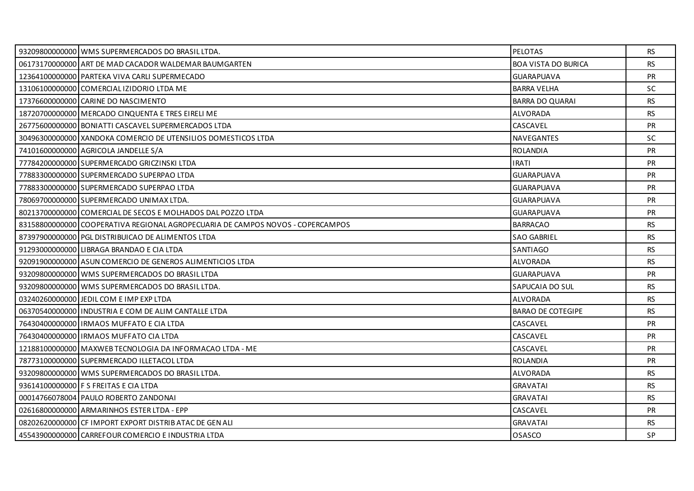| 93209800000000 WMS SUPERMERCADOS DO BRASIL LTDA.                               | <b>PELOTAS</b>           | RS.       |
|--------------------------------------------------------------------------------|--------------------------|-----------|
| 06173170000000 ART DE MAD CACADOR WALDEMAR BAUMGARTEN                          | BOA VISTA DO BURICA      | RS        |
| 12364100000000 PARTEKA VIVA CARLI SUPERMECADO                                  | <b>GUARAPUAVA</b>        | <b>PR</b> |
| 13106100000000 COMERCIAL IZIDORIO LTDA ME                                      | <b>BARRA VELHA</b>       | SC.       |
| 17376600000000 CARINE DO NASCIMENTO                                            | <b>BARRA DO QUARAI</b>   | <b>RS</b> |
| 18720700000000 MERCADO CINQUENTA E TRES EIRELI ME                              | <b>ALVORADA</b>          | <b>RS</b> |
| 26775600000000 BONIATTI CASCAVEL SUPERMERCADOS LTDA                            | CASCAVEL                 | <b>PR</b> |
| 30496300000000 XANDOKA COMERCIO DE UTENSILIOS DOMESTICOS LTDA                  | NAVEGANTES               | <b>SC</b> |
| 74101600000000 AGRICOLA JANDELLE S/A                                           | <b>ROLANDIA</b>          | <b>PR</b> |
| 77784200000000 SUPERMERCADO GRICZINSKI LTDA                                    | <b>IRATI</b>             | <b>PR</b> |
| 77883300000000 SUPERMERCADO SUPERPAO LTDA                                      | <b>GUARAPUAVA</b>        | PR        |
| 77883300000000 SUPERMERCADO SUPERPAO LTDA                                      | <b>GUARAPUAVA</b>        | <b>PR</b> |
| 78069700000000 SUPERMERCADO UNIMAX LTDA.                                       | <b>GUARAPUAVA</b>        | <b>PR</b> |
| 80213700000000 COMERCIAL DE SECOS E MOLHADOS DAL POZZO LTDA                    | <b>GUARAPUAVA</b>        | PR        |
| 831588000000001COOPERATIVA REGIONAL AGROPECUARIA DE CAMPOS NOVOS - COPERCAMPOS | <b>BARRACAO</b>          | RS        |
| 87397900000000 PGL DISTRIBUICAO DE ALIMENTOS LTDA                              | <b>SAO GABRIEL</b>       | <b>RS</b> |
| 91293000000000 LIBRAGA BRANDAO E CIA LTDA                                      | SANTIAGO                 | <b>RS</b> |
| 92091900000000 ASUN COMERCIO DE GENEROS ALIMENTICIOS LTDA                      | ALVORADA                 | <b>RS</b> |
| 93209800000000 WMS SUPERMERCADOS DO BRASIL LTDA                                | <b>GUARAPUAVA</b>        | PR        |
| 93209800000000 WMS SUPERMERCADOS DO BRASIL LTDA.                               | SAPUCAIA DO SUL          | <b>RS</b> |
| 032402600000001JEDILCOM E IMP EXP LTDA                                         | ALVORADA                 | <b>RS</b> |
| 06370540000000 IINDUSTRIA E COM DE ALIM CANTALLE LTDA                          | <b>BARAO DE COTEGIPE</b> | <b>RS</b> |
| 76430400000000 IRMAOS MUFFATO E CIA LTDA                                       | CASCAVEL                 | PR        |
| 76430400000000 IRMAOS MUFFATO CIA LTDA                                         | CASCAVEL                 | <b>PR</b> |
| 12188100000000 MAXWEB TECNOLOGIA DA INFORMACAO LTDA - ME                       | CASCAVEL                 | <b>PR</b> |
| 78773100000000 SUPERMERCADO ILLETACOL LTDA                                     | <b>ROLANDIA</b>          | <b>PR</b> |
| 93209800000000 WMS SUPERMERCADOS DO BRASIL LTDA.                               | ALVORADA                 | RS.       |
| 93614100000000 F S FREITAS E CIA LTDA                                          | <b>GRAVATAI</b>          | <b>RS</b> |
| 00014766078004 PAULO ROBERTO ZANDONAI                                          | <b>GRAVATAI</b>          | <b>RS</b> |
| 02616800000000 ARMARINHOS ESTER LTDA - EPP                                     | CASCAVEL                 | <b>PR</b> |
| 08202620000000 CF IMPORT EXPORT DISTRIB ATAC DE GEN ALI                        | <b>GRAVATAI</b>          | RS.       |
| 45543900000000 CARREFOUR COMERCIO E INDUSTRIA LTDA                             | OSASCO                   | SP        |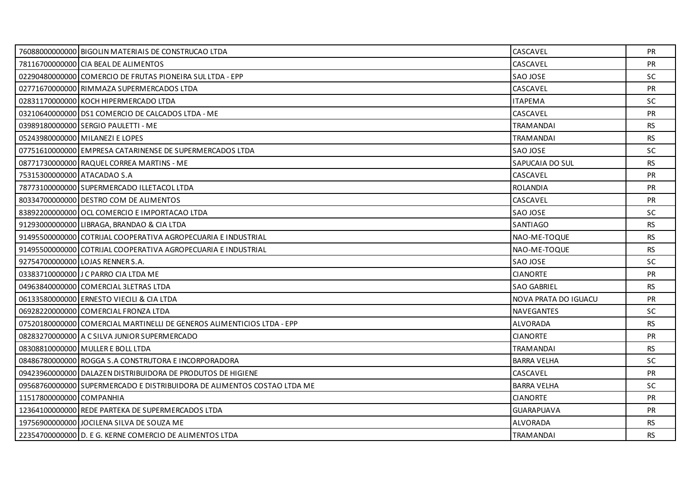|                             | 76088000000000 BIGOLIN MATERIAIS DE CONSTRUCAO LTDA                     | CASCAVEL             | <b>PR</b> |
|-----------------------------|-------------------------------------------------------------------------|----------------------|-----------|
|                             | 78116700000000 CIA BEAL DE ALIMENTOS                                    | CASCAVEL             | <b>PR</b> |
|                             | 02290480000000 COMERCIO DE FRUTAS PIONEIRA SUL LTDA - EPP               | SAO JOSE             | <b>SC</b> |
|                             | 02771670000000 RIMMAZA SUPERMERCADOS LTDA                               | CASCAVEL             | <b>PR</b> |
|                             | 02831170000000 KOCH HIPERMERCADO LTDA                                   | <b>ITAPEMA</b>       | <b>SC</b> |
|                             | 03210640000000 DS1 COMERCIO DE CALCADOS LTDA - ME                       | CASCAVEL             | <b>PR</b> |
|                             | 03989180000000 SERGIO PAULETTI - ME                                     | TRAMANDAI            | RS.       |
|                             | 05243980000000 MILANEZI E LOPES                                         | <b>TRAMANDAI</b>     | <b>RS</b> |
|                             | 07751610000000 EMPRESA CATARINENSE DE SUPERMERCADOS LTDA                | SAO JOSE             | <b>SC</b> |
|                             | 08771730000000 RAQUEL CORREA MARTINS - ME                               | SAPUCAIA DO SUL      | <b>RS</b> |
| 75315300000000 ATACADAO S.A |                                                                         | CASCAVEL             | <b>PR</b> |
|                             | 78773100000000 SUPERMERCADO ILLETACOL LTDA                              | <b>ROLANDIA</b>      | <b>PR</b> |
|                             | 80334700000000 DESTRO COM DE ALIMENTOS                                  | CASCAVEL             | <b>PR</b> |
|                             | 83892200000000 OCL COMERCIO E IMPORTACAO LTDA                           | SAO JOSE             | SC        |
|                             | 91293000000000 LIBRAGA, BRANDAO & CIA LTDA                              | SANTIAGO             | <b>RS</b> |
|                             | 91495500000000 COTRIJAL COOPERATIVA AGROPECUARIA E INDUSTRIAL           | NAO-ME-TOQUE         | <b>RS</b> |
|                             | 91495500000000 COTRIJAL COOPERATIVA AGROPECUARIA E INDUSTRIAL           | NAO-ME-TOQUE         | <b>RS</b> |
|                             | 92754700000000 LOJAS RENNER S.A.                                        | SAO JOSE             | <b>SC</b> |
|                             | 03383710000000 J C PARRO CIA LTDA ME                                    | <b>CIANORTE</b>      | <b>PR</b> |
|                             | 04963840000000 COMERCIAL 3LETRAS LTDA                                   | <b>SAO GABRIEL</b>   | <b>RS</b> |
|                             | 06133580000000 ERNESTO VIECILI & CIA LTDA                               | NOVA PRATA DO IGUACU | <b>PR</b> |
|                             | 06928220000000 COMERCIAL FRONZA LTDA                                    | NAVEGANTES           | <b>SC</b> |
|                             | 07520180000000 COMERCIAL MARTINELLI DE GENEROS ALIMENTICIOS LTDA - EPP  | <b>ALVORADA</b>      | <b>RS</b> |
|                             | 08283270000000 A C SILVA JUNIOR SUPERMERCADO                            | <b>CIANORTE</b>      | <b>PR</b> |
|                             | 08308810000000 MULLER E BOLL LTDA                                       | TRAMANDAI            | RS.       |
|                             | 08486780000000 ROGGA S.A CONSTRUTORA E INCORPORADORA                    | <b>BARRA VELHA</b>   | <b>SC</b> |
|                             | 09423960000000 DALAZEN DISTRIBUIDORA DE PRODUTOS DE HIGIENE             | CASCAVEL             | PR        |
|                             | 09568760000000 SUPERMERCADO E DISTRIBUIDORA DE ALIMENTOS COSTAO LTDA ME | <b>BARRA VELHA</b>   | <b>SC</b> |
| 11517800000000 COMPANHIA    |                                                                         | <b>CIANORTE</b>      | <b>PR</b> |
|                             | 12364100000000 REDE PARTEKA DE SUPERMERCADOS LTDA                       | <b>GUARAPUAVA</b>    | <b>PR</b> |
|                             | 19756900000000 JOCILENA SILVA DE SOUZA ME                               | <b>ALVORADA</b>      | <b>RS</b> |
|                             | 22354700000000 D. E G. KERNE COMERCIO DE ALIMENTOS LTDA                 | <b>TRAMANDAI</b>     | <b>RS</b> |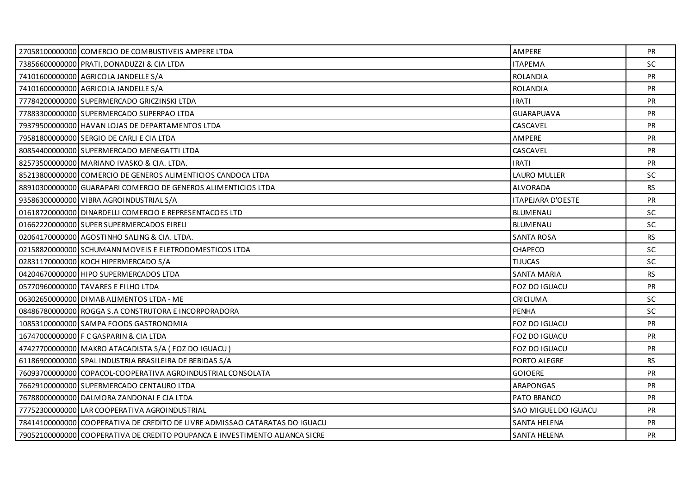| 27058100000000 COMERCIO DE COMBUSTIVEIS AMPERE LTDA                         | AMPERE                   | <b>PR</b> |
|-----------------------------------------------------------------------------|--------------------------|-----------|
| 73856600000000 PRATI, DONADUZZI & CIA LTDA                                  | <b>ITAPEMA</b>           | SC        |
| 74101600000000 AGRICOLA JANDELLE S/A                                        | <b>ROLANDIA</b>          | <b>PR</b> |
| 74101600000000 AGRICOLA JANDELLE S/A                                        | <b>ROLANDIA</b>          | PR        |
| 77784200000000 SUPERMERCADO GRICZINSKI LTDA                                 | <b>IRATI</b>             | PR        |
| 77883300000000 SUPERMERCADO SUPERPAO LTDA                                   | <b>GUARAPUAVA</b>        | <b>PR</b> |
| 79379500000000 HAVAN LOJAS DE DEPARTAMENTOS LTDA                            | CASCAVEL                 | <b>PR</b> |
| 79581800000000 SERGIO DE CARLI E CIA LTDA                                   | AMPERE                   | PR        |
| 80854400000000 SUPERMERCADO MENEGATTI LTDA                                  | CASCAVEL                 | <b>PR</b> |
| 82573500000000 MARIANO IVASKO & CIA. LTDA.                                  | <b>IRATI</b>             | <b>PR</b> |
| 85213800000000 COMERCIO DE GENEROS ALIMENTICIOS CANDOCA LTDA                | LAURO MULLER             | <b>SC</b> |
| 88910300000000 GUARAPARI COMERCIO DE GENEROS ALIMENTICIOS LTDA              | ALVORADA                 | <b>RS</b> |
| 93586300000000 VIBRA AGROINDUSTRIAL S/A                                     | <b>ITAPEJARA D'OESTE</b> | <b>PR</b> |
| 01618720000000 DINARDELLI COMERCIO E REPRESENTACOES LTD                     | <b>BLUMENAU</b>          | SC        |
| 01662220000000 SUPER SUPERMERCADOS EIRELI                                   | <b>BLUMENAU</b>          | <b>SC</b> |
| 02064170000000 AGOSTINHO SALING & CIA. LTDA.                                | <b>SANTA ROSA</b>        | <b>RS</b> |
| 02158820000000 SCHUMANN MOVEIS E ELETRODOMESTICOS LTDA                      | <b>CHAPECO</b>           | SC        |
| 02831170000000 KOCH HIPERMERCADO S/A                                        | <b>TIJUCAS</b>           | <b>SC</b> |
| 04204670000000 HIPO SUPERMERCADOS LTDA                                      | <b>SANTA MARIA</b>       | <b>RS</b> |
| 05770960000000 TAVARES E FILHO LTDA                                         | FOZ DO IGUACU            | <b>PR</b> |
| 06302650000000 DIMAB ALIMENTOS LTDA - ME                                    | <b>CRICIUMA</b>          | SC.       |
| 08486780000000 ROGGA S.A CONSTRUTORA E INCORPORADORA                        | <b>PENHA</b>             | <b>SC</b> |
| 10853100000000 SAMPA FOODS GASTRONOMIA                                      | FOZ DO IGUACU            | <b>PR</b> |
| 16747000000000 F C GASPARIN & CIA LTDA                                      | <b>FOZ DO IGUACU</b>     | <b>PR</b> |
| 47427700000000 MAKRO ATACADISTA S/A (FOZ DO IGUACU)                         | FOZ DO IGUACU            | <b>PR</b> |
| 61186900000000 SPAL INDUSTRIA BRASILEIRA DE BEBIDAS S/A                     | PORTO ALEGRE             | <b>RS</b> |
| 76093700000000 COPACOL-COOPERATIVA AGROINDUSTRIAL CONSOLATA                 | <b>GOIOERE</b>           | <b>PR</b> |
| 76629100000000 SUPERMERCADO CENTAURO LTDA                                   | <b>ARAPONGAS</b>         | <b>PR</b> |
| 76788000000000 DALMORA ZANDONAI E CIA LTDA                                  | PATO BRANCO              | <b>PR</b> |
| 77752300000000 LAR COOPERATIVA AGROINDUSTRIAL                               | SAO MIGUEL DO IGUACU     | <b>PR</b> |
| 78414100000000 COOPERATIVA DE CREDITO DE LIVRE ADMISSAO CATARATAS DO IGUACU | <b>SANTA HELENA</b>      | <b>PR</b> |
| 79052100000000 COOPERATIVA DE CREDITO POUPANCA E INVESTIMENTO ALIANCA SICRE | <b>SANTA HELENA</b>      | <b>PR</b> |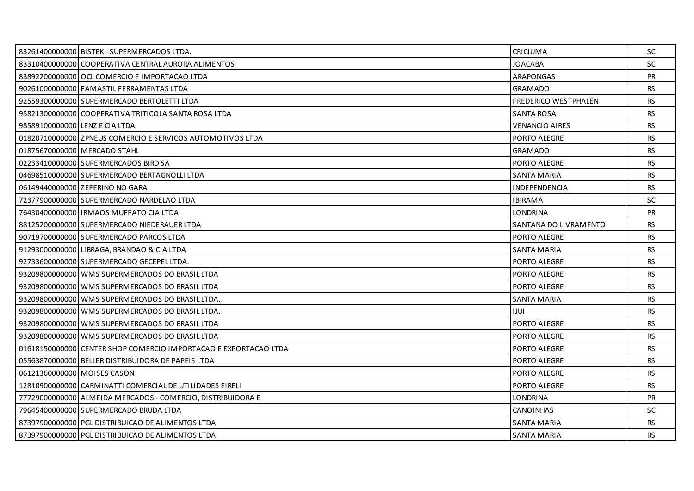|                                | 83261400000000 BISTEK - SUPERMERCADOS LTDA.                      | <b>CRICIUMA</b>       | SC.       |
|--------------------------------|------------------------------------------------------------------|-----------------------|-----------|
|                                | 83310400000000 COOPERATIVA CENTRAL AURORA ALIMENTOS              | <b>JOACABA</b>        | <b>SC</b> |
|                                | 83892200000000 OCL COMERCIO E IMPORTACAO LTDA                    | <b>ARAPONGAS</b>      | <b>PR</b> |
|                                | 90261000000000 FAMASTIL FERRAMENTAS LTDA                         | <b>GRAMADO</b>        | RS.       |
|                                | 92559300000000 SUPERMERCADO BERTOLETTI LTDA                      | FREDERICO WESTPHALEN  | <b>RS</b> |
|                                | 95821300000000 COOPERATIVA TRITICOLA SANTA ROSA LTDA             | <b>SANTA ROSA</b>     | <b>RS</b> |
| 98589100000000 LENZ E CIA LTDA |                                                                  | <b>VENANCIO AIRES</b> | RS.       |
|                                | 01820710000000 ZPNEUS COMERCIO E SERVICOS AUTOMOTIVOS LTDA       | PORTO ALEGRE          | <b>RS</b> |
|                                | 01875670000000 MERCADO STAHL                                     | <b>GRAMADO</b>        | <b>RS</b> |
|                                | 02233410000000 SUPERMERCADOS BIRD SA                             | PORTO ALEGRE          | <b>RS</b> |
|                                | 04698510000000 SUPERMERCADO BERTAGNOLLI LTDA                     | <b>SANTA MARIA</b>    | <b>RS</b> |
|                                | 06149440000000 ZEFERINO NO GARA                                  | <b>INDEPENDENCIA</b>  | <b>RS</b> |
|                                | 72377900000000 SUPERMERCADO NARDELAO LTDA                        | <b>IBIRAMA</b>        | <b>SC</b> |
|                                | 76430400000000   IRMAOS MUFFATO CIA LTDA                         | <b>LONDRINA</b>       | <b>PR</b> |
|                                | 88125200000000 SUPERMERCADO NIEDERAUER LTDA                      | SANTANA DO LIVRAMENTO | <b>RS</b> |
|                                | 90719700000000 SUPERMERCADO PARCOS LTDA                          | PORTO ALEGRE          | RS.       |
|                                | 91293000000000 LIBRAGA, BRANDAO & CIA LTDA                       | <b>SANTA MARIA</b>    | <b>RS</b> |
|                                | 92733600000000 SUPERMERCADO GECEPEL LTDA.                        | PORTO ALEGRE          | <b>RS</b> |
|                                | 93209800000000 WMS SUPERMERCADOS DO BRASIL LTDA                  | PORTO ALEGRE          | <b>RS</b> |
|                                | 93209800000000 WMS SUPERMERCADOS DO BRASIL LTDA                  | PORTO ALEGRE          | <b>RS</b> |
|                                | 93209800000000 WMS SUPERMERCADOS DO BRASIL LTDA.                 | <b>SANTA MARIA</b>    | RS        |
|                                | 93209800000000 WMS SUPERMERCADOS DO BRASIL LTDA.                 | <b>IJUI</b>           | <b>RS</b> |
|                                | 93209800000000 WMS SUPERMERCADOS DO BRASIL LTDA                  | PORTO ALEGRE          | <b>RS</b> |
|                                | 93209800000000 WMS SUPERMERCADOS DO BRASIL LTDA                  | PORTO ALEGRE          | <b>RS</b> |
|                                | 01618150000000 CENTER SHOP COMERCIO IMPORTACAO E EXPORTACAO LTDA | PORTO ALEGRE          | <b>RS</b> |
|                                | 05563870000000 BELLER DISTRIBUIDORA DE PAPEIS LTDA               | PORTO ALEGRE          | <b>RS</b> |
| 06121360000000 MOISES CASON    |                                                                  | PORTO ALEGRE          | <b>RS</b> |
|                                | 12810900000000 CARMINATTI COMERCIAL DE UTILIDADES EIRELI         | PORTO ALEGRE          | <b>RS</b> |
|                                | 77729000000000 ALMEIDA MERCADOS - COMERCIO, DISTRIBUIDORA E      | <b>LONDRINA</b>       | <b>PR</b> |
|                                | 79645400000000 SUPERMERCADO BRUDA LTDA                           | <b>CANOINHAS</b>      | <b>SC</b> |
|                                | 87397900000000 PGL DISTRIBUICAO DE ALIMENTOS LTDA                | SANTA MARIA           | RS.       |
|                                | 87397900000000 PGL DISTRIBUICAO DE ALIMENTOS LTDA                | <b>SANTA MARIA</b>    | <b>RS</b> |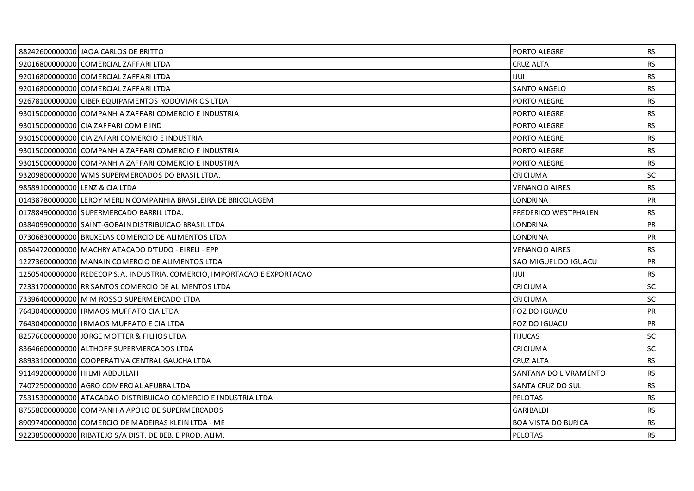|                                | 88242600000000 JAOA CARLOS DE BRITTO                                     | PORTO ALEGRE               | <b>RS</b> |
|--------------------------------|--------------------------------------------------------------------------|----------------------------|-----------|
|                                | 92016800000000 COMERCIAL ZAFFARI LTDA                                    | <b>CRUZ ALTA</b>           | <b>RS</b> |
|                                | 92016800000000 COMERCIAL ZAFFARI LTDA                                    | <b>IJUL</b>                | <b>RS</b> |
|                                | 92016800000000 COMERCIAL ZAFFARI LTDA                                    | <b>SANTO ANGELO</b>        | <b>RS</b> |
|                                | 92678100000000 CIBER EQUIPAMENTOS RODOVIARIOS LTDA                       | PORTO ALEGRE               | <b>RS</b> |
|                                | 93015000000000 COMPANHIA ZAFFARI COMERCIO E INDUSTRIA                    | PORTO ALEGRE               | <b>RS</b> |
|                                | 93015000000000 CIA ZAFFARI COM E IND                                     | PORTO ALEGRE               | <b>RS</b> |
|                                | 93015000000000 CIA ZAFARI COMERCIO E INDUSTRIA                           | PORTO ALEGRE               | <b>RS</b> |
|                                | 93015000000000 COMPANHIA ZAFFARI COMERCIO E INDUSTRIA                    | PORTO ALEGRE               | <b>RS</b> |
|                                | 93015000000000 COMPANHIA ZAFFARI COMERCIO E INDUSTRIA                    | PORTO ALEGRE               | <b>RS</b> |
|                                | 93209800000000 WMS SUPERMERCADOS DO BRASIL LTDA.                         | <b>CRICIUMA</b>            | <b>SC</b> |
| 98589100000000 LENZ & CIA LTDA |                                                                          | <b>VENANCIO AIRES</b>      | <b>RS</b> |
|                                | 01438780000000 LEROY MERLIN COMPANHIA BRASILEIRA DE BRICOLAGEM           | <b>LONDRINA</b>            | <b>PR</b> |
|                                | 01788490000000 SUPERMERCADO BARRIL LTDA.                                 | FREDERICO WESTPHALEN       | <b>RS</b> |
|                                | 03840990000000 SAINT-GOBAIN DISTRIBUICAO BRASIL LTDA                     | <b>LONDRINA</b>            | <b>PR</b> |
|                                | 07306830000000 BRUXELAS COMERCIO DE ALIMENTOS LTDA                       | <b>LONDRINA</b>            | <b>PR</b> |
|                                | 08544720000000 MACHRY ATACADO D'TUDO - EIRELI - EPP                      | <b>VENANCIO AIRES</b>      | <b>RS</b> |
|                                | 12273600000000   MANAIN COMERCIO DE ALIMENTOS LTDA                       | SAO MIGUEL DO IGUACU       | <b>PR</b> |
|                                | 12505400000000 REDECOP S.A. INDUSTRIA, COMERCIO, IMPORTACAO E EXPORTACAO | <b>IJUL</b>                | <b>RS</b> |
|                                | 72331700000000 RR SANTOS COMERCIO DE ALIMENTOS LTDA                      | <b>CRICIUMA</b>            | SC        |
|                                | 73396400000000 M M ROSSO SUPERMERCADO LTDA                               | <b>CRICIUMA</b>            | <b>SC</b> |
|                                | 76430400000000 IRMAOS MUFFATO CIA LTDA                                   | FOZ DO IGUACU              | PR        |
|                                | 76430400000000 IRMAOS MUFFATO E CIA LTDA                                 | <b>FOZ DO IGUACU</b>       | PR        |
|                                | 82576600000000 JORGE MOTTER & FILHOS LTDA                                | <b>TIJUCAS</b>             | SC.       |
|                                | 83646600000000 ALTHOFF SUPERMERCADOS LTDA                                | <b>CRICIUMA</b>            | <b>SC</b> |
|                                | 88933100000000 COOPERATIVA CENTRAL GAUCHA LTDA                           | <b>CRUZ ALTA</b>           | <b>RS</b> |
| 91149200000000 HILMI ABDULLAH  |                                                                          | SANTANA DO LIVRAMENTO      | <b>RS</b> |
|                                | 74072500000000 AGRO COMERCIAL AFUBRA LTDA                                | SANTA CRUZ DO SUL          | <b>RS</b> |
|                                | 75315300000000 ATACADAO DISTRIBUICAO COMERCIO E INDUSTRIA LTDA           | PELOTAS                    | <b>RS</b> |
|                                | 87558000000000 COMPANHIA APOLO DE SUPERMERCADOS                          | <b>GARIBALDI</b>           | <b>RS</b> |
|                                | 89097400000000 COMERCIO DE MADEIRAS KLEIN LTDA - ME                      | <b>BOA VISTA DO BURICA</b> | <b>RS</b> |
|                                | 92238500000000 RIBATEJO S/A DIST. DE BEB. E PROD. ALIM.                  | <b>PELOTAS</b>             | <b>RS</b> |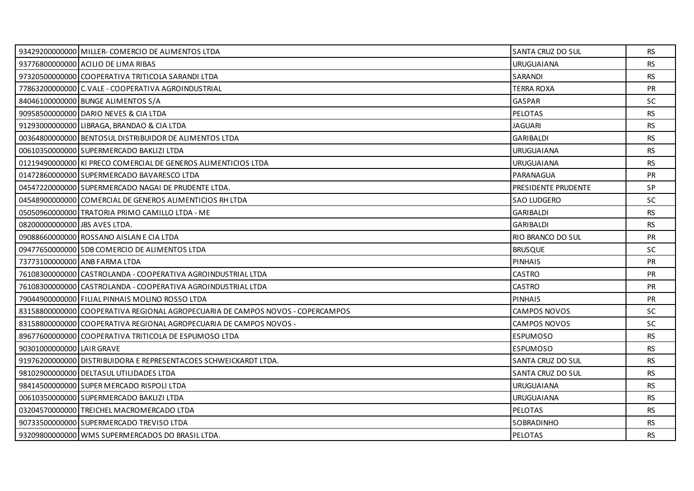|                               | 93429200000000 MILLER-COMERCIO DE ALIMENTOS LTDA                               | SANTA CRUZ DO SUL   | RS        |
|-------------------------------|--------------------------------------------------------------------------------|---------------------|-----------|
|                               | 93776800000000 ACILIO DE LIMA RIBAS                                            | <b>URUGUAIANA</b>   | <b>RS</b> |
|                               | 97320500000000 COOPERATIVA TRITICOLA SARANDI LTDA                              | SARANDI             | <b>RS</b> |
|                               | 77863200000000 C. VALE - COOPERATIVA AGROINDUSTRIAL                            | <b>TERRA ROXA</b>   | <b>PR</b> |
|                               | 84046100000000 BUNGE ALIMENTOS S/A                                             | <b>GASPAR</b>       | <b>SC</b> |
|                               | 90958500000000 DARIO NEVES & CIA LTDA                                          | PELOTAS             | <b>RS</b> |
|                               | 91293000000000 LIBRAGA, BRANDAO & CIA LTDA                                     | JAGUARI             | <b>RS</b> |
|                               | 00364800000000 BENTOSUL DISTRIBUIDOR DE ALIMENTOS LTDA                         | <b>GARIBALDI</b>    | <b>RS</b> |
|                               | 00610350000000 SUPERMERCADO BAKLIZI LTDA                                       | <b>URUGUAIANA</b>   | RS        |
|                               | 01219490000000 KI PRECO COMERCIAL DE GENEROS ALIMENTICIOS LTDA                 | <b>URUGUAIANA</b>   | <b>RS</b> |
|                               | 01472860000000 SUPERMERCADO BAVARESCO LTDA                                     | PARANAGUA           | PR        |
|                               | 04547220000000 SUPERMERCADO NAGAI DE PRUDENTE LTDA.                            | PRESIDENTE PRUDENTE | <b>SP</b> |
|                               | 04548900000000 COMERCIAL DE GENEROS ALIMENTICIOS RH LTDA                       | <b>SAO LUDGERO</b>  | SC        |
|                               | 05050960000000 TRATORIA PRIMO CAMILLO LTDA - ME                                | <b>GARIBALDI</b>    | RS        |
| 08200000000000 UBS AVES LTDA. |                                                                                | <b>GARIBALDI</b>    | <b>RS</b> |
|                               | 09088660000000 ROSSANO AISLAN E CIA LTDA                                       | RIO BRANCO DO SUL   | <b>PR</b> |
|                               | 09477650000000 SDB COMERCIO DE ALIMENTOS LTDA                                  | <b>BRUSQUE</b>      | <b>SC</b> |
|                               | 73773100000000 ANB FARMA LTDA                                                  | <b>PINHAIS</b>      | PR        |
|                               | 76108300000000 CASTROLANDA - COOPERATIVA AGROINDUSTRIAL LTDA                   | <b>CASTRO</b>       | <b>PR</b> |
|                               | 76108300000000 CASTROLANDA - COOPERATIVA AGROINDUSTRIAL LTDA                   | <b>CASTRO</b>       | PR        |
|                               | 79044900000000 FILIAL PINHAIS MOLINO ROSSO LTDA                                | <b>PINHAIS</b>      | <b>PR</b> |
|                               | 83158800000000 COOPERATIVA REGIONAL AGROPECUARIA DE CAMPOS NOVOS - COPERCAMPOS | <b>CAMPOS NOVOS</b> | <b>SC</b> |
|                               | 83158800000000 COOPERATIVA REGIONAL AGROPECUARIA DE CAMPOS NOVOS -             | CAMPOS NOVOS        | <b>SC</b> |
|                               | 89677600000000 COOPERATIVA TRITICOLA DE ESPUMOSO LTDA                          | <b>ESPUMOSO</b>     | <b>RS</b> |
| 90301000000000 LAIR GRAVE     |                                                                                | <b>ESPUMOSO</b>     | <b>RS</b> |
|                               | 91976200000000 DISTRIBUIDORA E REPRESENTACOES SCHWEICKARDT LTDA.               | SANTA CRUZ DO SUL   | <b>RS</b> |
|                               | 98102900000000 DELTASUL UTILIDADES LTDA                                        | SANTA CRUZ DO SUL   | RS        |
|                               | 98414500000000 SUPER MERCADO RISPOLI LTDA                                      | <b>URUGUAIANA</b>   | <b>RS</b> |
|                               | 00610350000000 SUPERMERCADO BAKLIZI LTDA                                       | <b>URUGUAIANA</b>   | <b>RS</b> |
|                               | 03204570000000 TREICHEL MACROMERCADO LTDA                                      | <b>PELOTAS</b>      | <b>RS</b> |
|                               | 90733500000000 SUPERMERCADO TREVISO LTDA                                       | SOBRADINHO          | <b>RS</b> |
|                               | 93209800000000 WMS SUPERMERCADOS DO BRASIL LTDA.                               | <b>PELOTAS</b>      | RS.       |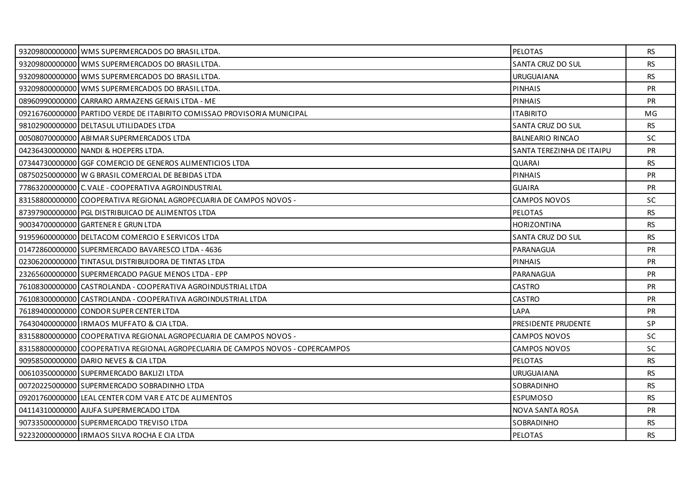| 93209800000000 WMS SUPERMERCADOS DO BRASIL LTDA.                               | <b>PELOTAS</b>            | RS.       |
|--------------------------------------------------------------------------------|---------------------------|-----------|
| 93209800000000 WMS SUPERMERCADOS DO BRASIL LTDA.                               | SANTA CRUZ DO SUL         | <b>RS</b> |
| 93209800000000 WMS SUPERMERCADOS DO BRASIL LTDA.                               | <b>URUGUAIANA</b>         | <b>RS</b> |
| 93209800000000 WMS SUPERMERCADOS DO BRASIL LTDA.                               | <b>PINHAIS</b>            | <b>PR</b> |
| 08960990000000 CARRARO ARMAZENS GERAIS LTDA - ME                               | <b>PINHAIS</b>            | PR        |
| 092167600000001PARTIDO VERDE DE ITABIRITO COMISSÃO PROVISORIA MUNICIPAL        | <b>ITABIRITO</b>          | MG        |
| 98102900000000 DELTASUL UTILIDADES LTDA                                        | SANTA CRUZ DO SUL         | <b>RS</b> |
| 00508070000000 ABIMAR SUPERMERCADOS LTDA                                       | <b>BALNEARIO RINCAO</b>   | <b>SC</b> |
| 04236430000000 NANDI & HOEPERS LTDA.                                           | SANTA TEREZINHA DE ITAIPU | <b>PR</b> |
| 07344730000000 GGF COMERCIO DE GENEROS ALIMENTICIOS LTDA                       | QUARAI                    | <b>RS</b> |
| 08750250000000 W G BRASIL COMERCIAL DE BEBIDAS LTDA                            | <b>PINHAIS</b>            | PR        |
| 77863200000000 C. VALE - COOPERATIVA AGROINDUSTRIAL                            | <b>GUAIRA</b>             | <b>PR</b> |
| 83158800000000 COOPERATIVA REGIONAL AGROPECUARIA DE CAMPOS NOVOS -             | <b>CAMPOS NOVOS</b>       | SC.       |
| 87397900000000 PGL DISTRIBUICAO DE ALIMENTOS LTDA                              | <b>PELOTAS</b>            | <b>RS</b> |
| 90034700000000 GARTENER E GRUN LTDA                                            | <b>HORIZONTINA</b>        | <b>RS</b> |
| 91959600000000 DELTACOM COMERCIO E SERVICOS LTDA                               | SANTA CRUZ DO SUL         | <b>RS</b> |
| 01472860000000 SUPERMERCADO BAVARESCO LTDA - 4636                              | PARANAGUA                 | PR        |
| 02306200000000 TINTASUL DISTRIBUIDORA DE TINTAS LTDA                           | <b>PINHAIS</b>            | <b>PR</b> |
| 23265600000000 SUPERMERCADO PAGUE MENOS LTDA - EPP                             | PARANAGUA                 | <b>PR</b> |
| 76108300000000 CASTROLANDA - COOPERATIVA AGROINDUSTRIAL LTDA                   | CASTRO                    | <b>PR</b> |
| 76108300000000 CASTROLANDA - COOPERATIVA AGROINDUSTRIAL LTDA                   | <b>CASTRO</b>             | <b>PR</b> |
| 76189400000000 CONDOR SUPER CENTER LTDA                                        | LAPA                      | PR        |
| 76430400000000 IRMAOS MUFFATO & CIA LTDA.                                      | PRESIDENTE PRUDENTE       | SP        |
| 83158800000000 COOPERATIVA REGIONAL AGROPECUARIA DE CAMPOS NOVOS -             | CAMPOS NOVOS              | SC.       |
| 83158800000000 COOPERATIVA REGIONAL AGROPECUARIA DE CAMPOS NOVOS - COPERCAMPOS | <b>CAMPOS NOVOS</b>       | <b>SC</b> |
| 90958500000000 DARIO NEVES & CIA LTDA                                          | <b>PELOTAS</b>            | <b>RS</b> |
| 00610350000000 SUPERMERCADO BAKLIZI LTDA                                       | <b>URUGUAIANA</b>         | <b>RS</b> |
| 00720225000000 SUPERMERCADO SOBRADINHO LTDA                                    | SOBRADINHO                | <b>RS</b> |
| 09201760000000 LEAL CENTER COM VAR E ATC DE ALIMENTOS                          | <b>ESPUMOSO</b>           | <b>RS</b> |
| 04114310000000 AJUFA SUPERMERCADO LTDA                                         | NOVA SANTA ROSA           | <b>PR</b> |
| 90733500000000 SUPERMERCADO TREVISO LTDA                                       | SOBRADINHO                | RS.       |
| 92232000000000 IRMAOS SILVA ROCHA E CIA LTDA                                   | <b>PELOTAS</b>            | <b>RS</b> |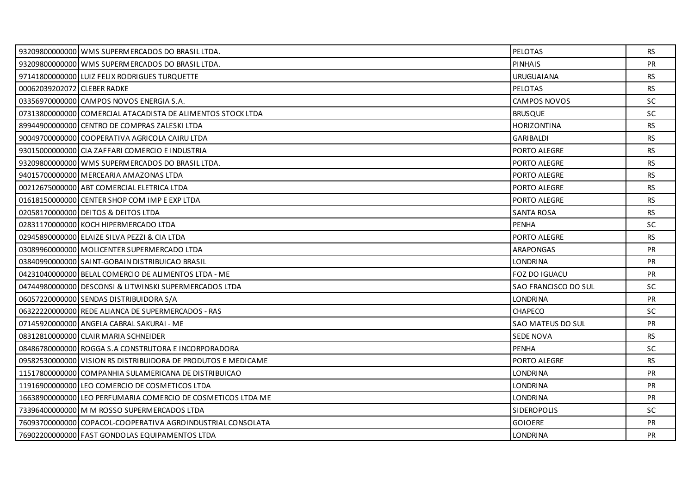|                             | 93209800000000 WMS SUPERMERCADOS DO BRASIL LTDA.              | PELOTAS              | <b>RS</b> |
|-----------------------------|---------------------------------------------------------------|----------------------|-----------|
|                             | 93209800000000 WMS SUPERMERCADOS DO BRASIL LTDA.              | <b>PINHAIS</b>       | <b>PR</b> |
|                             | 97141800000000 LUIZ FELIX RODRIGUES TURQUETTE                 | <b>URUGUAIANA</b>    | <b>RS</b> |
| 00062039202072 CLEBER RADKE |                                                               | <b>PELOTAS</b>       | <b>RS</b> |
|                             | 03356970000000 CAMPOS NOVOS ENERGIA S.A.                      | CAMPOS NOVOS         | SC        |
|                             | 07313800000000 COMERCIAL ATACADISTA DE ALIMENTOS STOCK LTDA   | <b>BRUSQUE</b>       | <b>SC</b> |
|                             | 89944900000000 CENTRO DE COMPRAS ZALESKI LTDA                 | HORIZONTINA          | <b>RS</b> |
|                             | 90049700000000 COOPERATIVA AGRICOLA CAIRU LTDA                | <b>GARIBALDI</b>     | <b>RS</b> |
|                             | 93015000000000 CIA ZAFFARI COMERCIO E INDUSTRIA               | PORTO ALEGRE         | <b>RS</b> |
|                             | 93209800000000 WMS SUPERMERCADOS DO BRASIL LTDA.              | PORTO ALEGRE         | <b>RS</b> |
|                             | 94015700000000 MERCEARIA AMAZONAS LTDA                        | PORTO ALEGRE         | <b>RS</b> |
|                             | 00212675000000 ABT COMERCIAL ELETRICA LTDA                    | PORTO ALEGRE         | <b>RS</b> |
|                             | 01618150000000 CENTER SHOP COM IMP E EXP LTDA                 | PORTO ALEGRE         | <b>RS</b> |
|                             | 02058170000000 DEITOS & DEITOS LTDA                           | <b>SANTA ROSA</b>    | <b>RS</b> |
|                             | 02831170000000 KOCH HIPERMERCADO LTDA                         | <b>PENHA</b>         | SC        |
|                             | 02945890000000 ELAIZE SILVA PEZZI & CIA LTDA                  | PORTO ALEGRE         | <b>RS</b> |
|                             | 03089960000000 MOLICENTER SUPERMERCADO LTDA                   | <b>ARAPONGAS</b>     | <b>PR</b> |
|                             | 03840990000000 SAINT-GOBAIN DISTRIBUICAO BRASIL               | <b>LONDRINA</b>      | <b>PR</b> |
|                             | 04231040000000 BELAL COMERCIO DE ALIMENTOS LTDA - ME          | FOZ DO IGUACU        | <b>PR</b> |
|                             | 04744980000000 DESCONSI & LITWINSKI SUPERMERCADOS LTDA        | SAO FRANCISCO DO SUL | <b>SC</b> |
|                             | 06057220000000 SENDAS DISTRIBUIDORA S/A                       | <b>LONDRINA</b>      | <b>PR</b> |
|                             | 06322220000000 REDE ALIANCA DE SUPERMERCADOS - RAS            | <b>CHAPECO</b>       | <b>SC</b> |
|                             | 07145920000000 ANGELA CABRAL SAKURAI - ME                     | SAO MATEUS DO SUL    | <b>PR</b> |
|                             | 08312810000000 CLAIR MARIA SCHNEIDER                          | <b>SEDE NOVA</b>     | <b>RS</b> |
|                             | 08486780000000 ROGGA S.A CONSTRUTORA E INCORPORADORA          | <b>PENHA</b>         | <b>SC</b> |
|                             | 09582530000000 VISION RS DISTRIBUIDORA DE PRODUTOS E MEDICAME | PORTO ALEGRE         | <b>RS</b> |
|                             | 11517800000000 COMPANHIA SULAMERICANA DE DISTRIBUICAO         | LONDRINA             | <b>PR</b> |
|                             | 119169000000001LEO COMERCIO DE COSMETICOS LTDA                | <b>LONDRINA</b>      | <b>PR</b> |
|                             | 16638900000000 LEO PERFUMARIA COMERCIO DE COSMETICOS LTDA ME  | <b>LONDRINA</b>      | <b>PR</b> |
|                             | 73396400000000 M M ROSSO SUPERMERCADOS LTDA                   | SIDEROPOLIS          | <b>SC</b> |
|                             | 76093700000000 COPACOL-COOPERATIVA AGROINDUSTRIAL CONSOLATA   | <b>GOIOERE</b>       | <b>PR</b> |
|                             | 76902200000000 FAST GONDOLAS EQUIPAMENTOS LTDA                | <b>LONDRINA</b>      | <b>PR</b> |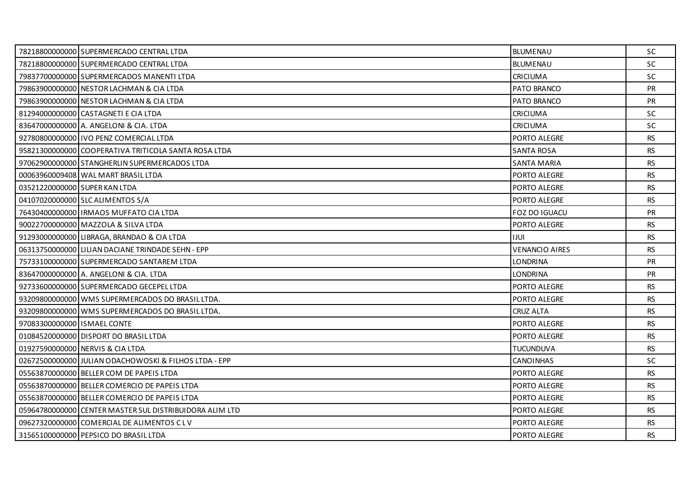|                               | 78218800000000 SUPERMERCADO CENTRAL LTDA                | BLUMENAU              | SC.       |
|-------------------------------|---------------------------------------------------------|-----------------------|-----------|
|                               | 78218800000000 SUPERMERCADO CENTRAL LTDA                | <b>BLUMENAU</b>       | <b>SC</b> |
|                               | 79837700000000 SUPERMERCADOS MANENTI LTDA               | <b>CRICIUMA</b>       | <b>SC</b> |
|                               | 79863900000000 NESTOR LACHMAN & CIA LTDA                | PATO BRANCO           | PR        |
|                               | 79863900000000 NESTOR LACHMAN & CIA LTDA                | PATO BRANCO           | PR        |
|                               | 81294000000000 CASTAGNETI E CIA LTDA                    | <b>CRICIUMA</b>       | <b>SC</b> |
|                               | 836470000000000 A. ANGELONI & CIA. LTDA                 | <b>CRICIUMA</b>       | SC        |
|                               | 92780800000000 IVO PENZ COMERCIAL LTDA                  | PORTO ALEGRE          | <b>RS</b> |
|                               | 95821300000000 COOPERATIVA TRITICOLA SANTA ROSA LTDA    | <b>SANTA ROSA</b>     | <b>RS</b> |
|                               | 97062900000000 STANGHERLIN SUPERMERCADOS LTDA           | SANTA MARIA           | <b>RS</b> |
|                               | 00063960009408 WAL MART BRASIL LTDA                     | PORTO ALEGRE          | <b>RS</b> |
| 03521220000000 SUPER KAN LTDA |                                                         | PORTO ALEGRE          | <b>RS</b> |
|                               | 04107020000000 SLC ALIMENTOS S/A                        | PORTO ALEGRE          | <b>RS</b> |
|                               | 76430400000000 IRMAOS MUFFATO CIA LTDA                  | FOZ DO IGUACU         | PR        |
|                               | 90022700000000 MAZZOLA & SILVA LTDA                     | PORTO ALEGRE          | <b>RS</b> |
|                               | 91293000000000 LIBRAGA, BRANDAO & CIA LTDA              | <b>IJUI</b>           | <b>RS</b> |
|                               | 06313750000000 LILIAN DACIANE TRINDADE SEHN - EPP       | <b>VENANCIO AIRES</b> | <b>RS</b> |
|                               | 75733100000000 SUPERMERCADO SANTAREM LTDA               | <b>LONDRINA</b>       | <b>PR</b> |
|                               | 836470000000000 A. ANGELONI & CIA. LTDA                 | <b>LONDRINA</b>       | <b>PR</b> |
|                               | 92733600000000 SUPERMERCADO GECEPEL LTDA                | PORTO ALEGRE          | <b>RS</b> |
|                               | 93209800000000 WMS SUPERMERCADOS DO BRASIL LTDA.        | PORTO ALEGRE          | <b>RS</b> |
|                               | 93209800000000 WMS SUPERMERCADOS DO BRASIL LTDA.        | <b>CRUZ ALTA</b>      | <b>RS</b> |
| 97083300000000 ISMAEL CONTE   |                                                         | PORTO ALEGRE          | <b>RS</b> |
|                               | 01084520000000 DISPORT DO BRASIL LTDA                   | PORTO ALEGRE          | <b>RS</b> |
|                               | 01927590000000 NERVIS & CIA LTDA                        | <b>TUCUNDUVA</b>      | <b>RS</b> |
|                               | 02672500000000 JULIAN ODACHOWOSKI & FILHOS LTDA - EPP   | <b>CANOINHAS</b>      | SC        |
|                               | 05563870000000 BELLER COM DE PAPEIS LTDA                | PORTO ALEGRE          | RS.       |
|                               | 05563870000000 BELLER COMERCIO DE PAPEIS LTDA           | PORTO ALEGRE          | <b>RS</b> |
|                               | 05563870000000 BELLER COMERCIO DE PAPEIS LTDA           | PORTO ALEGRE          | <b>RS</b> |
|                               | 05964780000000 CENTER MASTER SUL DISTRIBUIDORA ALIM LTD | PORTO ALEGRE          | <b>RS</b> |
|                               | 09627320000000 COMERCIAL DE ALIMENTOS CLV               | PORTO ALEGRE          | <b>RS</b> |
|                               | 31565100000000 PEPSICO DO BRASIL LTDA                   | PORTO ALEGRE          | <b>RS</b> |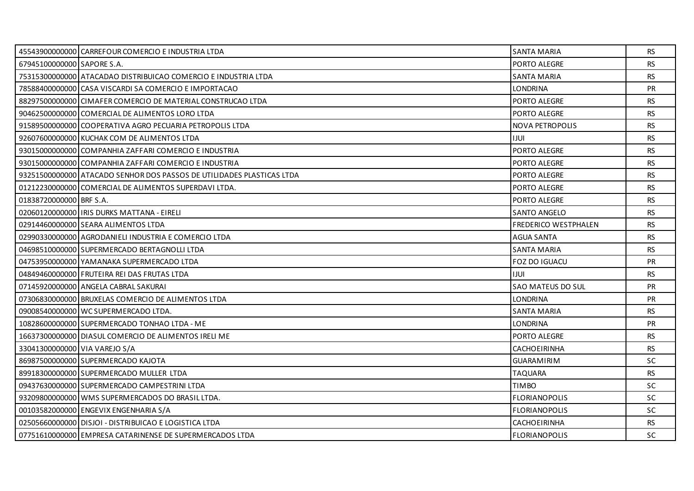|                               | 45543900000000 CARREFOUR COMERCIO E INDUSTRIA LTDA                    | <b>SANTA MARIA</b>          | <b>RS</b> |
|-------------------------------|-----------------------------------------------------------------------|-----------------------------|-----------|
| 67945100000000 SAPORE S.A.    |                                                                       | PORTO ALEGRE                | <b>RS</b> |
|                               | 75315300000000 ATACADAO DISTRIBUICAO COMERCIO E INDUSTRIA LTDA        | <b>SANTA MARIA</b>          | <b>RS</b> |
|                               | 78588400000000 CASA VISCARDI SA COMERCIO E IMPORTACAO                 | <b>LONDRINA</b>             | PR        |
|                               | 88297500000000 CIMAFER COMERCIO DE MATERIAL CONSTRUCAO LTDA           | PORTO ALEGRE                | <b>RS</b> |
|                               | 90462500000000 COMERCIAL DE ALIMENTOS LORO LTDA                       | PORTO ALEGRE                | <b>RS</b> |
|                               | 91589500000000 COOPERATIVA AGRO PECUARIA PETROPOLIS LTDA              | <b>NOVA PETROPOLIS</b>      | <b>RS</b> |
|                               | 92607600000000 KUCHAK COM DE ALIMENTOS LTDA                           | <b>IJUI</b>                 | <b>RS</b> |
|                               | 93015000000000 COMPANHIA ZAFFARI COMERCIO E INDUSTRIA                 | PORTO ALEGRE                | RS        |
|                               | 93015000000000 COMPANHIA ZAFFARI COMERCIO E INDUSTRIA                 | PORTO ALEGRE                | <b>RS</b> |
|                               | 93251500000000 ATACADO SENHOR DOS PASSOS DE UTILIDADES PLASTICAS LTDA | PORTO ALEGRE                | <b>RS</b> |
|                               | 01212230000000 COMERCIAL DE ALIMENTOS SUPERDAVI LTDA.                 | PORTO ALEGRE                | <b>RS</b> |
| 01838720000000 BRF S.A.       |                                                                       | PORTO ALEGRE                | <b>RS</b> |
|                               | 02060120000000 IRIS DURKS MATTANA - EIRELI                            | <b>SANTO ANGELO</b>         | <b>RS</b> |
|                               | 02914460000000 SEARA ALIMENTOS LTDA                                   | <b>FREDERICO WESTPHALEN</b> | <b>RS</b> |
|                               | 02990330000000 AGRODANIELI INDUSTRIA E COMERCIO LTDA                  | <b>AGUA SANTA</b>           | <b>RS</b> |
|                               | 04698510000000 SUPERMERCADO BERTAGNOLLI LTDA                          | <b>SANTA MARIA</b>          | <b>RS</b> |
|                               | 04753950000000 YAMANAKA SUPERMERCADO LTDA                             | <b>FOZ DO IGUACU</b>        | <b>PR</b> |
|                               | 04849460000000 FRUTEIRA REI DAS FRUTAS LTDA                           | <b>IJUI</b>                 | <b>RS</b> |
|                               | 07145920000000 ANGELA CABRAL SAKURAI                                  | SAO MATEUS DO SUL           | PR        |
|                               | 07306830000000 BRUXELAS COMERCIO DE ALIMENTOS LTDA                    | <b>LONDRINA</b>             | <b>PR</b> |
|                               | 09008540000000 WC SUPERMERCADO LTDA.                                  | <b>SANTA MARIA</b>          | <b>RS</b> |
|                               | 10828600000000 SUPERMERCADO TONHAO LTDA - ME                          | <b>LONDRINA</b>             | <b>PR</b> |
|                               | 16637300000000 DIASUL COMERCIO DE ALIMENTOS IRELI ME                  | PORTO ALEGRE                | <b>RS</b> |
| 33041300000000 VIA VAREJO S/A |                                                                       | CACHOEIRINHA                | RS.       |
|                               | 86987500000000 SUPERMERCADO KAJOTA                                    | <b>GUARAMIRIM</b>           | SC        |
|                               | 89918300000000 SUPERMERCADO MULLER LTDA                               | <b>TAQUARA</b>              | <b>RS</b> |
|                               | 09437630000000 SUPERMERCADO CAMPESTRINI LTDA                          | <b>TIMBO</b>                | <b>SC</b> |
|                               | 93209800000000 WMS SUPERMERCADOS DO BRASIL LTDA.                      | <b>FLORIANOPOLIS</b>        | SC        |
|                               | 00103582000000 ENGEVIX ENGENHARIA S/A                                 | <b>FLORIANOPOLIS</b>        | SC        |
|                               | 02505660000000 DISJOI - DISTRIBUICAO E LOGISTICA LTDA                 | <b>CACHOEIRINHA</b>         | <b>RS</b> |
|                               | 07751610000000 EMPRESA CATARINENSE DE SUPERMERCADOS LTDA              | <b>FLORIANOPOLIS</b>        | <b>SC</b> |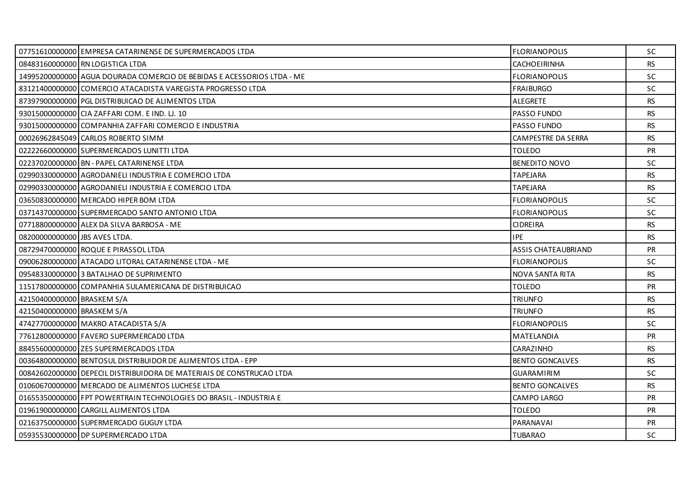|                               | 07751610000000 EMPRESA CATARINENSE DE SUPERMERCADOS LTDA               | <b>FLORIANOPOLIS</b>       | <b>SC</b> |
|-------------------------------|------------------------------------------------------------------------|----------------------------|-----------|
|                               | 08483160000000 RN LOGISTICA LTDA                                       | <b>CACHOEIRINHA</b>        | <b>RS</b> |
|                               | 14995200000000 AGUA DOURADA COMERCIO DE BEBIDAS E ACESSORIOS LTDA - ME | <b>FLORIANOPOLIS</b>       | <b>SC</b> |
|                               | 83121400000000 COMERCIO ATACADISTA VAREGISTA PROGRESSO LTDA            | <b>FRAIBURGO</b>           | <b>SC</b> |
|                               | 87397900000000 PGL DISTRIBUICAO DE ALIMENTOS LTDA                      | <b>ALEGRETE</b>            | <b>RS</b> |
|                               | 93015000000000 CIA ZAFFARI COM. E IND. LJ. 10                          | <b>PASSO FUNDO</b>         | <b>RS</b> |
|                               | 93015000000000 COMPANHIA ZAFFARI COMERCIO E INDUSTRIA                  | PASSO FUNDO                | RS.       |
|                               | 00026962845049 CARLOS ROBERTO SIMM                                     | CAMPESTRE DA SERRA         | <b>RS</b> |
|                               | 02222660000000 SUPERMERCADOS LUNITTI LTDA                              | <b>TOLEDO</b>              | <b>PR</b> |
|                               | 02237020000000 BN - PAPEL CATARINENSE LTDA                             | <b>BENEDITO NOVO</b>       | <b>SC</b> |
|                               | 02990330000000 AGRODANIELI INDUSTRIA E COMERCIO LTDA                   | <b>TAPEJARA</b>            | <b>RS</b> |
|                               | 02990330000000 AGRODANIELI INDUSTRIA E COMERCIO LTDA                   | <b>TAPEJARA</b>            | <b>RS</b> |
|                               | 03650830000000 MERCADO HIPER BOM LTDA                                  | <b>FLORIANOPOLIS</b>       | <b>SC</b> |
|                               | 03714370000000 SUPERMERCADO SANTO ANTONIO LTDA                         | <b>FLORIANOPOLIS</b>       | <b>SC</b> |
|                               | 07718800000000 ALEX DA SILVA BARBOSA - ME                              | <b>CIDREIRA</b>            | RS        |
| 08200000000000 JBS AVES LTDA. |                                                                        | <b>IPE</b>                 | RS.       |
|                               | 08729470000000 ROQUE E PIRASSOL LTDA                                   | <b>ASSIS CHATEAUBRIAND</b> | PR        |
|                               | 09006280000000 ATACADO LITORAL CATARINENSE LTDA - ME                   | <b>FLORIANOPOLIS</b>       | <b>SC</b> |
|                               | 09548330000000 3 BATALHAO DE SUPRIMENTO                                | NOVA SANTA RITA            | <b>RS</b> |
|                               | 11517800000000 COMPANHIA SULAMERICANA DE DISTRIBUICAO                  | <b>TOLEDO</b>              | PR        |
| 42150400000000 BRASKEM S/A    |                                                                        | <b>TRIUNFO</b>             | RS        |
| 42150400000000 BRASKEM S/A    |                                                                        | <b>TRIUNFO</b>             | <b>RS</b> |
|                               | 47427700000000 MAKRO ATACADISTA S/A                                    | <b>FLORIANOPOLIS</b>       | <b>SC</b> |
|                               | 77612800000000 FAVERO SUPERMERCADO LTDA                                | MATELANDIA                 | <b>PR</b> |
|                               | 88455600000000 ZES SUPERMERCADOS LTDA                                  | CARAZINHO                  | <b>RS</b> |
|                               | 00364800000000 BENTOSUL DISTRIBUIDOR DE ALIMENTOS LTDA - EPP           | <b>BENTO GONCALVES</b>     | <b>RS</b> |
|                               | 00842602000000 DEPECIL DISTRIBUIDORA DE MATERIAIS DE CONSTRUCAO LTDA   | <b>GUARAMIRIM</b>          | <b>SC</b> |
|                               | 01060670000000 MERCADO DE ALIMENTOS LUCHESE LTDA                       | <b>BENTO GONCALVES</b>     | <b>RS</b> |
|                               | 01655350000000 FPT POWERTRAIN TECHNOLOGIES DO BRASIL - INDUSTRIA E     | CAMPO LARGO                | <b>PR</b> |
|                               | 01961900000000 CARGILL ALIMENTOS LTDA                                  | <b>TOLEDO</b>              | <b>PR</b> |
|                               | 02163750000000 SUPERMERCADO GUGUY LTDA                                 | PARANAVAI                  | PR        |
|                               | 05935530000000 DP SUPERMERCADO LTDA                                    | <b>TUBARAO</b>             | SC        |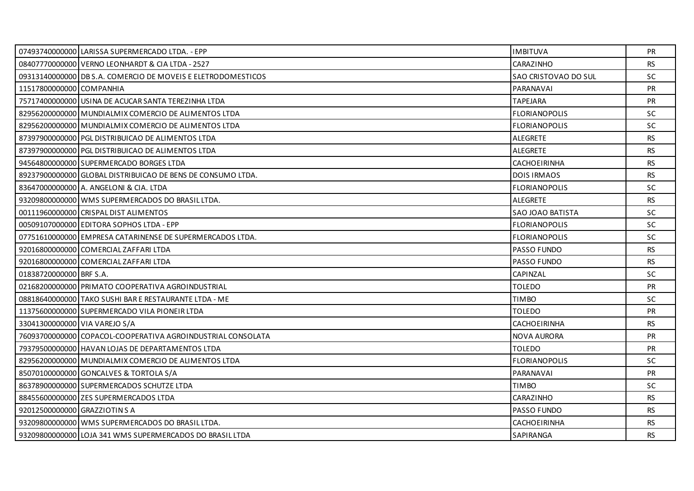|                               | 07493740000000 LARISSA SUPERMERCADO LTDA. - EPP              | <b>IMBITUVA</b>      | <b>PR</b> |
|-------------------------------|--------------------------------------------------------------|----------------------|-----------|
|                               | 08407770000000 VERNO LEONHARDT & CIA LTDA - 2527             | CARAZINHO            | <b>RS</b> |
|                               | 09313140000000 DB S.A. COMERCIO DE MOVEIS E ELETRODOMESTICOS | SAO CRISTOVAO DO SUL | <b>SC</b> |
| 11517800000000 COMPANHIA      |                                                              | PARANAVAI            | PR        |
|                               | 75717400000000 USINA DE ACUCAR SANTA TEREZINHA LTDA          | <b>TAPEJARA</b>      | <b>PR</b> |
|                               | 82956200000000 MUNDIALMIX COMERCIO DE ALIMENTOS LTDA         | <b>FLORIANOPOLIS</b> | <b>SC</b> |
|                               | 82956200000000 MUNDIALMIX COMERCIO DE ALIMENTOS LTDA         | <b>FLORIANOPOLIS</b> | <b>SC</b> |
|                               | 87397900000000 PGL DISTRIBUICAO DE ALIMENTOS LTDA            | ALEGRETE             | <b>RS</b> |
|                               | 87397900000000 PGL DISTRIBUICAO DE ALIMENTOS LTDA            | ALEGRETE             | <b>RS</b> |
|                               | 94564800000000 SUPERMERCADO BORGES LTDA                      | CACHOEIRINHA         | RS.       |
|                               | 89237900000000 GLOBAL DISTRIBUICAO DE BENS DE CONSUMO LTDA.  | <b>DOIS IRMAOS</b>   | <b>RS</b> |
|                               | 83647000000000 A. ANGELONI & CIA. LTDA                       | <b>FLORIANOPOLIS</b> | <b>SC</b> |
|                               | 93209800000000 WMS SUPERMERCADOS DO BRASIL LTDA.             | ALEGRETE             | RS.       |
|                               | 00111960000000 CRISPAL DIST ALIMENTOS                        | SAO JOAO BATISTA     | SC        |
|                               | 00509107000000 EDITORA SOPHOS LTDA - EPP                     | <b>FLORIANOPOLIS</b> | SC.       |
|                               | 07751610000000 EMPRESA CATARINENSE DE SUPERMERCADOS LTDA.    | <b>FLORIANOPOLIS</b> | <b>SC</b> |
|                               | 92016800000000 COMERCIAL ZAFFARI LTDA                        | PASSO FUNDO          | <b>RS</b> |
|                               | 92016800000000 COMERCIAL ZAFFARI LTDA                        | <b>PASSO FUNDO</b>   | RS        |
| 01838720000000 BRF S.A.       |                                                              | CAPINZAL             | <b>SC</b> |
|                               | 02168200000000 PRIMATO COOPERATIVA AGROINDUSTRIAL            | <b>TOLEDO</b>        | <b>PR</b> |
|                               | 08818640000000 TAKO SUSHI BAR E RESTAURANTE LTDA - ME        | <b>TIMBO</b>         | <b>SC</b> |
|                               | 11375600000000 SUPERMERCADO VILA PIONEIR LTDA                | <b>TOLEDO</b>        | <b>PR</b> |
| 33041300000000 VIA VAREJO S/A |                                                              | CACHOEIRINHA         | <b>RS</b> |
|                               | 76093700000000 COPACOL-COOPERATIVA AGROINDUSTRIAL CONSOLATA  | <b>NOVA AURORA</b>   | <b>PR</b> |
|                               | 79379500000000 HAVAN LOJAS DE DEPARTAMENTOS LTDA             | <b>TOLEDO</b>        | <b>PR</b> |
|                               | 82956200000000 MUNDIALMIX COMERCIO DE ALIMENTOS LTDA         | <b>FLORIANOPOLIS</b> | <b>SC</b> |
|                               | 85070100000000 GONCALVES & TORTOLA S/A                       | PARANAVAI            | <b>PR</b> |
|                               | 86378900000000 SUPERMERCADOS SCHUTZE LTDA                    | <b>TIMBO</b>         | SC.       |
|                               | 88455600000000 ZES SUPERMERCADOS LTDA                        | CARAZINHO            | <b>RS</b> |
| 92012500000000 GRAZZIOTIN S A |                                                              | PASSO FUNDO          | <b>RS</b> |
|                               | 93209800000000 WMS SUPERMERCADOS DO BRASIL LTDA.             | CACHOEIRINHA         | <b>RS</b> |
|                               | 93209800000000 LOJA 341 WMS SUPERMERCADOS DO BRASIL LTDA     | SAPIRANGA            | RS.       |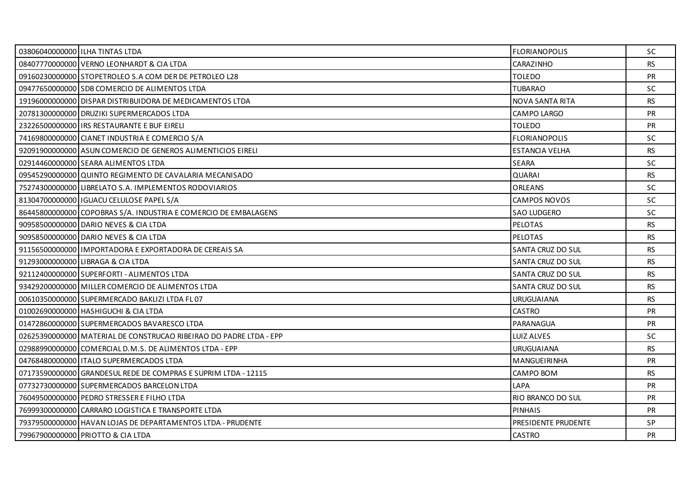| 03806040000000 ILHA TINTAS LTDA                                    | <b>FLORIANOPOLIS</b>   | <b>SC</b> |
|--------------------------------------------------------------------|------------------------|-----------|
| 08407770000000 VERNO LEONHARDT & CIA LTDA                          | CARAZINHO              | <b>RS</b> |
| 091602300000001STOPETROLEO S.A COM DER DE PETROLEO L28             | <b>TOLEDO</b>          | <b>PR</b> |
| 09477650000000 SDB COMERCIO DE ALIMENTOS LTDA                      | <b>TUBARAO</b>         | SC.       |
| 19196000000000 DISPAR DISTRIBUIDORA DE MEDICAMENTOS LTDA           | <b>NOVA SANTA RITA</b> | RS        |
| 20781300000000 DRUZIKI SUPERMERCADOS LTDA                          | CAMPO LARGO            | <b>PR</b> |
| 23226500000000 LIRS RESTAURANTE E BUF EIRELI                       | <b>TOLEDO</b>          | <b>PR</b> |
| 74169800000000 CIANET INDUSTRIA E COMERCIO S/A                     | <b>FLORIANOPOLIS</b>   | <b>SC</b> |
| 92091900000000 ASUN COMERCIO DE GENEROS ALIMENTICIOS EIRELI        | <b>ESTANCIA VELHA</b>  | <b>RS</b> |
| 02914460000000 SEARA ALIMENTOS LTDA                                | <b>SEARA</b>           | SC.       |
| 09545290000000 QUINTO REGIMENTO DE CAVALARIA MECANISADO            | <b>QUARAI</b>          | RS.       |
| 75274300000000 LIBRELATO S.A. IMPLEMENTOS RODOVIARIOS              | <b>ORLEANS</b>         | <b>SC</b> |
| 81304700000000 I IGUACU CELULOSE PAPEL S/A                         | <b>CAMPOS NOVOS</b>    | SC.       |
| 86445800000000 COPOBRAS S/A. INDUSTRIA E COMERCIO DE EMBALAGENS    | <b>SAO LUDGERO</b>     | <b>SC</b> |
| 90958500000000 DARIO NEVES & CIA LTDA                              | PELOTAS                | <b>RS</b> |
| 90958500000000 DARIO NEVES & CIA LTDA                              | <b>PELOTAS</b>         | <b>RS</b> |
| 91156500000000   IMPORTADORA E EXPORTADORA DE CEREAIS SA           | SANTA CRUZ DO SUL      | <b>RS</b> |
| 91293000000000 LIBRAGA & CIA LTDA                                  | SANTA CRUZ DO SUL      | <b>RS</b> |
| 92112400000000 SUPERFORTI - ALIMENTOS LTDA                         | SANTA CRUZ DO SUL      | <b>RS</b> |
| 93429200000000 MILLER COMERCIO DE ALIMENTOS LTDA                   | SANTA CRUZ DO SUL      | RS.       |
| 00610350000000 SUPERMERCADO BAKLIZI LTDA FL 07                     | <b>URUGUAIANA</b>      | RS.       |
| 01002690000000 HASHIGUCHI & CIA LTDA                               | <b>CASTRO</b>          | <b>PR</b> |
| 01472860000000 SUPERMERCADOS BAVARESCO LTDA                        | PARANAGUA              | PR        |
| 02625390000000 MATERIAL DE CONSTRUCAO RIBEIRAO DO PADRE LTDA - EPP | LUIZ ALVES             | <b>SC</b> |
| 02988990000000 COMERCIAL D.M.S. DE ALIMENTOS LTDA - EPP            | <b>URUGUAIANA</b>      | <b>RS</b> |
| 04768480000000   ITALO SUPERMERCADOS LTDA                          | <b>MANGUEIRINHA</b>    | PR        |
| 07173590000000 GRANDESUL REDE DE COMPRAS E SUPRIM LTDA - 12115     | CAMPO BOM              | RS.       |
| 07732730000000 SUPERMERCADOS BARCELON LTDA                         | LAPA                   | PR        |
| 76049500000000 PEDRO STRESSER E FILHO LTDA                         | RIO BRANCO DO SUL      | <b>PR</b> |
| 76999300000000 CARRARO LOGISTICA E TRANSPORTE LTDA                 | <b>PINHAIS</b>         | <b>PR</b> |
| 79379500000000 HAVAN LOJAS DE DEPARTAMENTOS LTDA - PRUDENTE        | PRESIDENTE PRUDENTE    | SP.       |
| 79967900000000 PRIOTTO & CIA LTDA                                  | <b>CASTRO</b>          | <b>PR</b> |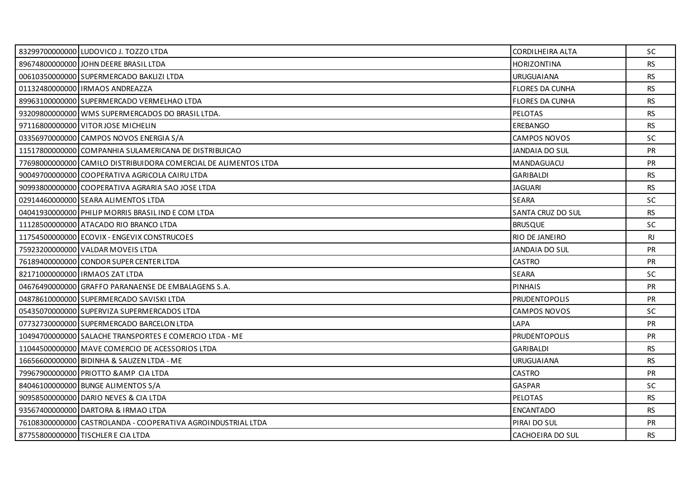| 83299700000000 LUDOVICO J. TOZZO LTDA                           | <b>CORDILHEIRA ALTA</b> | <b>SC</b> |
|-----------------------------------------------------------------|-------------------------|-----------|
| 89674800000000 JOHN DEERE BRASIL LTDA                           | <b>HORIZONTINA</b>      | <b>RS</b> |
| 00610350000000 SUPERMERCADO BAKLIZI LTDA                        | <b>URUGUAIANA</b>       | <b>RS</b> |
| 01132480000000 IRMAOS ANDREAZZA                                 | <b>FLORES DA CUNHA</b>  | <b>RS</b> |
| 89963100000000 SUPERMERCADO VERMELHAO LTDA                      | <b>FLORES DA CUNHA</b>  | <b>RS</b> |
| 93209800000000 WMS SUPERMERCADOS DO BRASIL LTDA.                | <b>PELOTAS</b>          | <b>RS</b> |
| 97116800000000 VITOR JOSE MICHELIN                              | EREBANGO                | <b>RS</b> |
| 03356970000000 CAMPOS NOVOS ENERGIA S/A                         | <b>CAMPOS NOVOS</b>     | <b>SC</b> |
| 11517800000000 COMPANHIA SULAMERICANA DE DISTRIBUICAO           | JANDAIA DO SUL          | <b>PR</b> |
| 77698000000000 CAMILO DISTRIBUIDORA COMERCIAL DE ALIMENTOS LTDA | MANDAGUACU              | <b>PR</b> |
| 90049700000000 COOPERATIVA AGRICOLA CAIRU LTDA                  | <b>GARIBALDI</b>        | RS        |
| 90993800000000 COOPERATIVA AGRARIA SAO JOSE LTDA                | <b>JAGUARI</b>          | <b>RS</b> |
| 02914460000000 SEARA ALIMENTOS LTDA                             | <b>SEARA</b>            | <b>SC</b> |
| 04041930000000 PHILIP MORRIS BRASIL IND E COM LTDA              | SANTA CRUZ DO SUL       | <b>RS</b> |
| 11128500000000 ATACADO RIO BRANCO LTDA                          | <b>BRUSQUE</b>          | <b>SC</b> |
| 11754500000000 ECOVIX - ENGEVIX CONSTRUCOES                     | <b>RIO DE JANEIRO</b>   | RJ.       |
| 75923200000000 VALDAR MOVEIS LTDA                               | JANDAIA DO SUL          | <b>PR</b> |
| 76189400000000 CONDOR SUPER CENTER LTDA                         | <b>CASTRO</b>           | <b>PR</b> |
| 82171000000000 IRMAOS ZAT LTDA                                  | <b>SEARA</b>            | <b>SC</b> |
| 04676490000000 GRAFFO PARANAENSE DE EMBALAGENS S.A.             | <b>PINHAIS</b>          | <b>PR</b> |
| 04878610000000 SUPERMERCADO SAVISKI LTDA                        | <b>PRUDENTOPOLIS</b>    | <b>PR</b> |
| 05435070000000 SUPERVIZA SUPERMERCADOS LTDA                     | <b>CAMPOS NOVOS</b>     | SC.       |
| 07732730000000 SUPERMERCADO BARCELON LTDA                       | LAPA                    | PR        |
| 10494700000000 SALACHE TRANSPORTES E COMERCIO LTDA - ME         | <b>PRUDENTOPOLIS</b>    | <b>PR</b> |
| 11044500000000 MAVE COMERCIO DE ACESSORIOS LTDA                 | <b>GARIBALDI</b>        | <b>RS</b> |
| 16656600000000 BIDINHA & SAUZEN LTDA - ME                       | <b>URUGUAIANA</b>       | <b>RS</b> |
| 79967900000000 PRIOTTO & AMP CIA LTDA                           | CASTRO                  | <b>PR</b> |
| 84046100000000 BUNGE ALIMENTOS S/A                              | <b>GASPAR</b>           | <b>SC</b> |
| 90958500000000 DARIO NEVES & CIA LTDA                           | <b>PELOTAS</b>          | <b>RS</b> |
| 93567400000000 DARTORA & IRMAO LTDA                             | <b>ENCANTADO</b>        | <b>RS</b> |
| 76108300000000 CASTROLANDA - COOPERATIVA AGROINDUSTRIAL LTDA    | PIRAI DO SUL            | PR        |
| 87755800000000 TISCHLER E CIA LTDA                              | CACHOEIRA DO SUL        | RS.       |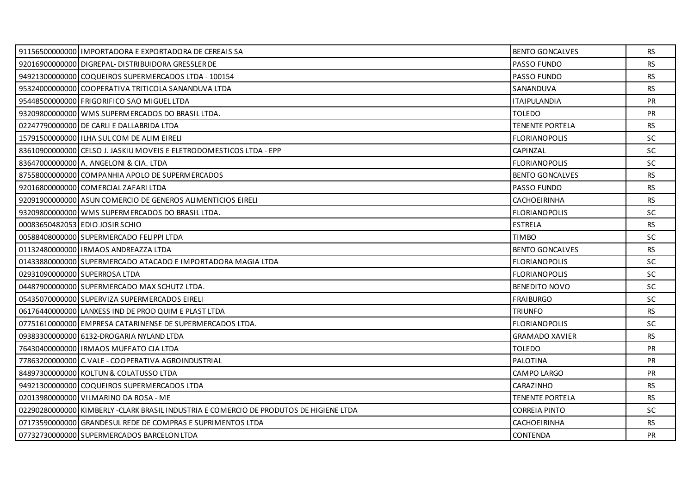|                               | 91156500000000   IMPORTADORA E EXPORTADORA DE CEREAIS SA                              | <b>BENTO GONCALVES</b> | <b>RS</b> |
|-------------------------------|---------------------------------------------------------------------------------------|------------------------|-----------|
|                               | 92016900000000 DIGREPAL-DISTRIBUIDORA GRESSLER DE                                     | PASSO FUNDO            | <b>RS</b> |
|                               | 94921300000000 COQUEIROS SUPERMERCADOS LTDA - 100154                                  | <b>PASSO FUNDO</b>     | <b>RS</b> |
|                               | 95324000000000 COOPERATIVA TRITICOLA SANANDUVA LTDA                                   | SANANDUVA              | <b>RS</b> |
|                               | 95448500000000 FRIGORIFICO SAO MIGUEL LTDA                                            | <b>ITAIPULANDIA</b>    | <b>PR</b> |
|                               | 93209800000000 WMS SUPERMERCADOS DO BRASIL LTDA.                                      | <b>TOLEDO</b>          | <b>PR</b> |
|                               | 02247790000000 DE CARLI E DALLABRIDA LTDA                                             | <b>TENENTE PORTELA</b> | <b>RS</b> |
|                               | 15791500000000 ILHA SUL COM DE ALIM EIRELI                                            | <b>FLORIANOPOLIS</b>   | <b>SC</b> |
|                               | 83610900000000 CELSO J. JASKIU MOVEIS E ELETRODOMESTICOS LTDA - EPP                   | CAPINZAL               | <b>SC</b> |
|                               | 836470000000000 A. ANGELONI & CIA. LTDA                                               | <b>FLORIANOPOLIS</b>   | SC.       |
|                               | 87558000000000 COMPANHIA APOLO DE SUPERMERCADOS                                       | <b>BENTO GONCALVES</b> | <b>RS</b> |
|                               | 92016800000000 COMERCIAL ZAFARI LTDA                                                  | <b>PASSO FUNDO</b>     | <b>RS</b> |
|                               | 920919000000001ASUN COMERCIO DE GENEROS ALIMENTICIOS EIRELI                           | CACHOEIRINHA           | <b>RS</b> |
|                               | 93209800000000 WMS SUPERMERCADOS DO BRASIL LTDA.                                      | <b>FLORIANOPOLIS</b>   | <b>SC</b> |
|                               | 00083650482053 EDIO JOSIR SCHIO                                                       | <b>ESTRELA</b>         | <b>RS</b> |
|                               | 00588408000000 SUPERMERCADO FELIPPI LTDA                                              | <b>TIMBO</b>           | <b>SC</b> |
|                               | 01132480000000   IRMAOS ANDREAZZA LTDA                                                | <b>BENTO GONCALVES</b> | RS        |
|                               | 01433880000000 SUPERMERCADO ATACADO E IMPORTADORA MAGIA LTDA                          | <b>FLORIANOPOLIS</b>   | <b>SC</b> |
| 02931090000000 SUPERROSA LTDA |                                                                                       | <b>FLORIANOPOLIS</b>   | <b>SC</b> |
|                               | 04487900000000 SUPERMERCADO MAX SCHUTZ LTDA.                                          | <b>BENEDITO NOVO</b>   | SC        |
|                               | 05435070000000 SUPERVIZA SUPERMERCADOS EIRELI                                         | <b>FRAIBURGO</b>       | <b>SC</b> |
|                               | 06176440000000 LANXESS IND DE PROD QUIM E PLAST LTDA                                  | <b>TRIUNFO</b>         | <b>RS</b> |
|                               | 07751610000000 EMPRESA CATARINENSE DE SUPERMERCADOS LTDA.                             | <b>FLORIANOPOLIS</b>   | SC        |
|                               | 09383300000000 6132-DROGARIA NYLAND LTDA                                              | <b>GRAMADO XAVIER</b>  | <b>RS</b> |
|                               | 76430400000000 IRMAOS MUFFATO CIA LTDA                                                | <b>TOLEDO</b>          | <b>PR</b> |
|                               | 77863200000000 C.VALE - COOPERATIVA AGROINDUSTRIAL                                    | PALOTINA               | <b>PR</b> |
|                               | 84897300000000 KOLTUN & COLATUSSO LTDA                                                | CAMPO LARGO            | <b>PR</b> |
|                               | 94921300000000 COQUEIROS SUPERMERCADOS LTDA                                           | CARAZINHO              | <b>RS</b> |
|                               | 02013980000000 VILMARINO DA ROSA - ME                                                 | <b>TENENTE PORTELA</b> | RS        |
|                               | 02290280000000 KIMBERLY-CLARK BRASIL INDUSTRIA E COMERCIO DE PRODUTOS DE HIGIENE LTDA | <b>CORREIA PINTO</b>   | <b>SC</b> |
|                               | 07173590000000 GRANDESUL REDE DE COMPRAS E SUPRIMENTOS LTDA                           | <b>CACHOEIRINHA</b>    | <b>RS</b> |
|                               | 07732730000000 SUPERMERCADOS BARCELON LTDA                                            | CONTENDA               | PR        |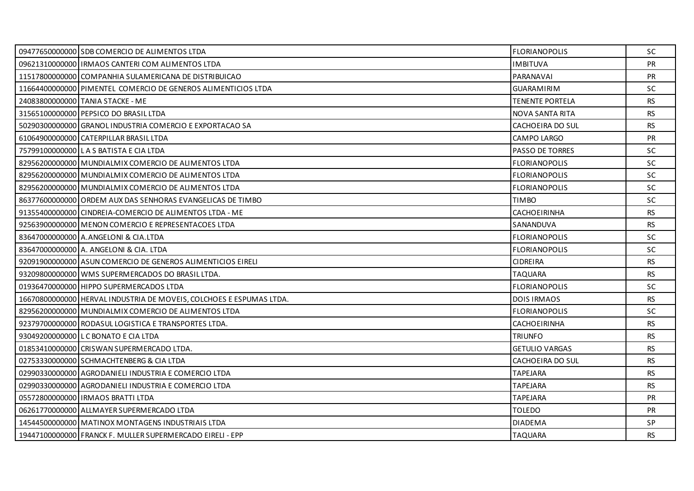| 09477650000000 SDB COMERCIO DE ALIMENTOS LTDA                       | <b>FLORIANOPOLIS</b>   | <b>SC</b> |
|---------------------------------------------------------------------|------------------------|-----------|
| 09621310000000   IRMAOS CANTERI COM ALIMENTOS LTDA                  | <b>IMBITUVA</b>        | PR        |
| 11517800000000 COMPANHIA SULAMERICANA DE DISTRIBUICAO               | PARANAVAI              | <b>PR</b> |
| 11664400000000 PIMENTEL COMERCIO DE GENEROS ALIMENTICIOS LTDA       | <b>GUARAMIRIM</b>      | <b>SC</b> |
| 24083800000000 TANIA STACKE - ME                                    | <b>TENENTE PORTELA</b> | <b>RS</b> |
| 31565100000000 PEPSICO DO BRASIL LTDA                               | NOVA SANTA RITA        | <b>RS</b> |
| 50290300000000 GRANOL INDUSTRIA COMERCIO E EXPORTACAO SA            | CACHOEIRA DO SUL       | <b>RS</b> |
| 61064900000000 CATERPILLAR BRASIL LTDA                              | CAMPO LARGO            | <b>PR</b> |
| 75799100000000 LAS BATISTA E CIA LTDA                               | <b>PASSO DE TORRES</b> | <b>SC</b> |
| 82956200000000 MUNDIALMIX COMERCIO DE ALIMENTOS LTDA                | <b>FLORIANOPOLIS</b>   | <b>SC</b> |
| 82956200000000 MUNDIALMIX COMERCIO DE ALIMENTOS LTDA                | <b>FLORIANOPOLIS</b>   | <b>SC</b> |
| 82956200000000 MUNDIALMIX COMERCIO DE ALIMENTOS LTDA                | <b>FLORIANOPOLIS</b>   | <b>SC</b> |
| 86377600000000 ORDEM AUX DAS SENHORAS EVANGELICAS DE TIMBO          | <b>TIMBO</b>           | <b>SC</b> |
| 91355400000000 CINDREIA-COMERCIO DE ALIMENTOS LTDA - ME             | CACHOEIRINHA           | <b>RS</b> |
| 92563900000000 MENON COMERCIO E REPRESENTACOES LTDA                 | SANANDUVA              | <b>RS</b> |
| 83647000000000 A.ANGELONI & CIA.LTDA                                | <b>FLORIANOPOLIS</b>   | <b>SC</b> |
| 83647000000000 A. ANGELONI & CIA. LTDA                              | <b>FLORIANOPOLIS</b>   | SC        |
| 92091900000000 ASUN COMERCIO DE GENEROS ALIMENTICIOS EIRELI         | <b>CIDREIRA</b>        | <b>RS</b> |
| 93209800000000 WMS SUPERMERCADOS DO BRASIL LTDA.                    | TAQUARA                | <b>RS</b> |
| 01936470000000 HIPPO SUPERMERCADOS LTDA                             | <b>FLORIANOPOLIS</b>   | SC        |
| 16670800000000 HERVAL INDUSTRIA DE MOVEIS, COLCHOES E ESPUMAS LTDA. | <b>DOIS IRMAOS</b>     | <b>RS</b> |
| 82956200000000 MUNDIALMIX COMERCIO DE ALIMENTOS LTDA                | <b>FLORIANOPOLIS</b>   | <b>SC</b> |
| 92379700000000 RODASUL LOGISTICA E TRANSPORTES LTDA.                | <b>CACHOEIRINHA</b>    | <b>RS</b> |
| 93049200000000 LC BONATO E CIA LTDA                                 | <b>TRIUNFO</b>         | <b>RS</b> |
| 01853410000000 CRISWAN SUPERMERCADO LTDA.                           | <b>GETULIO VARGAS</b>  | RS.       |
| 02753330000000 SCHMACHTENBERG & CIA LTDA                            | CACHOEIRA DO SUL       | <b>RS</b> |
| 02990330000000 AGRODANIELI INDUSTRIA E COMERCIO LTDA                | <b>TAPEJARA</b>        | <b>RS</b> |
| 02990330000000 AGRODANIELI INDUSTRIA E COMERCIO LTDA                | <b>TAPEJARA</b>        | <b>RS</b> |
| 05572800000000   IRMAOS BRATTI LTDA                                 | <b>TAPEJARA</b>        | <b>PR</b> |
| 06261770000000 ALLMAYER SUPERMERCADO LTDA                           | <b>TOLEDO</b>          | <b>PR</b> |
| 14544500000000 MATINOX MONTAGENS INDUSTRIAIS LTDA                   | <b>DIADEMA</b>         | SP.       |
| 19447100000000 FRANCK F. MULLER SUPERMERCADO EIRELI - EPP           | <b>TAQUARA</b>         | <b>RS</b> |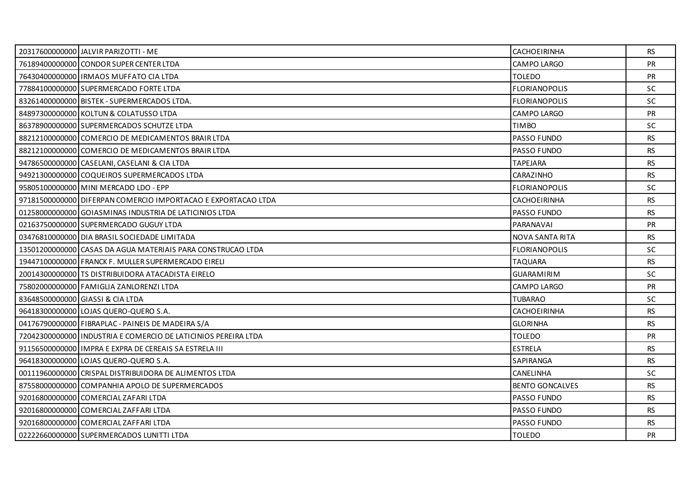| 20317600000000 JALVIR PARIZOTTI - ME                           | <b>CACHOEIRINHA</b>    | <b>RS</b> |
|----------------------------------------------------------------|------------------------|-----------|
| 76189400000000 CONDOR SUPER CENTER LTDA                        | CAMPO LARGO            | PR        |
| 76430400000000 IRMAOS MUFFATO CIA LTDA                         | <b>TOLEDO</b>          | <b>PR</b> |
| 77884100000000 SUPERMERCADO FORTE LTDA                         | <b>FLORIANOPOLIS</b>   | <b>SC</b> |
| 83261400000000 BISTEK - SUPERMERCADOS LTDA.                    | <b>FLORIANOPOLIS</b>   | SC        |
| 84897300000000 KOLTUN & COLATUSSO LTDA                         | CAMPO LARGO            | PR        |
| 86378900000000 SUPERMERCADOS SCHUTZE LTDA                      | <b>TIMBO</b>           | <b>SC</b> |
| 88212100000000 COMERCIO DE MEDICAMENTOS BRAIR LTDA             | PASSO FUNDO            | <b>RS</b> |
| 88212100000000 COMERCIO DE MEDICAMENTOS BRAIR LTDA             | <b>PASSO FUNDO</b>     | <b>RS</b> |
| 94786500000000 CASELANI, CASELANI & CIA LTDA                   | <b>TAPEJARA</b>        | <b>RS</b> |
| 94921300000000 COQUEIROS SUPERMERCADOS LTDA                    | CARAZINHO              | <b>RS</b> |
| 95805100000000 MINI MERCADO LDO - EPP                          | <b>FLORIANOPOLIS</b>   | SC        |
| 97181500000000 DIFERPAN COMERCIO IMPORTACAO E EXPORTACAO LTDA  | CACHOEIRINHA           | RS.       |
| 01258000000000 GOIASMINAS INDUSTRIA DE LATICINIOS LTDA         | PASSO FUNDO            | <b>RS</b> |
| 02163750000000 SUPERMERCADO GUGUY LTDA                         | PARANAVAI              | <b>PR</b> |
| 03476810000000 DIA BRASIL SOCIEDADE LIMITADA                   | NOVA SANTA RITA        | <b>RS</b> |
| 13501200000000 CASAS DA AGUA MATERIAIS PARA CONSTRUCAO LTDA    | <b>FLORIANOPOLIS</b>   | <b>SC</b> |
| 19447100000000 FRANCK F. MULLER SUPERMERCADO EIRELI            | <b>TAQUARA</b>         | RS        |
| 20014300000000 TS DISTRIBUIDORA ATACADISTA EIRELO              | <b>GUARAMIRIM</b>      | <b>SC</b> |
| 75802000000000 FAMIGLIA ZANLORENZI LTDA                        | CAMPO LARGO            | <b>PR</b> |
| 83648500000000 GIASSI & CIA LTDA                               | <b>TUBARAO</b>         | <b>SC</b> |
| 96418300000000 LOJAS QUERO-QUERO S.A.                          | <b>CACHOEIRINHA</b>    | <b>RS</b> |
| 04176790000000 FIBRAPLAC - PAINEIS DE MADEIRA S/A              | <b>GLORINHA</b>        | <b>RS</b> |
| 72042300000000 INDUSTRIA E COMERCIO DE LATICINIOS PEREIRA LTDA | <b>TOLEDO</b>          | PR        |
| 91156500000000 LIMPRA E EXPRA DE CEREAIS SA ESTRELA III        | <b>ESTRELA</b>         | <b>RS</b> |
| 96418300000000 LOJAS QUERO-QUERO S.A.                          | SAPIRANGA              | <b>RS</b> |
| 00111960000000 CRISPAL DISTRIBUIDORA DE ALIMENTOS LTDA         | CANELINHA              | <b>SC</b> |
| 87558000000000 COMPANHIA APOLO DE SUPERMERCADOS                | <b>BENTO GONCALVES</b> | <b>RS</b> |
| 92016800000000 COMERCIAL ZAFARI LTDA                           | PASSO FUNDO            | <b>RS</b> |
| 92016800000000 COMERCIAL ZAFFARI LTDA                          | <b>PASSO FUNDO</b>     | <b>RS</b> |
| 92016800000000 COMERCIAL ZAFFARI LTDA                          | PASSO FUNDO            | <b>RS</b> |
| 02222660000000 SUPERMERCADOS LUNITTI LTDA                      | <b>TOLEDO</b>          | <b>PR</b> |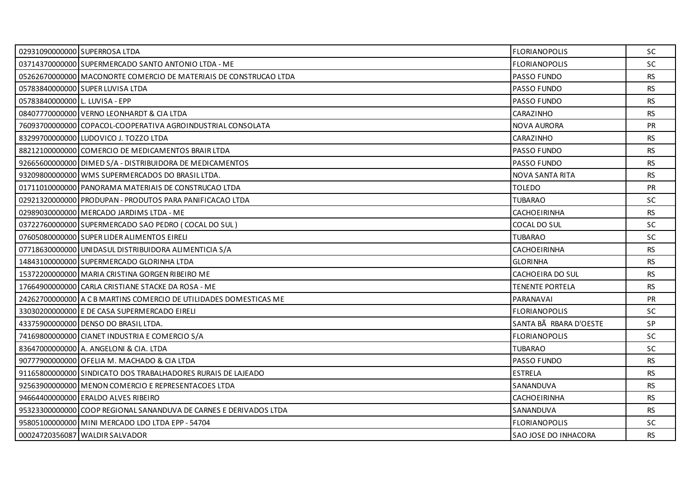| 02931090000000 SUPERROSA LTDA  |                                                                   | <b>FLORIANOPOLIS</b>   | <b>SC</b> |
|--------------------------------|-------------------------------------------------------------------|------------------------|-----------|
|                                | 03714370000000 SUPERMERCADO SANTO ANTONIO LTDA - ME               | <b>FLORIANOPOLIS</b>   | SC        |
|                                | 05262670000000 MACONORTE COMERCIO DE MATERIAIS DE CONSTRUCAO LTDA | <b>PASSO FUNDO</b>     | <b>RS</b> |
|                                | 05783840000000 SUPER LUVISA LTDA                                  | <b>PASSO FUNDO</b>     | <b>RS</b> |
| 05783840000000 L. LUVISA - EPP |                                                                   | PASSO FUNDO            | <b>RS</b> |
|                                | 08407770000000 VERNO LEONHARDT & CIA LTDA                         | CARAZINHO              | <b>RS</b> |
|                                | 76093700000000 COPACOL-COOPERATIVA AGROINDUSTRIAL CONSOLATA       | NOVA AURORA            | <b>PR</b> |
|                                | 83299700000000 LUDOVICO J. TOZZO LTDA                             | CARAZINHO              | <b>RS</b> |
|                                | 88212100000000 COMERCIO DE MEDICAMENTOS BRAIR LTDA                | <b>PASSO FUNDO</b>     | <b>RS</b> |
|                                | 92665600000000 DIMED S/A - DISTRIBUIDORA DE MEDICAMENTOS          | <b>PASSO FUNDO</b>     | <b>RS</b> |
|                                | 93209800000000 WMS SUPERMERCADOS DO BRASIL LTDA.                  | NOVA SANTA RITA        | <b>RS</b> |
|                                | 01711010000000 PANORAMA MATERIAIS DE CONSTRUCAO LTDA              | TOLEDO                 | <b>PR</b> |
|                                | 02921320000000 PRODUPAN - PRODUTOS PARA PANIFICACAO LTDA          | TUBARAO                | SC.       |
|                                | 02989030000000 MERCADO JARDIMS LTDA - ME                          | CACHOEIRINHA           | <b>RS</b> |
|                                | 03722760000000 SUPERMERCADO SAO PEDRO (COCAL DO SUL)              | COCAL DO SUL           | SC        |
|                                | 07605080000000 SUPER LIDER ALIMENTOS EIRELI                       | TUBARAO                | <b>SC</b> |
|                                | 07718630000000 UNIDASUL DISTRIBUIDORA ALIMENTICIA S/A             | CACHOEIRINHA           | <b>RS</b> |
|                                | 14843100000000 SUPERMERCADO GLORINHA LTDA                         | <b>GLORINHA</b>        | <b>RS</b> |
|                                | 15372200000000 MARIA CRISTINA GORGEN RIBEIRO ME                   | CACHOEIRA DO SUL       | <b>RS</b> |
|                                | 17664900000000 CARLA CRISTIANE STACKE DA ROSA - ME                | <b>TENENTE PORTELA</b> | <b>RS</b> |
|                                | 242627000000001A C B MARTINS COMERCIO DE UTILIDADES DOMESTICAS ME | PARANAVAI              | PR        |
|                                | 33030200000000 E DE CASA SUPERMERCADO EIRELI                      | <b>FLORIANOPOLIS</b>   | <b>SC</b> |
|                                | 43375900000000 DENSO DO BRASIL LTDA.                              | SANTA BÃ RBARA D'OESTE | SP        |
|                                | 74169800000000 CIANET INDUSTRIA E COMERCIO S/A                    | <b>FLORIANOPOLIS</b>   | <b>SC</b> |
|                                | 83647000000000 A. ANGELONI & CIA. LTDA                            | TUBARAO                | <b>SC</b> |
|                                | 90777900000000 OFELIA M. MACHADO & CIA LTDA                       | PASSO FUNDO            | <b>RS</b> |
|                                | 91165800000000 SINDICATO DOS TRABALHADORES RURAIS DE LAJEADO      | <b>ESTRELA</b>         | <b>RS</b> |
|                                | 92563900000000 MENON COMERCIO E REPRESENTACOES LTDA               | SANANDUVA              | <b>RS</b> |
|                                | 94664400000000 ERALDO ALVES RIBEIRO                               | CACHOEIRINHA           | <b>RS</b> |
|                                | 95323300000000 COOP REGIONAL SANANDUVA DE CARNES E DERIVADOS LTDA | SANANDUVA              | <b>RS</b> |
|                                | 95805100000000 MINI MERCADO LDO LTDA EPP - 54704                  | <b>FLORIANOPOLIS</b>   | <b>SC</b> |
|                                | 00024720356087 WALDIR SALVADOR                                    | SAO JOSE DO INHACORA   | <b>RS</b> |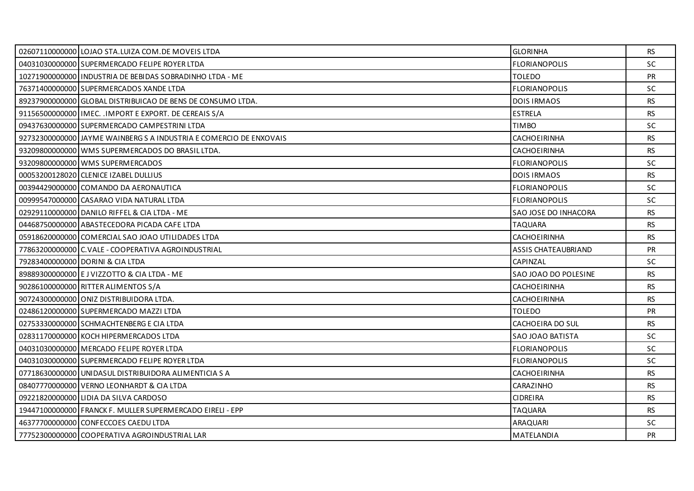| 02607110000000 LOJAO STA.LUIZA COM. DE MOVEIS LTDA                 | <b>GLORINHA</b>            | RS        |
|--------------------------------------------------------------------|----------------------------|-----------|
| 04031030000000 SUPERMERCADO FELIPE ROYER LTDA                      | <b>FLORIANOPOLIS</b>       | <b>SC</b> |
| 10271900000000 INDUSTRIA DE BEBIDAS SOBRADINHO LTDA - ME           | <b>TOLEDO</b>              | <b>PR</b> |
| 76371400000000 SUPERMERCADOS XANDE LTDA                            | <b>FLORIANOPOLIS</b>       | <b>SC</b> |
| 89237900000000 GLOBAL DISTRIBUICAO DE BENS DE CONSUMO LTDA.        | <b>DOIS IRMAOS</b>         | <b>RS</b> |
| 91156500000000   IMEC. . IMPORT E EXPORT. DE CEREAIS S/A           | <b>ESTRELA</b>             | <b>RS</b> |
| 09437630000000 SUPERMERCADO CAMPESTRINI LTDA                       | <b>TIMBO</b>               | <b>SC</b> |
| 92732300000000 JAYME WAINBERG S A INDUSTRIA E COMERCIO DE ENXOVAIS | CACHOEIRINHA               | <b>RS</b> |
| 93209800000000 WMS SUPERMERCADOS DO BRASIL LTDA.                   | CACHOEIRINHA               | RS        |
| 93209800000000 WMS SUPERMERCADOS                                   | <b>FLORIANOPOLIS</b>       | <b>SC</b> |
| 00053200128020 CLENICE IZABEL DULLIUS                              | <b>DOIS IRMAOS</b>         | <b>RS</b> |
| 00394429000000 COMANDO DA AERONAUTICA                              | <b>FLORIANOPOLIS</b>       | <b>SC</b> |
| 00999547000000 CASARAO VIDA NATURAL LTDA                           | <b>FLORIANOPOLIS</b>       | <b>SC</b> |
| 02929110000000 DANILO RIFFEL & CIA LTDA - ME                       | SAO JOSE DO INHACORA       | <b>RS</b> |
| 04468750000000 ABASTECEDORA PICADA CAFE LTDA                       | <b>TAQUARA</b>             | <b>RS</b> |
| 05918620000000 COMERCIAL SAO JOAO UTILIDADES LTDA                  | <b>CACHOEIRINHA</b>        | <b>RS</b> |
| 77863200000000 C.VALE - COOPERATIVA AGROINDUSTRIAL                 | <b>ASSIS CHATEAUBRIAND</b> | <b>PR</b> |
| 79283400000000 DORINI & CIA LTDA                                   | CAPINZAL                   | <b>SC</b> |
| 89889300000000 E J VIZZOTTO & CIA LTDA - ME                        | SAO JOAO DO POLESINE       | <b>RS</b> |
| 90286100000000 RITTER ALIMENTOS S/A                                | CACHOEIRINHA               | <b>RS</b> |
| 90724300000000 ONIZ DISTRIBUIDORA LTDA.                            | CACHOEIRINHA               | <b>RS</b> |
| 02486120000000 SUPERMERCADO MAZZI LTDA                             | <b>TOLEDO</b>              | <b>PR</b> |
| 02753330000000 SCHMACHTENBERG E CIA LTDA                           | CACHOEIRA DO SUL           | <b>RS</b> |
| 02831170000000 KOCH HIPERMERCADOS LTDA                             | SAO JOAO BATISTA           | SC.       |
| 04031030000000 MERCADO FELIPE ROYER LTDA                           | <b>FLORIANOPOLIS</b>       | <b>SC</b> |
| 04031030000000 SUPERMERCADO FELIPE ROYER LTDA                      | <b>FLORIANOPOLIS</b>       | SC        |
| 07718630000000 UNIDASUL DISTRIBUIDORA ALIMENTICIA S A              | CACHOEIRINHA               | <b>RS</b> |
| 08407770000000 VERNO LEONHARDT & CIA LTDA                          | CARAZINHO                  | <b>RS</b> |
| 09221820000000 LIDIA DA SILVA CARDOSO                              | <b>CIDREIRA</b>            | <b>RS</b> |
| 19447100000000 FRANCK F. MULLER SUPERMERCADO EIRELI - EPP          | <b>TAQUARA</b>             | RS        |
| 46377700000000 CONFECCOES CAEDU LTDA                               | ARAQUARI                   | SC        |
| 77752300000000 COOPERATIVA AGROINDUSTRIAL LAR                      | <b>MATELANDIA</b>          | <b>PR</b> |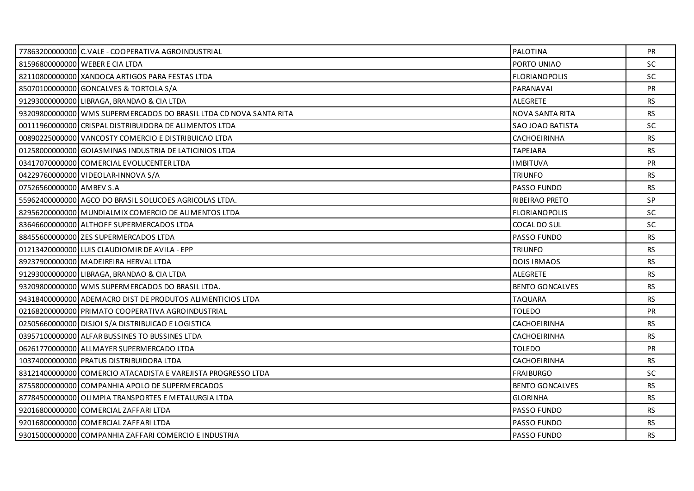|                          | 77863200000000 C.VALE - COOPERATIVA AGROINDUSTRIAL                 | <b>PALOTINA</b>        | <b>PR</b> |
|--------------------------|--------------------------------------------------------------------|------------------------|-----------|
|                          | 81596800000000 WEBER E CIA LTDA                                    | PORTO UNIAO            | <b>SC</b> |
|                          | 82110800000000 XANDOCA ARTIGOS PARA FESTAS LTDA                    | <b>FLORIANOPOLIS</b>   | <b>SC</b> |
|                          | 85070100000000 GONCALVES & TORTOLA S/A                             | PARANAVAI              | <b>PR</b> |
|                          | 91293000000000 LIBRAGA, BRANDAO & CIA LTDA                         | ALEGRETE               | <b>RS</b> |
|                          | 93209800000000 WMS SUPERMERCADOS DO BRASIL LTDA CD NOVA SANTA RITA | NOVA SANTA RITA        | <b>RS</b> |
|                          | 00111960000000 CRISPAL DISTRIBUIDORA DE ALIMENTOS LTDA             | SAO JOAO BATISTA       | <b>SC</b> |
|                          | 00890225000000 VANCOSTY COMERCIO E DISTRIBUICAO LTDA               | CACHOEIRINHA           | <b>RS</b> |
|                          | 01258000000000 GOIASMINAS INDUSTRIA DE LATICINIOS LTDA             | <b>TAPEJARA</b>        | <b>RS</b> |
|                          | 03417070000000 COMERCIAL EVOLUCENTER LTDA                          | <b>IMBITUVA</b>        | <b>PR</b> |
|                          | 04229760000000 VIDEOLAR-INNOVA S/A                                 | <b>TRIUNFO</b>         | <b>RS</b> |
| 07526560000000 AMBEV S.A |                                                                    | PASSO FUNDO            | <b>RS</b> |
|                          | 55962400000000 AGCO DO BRASIL SOLUCOES AGRICOLAS LTDA.             | RIBEIRAO PRETO         | SP        |
|                          | 82956200000000 MUNDIALMIX COMERCIO DE ALIMENTOS LTDA               | <b>FLORIANOPOLIS</b>   | <b>SC</b> |
|                          | 83646600000000 ALTHOFF SUPERMERCADOS LTDA                          | COCAL DO SUL           | <b>SC</b> |
|                          | 88455600000000 ZES SUPERMERCADOS LTDA                              | <b>PASSO FUNDO</b>     | <b>RS</b> |
|                          | 01213420000000 LUIS CLAUDIOMIR DE AVILA - EPP                      | <b>TRIUNFO</b>         | <b>RS</b> |
|                          | 89237900000000 MADEIREIRA HERVAL LTDA                              | <b>DOIS IRMAOS</b>     | <b>RS</b> |
|                          | 91293000000000 LIBRAGA, BRANDAO & CIA LTDA                         | <b>ALEGRETE</b>        | <b>RS</b> |
|                          | 93209800000000 WMS SUPERMERCADOS DO BRASIL LTDA.                   | <b>BENTO GONCALVES</b> | <b>RS</b> |
|                          | 94318400000000 ADEMACRO DIST DE PRODUTOS ALIMENTICIOS LTDA         | <b>TAQUARA</b>         | <b>RS</b> |
|                          | 02168200000000 PRIMATO COOPERATIVA AGROINDUSTRIAL                  | <b>TOLEDO</b>          | <b>PR</b> |
|                          | 02505660000000 DISJOI S/A DISTRIBUICAO E LOGISTICA                 | CACHOEIRINHA           | <b>RS</b> |
|                          | 03957100000000 ALFAR BUSSINES TO BUSSINES LTDA                     | CACHOEIRINHA           | <b>RS</b> |
|                          | 06261770000000 ALLMAYER SUPERMERCADO LTDA                          | <b>TOLEDO</b>          | <b>PR</b> |
|                          | 10374000000000 PRATUS DISTRIBUIDORA LTDA                           | <b>CACHOEIRINHA</b>    | <b>RS</b> |
|                          | 83121400000000 COMERCIO ATACADISTA E VAREJISTA PROGRESSO LTDA      | <b>FRAIBURGO</b>       | <b>SC</b> |
|                          | 87558000000000 COMPANHIA APOLO DE SUPERMERCADOS                    | <b>BENTO GONCALVES</b> | <b>RS</b> |
|                          | 87784500000000 OLIMPIA TRANSPORTES E METALURGIA LTDA               | <b>GLORINHA</b>        | <b>RS</b> |
|                          | 92016800000000 COMERCIAL ZAFFARI LTDA                              | <b>PASSO FUNDO</b>     | <b>RS</b> |
|                          | 92016800000000 COMERCIAL ZAFFARI LTDA                              | PASSO FUNDO            | <b>RS</b> |
|                          | 93015000000000 COMPANHIA ZAFFARI COMERCIO E INDUSTRIA              | PASSO FUNDO            | <b>RS</b> |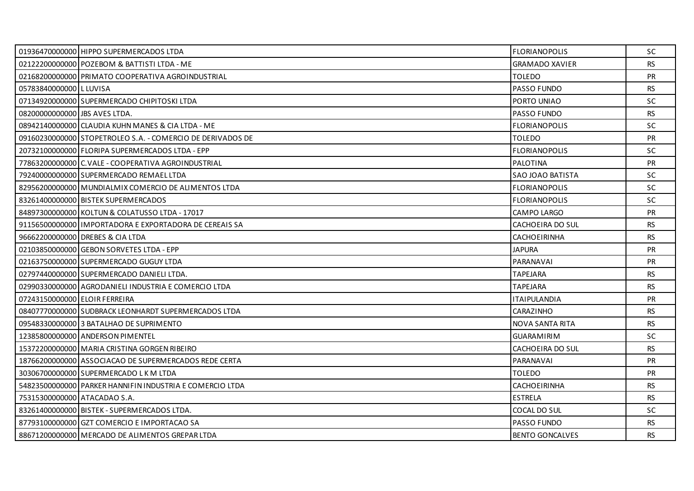|                               | 01936470000000 HIPPO SUPERMERCADOS LTDA                    | <b>FLORIANOPOLIS</b>    | <b>SC</b> |
|-------------------------------|------------------------------------------------------------|-------------------------|-----------|
|                               | 02122200000000 POZEBOM & BATTISTI LTDA - ME                | <b>GRAMADO XAVIER</b>   | <b>RS</b> |
|                               | 02168200000000 PRIMATO COOPERATIVA AGROINDUSTRIAL          | <b>TOLEDO</b>           | <b>PR</b> |
| 05783840000000 L LUVISA       |                                                            | <b>PASSO FUNDO</b>      | RS.       |
|                               | 07134920000000 SUPERMERCADO CHIPITOSKI LTDA                | PORTO UNIAO             | <b>SC</b> |
| 08200000000000 UBS AVES LTDA. |                                                            | <b>PASSO FUNDO</b>      | <b>RS</b> |
|                               | 08942140000000 CLAUDIA KUHN MANES & CIA LTDA - ME          | <b>FLORIANOPOLIS</b>    | <b>SC</b> |
|                               | 09160230000000 STOPETROLEO S.A. - COMERCIO DE DERIVADOS DE | <b>TOLEDO</b>           | PR        |
|                               | 20732100000000 FLORIPA SUPERMERCADOS LTDA - EPP            | <b>FLORIANOPOLIS</b>    | SC.       |
|                               | 77863200000000 C. VALE - COOPERATIVA AGROINDUSTRIAL        | PALOTINA                | <b>PR</b> |
|                               | 79240000000000 SUPERMERCADO REMAEL LTDA                    | <b>SAO JOAO BATISTA</b> | <b>SC</b> |
|                               | 82956200000000 MUNDIALMIX COMERCIO DE ALIMENTOS LTDA       | <b>FLORIANOPOLIS</b>    | <b>SC</b> |
|                               | 83261400000000 BISTEK SUPERMERCADOS                        | <b>FLORIANOPOLIS</b>    | <b>SC</b> |
|                               | 84897300000000 KOLTUN & COLATUSSO LTDA - 17017             | CAMPO LARGO             | <b>PR</b> |
|                               | 91156500000000 UMPORTADORA E EXPORTADORA DE CEREAIS SA     | CACHOEIRA DO SUL        | RS.       |
|                               | 96662200000000 DREBES & CIA LTDA                           | <b>CACHOEIRINHA</b>     | <b>RS</b> |
|                               | 02103850000000 GEBON SORVETES LTDA - EPP                   | <b>JAPURA</b>           | <b>PR</b> |
|                               | 02163750000000 SUPERMERCADO GUGUY LTDA                     | PARANAVAI               | <b>PR</b> |
|                               | 02797440000000 SUPERMERCADO DANIELI LTDA.                  | <b>TAPEJARA</b>         | <b>RS</b> |
|                               | 02990330000000 AGRODANIELI INDUSTRIA E COMERCIO LTDA       | <b>TAPEJARA</b>         | <b>RS</b> |
| 07243150000000 ELOIR FERREIRA |                                                            | <b>ITAIPULANDIA</b>     | <b>PR</b> |
|                               | 08407770000000 SUDBRACK LEONHARDT SUPERMERCADOS LTDA       | CARAZINHO               | RS.       |
|                               | 09548330000000 3 BATALHAO DE SUPRIMENTO                    | NOVA SANTA RITA         | <b>RS</b> |
|                               | 12385800000000 ANDERSON PIMENTEL                           | <b>GUARAMIRIM</b>       | <b>SC</b> |
|                               | 15372200000000   MARIA CRISTINA GORGEN RIBEIRO             | CACHOEIRA DO SUL        | RS.       |
|                               | 18766200000000 ASSOCIACAO DE SUPERMERCADOS REDE CERTA      | PARANAVAI               | <b>PR</b> |
|                               | 30306700000000 SUPERMERCADO LK M LTDA                      | <b>TOLEDO</b>           | <b>PR</b> |
|                               | 54823500000000 PARKER HANNIFIN INDUSTRIA E COMERCIO LTDA   | <b>CACHOEIRINHA</b>     | <b>RS</b> |
| 75315300000000 ATACADAO S.A.  |                                                            | <b>ESTRELA</b>          | <b>RS</b> |
|                               | 83261400000000 BISTEK - SUPERMERCADOS LTDA.                | COCAL DO SUL            | <b>SC</b> |
|                               | 87793100000000 GZT COMERCIO E IMPORTACAO SA                | <b>PASSO FUNDO</b>      | RS.       |
|                               | 88671200000000 MERCADO DE ALIMENTOS GREPAR LTDA            | <b>BENTO GONCALVES</b>  | <b>RS</b> |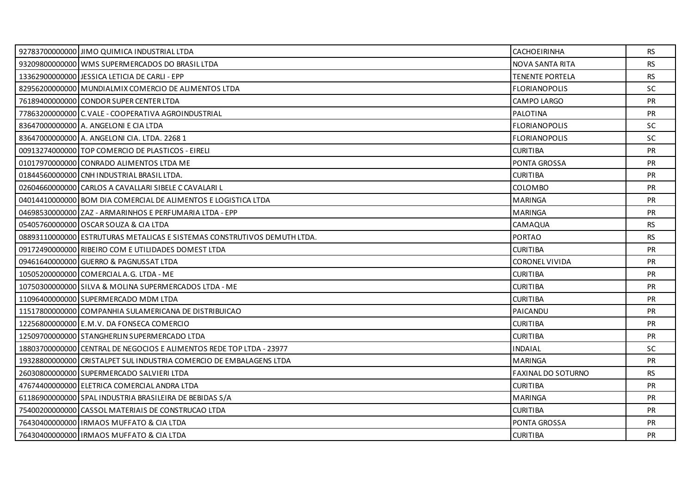| 92783700000000 JIMO QUIMICA INDUSTRIAL LTDA                              | <b>CACHOEIRINHA</b>       | <b>RS</b> |
|--------------------------------------------------------------------------|---------------------------|-----------|
| 93209800000000 WMS SUPERMERCADOS DO BRASIL LTDA                          | <b>NOVA SANTA RITA</b>    | <b>RS</b> |
| 13362900000000 JESSICA LETICIA DE CARLI - EPP                            | <b>TENENTE PORTELA</b>    | <b>RS</b> |
| 82956200000000 MUNDIALMIX COMERCIO DE ALIMENTOS LTDA                     | <b>FLORIANOPOLIS</b>      | <b>SC</b> |
| 76189400000000 CONDOR SUPER CENTER LTDA                                  | <b>CAMPO LARGO</b>        | <b>PR</b> |
| 77863200000000 C.VALE - COOPERATIVA AGROINDUSTRIAL                       | PALOTINA                  | <b>PR</b> |
| 83647000000000 A. ANGELONI E CIA LTDA                                    | <b>FLORIANOPOLIS</b>      | <b>SC</b> |
| 83647000000000 A. ANGELONI CIA. LTDA. 2268 1                             | <b>FLORIANOPOLIS</b>      | <b>SC</b> |
| 00913274000000 TOP COMERCIO DE PLASTICOS - EIRELI                        | <b>CURITIBA</b>           | <b>PR</b> |
| 01017970000000 CONRADO ALIMENTOS LTDA ME                                 | <b>PONTA GROSSA</b>       | <b>PR</b> |
| 01844560000000 CNH INDUSTRIAL BRASIL LTDA.                               | <b>CURITIBA</b>           | PR        |
| 02604660000000 CARLOS A CAVALLARI SIBELE C CAVALARI L                    | <b>COLOMBO</b>            | <b>PR</b> |
| 04014410000000 BOM DIA COMERCIAL DE ALIMENTOS E LOGISTICA LTDA           | <b>MARINGA</b>            | <b>PR</b> |
| 04698530000000 ZAZ - ARMARINHOS E PERFUMARIA LTDA - EPP                  | <b>MARINGA</b>            | PR        |
| 054057600000001OSCARSOUZA & CIA LTDA                                     | CAMAQUA                   | <b>RS</b> |
| 08893110000000 ESTRUTURAS METALICAS E SISTEMAS CONSTRUTIVOS DEMUTH LTDA. | <b>PORTAO</b>             | <b>RS</b> |
| 09172490000000 RIBEIRO COM E UTILIDADES DOMEST LTDA                      | <b>CURITIBA</b>           | PR        |
| 09461640000000 GUERRO & PAGNUSSAT LTDA                                   | <b>CORONEL VIVIDA</b>     | <b>PR</b> |
| 10505200000000 COMERCIAL A.G. LTDA - ME                                  | <b>CURITIBA</b>           | <b>PR</b> |
| 10750300000000 SILVA & MOLINA SUPERMERCADOS LTDA - ME                    | <b>CURITIBA</b>           | PR        |
| 11096400000000 SUPERMERCADO MDM LTDA                                     | <b>CURITIBA</b>           | <b>PR</b> |
| 11517800000000 COMPANHIA SULAMERICANA DE DISTRIBUICAO                    | PAICANDU                  | <b>PR</b> |
| 12256800000000 E.M.V. DA FONSECA COMERCIO                                | <b>CURITIBA</b>           | <b>PR</b> |
| 12509700000000 STANGHERLIN SUPERMERCADO LTDA                             | <b>CURITIBA</b>           | <b>PR</b> |
| 18803700000000 CENTRAL DE NEGOCIOS E ALIMENTOS REDE TOP LTDA - 23977     | <b>INDAIAL</b>            | <b>SC</b> |
| 19328800000000 CRISTALPET SUL INDUSTRIA COMERCIO DE EMBALAGENS LTDA      | <b>MARINGA</b>            | <b>PR</b> |
| 26030800000000 SUPERMERCADO SALVIERI LTDA                                | <b>FAXINAL DO SOTURNO</b> | <b>RS</b> |
| 47674400000000 ELETRICA COMERCIAL ANDRA LTDA                             | <b>CURITIBA</b>           | <b>PR</b> |
| 61186900000000 SPAL INDUSTRIA BRASILEIRA DE BEBIDAS S/A                  | MARINGA                   | <b>PR</b> |
| 75400200000000 CASSOL MATERIAIS DE CONSTRUCAO LTDA                       | <b>CURITIBA</b>           | <b>PR</b> |
| 76430400000000   IRMAOS MUFFATO & CIA LTDA                               | PONTA GROSSA              | <b>PR</b> |
| 76430400000000 IRMAOS MUFFATO & CIA LTDA                                 | <b>CURITIBA</b>           | <b>PR</b> |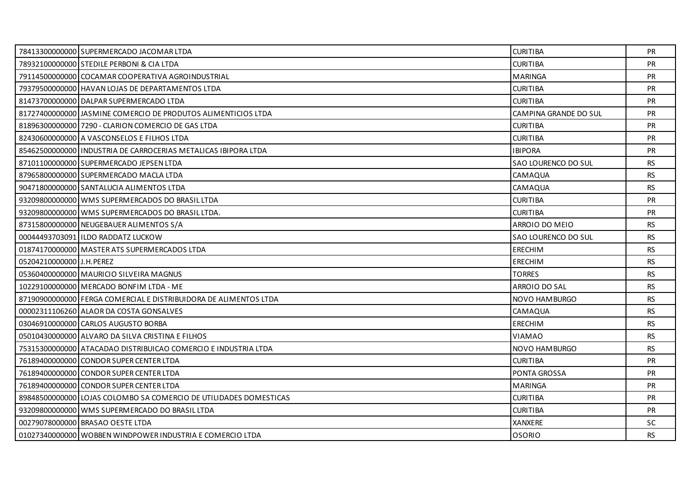|                           | 78413300000000 SUPERMERCADO JACOMAR LTDA                          | <b>CURITIBA</b>       | <b>PR</b> |
|---------------------------|-------------------------------------------------------------------|-----------------------|-----------|
|                           | 78932100000000 STEDILE PERBONI & CIA LTDA                         | <b>CURITIBA</b>       | <b>PR</b> |
|                           | 79114500000000 COCAMAR COOPERATIVA AGROINDUSTRIAL                 | <b>MARINGA</b>        | <b>PR</b> |
|                           | 79379500000000 HAVAN LOJAS DE DEPARTAMENTOS LTDA                  | <b>CURITIBA</b>       | PR        |
|                           | 81473700000000 DALPAR SUPERMERCADO LTDA                           | <b>CURITIBA</b>       | PR        |
|                           | 81727400000000 JASMINE COMERCIO DE PRODUTOS ALIMENTICIOS LTDA     | CAMPINA GRANDE DO SUL | <b>PR</b> |
|                           | 81896300000000 7290 - CLARION COMERCIO DE GAS LTDA                | <b>CURITIBA</b>       | PR        |
|                           | 82430600000000 A VASCONSELOS E FILHOS LTDA                        | <b>CURITIBA</b>       | PR        |
|                           | 85462500000000 I INDUSTRIA DE CARROCERIAS METALICAS IBIPORA LTDA  | <b>IBIPORA</b>        | <b>PR</b> |
|                           | 87101100000000 SUPERMERCADO JEPSEN LTDA                           | SAO LOURENCO DO SUL   | RS.       |
|                           | 87965800000000 SUPERMERCADO MACLA LTDA                            | CAMAQUA               | <b>RS</b> |
|                           | 90471800000000 SANTALUCIA ALIMENTOS LTDA                          | CAMAQUA               | <b>RS</b> |
|                           | 93209800000000 WMS SUPERMERCADOS DO BRASIL LTDA                   | <b>CURITIBA</b>       | <b>PR</b> |
|                           | 93209800000000 WMS SUPERMERCADOS DO BRASIL LTDA.                  | <b>CURITIBA</b>       | PR        |
|                           | 87315800000000 NEUGEBAUER ALIMENTOS S/A                           | ARROIO DO MEIO        | <b>RS</b> |
|                           | 00044493703091 IILDO RADDATZ LUCKOW                               | SAO LOURENCO DO SUL   | <b>RS</b> |
|                           | 01874170000000 MASTER ATS SUPERMERCADOS LTDA                      | ERECHIM               | <b>RS</b> |
| 05204210000000 J.H. PEREZ |                                                                   | <b>ERECHIM</b>        | RS.       |
|                           | 05360400000000 MAURICIO SILVEIRA MAGNUS                           | <b>TORRES</b>         | <b>RS</b> |
|                           | 10229100000000 MERCADO BONFIM LTDA - ME                           | ARROIO DO SAL         | <b>RS</b> |
|                           | 87190900000000 FERGA COMERCIAL E DISTRIBUIDORA DE ALIMENTOS LTDA  | NOVO HAMBURGO         | RS.       |
|                           | 00002311106260 ALAOR DA COSTA GONSALVES                           | CAMAQUA               | <b>RS</b> |
|                           | 03046910000000 CARLOS AUGUSTO BORBA                               | <b>ERECHIM</b>        | <b>RS</b> |
|                           | 05010430000000 ALVARO DA SILVA CRISTINA E FILHOS                  | VIAMAO                | <b>RS</b> |
|                           | 75315300000000 ATACADAO DISTRIBUICAO COMERCIO E INDUSTRIA LTDA    | NOVO HAMBURGO         | <b>RS</b> |
|                           | 76189400000000 CONDOR SUPER CENTER LTDA                           | <b>CURITIBA</b>       | <b>PR</b> |
|                           | 76189400000000 CONDOR SUPER CENTER LTDA                           | <b>PONTA GROSSA</b>   | <b>PR</b> |
|                           | 76189400000000 CONDOR SUPER CENTER LTDA                           | <b>MARINGA</b>        | PR        |
|                           | 89848500000000 LOJAS COLOMBO SA COMERCIO DE UTILIDADES DOMESTICAS | <b>CURITIBA</b>       | <b>PR</b> |
|                           | 93209800000000 WMS SUPERMERCADO DO BRASIL LTDA                    | <b>CURITIBA</b>       | <b>PR</b> |
|                           | 00279078000000 BRASAO OESTE LTDA                                  | XANXERE               | SC.       |
|                           | 01027340000000 WOBBEN WINDPOWER INDUSTRIA E COMERCIO LTDA         | <b>OSORIO</b>         | RS.       |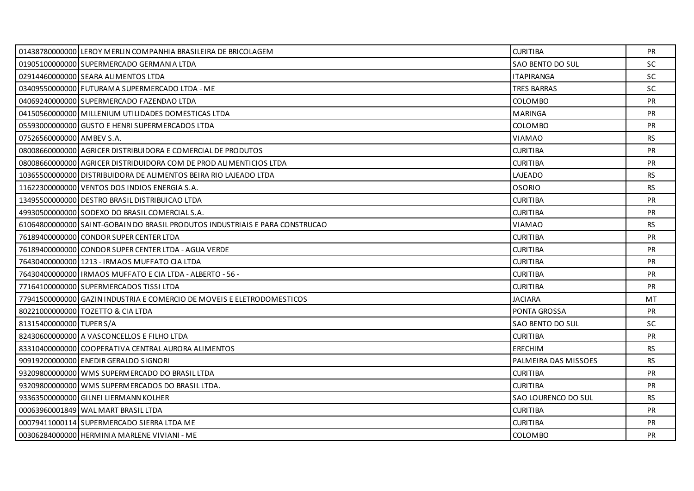|                           | 01438780000000 LEROY MERLIN COMPANHIA BRASILEIRA DE BRICOLAGEM               | <b>CURITIBA</b>      | PR.       |
|---------------------------|------------------------------------------------------------------------------|----------------------|-----------|
|                           | 01905100000000 SUPERMERCADO GERMANIA LTDA                                    | SAO BENTO DO SUL     | <b>SC</b> |
|                           | 02914460000000 SEARA ALIMENTOS LTDA                                          | <b>ITAPIRANGA</b>    | <b>SC</b> |
|                           | 03409550000000 FUTURAMA SUPERMERCADO LTDA - ME                               | <b>TRES BARRAS</b>   | SC.       |
|                           | 04069240000000 SUPERMERCADO FAZENDAO LTDA                                    | COLOMBO              | <b>PR</b> |
|                           | 04150560000000 MILLENIUM UTILIDADES DOMESTICAS LTDA                          | <b>MARINGA</b>       | <b>PR</b> |
|                           | 05593000000000 GUSTO E HENRI SUPERMERCADOS LTDA                              | <b>COLOMBO</b>       | <b>PR</b> |
| 07526560000000 AMBEV S.A. |                                                                              | <b>VIAMAO</b>        | <b>RS</b> |
|                           | 08008660000000 AGRICER DISTRIBUIDORA E COMERCIAL DE PRODUTOS                 | <b>CURITIBA</b>      | <b>PR</b> |
|                           | 08008660000000 AGRICER DISTRIDUIDORA COM DE PROD ALIMENTICIOS LTDA           | <b>CURITIBA</b>      | <b>PR</b> |
|                           | 10365500000000 DISTRIBUIDORA DE ALIMENTOS BEIRA RIO LAJEADO LTDA             | LAJEADO              | <b>RS</b> |
|                           | 11622300000000 VENTOS DOS INDIOS ENERGIA S.A.                                | <b>OSORIO</b>        | <b>RS</b> |
|                           | 13495500000000 DESTRO BRASIL DISTRIBUICAO LTDA                               | <b>CURITIBA</b>      | PR        |
|                           | 49930500000000 SODEXO DO BRASIL COMERCIAL S.A.                               | <b>CURITIBA</b>      | PR        |
|                           | 61064800000000 SAINT-GOBAIN DO BRASIL PRODUTOS INDUSTRIAIS E PARA CONSTRUCAO | <b>VIAMAO</b>        | <b>RS</b> |
|                           | 76189400000000 CONDOR SUPER CENTER LTDA                                      | <b>CURITIBA</b>      | PR        |
|                           | 76189400000000 CONDOR SUPER CENTER LTDA - AGUA VERDE                         | <b>CURITIBA</b>      | <b>PR</b> |
|                           | 76430400000000 1213 - IRMAOS MUFFATO CIA LTDA                                | <b>CURITIBA</b>      | <b>PR</b> |
|                           | 7643040000000011RMAOS MUFFATO E CIA LTDA - ALBERTO - 56 -                    | <b>CURITIBA</b>      | <b>PR</b> |
|                           | 77164100000000 SUPERMERCADOS TISSI LTDA                                      | <b>CURITIBA</b>      | PR        |
|                           | 77941500000000 GAZIN INDUSTRIA E COMERCIO DE MOVEIS E ELETRODOMESTICOS       | <b>JACIARA</b>       | MT.       |
|                           | 80221000000000 TOZETTO & CIA LTDA                                            | <b>PONTA GROSSA</b>  | <b>PR</b> |
| 81315400000000 TUPER S/A  |                                                                              | SAO BENTO DO SUL     | <b>SC</b> |
|                           | 82430600000000 A VASCONCELLOS E FILHO LTDA                                   | <b>CURITIBA</b>      | <b>PR</b> |
|                           | 83310400000000 COOPERATIVA CENTRAL AURORA ALIMENTOS                          | <b>ERECHIM</b>       | <b>RS</b> |
|                           | 90919200000000 ENEDIR GERALDO SIGNORI                                        | PALMEIRA DAS MISSOES | <b>RS</b> |
|                           | 93209800000000 WMS SUPERMERCADO DO BRASIL LTDA                               | <b>CURITIBA</b>      | <b>PR</b> |
|                           | 93209800000000 WMS SUPERMERCADOS DO BRASIL LTDA.                             | <b>CURITIBA</b>      | <b>PR</b> |
|                           | 93363500000000 GILNEI LIERMANN KOLHER                                        | SAO LOURENCO DO SUL  | RS        |
|                           | 00063960001849 WAL MART BRASIL LTDA                                          | <b>CURITIBA</b>      | <b>PR</b> |
|                           | 00079411000114 SUPERMERCADO SIERRA LTDA ME                                   | <b>CURITIBA</b>      | PR        |
|                           | 00306284000000 HERMINIA MARLENE VIVIANI - ME                                 | COLOMBO              | <b>PR</b> |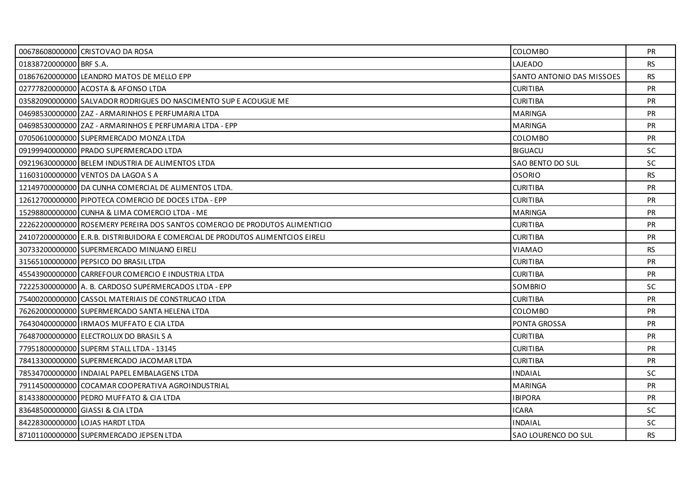|                         | 00678608000000 CRISTOVAO DA ROSA                                               | <b>COLOMBO</b>             | <b>PR</b> |
|-------------------------|--------------------------------------------------------------------------------|----------------------------|-----------|
| 01838720000000 BRF S.A. |                                                                                | LAJEADO                    | RS.       |
|                         | 01867620000000 LEANDRO MATOS DE MELLO EPP                                      | SANTO ANTONIO DAS MISSOES  | <b>RS</b> |
|                         | 02777820000000 ACOSTA & AFONSO LTDA                                            | <b>CURITIBA</b>            | <b>PR</b> |
|                         | 03582090000000 SALVADOR RODRIGUES DO NASCIMENTO SUP E ACOUGUE ME               | <b>CURITIBA</b>            | <b>PR</b> |
|                         | 04698530000000 ZAZ - ARMARINHOS E PERFUMARIA LTDA                              | <b>MARINGA</b>             | <b>PR</b> |
|                         | 046985300000001ZAZ - ARMARINHOS E PERFUMARIA LTDA - EPP                        | <b>MARINGA</b>             | <b>PR</b> |
|                         | 07050610000000 SUPERMERCADO MONZA LTDA                                         | COLOMBO                    | <b>PR</b> |
|                         | 09199940000000 PRADO SUPERMERCADO LTDA                                         | <b>BIGUACU</b>             | <b>SC</b> |
|                         | 09219630000000 BELEM INDUSTRIA DE ALIMENTOS LTDA                               | SAO BENTO DO SUL           | <b>SC</b> |
|                         | 11603100000000 VENTOS DA LAGOA S A                                             | <b>OSORIO</b>              | <b>RS</b> |
|                         | 12149700000000 DA CUNHA COMERCIAL DE ALIMENTOS LTDA.                           | <b>CURITIBA</b>            | <b>PR</b> |
|                         | 12612700000000 PIPOTECA COMERCIO DE DOCES LTDA - EPP                           | <b>CURITIBA</b>            | PR        |
|                         | 15298800000000 CUNHA & LIMA COMERCIO LTDA - ME                                 | <b>MARINGA</b>             | PR        |
|                         | 22262200000000 ROSEMERY PEREIRA DOS SANTOS COMERCIO DE PRODUTOS ALIMENTICIO    | <b>CURITIBA</b>            | <b>PR</b> |
|                         | 24107200000000 E.R.B. DISTRIBUIDORA E COMERCIAL DE PRODUTOS ALIMENTCIOS EIRELI | <b>CURITIBA</b>            | <b>PR</b> |
|                         | 30733200000000 SUPERMERCADO MINUANO EIRELI                                     | <b>VIAMAO</b>              | <b>RS</b> |
|                         | 31565100000000 PEPSICO DO BRASIL LTDA                                          | <b>CURITIBA</b>            | <b>PR</b> |
|                         | 45543900000000 CARREFOUR COMERCIO E INDUSTRIA LTDA                             | <b>CURITIBA</b>            | <b>PR</b> |
|                         | 72225300000000 A. B. CARDOSO SUPERMERCADOS LTDA - EPP                          | SOMBRIO                    | SC        |
|                         | 75400200000000 CASSOL MATERIAIS DE CONSTRUCAO LTDA                             | <b>CURITIBA</b>            | <b>PR</b> |
|                         | 76262000000000 SUPERMERCADO SANTA HELENA LTDA                                  | <b>COLOMBO</b>             | <b>PR</b> |
|                         | 76430400000000   IRMAOS MUFFATO E CIA LTDA                                     | PONTA GROSSA               | <b>PR</b> |
|                         | 76487000000000 ELECTROLUX DO BRASIL S A                                        | <b>CURITIBA</b>            | <b>PR</b> |
|                         | 77951800000000 SUPERM STALL LTDA - 13145                                       | <b>CURITIBA</b>            | PR        |
|                         | 78413300000000 SUPERMERCADO JACOMAR LTDA                                       | <b>CURITIBA</b>            | <b>PR</b> |
|                         | 78534700000000 INDAIAL PAPEL EMBALAGENS LTDA                                   | <b>INDAIAL</b>             | SC.       |
|                         | 79114500000000 COCAMAR COOPERATIVA AGROINDUSTRIAL                              | <b>MARINGA</b>             | <b>PR</b> |
|                         | 81433800000000 PEDRO MUFFATO & CIA LTDA                                        | <b>IBIPORA</b>             | <b>PR</b> |
|                         | 83648500000000 GIASSI & CIA LTDA                                               | <b>ICARA</b>               | <b>SC</b> |
|                         | 84228300000000 LOJAS HARDT LTDA                                                | <b>INDAIAL</b>             | SC        |
|                         | 87101100000000 SUPERMERCADO JEPSEN LTDA                                        | <b>SAO LOURENCO DO SUL</b> | <b>RS</b> |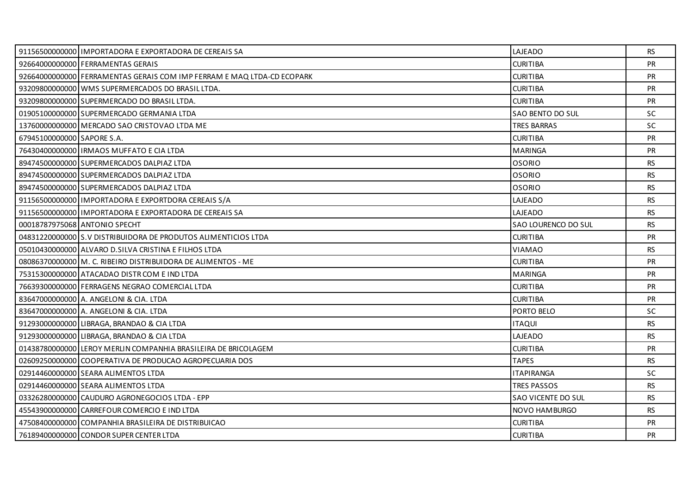|                            | 91156500000000 I IMPORTADORA E EXPORTADORA DE CEREAIS SA               | LAJEADO             | RS        |
|----------------------------|------------------------------------------------------------------------|---------------------|-----------|
|                            | 92664000000000 FERRAMENTAS GERAIS                                      | <b>CURITIBA</b>     | <b>PR</b> |
|                            | 92664000000000 FERRAMENTAS GERAIS COM IMP FERRAM E MAQ LTDA-CD ECOPARK | <b>CURITIBA</b>     | <b>PR</b> |
|                            | 93209800000000 WMS SUPERMERCADOS DO BRASIL LTDA.                       | <b>CURITIBA</b>     | <b>PR</b> |
|                            | 93209800000000 SUPERMERCADO DO BRASIL LTDA.                            | <b>CURITIBA</b>     | PR        |
|                            | 01905100000000 SUPERMERCADO GERMANIA LTDA                              | SAO BENTO DO SUL    | <b>SC</b> |
|                            | 13760000000000 MERCADO SAO CRISTOVAO LTDA ME                           | <b>TRES BARRAS</b>  | SC.       |
| 67945100000000 SAPORE S.A. |                                                                        | <b>CURITIBA</b>     | PR        |
|                            | 76430400000000   IRMAOS MUFFATO E CIA LTDA                             | <b>MARINGA</b>      | <b>PR</b> |
|                            | 89474500000000 SUPERMERCADOS DALPIAZ LTDA                              | <b>OSORIO</b>       | RS.       |
|                            | 89474500000000 SUPERMERCADOS DALPIAZ LTDA                              | <b>OSORIO</b>       | RS.       |
|                            | 89474500000000 SUPERMERCADOS DALPIAZ LTDA                              | <b>OSORIO</b>       | <b>RS</b> |
|                            | 91156500000000 I IMPORTADORA E EXPORTDORA CEREAIS S/A                  | LAJEADO             | <b>RS</b> |
|                            | 91156500000000 I IMPORTADORA E EXPORTADORA DE CEREAIS SA               | LAJEADO             | RS.       |
|                            | 00018787975068 ANTONIO SPECHT                                          | SAO LOURENCO DO SUL | <b>RS</b> |
|                            | 04831220000000 S.V DISTRIBUIDORA DE PRODUTOS ALIMENTICIOS LTDA         | <b>CURITIBA</b>     | <b>PR</b> |
|                            | 05010430000000 ALVARO D. SILVA CRISTINA E FILHOS LTDA                  | <b>VIAMAO</b>       | <b>RS</b> |
|                            | 08086370000000 M. C. RIBEIRO DISTRIBUIDORA DE ALIMENTOS - ME           | <b>CURITIBA</b>     | <b>PR</b> |
|                            | 75315300000000 ATACADAO DISTR COM E IND LTDA                           | <b>MARINGA</b>      | <b>PR</b> |
|                            | 76639300000000 FERRAGENS NEGRAO COMERCIAL LTDA                         | <b>CURITIBA</b>     | PR        |
|                            | 83647000000000 A. ANGELONI & CIA. LTDA                                 | <b>CURITIBA</b>     | <b>PR</b> |
|                            | 83647000000000 A. ANGELONI & CIA. LTDA                                 | PORTO BELO          | SC.       |
|                            | 91293000000000 LIBRAGA, BRANDAO & CIA LTDA                             | <b>ITAQUI</b>       | <b>RS</b> |
|                            | 91293000000000 LIBRAGA, BRANDAO & CIA LTDA                             | LAJEADO             | <b>RS</b> |
|                            | 01438780000000 LEROY MERLIN COMPANHIA BRASILEIRA DE BRICOLAGEM         | <b>CURITIBA</b>     | <b>PR</b> |
|                            | 02609250000000 COOPERATIVA DE PRODUCAO AGROPECUARIA DOS                | <b>TAPES</b>        | <b>RS</b> |
|                            | 02914460000000 SEARA ALIMENTOS LTDA                                    | <b>ITAPIRANGA</b>   | <b>SC</b> |
|                            | 02914460000000 SEARA ALIMENTOS LTDA                                    | <b>TRES PASSOS</b>  | <b>RS</b> |
|                            | 03326280000000 CAUDURO AGRONEGOCIOS LTDA - EPP                         | SAO VICENTE DO SUL  | RS.       |
|                            | 45543900000000 CARREFOUR COMERCIO E IND LTDA                           | NOVO HAMBURGO       | <b>RS</b> |
|                            | 47508400000000 COMPANHIA BRASILEIRA DE DISTRIBUICAO                    | <b>CURITIBA</b>     | <b>PR</b> |
|                            | 76189400000000 CONDOR SUPER CENTER LTDA                                | <b>CURITIBA</b>     | <b>PR</b> |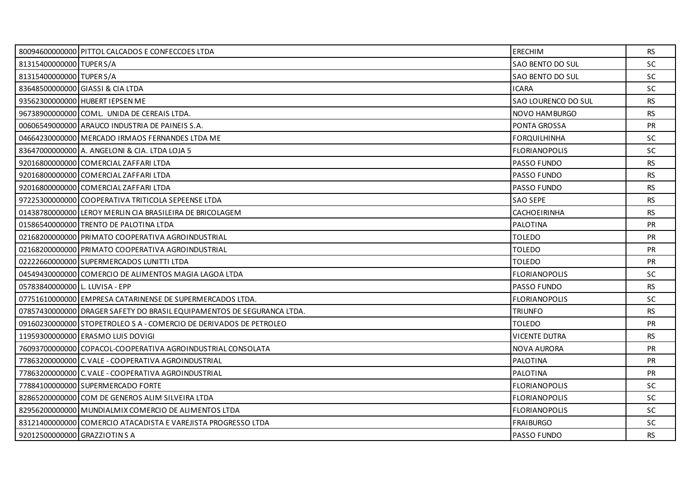|                                | 80094600000000 PITTOL CALCADOS E CONFECCOES LTDA                       | <b>ERECHIM</b>       | <b>RS</b> |
|--------------------------------|------------------------------------------------------------------------|----------------------|-----------|
| 81315400000000 TUPER S/A       |                                                                        | SAO BENTO DO SUL     | SC        |
| 81315400000000 TUPER S/A       |                                                                        | SAO BENTO DO SUL     | <b>SC</b> |
|                                | 83648500000000 GIASSI & CIA LTDA                                       | <b>ICARA</b>         | SC.       |
|                                | 93562300000000 HUBERT IEPSEN ME                                        | SAO LOURENCO DO SUL  | RS        |
|                                | 96738900000000 COML. UNIDA DE CEREAIS LTDA.                            | NOVO HAMBURGO        | <b>RS</b> |
|                                | 00606549000000 ARAUCO INDUSTRIA DE PAINEIS S.A.                        | <b>PONTA GROSSA</b>  | <b>PR</b> |
|                                | 04664230000000 MERCADO IRMAOS FERNANDES LTDA ME                        | <b>FORQUILHINHA</b>  | <b>SC</b> |
|                                | 83647000000000 A. ANGELONI & CIA. LTDA LOJA 5                          | <b>FLORIANOPOLIS</b> | <b>SC</b> |
|                                | 92016800000000 COMERCIAL ZAFFARI LTDA                                  | <b>PASSO FUNDO</b>   | <b>RS</b> |
|                                | 92016800000000 COMERCIAL ZAFFARI LTDA                                  | <b>PASSO FUNDO</b>   | <b>RS</b> |
|                                | 92016800000000 COMERCIAL ZAFFARI LTDA                                  | PASSO FUNDO          | <b>RS</b> |
|                                | 97225300000000 COOPERATIVA TRITICOLA SEPEENSE LTDA                     | <b>SAO SEPE</b>      | <b>RS</b> |
|                                | 01438780000000 LEROY MERLIN CIA BRASILEIRA DE BRICOLAGEM               | CACHOEIRINHA         | <b>RS</b> |
|                                | 01586540000000 TRENTO DE PALOTINA LTDA                                 | PALOTINA             | <b>PR</b> |
|                                | 02168200000000 PRIMATO COOPERATIVA AGROINDUSTRIAL                      | <b>TOLEDO</b>        | <b>PR</b> |
|                                | 02168200000000 PRIMATO COOPERATIVA AGROINDUSTRIAL                      | <b>TOLEDO</b>        | PR        |
|                                | 02222660000000 SUPERMERCADOS LUNITTI LTDA                              | <b>TOLEDO</b>        | <b>PR</b> |
|                                | 04549430000000 COMERCIO DE ALIMENTOS MAGIA LAGOA LTDA                  | <b>FLORIANOPOLIS</b> | <b>SC</b> |
| 05783840000000 L. LUVISA - EPP |                                                                        | PASSO FUNDO          | RS.       |
|                                | 07751610000000 EMPRESA CATARINENSE DE SUPERMERCADOS LTDA.              | <b>FLORIANOPOLIS</b> | SC.       |
|                                | 07857430000000 DRAGER SAFETY DO BRASIL EQUIPAMENTOS DE SEGURANCA LTDA. | <b>TRIUNFO</b>       | RS        |
|                                | 09160230000000 STOPETROLEO S A - COMERCIO DE DERIVADOS DE PETROLEO     | <b>TOLEDO</b>        | PR        |
|                                | 11959300000000 ERASMO LUIS DOVIGI                                      | <b>VICENTE DUTRA</b> | <b>RS</b> |
|                                | 76093700000000 COPACOL-COOPERATIVA AGROINDUSTRIAL CONSOLATA            | <b>NOVA AURORA</b>   | <b>PR</b> |
|                                | 77863200000000 C. VALE - COOPERATIVA AGROINDUSTRIAL                    | PALOTINA             | PR        |
|                                | 77863200000000 C.VALE - COOPERATIVA AGROINDUSTRIAL                     | <b>PALOTINA</b>      | <b>PR</b> |
|                                | 77884100000000 SUPERMERCADO FORTE                                      | <b>FLORIANOPOLIS</b> | SC.       |
|                                | 82865200000000 COM DE GENEROS ALIM SILVEIRA LTDA                       | <b>FLORIANOPOLIS</b> | SC        |
|                                | 82956200000000 MUNDIALMIX COMERCIO DE ALIMENTOS LTDA                   | <b>FLORIANOPOLIS</b> | <b>SC</b> |
|                                | 83121400000000 COMERCIO ATACADISTA E VAREJISTA PROGRESSO LTDA          | <b>FRAIBURGO</b>     | SC.       |
| 92012500000000 GRAZZIOTIN S A  |                                                                        | PASSO FUNDO          | <b>RS</b> |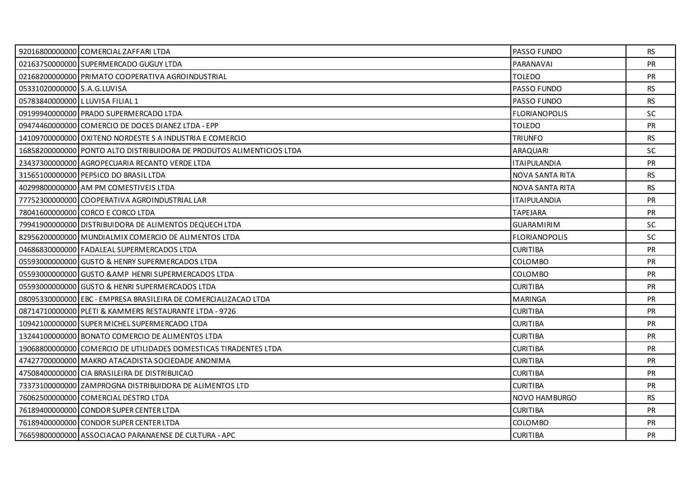|                                  | 92016800000000 COMERCIAL ZAFFARI LTDA                                 | PASSO FUNDO            | <b>RS</b> |
|----------------------------------|-----------------------------------------------------------------------|------------------------|-----------|
|                                  | 02163750000000 SUPERMERCADO GUGUY LTDA                                | PARANAVAI              | <b>PR</b> |
|                                  | 02168200000000 PRIMATO COOPERATIVA AGROINDUSTRIAL                     | <b>TOLEDO</b>          | <b>PR</b> |
| 05331020000000 S.A.G.LUVISA      |                                                                       | <b>PASSO FUNDO</b>     | RS.       |
| 05783840000000 L LUVISA FILIAL 1 |                                                                       | PASSO FUNDO            | <b>RS</b> |
|                                  | 09199940000000 PRADO SUPERMERCADO LTDA                                | <b>FLORIANOPOLIS</b>   | <b>SC</b> |
|                                  | 09474460000000 COMERCIO DE DOCES DIANEZ LTDA - EPP                    | <b>TOLEDO</b>          | <b>PR</b> |
|                                  | 14109700000000 OXITENO NORDESTE S A INDUSTRIA E COMERCIO              | <b>TRIUNFO</b>         | <b>RS</b> |
|                                  | 16858200000000 PONTO ALTO DISTRIBUIDORA DE PRODUTOS ALIMENTICIOS LTDA | <b>ARAQUARI</b>        | SC.       |
|                                  | 23437300000000 AGROPECUARIA RECANTO VERDE LTDA                        | <b>ITAIPULANDIA</b>    | <b>PR</b> |
|                                  | 31565100000000 PEPSICO DO BRASIL LTDA                                 | <b>NOVA SANTA RITA</b> | <b>RS</b> |
|                                  | 40299800000000 AM PM COMESTIVEIS LTDA                                 | NOVA SANTA RITA        | RS.       |
|                                  | 77752300000000 COOPERATIVA AGROINDUSTRIAL LAR                         | <b>ITAIPULANDIA</b>    | <b>PR</b> |
|                                  | 78041600000000 CORCO E CORCO LTDA                                     | <b>TAPEJARA</b>        | PR        |
|                                  | 79941900000000 DISTRIBUIDORA DE ALIMENTOS DEQUECH LTDA                | <b>GUARAMIRIM</b>      | SC.       |
|                                  | 82956200000000 MUNDIALMIX COMERCIO DE ALIMENTOS LTDA                  | <b>FLORIANOPOLIS</b>   | <b>SC</b> |
|                                  | 04686830000000 FADALEAL SUPERMERCADOS LTDA                            | <b>CURITIBA</b>        | PR        |
|                                  | 05593000000000 GUSTO & HENRY SUPERMERCADOS LTDA                       | <b>COLOMBO</b>         | <b>PR</b> |
|                                  | 05593000000000 GUSTO & AMP HENRI SUPERMERCADOS LTDA                   | <b>COLOMBO</b>         | <b>PR</b> |
|                                  | 05593000000000 GUSTO & HENRI SUPERMERCADOS LTDA                       | <b>CURITIBA</b>        | PR        |
|                                  | 08095330000000 EBC - EMPRESA BRASILEIRA DE COMERCIALIZACAO LTDA       | MARINGA                | <b>PR</b> |
|                                  | 08714710000000 PLETI & KAMMERS RESTAURANTE LTDA - 9726                | <b>CURITIBA</b>        | <b>PR</b> |
|                                  | 10942100000000 SUPER MICHEL SUPERMERCADO LTDA                         | <b>CURITIBA</b>        | PR        |
|                                  | 13244100000000 BONATO COMERCIO DE ALIMENTOS LTDA                      | <b>CURITIBA</b>        | <b>PR</b> |
|                                  | 19068800000000 COMERCIO DE UTILIDADES DOMESTICAS TIRADENTES LTDA      | <b>CURITIBA</b>        | <b>PR</b> |
|                                  | 47427700000000 MAKRO ATACADISTA SOCIEDADE ANONIMA                     | <b>CURITIBA</b>        | PR        |
|                                  | 47508400000000 CIA BRASILEIRA DE DISTRIBUICAO                         | <b>CURITIBA</b>        | <b>PR</b> |
|                                  | 73373100000000 ZAMPROGNA DISTRIBUIDORA DE ALIMENTOS LTD               | <b>CURITIBA</b>        | <b>PR</b> |
|                                  | 76062500000000 COMERCIAL DESTRO LTDA                                  | NOVO HAMBURGO          | <b>RS</b> |
|                                  | 76189400000000 CONDOR SUPER CENTER LTDA                               | <b>CURITIBA</b>        | <b>PR</b> |
|                                  | 76189400000000 CONDOR SUPER CENTER LTDA                               | <b>COLOMBO</b>         | <b>PR</b> |
|                                  | 76659800000000 ASSOCIACAO PARANAENSE DE CULTURA - APC                 | <b>CURITIBA</b>        | <b>PR</b> |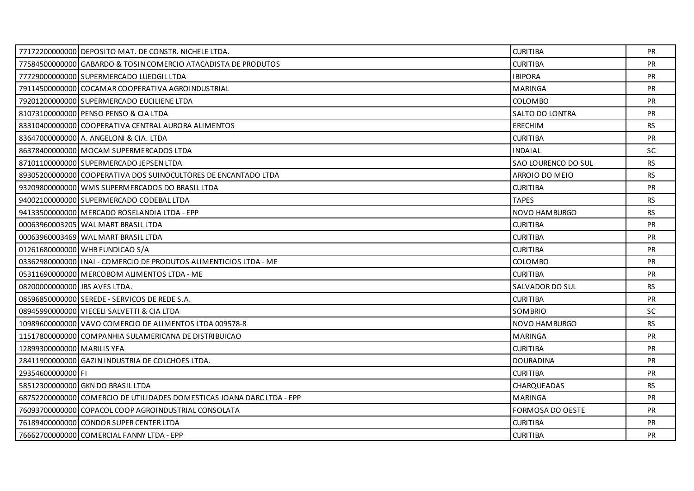|                               | 77172200000000 DEPOSITO MAT. DE CONSTR. NICHELE LTDA.                  | <b>CURITIBA</b>         | <b>PR</b> |
|-------------------------------|------------------------------------------------------------------------|-------------------------|-----------|
|                               | 77584500000000 GABARDO & TOSIN COMERCIO ATACADISTA DE PRODUTOS         | <b>CURITIBA</b>         | <b>PR</b> |
|                               | 77729000000000 SUPERMERCADO LUEDGIL LTDA                               | <b>IBIPORA</b>          | <b>PR</b> |
|                               | 79114500000000 COCAMAR COOPERATIVA AGROINDUSTRIAL                      | <b>MARINGA</b>          | <b>PR</b> |
|                               | 79201200000000 SUPERMERCADO EUCILIENE LTDA                             | COLOMBO                 | <b>PR</b> |
|                               | 81073100000000 PENSO PENSO & CIA LTDA                                  | SALTO DO LONTRA         | PR        |
|                               | 83310400000000 COOPERATIVA CENTRAL AURORA ALIMENTOS                    | <b>ERECHIM</b>          | <b>RS</b> |
|                               | 83647000000000 A. ANGELONI & CIA. LTDA                                 | <b>CURITIBA</b>         | PR        |
|                               | 86378400000000 MOCAM SUPERMERCADOS LTDA                                | <b>INDAIAL</b>          | SC.       |
|                               | 87101100000000 SUPERMERCADO JEPSEN LTDA                                | SAO LOURENCO DO SUL     | <b>RS</b> |
|                               | 89305200000000 COOPERATIVA DOS SUINOCULTORES DE ENCANTADO LTDA         | ARROIO DO MEIO          | <b>RS</b> |
|                               | 93209800000000 WMS SUPERMERCADOS DO BRASIL LTDA                        | <b>CURITIBA</b>         | PR        |
|                               | 94002100000000 SUPERMERCADO CODEBAL LTDA                               | <b>TAPES</b>            | RS.       |
|                               | 94133500000000 MERCADO ROSELANDIA LTDA - EPP                           | NOVO HAMBURGO           | <b>RS</b> |
|                               | 00063960003205 WAL MART BRASIL LTDA                                    | <b>CURITIBA</b>         | <b>PR</b> |
|                               | 00063960003469 WAL MART BRASIL LTDA                                    | <b>CURITIBA</b>         | <b>PR</b> |
|                               | 01261680000000 WHB FUNDICAO S/A                                        | <b>CURITIBA</b>         | <b>PR</b> |
|                               | 03362980000000 INAI - COMERCIO DE PRODUTOS ALIMENTICIOS LTDA - ME      | <b>COLOMBO</b>          | <b>PR</b> |
|                               | 05311690000000 MERCOBOM ALIMENTOS LTDA - ME                            | <b>CURITIBA</b>         | <b>PR</b> |
| 08200000000000 JBS AVES LTDA. |                                                                        | SALVADOR DO SUL         | <b>RS</b> |
|                               | 08596850000000 SEREDE - SERVICOS DE REDE S.A.                          | <b>CURITIBA</b>         | <b>PR</b> |
|                               | 08945990000000 VIECELI SALVETTI & CIA LTDA                             | <b>SOMBRIO</b>          | <b>SC</b> |
|                               | 10989600000000 VAVO COMERCIO DE ALIMENTOS LTDA 009578-8                | NOVO HAMBURGO           | <b>RS</b> |
|                               | 11517800000000 COMPANHIA SULAMERICANA DE DISTRIBUICAO                  | <b>MARINGA</b>          | <b>PR</b> |
| 12899300000000 MARILIS YFA    |                                                                        | <b>CURITIBA</b>         | <b>PR</b> |
|                               | 28411900000000 GAZIN INDUSTRIA DE COLCHOES LTDA.                       | <b>DOURADINA</b>        | <b>PR</b> |
| 29354600000000 FI             |                                                                        | <b>CURITIBA</b>         | <b>PR</b> |
|                               | 58512300000000 GKN DO BRASIL LTDA                                      | <b>CHARQUEADAS</b>      | <b>RS</b> |
|                               | 68752200000000 COMERCIO DE UTILIDADES DOMESTICAS JOANA DARC LTDA - EPP | <b>MARINGA</b>          | PR        |
|                               | 76093700000000 COPACOL COOP AGROINDUSTRIAL CONSOLATA                   | <b>FORMOSA DO OESTE</b> | <b>PR</b> |
|                               | 76189400000000 CONDOR SUPER CENTER LTDA                                | <b>CURITIBA</b>         | <b>PR</b> |
|                               | 76662700000000 COMERCIAL FANNY LTDA - EPP                              | <b>CURITIBA</b>         | <b>PR</b> |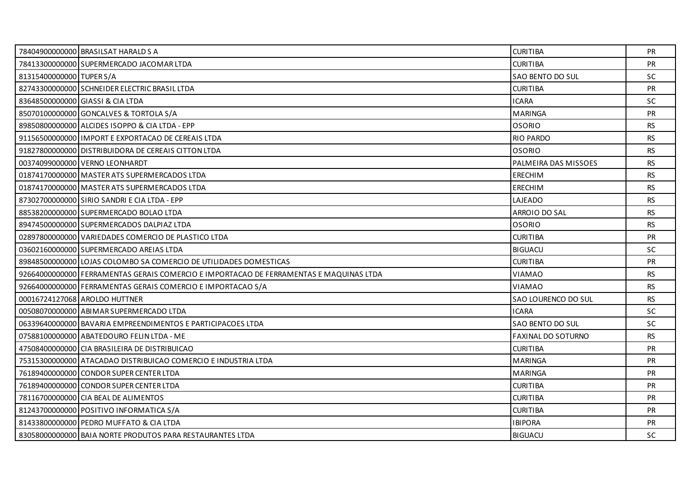|                          | 78404900000000 BRASILSAT HARALD S A                                                    | <b>CURITIBA</b>           | <b>PR</b> |
|--------------------------|----------------------------------------------------------------------------------------|---------------------------|-----------|
|                          | 78413300000000 SUPERMERCADO JACOMAR LTDA                                               | <b>CURITIBA</b>           | PR        |
| 81315400000000 TUPER S/A |                                                                                        | SAO BENTO DO SUL          | <b>SC</b> |
|                          | 82743300000000 SCHNEIDER ELECTRIC BRASIL LTDA                                          | <b>CURITIBA</b>           | <b>PR</b> |
|                          | 83648500000000 GIASSI & CIA LTDA                                                       | <b>ICARA</b>              | SC        |
|                          | 85070100000000 GONCALVES & TORTOLA S/A                                                 | <b>MARINGA</b>            | PR        |
|                          | 89850800000000 ALCIDES ISOPPO & CIA LTDA - EPP                                         | <b>OSORIO</b>             | <b>RS</b> |
|                          | 91156500000000 IMPORT E EXPORTACAO DE CEREAIS LTDA                                     | <b>RIO PARDO</b>          | <b>RS</b> |
|                          | 91827800000000 DISTRIBUIDORA DE CEREAIS CITTON LTDA                                    | <b>OSORIO</b>             | RS.       |
|                          | 00374099000000 VERNO LEONHARDT                                                         | PALMEIRA DAS MISSOES      | <b>RS</b> |
|                          | 01874170000000 MASTER ATS SUPERMERCADOS LTDA                                           | ERECHIM                   | <b>RS</b> |
|                          | 01874170000000 MASTER ATS SUPERMERCADOS LTDA                                           | <b>ERECHIM</b>            | <b>RS</b> |
|                          | 87302700000000 SIRIO SANDRI E CIA LTDA - EPP                                           | LAJEADO                   | RS.       |
|                          | 88538200000000 SUPERMERCADO BOLAO LTDA                                                 | ARROIO DO SAL             | <b>RS</b> |
|                          | 89474500000000 SUPERMERCADOS DALPIAZ LTDA                                              | <b>OSORIO</b>             | RS.       |
|                          | 02897800000000 VARIEDADES COMERCIO DE PLASTICO LTDA                                    | <b>CURITIBA</b>           | <b>PR</b> |
|                          | 03602160000000 SUPERMERCADO AREIAS LTDA                                                | <b>BIGUACU</b>            | <b>SC</b> |
|                          | 89848500000001LOJAS COLOMBO SA COMERCIO DE UTILIDADES DOMESTICAS                       | <b>CURITIBA</b>           | <b>PR</b> |
|                          | 92664000000000 FERRAMENTAS GERAIS COMERCIO E IMPORTACAO DE FERRAMENTAS E MAQUINAS LTDA | <b>VIAMAO</b>             | <b>RS</b> |
|                          | 92664000000000 FERRAMENTAS GERAIS COMERCIO E IMPORTACAO S/A                            | <b>VIAMAO</b>             | <b>RS</b> |
|                          | 00016724127068 AROLDO HUTTNER                                                          | SAO LOURENCO DO SUL       | <b>RS</b> |
|                          | 00508070000000 ABIMAR SUPERMERCADO LTDA                                                | <b>ICARA</b>              | <b>SC</b> |
|                          | 06339640000000 BAVARIA EMPREENDIMENTOS E PARTICIPACOES LTDA                            | SAO BENTO DO SUL          | <b>SC</b> |
|                          | 07588100000000 ABATEDOURO FELIN LTDA - ME                                              | <b>FAXINAL DO SOTURNO</b> | <b>RS</b> |
|                          | 47508400000000 CIA BRASILEIRA DE DISTRIBUICAO                                          | <b>CURITIBA</b>           | <b>PR</b> |
|                          | 75315300000000 ATACADAO DISTRIBUICAO COMERCIO E INDUSTRIA LTDA                         | <b>MARINGA</b>            | PR        |
|                          | 76189400000000 CONDOR SUPER CENTER LTDA                                                | MARINGA                   | <b>PR</b> |
|                          | 76189400000000 CONDOR SUPER CENTER LTDA                                                | <b>CURITIBA</b>           | <b>PR</b> |
|                          | 78116700000000 CIA BEAL DE ALIMENTOS                                                   | <b>CURITIBA</b>           | PR        |
|                          | 81243700000000 POSITIVO INFORMATICA S/A                                                | <b>CURITIBA</b>           | <b>PR</b> |
|                          | 81433800000000 PEDRO MUFFATO & CIA LTDA                                                | <b>IBIPORA</b>            | <b>PR</b> |
|                          | 83058000000000 BAIA NORTE PRODUTOS PARA RESTAURANTES LTDA                              | <b>BIGUACU</b>            | <b>SC</b> |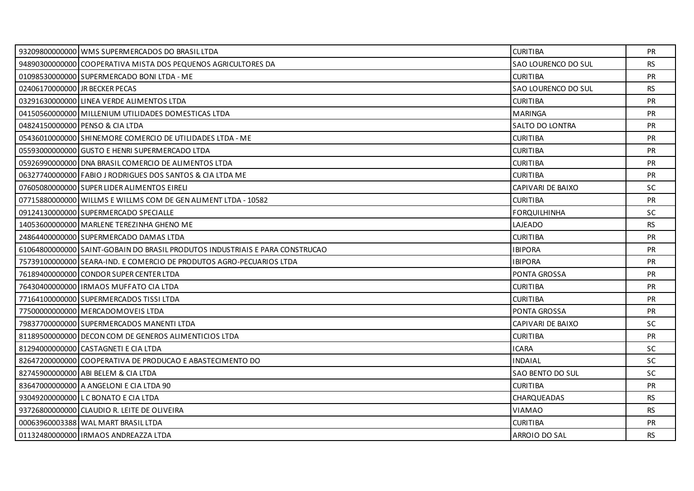|                                | 93209800000000 WMS SUPERMERCADOS DO BRASIL LTDA                              | <b>CURITIBA</b>     | <b>PR</b> |
|--------------------------------|------------------------------------------------------------------------------|---------------------|-----------|
|                                | 94890300000000 COOPERATIVA MISTA DOS PEQUENOS AGRICULTORES DA                | SAO LOURENCO DO SUL | <b>RS</b> |
|                                | 01098530000000 SUPERMERCADO BONI LTDA - ME                                   | <b>CURITIBA</b>     | <b>PR</b> |
| 02406170000000 JR BECKER PECAS |                                                                              | SAO LOURENCO DO SUL | <b>RS</b> |
|                                | 03291630000000 LINEA VERDE ALIMENTOS LTDA                                    | <b>CURITIBA</b>     | <b>PR</b> |
|                                | 04150560000000 MILLENIUM UTILIDADES DOMESTICAS LTDA                          | <b>MARINGA</b>      | <b>PR</b> |
|                                | 04824150000000 PENSO & CIA LTDA                                              | SALTO DO LONTRA     | <b>PR</b> |
|                                | 05436010000000 SHINEMORE COMERCIO DE UTILIDADES LTDA - ME                    | <b>CURITIBA</b>     | <b>PR</b> |
|                                | 05593000000000 GUSTO E HENRI SUPERMERCADO LTDA                               | <b>CURITIBA</b>     | <b>PR</b> |
|                                | 05926990000000 DNA BRASIL COMERCIO DE ALIMENTOS LTDA                         | <b>CURITIBA</b>     | <b>PR</b> |
|                                | 06327740000000 FABIO J RODRIGUES DOS SANTOS & CIA LTDA ME                    | <b>CURITIBA</b>     | PR        |
|                                | 07605080000000 SUPER LIDER ALIMENTOS EIRELI                                  | CAPIVARI DE BAIXO   | <b>SC</b> |
|                                | 07715880000000 WILLMS E WILLMS COM DE GEN ALIMENT LTDA - 10582               | <b>CURITIBA</b>     | <b>PR</b> |
|                                | 09124130000000 SUPERMERCADO SPECIALLE                                        | <b>FORQUILHINHA</b> | SC        |
|                                | 14053600000000 MARLENE TEREZINHA GHENO ME                                    | LAJEADO             | <b>RS</b> |
|                                | 24864400000000 SUPERMERCADO DAMAS LTDA                                       | <b>CURITIBA</b>     | <b>PR</b> |
|                                | 61064800000000 SAINT-GOBAIN DO BRASIL PRODUTOS INDUSTRIAIS E PARA CONSTRUCAO | <b>IBIPORA</b>      | PR        |
|                                | 75739100000000 SEARA-IND. E COMERCIO DE PRODUTOS AGRO-PECUARIOS LTDA         | <b>IBIPORA</b>      | <b>PR</b> |
|                                | 76189400000000 CONDOR SUPER CENTER LTDA                                      | <b>PONTA GROSSA</b> | <b>PR</b> |
|                                | 76430400000000   IRMAOS MUFFATO CIA LTDA                                     | <b>CURITIBA</b>     | PR        |
|                                | 77164100000000 SUPERMERCADOS TISSI LTDA                                      | <b>CURITIBA</b>     | <b>PR</b> |
|                                | 77500000000000 MERCADOMOVEIS LTDA                                            | <b>PONTA GROSSA</b> | <b>PR</b> |
|                                | 79837700000000 SUPERMERCADOS MANENTI LTDA                                    | CAPIVARI DE BAIXO   | <b>SC</b> |
|                                | 81189500000000 DECON COM DE GENEROS ALIMENTICIOS LTDA                        | <b>CURITIBA</b>     | <b>PR</b> |
|                                | 81294000000000 CASTAGNETI E CIA LTDA                                         | <b>ICARA</b>        | SC.       |
|                                | 82647200000000 COOPERATIVA DE PRODUCAO E ABASTECIMENTO DO                    | <b>INDAIAL</b>      | <b>SC</b> |
|                                | 82745900000000 ABI BELEM & CIA LTDA                                          | SAO BENTO DO SUL    | <b>SC</b> |
|                                | 83647000000000 A ANGELONI E CIA LTDA 90                                      | <b>CURITIBA</b>     | <b>PR</b> |
|                                | 93049200000000 LC BONATO E CIA LTDA                                          | CHARQUEADAS         | <b>RS</b> |
|                                | 93726800000000 CLAUDIO R. LEITE DE OLIVEIRA                                  | VIAMAO              | <b>RS</b> |
|                                | 00063960003388 WAL MART BRASIL LTDA                                          | <b>CURITIBA</b>     | <b>PR</b> |
|                                | 01132480000000   IRMAOS ANDREAZZA LTDA                                       | ARROIO DO SAL       | <b>RS</b> |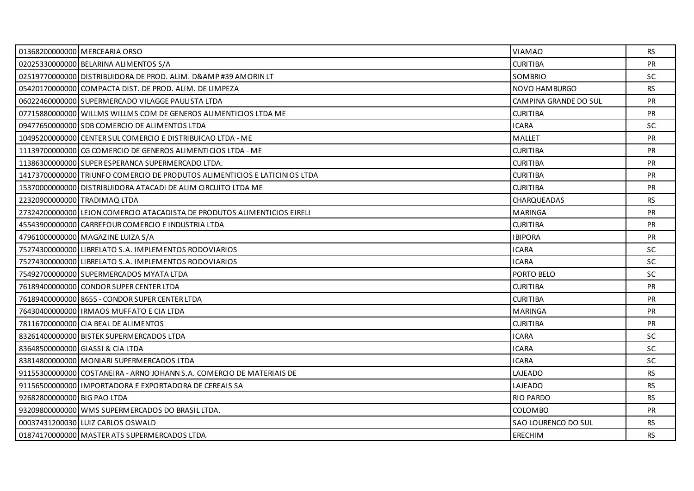|                              | 01368200000000 MERCEARIA ORSO                                              | <b>VIAMAO</b>         | RS        |
|------------------------------|----------------------------------------------------------------------------|-----------------------|-----------|
|                              | 02025330000000 BELARINA ALIMENTOS S/A                                      | <b>CURITIBA</b>       | PR        |
|                              | 02519770000000 DISTRIBUIDORA DE PROD. ALIM. D& #39 AMORIN LT               | SOMBRIO               | SC.       |
|                              | 05420170000000 COMPACTA DIST. DE PROD. ALIM. DE LIMPEZA                    | NOVO HAMBURGO         | <b>RS</b> |
|                              | 06022460000000 SUPERMERCADO VILAGGE PAULISTA LTDA                          | CAMPINA GRANDE DO SUL | PR        |
|                              | 07715880000000 WILLMS WILLMS COM DE GENEROS ALIMENTICIOS LTDA ME           | <b>CURITIBA</b>       | <b>PR</b> |
|                              | 09477650000000 SDB COMERCIO DE ALIMENTOS LTDA                              | <b>ICARA</b>          | <b>SC</b> |
|                              | 10495200000000 CENTER SUL COMERCIO E DISTRIBUICAO LTDA - ME                | MALLET                | PR        |
|                              | 11139700000000 CG COMERCIO DE GENEROS ALIMENTICIOS LTDA - ME               | <b>CURITIBA</b>       | <b>PR</b> |
|                              | 11386300000000 SUPER ESPERANCA SUPERMERCADO LTDA.                          | <b>CURITIBA</b>       | <b>PR</b> |
|                              | 14173700000000 TRIUNFO COMERCIO DE PRODUTOS ALIMENTICIOS E LATICINIOS LTDA | <b>CURITIBA</b>       | PR        |
|                              | 15370000000000 DISTRIBUIDORA ATACADI DE ALIM CIRCUITO LTDA ME              | <b>CURITIBA</b>       | <b>PR</b> |
| 22320900000000 TRADIMAQ LTDA |                                                                            | CHARQUEADAS           | <b>RS</b> |
|                              | 27324200000000 LEJON COMERCIO ATACADISTA DE PRODUTOS ALIMENTICIOS EIRELI   | <b>MARINGA</b>        | PR        |
|                              | 45543900000000 CARREFOUR COMERCIO E INDUSTRIA LTDA                         | <b>CURITIBA</b>       | <b>PR</b> |
|                              | 47961000000000 MAGAZINE LUIZA S/A                                          | <b>IBIPORA</b>        | <b>PR</b> |
|                              | 75274300000000 LIBRELATO S.A. IMPLEMENTOS RODOVIARIOS                      | <b>ICARA</b>          | <b>SC</b> |
|                              | 75274300000000 LIBRELATO S.A. IMPLEMENTOS RODOVIARIOS                      | <b>ICARA</b>          | <b>SC</b> |
|                              | 75492700000000 SUPERMERCADOS MYATA LTDA                                    | PORTO BELO            | <b>SC</b> |
|                              | 76189400000000 CONDOR SUPER CENTER LTDA                                    | <b>CURITIBA</b>       | PR        |
|                              | 76189400000000 8655 - CONDOR SUPER CENTER LTDA                             | <b>CURITIBA</b>       | <b>PR</b> |
|                              | 76430400000000 IRMAOS MUFFATO E CIA LTDA                                   | <b>MARINGA</b>        | <b>PR</b> |
|                              | 78116700000000 CIA BEAL DE ALIMENTOS                                       | <b>CURITIBA</b>       | PR        |
|                              | 83261400000000 BISTEK SUPERMERCADOS LTDA                                   | <b>ICARA</b>          | <b>SC</b> |
|                              | 83648500000000 GIASSI & CIA LTDA                                           | <b>ICARA</b>          | <b>SC</b> |
|                              | 83814800000000 MONIARI SUPERMERCADOS LTDA                                  | <b>ICARA</b>          | <b>SC</b> |
|                              | 91155300000000 COSTANEIRA - ARNO JOHANN S.A. COMERCIO DE MATERIAIS DE      | LAJEADO               | RS        |
|                              | 91156500000000 UMPORTADORA E EXPORTADORA DE CEREAIS SA                     | LAJEADO               | <b>RS</b> |
| 92682800000000 BIG PAO LTDA  |                                                                            | <b>RIO PARDO</b>      | <b>RS</b> |
|                              | 93209800000000 WMS SUPERMERCADOS DO BRASIL LTDA.                           | <b>COLOMBO</b>        | <b>PR</b> |
|                              | 00037431200030 LUIZ CARLOS OSWALD                                          | SAO LOURENCO DO SUL   | <b>RS</b> |
|                              | 01874170000000 MASTER ATS SUPERMERCADOS LTDA                               | ERECHIM               | RS.       |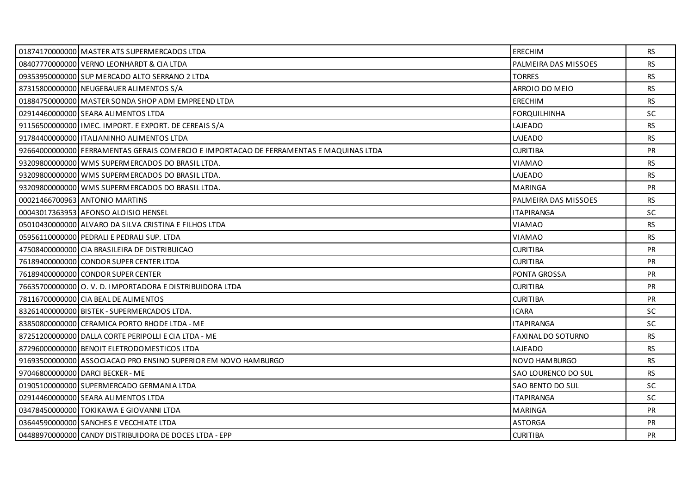| 01874170000000 MASTER ATS SUPERMERCADOS LTDA                                           | <b>ERECHIM</b>            | RS.       |
|----------------------------------------------------------------------------------------|---------------------------|-----------|
| 08407770000000 VERNO LEONHARDT & CIA LTDA                                              | PALMEIRA DAS MISSOES      | <b>RS</b> |
| 09353950000000 SUP MERCADO ALTO SERRANO 2 LTDA                                         | <b>TORRES</b>             | <b>RS</b> |
| 87315800000000 NEUGEBAUER ALIMENTOS S/A                                                | ARROIO DO MEIO            | <b>RS</b> |
| 01884750000000 MASTER SONDA SHOP ADM EMPREEND LTDA                                     | <b>ERECHIM</b>            | <b>RS</b> |
| 02914460000000 SEARA ALIMENTOS LTDA                                                    | <b>FORQUILHINHA</b>       | <b>SC</b> |
| 91156500000000   IMEC. IMPORT. E EXPORT. DE CEREAIS S/A                                | LAJEADO                   | <b>RS</b> |
| 91784400000000   ITALIANINHO ALIMENTOS LTDA                                            | LAJEADO                   | <b>RS</b> |
| 92664000000000 FERRAMENTAS GERAIS COMERCIO E IMPORTACAO DE FERRAMENTAS E MAQUINAS LTDA | <b>CURITIBA</b>           | <b>PR</b> |
| 93209800000000 WMS SUPERMERCADOS DO BRASIL LTDA.                                       | VIAMAO                    | <b>RS</b> |
| 93209800000000 WMS SUPERMERCADOS DO BRASIL LTDA.                                       | LAJEADO                   | <b>RS</b> |
| 93209800000000 WMS SUPERMERCADOS DO BRASIL LTDA.                                       | <b>MARINGA</b>            | <b>PR</b> |
| 00021466700963 ANTONIO MARTINS                                                         | PALMEIRA DAS MISSOES      | <b>RS</b> |
| 00043017363953 AFONSO ALOISIO HENSEL                                                   | <b>ITAPIRANGA</b>         | SC        |
| 05010430000000 ALVARO DA SILVA CRISTINA E FILHOS LTDA                                  | VIAMAO                    | <b>RS</b> |
| 05956110000000 PEDRALI E PEDRALI SUP. LTDA                                             | VIAMAO                    | <b>RS</b> |
| 47508400000000 CIA BRASILEIRA DE DISTRIBUICAO                                          | <b>CURITIBA</b>           | <b>PR</b> |
| 76189400000000 CONDOR SUPER CENTER LTDA                                                | <b>CURITIBA</b>           | <b>PR</b> |
| 76189400000000 CONDOR SUPER CENTER                                                     | <b>PONTA GROSSA</b>       | <b>PR</b> |
| 76635700000000 O.V.D. IMPORTADORA E DISTRIBUIDORA LTDA                                 | <b>CURITIBA</b>           | <b>PR</b> |
| 78116700000000 CIA BEAL DE ALIMENTOS                                                   | <b>CURITIBA</b>           | <b>PR</b> |
| 83261400000000 BISTEK - SUPERMERCADOS LTDA.                                            | <b>ICARA</b>              | <b>SC</b> |
| 83850800000000 CERAMICA PORTO RHODE LTDA - ME                                          | <b>ITAPIRANGA</b>         | SC        |
| 87251200000000 DALLA CORTE PERIPOLLI E CIA LTDA - ME                                   | <b>FAXINAL DO SOTURNO</b> | <b>RS</b> |
| 87296000000000 BENOIT ELETRODOMESTICOS LTDA                                            | LAJEADO                   | <b>RS</b> |
| 91693500000000 ASSOCIACAO PRO ENSINO SUPERIOR EM NOVO HAMBURGO                         | NOVO HAMBURGO             | <b>RS</b> |
| 97046800000000 DARCL BECKER - ME                                                       | SAO LOURENCO DO SUL       | <b>RS</b> |
| 01905100000000 SUPERMERCADO GERMANIA LTDA                                              | SAO BENTO DO SUL          | SC.       |
| 02914460000000 SEARA ALIMENTOS LTDA                                                    | <b>ITAPIRANGA</b>         | SC        |
| 03478450000000 TOKIKAWA E GIOVANNI LTDA                                                | <b>MARINGA</b>            | <b>PR</b> |
| 03644590000000 SANCHES E VECCHIATE LTDA                                                | <b>ASTORGA</b>            | <b>PR</b> |
| 04488970000000 CANDY DISTRIBUIDORA DE DOCES LTDA - EPP                                 | <b>CURITIBA</b>           | <b>PR</b> |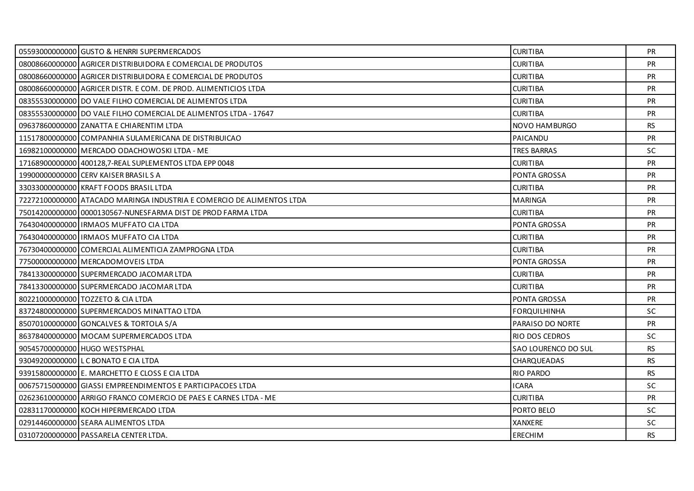| 05593000000000 GUSTO & HENRRI SUPERMERCADOS                           | <b>CURITIBA</b>     | <b>PR</b> |
|-----------------------------------------------------------------------|---------------------|-----------|
| 08008660000000 AGRICER DISTRIBUIDORA E COMERCIAL DE PRODUTOS          | <b>CURITIBA</b>     | <b>PR</b> |
| 08008660000000 AGRICER DISTRIBUIDORA E COMERCIAL DE PRODUTOS          | <b>CURITIBA</b>     | <b>PR</b> |
| 08008660000000 AGRICER DISTR. E COM. DE PROD. ALIMENTICIOS LTDA       | <b>CURITIBA</b>     | PR        |
| 08355530000000 DO VALE FILHO COMERCIAL DE ALIMENTOS LTDA              | <b>CURITIBA</b>     | <b>PR</b> |
| 08355530000000 DO VALE FILHO COMERCIAL DE ALIMENTOS LTDA - 17647      | <b>CURITIBA</b>     | <b>PR</b> |
| 09637860000000 ZANATTA E CHIARENTIM LTDA                              | NOVO HAMBURGO       | <b>RS</b> |
| 11517800000000 COMPANHIA SULAMERICANA DE DISTRIBUICAO                 | PAICANDU            | PR        |
| 16982100000000 MERCADO ODACHOWOSKI LTDA - ME                          | <b>TRES BARRAS</b>  | SC.       |
| 17168900000000 400128,7-REAL SUPLEMENTOS LTDA EPP 0048                | <b>CURITIBA</b>     | <b>PR</b> |
| 19900000000000 CERV KAISER BRASILS A                                  | PONTA GROSSA        | <b>PR</b> |
| 33033000000000 KRAFT FOODS BRASIL LTDA                                | <b>CURITIBA</b>     | <b>PR</b> |
| 72272100000000 ATACADO MARINGA INDUSTRIA E COMERCIO DE ALIMENTOS LTDA | <b>MARINGA</b>      | <b>PR</b> |
| 75014200000000 0000130567-NUNESFARMA DIST DE PROD FARMA LTDA          | <b>CURITIBA</b>     | <b>PR</b> |
| 76430400000000 IRMAOS MUFFATO CIA LTDA                                | <b>PONTA GROSSA</b> | <b>PR</b> |
| 76430400000000 IRMAOS MUFFATO CIA LTDA                                | <b>CURITIBA</b>     | <b>PR</b> |
| 76730400000000 COMERCIAL ALIMENTICIA ZAMPROGNA LTDA                   | <b>CURITIBA</b>     | <b>PR</b> |
| 77500000000000 MERCADOMOVEIS LTDA                                     | <b>PONTA GROSSA</b> | <b>PR</b> |
| 78413300000000 SUPERMERCADO JACOMAR LTDA                              | <b>CURITIBA</b>     | <b>PR</b> |
| 78413300000000 SUPERMERCADO JACOMAR LTDA                              | <b>CURITIBA</b>     | <b>PR</b> |
| 80221000000000 TOZZETO & CIA LTDA                                     | <b>PONTA GROSSA</b> | <b>PR</b> |
| 83724800000000 SUPERMERCADOS MINATTAO LTDA                            | <b>FORQUILHINHA</b> | SC.       |
| 85070100000000 GONCALVES & TORTOLA S/A                                | PARAISO DO NORTE    | PR        |
| 86378400000000 MOCAM SUPERMERCADOS LTDA                               | RIO DOS CEDROS      | <b>SC</b> |
| 90545700000000 HUGO WESTSPHAL                                         | SAO LOURENCO DO SUL | <b>RS</b> |
| 93049200000000 LC BONATO E CIA LTDA                                   | CHARQUEADAS         | <b>RS</b> |
| 93915800000000 E. MARCHETTO E CLOSS E CIA LTDA                        | <b>RIO PARDO</b>    | RS.       |
| 00675715000000 GIASSI EMPREENDIMENTOS E PARTICIPACOES LTDA            | <b>ICARA</b>        | SC.       |
| 02623610000000 ARRIGO FRANCO COMERCIO DE PAES E CARNES LTDA - ME      | <b>CURITIBA</b>     | <b>PR</b> |
| 02831170000000 KOCH HIPERMERCADO LTDA                                 | PORTO BELO          | SC.       |
| 02914460000000 SEARA ALIMENTOS LTDA                                   | XANXERE             | SC.       |
| 03107200000000 PASSARELA CENTER LTDA.                                 | <b>ERECHIM</b>      | RS        |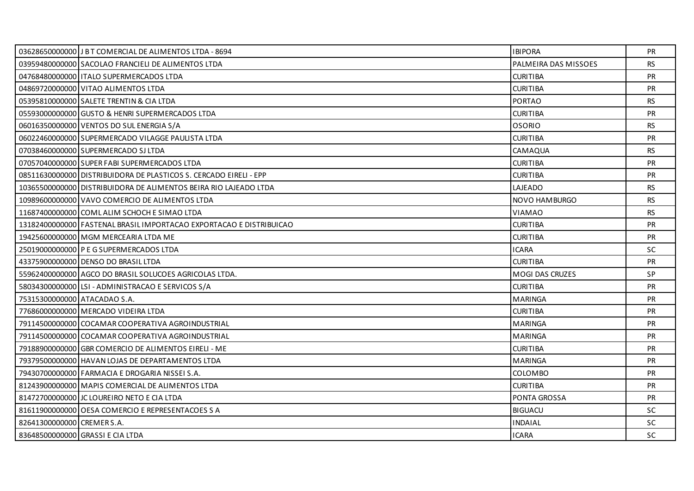|                              | 03628650000000 J B T COMERCIAL DE ALIMENTOS LTDA - 8694             | <b>IBIPORA</b>         | PR.       |
|------------------------------|---------------------------------------------------------------------|------------------------|-----------|
|                              | 03959480000000 SACOLAO FRANCIELI DE ALIMENTOS LTDA                  | PALMEIRA DAS MISSOES   | <b>RS</b> |
|                              | 04768480000000 ITALO SUPERMERCADOS LTDA                             | <b>CURITIBA</b>        | <b>PR</b> |
|                              | 04869720000000 VITAO ALIMENTOS LTDA                                 | <b>CURITIBA</b>        | <b>PR</b> |
|                              | 05395810000000 SALETE TRENTIN & CIA LTDA                            | <b>PORTAO</b>          | RS        |
|                              | 05593000000000 GUSTO & HENRI SUPERMERCADOS LTDA                     | <b>CURITIBA</b>        | <b>PR</b> |
|                              | 06016350000000 VENTOS DO SUL ENERGIA S/A                            | <b>OSORIO</b>          | <b>RS</b> |
|                              | 06022460000000 SUPERMERCADO VILAGGE PAULISTA LTDA                   | <b>CURITIBA</b>        | PR        |
|                              | 07038460000000 SUPERMERCADO SJ LTDA                                 | CAMAQUA                | RS        |
|                              | 07057040000000 SUPER FABI SUPERMERCADOS LTDA                        | <b>CURITIBA</b>        | <b>PR</b> |
|                              | 08511630000000 DISTRIBUIDORA DE PLASTICOS S. CERCADO EIRELI - EPP   | <b>CURITIBA</b>        | PR        |
|                              | 10365500000000 DISTRIBUIDORA DE ALIMENTOS BEIRA RIO LAJEADO LTDA    | LAJEADO                | <b>RS</b> |
|                              | 10989600000000 VAVO COMERCIO DE ALIMENTOS LTDA                      | <b>NOVO HAMBURGO</b>   | RS        |
|                              | 11687400000000 COMLALIM SCHOCH E SIMAO LTDA                         | <b>VIAMAO</b>          | <b>RS</b> |
|                              | 13182400000000 FASTENAL BRASIL IMPORTACAO EXPORTACAO E DISTRIBUICAO | <b>CURITIBA</b>        | <b>PR</b> |
|                              | 19425600000000 MGM MERCEARIA LTDA ME                                | <b>CURITIBA</b>        | <b>PR</b> |
|                              | 25019000000000 P E G SUPERMERCADOS LTDA                             | <b>ICARA</b>           | <b>SC</b> |
|                              | 43375900000000 DENSO DO BRASIL LTDA                                 | <b>CURITIBA</b>        | <b>PR</b> |
|                              | 55962400000000 AGCO DO BRASIL SOLUCOES AGRICOLAS LTDA.              | <b>MOGI DAS CRUZES</b> | SP        |
|                              | 58034300000000 LSI - ADMINISTRACAO E SERVICOS S/A                   | <b>CURITIBA</b>        | <b>PR</b> |
| 75315300000000 ATACADAO S.A. |                                                                     | <b>MARINGA</b>         | <b>PR</b> |
|                              | 77686000000000 MERCADO VIDEIRA LTDA                                 | <b>CURITIBA</b>        | <b>PR</b> |
|                              | 79114500000000 COCAMAR COOPERATIVA AGROINDUSTRIAL                   | <b>MARINGA</b>         | <b>PR</b> |
|                              | 79114500000000 COCAMAR COOPERATIVA AGROINDUSTRIAL                   | <b>MARINGA</b>         | <b>PR</b> |
|                              | 79188900000000 GBR COMERCIO DE ALIMENTOS EIRELI - ME                | <b>CURITIBA</b>        | <b>PR</b> |
|                              | 79379500000000 HAVAN LOJAS DE DEPARTAMENTOS LTDA                    | <b>MARINGA</b>         | <b>PR</b> |
|                              | 79430700000000 FARMACIA E DROGARIA NISSEI S.A.                      | <b>COLOMBO</b>         | <b>PR</b> |
|                              | 81243900000000 MAPIS COMERCIAL DE ALIMENTOS LTDA                    | <b>CURITIBA</b>        | PR        |
|                              | 81472700000000 JC LOUREIRO NETO E CIA LTDA                          | PONTA GROSSA           | <b>PR</b> |
|                              | 81611900000000 OESA COMERCIO E REPRESENTACOES S A                   | <b>BIGUACU</b>         | <b>SC</b> |
| 82641300000000 CREMER S.A.   |                                                                     | <b>INDAIAL</b>         | <b>SC</b> |
|                              | 83648500000000 GRASSI E CIA LTDA                                    | <b>ICARA</b>           | SC.       |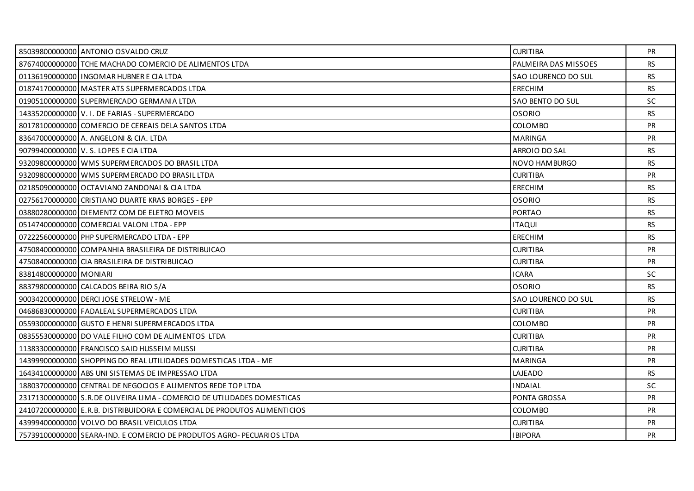|                          | 85039800000000 ANTONIO OSVALDO CRUZ                                      | <b>CURITIBA</b>      | <b>PR</b> |
|--------------------------|--------------------------------------------------------------------------|----------------------|-----------|
|                          | 87674000000000 TCHE MACHADO COMERCIO DE ALIMENTOS LTDA                   | PALMEIRA DAS MISSOES | <b>RS</b> |
|                          | 01136190000000 INGOMAR HUBNER E CIA LTDA                                 | SAO LOURENCO DO SUL  | <b>RS</b> |
|                          | 01874170000000 MASTER ATS SUPERMERCADOS LTDA                             | ERECHIM              | <b>RS</b> |
|                          | 01905100000000 SUPERMERCADO GERMANIA LTDA                                | SAO BENTO DO SUL     | SC        |
|                          | 14335200000000 V. I. DE FARIAS - SUPERMERCADO                            | <b>OSORIO</b>        | <b>RS</b> |
|                          | 80178100000000 COMERCIO DE CEREAIS DELA SANTOS LTDA                      | COLOMBO              | <b>PR</b> |
|                          | 83647000000000 A. ANGELONI & CIA. LTDA                                   | <b>MARINGA</b>       | PR        |
|                          | 90799400000000 V. S. LOPES E CIA LTDA                                    | ARROIO DO SAL        | <b>RS</b> |
|                          | 93209800000000 WMS SUPERMERCADOS DO BRASIL LTDA                          | NOVO HAMBURGO        | <b>RS</b> |
|                          | 93209800000000 WMS SUPERMERCADO DO BRASIL LTDA                           | <b>CURITIBA</b>      | PR        |
|                          | 02185090000000 OCTAVIANO ZANDONAI & CIA LTDA                             | ERECHIM              | <b>RS</b> |
|                          | 02756170000000 CRISTIANO DUARTE KRAS BORGES - EPP                        | OSORIO               | <b>RS</b> |
|                          | 03880280000000 DIEMENTZ COM DE ELETRO MOVEIS                             | <b>PORTAO</b>        | <b>RS</b> |
|                          | 05147400000000 COMERCIAL VALONI LTDA - EPP                               | <b>ITAQUI</b>        | <b>RS</b> |
|                          | 07222560000000 PHP SUPERMERCADO LTDA - EPP                               | <b>ERECHIM</b>       | <b>RS</b> |
|                          | 47508400000000 COMPANHIA BRASILEIRA DE DISTRIBUICAO                      | <b>CURITIBA</b>      | PR        |
|                          | 47508400000000 CIA BRASILEIRA DE DISTRIBUICAO                            | <b>CURITIBA</b>      | <b>PR</b> |
| 83814800000000   MONIARI |                                                                          | <b>ICARA</b>         | SC.       |
|                          | 88379800000000 CALCADOS BEIRA RIO S/A                                    | <b>OSORIO</b>        | <b>RS</b> |
|                          | 90034200000000 DERCLJOSE STRELOW - ME                                    | SAO LOURENCO DO SUL  | <b>RS</b> |
|                          | 04686830000000 FADALEAL SUPERMERCADOS LTDA                               | <b>CURITIBA</b>      | <b>PR</b> |
|                          | 05593000000000 GUSTO E HENRI SUPERMERCADOS LTDA                          | <b>COLOMBO</b>       | PR        |
|                          | 08355530000000 DO VALE FILHO COM DE ALIMENTOS LTDA                       | <b>CURITIBA</b>      | <b>PR</b> |
|                          | 11383300000000 FRANCISCO SAID HUSSEIM MUSSI                              | <b>CURITIBA</b>      | <b>PR</b> |
|                          | 14399900000000 SHOPPING DO REAL UTILIDADES DOMESTICAS LTDA - ME          | <b>MARINGA</b>       | PR        |
|                          | 16434100000000 ABS UNI SISTEMAS DE IMPRESSAO LTDA                        | LAJEADO              | <b>RS</b> |
|                          | 18803700000000 CENTRAL DE NEGOCIOS E ALIMENTOS REDE TOP LTDA             | <b>INDAIAL</b>       | SC.       |
|                          | 23171300000000 S.R.DE OLIVEIRA LIMA - COMERCIO DE UTILIDADES DOMESTICAS  | PONTA GROSSA         | PR        |
|                          | 24107200000000 E.R.B. DISTRIBUIDORA E COMERCIAL DE PRODUTOS ALIMENTICIOS | COLOMBO              | <b>PR</b> |
|                          | 43999400000000 VOLVO DO BRASIL VEICULOS LTDA                             | <b>CURITIBA</b>      | <b>PR</b> |
|                          | 75739100000000 SEARA-IND. E COMERCIO DE PRODUTOS AGRO- PECUARIOS LTDA    | <b>IBIPORA</b>       | <b>PR</b> |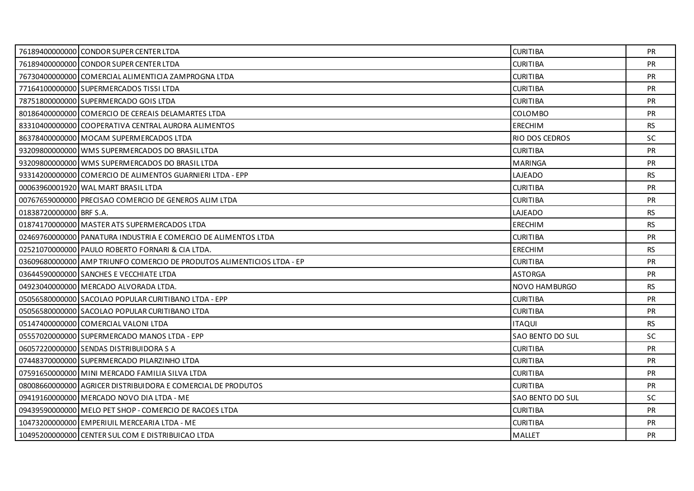|                         | 76189400000000 CONDOR SUPER CENTER LTDA                                | <b>CURITIBA</b>  | PR.       |
|-------------------------|------------------------------------------------------------------------|------------------|-----------|
|                         | 76189400000000 CONDOR SUPER CENTER LTDA                                | <b>CURITIBA</b>  | <b>PR</b> |
|                         | 76730400000000 COMERCIAL ALIMENTICIA ZAMPROGNA LTDA                    | <b>CURITIBA</b>  | <b>PR</b> |
|                         | 77164100000000 SUPERMERCADOS TISSI LTDA                                | <b>CURITIBA</b>  | <b>PR</b> |
|                         | 78751800000000 SUPERMERCADO GOIS LTDA                                  | <b>CURITIBA</b>  | <b>PR</b> |
|                         | 80186400000000 COMERCIO DE CEREAIS DELAMARTES LTDA                     | <b>COLOMBO</b>   | <b>PR</b> |
|                         | 83310400000000 COOPERATIVA CENTRAL AURORA ALIMENTOS                    | <b>ERECHIM</b>   | RS.       |
|                         | 86378400000000 MOCAM SUPERMERCADOS LTDA                                | RIO DOS CEDROS   | <b>SC</b> |
|                         | 93209800000000 WMS SUPERMERCADOS DO BRASIL LTDA                        | <b>CURITIBA</b>  | <b>PR</b> |
|                         | 93209800000000 WMS SUPERMERCADOS DO BRASIL LTDA                        | <b>MARINGA</b>   | <b>PR</b> |
|                         | 93314200000000 COMERCIO DE ALIMENTOS GUARNIERI LTDA - EPP              | LAJEADO          | <b>RS</b> |
|                         | 00063960001920 WAL MART BRASIL LTDA                                    | <b>CURITIBA</b>  | <b>PR</b> |
|                         | 00767659000000 PRECISAO COMERCIO DE GENEROS ALIM LTDA                  | <b>CURITIBA</b>  | PR        |
| 01838720000000 BRF S.A. |                                                                        | LAJEADO          | <b>RS</b> |
|                         | 01874170000000 MASTER ATS SUPERMERCADOS LTDA                           | ERECHIM          | <b>RS</b> |
|                         | 02469760000000 PANATURA INDUSTRIA E COMERCIO DE ALIMENTOS LTDA         | <b>CURITIBA</b>  | <b>PR</b> |
|                         | 02521070000000 PAULO ROBERTO FORNARI & CIA LTDA.                       | <b>ERECHIM</b>   | <b>RS</b> |
|                         | 036096800000001AMP TRIUNFO COMERCIO DE PRODUTOS ALIMENTICIOS LTDA - EP | <b>CURITIBA</b>  | <b>PR</b> |
|                         | 03644590000000 SANCHES E VECCHIATE LTDA                                | <b>ASTORGA</b>   | <b>PR</b> |
|                         | 04923040000000 MERCADO ALVORADA LTDA.                                  | NOVO HAMBURGO    | <b>RS</b> |
|                         | 05056580000000 SACOLAO POPULAR CURITIBANO LTDA - EPP                   | <b>CURITIBA</b>  | <b>PR</b> |
|                         | 05056580000000 SACOLAO POPULAR CURITIBANO LTDA                         | <b>CURITIBA</b>  | <b>PR</b> |
|                         | 05147400000000 COMERCIAL VALONI LTDA                                   | <b>ITAQUI</b>    | <b>RS</b> |
|                         | 05557020000000 SUPERMERCADO MANOS LTDA - EPP                           | SAO BENTO DO SUL | <b>SC</b> |
|                         | 06057220000000 SENDAS DISTRIBUIDORA S A                                | <b>CURITIBA</b>  | <b>PR</b> |
|                         | 07448370000000 SUPERMERCADO PILARZINHO LTDA                            | <b>CURITIBA</b>  | PR        |
|                         | 07591650000000 MINI MERCADO FAMILIA SILVA LTDA                         | <b>CURITIBA</b>  | <b>PR</b> |
|                         | 08008660000000 AGRICER DISTRIBUIDORA E COMERCIAL DE PRODUTOS           | <b>CURITIBA</b>  | <b>PR</b> |
|                         | 09419160000000 MERCADO NOVO DIA LTDA - ME                              | SAO BENTO DO SUL | <b>SC</b> |
|                         | 09439590000000 MELO PET SHOP - COMERCIO DE RACOES LTDA                 | <b>CURITIBA</b>  | <b>PR</b> |
|                         | 10473200000000 EMPERIUIL MERCEARIA LTDA - ME                           | <b>CURITIBA</b>  | <b>PR</b> |
|                         | 10495200000000 CENTER SUL COM E DISTRIBUICAO LTDA                      | <b>MALLET</b>    | <b>PR</b> |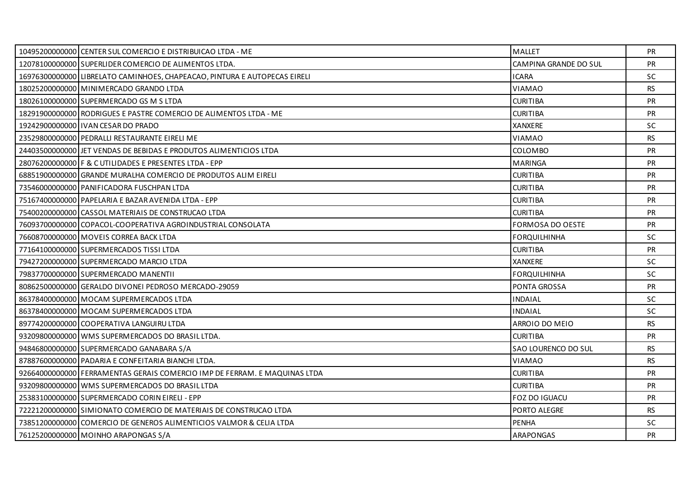| 10495200000000 CENTER SUL COMERCIO E DISTRIBUICAO LTDA - ME               | <b>MALLET</b>           | <b>PR</b> |
|---------------------------------------------------------------------------|-------------------------|-----------|
| 12078100000000 SUPERLIDER COMERCIO DE ALIMENTOS LTDA.                     | CAMPINA GRANDE DO SUL   | <b>PR</b> |
| 16976300000000 LIBRELATO CAMINHOES, CHAPEACAO, PINTURA E AUTOPECAS EIRELI | <b>ICARA</b>            | <b>SC</b> |
| 18025200000000 MINIMERCADO GRANDO LTDA                                    | VIAMAO                  | <b>RS</b> |
| 18026100000000 SUPERMERCADO GS M S LTDA                                   | <b>CURITIBA</b>         | PR        |
| 18291900000000 RODRIGUES E PASTRE COMERCIO DE ALIMENTOS LTDA - ME         | <b>CURITIBA</b>         | <b>PR</b> |
| 19242900000000 I IVAN CESAR DO PRADO                                      | <b>XANXERE</b>          | <b>SC</b> |
| 23529800000000 PEDRALLI RESTAURANTE EIRELI ME                             | VIAMAO                  | <b>RS</b> |
| 24403500000000 JET VENDAS DE BEBIDAS E PRODUTOS ALIMENTICIOS LTDA         | <b>COLOMBO</b>          | <b>PR</b> |
| 28076200000000 F & C UTILIDADES E PRESENTES LTDA - EPP                    | <b>MARINGA</b>          | <b>PR</b> |
| 68851900000000 GRANDE MURALHA COMERCIO DE PRODUTOS ALIM EIRELI            | <b>CURITIBA</b>         | PR        |
| 73546000000000 PANIFICADORA FUSCHPAN LTDA                                 | <b>CURITIBA</b>         | <b>PR</b> |
| 75167400000000 PAPELARIA E BAZAR AVENIDA LTDA - EPP                       | <b>CURITIBA</b>         | <b>PR</b> |
| 75400200000000 CASSOL MATERIAIS DE CONSTRUCAO LTDA                        | <b>CURITIBA</b>         | PR        |
| 76093700000000 COPACOL-COOPERATIVA AGROINDUSTRIAL CONSOLATA               | <b>FORMOSA DO OESTE</b> | <b>PR</b> |
| 76608700000000 MOVEIS CORREA BACK LTDA                                    | FORQUILHINHA            | SC.       |
| 77164100000000 SUPERMERCADOS TISSI LTDA                                   | <b>CURITIBA</b>         | PR        |
| 79427200000000 SUPERMERCADO MARCIO LTDA                                   | XANXERE                 | <b>SC</b> |
| 79837700000000 SUPERMERCADO MANENTII                                      | <b>FORQUILHINHA</b>     | <b>SC</b> |
| 80862500000000 GERALDO DIVONEI PEDROSO MERCADO-29059                      | PONTA GROSSA            | PR        |
| 86378400000000 MOCAM SUPERMERCADOS LTDA                                   | <b>INDAIAL</b>          | SC.       |
| 86378400000000 MOCAM SUPERMERCADOS LTDA                                   | <b>INDAIAL</b>          | <b>SC</b> |
| 89774200000000 COOPERATIVA LANGUIRU LTDA                                  | ARROIO DO MEIO          | <b>RS</b> |
| 93209800000000 WMS SUPERMERCADOS DO BRASIL LTDA.                          | <b>CURITIBA</b>         | <b>PR</b> |
| 94846800000000 SUPERMERCADO GANABARA S/A                                  | SAO LOURENCO DO SUL     | RS        |
| 87887600000000 PADARIA E CONFEITARIA BIANCHI LTDA.                        | <b>VIAMAO</b>           | <b>RS</b> |
| 92664000000000 FERRAMENTAS GERAIS COMERCIO IMP DE FERRAM. E MAQUINAS LTDA | <b>CURITIBA</b>         | <b>PR</b> |
| 93209800000000 WMS SUPERMERCADOS DO BRASIL LTDA                           | <b>CURITIBA</b>         | PR        |
| 25383100000000 SUPERMERCADO CORIN EIRELI - EPP                            | FOZ DO IGUACU           | <b>PR</b> |
| 72221200000000 SIMIONATO COMERCIO DE MATERIAIS DE CONSTRUCAO LTDA         | PORTO ALEGRE            | RS.       |
| 73851200000000 COMERCIO DE GENEROS ALIMENTICIOS VALMOR & CELIA LTDA       | <b>PENHA</b>            | <b>SC</b> |
| 76125200000000 MOINHO ARAPONGAS S/A                                       | ARAPONGAS               | <b>PR</b> |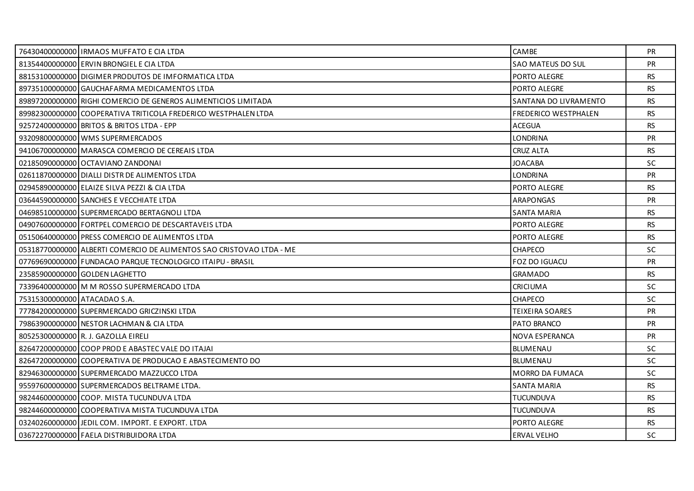|                              | 76430400000000   IRMAOS MUFFATO E CIA LTDA                           | CAMBE                 | PR.       |
|------------------------------|----------------------------------------------------------------------|-----------------------|-----------|
|                              | 81354400000000 ERVIN BRONGIEL E CIA LTDA                             | SAO MATEUS DO SUL     | <b>PR</b> |
|                              | 88153100000000 DIGIMER PRODUTOS DE IMFORMATICA LTDA                  | PORTO ALEGRE          | RS.       |
|                              | 89735100000000 GAUCHAFARMA MEDICAMENTOS LTDA                         | PORTO ALEGRE          | <b>RS</b> |
|                              | 89897200000000 RIGHI COMERCIO DE GENEROS ALIMENTICIOS LIMITADA       | SANTANA DO LIVRAMENTO | <b>RS</b> |
|                              | 89982300000000 COOPERATIVA TRITICOLA FREDERICO WESTPHALEN LTDA       | FREDERICO WESTPHALEN  | <b>RS</b> |
|                              | 92572400000000 BRITOS & BRITOS LTDA - EPP                            | <b>ACEGUA</b>         | <b>RS</b> |
|                              | 93209800000000 WMS SUPERMERCADOS                                     | <b>LONDRINA</b>       | PR        |
|                              | 94106700000000 MARASCA COMERCIO DE CEREAIS LTDA                      | <b>CRUZ ALTA</b>      | <b>RS</b> |
|                              | 021850900000001OCTAVIANO ZANDONAI                                    | JOACABA               | <b>SC</b> |
|                              | 02611870000000 DIALLI DISTR DE ALIMENTOS LTDA                        | <b>LONDRINA</b>       | PR        |
|                              | 02945890000000 ELAIZE SILVA PEZZI & CIA LTDA                         | PORTO ALEGRE          | RS.       |
|                              | 03644590000000 SANCHES E VECCHIATE LTDA                              | ARAPONGAS             | PR        |
|                              | 04698510000000 SUPERMERCADO BERTAGNOLI LTDA                          | <b>SANTA MARIA</b>    | <b>RS</b> |
|                              | 049076000000001FORTPEL COMERCIO DE DESCARTAVEIS LTDA                 | PORTO ALEGRE          | <b>RS</b> |
|                              | 05150640000000 PRESS COMERCIO DE ALIMENTOS LTDA                      | PORTO ALEGRE          | <b>RS</b> |
|                              | 05318770000000 ALBERTI COMERCIO DE ALIMENTOS SAO CRISTOVAO LTDA - ME | <b>CHAPECO</b>        | <b>SC</b> |
|                              | 077696900000001FUNDACAO PARQUE TECNOLOGICO ITAIPU - BRASIL           | FOZ DO IGUACU         | <b>PR</b> |
|                              | 23585900000000 GOLDEN LAGHETTO                                       | <b>GRAMADO</b>        | <b>RS</b> |
|                              | 73396400000000 M M ROSSO SUPERMERCADO LTDA                           | CRICIUMA              | <b>SC</b> |
| 75315300000000 ATACADAO S.A. |                                                                      | <b>CHAPECO</b>        | <b>SC</b> |
|                              | 77784200000000 SUPERMERCADO GRICZINSKI LTDA                          | TEIXEIRA SOARES       | <b>PR</b> |
|                              | 79863900000000 NESTOR LACHMAN & CIA LTDA                             | PATO BRANCO           | PR        |
|                              | 80525300000000 R. J. GAZOLLA EIRELI                                  | NOVA ESPERANCA        | <b>PR</b> |
|                              | 82647200000000 COOP PROD E ABASTEC VALE DO ITAJAI                    | <b>BLUMENAU</b>       | <b>SC</b> |
|                              | 82647200000000 COOPERATIVA DE PRODUCAO E ABASTECIMENTO DO            | BLUMENAU              | <b>SC</b> |
|                              | 82946300000000 SUPERMERCADO MAZZUCCO LTDA                            | MORRO DA FUMACA       | <b>SC</b> |
|                              | 95597600000000 SUPERMERCADOS BELTRAME LTDA.                          | <b>SANTA MARIA</b>    | <b>RS</b> |
|                              | 98244600000000 COOP. MISTA TUCUNDUVA LTDA                            | <b>TUCUNDUVA</b>      | <b>RS</b> |
|                              | 98244600000000 COOPERATIVA MISTA TUCUNDUVA LTDA                      | TUCUNDUVA             | RS.       |
|                              | 03240260000000 JEDIL COM. IMPORT. E EXPORT. LTDA                     | PORTO ALEGRE          | <b>RS</b> |
|                              | 03672270000000 FAELA DISTRIBUIDORA LTDA                              | <b>ERVAL VELHO</b>    | <b>SC</b> |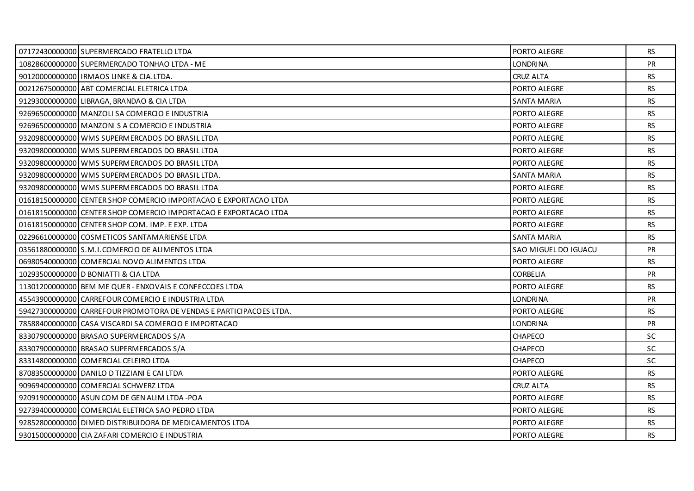| 07172430000000 SUPERMERCADO FRATELLO LTDA                          | PORTO ALEGRE         | RS.       |
|--------------------------------------------------------------------|----------------------|-----------|
| 10828600000000 SUPERMERCADO TONHAO LTDA - ME                       | <b>LONDRINA</b>      | PR        |
| 90120000000000 IRMAOS LINKE & CIA.LTDA.                            | <b>CRUZ ALTA</b>     | <b>RS</b> |
| 00212675000000 ABT COMERCIAL ELETRICA LTDA                         | PORTO ALEGRE         | <b>RS</b> |
| 91293000000000 LIBRAGA, BRANDAO & CIA LTDA                         | <b>SANTA MARIA</b>   | <b>RS</b> |
| 92696500000000 MANZOLI SA COMERCIO E INDUSTRIA                     | PORTO ALEGRE         | <b>RS</b> |
| 92696500000000 MANZONI S A COMERCIO E INDUSTRIA                    | PORTO ALEGRE         | <b>RS</b> |
| 93209800000000 WMS SUPERMERCADOS DO BRASIL LTDA                    | PORTO ALEGRE         | <b>RS</b> |
| 93209800000000 WMS SUPERMERCADOS DO BRASIL LTDA                    | PORTO ALEGRE         | <b>RS</b> |
| 93209800000000 WMS SUPERMERCADOS DO BRASIL LTDA                    | PORTO ALEGRE         | <b>RS</b> |
| 93209800000000 WMS SUPERMERCADOS DO BRASIL LTDA.                   | <b>SANTA MARIA</b>   | <b>RS</b> |
| 93209800000000 WMS SUPERMERCADOS DO BRASIL LTDA                    | PORTO ALEGRE         | <b>RS</b> |
| 01618150000000 CENTER SHOP COMERCIO IMPORTACAO E EXPORTACAO LTDA   | PORTO ALEGRE         | <b>RS</b> |
| 01618150000000 CENTER SHOP COMERCIO IMPORTACAO E EXPORTACAO LTDA   | PORTO ALEGRE         | <b>RS</b> |
| 01618150000000 CENTER SHOP COM. IMP. E EXP. LTDA                   | PORTO ALEGRE         | <b>RS</b> |
| 02296610000000 COSMETICOS SANTAMARIENSE LTDA                       | <b>SANTA MARIA</b>   | <b>RS</b> |
| 03561880000000 S.M.I.COMERCIO DE ALIMENTOS LTDA                    | SAO MIGUEL DO IGUACU | PR        |
| 06980540000000 COMERCIAL NOVO ALIMENTOS LTDA                       | PORTO ALEGRE         | RS        |
| 10293500000000 D BONIATTI & CIA LTDA                               | <b>CORBELIA</b>      | <b>PR</b> |
| 11301200000000 BEM ME QUER - ENXOVAIS E CONFECCOES LTDA            | PORTO ALEGRE         | <b>RS</b> |
| 45543900000000 CARREFOUR COMERCIO E INDUSTRIA LTDA                 | <b>LONDRINA</b>      | <b>PR</b> |
| 59427300000000 CARREFOUR PROMOTORA DE VENDAS E PARTICIPACOES LTDA. | PORTO ALEGRE         | RS        |
| 78588400000000 CASA VISCARDI SA COMERCIO E IMPORTACAO              | <b>LONDRINA</b>      | PR        |
| 83307900000000 BRASAO SUPERMERCADOS S/A                            | <b>CHAPECO</b>       | SC.       |
| 83307900000000 BRASAO SUPERMERCADOS S/A                            | <b>CHAPECO</b>       | <b>SC</b> |
| 83314800000000 COMERCIAL CELEIRO LTDA                              | <b>CHAPECO</b>       | <b>SC</b> |
| 87083500000000 DANILO D TIZZIANI E CAI LTDA                        | PORTO ALEGRE         | <b>RS</b> |
| 90969400000000 COMERCIAL SCHWERZ LTDA                              | CRUZ ALTA            | <b>RS</b> |
| 92091900000000 ASUN COM DE GEN ALIM LTDA - POA                     | PORTO ALEGRE         | <b>RS</b> |
| 92739400000000 COMERCIAL ELETRICA SAO PEDRO LTDA                   | PORTO ALEGRE         | <b>RS</b> |
| 92852800000000 DIMED DISTRIBUIDORA DE MEDICAMENTOS LTDA            | PORTO ALEGRE         | <b>RS</b> |
| 93015000000000 CIA ZAFARI COMERCIO E INDUSTRIA                     | PORTO ALEGRE         | RS.       |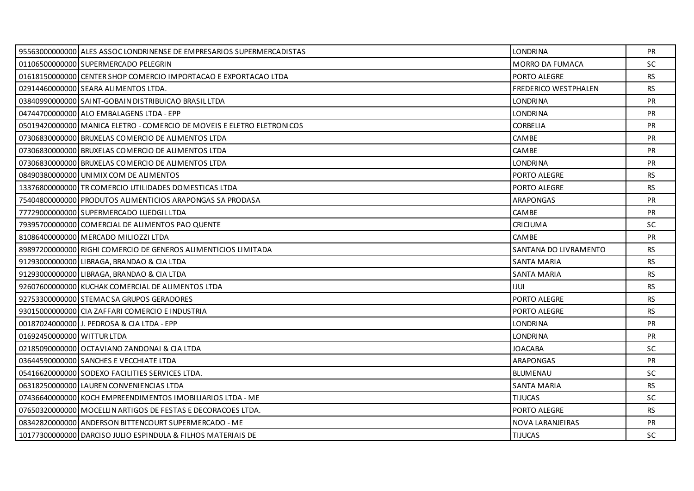|                            | 95563000000000 ALES ASSOC LONDRINENSE DE EMPRESARIOS SUPERMERCADISTAS  | <b>LONDRINA</b>       | PR        |
|----------------------------|------------------------------------------------------------------------|-----------------------|-----------|
|                            | 01106500000000 SUPERMERCADO PELEGRIN                                   | MORRO DA FUMACA       | SC.       |
|                            | 01618150000000 CENTER SHOP COMERCIO IMPORTACAO E EXPORTACAO LTDA       | PORTO ALEGRE          | RS        |
|                            | 02914460000000 SEARA ALIMENTOS LTDA.                                   | FREDERICO WESTPHALEN  | <b>RS</b> |
|                            | 03840990000000 SAINT-GOBAIN DISTRIBUICAO BRASIL LTDA                   | <b>LONDRINA</b>       | <b>PR</b> |
|                            | 04744700000000 ALO EMBALAGENS LTDA - EPP                               | <b>LONDRINA</b>       | <b>PR</b> |
|                            | 05019420000000 MANICA ELETRO - COMERCIO DE MOVEIS E ELETRO ELETRONICOS | <b>CORBELIA</b>       | <b>PR</b> |
|                            | 07306830000000 BRUXELAS COMERCIO DE ALIMENTOS LTDA                     | CAMBE                 | <b>PR</b> |
|                            | 07306830000000 BRUXELAS COMERCIO DE ALIMENTOS LTDA                     | CAMBE                 | <b>PR</b> |
|                            | 07306830000000 BRUXELAS COMERCIO DE ALIMENTOS LTDA                     | <b>LONDRINA</b>       | <b>PR</b> |
|                            | 08490380000000 UNIMIX COM DE ALIMENTOS                                 | PORTO ALEGRE          | <b>RS</b> |
|                            | 13376800000000 TR COMERCIO UTILIDADES DOMESTICAS LTDA                  | PORTO ALEGRE          | RS        |
|                            | 75404800000000 PRODUTOS ALIMENTICIOS ARAPONGAS SA PRODASA              | <b>ARAPONGAS</b>      | <b>PR</b> |
|                            | 77729000000000 SUPERMERCADO LUEDGIL LTDA                               | CAMBE                 | PR        |
|                            | 79395700000000 COMERCIAL DE ALIMENTOS PAO QUENTE                       | <b>CRICIUMA</b>       | <b>SC</b> |
|                            | 81086400000000 MERCADO MILIOZZI LTDA                                   | <b>CAMBE</b>          | <b>PR</b> |
|                            | 89897200000000 RIGHI COMERCIO DE GENEROS ALIMENTICIOS LIMITADA         | SANTANA DO LIVRAMENTO | <b>RS</b> |
|                            | 91293000000000 LIBRAGA, BRANDAO & CIA LTDA                             | <b>SANTA MARIA</b>    | <b>RS</b> |
|                            | 91293000000000 LIBRAGA, BRANDAO & CIA LTDA                             | SANTA MARIA           | <b>RS</b> |
|                            | 92607600000000 KUCHAK COMERCIAL DE ALIMENTOS LTDA                      | <b>IJUI</b>           | <b>RS</b> |
|                            | 92753300000000 STEMACSA GRUPOS GERADORES                               | PORTO ALEGRE          | <b>RS</b> |
|                            | 93015000000000 CIA ZAFFARI COMERCIO E INDUSTRIA                        | PORTO ALEGRE          | <b>RS</b> |
|                            | 00187024000000 J. PEDROSA & CIA LTDA - EPP                             | <b>LONDRINA</b>       | PR        |
| 01692450000000 WITTUR LTDA |                                                                        | <b>LONDRINA</b>       | <b>PR</b> |
|                            | 02185090000000 OCTAVIANO ZANDONAI & CIA LTDA                           | <b>JOACABA</b>        | SC.       |
|                            | 03644590000000 SANCHES E VECCHIATE LTDA                                | ARAPONGAS             | PR        |
|                            | 05416620000000 SODEXO FACILITIES SERVICES LTDA.                        | <b>BLUMENAU</b>       | SC.       |
|                            | 06318250000000 LAUREN CONVENIENCIAS LTDA                               | SANTA MARIA           | RS.       |
|                            | 07436640000000 KOCH EMPREENDIMENTOS IMOBILIARIOS LTDA - ME             | <b>TIJUCAS</b>        | <b>SC</b> |
|                            | 07650320000000 MOCELLIN ARTIGOS DE FESTAS E DECORACOES LTDA.           | PORTO ALEGRE          | <b>RS</b> |
|                            | 08342820000000 ANDERSON BITTENCOURT SUPERMERCADO - ME                  | NOVA LARANJEIRAS      | <b>PR</b> |
|                            | 10177300000000 DARCISO JULIO ESPINDULA & FILHOS MATERIAIS DE           | <b>TIJUCAS</b>        | <b>SC</b> |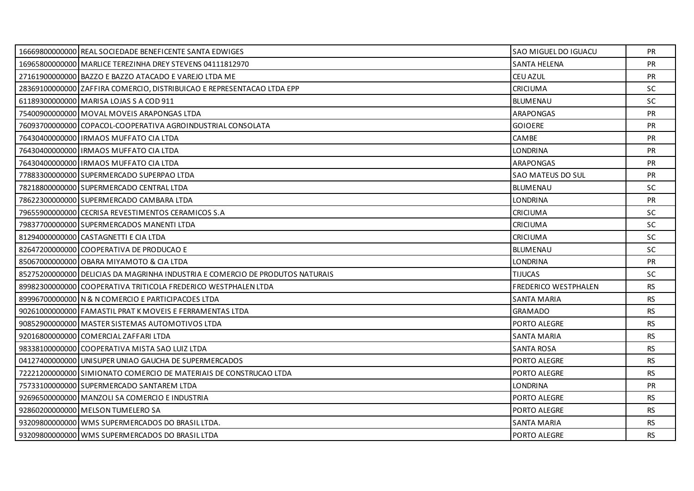| 16669800000000 REAL SOCIEDADE BENEFICENTE SANTA EDWIGES                       | SAO MIGUEL DO IGUACU | <b>PR</b> |
|-------------------------------------------------------------------------------|----------------------|-----------|
| 16965800000000 MARLICE TEREZINHA DREY STEVENS 04111812970                     | <b>SANTA HELENA</b>  | <b>PR</b> |
| 27161900000000 BAZZO E BAZZO ATACADO E VAREJO LTDA ME                         | CEU AZUL             | <b>PR</b> |
| 28369100000000 ZAFFIRA COMERCIO, DISTRIBUICAO E REPRESENTACAO LTDA EPP        | <b>CRICIUMA</b>      | <b>SC</b> |
| 61189300000000 MARISA LOJAS S A COD 911                                       | <b>BLUMENAU</b>      | <b>SC</b> |
| 75400900000000 MOVAL MOVEIS ARAPONGAS LTDA                                    | ARAPONGAS            | <b>PR</b> |
| 76093700000000 COPACOL-COOPERATIVA AGROINDUSTRIAL CONSOLATA                   | <b>GOIOERE</b>       | <b>PR</b> |
| 76430400000000 IRMAOS MUFFATO CIA LTDA                                        | CAMBE                | PR        |
| 76430400000000   IRMAOS MUFFATO CIA LTDA                                      | LONDRINA             | <b>PR</b> |
| 76430400000000 IRMAOS MUFFATO CIA LTDA                                        | ARAPONGAS            | <b>PR</b> |
| 77883300000000 SUPERMERCADO SUPERPAO LTDA                                     | SAO MATEUS DO SUL    | <b>PR</b> |
| 78218800000000 SUPERMERCADO CENTRAL LTDA                                      | <b>BLUMENAU</b>      | <b>SC</b> |
| 78622300000000 SUPERMERCADO CAMBARA LTDA                                      | LONDRINA             | <b>PR</b> |
| 79655900000000 CECRISA REVESTIMENTOS CERAMICOS S.A                            | <b>CRICIUMA</b>      | <b>SC</b> |
| 79837700000000 SUPERMERCADOS MANENTI LTDA                                     | <b>CRICIUMA</b>      | <b>SC</b> |
| 81294000000000 CASTAGNETTI E CIA LTDA                                         | CRICIUMA             | <b>SC</b> |
| 82647200000000 COOPERATIVA DE PRODUCAO E                                      | <b>BLUMENAU</b>      | SC        |
| 85067000000000 OBARA MIYAMOTO & CIA LTDA                                      | <b>LONDRINA</b>      | <b>PR</b> |
| 85275200000000 DELICIAS DA MAGRINHA INDUSTRIA E COMERCIO DE PRODUTOS NATURAIS | TIJUCAS              | <b>SC</b> |
| 89982300000000 COOPERATIVA TRITICOLA FREDERICO WESTPHALEN LTDA                | FREDERICO WESTPHALEN | <b>RS</b> |
| 89996700000000 N & N COMERCIO E PARTICIPACOES LTDA                            | <b>SANTA MARIA</b>   | RS.       |
| 90261000000000 FAMASTIL PRAT K MOVEIS E FERRAMENTAS LTDA                      | <b>GRAMADO</b>       | RS.       |
| 90852900000000 MASTER SISTEMAS AUTOMOTIVOS LTDA                               | PORTO ALEGRE         | <b>RS</b> |
| 92016800000000 COMERCIAL ZAFFARI LTDA                                         | SANTA MARIA          | <b>RS</b> |
| 98338100000000 COOPERATIVA MISTA SAO LUIZ LTDA                                | <b>SANTA ROSA</b>    | <b>RS</b> |
| 04127400000000 UNISUPER UNIAO GAUCHA DE SUPERMERCADOS                         | PORTO ALEGRE         | RS.       |
| 722212000000001SIMIONATO COMERCIO DE MATERIAIS DE CONSTRUCAO LTDA             | PORTO ALEGRE         | RS        |
| 75733100000000 SUPERMERCADO SANTAREM LTDA                                     | LONDRINA             | <b>PR</b> |
| 92696500000000   MANZOLI SA COMERCIO E INDUSTRIA                              | PORTO ALEGRE         | <b>RS</b> |
| 92860200000000 MELSON TUMELERO SA                                             | PORTO ALEGRE         | RS.       |
| 93209800000000 WMS SUPERMERCADOS DO BRASIL LTDA.                              | SANTA MARIA          | <b>RS</b> |
| 93209800000000 WMS SUPERMERCADOS DO BRASIL LTDA                               | PORTO ALEGRE         | RS.       |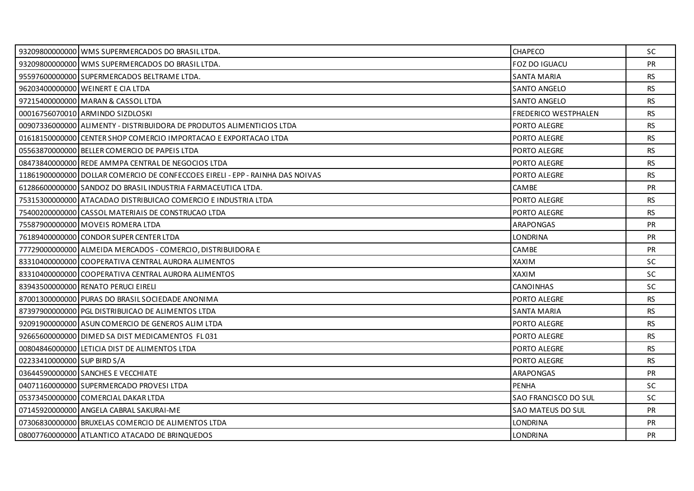|                             | 93209800000000 WMS SUPERMERCADOS DO BRASIL LTDA.                              | CHAPECO                     | SC.       |
|-----------------------------|-------------------------------------------------------------------------------|-----------------------------|-----------|
|                             | 93209800000000 WMS SUPERMERCADOS DO BRASIL LTDA.                              | FOZ DO IGUACU               | <b>PR</b> |
|                             | 95597600000000 SUPERMERCADOS BELTRAME LTDA.                                   | <b>SANTA MARIA</b>          | RS.       |
|                             | 96203400000000 WEINERT E CIA LTDA                                             | <b>SANTO ANGELO</b>         | <b>RS</b> |
|                             | 97215400000000 MARAN & CASSOL LTDA                                            | <b>SANTO ANGELO</b>         | <b>RS</b> |
|                             | 00016756070010 ARMINDO SIZDLOSKI                                              | <b>FREDERICO WESTPHALEN</b> | <b>RS</b> |
|                             | 00907336000000 ALIMENTY - DISTRIBUIDORA DE PRODUTOS ALIMENTICIOS LTDA         | PORTO ALEGRE                | <b>RS</b> |
|                             | 01618150000000 CENTER SHOP COMERCIO IMPORTACAO E EXPORTACAO LTDA              | PORTO ALEGRE                | <b>RS</b> |
|                             | 05563870000000 BELLER COMERCIO DE PAPEIS LTDA                                 | PORTO ALEGRE                | <b>RS</b> |
|                             | 08473840000000 REDE AMMPA CENTRAL DE NEGOCIOS LTDA                            | PORTO ALEGRE                | <b>RS</b> |
|                             | 11861900000000 DOLLAR COMERCIO DE CONFECCOES EIRELI - EPP - RAINHA DAS NOIVAS | PORTO ALEGRE                | <b>RS</b> |
|                             | 61286600000000 SANDOZ DO BRASIL INDUSTRIA FARMACEUTICA LTDA.                  | <b>CAMBE</b>                | <b>PR</b> |
|                             | 75315300000000 ATACADAO DISTRIBUICAO COMERCIO E INDUSTRIA LTDA                | PORTO ALEGRE                | <b>RS</b> |
|                             | 75400200000000 CASSOL MATERIAIS DE CONSTRUCAO LTDA                            | PORTO ALEGRE                | RS        |
|                             | 75587900000000 MOVEIS ROMERA LTDA                                             | <b>ARAPONGAS</b>            | <b>PR</b> |
|                             | 76189400000000 CONDOR SUPER CENTER LTDA                                       | <b>LONDRINA</b>             | <b>PR</b> |
|                             | 77729000000000 ALMEIDA MERCADOS - COMERCIO, DISTRIBUIDORA E                   | CAMBE                       | <b>PR</b> |
|                             | 83310400000000 COOPERATIVA CENTRAL AURORA ALIMENTOS                           | <b>XAXIM</b>                | <b>SC</b> |
|                             | 83310400000000 COOPERATIVA CENTRAL AURORA ALIMENTOS                           | XAXIM                       | <b>SC</b> |
|                             | 83943500000000 RENATO PERUCI EIRELI                                           | <b>CANOINHAS</b>            | SC        |
|                             | 87001300000000 PURAS DO BRASIL SOCIEDADE ANONIMA                              | PORTO ALEGRE                | <b>RS</b> |
|                             | 87397900000000 PGL DISTRIBUICAO DE ALIMENTOS LTDA                             | SANTA MARIA                 | <b>RS</b> |
|                             | 92091900000000 ASUN COMERCIO DE GENEROS ALIM LTDA                             | PORTO ALEGRE                | <b>RS</b> |
|                             | 92665600000000 DIMED SA DIST MEDICAMENTOS FL031                               | PORTO ALEGRE                | <b>RS</b> |
|                             | 00804846000000 LETICIA DIST DE ALIMENTOS LTDA                                 | PORTO ALEGRE                | <b>RS</b> |
| 02233410000000 SUP BIRD S/A |                                                                               | PORTO ALEGRE                | <b>RS</b> |
|                             | 03644590000000 SANCHES E VECCHIATE                                            | <b>ARAPONGAS</b>            | <b>PR</b> |
|                             | 04071160000000 SUPERMERCADO PROVESI LTDA                                      | <b>PENHA</b>                | SC.       |
|                             | 05373450000000 COMERCIAL DAKAR LTDA                                           | SAO FRANCISCO DO SUL        | SC        |
|                             | 07145920000000 ANGELA CABRAL SAKURAI-ME                                       | SAO MATEUS DO SUL           | <b>PR</b> |
|                             | 07306830000000 BRUXELAS COMERCIO DE ALIMENTOS LTDA                            | <b>LONDRINA</b>             | <b>PR</b> |
|                             | 08007760000000 ATLANTICO ATACADO DE BRINQUEDOS                                | <b>LONDRINA</b>             | <b>PR</b> |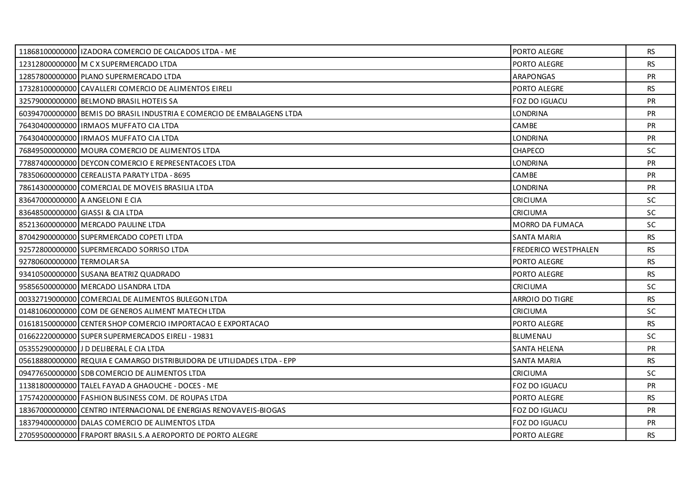|                            | 11868100000000   IZADORA COMERCIO DE CALCADOS LTDA - ME                | PORTO ALEGRE                | RS        |
|----------------------------|------------------------------------------------------------------------|-----------------------------|-----------|
|                            | 12312800000000 M C X SUPERMERCADO LTDA                                 | PORTO ALEGRE                | <b>RS</b> |
|                            | 12857800000000 PLANO SUPERMERCADO LTDA                                 | ARAPONGAS                   | <b>PR</b> |
|                            | 17328100000000 CAVALLERI COMERCIO DE ALIMENTOS EIRELI                  | PORTO ALEGRE                | <b>RS</b> |
|                            | 32579000000000 BELMOND BRASIL HOTEIS SA                                | <b>FOZ DO IGUACU</b>        | PR        |
|                            | 60394700000000 BEMIS DO BRASIL INDUSTRIA E COMERCIO DE EMBALAGENS LTDA | <b>LONDRINA</b>             | <b>PR</b> |
|                            | 76430400000000 IRMAOS MUFFATO CIA LTDA                                 | <b>CAMBE</b>                | <b>PR</b> |
|                            | 76430400000000   IRMAOS MUFFATO CIA LTDA                               | <b>LONDRINA</b>             | <b>PR</b> |
|                            | 76849500000000 MOURA COMERCIO DE ALIMENTOS LTDA                        | CHAPECO                     | <b>SC</b> |
|                            | 77887400000000 DEYCON COMERCIO E REPRESENTACOES LTDA                   | <b>LONDRINA</b>             | <b>PR</b> |
|                            | 78350600000000 CEREALISTA PARATY LTDA - 8695                           | CAMBE                       | <b>PR</b> |
|                            | 78614300000000 COMERCIAL DE MOVEIS BRASILIA LTDA                       | <b>LONDRINA</b>             | <b>PR</b> |
|                            | 83647000000000 A ANGELONI E CIA                                        | <b>CRICIUMA</b>             | SC.       |
|                            | 83648500000000 GIASSI & CIA LTDA                                       | CRICIUMA                    | SC        |
|                            | 85213600000000 MERCADO PAULINE LTDA                                    | <b>MORRO DA FUMACA</b>      | <b>SC</b> |
|                            | 87042900000000 SUPERMERCADO COPETI LTDA                                | SANTA MARIA                 | <b>RS</b> |
|                            | 92572800000000 SUPERMERCADO SORRISO LTDA                               | <b>FREDERICO WESTPHALEN</b> | <b>RS</b> |
| 92780600000000 TERMOLAR SA |                                                                        | PORTO ALEGRE                | <b>RS</b> |
|                            | 93410500000000 SUSANA BEATRIZ QUADRADO                                 | PORTO ALEGRE                | <b>RS</b> |
|                            | 95856500000000 MERCADO LISANDRA LTDA                                   | <b>CRICIUMA</b>             | <b>SC</b> |
|                            | 00332719000000 COMERCIAL DE ALIMENTOS BULEGON LTDA                     | ARROIO DO TIGRE             | <b>RS</b> |
|                            | 01481060000000 COM DE GENEROS ALIMENT MATECH LTDA                      | <b>CRICIUMA</b>             | <b>SC</b> |
|                            | 01618150000000 CENTER SHOP COMERCIO IMPORTACAO E EXPORTACAO            | PORTO ALEGRE                | <b>RS</b> |
|                            | 01662220000000 SUPER SUPERMERCADOS EIRELI - 19831                      | <b>BLUMENAU</b>             | <b>SC</b> |
|                            | 05355290000000 J D DELIBERAL E CIA LTDA                                | <b>SANTA HELENA</b>         | <b>PR</b> |
|                            | 05618880000000 REQUIA E CAMARGO DISTRIBUIDORA DE UTILIDADES LTDA - EPP | <b>SANTA MARIA</b>          | <b>RS</b> |
|                            | 09477650000000 SDB COMERCIO DE ALIMENTOS LTDA                          | <b>CRICIUMA</b>             | <b>SC</b> |
|                            | 11381800000000 TALEL FAYAD A GHAOUCHE - DOCES - ME                     | FOZ DO IGUACU               | <b>PR</b> |
|                            | 17574200000000 FASHION BUSINESS COM. DE ROUPAS LTDA                    | PORTO ALEGRE                | <b>RS</b> |
|                            | 18367000000000 CENTRO INTERNACIONAL DE ENERGIAS RENOVAVEIS-BIOGAS      | FOZ DO IGUACU               | <b>PR</b> |
|                            | 18379400000000 DALAS COMERCIO DE ALIMENTOS LTDA                        | <b>FOZ DO IGUACU</b>        | <b>PR</b> |
|                            | 27059500000000 FRAPORT BRASIL S.A AEROPORTO DE PORTO ALEGRE            | PORTO ALEGRE                | <b>RS</b> |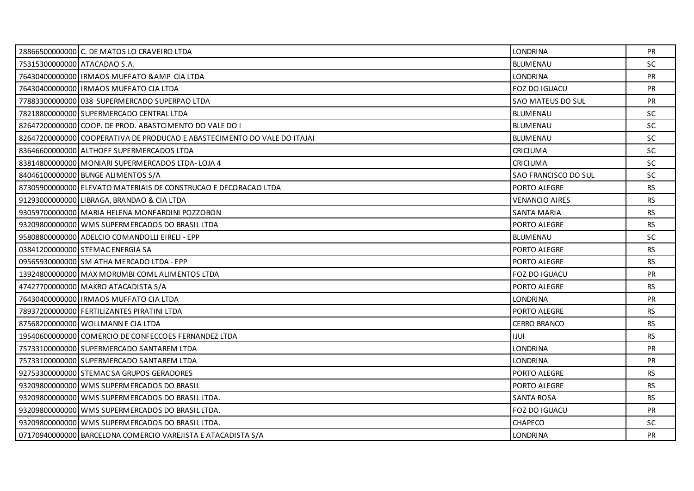|                              | 28866500000000 C. DE MATOS LO CRAVEIRO LTDA                              | <b>LONDRINA</b>             | PR        |
|------------------------------|--------------------------------------------------------------------------|-----------------------------|-----------|
| 75315300000000 ATACADAO S.A. |                                                                          | <b>BLUMENAU</b>             | SC        |
|                              | 76430400000000 IRMAOS MUFFATO & AMP CIA LTDA                             | <b>LONDRINA</b>             | <b>PR</b> |
|                              | 76430400000000   IRMAOS MUFFATO CIA LTDA                                 | <b>FOZ DO IGUACU</b>        | PR        |
|                              | 77883300000000 038 SUPERMERCADO SUPERPAO LTDA                            | <b>SAO MATEUS DO SUL</b>    | PR        |
|                              | 78218800000000 SUPERMERCADO CENTRAL LTDA                                 | <b>BLUMENAU</b>             | <b>SC</b> |
|                              | 82647200000000 COOP. DE PROD. ABASTCIMENTO DO VALE DO I                  | BLUMENAU                    | <b>SC</b> |
|                              | 82647200000000 COOPERATIVA DE PRODUCAO E ABASTECIMENTO DO VALE DO ITAJAI | <b>BLUMENAU</b>             | SC        |
|                              | 83646600000000 ALTHOFF SUPERMERCADOS LTDA                                | <b>CRICIUMA</b>             | <b>SC</b> |
|                              | 83814800000000 MONIARI SUPERMERCADOS LTDA-LOJA 4                         | <b>CRICIUMA</b>             | <b>SC</b> |
|                              | 84046100000000 BUNGE ALIMENTOS S/A                                       | <b>SAO FRANCISCO DO SUL</b> | <b>SC</b> |
|                              | 87305900000000 ELEVATO MATERIAIS DE CONSTRUCAO E DECORACAO LTDA          | PORTO ALEGRE                | <b>RS</b> |
|                              | 91293000000000 LIBRAGA, BRANDAO & CIA LTDA                               | <b>VENANCIO AIRES</b>       | <b>RS</b> |
|                              | 93059700000000 MARIA HELENA MONFARDINI POZZOBON                          | <b>SANTA MARIA</b>          | <b>RS</b> |
|                              | 93209800000000 WMS SUPERMERCADOS DO BRASIL LTDA                          | PORTO ALEGRE                | <b>RS</b> |
|                              | 95808800000000 ADELCIO COMANDOLLI EIRELI - EPP                           | <b>BLUMENAU</b>             | <b>SC</b> |
|                              | 03841200000000 STEMAC ENERGIA SA                                         | PORTO ALEGRE                | <b>RS</b> |
|                              | 09565930000000 SM ATHA MERCADO LTDA - EPP                                | PORTO ALEGRE                | <b>RS</b> |
|                              | 13924800000000 MAX MORUMBI COML ALIMENTOS LTDA                           | FOZ DO IGUACU               | <b>PR</b> |
|                              | 47427700000000 MAKRO ATACADISTA S/A                                      | PORTO ALEGRE                | <b>RS</b> |
|                              | 76430400000000 IRMAOS MUFFATO CIA LTDA                                   | <b>LONDRINA</b>             | PR        |
|                              | 78937200000000 FERTILIZANTES PIRATINI LTDA                               | PORTO ALEGRE                | <b>RS</b> |
|                              | 87568200000000 WOLLMANN E CIA LTDA                                       | <b>CERRO BRANCO</b>         | <b>RS</b> |
|                              | 19540600000000 COMERCIO DE CONFECCOES FERNANDEZ LTDA                     | IJUI                        | <b>RS</b> |
|                              | 75733100000000 SUPERMERCADO SANTAREM LTDA                                | <b>LONDRINA</b>             | <b>PR</b> |
|                              | 75733100000000 SUPERMERCADO SANTAREM LTDA                                | <b>LONDRINA</b>             | <b>PR</b> |
|                              | 92753300000000 STEMACSA GRUPOS GERADORES                                 | PORTO ALEGRE                | <b>RS</b> |
|                              | 93209800000000 WMS SUPERMERCADOS DO BRASIL                               | PORTO ALEGRE                | <b>RS</b> |
|                              | 93209800000000 WMS SUPERMERCADOS DO BRASIL LTDA.                         | <b>SANTA ROSA</b>           | <b>RS</b> |
|                              | 93209800000000 WMS SUPERMERCADOS DO BRASIL LTDA.                         | FOZ DO IGUACU               | PR        |
|                              | 93209800000000 WMS SUPERMERCADOS DO BRASIL LTDA.                         | <b>CHAPECO</b>              | <b>SC</b> |
|                              | 07170940000000 BARCELONA COMERCIO VAREJISTA E ATACADISTA S/A             | <b>LONDRINA</b>             | PR        |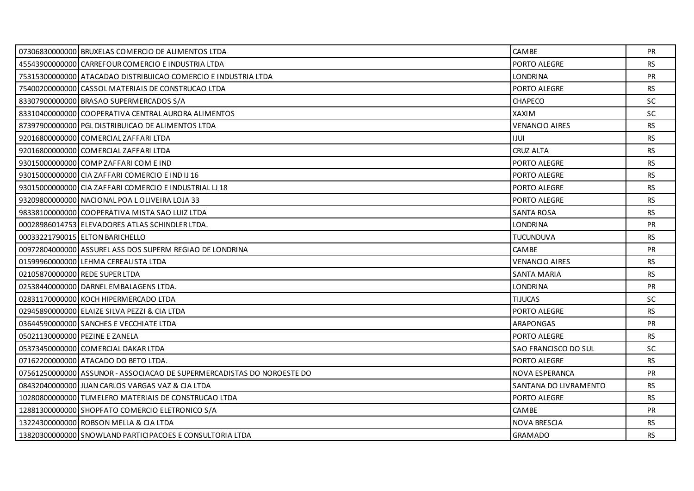|                                | 07306830000000 BRUXELAS COMERCIO DE ALIMENTOS LTDA                     | <b>CAMBE</b>          | <b>PR</b> |
|--------------------------------|------------------------------------------------------------------------|-----------------------|-----------|
|                                | 45543900000000 CARREFOUR COMERCIO E INDUSTRIA LTDA                     | PORTO ALEGRE          | <b>RS</b> |
|                                | 75315300000000 ATACADAO DISTRIBUICAO COMERCIO E INDUSTRIA LTDA         | <b>LONDRINA</b>       | PR        |
|                                | 75400200000000 CASSOL MATERIAIS DE CONSTRUCAO LTDA                     | PORTO ALEGRE          | <b>RS</b> |
|                                | 83307900000000 BRASAO SUPERMERCADOS S/A                                | CHAPECO               | <b>SC</b> |
|                                | 83310400000000 COOPERATIVA CENTRAL AURORA ALIMENTOS                    | <b>XAXIM</b>          | <b>SC</b> |
|                                | 87397900000000 PGL DISTRIBUICAO DE ALIMENTOS LTDA                      | <b>VENANCIO AIRES</b> | <b>RS</b> |
|                                | 92016800000000 COMERCIAL ZAFFARI LTDA                                  | <b>IJUI</b>           | <b>RS</b> |
|                                | 92016800000000 COMERCIAL ZAFFARI LTDA                                  | <b>CRUZ ALTA</b>      | <b>RS</b> |
|                                | 93015000000000 COMP ZAFFARI COM E IND                                  | PORTO ALEGRE          | <b>RS</b> |
|                                | 93015000000000 CIA ZAFFARI COMERCIO E IND IJ 16                        | PORTO ALEGRE          | <b>RS</b> |
|                                | 93015000000000 CIA ZAFFARI COMERCIO E INDUSTRIAL LI 18                 | PORTO ALEGRE          | <b>RS</b> |
|                                | 93209800000000 NACIONAL POA LOLIVEIRA LOJA 33                          | PORTO ALEGRE          | <b>RS</b> |
|                                | 98338100000000 COOPERATIVA MISTA SAO LUIZ LTDA                         | <b>SANTA ROSA</b>     | <b>RS</b> |
|                                | 000289860147531ELEVADORES ATLAS SCHINDLER LTDA.                        | <b>LONDRINA</b>       | <b>PR</b> |
|                                | 00033221790015 ELTON BARICHELLO                                        | <b>TUCUNDUVA</b>      | <b>RS</b> |
|                                | 00972804000000 ASSUREL ASS DOS SUPERM REGIAO DE LONDRINA               | CAMBE                 | PR        |
|                                | 01599960000000 LEHMA CEREALISTA LTDA                                   | <b>VENANCIO AIRES</b> | <b>RS</b> |
|                                | 02105870000000 REDE SUPER LTDA                                         | SANTA MARIA           | <b>RS</b> |
|                                | 02538440000000 DARNEL EMBALAGENS LTDA.                                 | <b>LONDRINA</b>       | PR        |
|                                | 02831170000000 KOCH HIPERMERCADO LTDA                                  | <b>TIJUCAS</b>        | <b>SC</b> |
|                                | 02945890000000 ELAIZE SILVA PEZZI & CIA LTDA                           | PORTO ALEGRE          | <b>RS</b> |
|                                | 03644590000000 SANCHES E VECCHIATE LTDA                                | <b>ARAPONGAS</b>      | <b>PR</b> |
| 05021130000000 PEZINE E ZANELA |                                                                        | PORTO ALEGRE          | <b>RS</b> |
|                                | 05373450000000 COMERCIAL DAKAR LTDA                                    | SAO FRANCISCO DO SUL  | <b>SC</b> |
|                                | 07162200000000 ATACADO DO BETO LTDA.                                   | PORTO ALEGRE          | <b>RS</b> |
|                                | 075612500000001ASSUNOR - ASSOCIACAO DE SUPERMERCADISTAS DO NOROESTE DO | NOVA ESPERANCA        | <b>PR</b> |
|                                | 08432040000000 JUAN CARLOS VARGAS VAZ & CIA LTDA                       | SANTANA DO LIVRAMENTO | <b>RS</b> |
|                                | 10280800000000 TUMELERO MATERIAIS DE CONSTRUCAO LTDA                   | PORTO ALEGRE          | <b>RS</b> |
|                                | 12881300000000 SHOPFATO COMERCIO ELETRONICO S/A                        | <b>CAMBE</b>          | PR        |
|                                | 13224300000000 ROBSON MELLA & CIA LTDA                                 | <b>NOVA BRESCIA</b>   | <b>RS</b> |
|                                | 13820300000000 SNOWLAND PARTICIPACOES E CONSULTORIA LTDA               | <b>GRAMADO</b>        | <b>RS</b> |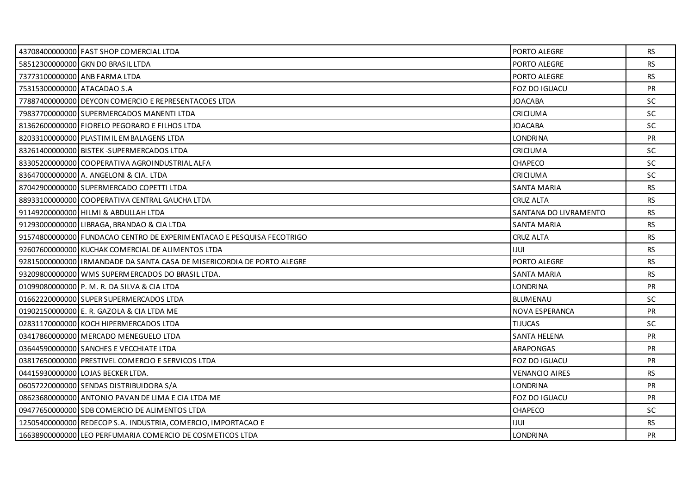|                             | 43708400000000 FAST SHOP COMERCIAL LTDA                                | PORTO ALEGRE          | <b>RS</b> |
|-----------------------------|------------------------------------------------------------------------|-----------------------|-----------|
|                             | 58512300000000 GKN DO BRASIL LTDA                                      | PORTO ALEGRE          | <b>RS</b> |
|                             | 73773100000000 ANB FARMA LTDA                                          | PORTO ALEGRE          | <b>RS</b> |
| 75315300000000 ATACADAO S.A |                                                                        | <b>FOZ DO IGUACU</b>  | PR        |
|                             | 77887400000000 DEYCON COMERCIO E REPRESENTACOES LTDA                   | <b>JOACABA</b>        | SC        |
|                             | 79837700000000 SUPERMERCADOS MANENTI LTDA                              | <b>CRICIUMA</b>       | <b>SC</b> |
|                             | 81362600000000 FIORELO PEGORARO E FILHOS LTDA                          | <b>JOACABA</b>        | <b>SC</b> |
|                             | 82033100000000 PLASTIMIL EMBALAGENS LTDA                               | <b>LONDRINA</b>       | <b>PR</b> |
|                             | 83261400000000 BISTEK-SUPERMERCADOS LTDA                               | <b>CRICIUMA</b>       | <b>SC</b> |
|                             | 83305200000000 COOPERATIVA AGROINDUSTRIAL ALFA                         | <b>CHAPECO</b>        | <b>SC</b> |
|                             | 83647000000000 A. ANGELONI & CIA. LTDA                                 | CRICIUMA              | <b>SC</b> |
|                             | 87042900000000 SUPERMERCADO COPETTI LTDA                               | <b>SANTA MARIA</b>    | <b>RS</b> |
|                             | 88933100000000 COOPERATIVA CENTRAL GAUCHA LTDA                         | <b>CRUZ ALTA</b>      | <b>RS</b> |
|                             | 91149200000000 HILMI & ABDULLAH LTDA                                   | SANTANA DO LIVRAMENTO | <b>RS</b> |
|                             | 91293000000000 LIBRAGA, BRANDAO & CIA LTDA                             | <b>SANTA MARIA</b>    | <b>RS</b> |
|                             | 91574800000000 FUNDACAO CENTRO DE EXPERIMENTACAO E PESQUISA FECOTRIGO  | <b>CRUZ ALTA</b>      | <b>RS</b> |
|                             | 92607600000000 KUCHAK COMERCIAL DE ALIMENTOS LTDA                      | <b>IJUI</b>           | <b>RS</b> |
|                             | 92815000000000 IRMANDADE DA SANTA CASA DE MISERICORDIA DE PORTO ALEGRE | PORTO ALEGRE          | <b>RS</b> |
|                             | 93209800000000 WMS SUPERMERCADOS DO BRASIL LTDA.                       | <b>SANTA MARIA</b>    | <b>RS</b> |
|                             | 01099080000000 P. M. R. DA SILVA & CIA LTDA                            | <b>LONDRINA</b>       | PR        |
|                             | 01662220000000 SUPER SUPERMERCADOS LTDA                                | <b>BLUMENAU</b>       | <b>SC</b> |
|                             | 01902150000000 E. R. GAZOLA & CIA LTDA ME                              | NOVA ESPERANCA        | <b>PR</b> |
|                             | 02831170000000 KOCH HIPERMERCADOS LTDA                                 | <b>TIJUCAS</b>        | SC        |
|                             | 03417860000000 MERCADO MENEGUELO LTDA                                  | SANTA HELENA          | PR        |
|                             | 03644590000000 SANCHES E VECCHIATE LTDA                                | <b>ARAPONGAS</b>      | <b>PR</b> |
|                             | 03817650000000 PRESTIVEL COMERCIO E SERVICOS LTDA                      | FOZ DO IGUACU         | PR        |
|                             | 04415930000000 LOJAS BECKER LTDA.                                      | <b>VENANCIO AIRES</b> | <b>RS</b> |
|                             | 06057220000000 SENDAS DISTRIBUIDORA S/A                                | <b>LONDRINA</b>       | <b>PR</b> |
|                             | 08623680000000 ANTONIO PAVAN DE LIMA E CIA LTDA ME                     | FOZ DO IGUACU         | PR        |
|                             | 09477650000000 SDB COMERCIO DE ALIMENTOS LTDA                          | <b>CHAPECO</b>        | <b>SC</b> |
|                             | 12505400000000 REDECOP S.A. INDUSTRIA, COMERCIO, IMPORTACAO E          | <b>IJUI</b>           | <b>RS</b> |
|                             |                                                                        |                       |           |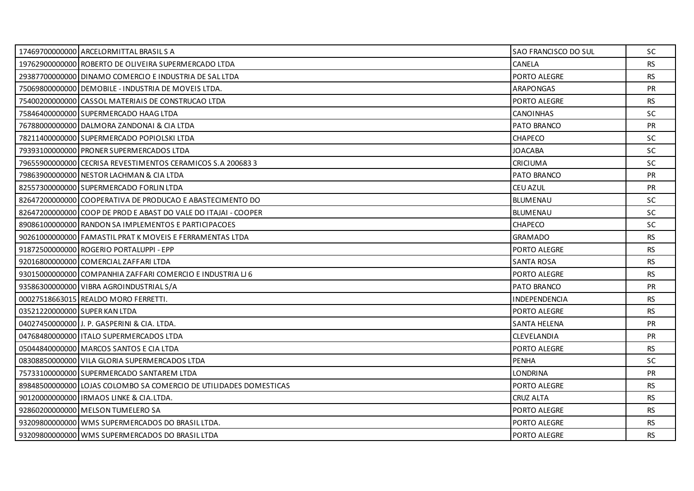|                               | 17469700000000 ARCELORMITTAL BRASILS A                            | SAO FRANCISCO DO SUL | <b>SC</b> |
|-------------------------------|-------------------------------------------------------------------|----------------------|-----------|
|                               | 19762900000000 ROBERTO DE OLIVEIRA SUPERMERCADO LTDA              | CANELA               | <b>RS</b> |
|                               | 29387700000000 DINAMO COMERCIO E INDUSTRIA DE SAL LTDA            | PORTO ALEGRE         | <b>RS</b> |
|                               | 75069800000000 DEMOBILE - INDUSTRIA DE MOVEIS LTDA.               | <b>ARAPONGAS</b>     | <b>PR</b> |
|                               | 75400200000000 CASSOL MATERIAIS DE CONSTRUCAO LTDA                | PORTO ALEGRE         | <b>RS</b> |
|                               | 75846400000000 SUPERMERCADO HAAG LTDA                             | CANOINHAS            | <b>SC</b> |
|                               | 76788000000000 DALMORA ZANDONAI & CIA LTDA                        | PATO BRANCO          | PR        |
|                               | 78211400000000 SUPERMERCADO POPIOLSKI LTDA                        | <b>CHAPECO</b>       | <b>SC</b> |
|                               | 79393100000000 PRONER SUPERMERCADOS LTDA                          | <b>JOACABA</b>       | SC.       |
|                               | 79655900000000 CECRISA REVESTIMENTOS CERAMICOS S.A 200683 3       | CRICIUMA             | <b>SC</b> |
|                               | 79863900000000 NESTOR LACHMAN & CIA LTDA                          | PATO BRANCO          | PR        |
|                               | 82557300000000 SUPERMERCADO FORLIN LTDA                           | CEU AZUL             | <b>PR</b> |
|                               | 82647200000000 COOPERATIVA DE PRODUCAO E ABASTECIMENTO DO         | <b>BLUMENAU</b>      | SC.       |
|                               | 82647200000000 COOP DE PROD E ABAST DO VALE DO ITAJAI - COOPER    | <b>BLUMENAU</b>      | <b>SC</b> |
|                               | 89086100000000 RANDON SA IMPLEMENTOS E PARTICIPACOES              | <b>CHAPECO</b>       | SC.       |
|                               | 90261000000000 FAMASTIL PRAT K MOVEIS E FERRAMENTAS LTDA          | GRAMADO              | <b>RS</b> |
|                               | 91872500000000 ROGERIO PORTALUPPI - EPP                           | PORTO ALEGRE         | <b>RS</b> |
|                               | 92016800000000 COMERCIAL ZAFFARI LTDA                             | SANTA ROSA           | RS        |
|                               | 93015000000000 COMPANHIA ZAFFARI COMERCIO E INDUSTRIA LI 6        | PORTO ALEGRE         | <b>RS</b> |
|                               | 93586300000000 VIBRA AGROINDUSTRIAL S/A                           | PATO BRANCO          | PR        |
|                               | 00027518663015 REALDO MORO FERRETTI.                              | INDEPENDENCIA        | RS        |
| 03521220000000 SUPER KAN LTDA |                                                                   | PORTO ALEGRE         | <b>RS</b> |
|                               | 04027450000000 J. P. GASPERINI & CIA. LTDA.                       | <b>SANTA HELENA</b>  | PR        |
|                               | 04768480000000 ITALO SUPERMERCADOS LTDA                           | CLEVELANDIA          | <b>PR</b> |
|                               | 05044840000000 MARCOS SANTOS E CIA LTDA                           | PORTO ALEGRE         | <b>RS</b> |
|                               | 08308850000000 VILA GLORIA SUPERMERCADOS LTDA                     | <b>PENHA</b>         | <b>SC</b> |
|                               | 75733100000000 SUPERMERCADO SANTAREM LTDA                         | LONDRINA             | <b>PR</b> |
|                               | 89848500000000 LOJAS COLOMBO SA COMERCIO DE UTILIDADES DOMESTICAS | PORTO ALEGRE         | <b>RS</b> |
|                               | 90120000000000   IRMAOS LINKE & CIA.LTDA.                         | <b>CRUZ ALTA</b>     | <b>RS</b> |
|                               | 92860200000000 MELSON TUMELERO SA                                 | PORTO ALEGRE         | RS.       |
|                               | 93209800000000 WMS SUPERMERCADOS DO BRASIL LTDA.                  | PORTO ALEGRE         | <b>RS</b> |
|                               | 93209800000000 WMS SUPERMERCADOS DO BRASIL LTDA                   | PORTO ALEGRE         | RS.       |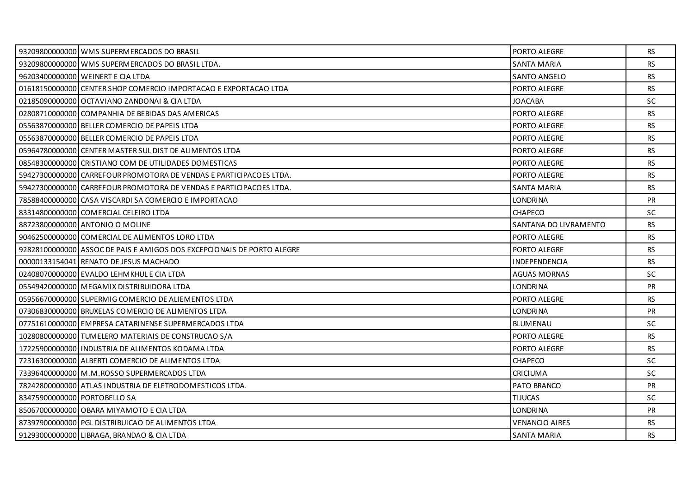|                              | 93209800000000 WMS SUPERMERCADOS DO BRASIL                             | PORTO ALEGRE          | RS        |
|------------------------------|------------------------------------------------------------------------|-----------------------|-----------|
|                              | 93209800000000 WMS SUPERMERCADOS DO BRASIL LTDA.                       | <b>SANTA MARIA</b>    | <b>RS</b> |
|                              | 96203400000000 WEINERT E CIA LTDA                                      | SANTO ANGELO          | <b>RS</b> |
|                              | 01618150000000 CENTER SHOP COMERCIO IMPORTACAO E EXPORTACAO LTDA       | PORTO ALEGRE          | <b>RS</b> |
|                              | 02185090000000 OCTAVIANO ZANDONAI & CIA LTDA                           | <b>JOACABA</b>        | <b>SC</b> |
|                              | 02808710000000 COMPANHIA DE BEBIDAS DAS AMERICAS                       | PORTO ALEGRE          | <b>RS</b> |
|                              | 05563870000000 BELLER COMERCIO DE PAPEIS LTDA                          | PORTO ALEGRE          | <b>RS</b> |
|                              | 05563870000000 BELLER COMERCIO DE PAPEIS LTDA                          | PORTO ALEGRE          | <b>RS</b> |
|                              | 05964780000000 CENTER MASTER SUL DIST DE ALIMENTOS LTDA                | PORTO ALEGRE          | RS        |
|                              | 08548300000000 CRISTIANO COM DE UTILIDADES DOMESTICAS                  | PORTO ALEGRE          | <b>RS</b> |
|                              | 59427300000000 CARREFOUR PROMOTORA DE VENDAS E PARTICIPACOES LTDA.     | PORTO ALEGRE          | <b>RS</b> |
|                              | 59427300000000 CARREFOUR PROMOTORA DE VENDAS E PARTICIPACOES LTDA.     | <b>SANTA MARIA</b>    | <b>RS</b> |
|                              | 78588400000000 CASA VISCARDI SA COMERCIO E IMPORTACAO                  | <b>LONDRINA</b>       | <b>PR</b> |
|                              | 83314800000000 COMERCIAL CELEIRO LTDA                                  | CHAPECO               | SC        |
|                              | 88723800000000 ANTONIO O MOLINE                                        | SANTANA DO LIVRAMENTO | <b>RS</b> |
|                              | 90462500000000 COMERCIAL DE ALIMENTOS LORO LTDA                        | PORTO ALEGRE          | <b>RS</b> |
|                              | 92828100000000 ASSOC DE PAIS E AMIGOS DOS EXCEPCIONAIS DE PORTO ALEGRE | PORTO ALEGRE          | <b>RS</b> |
|                              | 00000133154041 RENATO DE JESUS MACHADO                                 | <b>INDEPENDENCIA</b>  | <b>RS</b> |
|                              | 02408070000000 EVALDO LEHMKHUL E CIA LTDA                              | AGUAS MORNAS          | <b>SC</b> |
|                              | 05549420000000 MEGAMIX DISTRIBUIDORA LTDA                              | <b>LONDRINA</b>       | PR        |
|                              | 05956670000000 SUPERMIG COMERCIO DE ALIEMENTOS LTDA                    | PORTO ALEGRE          | RS.       |
|                              | 07306830000000 BRUXELAS COMERCIO DE ALIMENTOS LTDA                     | <b>LONDRINA</b>       | <b>PR</b> |
|                              | 07751610000000 EMPRESA CATARINENSE SUPERMERCADOS LTDA                  | BLUMENAU              | <b>SC</b> |
|                              | 10280800000000 TUMELERO MATERIAIS DE CONSTRUCAO S/A                    | PORTO ALEGRE          | <b>RS</b> |
|                              | 17225900000000 IINDUSTRIA DE ALIMENTOS KODAMA LTDA                     | PORTO ALEGRE          | <b>RS</b> |
|                              | 72316300000000 ALBERTI COMERCIO DE ALIMENTOS LTDA                      | CHAPECO               | <b>SC</b> |
|                              | 73396400000000   M.M.ROSSO SUPERMERCADOS LTDA                          | <b>CRICIUMA</b>       | <b>SC</b> |
|                              | 78242800000000 ATLAS INDUSTRIA DE ELETRODOMESTICOS LTDA.               | PATO BRANCO           | <b>PR</b> |
| 83475900000000 PORTOBELLO SA |                                                                        | <b>TIJUCAS</b>        | <b>SC</b> |
|                              | 85067000000000 OBARA MIYAMOTO E CIA LTDA                               | <b>LONDRINA</b>       | <b>PR</b> |
|                              | 87397900000000 PGL DISTRIBUICAO DE ALIMENTOS LTDA                      | VENANCIO AIRES        | <b>RS</b> |
|                              | 91293000000000 LIBRAGA, BRANDAO & CIA LTDA                             | <b>SANTA MARIA</b>    | RS.       |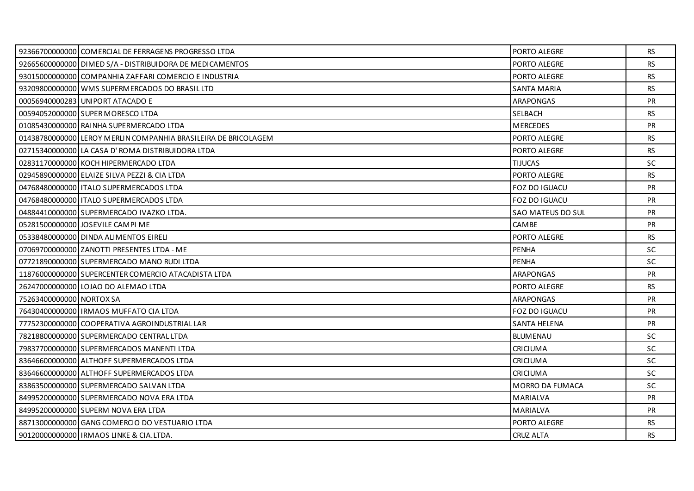|                          | 92366700000000 COMERCIAL DE FERRAGENS PROGRESSO LTDA           | PORTO ALEGRE           | <b>RS</b> |
|--------------------------|----------------------------------------------------------------|------------------------|-----------|
|                          | 92665600000000 DIMED S/A - DISTRIBUIDORA DE MEDICAMENTOS       | PORTO ALEGRE           | <b>RS</b> |
|                          | 93015000000000 COMPANHIA ZAFFARI COMERCIO E INDUSTRIA          | PORTO ALEGRE           | <b>RS</b> |
|                          | 93209800000000 WMS SUPERMERCADOS DO BRASIL LTD                 | SANTA MARIA            | <b>RS</b> |
|                          | 00056940000283 UNIPORT ATACADO E                               | <b>ARAPONGAS</b>       | <b>PR</b> |
|                          | 00594052000000 SUPER MORESCO LTDA                              | SELBACH                | <b>RS</b> |
|                          | 01085430000000 RAINHA SUPERMERCADO LTDA                        | <b>MERCEDES</b>        | <b>PR</b> |
|                          | 01438780000000 LEROY MERLIN COMPANHIA BRASILEIRA DE BRICOLAGEM | PORTO ALEGRE           | <b>RS</b> |
|                          | 02715340000000 LA CASA D' ROMA DISTRIBUIDORA LTDA              | PORTO ALEGRE           | <b>RS</b> |
|                          | 02831170000000 KOCH HIPERMERCADO LTDA                          | <b>TIJUCAS</b>         | SC.       |
|                          | 02945890000000 ELAIZE SILVA PEZZI & CIA LTDA                   | PORTO ALEGRE           | <b>RS</b> |
|                          | 04768480000000   ITALO SUPERMERCADOS LTDA                      | FOZ DO IGUACU          | <b>PR</b> |
|                          | 04768480000000 ITALO SUPERMERCADOS LTDA                        | <b>FOZ DO IGUACU</b>   | <b>PR</b> |
|                          | 04884410000000 SUPERMERCADO IVAZKO LTDA.                       | SAO MATEUS DO SUL      | PR        |
|                          | 05281500000000 JOSEVILE CAMPI ME                               | <b>CAMBE</b>           | <b>PR</b> |
|                          | 05338480000000 DINDA ALIMENTOS EIRELI                          | PORTO ALEGRE           | <b>RS</b> |
|                          | 07069700000000 ZANOTTI PRESENTES LTDA - ME                     | <b>PENHA</b>           | <b>SC</b> |
|                          | 07721890000000 SUPERMERCADO MANO RUDI LTDA                     | <b>PENHA</b>           | <b>SC</b> |
|                          | 11876000000000 SUPERCENTER COMERCIO ATACADISTA LTDA            | <b>ARAPONGAS</b>       | <b>PR</b> |
|                          | 26247000000000 LOJAO DO ALEMAO LTDA                            | PORTO ALEGRE           | RS        |
| 75263400000000 NORTOX SA |                                                                | <b>ARAPONGAS</b>       | <b>PR</b> |
|                          | 76430400000000 IRMAOS MUFFATO CIA LTDA                         | FOZ DO IGUACU          | <b>PR</b> |
|                          | 77752300000000 COOPERATIVA AGROINDUSTRIAL LAR                  | <b>SANTA HELENA</b>    | <b>PR</b> |
|                          | 78218800000000 SUPERMERCADO CENTRAL LTDA                       | <b>BLUMENAU</b>        | <b>SC</b> |
|                          | 79837700000000 SUPERMERCADOS MANENTI LTDA                      | <b>CRICIUMA</b>        | <b>SC</b> |
|                          | 83646600000000 ALTHOFF SUPERMERCADOS LTDA                      | <b>CRICIUMA</b>        | <b>SC</b> |
|                          | 83646600000000 ALTHOFF SUPERMERCADOS LTDA                      | <b>CRICIUMA</b>        | SC.       |
|                          | 83863500000000 SUPERMERCADO SALVAN LTDA                        | <b>MORRO DA FUMACA</b> | <b>SC</b> |
|                          | 84995200000000 SUPERMERCADO NOVA ERA LTDA                      | <b>MARIALVA</b>        | <b>PR</b> |
|                          | 84995200000000 SUPERM NOVA ERA LTDA                            | MARIALVA               | <b>PR</b> |
|                          | 88713000000000 GANG COMERCIO DO VESTUARIO LTDA                 | PORTO ALEGRE           | RS.       |
|                          | 90120000000000 IRMAOS LINKE & CIA.LTDA.                        | <b>CRUZ ALTA</b>       | RS.       |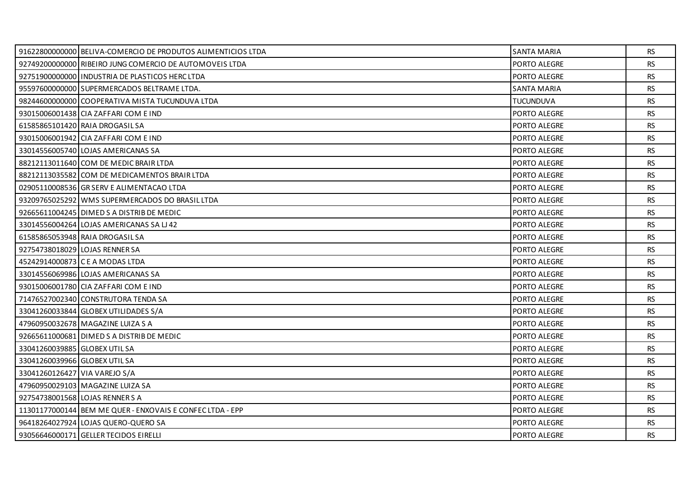|                                | 91622800000000 BELIVA-COMERCIO DE PRODUTOS ALIMENTICIOS LTDA | SANTA MARIA         | RS.       |
|--------------------------------|--------------------------------------------------------------|---------------------|-----------|
|                                | 92749200000000 RIBEIRO JUNG COMERCIO DE AUTOMOVEIS LTDA      | PORTO ALEGRE        | <b>RS</b> |
|                                | 92751900000000 INDUSTRIA DE PLASTICOS HERC LTDA              | PORTO ALEGRE        | <b>RS</b> |
|                                | 95597600000000 SUPERMERCADOS BELTRAME LTDA.                  | SANTA MARIA         | <b>RS</b> |
|                                | 98244600000000 COOPERATIVA MISTA TUCUNDUVA LTDA              | <b>TUCUNDUVA</b>    | <b>RS</b> |
|                                | 93015006001438 CIA ZAFFARI COM E IND                         | PORTO ALEGRE        | <b>RS</b> |
|                                | 61585865101420 RAIA DROGASIL SA                              | PORTO ALEGRE        | <b>RS</b> |
|                                | 93015006001942 CIA ZAFFARI COM E IND                         | PORTO ALEGRE        | <b>RS</b> |
|                                | 33014556005740 LOJAS AMERICANAS SA                           | PORTO ALEGRE        | <b>RS</b> |
|                                | 88212113011640 COM DE MEDIC BRAIR LTDA                       | <b>PORTO ALEGRE</b> | <b>RS</b> |
|                                | 88212113035582 COM DE MEDICAMENTOS BRAIR LTDA                | PORTO ALEGRE        | <b>RS</b> |
|                                | 02905110008536 GR SERV E ALIMENTACAO LTDA                    | PORTO ALEGRE        | <b>RS</b> |
|                                | 93209765025292 WMS SUPERMERCADOS DO BRASIL LTDA              | <b>PORTO ALEGRE</b> | <b>RS</b> |
|                                | 92665611004245 DIMED S A DISTRIB DE MEDIC                    | PORTO ALEGRE        | <b>RS</b> |
|                                | 33014556004264 LOJAS AMERICANAS SA LJ 42                     | PORTO ALEGRE        | <b>RS</b> |
|                                | 61585865053948 RAIA DROGASIL SA                              | PORTO ALEGRE        | <b>RS</b> |
| 92754738018029 LOJAS RENNER SA |                                                              | PORTO ALEGRE        | <b>RS</b> |
|                                | 45242914000873 C E A MODAS LTDA                              | PORTO ALEGRE        | <b>RS</b> |
|                                | 33014556069986 LOJAS AMERICANAS SA                           | PORTO ALEGRE        | <b>RS</b> |
|                                | 93015006001780 CIA ZAFFARI COM E IND                         | PORTO ALEGRE        | <b>RS</b> |
|                                | 71476527002340 CONSTRUTORA TENDA SA                          | PORTO ALEGRE        | <b>RS</b> |
|                                | 33041260033844 GLOBEX UTILIDADES S/A                         | <b>PORTO ALEGRE</b> | <b>RS</b> |
|                                | 47960950032678 MAGAZINE LUIZA S A                            | PORTO ALEGRE        | <b>RS</b> |
|                                | 92665611000681 DIMED S A DISTRIB DE MEDIC                    | PORTO ALEGRE        | <b>RS</b> |
| 33041260039885 GLOBEX UTIL SA  |                                                              | PORTO ALEGRE        | <b>RS</b> |
| 33041260039966 GLOBEX UTIL SA  |                                                              | PORTO ALEGRE        | <b>RS</b> |
| 33041260126427 VIA VAREJO S/A  |                                                              | PORTO ALEGRE        | <b>RS</b> |
|                                | 47960950029103 MAGAZINE LUIZA SA                             | PORTO ALEGRE        | <b>RS</b> |
|                                | 92754738001568 LOJAS RENNER S A                              | PORTO ALEGRE        | <b>RS</b> |
|                                | 11301177000144 BEM ME QUER - ENXOVAIS E CONFEC LTDA - EPP    | PORTO ALEGRE        | <b>RS</b> |
|                                | 96418264027924 LOJAS QUERO-QUERO SA                          | PORTO ALEGRE        | RS.       |
|                                | 93056646000171 GELLER TECIDOS EIRELLI                        | PORTO ALEGRE        | <b>RS</b> |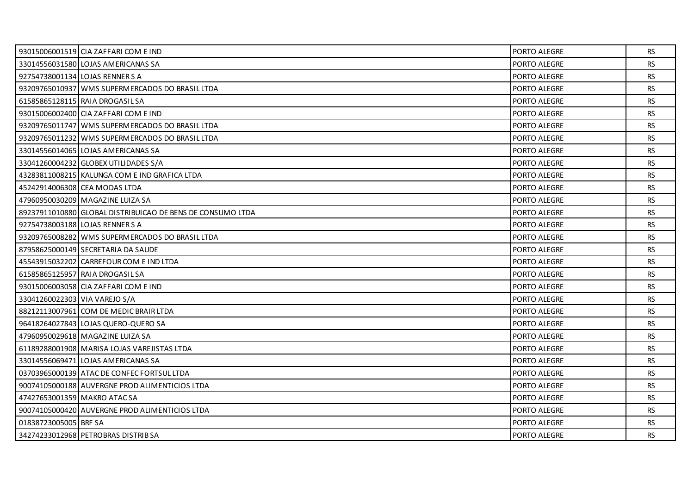|                               | 93015006001519 CIA ZAFFARI COM E IND                       | PORTO ALEGRE        | RS.       |
|-------------------------------|------------------------------------------------------------|---------------------|-----------|
|                               | 33014556031580 LOJAS AMERICANAS SA                         | PORTO ALEGRE        | RS.       |
|                               | 92754738001134 LOJAS RENNER S A                            | PORTO ALEGRE        | <b>RS</b> |
|                               | 93209765010937 WMS SUPERMERCADOS DO BRASIL LTDA            | PORTO ALEGRE        | RS.       |
|                               | 61585865128115 RAIA DROGASIL SA                            | PORTO ALEGRE        | <b>RS</b> |
|                               | 93015006002400 CIA ZAFFARI COM E IND                       | PORTO ALEGRE        | <b>RS</b> |
|                               | 93209765011747 WMS SUPERMERCADOS DO BRASIL LTDA            | PORTO ALEGRE        | <b>RS</b> |
|                               | 93209765011232 WMS SUPERMERCADOS DO BRASIL LTDA            | PORTO ALEGRE        | <b>RS</b> |
|                               | 33014556014065 LOJAS AMERICANAS SA                         | PORTO ALEGRE        | <b>RS</b> |
|                               | 33041260004232 GLOBEX UTILIDADES S/A                       | PORTO ALEGRE        | <b>RS</b> |
|                               | 43283811008215 KALUNGA COM E IND GRAFICA LTDA              | PORTO ALEGRE        | <b>RS</b> |
|                               | 45242914006308 CEA MODAS LTDA                              | PORTO ALEGRE        | RS        |
|                               | 47960950030209 MAGAZINE LUIZA SA                           | PORTO ALEGRE        | <b>RS</b> |
|                               | 89237911010880 GLOBAL DISTRIBUICAO DE BENS DE CONSUMO LTDA | PORTO ALEGRE        | <b>RS</b> |
|                               | 92754738003188 LOJAS RENNER S A                            | PORTO ALEGRE        | RS        |
|                               | 93209765008282 WMS SUPERMERCADOS DO BRASIL LTDA            | PORTO ALEGRE        | <b>RS</b> |
|                               | 87958625000149 SECRETARIA DA SAUDE                         | PORTO ALEGRE        | <b>RS</b> |
|                               | 45543915032202 CARREFOUR COM E IND LTDA                    | PORTO ALEGRE        | <b>RS</b> |
|                               | 61585865125957 RAIA DROGASIL SA                            | PORTO ALEGRE        | <b>RS</b> |
|                               | 93015006003058 CIA ZAFFARI COM E IND                       | PORTO ALEGRE        | <b>RS</b> |
| 33041260022303 VIA VAREJO S/A |                                                            | PORTO ALEGRE        | RS.       |
|                               | 88212113007961 COM DE MEDIC BRAIR LTDA                     | PORTO ALEGRE        | <b>RS</b> |
|                               | 96418264027843 LOJAS QUERO-QUERO SA                        | PORTO ALEGRE        | <b>RS</b> |
|                               | 47960950029618 MAGAZINE LUIZA SA                           | PORTO ALEGRE        | <b>RS</b> |
|                               | 61189288001908 MARISA LOJAS VAREJISTAS LTDA                | <b>PORTO ALEGRE</b> | <b>RS</b> |
|                               | 33014556069471 LOJAS AMERICANAS SA                         | PORTO ALEGRE        | <b>RS</b> |
|                               | 03703965000139 ATAC DE CONFEC FORTSUL LTDA                 | PORTO ALEGRE        | <b>RS</b> |
|                               | 90074105000188 AUVERGNE PROD ALIMENTICIOS LTDA             | <b>PORTO ALEGRE</b> | <b>RS</b> |
| 47427653001359 MAKRO ATACSA   |                                                            | PORTO ALEGRE        | <b>RS</b> |
|                               | 90074105000420 AUVERGNE PROD ALIMENTICIOS LTDA             | PORTO ALEGRE        | <b>RS</b> |
| 01838723005005 BRF SA         |                                                            | PORTO ALEGRE        | <b>RS</b> |
|                               | 34274233012968 PETROBRAS DISTRIB SA                        | PORTO ALEGRE        | RS.       |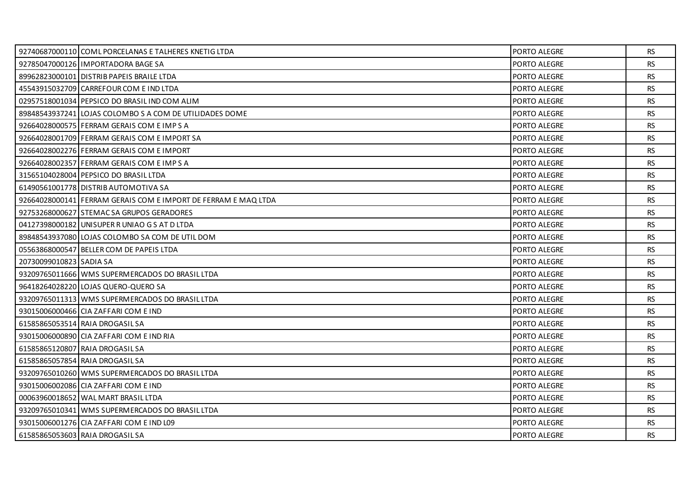|                         | 92740687000110 COML PORCELANAS E TALHERES KNETIG LTDA          | PORTO ALEGRE        | <b>RS</b> |
|-------------------------|----------------------------------------------------------------|---------------------|-----------|
|                         | 92785047000126 IMPORTADORA BAGE SA                             | PORTO ALEGRE        | <b>RS</b> |
|                         | 89962823000101   DISTRIB PAPEIS BRAILE LTDA                    | PORTO ALEGRE        | <b>RS</b> |
|                         | 45543915032709 CARREFOUR COM E IND LTDA                        | PORTO ALEGRE        | <b>RS</b> |
|                         | 02957518001034 PEPSICO DO BRASIL IND COM ALIM                  | PORTO ALEGRE        | <b>RS</b> |
|                         | 89848543937241 LOJAS COLOMBO S A COM DE UTILIDADES DOME        | <b>PORTO ALEGRE</b> | <b>RS</b> |
|                         | 92664028000575 FERRAM GERAIS COM E IMP S A                     | PORTO ALEGRE        | RS.       |
|                         | 92664028001709 FERRAM GERAIS COM E IMPORT SA                   | PORTO ALEGRE        | <b>RS</b> |
|                         | 92664028002276 FERRAM GERAIS COM E IMPORT                      | PORTO ALEGRE        | <b>RS</b> |
|                         | 92664028002357 FERRAM GERAIS COM E IMP S A                     | PORTO ALEGRE        | RS.       |
|                         | 31565104028004 PEPSICO DO BRASIL LTDA                          | PORTO ALEGRE        | <b>RS</b> |
|                         | 61490561001778 DISTRIB AUTOMOTIVA SA                           | PORTO ALEGRE        | <b>RS</b> |
|                         | 92664028000141 FERRAM GERAIS COM E IMPORT DE FERRAM E MAQ LTDA | PORTO ALEGRE        | <b>RS</b> |
|                         | 92753268000627 STEMACSA GRUPOS GERADORES                       | PORTO ALEGRE        | <b>RS</b> |
|                         | 04127398000182 UNISUPER RUNIAO GS AT D LTDA                    | PORTO ALEGRE        | <b>RS</b> |
|                         | 89848543937080 LOJAS COLOMBO SA COM DE UTIL DOM                | PORTO ALEGRE        | RS.       |
|                         | 05563868000547 BELLER COM DE PAPEIS LTDA                       | PORTO ALEGRE        | <b>RS</b> |
| 20730099010823 SADIA SA |                                                                | PORTO ALEGRE        | RS        |
|                         | 93209765011666 WMS SUPERMERCADOS DO BRASIL LTDA                | <b>PORTO ALEGRE</b> | <b>RS</b> |
|                         | 96418264028220 LOJAS QUERO-QUERO SA                            | PORTO ALEGRE        | <b>RS</b> |
|                         | 93209765011313 WMS SUPERMERCADOS DO BRASIL LTDA                | PORTO ALEGRE        | <b>RS</b> |
|                         | 93015006000466 CIA ZAFFARI COM E IND                           | <b>PORTO ALEGRE</b> | <b>RS</b> |
|                         | 61585865053514 RAIA DROGASIL SA                                | PORTO ALEGRE        | <b>RS</b> |
|                         | 93015006000890 CIA ZAFFARI COM E IND RIA                       | PORTO ALEGRE        | <b>RS</b> |
|                         | 61585865120807 RAIA DROGASIL SA                                | <b>PORTO ALEGRE</b> | <b>RS</b> |
|                         | 61585865057854 RAIA DROGASIL SA                                | PORTO ALEGRE        | <b>RS</b> |
|                         | 93209765010260 WMS SUPERMERCADOS DO BRASIL LTDA                | PORTO ALEGRE        | RS.       |
|                         | 93015006002086 CIA ZAFFARI COM E IND                           | <b>PORTO ALEGRE</b> | <b>RS</b> |
|                         | 00063960018652 WAL MART BRASIL LTDA                            | PORTO ALEGRE        | <b>RS</b> |
|                         | 93209765010341 WMS SUPERMERCADOS DO BRASIL LTDA                | PORTO ALEGRE        | <b>RS</b> |
|                         | 93015006001276 CIA ZAFFARI COM E IND L09                       | PORTO ALEGRE        | RS.       |
|                         | 61585865053603 RAIA DROGASIL SA                                | PORTO ALEGRE        | <b>RS</b> |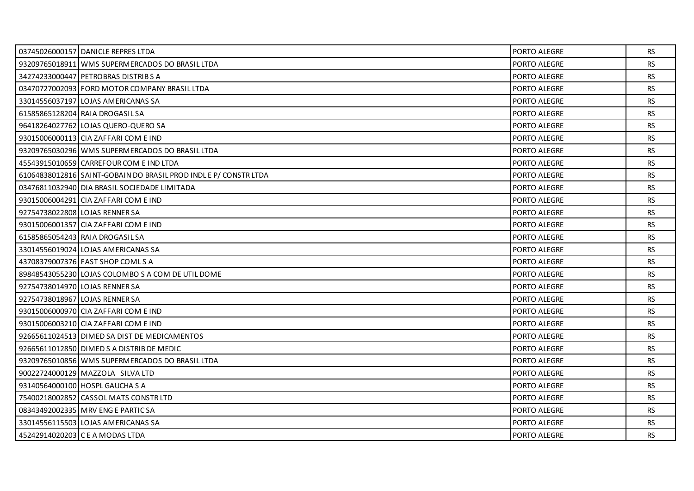|                                | 03745026000157 DANICLE REPRES LTDA                              | PORTO ALEGRE | <b>RS</b> |
|--------------------------------|-----------------------------------------------------------------|--------------|-----------|
|                                | 93209765018911 WMS SUPERMERCADOS DO BRASIL LTDA                 | PORTO ALEGRE | <b>RS</b> |
|                                | 34274233000447 PETROBRAS DISTRIBS A                             | PORTO ALEGRE | <b>RS</b> |
|                                | 03470727002093 FORD MOTOR COMPANY BRASIL LTDA                   | PORTO ALEGRE | <b>RS</b> |
|                                | 33014556037197 LOJAS AMERICANAS SA                              | PORTO ALEGRE | <b>RS</b> |
|                                | 61585865128204 RAIA DROGASIL SA                                 | PORTO ALEGRE | <b>RS</b> |
|                                | 96418264027762 LOJAS QUERO-QUERO SA                             | PORTO ALEGRE | <b>RS</b> |
|                                | 93015006000113 CIA ZAFFARI COM E IND                            | PORTO ALEGRE | <b>RS</b> |
|                                | 93209765030296 WMS SUPERMERCADOS DO BRASIL LTDA                 | PORTO ALEGRE | <b>RS</b> |
|                                | 45543915010659 CARREFOUR COM E IND LTDA                         | PORTO ALEGRE | <b>RS</b> |
|                                | 61064838012816 SAINT-GOBAIN DO BRASIL PROD INDLE P/ CONSTR LTDA | PORTO ALEGRE | <b>RS</b> |
|                                | 03476811032940   DIA BRASIL SOCIEDADE LIMITADA                  | PORTO ALEGRE | <b>RS</b> |
|                                | 93015006004291 CIA ZAFFARI COM E IND                            | PORTO ALEGRE | <b>RS</b> |
| 92754738022808 LOJAS RENNER SA |                                                                 | PORTO ALEGRE | <b>RS</b> |
|                                | 93015006001357 CIA ZAFFARI COM E IND                            | PORTO ALEGRE | <b>RS</b> |
|                                | 61585865054243 RAIA DROGASIL SA                                 | PORTO ALEGRE | <b>RS</b> |
|                                | 33014556019024 LOJAS AMERICANAS SA                              | PORTO ALEGRE | <b>RS</b> |
|                                | 43708379007376 FAST SHOP COMLS A                                | PORTO ALEGRE | <b>RS</b> |
|                                | 89848543055230 LOJAS COLOMBO S A COM DE UTIL DOME               | PORTO ALEGRE | <b>RS</b> |
| 92754738014970 LOJAS RENNER SA |                                                                 | PORTO ALEGRE | <b>RS</b> |
|                                | 92754738018967 LOJAS RENNER SA                                  | PORTO ALEGRE | <b>RS</b> |
|                                | 93015006000970 CIA ZAFFARI COM E IND                            | PORTO ALEGRE | <b>RS</b> |
|                                | 93015006003210 CIA ZAFFARI COM E IND                            | PORTO ALEGRE | <b>RS</b> |
|                                | 92665611024513 DIMED SA DIST DE MEDICAMENTOS                    | PORTO ALEGRE | <b>RS</b> |
|                                | 92665611012850 DIMED S A DISTRIB DE MEDIC                       | PORTO ALEGRE | <b>RS</b> |
|                                | 93209765010856 WMS SUPERMERCADOS DO BRASIL LTDA                 | PORTO ALEGRE | <b>RS</b> |
|                                | 90022724000129 MAZZOLA SILVA LTD                                | PORTO ALEGRE | <b>RS</b> |
|                                | 93140564000100 HOSPL GAUCHA S A                                 | PORTO ALEGRE | <b>RS</b> |
|                                | 75400218002852 CASSOL MATS CONSTR LTD                           | PORTO ALEGRE | <b>RS</b> |
|                                | 08343492002335 MRV ENG E PARTIC SA                              | PORTO ALEGRE | <b>RS</b> |
|                                | 33014556115503 LOJAS AMERICANAS SA                              | PORTO ALEGRE | <b>RS</b> |
|                                | 45242914020203 CE A MODAS LTDA                                  | PORTO ALEGRE | <b>RS</b> |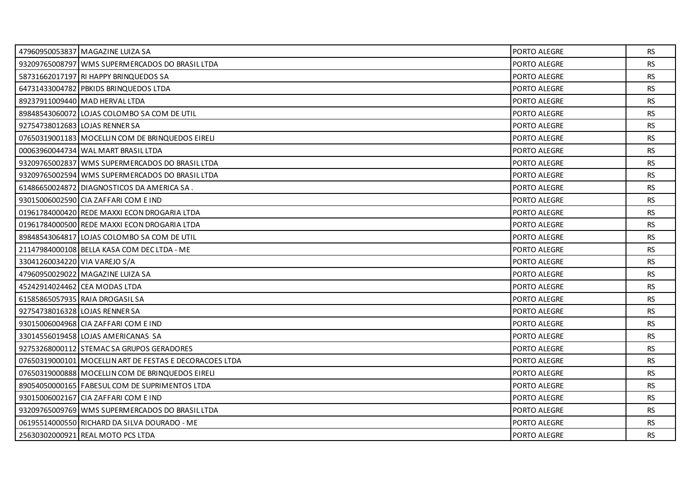|                               | 47960950053837 MAGAZINE LUIZA SA                        | PORTO ALEGRE | RS.       |
|-------------------------------|---------------------------------------------------------|--------------|-----------|
|                               | 93209765008797 WMS SUPERMERCADOS DO BRASIL LTDA         | PORTO ALEGRE | <b>RS</b> |
|                               | 58731662017197 RI HAPPY BRINQUEDOS SA                   | PORTO ALEGRE | <b>RS</b> |
|                               | 64731433004782 PBKIDS BRINQUEDOS LTDA                   | PORTO ALEGRE | <b>RS</b> |
|                               | 89237911009440 MAD HERVAL LTDA                          | PORTO ALEGRE | <b>RS</b> |
|                               | 89848543060072 LOJAS COLOMBO SA COM DE UTIL             | PORTO ALEGRE | <b>RS</b> |
|                               | 92754738012683 LOJAS RENNER SA                          | PORTO ALEGRE | <b>RS</b> |
|                               | 07650319001183 MOCELLIN COM DE BRINQUEDOS EIRELI        | PORTO ALEGRE | <b>RS</b> |
|                               | 00063960044734 WAL MART BRASIL LTDA                     | PORTO ALEGRE | <b>RS</b> |
|                               | 93209765002837 WMS SUPERMERCADOS DO BRASIL LTDA         | PORTO ALEGRE | <b>RS</b> |
|                               | 93209765002594 WMS SUPERMERCADOS DO BRASIL LTDA         | PORTO ALEGRE | <b>RS</b> |
|                               | 61486650024872 DIAGNOSTICOS DA AMERICA SA.              | PORTO ALEGRE | <b>RS</b> |
|                               | 93015006002590 CIA ZAFFARI COM E IND                    | PORTO ALEGRE | <b>RS</b> |
|                               | 01961784000420 REDE MAXXI ECON DROGARIA LTDA            | PORTO ALEGRE | <b>RS</b> |
|                               | 01961784000500 REDE MAXXI ECON DROGARIA LTDA            | PORTO ALEGRE | <b>RS</b> |
|                               | 89848543064817 LOJAS COLOMBO SA COM DE UTIL             | PORTO ALEGRE | RS.       |
|                               | 21147984000108 BELLA KASA COM DEC LTDA - ME             | PORTO ALEGRE | <b>RS</b> |
| 33041260034220 VIA VAREJO S/A |                                                         | PORTO ALEGRE | <b>RS</b> |
|                               | 47960950029022 MAGAZINE LUIZA SA                        | PORTO ALEGRE | <b>RS</b> |
|                               | 45242914024462 CEA MODAS LTDA                           | PORTO ALEGRE | <b>RS</b> |
|                               | 61585865057935 RAIA DROGASIL SA                         | PORTO ALEGRE | <b>RS</b> |
|                               | 92754738016328 LOJAS RENNER SA                          | PORTO ALEGRE | <b>RS</b> |
|                               | 93015006004968 CIA ZAFFARI COM E IND                    | PORTO ALEGRE | <b>RS</b> |
|                               | 33014556019458 LOJAS AMERICANAS SA                      | PORTO ALEGRE | <b>RS</b> |
|                               | 92753268000112 STEMACSA GRUPOS GERADORES                | PORTO ALEGRE | <b>RS</b> |
|                               | 07650319000101 MOCELLIN ART DE FESTAS E DECORACOES LTDA | PORTO ALEGRE | <b>RS</b> |
|                               | 07650319000888   MOCELLIN COM DE BRINQUEDOS EIRELI      | PORTO ALEGRE | <b>RS</b> |
|                               | 89054050000165 FABESUL COM DE SUPRIMENTOS LTDA          | PORTO ALEGRE | <b>RS</b> |
|                               | 93015006002167 CIA ZAFFARI COM E IND                    | PORTO ALEGRE | <b>RS</b> |
|                               | 93209765009769 WMS SUPERMERCADOS DO BRASIL LTDA         | PORTO ALEGRE | <b>RS</b> |
|                               | 06195514000550 RICHARD DA SILVA DOURADO - ME            | PORTO ALEGRE | <b>RS</b> |
|                               | 25630302000921 REAL MOTO PCS LTDA                       | PORTO ALEGRE | <b>RS</b> |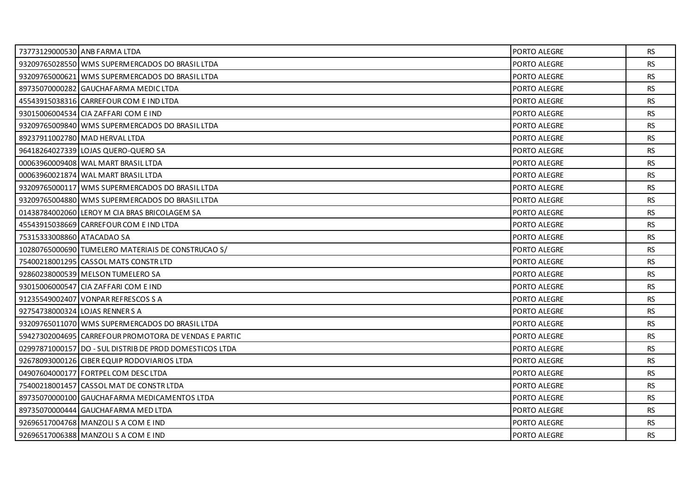|                            | 73773129000530 ANB FARMA LTDA                           | PORTO ALEGRE        | RS.       |
|----------------------------|---------------------------------------------------------|---------------------|-----------|
|                            | 93209765028550 WMS SUPERMERCADOS DO BRASIL LTDA         | PORTO ALEGRE        | <b>RS</b> |
|                            | 93209765000621 WMS SUPERMERCADOS DO BRASIL LTDA         | PORTO ALEGRE        | <b>RS</b> |
|                            | 89735070000282 GAUCHAFARMA MEDIC LTDA                   | PORTO ALEGRE        | RS.       |
|                            | 45543915038316 CARREFOUR COM E IND LTDA                 | PORTO ALEGRE        | <b>RS</b> |
|                            | 93015006004534 CIA ZAFFARI COM E IND                    | <b>PORTO ALEGRE</b> | <b>RS</b> |
|                            | 93209765009840 WMS SUPERMERCADOS DO BRASIL LTDA         | PORTO ALEGRE        | RS.       |
|                            | 89237911002780 MAD HERVAL LTDA                          | PORTO ALEGRE        | <b>RS</b> |
|                            | 96418264027339 LOJAS QUERO-QUERO SA                     | PORTO ALEGRE        | <b>RS</b> |
|                            | 00063960009408 WAL MART BRASIL LTDA                     | PORTO ALEGRE        | RS.       |
|                            | 00063960021874 WAL MART BRASIL LTDA                     | PORTO ALEGRE        | <b>RS</b> |
|                            | 93209765000117 WMS SUPERMERCADOS DO BRASIL LTDA         | PORTO ALEGRE        | <b>RS</b> |
|                            | 93209765004880 WMS SUPERMERCADOS DO BRASIL LTDA         | PORTO ALEGRE        | RS.       |
|                            | 01438784002060 LEROY M CIA BRAS BRICOLAGEM SA           | PORTO ALEGRE        | <b>RS</b> |
|                            | 45543915038669 CARREFOUR COM E IND LTDA                 | <b>PORTO ALEGRE</b> | <b>RS</b> |
| 75315333008860 ATACADAO SA |                                                         | PORTO ALEGRE        | <b>RS</b> |
|                            | 10280765000690 TUMELERO MATERIAIS DE CONSTRUCAO S/      | PORTO ALEGRE        | <b>RS</b> |
|                            | 75400218001295 CASSOL MATS CONSTR LTD                   | <b>PORTO ALEGRE</b> | RS        |
|                            | 92860238000539 MELSON TUMELERO SA                       | PORTO ALEGRE        | <b>RS</b> |
|                            | 93015006000547 CIA ZAFFARI COM E IND                    | PORTO ALEGRE        | <b>RS</b> |
|                            | 91235549002407 VONPAR REFRESCOS S A                     | PORTO ALEGRE        | RS        |
|                            | 92754738000324 LOJAS RENNER S A                         | PORTO ALEGRE        | <b>RS</b> |
|                            | 93209765011070 WMS SUPERMERCADOS DO BRASIL LTDA         | PORTO ALEGRE        | <b>RS</b> |
|                            | 59427302004695 CARREFOUR PROMOTORA DE VENDAS E PARTIC   | PORTO ALEGRE        | RS        |
|                            | 029978710001571DO - SUL DISTRIB DE PROD DOMESTICOS LTDA | PORTO ALEGRE        | <b>RS</b> |
|                            | 92678093000126 CIBER EQUIP RODOVIARIOS LTDA             | PORTO ALEGRE        | <b>RS</b> |
|                            | 04907604000177   FORTPEL COM DESC LTDA                  | PORTO ALEGRE        | <b>RS</b> |
|                            | 75400218001457 CASSOL MAT DE CONSTR LTDA                | PORTO ALEGRE        | <b>RS</b> |
|                            | 89735070000100 GAUCHAFARMA MEDICAMENTOS LTDA            | PORTO ALEGRE        | <b>RS</b> |
|                            | 89735070000444 GAUCHAFARMA MED LTDA                     | PORTO ALEGRE        | <b>RS</b> |
|                            | 92696517004768 MANZOLI S A COM E IND                    | PORTO ALEGRE        | <b>RS</b> |
|                            | 92696517006388 MANZOLI S A COM E IND                    | PORTO ALEGRE        | RS.       |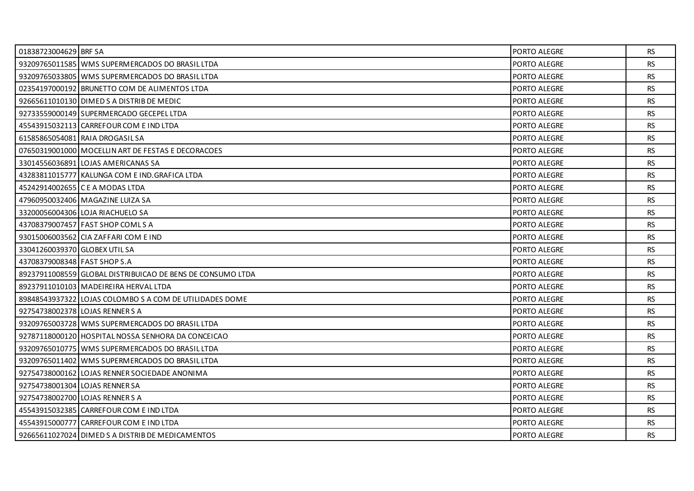| 01838723004629 BRF SA         |                                                            | PORTO ALEGRE        | <b>RS</b> |
|-------------------------------|------------------------------------------------------------|---------------------|-----------|
|                               | 93209765011585 WMS SUPERMERCADOS DO BRASIL LTDA            | PORTO ALEGRE        | <b>RS</b> |
|                               | 93209765033805 WMS SUPERMERCADOS DO BRASIL LTDA            | <b>PORTO ALEGRE</b> | <b>RS</b> |
|                               | 02354197000192 BRUNETTO COM DE ALIMENTOS LTDA              | <b>PORTO ALEGRE</b> | <b>RS</b> |
|                               | 92665611010130 DIMED S A DISTRIB DE MEDIC                  | PORTO ALEGRE        | <b>RS</b> |
|                               | 92733559000149 SUPERMERCADO GECEPEL LTDA                   | PORTO ALEGRE        | <b>RS</b> |
|                               | 45543915032113 CARREFOUR COM E IND LTDA                    | <b>PORTO ALEGRE</b> | RS.       |
|                               | 61585865054081 RAIA DROGASIL SA                            | PORTO ALEGRE        | <b>RS</b> |
|                               | 07650319001000 MOCELLIN ART DE FESTAS E DECORACOES         | <b>PORTO ALEGRE</b> | <b>RS</b> |
|                               | 33014556036891 LOJAS AMERICANAS SA                         | PORTO ALEGRE        | <b>RS</b> |
|                               | 43283811015777 KALUNGA COM E IND. GRAFICA LTDA             | PORTO ALEGRE        | <b>RS</b> |
|                               | 45242914002655 C E A MODAS LTDA                            | <b>PORTO ALEGRE</b> | <b>RS</b> |
|                               | 47960950032406   MAGAZINE LUIZA SA                         | PORTO ALEGRE        | <b>RS</b> |
|                               | 33200056004306 LOJA RIACHUELO SA                           | PORTO ALEGRE        | <b>RS</b> |
|                               | 43708379007457 FAST SHOP COMLS A                           | <b>PORTO ALEGRE</b> | <b>RS</b> |
|                               | 93015006003562 CIA ZAFFARI COM E IND                       | PORTO ALEGRE        | <b>RS</b> |
|                               |                                                            |                     |           |
| 33041260039370 GLOBEX UTIL SA |                                                            | PORTO ALEGRE        | <b>RS</b> |
| 43708379008348 FAST SHOP S.A  |                                                            | <b>PORTO ALEGRE</b> | <b>RS</b> |
|                               | 89237911008559 GLOBAL DISTRIBUICAO DE BENS DE CONSUMO LTDA | PORTO ALEGRE        | <b>RS</b> |
|                               | 89237911010103   MADEIREIRA HERVAL LTDA                    | PORTO ALEGRE        | <b>RS</b> |
|                               | 89848543937322 LOJAS COLOMBO S A COM DE UTILIDADES DOME    | PORTO ALEGRE        | <b>RS</b> |
|                               | 92754738002378 LOJAS RENNER S A                            | PORTO ALEGRE        | <b>RS</b> |
|                               | 93209765003728 WMS SUPERMERCADOS DO BRASIL LTDA            | PORTO ALEGRE        | <b>RS</b> |
|                               | 92787118000120 HOSPITAL NOSSA SENHORA DA CONCEICAO         | PORTO ALEGRE        | <b>RS</b> |
|                               | 93209765010775 WMS SUPERMERCADOS DO BRASIL LTDA            | PORTO ALEGRE        | <b>RS</b> |
|                               | 93209765011402 WMS SUPERMERCADOS DO BRASIL LTDA            | PORTO ALEGRE        | <b>RS</b> |
|                               | 92754738000162 LOJAS RENNER SOCIEDADE ANONIMA              | PORTO ALEGRE        | <b>RS</b> |
|                               | 92754738001304 LOJAS RENNER SA                             | <b>PORTO ALEGRE</b> | <b>RS</b> |
|                               | 92754738002700 LOJAS RENNER S A                            | PORTO ALEGRE        | <b>RS</b> |
|                               | 45543915032385 CARREFOUR COM E IND LTDA                    | PORTO ALEGRE        | <b>RS</b> |
|                               | 45543915000777 CARREFOUR COM E IND LTDA                    | PORTO ALEGRE        | <b>RS</b> |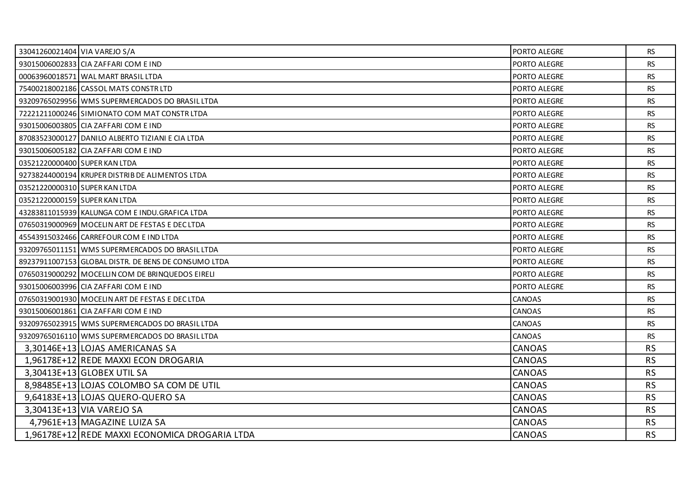| 33041260021404 VIA VAREJO S/A |                                                      | PORTO ALEGRE        | <b>RS</b> |
|-------------------------------|------------------------------------------------------|---------------------|-----------|
|                               | 93015006002833 CIA ZAFFARI COM E IND                 | PORTO ALEGRE        | <b>RS</b> |
|                               | 00063960018571 WAL MART BRASIL LTDA                  | <b>PORTO ALEGRE</b> | <b>RS</b> |
|                               | 75400218002186 CASSOL MATS CONSTR LTD                | PORTO ALEGRE        | <b>RS</b> |
|                               | 93209765029956 WMS SUPERMERCADOS DO BRASIL LTDA      | PORTO ALEGRE        | <b>RS</b> |
|                               | 72221211000246 SIMIONATO COM MAT CONSTR LTDA         | <b>PORTO ALEGRE</b> | <b>RS</b> |
|                               | 93015006003805 CIA ZAFFARI COM E IND                 | PORTO ALEGRE        | <b>RS</b> |
|                               | 87083523000127 DANILO ALBERTO TIZIANI E CIA LTDA     | PORTO ALEGRE        | <b>RS</b> |
|                               | 93015006005182 CIA ZAFFARI COM E IND                 | <b>PORTO ALEGRE</b> | <b>RS</b> |
| 03521220000400 SUPER KAN LTDA |                                                      | PORTO ALEGRE        | <b>RS</b> |
|                               | 92738244000194 KRUPER DISTRIB DE ALIMENTOS LTDA      | PORTO ALEGRE        | <b>RS</b> |
| 03521220000310 SUPER KAN LTDA |                                                      | <b>PORTO ALEGRE</b> | <b>RS</b> |
| 03521220000159 SUPER KAN LTDA |                                                      | PORTO ALEGRE        | <b>RS</b> |
|                               | 43283811015939 KALUNGA COM E INDU.GRAFICA LTDA       | PORTO ALEGRE        | <b>RS</b> |
|                               | 07650319000969 MOCELIN ART DE FESTAS E DEC LTDA      | <b>PORTO ALEGRE</b> | <b>RS</b> |
|                               | 45543915032466 CARREFOUR COM E IND LTDA              | PORTO ALEGRE        | <b>RS</b> |
|                               | 93209765011151 WMS SUPERMERCADOS DO BRASIL LTDA      | PORTO ALEGRE        | <b>RS</b> |
|                               | 89237911007153 GLOBAL DISTR. DE BENS DE CONSUMO LTDA | PORTO ALEGRE        | <b>RS</b> |
|                               | 07650319000292 MOCELLIN COM DE BRINQUEDOS EIRELI     | PORTO ALEGRE        | <b>RS</b> |
|                               | 93015006003996 CIA ZAFFARI COM E IND                 | PORTO ALEGRE        | <b>RS</b> |
|                               | 07650319001930 MOCELIN ART DE FESTAS E DEC LTDA      | CANOAS              | <b>RS</b> |
|                               | 93015006001861 CIA ZAFFARI COM E IND                 | CANOAS              | <b>RS</b> |
|                               | 93209765023915 WMS SUPERMERCADOS DO BRASIL LTDA      | CANOAS              | <b>RS</b> |
|                               | 93209765016110 WMS SUPERMERCADOS DO BRASIL LTDA      | CANOAS              | <b>RS</b> |
|                               | 3.30146E+13 LOJAS AMERICANAS SA                      | <b>CANOAS</b>       | <b>RS</b> |
|                               | 1,96178E+12 REDE MAXXI ECON DROGARIA                 | <b>CANOAS</b>       | <b>RS</b> |
|                               | 3.30413E+13 GLOBEX UTIL SA                           | <b>CANOAS</b>       | <b>RS</b> |
|                               | 8.98485E+13 LOJAS COLOMBO SA COM DE UTIL             | <b>CANOAS</b>       | <b>RS</b> |
|                               | 9,64183E+13 LOJAS QUERO-QUERO SA                     | <b>CANOAS</b>       | <b>RS</b> |
|                               | 3,30413E+13 VIA VAREJO SA                            | <b>CANOAS</b>       | <b>RS</b> |
|                               | 4,7961E+13 MAGAZINE LUIZA SA                         | <b>CANOAS</b>       | <b>RS</b> |
|                               | 1,96178E+12 REDE MAXXI ECONOMICA DROGARIA LTDA       | <b>CANOAS</b>       | <b>RS</b> |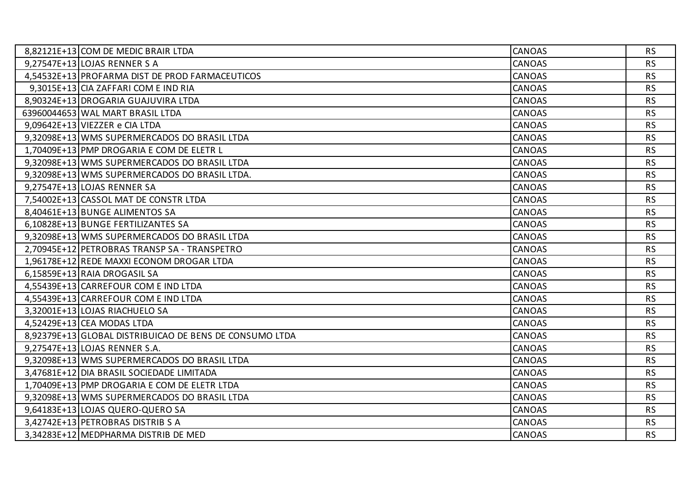| 8,82121E+13 COM DE MEDIC BRAIR LTDA                     | <b>CANOAS</b> | <b>RS</b> |
|---------------------------------------------------------|---------------|-----------|
| $9,27547E+13$ LOJAS RENNER S A                          | <b>CANOAS</b> | <b>RS</b> |
| 4,54532E+13 PROFARMA DIST DE PROD FARMACEUTICOS         | <b>CANOAS</b> | <b>RS</b> |
| 9,3015E+13 CIA ZAFFARI COM E IND RIA                    | <b>CANOAS</b> | <b>RS</b> |
| 8,90324E+13 DROGARIA GUAJUVIRA LTDA                     | <b>CANOAS</b> | <b>RS</b> |
| 63960044653 WAL MART BRASIL LTDA                        | <b>CANOAS</b> | <b>RS</b> |
| 9,09642E+13 VIEZZER e CIA LTDA                          | <b>CANOAS</b> | <b>RS</b> |
| 9,32098E+13 WMS SUPERMERCADOS DO BRASIL LTDA            | <b>CANOAS</b> | <b>RS</b> |
| 1,70409E+13 PMP DROGARIA E COM DE ELETR L               | <b>CANOAS</b> | <b>RS</b> |
| 9,32098E+13 WMS SUPERMERCADOS DO BRASIL LTDA            | <b>CANOAS</b> | <b>RS</b> |
| 9,32098E+13 WMS SUPERMERCADOS DO BRASIL LTDA.           | <b>CANOAS</b> | <b>RS</b> |
| 9,27547E+13 LOJAS RENNER SA                             | <b>CANOAS</b> | <b>RS</b> |
| 7,54002E+13 CASSOL MAT DE CONSTR LTDA                   | <b>CANOAS</b> | <b>RS</b> |
| 8,40461E+13 BUNGE ALIMENTOS SA                          | <b>CANOAS</b> | <b>RS</b> |
| 6,10828E+13 BUNGE FERTILIZANTES SA                      | <b>CANOAS</b> | <b>RS</b> |
| 9,32098E+13 WMS SUPERMERCADOS DO BRASIL LTDA            | <b>CANOAS</b> | <b>RS</b> |
| 2,70945E+12 PETROBRAS TRANSP SA - TRANSPETRO            | <b>CANOAS</b> | <b>RS</b> |
| 1,96178E+12 REDE MAXXI ECONOM DROGAR LTDA               | <b>CANOAS</b> | <b>RS</b> |
| 6,15859E+13 RAIA DROGASIL SA                            | <b>CANOAS</b> | <b>RS</b> |
| 4,55439E+13 CARREFOUR COM E IND LTDA                    | <b>CANOAS</b> | <b>RS</b> |
| 4,55439E+13 CARREFOUR COM E IND LTDA                    | <b>CANOAS</b> | <b>RS</b> |
| 3,32001E+13 LOJAS RIACHUELO SA                          | <b>CANOAS</b> | <b>RS</b> |
| 4,52429E+13 CEA MODAS LTDA                              | <b>CANOAS</b> | <b>RS</b> |
| 8,92379E+13 GLOBAL DISTRIBUICAO DE BENS DE CONSUMO LTDA | <b>CANOAS</b> | <b>RS</b> |
| 9,27547E+13 LOJAS RENNER S.A.                           | <b>CANOAS</b> | <b>RS</b> |
| 9,32098E+13 WMS SUPERMERCADOS DO BRASIL LTDA            | <b>CANOAS</b> | <b>RS</b> |
| 3,47681E+12 DIA BRASIL SOCIEDADE LIMITADA               | <b>CANOAS</b> | <b>RS</b> |
| 1,70409E+13 PMP DROGARIA E COM DE ELETR LTDA            | <b>CANOAS</b> | <b>RS</b> |
| 9,32098E+13 WMS SUPERMERCADOS DO BRASIL LTDA            | <b>CANOAS</b> | <b>RS</b> |
| 9,64183E+13 LOJAS QUERO-QUERO SA                        | <b>CANOAS</b> | <b>RS</b> |
| 3,42742E+13 PETROBRAS DISTRIB S A                       | <b>CANOAS</b> | <b>RS</b> |
| 3,34283E+12 MEDPHARMA DISTRIB DE MED                    | <b>CANOAS</b> | <b>RS</b> |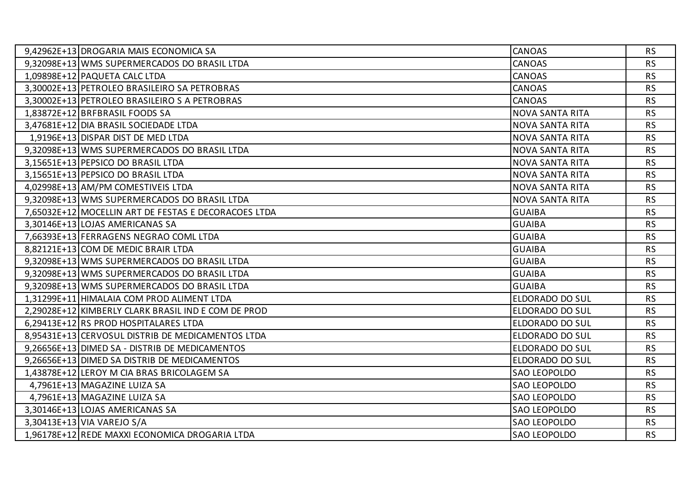| 9,42962E+13 DROGARIA MAIS ECONOMICA SA               | <b>CANOAS</b>          | <b>RS</b> |
|------------------------------------------------------|------------------------|-----------|
| 9,32098E+13 WMS SUPERMERCADOS DO BRASIL LTDA         | <b>CANOAS</b>          | <b>RS</b> |
| 1,09898E+12 PAQUETA CALC LTDA                        | <b>CANOAS</b>          | <b>RS</b> |
| 3,30002E+13 PETROLEO BRASILEIRO SA PETROBRAS         | <b>CANOAS</b>          | <b>RS</b> |
| 3,30002E+13 PETROLEO BRASILEIRO S A PETROBRAS        | <b>CANOAS</b>          | <b>RS</b> |
| 1,83872E+12 BRFBRASIL FOODS SA                       | <b>NOVA SANTA RITA</b> | <b>RS</b> |
| 3,47681E+12 DIA BRASIL SOCIEDADE LTDA                | <b>NOVA SANTA RITA</b> | <b>RS</b> |
| 1,9196E+13 DISPAR DIST DE MED LTDA                   | <b>NOVA SANTA RITA</b> | <b>RS</b> |
| 9,32098E+13 WMS SUPERMERCADOS DO BRASIL LTDA         | <b>NOVA SANTA RITA</b> | <b>RS</b> |
| 3,15651E+13 PEPSICO DO BRASIL LTDA                   | <b>NOVA SANTA RITA</b> | <b>RS</b> |
| 3,15651E+13 PEPSICO DO BRASIL LTDA                   | <b>NOVA SANTA RITA</b> | <b>RS</b> |
| 4,02998E+13 AM/PM COMESTIVEIS LTDA                   | <b>NOVA SANTA RITA</b> | <b>RS</b> |
| 9,32098E+13 WMS SUPERMERCADOS DO BRASIL LTDA         | <b>NOVA SANTA RITA</b> | <b>RS</b> |
| 7,65032E+12 MOCELLIN ART DE FESTAS E DECORACOES LTDA | <b>GUAIBA</b>          | <b>RS</b> |
| 3,30146E+13 LOJAS AMERICANAS SA                      | <b>GUAIBA</b>          | <b>RS</b> |
| 7,66393E+13 FERRAGENS NEGRAO COML LTDA               | <b>GUAIBA</b>          | <b>RS</b> |
| 8,82121E+13 COM DE MEDIC BRAIR LTDA                  | <b>GUAIBA</b>          | <b>RS</b> |
| 9,32098E+13 WMS SUPERMERCADOS DO BRASIL LTDA         | <b>GUAIBA</b>          | <b>RS</b> |
| 9,32098E+13 WMS SUPERMERCADOS DO BRASIL LTDA         | <b>GUAIBA</b>          | <b>RS</b> |
| 9,32098E+13 WMS SUPERMERCADOS DO BRASIL LTDA         | <b>GUAIBA</b>          | <b>RS</b> |
| 1,31299E+11 HIMALAIA COM PROD ALIMENT LTDA           | ELDORADO DO SUL        | <b>RS</b> |
| 2,29028E+12 KIMBERLY CLARK BRASIL IND E COM DE PROD  | ELDORADO DO SUL        | <b>RS</b> |
| 6,29413E+12 RS PROD HOSPITALARES LTDA                | <b>ELDORADO DO SUL</b> | <b>RS</b> |
| 8.95431E+13 CERVOSUL DISTRIB DE MEDICAMENTOS LTDA    | <b>ELDORADO DO SUL</b> | <b>RS</b> |
| 9,26656E+13 DIMED SA - DISTRIB DE MEDICAMENTOS       | ELDORADO DO SUL        | <b>RS</b> |
| 9,26656E+13 DIMED SA DISTRIB DE MEDICAMENTOS         | ELDORADO DO SUL        | <b>RS</b> |
| 1,43878E+12 LEROY M CIA BRAS BRICOLAGEM SA           | <b>SAO LEOPOLDO</b>    | <b>RS</b> |
| 4,7961E+13 MAGAZINE LUIZA SA                         | <b>SAO LEOPOLDO</b>    | <b>RS</b> |
| 4,7961E+13 MAGAZINE LUIZA SA                         | <b>SAO LEOPOLDO</b>    | <b>RS</b> |
| 3,30146E+13 LOJAS AMERICANAS SA                      | <b>SAO LEOPOLDO</b>    | <b>RS</b> |
| 3,30413E+13 VIA VAREJO S/A                           | SAO LEOPOLDO           | <b>RS</b> |
| 1,96178E+12 REDE MAXXI ECONOMICA DROGARIA LTDA       | <b>SAO LEOPOLDO</b>    | <b>RS</b> |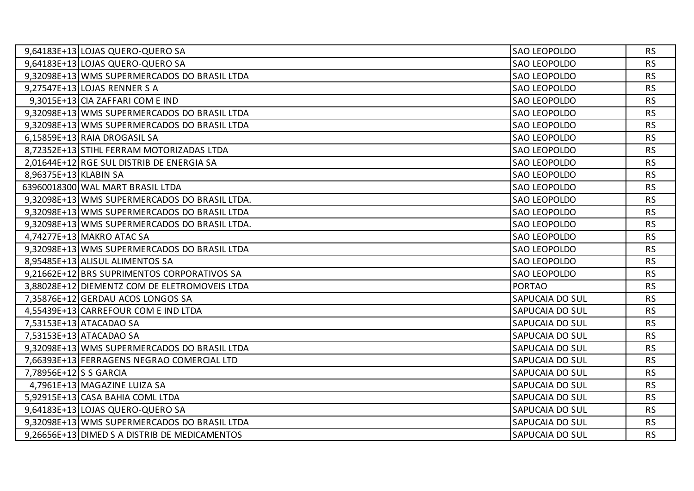| 9,64183E+13 LOJAS QUERO-QUERO SA              | <b>SAO LEOPOLDO</b>    | <b>RS</b> |
|-----------------------------------------------|------------------------|-----------|
| 9,64183E+13 LOJAS QUERO-QUERO SA              | <b>SAO LEOPOLDO</b>    | <b>RS</b> |
| 9,32098E+13 WMS SUPERMERCADOS DO BRASIL LTDA  | <b>SAO LEOPOLDO</b>    | <b>RS</b> |
| 9,27547E+13 LOJAS RENNER S A                  | <b>SAO LEOPOLDO</b>    | <b>RS</b> |
| 9,3015E+13 CIA ZAFFARI COM E IND              | <b>SAO LEOPOLDO</b>    | <b>RS</b> |
| 9,32098E+13 WMS SUPERMERCADOS DO BRASIL LTDA  | <b>SAO LEOPOLDO</b>    | <b>RS</b> |
| 9,32098E+13 WMS SUPERMERCADOS DO BRASIL LTDA  | SAO LEOPOLDO           | <b>RS</b> |
| 6,15859E+13 RAIA DROGASIL SA                  | <b>SAO LEOPOLDO</b>    | <b>RS</b> |
| 8,72352E+13 STIHL FERRAM MOTORIZADAS LTDA     | <b>SAO LEOPOLDO</b>    | <b>RS</b> |
| 2,01644E+12 RGE SUL DISTRIB DE ENERGIA SA     | <b>SAO LEOPOLDO</b>    | <b>RS</b> |
| 8,96375E+13 KLABIN SA                         | <b>SAO LEOPOLDO</b>    | <b>RS</b> |
| 63960018300 WAL MART BRASIL LTDA              | <b>SAO LEOPOLDO</b>    | <b>RS</b> |
| 9,32098E+13 WMS SUPERMERCADOS DO BRASIL LTDA. | <b>SAO LEOPOLDO</b>    | <b>RS</b> |
| 9,32098E+13 WMS SUPERMERCADOS DO BRASIL LTDA  | <b>SAO LEOPOLDO</b>    | <b>RS</b> |
| 9,32098E+13 WMS SUPERMERCADOS DO BRASIL LTDA. | <b>SAO LEOPOLDO</b>    | <b>RS</b> |
| 4,74277E+13 MAKRO ATAC SA                     | <b>SAO LEOPOLDO</b>    | <b>RS</b> |
| 9,32098E+13 WMS SUPERMERCADOS DO BRASIL LTDA  | <b>SAO LEOPOLDO</b>    | <b>RS</b> |
| 8,95485E+13 ALISUL ALIMENTOS SA               | <b>SAO LEOPOLDO</b>    | <b>RS</b> |
| 9,21662E+12 BRS SUPRIMENTOS CORPORATIVOS SA   | <b>SAO LEOPOLDO</b>    | <b>RS</b> |
| 3,88028E+12 DIEMENTZ COM DE ELETROMOVEIS LTDA | <b>PORTAO</b>          | <b>RS</b> |
| 7,35876E+12 GERDAU ACOS LONGOS SA             | <b>SAPUCAIA DO SUL</b> | <b>RS</b> |
| 4,55439E+13 CARREFOUR COM E IND LTDA          | SAPUCAIA DO SUL        | <b>RS</b> |
| 7,53153E+13 ATACADAO SA                       | <b>SAPUCAIA DO SUL</b> | <b>RS</b> |
| 7,53153E+13 ATACADAO SA                       | <b>SAPUCAIA DO SUL</b> | <b>RS</b> |
| 9,32098E+13 WMS SUPERMERCADOS DO BRASIL LTDA  | SAPUCAIA DO SUL        | <b>RS</b> |
| 7,66393E+13 FERRAGENS NEGRAO COMERCIAL LTD    | SAPUCAIA DO SUL        | <b>RS</b> |
| 7,78956E+12 S S GARCIA                        | <b>SAPUCAIA DO SUL</b> | <b>RS</b> |
| 4,7961E+13 MAGAZINE LUIZA SA                  | SAPUCAIA DO SUL        | <b>RS</b> |
| 5,92915E+13 CASA BAHIA COML LTDA              | SAPUCAIA DO SUL        | <b>RS</b> |
| 9,64183E+13 LOJAS QUERO-QUERO SA              | <b>SAPUCAIA DO SUL</b> | <b>RS</b> |
| 9,32098E+13 WMS SUPERMERCADOS DO BRASIL LTDA  | SAPUCAIA DO SUL        | <b>RS</b> |
| 9,26656E+13 DIMED S A DISTRIB DE MEDICAMENTOS | SAPUCAIA DO SUL        | <b>RS</b> |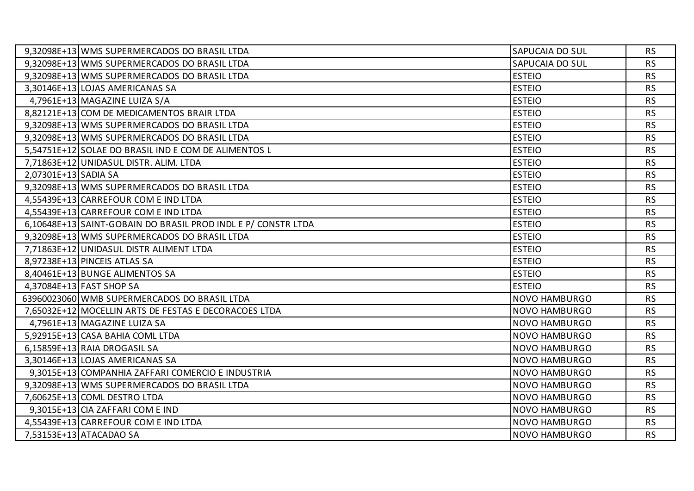|                      | 9,32098E+13 WMS SUPERMERCADOS DO BRASIL LTDA                 | <b>SAPUCAIA DO SUL</b> | <b>RS</b> |
|----------------------|--------------------------------------------------------------|------------------------|-----------|
|                      | 9,32098E+13 WMS SUPERMERCADOS DO BRASIL LTDA                 | SAPUCAIA DO SUL        | <b>RS</b> |
|                      | 9,32098E+13 WMS SUPERMERCADOS DO BRASIL LTDA                 | <b>ESTEIO</b>          | <b>RS</b> |
|                      | 3,30146E+13 LOJAS AMERICANAS SA                              | <b>ESTEIO</b>          | <b>RS</b> |
|                      | 4,7961E+13 MAGAZINE LUIZA S/A                                | <b>ESTEIO</b>          | <b>RS</b> |
|                      | 8,82121E+13 COM DE MEDICAMENTOS BRAIR LTDA                   | <b>ESTEIO</b>          | <b>RS</b> |
|                      | 9,32098E+13 WMS SUPERMERCADOS DO BRASIL LTDA                 | <b>ESTEIO</b>          | <b>RS</b> |
|                      | 9,32098E+13 WMS SUPERMERCADOS DO BRASIL LTDA                 | <b>ESTEIO</b>          | <b>RS</b> |
|                      | 5,54751E+12 SOLAE DO BRASIL IND E COM DE ALIMENTOS L         | <b>ESTEIO</b>          | <b>RS</b> |
|                      | 7,71863E+12 UNIDASUL DISTR. ALIM. LTDA                       | <b>ESTEIO</b>          | <b>RS</b> |
| 2,07301E+13 SADIA SA |                                                              | <b>ESTEIO</b>          | <b>RS</b> |
|                      | 9,32098E+13 WMS SUPERMERCADOS DO BRASIL LTDA                 | <b>ESTEIO</b>          | <b>RS</b> |
|                      | 4,55439E+13 CARREFOUR COM E IND LTDA                         | <b>ESTEIO</b>          | <b>RS</b> |
|                      | 4,55439E+13 CARREFOUR COM E IND LTDA                         | <b>ESTEIO</b>          | <b>RS</b> |
|                      | 6,10648E+13 SAINT-GOBAIN DO BRASIL PROD INDLE P/ CONSTR LTDA | <b>ESTEIO</b>          | <b>RS</b> |
|                      | 9,32098E+13 WMS SUPERMERCADOS DO BRASIL LTDA                 | <b>ESTEIO</b>          | <b>RS</b> |
|                      | 7,71863E+12 UNIDASUL DISTR ALIMENT LTDA                      | <b>ESTEIO</b>          | <b>RS</b> |
|                      | 8,97238E+13 PINCEIS ATLAS SA                                 | <b>ESTEIO</b>          | <b>RS</b> |
|                      | 8,40461E+13 BUNGE ALIMENTOS SA                               | <b>ESTEIO</b>          | <b>RS</b> |
|                      | 4,37084E+13 FAST SHOP SA                                     | <b>ESTEIO</b>          | <b>RS</b> |
|                      | 63960023060 WMB SUPERMERCADOS DO BRASIL LTDA                 | <b>NOVO HAMBURGO</b>   | <b>RS</b> |
|                      | 7,65032E+12 MOCELLIN ARTS DE FESTAS E DECORACOES LTDA        | <b>NOVO HAMBURGO</b>   | <b>RS</b> |
|                      | 4,7961E+13 MAGAZINE LUIZA SA                                 | <b>NOVO HAMBURGO</b>   | <b>RS</b> |
|                      | 5,92915E+13 CASA BAHIA COML LTDA                             | <b>NOVO HAMBURGO</b>   | <b>RS</b> |
|                      | 6,15859E+13 RAIA DROGASIL SA                                 | <b>NOVO HAMBURGO</b>   | <b>RS</b> |
|                      | 3,30146E+13 LOJAS AMERICANAS SA                              | <b>NOVO HAMBURGO</b>   | <b>RS</b> |
|                      | 9,3015E+13 COMPANHIA ZAFFARI COMERCIO E INDUSTRIA            | <b>NOVO HAMBURGO</b>   | <b>RS</b> |
|                      | 9,32098E+13 WMS SUPERMERCADOS DO BRASIL LTDA                 | <b>NOVO HAMBURGO</b>   | <b>RS</b> |
|                      | 7,60625E+13 COML DESTRO LTDA                                 | <b>NOVO HAMBURGO</b>   | <b>RS</b> |
|                      | 9,3015E+13 CIA ZAFFARI COM E IND                             | <b>NOVO HAMBURGO</b>   | <b>RS</b> |
|                      | 4,55439E+13 CARREFOUR COM E IND LTDA                         | <b>NOVO HAMBURGO</b>   | <b>RS</b> |
|                      | 7,53153E+13 ATACADAO SA                                      | <b>NOVO HAMBURGO</b>   | <b>RS</b> |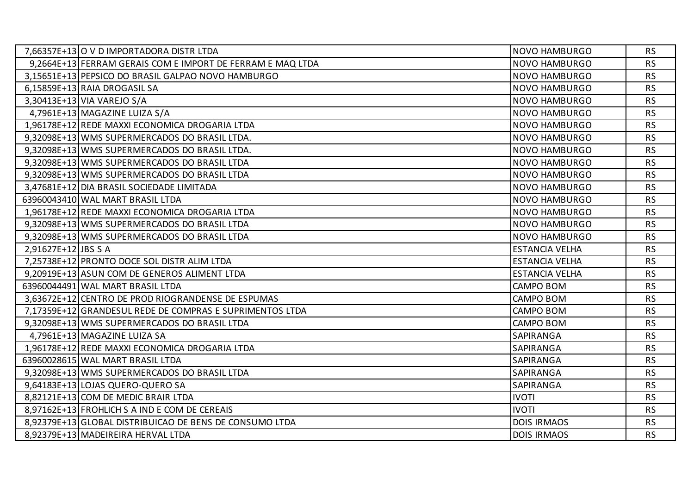|                     | 7,66357E+13 O V D IMPORTADORA DISTR LTDA                   | <b>NOVO HAMBURGO</b>  | <b>RS</b> |
|---------------------|------------------------------------------------------------|-----------------------|-----------|
|                     | 9,2664E+13 FERRAM GERAIS COM E IMPORT DE FERRAM E MAQ LTDA | <b>NOVO HAMBURGO</b>  | <b>RS</b> |
|                     | 3,15651E+13 PEPSICO DO BRASIL GALPAO NOVO HAMBURGO         | <b>NOVO HAMBURGO</b>  | <b>RS</b> |
|                     | 6,15859E+13 RAIA DROGASIL SA                               | <b>NOVO HAMBURGO</b>  | <b>RS</b> |
|                     | 3,30413E+13 VIA VAREJO S/A                                 | <b>NOVO HAMBURGO</b>  | <b>RS</b> |
|                     | 4,7961E+13 MAGAZINE LUIZA S/A                              | <b>NOVO HAMBURGO</b>  | <b>RS</b> |
|                     | 1,96178E+12 REDE MAXXI ECONOMICA DROGARIA LTDA             | <b>NOVO HAMBURGO</b>  | <b>RS</b> |
|                     | 9,32098E+13 WMS SUPERMERCADOS DO BRASIL LTDA.              | <b>NOVO HAMBURGO</b>  | <b>RS</b> |
|                     | 9,32098E+13 WMS SUPERMERCADOS DO BRASIL LTDA.              | <b>NOVO HAMBURGO</b>  | <b>RS</b> |
|                     | 9,32098E+13 WMS SUPERMERCADOS DO BRASIL LTDA               | <b>NOVO HAMBURGO</b>  | <b>RS</b> |
|                     | 9,32098E+13 WMS SUPERMERCADOS DO BRASIL LTDA               | <b>NOVO HAMBURGO</b>  | <b>RS</b> |
|                     | 3,47681E+12 DIA BRASIL SOCIEDADE LIMITADA                  | <b>NOVO HAMBURGO</b>  | <b>RS</b> |
|                     | 63960043410 WAL MART BRASIL LTDA                           | <b>NOVO HAMBURGO</b>  | <b>RS</b> |
|                     | 1,96178E+12 REDE MAXXI ECONOMICA DROGARIA LTDA             | <b>NOVO HAMBURGO</b>  | <b>RS</b> |
|                     | 9,32098E+13 WMS SUPERMERCADOS DO BRASIL LTDA               | <b>NOVO HAMBURGO</b>  | <b>RS</b> |
|                     | 9,32098E+13 WMS SUPERMERCADOS DO BRASIL LTDA               | <b>NOVO HAMBURGO</b>  | <b>RS</b> |
| 2,91627E+12 JBS S A |                                                            | <b>ESTANCIA VELHA</b> | <b>RS</b> |
|                     | 7,25738E+12 PRONTO DOCE SOL DISTR ALIM LTDA                | <b>ESTANCIA VELHA</b> | <b>RS</b> |
|                     | 9,20919E+13 ASUN COM DE GENEROS ALIMENT LTDA               | <b>ESTANCIA VELHA</b> | <b>RS</b> |
|                     | 63960044491 WAL MART BRASIL LTDA                           | <b>CAMPO BOM</b>      | <b>RS</b> |
|                     | 3,63672E+12 CENTRO DE PROD RIOGRANDENSE DE ESPUMAS         | CAMPO BOM             | <b>RS</b> |
|                     | 7,17359E+12 GRANDESUL REDE DE COMPRAS E SUPRIMENTOS LTDA   | <b>CAMPO BOM</b>      | <b>RS</b> |
|                     | 9,32098E+13 WMS SUPERMERCADOS DO BRASIL LTDA               | <b>CAMPO BOM</b>      | <b>RS</b> |
|                     | 4,7961E+13 MAGAZINE LUIZA SA                               | <b>SAPIRANGA</b>      | <b>RS</b> |
|                     | 1,96178E+12 REDE MAXXI ECONOMICA DROGARIA LTDA             | SAPIRANGA             | <b>RS</b> |
|                     | 63960028615 WAL MART BRASIL LTDA                           | SAPIRANGA             | <b>RS</b> |
|                     | 9,32098E+13 WMS SUPERMERCADOS DO BRASIL LTDA               | <b>SAPIRANGA</b>      | <b>RS</b> |
|                     | 9,64183E+13 LOJAS QUERO-QUERO SA                           | SAPIRANGA             | <b>RS</b> |
|                     | 8,82121E+13 COM DE MEDIC BRAIR LTDA                        | <b>IVOTI</b>          | <b>RS</b> |
|                     | 8,97162E+13 FROHLICH S A IND E COM DE CEREAIS              | <b>IVOTI</b>          | <b>RS</b> |
|                     | 8,92379E+13 GLOBAL DISTRIBUICAO DE BENS DE CONSUMO LTDA    | <b>DOIS IRMAOS</b>    | <b>RS</b> |
|                     | 8,92379E+13 MADEIREIRA HERVAL LTDA                         | <b>DOIS IRMAOS</b>    | <b>RS</b> |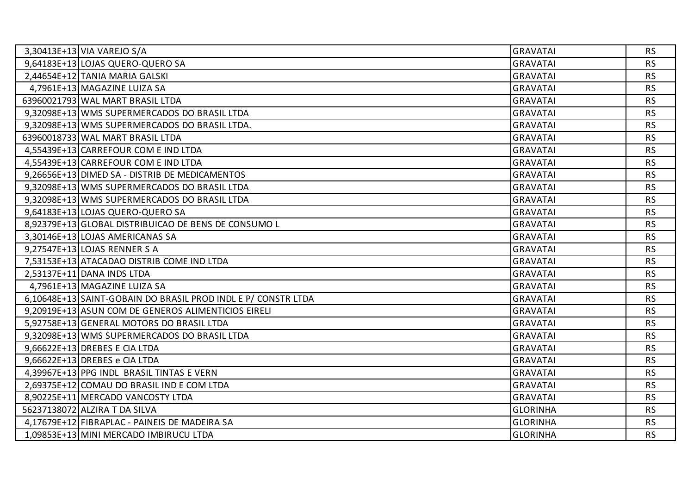| 3,30413E+13 VIA VAREJO S/A                                   | <b>GRAVATAI</b> | <b>RS</b> |
|--------------------------------------------------------------|-----------------|-----------|
| 9,64183E+13 LOJAS QUERO-QUERO SA                             | <b>GRAVATAI</b> | <b>RS</b> |
| 2,44654E+12 TANIA MARIA GALSKI                               | <b>GRAVATAI</b> | <b>RS</b> |
| 4,7961E+13 MAGAZINE LUIZA SA                                 | <b>GRAVATAI</b> | <b>RS</b> |
| 63960021793 WAL MART BRASIL LTDA                             | <b>GRAVATAI</b> | <b>RS</b> |
| 9,32098E+13 WMS SUPERMERCADOS DO BRASIL LTDA                 | <b>GRAVATAI</b> | <b>RS</b> |
| 9,32098E+13 WMS SUPERMERCADOS DO BRASIL LTDA.                | <b>GRAVATAI</b> | <b>RS</b> |
| 63960018733 WAL MART BRASIL LTDA                             | <b>GRAVATAI</b> | <b>RS</b> |
| 4,55439E+13 CARREFOUR COM E IND LTDA                         | <b>GRAVATAI</b> | <b>RS</b> |
| 4,55439E+13 CARREFOUR COM E IND LTDA                         | <b>GRAVATAI</b> | <b>RS</b> |
| 9,26656E+13 DIMED SA - DISTRIB DE MEDICAMENTOS               | <b>GRAVATAI</b> | <b>RS</b> |
| 9,32098E+13 WMS SUPERMERCADOS DO BRASIL LTDA                 | <b>GRAVATAI</b> | <b>RS</b> |
| 9,32098E+13 WMS SUPERMERCADOS DO BRASIL LTDA                 | <b>GRAVATAI</b> | <b>RS</b> |
| 9,64183E+13 LOJAS QUERO-QUERO SA                             | <b>GRAVATAI</b> | <b>RS</b> |
| 8,92379E+13 GLOBAL DISTRIBUICAO DE BENS DE CONSUMO L         | <b>GRAVATAI</b> | <b>RS</b> |
| 3,30146E+13 LOJAS AMERICANAS SA                              | <b>GRAVATAI</b> | <b>RS</b> |
| 9,27547E+13 LOJAS RENNER S A                                 | <b>GRAVATAI</b> | <b>RS</b> |
| 7,53153E+13 ATACADAO DISTRIB COME IND LTDA                   | <b>GRAVATAI</b> | <b>RS</b> |
| 2,53137E+11 DANA INDS LTDA                                   | <b>GRAVATAI</b> | <b>RS</b> |
| 4,7961E+13 MAGAZINE LUIZA SA                                 | <b>GRAVATAI</b> | <b>RS</b> |
| 6,10648E+13 SAINT-GOBAIN DO BRASIL PROD INDLE P/ CONSTR LTDA | <b>GRAVATAI</b> | <b>RS</b> |
| 9,20919E+13 ASUN COM DE GENEROS ALIMENTICIOS EIRELI          | <b>GRAVATAI</b> | <b>RS</b> |
| 5,92758E+13 GENERAL MOTORS DO BRASIL LTDA                    | <b>GRAVATAI</b> | <b>RS</b> |
| 9,32098E+13 WMS SUPERMERCADOS DO BRASIL LTDA                 | <b>GRAVATAI</b> | <b>RS</b> |
| 9,66622E+13 DREBES E CIA LTDA                                | <b>GRAVATAI</b> | <b>RS</b> |
| 9,66622E+13 DREBES e CIA LTDA                                | <b>GRAVATAI</b> | <b>RS</b> |
| 4,39967E+13 PPG INDL BRASIL TINTAS E VERN                    | <b>GRAVATAI</b> | <b>RS</b> |
| 2,69375E+12 COMAU DO BRASIL IND E COM LTDA                   | <b>GRAVATAI</b> | <b>RS</b> |
| 8,90225E+11 MERCADO VANCOSTY LTDA                            | <b>GRAVATAI</b> | <b>RS</b> |
| 56237138072 ALZIRA T DA SILVA                                | <b>GLORINHA</b> | <b>RS</b> |
| 4,17679E+12 FIBRAPLAC - PAINEIS DE MADEIRA SA                | <b>GLORINHA</b> | <b>RS</b> |
| 1,09853E+13 MINI MERCADO IMBIRUCU LTDA                       | <b>GLORINHA</b> | <b>RS</b> |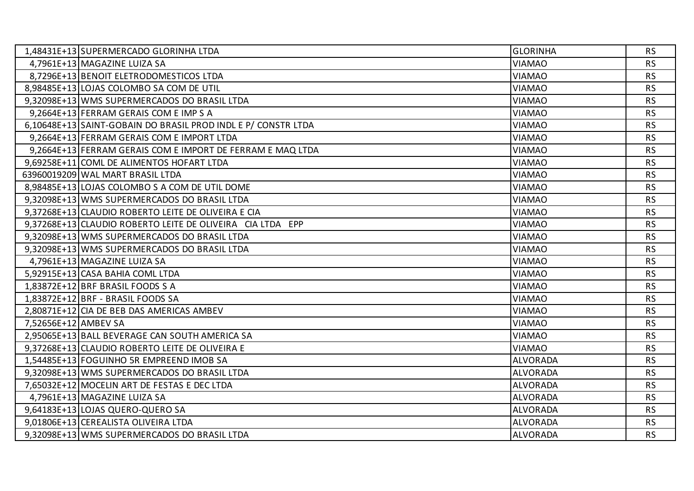|                      | 1,48431E+13 SUPERMERCADO GLORINHA LTDA                        | <b>GLORINHA</b> | <b>RS</b> |
|----------------------|---------------------------------------------------------------|-----------------|-----------|
|                      | 4,7961E+13 MAGAZINE LUIZA SA                                  | <b>VIAMAO</b>   | <b>RS</b> |
|                      | 8,7296E+13 BENOIT ELETRODOMESTICOS LTDA                       | <b>VIAMAO</b>   | <b>RS</b> |
|                      | 8,98485E+13 LOJAS COLOMBO SA COM DE UTIL                      | <b>VIAMAO</b>   | <b>RS</b> |
|                      | 9,32098E+13 WMS SUPERMERCADOS DO BRASIL LTDA                  | <b>VIAMAO</b>   | <b>RS</b> |
|                      | 9,2664E+13 FERRAM GERAIS COM E IMP S A                        | <b>VIAMAO</b>   | <b>RS</b> |
|                      | 6,10648E+13 SAINT-GOBAIN DO BRASIL PROD INDL E P/ CONSTR LTDA | <b>VIAMAO</b>   | <b>RS</b> |
|                      | 9,2664E+13 FERRAM GERAIS COM E IMPORT LTDA                    | <b>VIAMAO</b>   | <b>RS</b> |
|                      | 9,2664E+13 FERRAM GERAIS COM E IMPORT DE FERRAM E MAQ LTDA    | <b>VIAMAO</b>   | <b>RS</b> |
|                      | 9,69258E+11 COML DE ALIMENTOS HOFART LTDA                     | <b>VIAMAO</b>   | <b>RS</b> |
|                      | 63960019209 WAL MART BRASIL LTDA                              | <b>VIAMAO</b>   | <b>RS</b> |
|                      | 8,98485E+13 LOJAS COLOMBO S A COM DE UTIL DOME                | <b>VIAMAO</b>   | <b>RS</b> |
|                      | 9,32098E+13 WMS SUPERMERCADOS DO BRASIL LTDA                  | <b>VIAMAO</b>   | <b>RS</b> |
|                      | 9,37268E+13 CLAUDIO ROBERTO LEITE DE OLIVEIRA E CIA           | <b>VIAMAO</b>   | <b>RS</b> |
|                      | 9,37268E+13 CLAUDIO ROBERTO LEITE DE OLIVEIRA CIA LTDA EPP    | <b>VIAMAO</b>   | <b>RS</b> |
|                      | 9,32098E+13 WMS SUPERMERCADOS DO BRASIL LTDA                  | <b>VIAMAO</b>   | <b>RS</b> |
|                      | 9,32098E+13 WMS SUPERMERCADOS DO BRASIL LTDA                  | VIAMAO          | <b>RS</b> |
|                      | 4,7961E+13 MAGAZINE LUIZA SA                                  | <b>VIAMAO</b>   | <b>RS</b> |
|                      | 5,92915E+13 CASA BAHIA COML LTDA                              | <b>VIAMAO</b>   | <b>RS</b> |
|                      | 1,83872E+12 BRF BRASIL FOODS S A                              | <b>VIAMAO</b>   | <b>RS</b> |
|                      | 1,83872E+12 BRF - BRASIL FOODS SA                             | <b>VIAMAO</b>   | <b>RS</b> |
|                      | 2,80871E+12 CIA DE BEB DAS AMERICAS AMBEV                     | <b>VIAMAO</b>   | <b>RS</b> |
| 7,52656E+12 AMBEV SA |                                                               | <b>VIAMAO</b>   | <b>RS</b> |
|                      | 2,95065E+13 BALL BEVERAGE CAN SOUTH AMERICA SA                | <b>VIAMAO</b>   | <b>RS</b> |
|                      | 9,37268E+13 CLAUDIO ROBERTO LEITE DE OLIVEIRA E               | <b>VIAMAO</b>   | <b>RS</b> |
|                      | 1,54485E+13 FOGUINHO 5R EMPREEND IMOB SA                      | <b>ALVORADA</b> | <b>RS</b> |
|                      | 9,32098E+13 WMS SUPERMERCADOS DO BRASIL LTDA                  | <b>ALVORADA</b> | <b>RS</b> |
|                      | 7,65032E+12 MOCELIN ART DE FESTAS E DEC LTDA                  | <b>ALVORADA</b> | <b>RS</b> |
|                      | 4,7961E+13 MAGAZINE LUIZA SA                                  | <b>ALVORADA</b> | <b>RS</b> |
|                      | 9,64183E+13 LOJAS QUERO-QUERO SA                              | <b>ALVORADA</b> | <b>RS</b> |
|                      | 9,01806E+13 CEREALISTA OLIVEIRA LTDA                          | <b>ALVORADA</b> | <b>RS</b> |
|                      | 9,32098E+13 WMS SUPERMERCADOS DO BRASIL LTDA                  | <b>ALVORADA</b> | <b>RS</b> |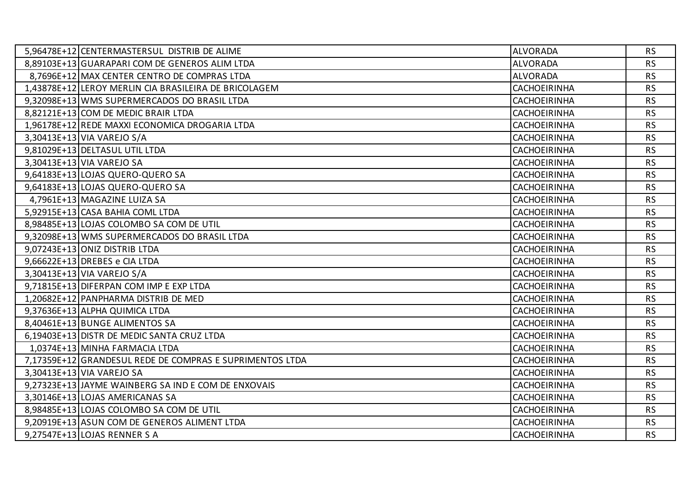| 5,96478E+12 CENTERMASTERSUL DISTRIB DE ALIME             | <b>ALVORADA</b>     | <b>RS</b> |
|----------------------------------------------------------|---------------------|-----------|
| 8,89103E+13 GUARAPARI COM DE GENEROS ALIM LTDA           | <b>ALVORADA</b>     | <b>RS</b> |
| 8,7696E+12   MAX CENTER CENTRO DE COMPRAS LTDA           | <b>ALVORADA</b>     | <b>RS</b> |
| 1,43878E+12 LEROY MERLIN CIA BRASILEIRA DE BRICOLAGEM    | <b>CACHOEIRINHA</b> | <b>RS</b> |
| 9,32098E+13 WMS SUPERMERCADOS DO BRASIL LTDA             | <b>CACHOEIRINHA</b> | <b>RS</b> |
| 8,82121E+13 COM DE MEDIC BRAIR LTDA                      | <b>CACHOEIRINHA</b> | <b>RS</b> |
| 1,96178E+12 REDE MAXXI ECONOMICA DROGARIA LTDA           | <b>CACHOEIRINHA</b> | <b>RS</b> |
| 3,30413E+13 VIA VAREJO S/A                               | <b>CACHOEIRINHA</b> | <b>RS</b> |
| 9,81029E+13 DELTASUL UTIL LTDA                           | <b>CACHOEIRINHA</b> | <b>RS</b> |
| 3,30413E+13 VIA VAREJO SA                                | <b>CACHOEIRINHA</b> | <b>RS</b> |
| 9,64183E+13 LOJAS QUERO-QUERO SA                         | <b>CACHOEIRINHA</b> | <b>RS</b> |
| 9,64183E+13 LOJAS QUERO-QUERO SA                         | <b>CACHOEIRINHA</b> | <b>RS</b> |
| 4,7961E+13 MAGAZINE LUIZA SA                             | <b>CACHOEIRINHA</b> | <b>RS</b> |
| 5,92915E+13 CASA BAHIA COML LTDA                         | <b>CACHOEIRINHA</b> | <b>RS</b> |
| 8,98485E+13 LOJAS COLOMBO SA COM DE UTIL                 | <b>CACHOEIRINHA</b> | <b>RS</b> |
| 9,32098E+13 WMS SUPERMERCADOS DO BRASIL LTDA             | <b>CACHOEIRINHA</b> | <b>RS</b> |
| 9,07243E+13 ONIZ DISTRIB LTDA                            | <b>CACHOEIRINHA</b> | <b>RS</b> |
| 9,66622E+13 DREBES e CIA LTDA                            | <b>CACHOEIRINHA</b> | <b>RS</b> |
| 3,30413E+13 VIA VAREJO S/A                               | <b>CACHOEIRINHA</b> | <b>RS</b> |
| 9,71815E+13 DIFERPAN COM IMP E EXP LTDA                  | <b>CACHOEIRINHA</b> | <b>RS</b> |
| 1,20682E+12 PANPHARMA DISTRIB DE MED                     | <b>CACHOEIRINHA</b> | <b>RS</b> |
| 9,37636E+13 ALPHA QUIMICA LTDA                           | <b>CACHOEIRINHA</b> | <b>RS</b> |
| 8,40461E+13 BUNGE ALIMENTOS SA                           | <b>CACHOEIRINHA</b> | <b>RS</b> |
| 6,19403E+13 DISTR DE MEDIC SANTA CRUZ LTDA               | <b>CACHOEIRINHA</b> | <b>RS</b> |
| 1,0374E+13 MINHA FARMACIA LTDA                           | <b>CACHOEIRINHA</b> | <b>RS</b> |
| 7,17359E+12 GRANDESUL REDE DE COMPRAS E SUPRIMENTOS LTDA | <b>CACHOEIRINHA</b> | <b>RS</b> |
| 3,30413E+13 VIA VAREJO SA                                | <b>CACHOEIRINHA</b> | <b>RS</b> |
| 9,27323E+13 JAYME WAINBERG SA IND E COM DE ENXOVAIS      | <b>CACHOEIRINHA</b> | <b>RS</b> |
| 3,30146E+13 LOJAS AMERICANAS SA                          | <b>CACHOEIRINHA</b> | <b>RS</b> |
| 8,98485E+13 LOJAS COLOMBO SA COM DE UTIL                 | <b>CACHOEIRINHA</b> | <b>RS</b> |
| 9,20919E+13 ASUN COM DE GENEROS ALIMENT LTDA             | <b>CACHOEIRINHA</b> | <b>RS</b> |
| 9,27547E+13 LOJAS RENNER S A                             | <b>CACHOEIRINHA</b> | <b>RS</b> |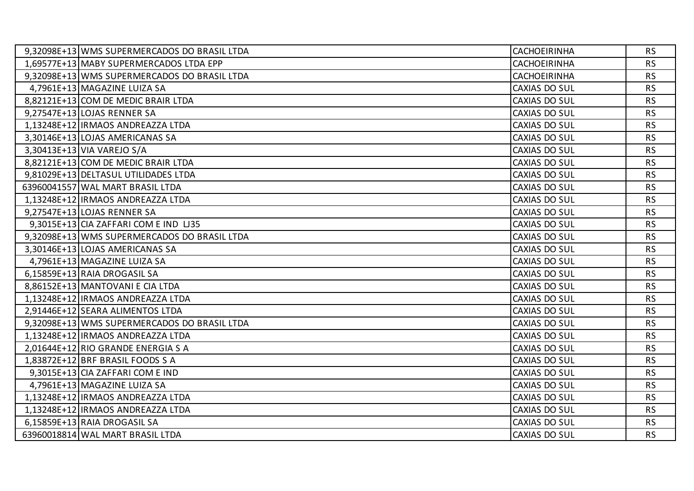| 9,32098E+13 WMS SUPERMERCADOS DO BRASIL LTDA | <b>CACHOEIRINHA</b>  | <b>RS</b> |
|----------------------------------------------|----------------------|-----------|
| 1,69577E+13 MABY SUPERMERCADOS LTDA EPP      | <b>CACHOEIRINHA</b>  | <b>RS</b> |
| 9,32098E+13 WMS SUPERMERCADOS DO BRASIL LTDA | <b>CACHOEIRINHA</b>  | <b>RS</b> |
| 4,7961E+13 MAGAZINE LUIZA SA                 | CAXIAS DO SUL        | <b>RS</b> |
| 8,82121E+13 COM DE MEDIC BRAIR LTDA          | CAXIAS DO SUL        | <b>RS</b> |
| 9,27547E+13 LOJAS RENNER SA                  | CAXIAS DO SUL        | <b>RS</b> |
| 1,13248E+12   IRMAOS ANDREAZZA LTDA          | CAXIAS DO SUL        | <b>RS</b> |
| 3,30146E+13 LOJAS AMERICANAS SA              | CAXIAS DO SUL        | <b>RS</b> |
| 3,30413E+13 VIA VAREJO S/A                   | <b>CAXIAS DO SUL</b> | <b>RS</b> |
| 8,82121E+13 COM DE MEDIC BRAIR LTDA          | CAXIAS DO SUL        | <b>RS</b> |
| 9,81029E+13 DELTASUL UTILIDADES LTDA         | <b>CAXIAS DO SUL</b> | <b>RS</b> |
| 63960041557 WAL MART BRASIL LTDA             | CAXIAS DO SUL        | <b>RS</b> |
| 1,13248E+12   IRMAOS ANDREAZZA LTDA          | CAXIAS DO SUL        | <b>RS</b> |
| 9,27547E+13 LOJAS RENNER SA                  | CAXIAS DO SUL        | <b>RS</b> |
| 9,3015E+13 CIA ZAFFARI COM E IND LJ35        | <b>CAXIAS DO SUL</b> | <b>RS</b> |
| 9,32098E+13 WMS SUPERMERCADOS DO BRASIL LTDA | CAXIAS DO SUL        | <b>RS</b> |
| 3,30146E+13 LOJAS AMERICANAS SA              | <b>CAXIAS DO SUL</b> | <b>RS</b> |
| 4,7961E+13 MAGAZINE LUIZA SA                 | CAXIAS DO SUL        | <b>RS</b> |
| 6,15859E+13 RAIA DROGASIL SA                 | CAXIAS DO SUL        | <b>RS</b> |
| 8,86152E+13 MANTOVANI E CIA LTDA             | CAXIAS DO SUL        | <b>RS</b> |
| 1,13248E+12   IRMAOS ANDREAZZA LTDA          | <b>CAXIAS DO SUL</b> | <b>RS</b> |
| 2,91446E+12 SEARA ALIMENTOS LTDA             | <b>CAXIAS DO SUL</b> | <b>RS</b> |
| 9,32098E+13 WMS SUPERMERCADOS DO BRASIL LTDA | <b>CAXIAS DO SUL</b> | <b>RS</b> |
| 1,13248E+12   IRMAOS ANDREAZZA LTDA          | <b>CAXIAS DO SUL</b> | <b>RS</b> |
| 2,01644E+12 RIO GRANDE ENERGIA S A           | CAXIAS DO SUL        | <b>RS</b> |
| 1,83872E+12 BRF BRASIL FOODS S A             | <b>CAXIAS DO SUL</b> | <b>RS</b> |
| 9,3015E+13 CIA ZAFFARI COM E IND             | <b>CAXIAS DO SUL</b> | <b>RS</b> |
| 4,7961E+13 MAGAZINE LUIZA SA                 | CAXIAS DO SUL        | <b>RS</b> |
| 1,13248E+12   IRMAOS ANDREAZZA LTDA          | CAXIAS DO SUL        | <b>RS</b> |
| 1,13248E+12   IRMAOS ANDREAZZA LTDA          | CAXIAS DO SUL        | <b>RS</b> |
| 6,15859E+13 RAIA DROGASIL SA                 | CAXIAS DO SUL        | <b>RS</b> |
| 63960018814 WAL MART BRASIL LTDA             | CAXIAS DO SUL        | <b>RS</b> |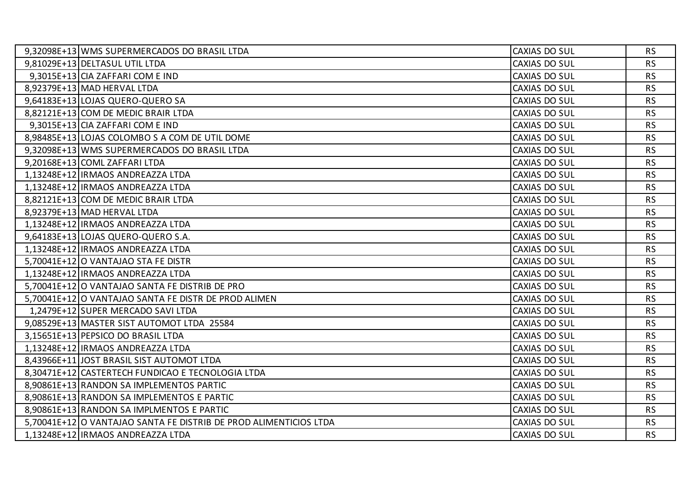| 9,32098E+13 WMS SUPERMERCADOS DO BRASIL LTDA                      | CAXIAS DO SUL        | <b>RS</b> |
|-------------------------------------------------------------------|----------------------|-----------|
| 9,81029E+13 DELTASUL UTIL LTDA                                    | CAXIAS DO SUL        | <b>RS</b> |
| 9,3015E+13 CIA ZAFFARI COM E IND                                  | CAXIAS DO SUL        | <b>RS</b> |
| 8,92379E+13 MAD HERVAL LTDA                                       | <b>CAXIAS DO SUL</b> | <b>RS</b> |
| 9,64183E+13 LOJAS QUERO-QUERO SA                                  | CAXIAS DO SUL        | <b>RS</b> |
| 8,82121E+13 COM DE MEDIC BRAIR LTDA                               | CAXIAS DO SUL        | <b>RS</b> |
| 9,3015E+13 CIA ZAFFARI COM E IND                                  | <b>CAXIAS DO SUL</b> | <b>RS</b> |
| 8,98485E+13 LOJAS COLOMBO S A COM DE UTIL DOME                    | CAXIAS DO SUL        | <b>RS</b> |
| 9,32098E+13 WMS SUPERMERCADOS DO BRASIL LTDA                      | CAXIAS DO SUL        | <b>RS</b> |
| 9,20168E+13 COML ZAFFARI LTDA                                     | CAXIAS DO SUL        | <b>RS</b> |
| 1,13248E+12   IRMAOS ANDREAZZA LTDA                               | CAXIAS DO SUL        | <b>RS</b> |
| 1,13248E+12   IRMAOS ANDREAZZA LTDA                               | CAXIAS DO SUL        | <b>RS</b> |
| 8,82121E+13 COM DE MEDIC BRAIR LTDA                               | CAXIAS DO SUL        | <b>RS</b> |
| 8,92379E+13 MAD HERVAL LTDA                                       | CAXIAS DO SUL        | <b>RS</b> |
| 1,13248E+12   IRMAOS ANDREAZZA LTDA                               | CAXIAS DO SUL        | <b>RS</b> |
| 9,64183E+13 LOJAS QUERO-QUERO S.A.                                | <b>CAXIAS DO SUL</b> | <b>RS</b> |
| 1,13248E+12   IRMAOS ANDREAZZA LTDA                               | CAXIAS DO SUL        | <b>RS</b> |
| 5,70041E+12 O VANTAJAO STA FE DISTR                               | CAXIAS DO SUL        | <b>RS</b> |
| 1,13248E+12 IRMAOS ANDREAZZA LTDA                                 | CAXIAS DO SUL        | <b>RS</b> |
| 5,70041E+12   O VANTAJAO SANTA FE DISTRIB DE PRO                  | CAXIAS DO SUL        | <b>RS</b> |
| 5,70041E+12 O VANTAJAO SANTA FE DISTR DE PROD ALIMEN              | CAXIAS DO SUL        | <b>RS</b> |
| 1,2479E+12 SUPER MERCADO SAVI LTDA                                | CAXIAS DO SUL        | <b>RS</b> |
| 9,08529E+13 MASTER SIST AUTOMOT LTDA 25584                        | CAXIAS DO SUL        | <b>RS</b> |
| 3,15651E+13 PEPSICO DO BRASIL LTDA                                | CAXIAS DO SUL        | <b>RS</b> |
| 1,13248E+12   IRMAOS ANDREAZZA LTDA                               | CAXIAS DO SUL        | <b>RS</b> |
| 8,43966E+11 JOST BRASIL SIST AUTOMOT LTDA                         | CAXIAS DO SUL        | <b>RS</b> |
| 8,30471E+12 CASTERTECH FUNDICAO E TECNOLOGIA LTDA                 | CAXIAS DO SUL        | <b>RS</b> |
| 8,90861E+13 RANDON SA IMPLEMENTOS PARTIC                          | <b>CAXIAS DO SUL</b> | <b>RS</b> |
| 8,90861E+13 RANDON SA IMPLEMENTOS E PARTIC                        | CAXIAS DO SUL        | <b>RS</b> |
| 8,90861E+13   RANDON SA IMPLMENTOS E PARTIC                       | CAXIAS DO SUL        | <b>RS</b> |
| 5,70041E+12 O VANTAJAO SANTA FE DISTRIB DE PROD ALIMENTICIOS LTDA | CAXIAS DO SUL        | <b>RS</b> |
| 1,13248E+12   IRMAOS ANDREAZZA LTDA                               | CAXIAS DO SUL        | <b>RS</b> |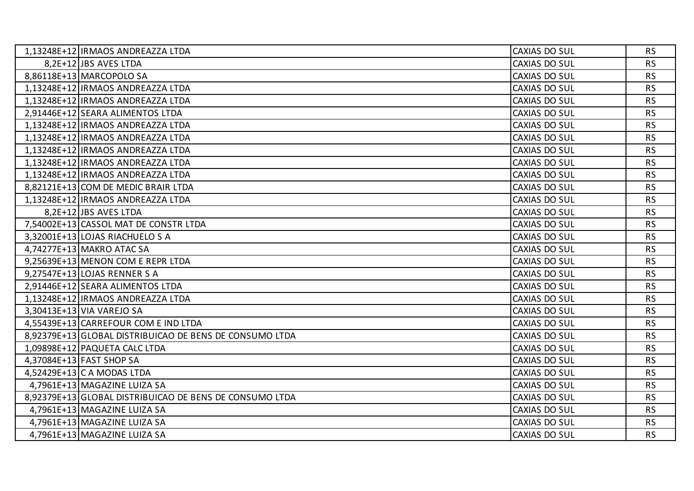| 1,13248E+12   IRMAOS ANDREAZZA LTDA                     | <b>CAXIAS DO SUL</b> | <b>RS</b> |
|---------------------------------------------------------|----------------------|-----------|
| 8,2E+12 JBS AVES LTDA                                   | <b>CAXIAS DO SUL</b> | <b>RS</b> |
| 8,86118E+13 MARCOPOLO SA                                | <b>CAXIAS DO SUL</b> | <b>RS</b> |
| 1,13248E+12   IRMAOS ANDREAZZA LTDA                     | <b>CAXIAS DO SUL</b> | <b>RS</b> |
| 1,13248E+12   IRMAOS ANDREAZZA LTDA                     | <b>CAXIAS DO SUL</b> | <b>RS</b> |
| 2,91446E+12 SEARA ALIMENTOS LTDA                        | CAXIAS DO SUL        | <b>RS</b> |
| 1,13248E+12   IRMAOS ANDREAZZA LTDA                     | CAXIAS DO SUL        | <b>RS</b> |
| 1,13248E+12   IRMAOS ANDREAZZA LTDA                     | <b>CAXIAS DO SUL</b> | <b>RS</b> |
| 1,13248E+12   IRMAOS ANDREAZZA LTDA                     | <b>CAXIAS DO SUL</b> | <b>RS</b> |
| 1,13248E+12   IRMAOS ANDREAZZA LTDA                     | CAXIAS DO SUL        | <b>RS</b> |
| 1,13248E+12   IRMAOS ANDREAZZA LTDA                     | <b>CAXIAS DO SUL</b> | <b>RS</b> |
| 8,82121E+13 COM DE MEDIC BRAIR LTDA                     | <b>CAXIAS DO SUL</b> | <b>RS</b> |
| 1,13248E+12   IRMAOS ANDREAZZA LTDA                     | CAXIAS DO SUL        | <b>RS</b> |
| 8,2E+12 JBS AVES LTDA                                   | CAXIAS DO SUL        | <b>RS</b> |
| 7,54002E+13 CASSOL MAT DE CONSTR LTDA                   | <b>CAXIAS DO SUL</b> | <b>RS</b> |
| 3,32001E+13 LOJAS RIACHUELO S A                         | <b>CAXIAS DO SUL</b> | <b>RS</b> |
| 4,74277E+13 MAKRO ATAC SA                               | CAXIAS DO SUL        | <b>RS</b> |
| 9,25639E+13 MENON COM E REPR LTDA                       | CAXIAS DO SUL        | <b>RS</b> |
| 9,27547E+13 LOJAS RENNER S A                            | CAXIAS DO SUL        | <b>RS</b> |
| 2,91446E+12 SEARA ALIMENTOS LTDA                        | <b>CAXIAS DO SUL</b> | <b>RS</b> |
| 1,13248E+12   IRMAOS ANDREAZZA LTDA                     | <b>CAXIAS DO SUL</b> | <b>RS</b> |
| 3,30413E+13 VIA VAREJO SA                               | CAXIAS DO SUL        | <b>RS</b> |
| 4,55439E+13 CARREFOUR COM E IND LTDA                    | <b>CAXIAS DO SUL</b> | <b>RS</b> |
| 8,92379E+13 GLOBAL DISTRIBUICAO DE BENS DE CONSUMO LTDA | <b>CAXIAS DO SUL</b> | <b>RS</b> |
| 1,09898E+12 PAQUETA CALC LTDA                           | CAXIAS DO SUL        | <b>RS</b> |
| 4,37084E+13 FAST SHOP SA                                | <b>CAXIAS DO SUL</b> | <b>RS</b> |
| 4,52429E+13 C A MODAS LTDA                              | <b>CAXIAS DO SUL</b> | <b>RS</b> |
| 4,7961E+13 MAGAZINE LUIZA SA                            | CAXIAS DO SUL        | <b>RS</b> |
| 8,92379E+13 GLOBAL DISTRIBUICAO DE BENS DE CONSUMO LTDA | <b>CAXIAS DO SUL</b> | <b>RS</b> |
| 4,7961E+13 MAGAZINE LUIZA SA                            | <b>CAXIAS DO SUL</b> | <b>RS</b> |
| 4,7961E+13 MAGAZINE LUIZA SA                            | CAXIAS DO SUL        | <b>RS</b> |
| 4,7961E+13 MAGAZINE LUIZA SA                            | <b>CAXIAS DO SUL</b> | <b>RS</b> |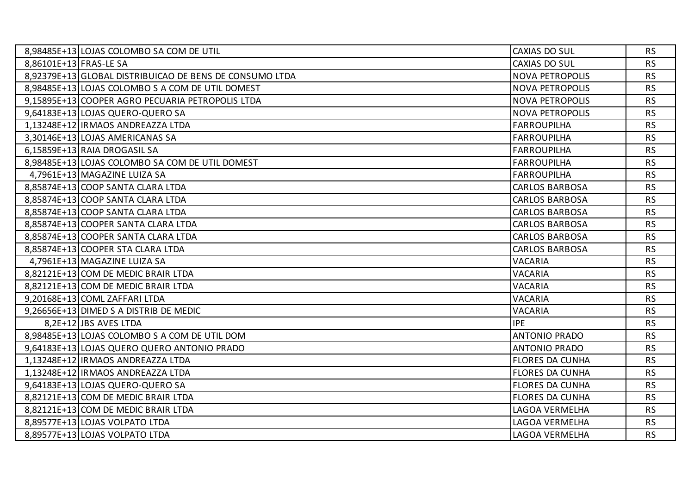| 8,98485E+13 LOJAS COLOMBO SA COM DE UTIL                | <b>CAXIAS DO SUL</b>   | <b>RS</b> |
|---------------------------------------------------------|------------------------|-----------|
| 8,86101E+13 FRAS-LE SA                                  | CAXIAS DO SUL          | <b>RS</b> |
| 8,92379E+13 GLOBAL DISTRIBUICAO DE BENS DE CONSUMO LTDA | <b>NOVA PETROPOLIS</b> | <b>RS</b> |
| 8.98485E+13 LOJAS COLOMBO S A COM DE UTIL DOMEST        | <b>NOVA PETROPOLIS</b> | <b>RS</b> |
| 9,15895E+13 COOPER AGRO PECUARIA PETROPOLIS LTDA        | <b>NOVA PETROPOLIS</b> | <b>RS</b> |
| 9,64183E+13 LOJAS QUERO-QUERO SA                        | <b>NOVA PETROPOLIS</b> | <b>RS</b> |
| 1,13248E+12 IRMAOS ANDREAZZA LTDA                       | <b>FARROUPILHA</b>     | <b>RS</b> |
| 3,30146E+13 LOJAS AMERICANAS SA                         | <b>FARROUPILHA</b>     | <b>RS</b> |
| 6,15859E+13 RAIA DROGASIL SA                            | <b>FARROUPILHA</b>     | <b>RS</b> |
| 8,98485E+13 LOJAS COLOMBO SA COM DE UTIL DOMEST         | <b>FARROUPILHA</b>     | <b>RS</b> |
| 4,7961E+13 MAGAZINE LUIZA SA                            | <b>FARROUPILHA</b>     | <b>RS</b> |
| 8,85874E+13 COOP SANTA CLARA LTDA                       | <b>CARLOS BARBOSA</b>  | <b>RS</b> |
| 8,85874E+13 COOP SANTA CLARA LTDA                       | <b>CARLOS BARBOSA</b>  | <b>RS</b> |
| 8,85874E+13 COOP SANTA CLARA LTDA                       | <b>CARLOS BARBOSA</b>  | <b>RS</b> |
| 8,85874E+13 COOPER SANTA CLARA LTDA                     | <b>CARLOS BARBOSA</b>  | <b>RS</b> |
| 8,85874E+13 COOPER SANTA CLARA LTDA                     | <b>CARLOS BARBOSA</b>  | <b>RS</b> |
| 8,85874E+13 COOPER STA CLARA LTDA                       | <b>CARLOS BARBOSA</b>  | <b>RS</b> |
| 4,7961E+13 MAGAZINE LUIZA SA                            | <b>VACARIA</b>         | <b>RS</b> |
| 8,82121E+13 COM DE MEDIC BRAIR LTDA                     | <b>VACARIA</b>         | <b>RS</b> |
| 8,82121E+13 COM DE MEDIC BRAIR LTDA                     | <b>VACARIA</b>         | <b>RS</b> |
| 9,20168E+13 COML ZAFFARI LTDA                           | <b>VACARIA</b>         | <b>RS</b> |
| 9,26656E+13 DIMED S A DISTRIB DE MEDIC                  | <b>VACARIA</b>         | <b>RS</b> |
| 8,2E+12 JBS AVES LTDA                                   | <b>IPE</b>             | <b>RS</b> |
| 8,98485E+13 LOJAS COLOMBO S A COM DE UTIL DOM           | <b>ANTONIO PRADO</b>   | <b>RS</b> |
| 9,64183E+13 LOJAS QUERO QUERO ANTONIO PRADO             | <b>ANTONIO PRADO</b>   | <b>RS</b> |
| 1,13248E+12   IRMAOS ANDREAZZA LTDA                     | <b>FLORES DA CUNHA</b> | <b>RS</b> |
| 1,13248E+12   IRMAOS ANDREAZZA LTDA                     | <b>FLORES DA CUNHA</b> | <b>RS</b> |
| 9,64183E+13 LOJAS QUERO-QUERO SA                        | <b>FLORES DA CUNHA</b> | <b>RS</b> |
| 8,82121E+13 COM DE MEDIC BRAIR LTDA                     | <b>FLORES DA CUNHA</b> | <b>RS</b> |
| 8,82121E+13 COM DE MEDIC BRAIR LTDA                     | <b>LAGOA VERMELHA</b>  | <b>RS</b> |
| 8,89577E+13 LOJAS VOLPATO LTDA                          | <b>LAGOA VERMELHA</b>  | <b>RS</b> |
| 8,89577E+13 LOJAS VOLPATO LTDA                          | LAGOA VERMELHA         | <b>RS</b> |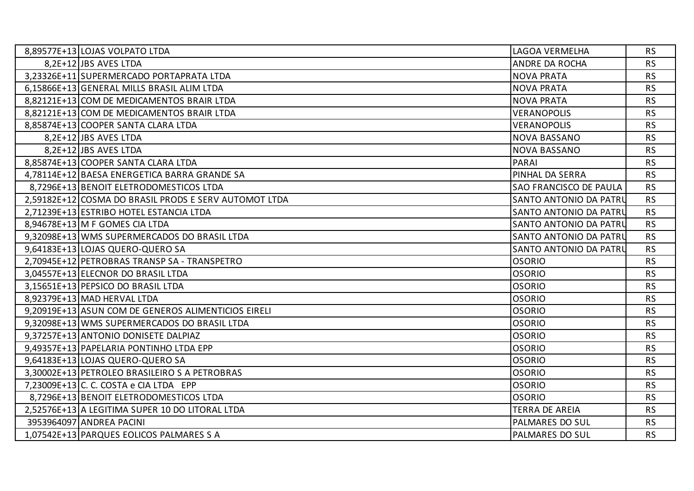| 8,89577E+13 LOJAS VOLPATO LTDA                        | LAGOA VERMELHA                | <b>RS</b> |
|-------------------------------------------------------|-------------------------------|-----------|
| 8,2E+12 JBS AVES LTDA                                 | ANDRE DA ROCHA                | <b>RS</b> |
| 3,23326E+11 SUPERMERCADO PORTAPRATA LTDA              | <b>NOVA PRATA</b>             | <b>RS</b> |
| 6,15866E+13 GENERAL MILLS BRASIL ALIM LTDA            | <b>NOVA PRATA</b>             | <b>RS</b> |
| 8,82121E+13 COM DE MEDICAMENTOS BRAIR LTDA            | <b>NOVA PRATA</b>             | <b>RS</b> |
| 8,82121E+13 COM DE MEDICAMENTOS BRAIR LTDA            | <b>VERANOPOLIS</b>            | <b>RS</b> |
| 8,85874E+13 COOPER SANTA CLARA LTDA                   | <b>VERANOPOLIS</b>            | <b>RS</b> |
| 8,2E+12 JBS AVES LTDA                                 | <b>NOVA BASSANO</b>           | <b>RS</b> |
| 8,2E+12 JBS AVES LTDA                                 | <b>NOVA BASSANO</b>           | <b>RS</b> |
| 8,85874E+13 COOPER SANTA CLARA LTDA                   | <b>PARAI</b>                  | <b>RS</b> |
| 4,78114E+12 BAESA ENERGETICA BARRA GRANDE SA          | PINHAL DA SERRA               | <b>RS</b> |
| 8,7296E+13 BENOIT ELETRODOMESTICOS LTDA               | <b>SAO FRANCISCO DE PAULA</b> | <b>RS</b> |
| 2,59182E+12 COSMA DO BRASIL PRODS E SERV AUTOMOT LTDA | SANTO ANTONIO DA PATRU        | <b>RS</b> |
| 2,71239E+13 ESTRIBO HOTEL ESTANCIA LTDA               | SANTO ANTONIO DA PATRU        | <b>RS</b> |
| 8,94678E+13 M F GOMES CIA LTDA                        | SANTO ANTONIO DA PATRU        | <b>RS</b> |
| 9,32098E+13 WMS SUPERMERCADOS DO BRASIL LTDA          | SANTO ANTONIO DA PATRU        | <b>RS</b> |
| 9,64183E+13 LOJAS QUERO-QUERO SA                      | SANTO ANTONIO DA PATRU        | <b>RS</b> |
| 2,70945E+12 PETROBRAS TRANSP SA - TRANSPETRO          | <b>OSORIO</b>                 | <b>RS</b> |
| 3,04557E+13 ELECNOR DO BRASIL LTDA                    | <b>OSORIO</b>                 | <b>RS</b> |
| 3,15651E+13 PEPSICO DO BRASIL LTDA                    | <b>OSORIO</b>                 | <b>RS</b> |
| 8,92379E+13 MAD HERVAL LTDA                           | <b>OSORIO</b>                 | <b>RS</b> |
| 9,20919E+13 ASUN COM DE GENEROS ALIMENTICIOS EIRELI   | <b>OSORIO</b>                 | <b>RS</b> |
| 9,32098E+13 WMS SUPERMERCADOS DO BRASIL LTDA          | <b>OSORIO</b>                 | <b>RS</b> |
| 9,37257E+13 ANTONIO DONISETE DALPIAZ                  | <b>OSORIO</b>                 | <b>RS</b> |
| 9,49357E+13 PAPELARIA PONTINHO LTDA EPP               | <b>OSORIO</b>                 | <b>RS</b> |
| 9,64183E+13 LOJAS QUERO-QUERO SA                      | <b>OSORIO</b>                 | <b>RS</b> |
| 3,30002E+13 PETROLEO BRASILEIRO S A PETROBRAS         | <b>OSORIO</b>                 | <b>RS</b> |
| 7,23009E+13 C. C. COSTA e CIA LTDA EPP                | <b>OSORIO</b>                 | <b>RS</b> |
| 8,7296E+13 BENOIT ELETRODOMESTICOS LTDA               | <b>OSORIO</b>                 | <b>RS</b> |
| 2,52576E+13 A LEGITIMA SUPER 10 DO LITORAL LTDA       | <b>TERRA DE AREIA</b>         | <b>RS</b> |
| 3953964097 ANDREA PACINI                              | PALMARES DO SUL               | <b>RS</b> |
| 1,07542E+13 PARQUES EOLICOS PALMARES S A              | PALMARES DO SUL               | <b>RS</b> |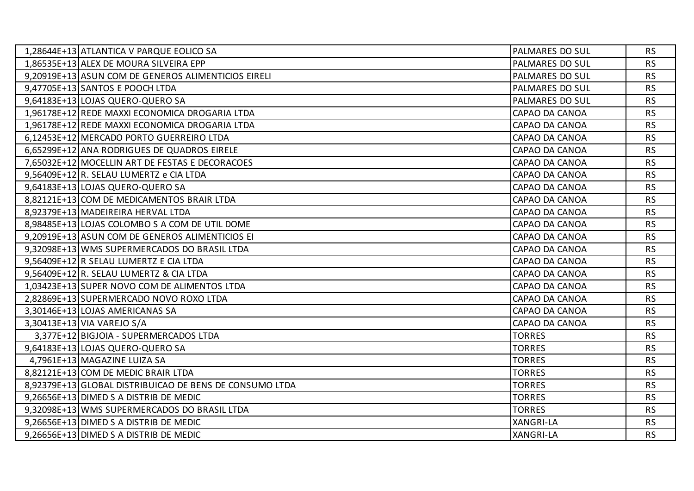| 1,28644E+13 ATLANTICA V PARQUE EOLICO SA                | PALMARES DO SUL        | <b>RS</b> |
|---------------------------------------------------------|------------------------|-----------|
| 1,86535E+13 ALEX DE MOURA SILVEIRA EPP                  | PALMARES DO SUL        | <b>RS</b> |
| 9,20919E+13 ASUN COM DE GENEROS ALIMENTICIOS EIRELI     | <b>PALMARES DO SUL</b> | <b>RS</b> |
| 9,47705E+13 SANTOS E POOCH LTDA                         | PALMARES DO SUL        | <b>RS</b> |
| 9,64183E+13 LOJAS QUERO-QUERO SA                        | PALMARES DO SUL        | <b>RS</b> |
| 1,96178E+12 REDE MAXXI ECONOMICA DROGARIA LTDA          | CAPAO DA CANOA         | <b>RS</b> |
| 1,96178E+12 REDE MAXXI ECONOMICA DROGARIA LTDA          | CAPAO DA CANOA         | <b>RS</b> |
| 6,12453E+12 MERCADO PORTO GUERREIRO LTDA                | CAPAO DA CANOA         | <b>RS</b> |
| 6,65299E+12 ANA RODRIGUES DE QUADROS EIRELE             | CAPAO DA CANOA         | <b>RS</b> |
| 7,65032E+12   MOCELLIN ART DE FESTAS E DECORACOES       | CAPAO DA CANOA         | <b>RS</b> |
| 9,56409E+12 R. SELAU LUMERTZ e CIA LTDA                 | CAPAO DA CANOA         | <b>RS</b> |
| 9,64183E+13 LOJAS QUERO-QUERO SA                        | CAPAO DA CANOA         | <b>RS</b> |
| 8,82121E+13 COM DE MEDICAMENTOS BRAIR LTDA              | CAPAO DA CANOA         | <b>RS</b> |
| 8,92379E+13 MADEIREIRA HERVAL LTDA                      | CAPAO DA CANOA         | <b>RS</b> |
| 8,98485E+13 LOJAS COLOMBO S A COM DE UTIL DOME          | CAPAO DA CANOA         | <b>RS</b> |
| 9,20919E+13 ASUN COM DE GENEROS ALIMENTICIOS EI         | CAPAO DA CANOA         | <b>RS</b> |
| 9,32098E+13 WMS SUPERMERCADOS DO BRASIL LTDA            | CAPAO DA CANOA         | <b>RS</b> |
| 9,56409E+12 R SELAU LUMERTZ E CIA LTDA                  | CAPAO DA CANOA         | <b>RS</b> |
| 9,56409E+12 R. SELAU LUMERTZ & CIA LTDA                 | CAPAO DA CANOA         | <b>RS</b> |
| 1,03423E+13 SUPER NOVO COM DE ALIMENTOS LTDA            | CAPAO DA CANOA         | <b>RS</b> |
| 2,82869E+13 SUPERMERCADO NOVO ROXO LTDA                 | CAPAO DA CANOA         | <b>RS</b> |
| 3,30146E+13 LOJAS AMERICANAS SA                         | CAPAO DA CANOA         | <b>RS</b> |
| 3,30413E+13 VIA VAREJO S/A                              | CAPAO DA CANOA         | <b>RS</b> |
| 3,377E+12 BIGJOIA - SUPERMERCADOS LTDA                  | <b>TORRES</b>          | <b>RS</b> |
| 9,64183E+13 LOJAS QUERO-QUERO SA                        | <b>TORRES</b>          | <b>RS</b> |
| 4,7961E+13 MAGAZINE LUIZA SA                            | <b>TORRES</b>          | <b>RS</b> |
| 8,82121E+13 COM DE MEDIC BRAIR LTDA                     | <b>TORRES</b>          | <b>RS</b> |
| 8,92379E+13 GLOBAL DISTRIBUICAO DE BENS DE CONSUMO LTDA | <b>TORRES</b>          | <b>RS</b> |
| 9,26656E+13 DIMED S A DISTRIB DE MEDIC                  | <b>TORRES</b>          | <b>RS</b> |
| 9,32098E+13 WMS SUPERMERCADOS DO BRASIL LTDA            | <b>TORRES</b>          | <b>RS</b> |
| 9,26656E+13 DIMED S A DISTRIB DE MEDIC                  | <b>XANGRI-LA</b>       | <b>RS</b> |
| 9,26656E+13 DIMED S A DISTRIB DE MEDIC                  | <b>XANGRI-LA</b>       | <b>RS</b> |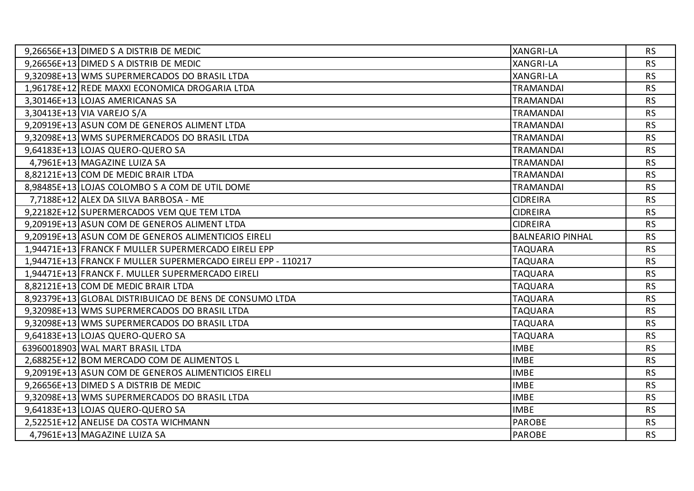| 9,26656E+13 DIMED S A DISTRIB DE MEDIC                       | <b>XANGRI-LA</b>        | <b>RS</b> |
|--------------------------------------------------------------|-------------------------|-----------|
| 9,26656E+13 DIMED S A DISTRIB DE MEDIC                       | <b>XANGRI-LA</b>        | <b>RS</b> |
| 9,32098E+13 WMS SUPERMERCADOS DO BRASIL LTDA                 | <b>XANGRI-LA</b>        | <b>RS</b> |
| 1,96178E+12 REDE MAXXI ECONOMICA DROGARIA LTDA               | <b>TRAMANDAI</b>        | <b>RS</b> |
| 3,30146E+13 LOJAS AMERICANAS SA                              | <b>TRAMANDAI</b>        | <b>RS</b> |
| 3,30413E+13 VIA VAREJO S/A                                   | <b>TRAMANDAI</b>        | <b>RS</b> |
| 9,20919E+13 ASUN COM DE GENEROS ALIMENT LTDA                 | <b>TRAMANDAI</b>        | <b>RS</b> |
| 9,32098E+13 WMS SUPERMERCADOS DO BRASIL LTDA                 | <b>TRAMANDAI</b>        | <b>RS</b> |
| 9,64183E+13 LOJAS QUERO-QUERO SA                             | <b>TRAMANDAI</b>        | <b>RS</b> |
| 4,7961E+13 MAGAZINE LUIZA SA                                 | <b>TRAMANDAI</b>        | <b>RS</b> |
| 8,82121E+13 COM DE MEDIC BRAIR LTDA                          | <b>TRAMANDAI</b>        | <b>RS</b> |
| 8,98485E+13 LOJAS COLOMBO S A COM DE UTIL DOME               | <b>TRAMANDAI</b>        | <b>RS</b> |
| 7,7188E+12 ALEX DA SILVA BARBOSA - ME                        | <b>CIDREIRA</b>         | <b>RS</b> |
| 9,22182E+12 SUPERMERCADOS VEM QUE TEM LTDA                   | <b>CIDREIRA</b>         | <b>RS</b> |
| 9,20919E+13 ASUN COM DE GENEROS ALIMENT LTDA                 | <b>CIDREIRA</b>         | <b>RS</b> |
| 9,20919E+13 ASUN COM DE GENEROS ALIMENTICIOS EIRELI          | <b>BALNEARIO PINHAL</b> | <b>RS</b> |
| 1,94471E+13 FRANCK F MULLER SUPERMERCADO EIRELI EPP          | <b>TAQUARA</b>          | <b>RS</b> |
| 1,94471E+13 FRANCK F MULLER SUPERMERCADO EIRELI EPP - 110217 | <b>TAQUARA</b>          | <b>RS</b> |
| 1,94471E+13 FRANCK F. MULLER SUPERMERCADO EIRELI             | <b>TAQUARA</b>          | <b>RS</b> |
| 8,82121E+13 COM DE MEDIC BRAIR LTDA                          | <b>TAQUARA</b>          | <b>RS</b> |
| 8,92379E+13 GLOBAL DISTRIBUICAO DE BENS DE CONSUMO LTDA      | <b>TAQUARA</b>          | <b>RS</b> |
| 9,32098E+13 WMS SUPERMERCADOS DO BRASIL LTDA                 | <b>TAQUARA</b>          | <b>RS</b> |
| 9,32098E+13 WMS SUPERMERCADOS DO BRASIL LTDA                 | <b>TAQUARA</b>          | <b>RS</b> |
| 9,64183E+13 LOJAS QUERO-QUERO SA                             | <b>TAQUARA</b>          | <b>RS</b> |
| 63960018903 WAL MART BRASIL LTDA                             | <b>IMBE</b>             | <b>RS</b> |
| 2,68825E+12 BOM MERCADO COM DE ALIMENTOS L                   | <b>IMBE</b>             | <b>RS</b> |
| 9,20919E+13 ASUN COM DE GENEROS ALIMENTICIOS EIRELI          | <b>IMBE</b>             | <b>RS</b> |
| 9,26656E+13 DIMED S A DISTRIB DE MEDIC                       | <b>IMBE</b>             | <b>RS</b> |
| 9,32098E+13 WMS SUPERMERCADOS DO BRASIL LTDA                 | <b>IMBE</b>             | <b>RS</b> |
| 9,64183E+13 LOJAS QUERO-QUERO SA                             | <b>IMBE</b>             | <b>RS</b> |
| 2,52251E+12 ANELISE DA COSTA WICHMANN                        | <b>PAROBE</b>           | <b>RS</b> |
| 4,7961E+13 MAGAZINE LUIZA SA                                 | <b>PAROBE</b>           | <b>RS</b> |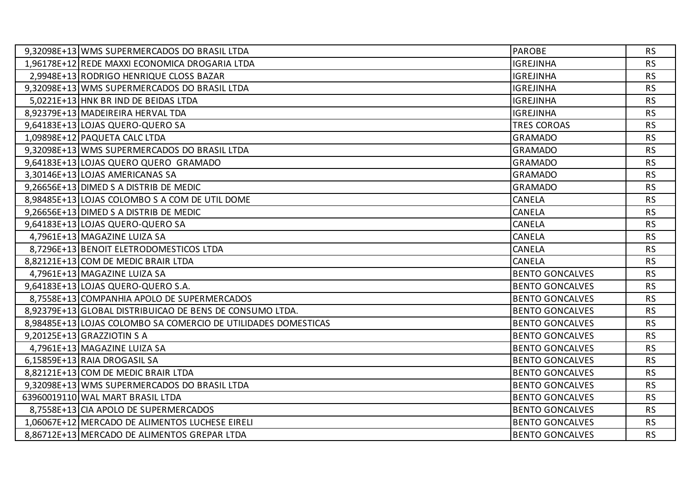| 9,32098E+13 WMS SUPERMERCADOS DO BRASIL LTDA                   | <b>PAROBE</b>          | <b>RS</b> |
|----------------------------------------------------------------|------------------------|-----------|
| 1,96178E+12 REDE MAXXI ECONOMICA DROGARIA LTDA                 | <b>IGREJINHA</b>       | <b>RS</b> |
| 2,9948E+13 RODRIGO HENRIQUE CLOSS BAZAR                        | <b>IGREJINHA</b>       | <b>RS</b> |
| 9,32098E+13 WMS SUPERMERCADOS DO BRASIL LTDA                   | <b>IGREJINHA</b>       | <b>RS</b> |
| 5,0221E+13 HNK BR IND DE BEIDAS LTDA                           | <b>IGREJINHA</b>       | <b>RS</b> |
| 8,92379E+13 MADEIREIRA HERVAL TDA                              | <b>IGREJINHA</b>       | <b>RS</b> |
| 9,64183E+13 LOJAS QUERO-QUERO SA                               | <b>TRES COROAS</b>     | <b>RS</b> |
| 1,09898E+12 PAQUETA CALC LTDA                                  | <b>GRAMADO</b>         | <b>RS</b> |
| 9,32098E+13 WMS SUPERMERCADOS DO BRASIL LTDA                   | <b>GRAMADO</b>         | <b>RS</b> |
| 9,64183E+13 LOJAS QUERO QUERO GRAMADO                          | <b>GRAMADO</b>         | <b>RS</b> |
| 3,30146E+13 LOJAS AMERICANAS SA                                | <b>GRAMADO</b>         | <b>RS</b> |
| 9,26656E+13 DIMED S A DISTRIB DE MEDIC                         | <b>GRAMADO</b>         | <b>RS</b> |
| 8,98485E+13 LOJAS COLOMBO S A COM DE UTIL DOME                 | <b>CANELA</b>          | <b>RS</b> |
| 9,26656E+13 DIMED S A DISTRIB DE MEDIC                         | CANELA                 | <b>RS</b> |
| 9,64183E+13 LOJAS QUERO-QUERO SA                               | CANELA                 | <b>RS</b> |
| 4,7961E+13 MAGAZINE LUIZA SA                                   | <b>CANELA</b>          | <b>RS</b> |
| 8,7296E+13 BENOIT ELETRODOMESTICOS LTDA                        | CANELA                 | <b>RS</b> |
| 8,82121E+13 COM DE MEDIC BRAIR LTDA                            | CANELA                 | <b>RS</b> |
| 4,7961E+13 MAGAZINE LUIZA SA                                   | <b>BENTO GONCALVES</b> | <b>RS</b> |
| 9,64183E+13 LOJAS QUERO-QUERO S.A.                             | <b>BENTO GONCALVES</b> | <b>RS</b> |
| 8,7558E+13 COMPANHIA APOLO DE SUPERMERCADOS                    | <b>BENTO GONCALVES</b> | <b>RS</b> |
| 8,92379E+13 GLOBAL DISTRIBUICAO DE BENS DE CONSUMO LTDA.       | <b>BENTO GONCALVES</b> | <b>RS</b> |
| 8,98485E+13 LOJAS COLOMBO SA COMERCIO DE UTILIDADES DOMESTICAS | <b>BENTO GONCALVES</b> | <b>RS</b> |
| 9,20125E+13 GRAZZIOTIN S A                                     | <b>BENTO GONCALVES</b> | <b>RS</b> |
| 4,7961E+13 MAGAZINE LUIZA SA                                   | <b>BENTO GONCALVES</b> | <b>RS</b> |
| 6,15859E+13 RAIA DROGASIL SA                                   | <b>BENTO GONCALVES</b> | <b>RS</b> |
| 8,82121E+13 COM DE MEDIC BRAIR LTDA                            | <b>BENTO GONCALVES</b> | <b>RS</b> |
| 9,32098E+13 WMS SUPERMERCADOS DO BRASIL LTDA                   | <b>BENTO GONCALVES</b> | <b>RS</b> |
| 63960019110 WAL MART BRASIL LTDA                               | <b>BENTO GONCALVES</b> | <b>RS</b> |
| 8,7558E+13 CIA APOLO DE SUPERMERCADOS                          | <b>BENTO GONCALVES</b> | <b>RS</b> |
| 1,06067E+12 MERCADO DE ALIMENTOS LUCHESE EIRELI                | <b>BENTO GONCALVES</b> | <b>RS</b> |
| 8,86712E+13 MERCADO DE ALIMENTOS GREPAR LTDA                   | <b>BENTO GONCALVES</b> | <b>RS</b> |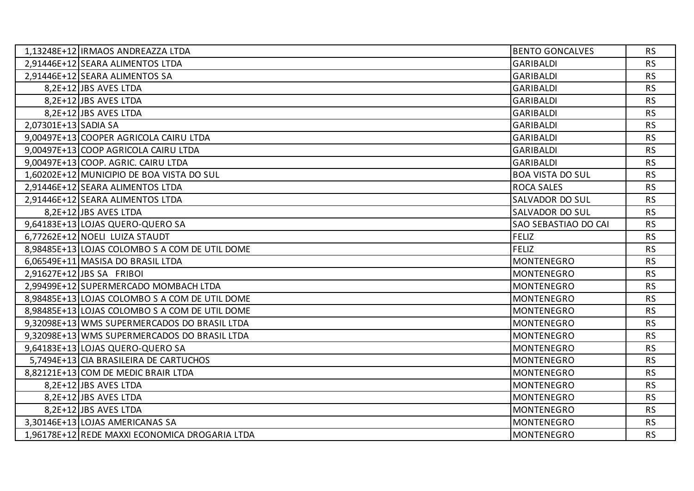| 1,13248E+12   IRMAOS ANDREAZZA LTDA            | <b>BENTO GONCALVES</b>      | <b>RS</b> |
|------------------------------------------------|-----------------------------|-----------|
| 2,91446E+12 SEARA ALIMENTOS LTDA               | <b>GARIBALDI</b>            | <b>RS</b> |
| 2,91446E+12 SEARA ALIMENTOS SA                 | <b>GARIBALDI</b>            | <b>RS</b> |
| 8,2E+12 JBS AVES LTDA                          | <b>GARIBALDI</b>            | <b>RS</b> |
| 8,2E+12 JBS AVES LTDA                          | <b>GARIBALDI</b>            | <b>RS</b> |
| 8,2E+12 JBS AVES LTDA                          | <b>GARIBALDI</b>            | <b>RS</b> |
| 2,07301E+13 SADIA SA                           | <b>GARIBALDI</b>            | <b>RS</b> |
| 9,00497E+13 COOPER AGRICOLA CAIRU LTDA         | <b>GARIBALDI</b>            | <b>RS</b> |
| 9,00497E+13 COOP AGRICOLA CAIRU LTDA           | <b>GARIBALDI</b>            | <b>RS</b> |
| 9,00497E+13 COOP. AGRIC. CAIRU LTDA            | <b>GARIBALDI</b>            | <b>RS</b> |
| 1,60202E+12 MUNICIPIO DE BOA VISTA DO SUL      | <b>BOA VISTA DO SUL</b>     | <b>RS</b> |
| 2,91446E+12 SEARA ALIMENTOS LTDA               | <b>ROCA SALES</b>           | <b>RS</b> |
| 2,91446E+12 SEARA ALIMENTOS LTDA               | <b>SALVADOR DO SUL</b>      | <b>RS</b> |
| 8,2E+12 JBS AVES LTDA                          | <b>SALVADOR DO SUL</b>      | <b>RS</b> |
| 9,64183E+13 LOJAS QUERO-QUERO SA               | <b>SAO SEBASTIAO DO CAI</b> | <b>RS</b> |
| 6,77262E+12 NOELI LUIZA STAUDT                 | <b>FELIZ</b>                | <b>RS</b> |
| 8,98485E+13 LOJAS COLOMBO S A COM DE UTIL DOME | <b>FELIZ</b>                | <b>RS</b> |
| 6,06549E+11 MASISA DO BRASIL LTDA              | <b>MONTENEGRO</b>           | <b>RS</b> |
| $2,91627E+12$ JBS SA FRIBOI                    | <b>MONTENEGRO</b>           | <b>RS</b> |
| 2,99499E+12 SUPERMERCADO MOMBACH LTDA          | <b>MONTENEGRO</b>           | <b>RS</b> |
| 8,98485E+13 LOJAS COLOMBO S A COM DE UTIL DOME | <b>MONTENEGRO</b>           | <b>RS</b> |
| 8,98485E+13 LOJAS COLOMBO S A COM DE UTIL DOME | <b>MONTENEGRO</b>           | <b>RS</b> |
| 9,32098E+13 WMS SUPERMERCADOS DO BRASIL LTDA   | <b>MONTENEGRO</b>           | <b>RS</b> |
| 9,32098E+13 WMS SUPERMERCADOS DO BRASIL LTDA   | <b>MONTENEGRO</b>           | <b>RS</b> |
| 9,64183E+13 LOJAS QUERO-QUERO SA               | <b>MONTENEGRO</b>           | <b>RS</b> |
| 5,7494E+13 CIA BRASILEIRA DE CARTUCHOS         | <b>MONTENEGRO</b>           | <b>RS</b> |
| 8,82121E+13 COM DE MEDIC BRAIR LTDA            | <b>MONTENEGRO</b>           | <b>RS</b> |
| 8,2E+12 JBS AVES LTDA                          | <b>MONTENEGRO</b>           | <b>RS</b> |
| 8,2E+12 JBS AVES LTDA                          | <b>MONTENEGRO</b>           | <b>RS</b> |
| 8,2E+12 JBS AVES LTDA                          | <b>MONTENEGRO</b>           | <b>RS</b> |
| 3,30146E+13 LOJAS AMERICANAS SA                | <b>MONTENEGRO</b>           | <b>RS</b> |
| 1,96178E+12 REDE MAXXI ECONOMICA DROGARIA LTDA | <b>MONTENEGRO</b>           | <b>RS</b> |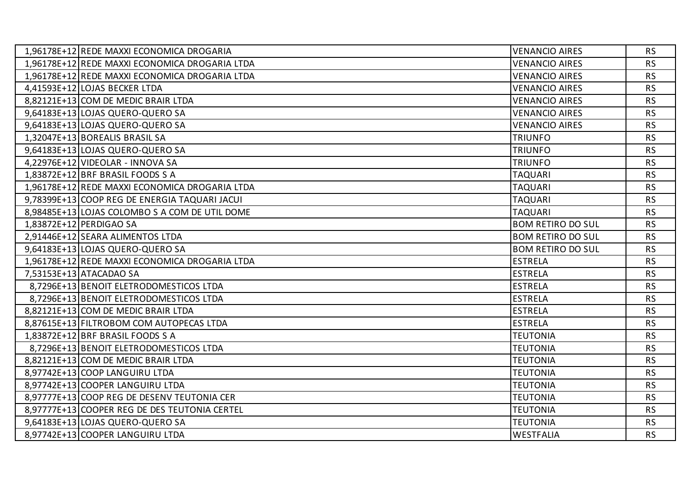| 1,96178E+12 REDE MAXXI ECONOMICA DROGARIA      | <b>VENANCIO AIRES</b>    | <b>RS</b> |
|------------------------------------------------|--------------------------|-----------|
| 1,96178E+12 REDE MAXXI ECONOMICA DROGARIA LTDA | <b>VENANCIO AIRES</b>    | <b>RS</b> |
| 1,96178E+12 REDE MAXXI ECONOMICA DROGARIA LTDA | <b>VENANCIO AIRES</b>    | <b>RS</b> |
| 4,41593E+12 LOJAS BECKER LTDA                  | <b>VENANCIO AIRES</b>    | <b>RS</b> |
| 8,82121E+13 COM DE MEDIC BRAIR LTDA            | <b>VENANCIO AIRES</b>    | <b>RS</b> |
| 9,64183E+13 LOJAS QUERO-QUERO SA               | <b>VENANCIO AIRES</b>    | <b>RS</b> |
| 9,64183E+13 LOJAS QUERO-QUERO SA               | <b>VENANCIO AIRES</b>    | <b>RS</b> |
| 1,32047E+13 BOREALIS BRASIL SA                 | <b>TRIUNFO</b>           | <b>RS</b> |
| 9,64183E+13 LOJAS QUERO-QUERO SA               | <b>TRIUNFO</b>           | <b>RS</b> |
| 4,22976E+12 VIDEOLAR - INNOVA SA               | <b>TRIUNFO</b>           | <b>RS</b> |
| 1,83872E+12 BRF BRASIL FOODS S A               | <b>TAQUARI</b>           | <b>RS</b> |
| 1,96178E+12 REDE MAXXI ECONOMICA DROGARIA LTDA | <b>TAQUARI</b>           | <b>RS</b> |
| 9,78399E+13 COOP REG DE ENERGIA TAQUARI JACUI  | <b>TAQUARI</b>           | <b>RS</b> |
| 8,98485E+13 LOJAS COLOMBO S A COM DE UTIL DOME | <b>TAQUARI</b>           | <b>RS</b> |
| 1,83872E+12 PERDIGAO SA                        | <b>BOM RETIRO DO SUL</b> | <b>RS</b> |
| 2,91446E+12 SEARA ALIMENTOS LTDA               | <b>BOM RETIRO DO SUL</b> | <b>RS</b> |
| 9,64183E+13 LOJAS QUERO-QUERO SA               | <b>BOM RETIRO DO SUL</b> | <b>RS</b> |
| 1,96178E+12 REDE MAXXI ECONOMICA DROGARIA LTDA | <b>ESTRELA</b>           | <b>RS</b> |
| 7,53153E+13 ATACADAO SA                        | <b>ESTRELA</b>           | <b>RS</b> |
| 8,7296E+13 BENOIT ELETRODOMESTICOS LTDA        | <b>ESTRELA</b>           | <b>RS</b> |
| 8,7296E+13 BENOIT ELETRODOMESTICOS LTDA        | <b>ESTRELA</b>           | <b>RS</b> |
| 8,82121E+13 COM DE MEDIC BRAIR LTDA            | <b>ESTRELA</b>           | <b>RS</b> |
| 8,87615E+13 FILTROBOM COM AUTOPECAS LTDA       | <b>ESTRELA</b>           | <b>RS</b> |
| 1,83872E+12 BRF BRASIL FOODS S A               | <b>TEUTONIA</b>          | <b>RS</b> |
| 8,7296E+13 BENOIT ELETRODOMESTICOS LTDA        | <b>TEUTONIA</b>          | <b>RS</b> |
| 8,82121E+13 COM DE MEDIC BRAIR LTDA            | <b>TEUTONIA</b>          | <b>RS</b> |
| 8,97742E+13 COOP LANGUIRU LTDA                 | <b>TEUTONIA</b>          | <b>RS</b> |
| 8,97742E+13 COOPER LANGUIRU LTDA               | <b>TEUTONIA</b>          | <b>RS</b> |
| 8,97777E+13 COOP REG DE DESENV TEUTONIA CER    | <b>TEUTONIA</b>          | <b>RS</b> |
| 8,97777E+13 COOPER REG DE DES TEUTONIA CERTEL  | <b>TEUTONIA</b>          | <b>RS</b> |
| 9,64183E+13 LOJAS QUERO-QUERO SA               | <b>TEUTONIA</b>          | <b>RS</b> |
| 8,97742E+13 COOPER LANGUIRU LTDA               | <b>WESTFALIA</b>         | <b>RS</b> |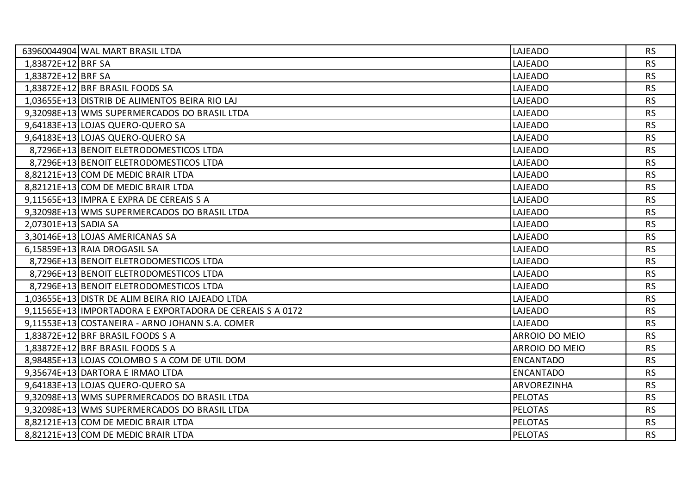| 63960044904 WAL MART BRASIL LTDA                          | LAJEADO            | <b>RS</b> |
|-----------------------------------------------------------|--------------------|-----------|
| 1,83872E+12 BRF SA                                        | LAJEADO            | <b>RS</b> |
| 1,83872E+12 BRF SA                                        | LAJEADO            | <b>RS</b> |
| 1,83872E+12 BRF BRASIL FOODS SA                           | LAJEADO            | <b>RS</b> |
| 1,03655E+13 DISTRIB DE ALIMENTOS BEIRA RIO LAJ            | LAJEADO            | <b>RS</b> |
| 9,32098E+13 WMS SUPERMERCADOS DO BRASIL LTDA              | LAJEADO            | <b>RS</b> |
| 9,64183E+13 LOJAS QUERO-QUERO SA                          | LAJEADO            | <b>RS</b> |
| 9,64183E+13 LOJAS QUERO-QUERO SA                          | LAJEADO            | <b>RS</b> |
| 8,7296E+13 BENOIT ELETRODOMESTICOS LTDA                   | LAJEADO            | <b>RS</b> |
| 8,7296E+13 BENOIT ELETRODOMESTICOS LTDA                   | LAJEADO            | <b>RS</b> |
| 8,82121E+13 COM DE MEDIC BRAIR LTDA                       | LAJEADO            | <b>RS</b> |
| 8,82121E+13 COM DE MEDIC BRAIR LTDA                       | LAJEADO            | <b>RS</b> |
| 9,11565E+13 IMPRA E EXPRA DE CEREAIS S A                  | LAJEADO            | <b>RS</b> |
| 9,32098E+13 WMS SUPERMERCADOS DO BRASIL LTDA              | LAJEADO            | <b>RS</b> |
| 2,07301E+13 SADIA SA                                      | LAJEADO            | <b>RS</b> |
| 3,30146E+13 LOJAS AMERICANAS SA                           | LAJEADO            | <b>RS</b> |
| 6,15859E+13 RAIA DROGASIL SA                              | LAJEADO            | <b>RS</b> |
| 8,7296E+13 BENOIT ELETRODOMESTICOS LTDA                   | LAJEADO            | <b>RS</b> |
| 8,7296E+13 BENOIT ELETRODOMESTICOS LTDA                   | LAJEADO            | <b>RS</b> |
| 8,7296E+13 BENOIT ELETRODOMESTICOS LTDA                   | LAJEADO            | <b>RS</b> |
| 1,03655E+13 DISTR DE ALIM BEIRA RIO LAJEADO LTDA          | LAJEADO            | <b>RS</b> |
| 9,11565E+13 IMPORTADORA E EXPORTADORA DE CEREAIS S A 0172 | LAJEADO            | <b>RS</b> |
| 9,11553E+13 COSTANEIRA - ARNO JOHANN S.A. COMER           | LAJEADO            | <b>RS</b> |
| 1,83872E+12 BRF BRASIL FOODS S A                          | ARROIO DO MEIO     | <b>RS</b> |
| 1,83872E+12 BRF BRASIL FOODS S A                          | ARROIO DO MEIO     | <b>RS</b> |
| 8,98485E+13 LOJAS COLOMBO S A COM DE UTIL DOM             | <b>ENCANTADO</b>   | <b>RS</b> |
| 9,35674E+13 DARTORA E IRMAO LTDA                          | <b>ENCANTADO</b>   | <b>RS</b> |
| 9,64183E+13 LOJAS QUERO-QUERO SA                          | <b>ARVOREZINHA</b> | <b>RS</b> |
| 9,32098E+13 WMS SUPERMERCADOS DO BRASIL LTDA              | <b>PELOTAS</b>     | <b>RS</b> |
| 9,32098E+13 WMS SUPERMERCADOS DO BRASIL LTDA              | <b>PELOTAS</b>     | <b>RS</b> |
| 8,82121E+13 COM DE MEDIC BRAIR LTDA                       | <b>PELOTAS</b>     | <b>RS</b> |
| 8,82121E+13 COM DE MEDIC BRAIR LTDA                       | <b>PELOTAS</b>     | <b>RS</b> |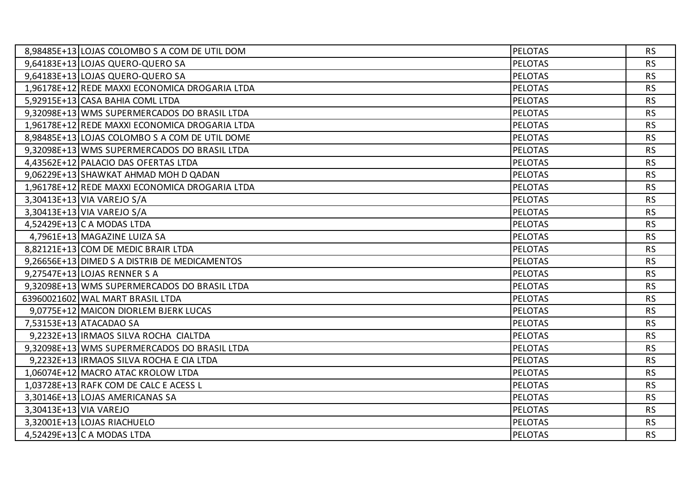|                        | 8,98485E+13 LOJAS COLOMBO S A COM DE UTIL DOM  | <b>PELOTAS</b> | <b>RS</b> |
|------------------------|------------------------------------------------|----------------|-----------|
|                        | 9,64183E+13 LOJAS QUERO-QUERO SA               | <b>PELOTAS</b> | <b>RS</b> |
|                        | 9,64183E+13 LOJAS QUERO-QUERO SA               | <b>PELOTAS</b> | <b>RS</b> |
|                        | 1,96178E+12 REDE MAXXI ECONOMICA DROGARIA LTDA | <b>PELOTAS</b> | <b>RS</b> |
|                        | 5,92915E+13 CASA BAHIA COML LTDA               | <b>PELOTAS</b> | <b>RS</b> |
|                        | 9,32098E+13 WMS SUPERMERCADOS DO BRASIL LTDA   | <b>PELOTAS</b> | <b>RS</b> |
|                        | 1,96178E+12 REDE MAXXI ECONOMICA DROGARIA LTDA | <b>PELOTAS</b> | <b>RS</b> |
|                        | 8,98485E+13 LOJAS COLOMBO S A COM DE UTIL DOME | <b>PELOTAS</b> | <b>RS</b> |
|                        | 9,32098E+13 WMS SUPERMERCADOS DO BRASIL LTDA   | <b>PELOTAS</b> | <b>RS</b> |
|                        | 4,43562E+12 PALACIO DAS OFERTAS LTDA           | <b>PELOTAS</b> | <b>RS</b> |
|                        | 9,06229E+13 SHAWKAT AHMAD MOH D QADAN          | <b>PELOTAS</b> | <b>RS</b> |
|                        | 1,96178E+12 REDE MAXXI ECONOMICA DROGARIA LTDA | <b>PELOTAS</b> | <b>RS</b> |
|                        | 3,30413E+13 VIA VAREJO S/A                     | <b>PELOTAS</b> | <b>RS</b> |
|                        | 3,30413E+13 VIA VAREJO S/A                     | <b>PELOTAS</b> | <b>RS</b> |
|                        | 4,52429E+13 C A MODAS LTDA                     | <b>PELOTAS</b> | <b>RS</b> |
|                        | 4,7961E+13 MAGAZINE LUIZA SA                   | <b>PELOTAS</b> | <b>RS</b> |
|                        | 8,82121E+13 COM DE MEDIC BRAIR LTDA            | <b>PELOTAS</b> | <b>RS</b> |
|                        | 9,26656E+13 DIMED S A DISTRIB DE MEDICAMENTOS  | <b>PELOTAS</b> | <b>RS</b> |
|                        | 9,27547E+13 LOJAS RENNER S A                   | <b>PELOTAS</b> | <b>RS</b> |
|                        | 9,32098E+13 WMS SUPERMERCADOS DO BRASIL LTDA   | <b>PELOTAS</b> | <b>RS</b> |
|                        | 63960021602 WAL MART BRASIL LTDA               | <b>PELOTAS</b> | <b>RS</b> |
|                        | 9,0775E+12 MAICON DIORLEM BJERK LUCAS          | <b>PELOTAS</b> | <b>RS</b> |
|                        | 7,53153E+13 ATACADAO SA                        | <b>PELOTAS</b> | <b>RS</b> |
|                        | 9,2232E+13   IRMAOS SILVA ROCHA CIALTDA        | <b>PELOTAS</b> | <b>RS</b> |
|                        | 9,32098E+13 WMS SUPERMERCADOS DO BRASIL LTDA   | <b>PELOTAS</b> | <b>RS</b> |
|                        | 9,2232E+13 IRMAOS SILVA ROCHA E CIA LTDA       | <b>PELOTAS</b> | <b>RS</b> |
|                        | 1,06074E+12 MACRO ATAC KROLOW LTDA             | <b>PELOTAS</b> | <b>RS</b> |
|                        | 1,03728E+13 RAFK COM DE CALC E ACESS L         | <b>PELOTAS</b> | <b>RS</b> |
|                        | 3,30146E+13 LOJAS AMERICANAS SA                | <b>PELOTAS</b> | <b>RS</b> |
| 3,30413E+13 VIA VAREJO |                                                | <b>PELOTAS</b> | <b>RS</b> |
|                        | 3,32001E+13 LOJAS RIACHUELO                    | <b>PELOTAS</b> | <b>RS</b> |
|                        | 4,52429E+13 C A MODAS LTDA                     | <b>PELOTAS</b> | <b>RS</b> |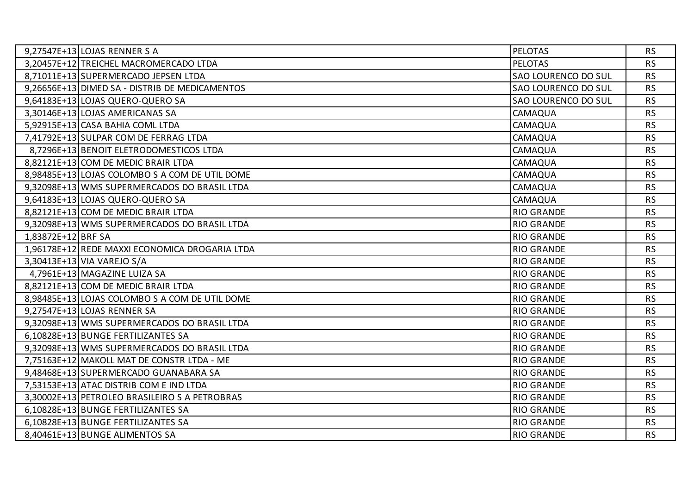| 9,27547E+13 LOJAS RENNER S A                   | <b>PELOTAS</b>             | <b>RS</b> |
|------------------------------------------------|----------------------------|-----------|
| 3,20457E+12 TREICHEL MACROMERCADO LTDA         | <b>PELOTAS</b>             | <b>RS</b> |
| 8,71011E+13 SUPERMERCADO JEPSEN LTDA           | <b>SAO LOURENCO DO SUL</b> | <b>RS</b> |
| 9,26656E+13 DIMED SA - DISTRIB DE MEDICAMENTOS | SAO LOURENCO DO SUL        | <b>RS</b> |
| 9,64183E+13 LOJAS QUERO-QUERO SA               | SAO LOURENCO DO SUL        | <b>RS</b> |
| 3,30146E+13 LOJAS AMERICANAS SA                | CAMAQUA                    | <b>RS</b> |
| 5,92915E+13 CASA BAHIA COML LTDA               | CAMAQUA                    | <b>RS</b> |
| 7,41792E+13 SULPAR COM DE FERRAG LTDA          | CAMAQUA                    | <b>RS</b> |
| 8,7296E+13 BENOIT ELETRODOMESTICOS LTDA        | CAMAQUA                    | <b>RS</b> |
| 8,82121E+13 COM DE MEDIC BRAIR LTDA            | CAMAQUA                    | <b>RS</b> |
| 8,98485E+13 LOJAS COLOMBO S A COM DE UTIL DOME | CAMAQUA                    | <b>RS</b> |
| 9,32098E+13 WMS SUPERMERCADOS DO BRASIL LTDA   | CAMAQUA                    | <b>RS</b> |
| 9,64183E+13 LOJAS QUERO-QUERO SA               | CAMAQUA                    | <b>RS</b> |
| 8,82121E+13 COM DE MEDIC BRAIR LTDA            | <b>RIO GRANDE</b>          | <b>RS</b> |
| 9,32098E+13 WMS SUPERMERCADOS DO BRASIL LTDA   | <b>RIO GRANDE</b>          | <b>RS</b> |
| 1,83872E+12 BRF SA                             | <b>RIO GRANDE</b>          | <b>RS</b> |
| 1,96178E+12 REDE MAXXI ECONOMICA DROGARIA LTDA | <b>RIO GRANDE</b>          | <b>RS</b> |
| 3,30413E+13 VIA VAREJO S/A                     | <b>RIO GRANDE</b>          | <b>RS</b> |
| 4,7961E+13 MAGAZINE LUIZA SA                   | <b>RIO GRANDE</b>          | <b>RS</b> |
| 8,82121E+13 COM DE MEDIC BRAIR LTDA            | <b>RIO GRANDE</b>          | <b>RS</b> |
| 8,98485E+13 LOJAS COLOMBO S A COM DE UTIL DOME | <b>RIO GRANDE</b>          | <b>RS</b> |
| 9,27547E+13 LOJAS RENNER SA                    | <b>RIO GRANDE</b>          | <b>RS</b> |
| 9,32098E+13 WMS SUPERMERCADOS DO BRASIL LTDA   | <b>RIO GRANDE</b>          | <b>RS</b> |
| 6,10828E+13 BUNGE FERTILIZANTES SA             | <b>RIO GRANDE</b>          | <b>RS</b> |
| 9,32098E+13 WMS SUPERMERCADOS DO BRASIL LTDA   | <b>RIO GRANDE</b>          | <b>RS</b> |
| 7,75163E+12 MAKOLL MAT DE CONSTR LTDA - ME     | <b>RIO GRANDE</b>          | <b>RS</b> |
| 9,48468E+13 SUPERMERCADO GUANABARA SA          | <b>RIO GRANDE</b>          | <b>RS</b> |
| 7,53153E+13 ATAC DISTRIB COM E IND LTDA        | <b>RIO GRANDE</b>          | <b>RS</b> |
| 3,30002E+13 PETROLEO BRASILEIRO S A PETROBRAS  | <b>RIO GRANDE</b>          | <b>RS</b> |
| 6,10828E+13 BUNGE FERTILIZANTES SA             | <b>RIO GRANDE</b>          | <b>RS</b> |
| 6,10828E+13 BUNGE FERTILIZANTES SA             | <b>RIO GRANDE</b>          | <b>RS</b> |
| 8,40461E+13 BUNGE ALIMENTOS SA                 | <b>RIO GRANDE</b>          | <b>RS</b> |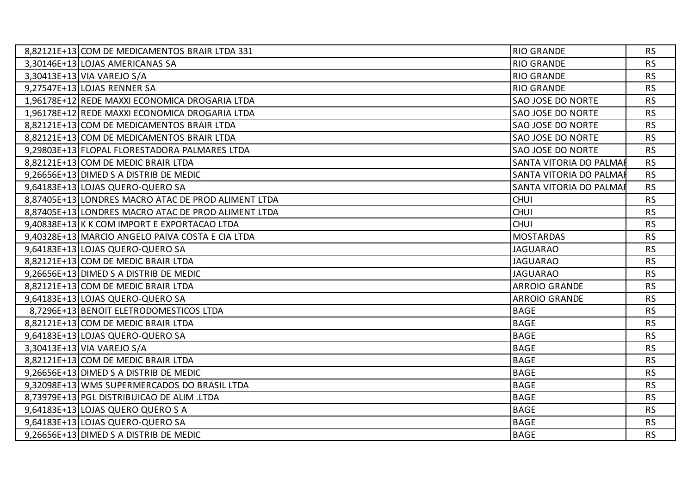| 8,82121E+13 COM DE MEDICAMENTOS BRAIR LTDA 331      | <b>RIO GRANDE</b>       | <b>RS</b> |
|-----------------------------------------------------|-------------------------|-----------|
| 3,30146E+13 LOJAS AMERICANAS SA                     | <b>RIO GRANDE</b>       | <b>RS</b> |
| 3,30413E+13 VIA VAREJO S/A                          | <b>RIO GRANDE</b>       | <b>RS</b> |
| 9,27547E+13 LOJAS RENNER SA                         | <b>RIO GRANDE</b>       | <b>RS</b> |
| 1,96178E+12 REDE MAXXI ECONOMICA DROGARIA LTDA      | SAO JOSE DO NORTE       | <b>RS</b> |
| 1,96178E+12 REDE MAXXI ECONOMICA DROGARIA LTDA      | SAO JOSE DO NORTE       | <b>RS</b> |
| 8,82121E+13 COM DE MEDICAMENTOS BRAIR LTDA          | SAO JOSE DO NORTE       | <b>RS</b> |
| 8,82121E+13 COM DE MEDICAMENTOS BRAIR LTDA          | SAO JOSE DO NORTE       | <b>RS</b> |
| 9,29803E+13 FLOPAL FLORESTADORA PALMARES LTDA       | SAO JOSE DO NORTE       | <b>RS</b> |
| 8,82121E+13 COM DE MEDIC BRAIR LTDA                 | SANTA VITORIA DO PALMAF | <b>RS</b> |
| 9,26656E+13 DIMED S A DISTRIB DE MEDIC              | SANTA VITORIA DO PALMAF | <b>RS</b> |
| 9,64183E+13 LOJAS QUERO-QUERO SA                    | SANTA VITORIA DO PALMAR | <b>RS</b> |
| 8,87405E+13 LONDRES MACRO ATAC DE PROD ALIMENT LTDA | <b>CHUI</b>             | <b>RS</b> |
| 8,87405E+13 LONDRES MACRO ATAC DE PROD ALIMENT LTDA | <b>CHUI</b>             | <b>RS</b> |
| 9,40838E+13 K K COM IMPORT E EXPORTACAO LTDA        | <b>CHUI</b>             | <b>RS</b> |
| 9,40328E+13 MARCIO ANGELO PAIVA COSTA E CIA LTDA    | <b>MOSTARDAS</b>        | <b>RS</b> |
| 9,64183E+13 LOJAS QUERO-QUERO SA                    | <b>JAGUARAO</b>         | <b>RS</b> |
| 8,82121E+13 COM DE MEDIC BRAIR LTDA                 | <b>JAGUARAO</b>         | <b>RS</b> |
| 9,26656E+13 DIMED S A DISTRIB DE MEDIC              | <b>JAGUARAO</b>         | <b>RS</b> |
| 8,82121E+13 COM DE MEDIC BRAIR LTDA                 | ARROIO GRANDE           | <b>RS</b> |
| 9,64183E+13 LOJAS QUERO-QUERO SA                    | <b>ARROIO GRANDE</b>    | <b>RS</b> |
| 8,7296E+13 BENOIT ELETRODOMESTICOS LTDA             | <b>BAGE</b>             | <b>RS</b> |
| 8,82121E+13 COM DE MEDIC BRAIR LTDA                 | <b>BAGE</b>             | <b>RS</b> |
| 9,64183E+13 LOJAS QUERO-QUERO SA                    | <b>BAGE</b>             | <b>RS</b> |
| 3,30413E+13 VIA VAREJO S/A                          | <b>BAGE</b>             | <b>RS</b> |
| 8,82121E+13 COM DE MEDIC BRAIR LTDA                 | <b>BAGE</b>             | <b>RS</b> |
| 9,26656E+13 DIMED S A DISTRIB DE MEDIC              | <b>BAGE</b>             | <b>RS</b> |
| 9,32098E+13 WMS SUPERMERCADOS DO BRASIL LTDA        | <b>BAGE</b>             | <b>RS</b> |
| 8,73979E+13 PGL DISTRIBUICAO DE ALIM .LTDA          | <b>BAGE</b>             | <b>RS</b> |
| 9,64183E+13 LOJAS QUERO QUERO S A                   | <b>BAGE</b>             | <b>RS</b> |
| 9,64183E+13 LOJAS QUERO-QUERO SA                    | <b>BAGE</b>             | <b>RS</b> |
| 9,26656E+13 DIMED S A DISTRIB DE MEDIC              | <b>BAGE</b>             | <b>RS</b> |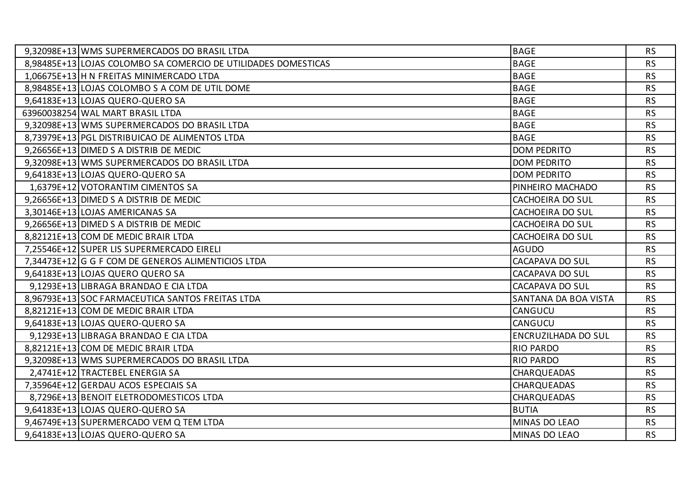| 9,32098E+13 WMS SUPERMERCADOS DO BRASIL LTDA                   | <b>BAGE</b>                | <b>RS</b> |
|----------------------------------------------------------------|----------------------------|-----------|
| 8,98485E+13 LOJAS COLOMBO SA COMERCIO DE UTILIDADES DOMESTICAS | <b>BAGE</b>                | <b>RS</b> |
| 1,06675E+13 H N FREITAS MINIMERCADO LTDA                       | <b>BAGE</b>                | <b>RS</b> |
| 8,98485E+13 LOJAS COLOMBO S A COM DE UTIL DOME                 | <b>BAGE</b>                | <b>RS</b> |
| 9,64183E+13 LOJAS QUERO-QUERO SA                               | <b>BAGE</b>                | <b>RS</b> |
| 63960038254 WAL MART BRASIL LTDA                               | <b>BAGE</b>                | <b>RS</b> |
| 9,32098E+13 WMS SUPERMERCADOS DO BRASIL LTDA                   | <b>BAGE</b>                | <b>RS</b> |
| 8,73979E+13 PGL DISTRIBUICAO DE ALIMENTOS LTDA                 | <b>BAGE</b>                | <b>RS</b> |
| 9,26656E+13 DIMED S A DISTRIB DE MEDIC                         | <b>DOM PEDRITO</b>         | <b>RS</b> |
| 9,32098E+13 WMS SUPERMERCADOS DO BRASIL LTDA                   | <b>DOM PEDRITO</b>         | <b>RS</b> |
| 9,64183E+13 LOJAS QUERO-QUERO SA                               | <b>DOM PEDRITO</b>         | <b>RS</b> |
| 1,6379E+12 VOTORANTIM CIMENTOS SA                              | PINHEIRO MACHADO           | <b>RS</b> |
| 9,26656E+13 DIMED S A DISTRIB DE MEDIC                         | <b>CACHOEIRA DO SUL</b>    | <b>RS</b> |
| 3,30146E+13 LOJAS AMERICANAS SA                                | <b>CACHOEIRA DO SUL</b>    | <b>RS</b> |
| 9,26656E+13 DIMED S A DISTRIB DE MEDIC                         | <b>CACHOEIRA DO SUL</b>    | <b>RS</b> |
| 8,82121E+13 COM DE MEDIC BRAIR LTDA                            | <b>CACHOEIRA DO SUL</b>    | <b>RS</b> |
| 7,25546E+12 SUPER LIS SUPERMERCADO EIRELI                      | <b>AGUDO</b>               | <b>RS</b> |
| 7,34473E+12 G G F COM DE GENEROS ALIMENTICIOS LTDA             | <b>CACAPAVA DO SUL</b>     | <b>RS</b> |
| 9,64183E+13 LOJAS QUERO QUERO SA                               | <b>CACAPAVA DO SUL</b>     | <b>RS</b> |
| 9,1293E+13 LIBRAGA BRANDAO E CIA LTDA                          | CACAPAVA DO SUL            | <b>RS</b> |
| 8,96793E+13 SOC FARMACEUTICA SANTOS FREITAS LTDA               | SANTANA DA BOA VISTA       | <b>RS</b> |
| 8,82121E+13 COM DE MEDIC BRAIR LTDA                            | CANGUCU                    | <b>RS</b> |
| 9,64183E+13 LOJAS QUERO-QUERO SA                               | CANGUCU                    | <b>RS</b> |
| 9,1293E+13 LIBRAGA BRANDAO E CIA LTDA                          | <b>ENCRUZILHADA DO SUL</b> | <b>RS</b> |
| 8,82121E+13 COM DE MEDIC BRAIR LTDA                            | <b>RIO PARDO</b>           | <b>RS</b> |
| 9,32098E+13 WMS SUPERMERCADOS DO BRASIL LTDA                   | <b>RIO PARDO</b>           | <b>RS</b> |
| 2,4741E+12 TRACTEBEL ENERGIA SA                                | <b>CHARQUEADAS</b>         | <b>RS</b> |
| 7,35964E+12 GERDAU ACOS ESPECIAIS SA                           | <b>CHARQUEADAS</b>         | <b>RS</b> |
| 8,7296E+13 BENOIT ELETRODOMESTICOS LTDA                        | CHARQUEADAS                | <b>RS</b> |
| 9,64183E+13 LOJAS QUERO-QUERO SA                               | <b>BUTIA</b>               | <b>RS</b> |
| 9,46749E+13 SUPERMERCADO VEM Q TEM LTDA                        | MINAS DO LEAO              | <b>RS</b> |
| 9,64183E+13 LOJAS QUERO-QUERO SA                               | MINAS DO LEAO              | <b>RS</b> |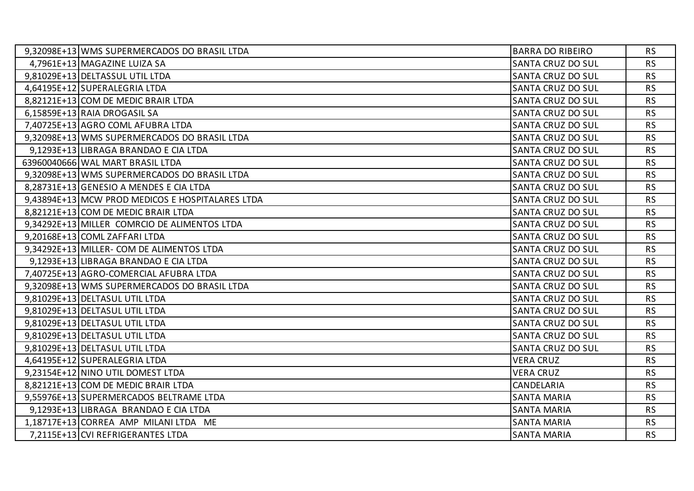| 9,32098E+13 WMS SUPERMERCADOS DO BRASIL LTDA     | <b>BARRA DO RIBEIRO</b>  | <b>RS</b> |
|--------------------------------------------------|--------------------------|-----------|
| 4,7961E+13 MAGAZINE LUIZA SA                     | <b>SANTA CRUZ DO SUL</b> | <b>RS</b> |
| 9,81029E+13 DELTASSUL UTIL LTDA                  | <b>SANTA CRUZ DO SUL</b> | <b>RS</b> |
| 4,64195E+12 SUPERALEGRIA LTDA                    | <b>SANTA CRUZ DO SUL</b> | <b>RS</b> |
| 8,82121E+13 COM DE MEDIC BRAIR LTDA              | <b>SANTA CRUZ DO SUL</b> | <b>RS</b> |
| 6,15859E+13 RAIA DROGASIL SA                     | <b>SANTA CRUZ DO SUL</b> | <b>RS</b> |
| 7,40725E+13 AGRO COML AFUBRA LTDA                | <b>SANTA CRUZ DO SUL</b> | <b>RS</b> |
| 9,32098E+13 WMS SUPERMERCADOS DO BRASIL LTDA     | <b>SANTA CRUZ DO SUL</b> | <b>RS</b> |
| 9,1293E+13 LIBRAGA BRANDAO E CIA LTDA            | <b>SANTA CRUZ DO SUL</b> | <b>RS</b> |
| 63960040666 WAL MART BRASIL LTDA                 | <b>SANTA CRUZ DO SUL</b> | <b>RS</b> |
| 9,32098E+13 WMS SUPERMERCADOS DO BRASIL LTDA     | <b>SANTA CRUZ DO SUL</b> | <b>RS</b> |
| 8,28731E+13 GENESIO A MENDES E CIA LTDA          | <b>SANTA CRUZ DO SUL</b> | <b>RS</b> |
| 9,43894E+13 MCW PROD MEDICOS E HOSPITALARES LTDA | <b>SANTA CRUZ DO SUL</b> | <b>RS</b> |
| 8,82121E+13 COM DE MEDIC BRAIR LTDA              | <b>SANTA CRUZ DO SUL</b> | <b>RS</b> |
| 9,34292E+13 MILLER COMRCIO DE ALIMENTOS LTDA     | <b>SANTA CRUZ DO SUL</b> | <b>RS</b> |
| 9,20168E+13 COML ZAFFARI LTDA                    | <b>SANTA CRUZ DO SUL</b> | <b>RS</b> |
| 9,34292E+13 MILLER- COM DE ALIMENTOS LTDA        | <b>SANTA CRUZ DO SUL</b> | <b>RS</b> |
| 9,1293E+13 LIBRAGA BRANDAO E CIA LTDA            | <b>SANTA CRUZ DO SUL</b> | <b>RS</b> |
| 7,40725E+13   AGRO-COMERCIAL AFUBRA LTDA         | <b>SANTA CRUZ DO SUL</b> | <b>RS</b> |
| 9,32098E+13 WMS SUPERMERCADOS DO BRASIL LTDA     | <b>SANTA CRUZ DO SUL</b> | <b>RS</b> |
| 9,81029E+13 DELTASUL UTIL LTDA                   | <b>SANTA CRUZ DO SUL</b> | <b>RS</b> |
| 9,81029E+13 DELTASUL UTIL LTDA                   | <b>SANTA CRUZ DO SUL</b> | <b>RS</b> |
| 9,81029E+13 DELTASUL UTIL LTDA                   | <b>SANTA CRUZ DO SUL</b> | <b>RS</b> |
| 9,81029E+13 DELTASUL UTIL LTDA                   | <b>SANTA CRUZ DO SUL</b> | <b>RS</b> |
| 9,81029E+13 DELTASUL UTIL LTDA                   | <b>SANTA CRUZ DO SUL</b> | <b>RS</b> |
| 4,64195E+12 SUPERALEGRIA LTDA                    | <b>VERA CRUZ</b>         | <b>RS</b> |
| 9,23154E+12 NINO UTIL DOMEST LTDA                | <b>VERA CRUZ</b>         | <b>RS</b> |
| 8,82121E+13 COM DE MEDIC BRAIR LTDA              | CANDELARIA               | <b>RS</b> |
| 9,55976E+13 SUPERMERCADOS BELTRAME LTDA          | <b>SANTA MARIA</b>       | <b>RS</b> |
| 9,1293E+13 LIBRAGA BRANDAO E CIA LTDA            | <b>SANTA MARIA</b>       | <b>RS</b> |
| 1,18717E+13 CORREA AMP MILANI LTDA ME            | <b>SANTA MARIA</b>       | <b>RS</b> |
| 7,2115E+13 CVI REFRIGERANTES LTDA                | <b>SANTA MARIA</b>       | <b>RS</b> |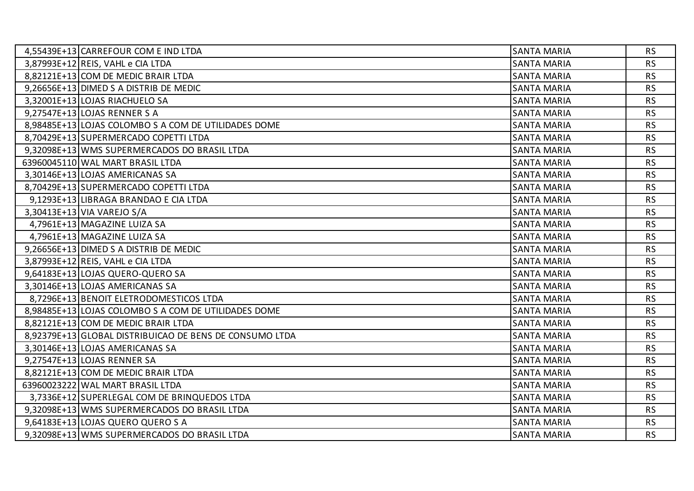| 4,55439E+13 CARREFOUR COM E IND LTDA                    | <b>SANTA MARIA</b> | <b>RS</b> |
|---------------------------------------------------------|--------------------|-----------|
| 3,87993E+12 REIS, VAHL e CIA LTDA                       | <b>SANTA MARIA</b> | <b>RS</b> |
| 8,82121E+13 COM DE MEDIC BRAIR LTDA                     | <b>SANTA MARIA</b> | <b>RS</b> |
| 9,26656E+13 DIMED S A DISTRIB DE MEDIC                  | <b>SANTA MARIA</b> | <b>RS</b> |
| 3,32001E+13 LOJAS RIACHUELO SA                          | <b>SANTA MARIA</b> | <b>RS</b> |
| 9,27547E+13 LOJAS RENNER S A                            | <b>SANTA MARIA</b> | <b>RS</b> |
| 8,98485E+13 LOJAS COLOMBO S A COM DE UTILIDADES DOME    | <b>SANTA MARIA</b> | <b>RS</b> |
| 8,70429E+13 SUPERMERCADO COPETTI LTDA                   | <b>SANTA MARIA</b> | <b>RS</b> |
| 9,32098E+13 WMS SUPERMERCADOS DO BRASIL LTDA            | <b>SANTA MARIA</b> | <b>RS</b> |
| 63960045110 WAL MART BRASIL LTDA                        | <b>SANTA MARIA</b> | <b>RS</b> |
| 3,30146E+13 LOJAS AMERICANAS SA                         | <b>SANTA MARIA</b> | <b>RS</b> |
| 8,70429E+13 SUPERMERCADO COPETTI LTDA                   | <b>SANTA MARIA</b> | <b>RS</b> |
| 9,1293E+13 LIBRAGA BRANDAO E CIA LTDA                   | <b>SANTA MARIA</b> | <b>RS</b> |
| 3,30413E+13 VIA VAREJO S/A                              | <b>SANTA MARIA</b> | <b>RS</b> |
| 4,7961E+13 MAGAZINE LUIZA SA                            | <b>SANTA MARIA</b> | <b>RS</b> |
| 4,7961E+13 MAGAZINE LUIZA SA                            | <b>SANTA MARIA</b> | <b>RS</b> |
| 9,26656E+13 DIMED S A DISTRIB DE MEDIC                  | <b>SANTA MARIA</b> | <b>RS</b> |
| 3,87993E+12 REIS, VAHL e CIA LTDA                       | <b>SANTA MARIA</b> | <b>RS</b> |
| 9,64183E+13 LOJAS QUERO-QUERO SA                        | <b>SANTA MARIA</b> | <b>RS</b> |
| 3,30146E+13 LOJAS AMERICANAS SA                         | <b>SANTA MARIA</b> | <b>RS</b> |
| 8,7296E+13 BENOIT ELETRODOMESTICOS LTDA                 | <b>SANTA MARIA</b> | <b>RS</b> |
| 8,98485E+13 LOJAS COLOMBO S A COM DE UTILIDADES DOME    | <b>SANTA MARIA</b> | <b>RS</b> |
| 8,82121E+13 COM DE MEDIC BRAIR LTDA                     | <b>SANTA MARIA</b> | <b>RS</b> |
| 8,92379E+13 GLOBAL DISTRIBUICAO DE BENS DE CONSUMO LTDA | <b>SANTA MARIA</b> | <b>RS</b> |
| 3,30146E+13 LOJAS AMERICANAS SA                         | <b>SANTA MARIA</b> | <b>RS</b> |
| 9,27547E+13 LOJAS RENNER SA                             | <b>SANTA MARIA</b> | <b>RS</b> |
| 8,82121E+13 COM DE MEDIC BRAIR LTDA                     | <b>SANTA MARIA</b> | <b>RS</b> |
| 63960023222 WAL MART BRASIL LTDA                        | <b>SANTA MARIA</b> | <b>RS</b> |
| 3,7336E+12 SUPERLEGAL COM DE BRINQUEDOS LTDA            | <b>SANTA MARIA</b> | <b>RS</b> |
| 9,32098E+13 WMS SUPERMERCADOS DO BRASIL LTDA            | <b>SANTA MARIA</b> | <b>RS</b> |
| 9,64183E+13 LOJAS QUERO QUERO S A                       | <b>SANTA MARIA</b> | <b>RS</b> |
| 9,32098E+13 WMS SUPERMERCADOS DO BRASIL LTDA            | <b>SANTA MARIA</b> | <b>RS</b> |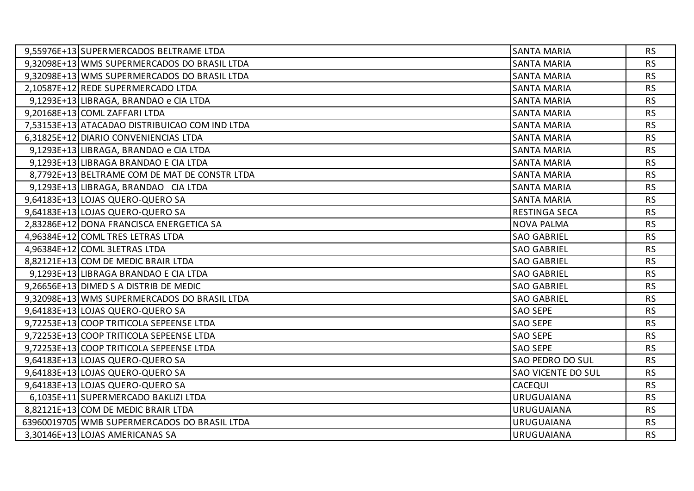| 9,55976E+13 SUPERMERCADOS BELTRAME LTDA        | <b>SANTA MARIA</b>      | <b>RS</b> |
|------------------------------------------------|-------------------------|-----------|
| 9,32098E+13 WMS SUPERMERCADOS DO BRASIL LTDA   | <b>SANTA MARIA</b>      | <b>RS</b> |
| 9,32098E+13 WMS SUPERMERCADOS DO BRASIL LTDA   | <b>SANTA MARIA</b>      | <b>RS</b> |
| 2,10587E+12 REDE SUPERMERCADO LTDA             | <b>SANTA MARIA</b>      | <b>RS</b> |
| 9,1293E+13 LIBRAGA, BRANDAO e CIA LTDA         | <b>SANTA MARIA</b>      | <b>RS</b> |
| 9,20168E+13 COML ZAFFARI LTDA                  | <b>SANTA MARIA</b>      | <b>RS</b> |
| 7,53153E+13 ATACADAO DISTRIBUICAO COM IND LTDA | <b>SANTA MARIA</b>      | <b>RS</b> |
| 6,31825E+12 DIARIO CONVENIENCIAS LTDA          | <b>SANTA MARIA</b>      | <b>RS</b> |
| 9,1293E+13 LIBRAGA, BRANDAO e CIA LTDA         | <b>SANTA MARIA</b>      | <b>RS</b> |
| 9,1293E+13 LIBRAGA BRANDAO E CIA LTDA          | <b>SANTA MARIA</b>      | <b>RS</b> |
| 8,7792E+13 BELTRAME COM DE MAT DE CONSTR LTDA  | <b>SANTA MARIA</b>      | <b>RS</b> |
| 9,1293E+13 LIBRAGA, BRANDAO CIA LTDA           | <b>SANTA MARIA</b>      | <b>RS</b> |
| 9,64183E+13 LOJAS QUERO-QUERO SA               | <b>SANTA MARIA</b>      | <b>RS</b> |
| 9,64183E+13 LOJAS QUERO-QUERO SA               | <b>RESTINGA SECA</b>    | <b>RS</b> |
| 2,83286E+12 DONA FRANCISCA ENERGETICA SA       | <b>NOVA PALMA</b>       | <b>RS</b> |
| 4,96384E+12 COML TRES LETRAS LTDA              | <b>SAO GABRIEL</b>      | <b>RS</b> |
| 4,96384E+12 COML 3LETRAS LTDA                  | <b>SAO GABRIEL</b>      | <b>RS</b> |
| 8,82121E+13 COM DE MEDIC BRAIR LTDA            | <b>SAO GABRIEL</b>      | <b>RS</b> |
| 9,1293E+13 LIBRAGA BRANDAO E CIA LTDA          | <b>SAO GABRIEL</b>      | <b>RS</b> |
| 9,26656E+13 DIMED S A DISTRIB DE MEDIC         | <b>SAO GABRIEL</b>      | <b>RS</b> |
| 9,32098E+13 WMS SUPERMERCADOS DO BRASIL LTDA   | <b>SAO GABRIEL</b>      | <b>RS</b> |
| 9,64183E+13 LOJAS QUERO-QUERO SA               | <b>SAO SEPE</b>         | <b>RS</b> |
| 9,72253E+13 COOP TRITICOLA SEPEENSE LTDA       | <b>SAO SEPE</b>         | <b>RS</b> |
| 9,72253E+13 COOP TRITICOLA SEPEENSE LTDA       | <b>SAO SEPE</b>         | <b>RS</b> |
| 9,72253E+13 COOP TRITICOLA SEPEENSE LTDA       | <b>SAO SEPE</b>         | <b>RS</b> |
| 9,64183E+13 LOJAS QUERO-QUERO SA               | <b>SAO PEDRO DO SUL</b> | <b>RS</b> |
| 9,64183E+13 LOJAS QUERO-QUERO SA               | SAO VICENTE DO SUL      | <b>RS</b> |
| 9,64183E+13 LOJAS QUERO-QUERO SA               | <b>CACEQUI</b>          | <b>RS</b> |
| 6,1035E+11 SUPERMERCADO BAKLIZI LTDA           | <b>URUGUAIANA</b>       | <b>RS</b> |
| 8,82121E+13 COM DE MEDIC BRAIR LTDA            | <b>URUGUAIANA</b>       | <b>RS</b> |
| 63960019705 WMB SUPERMERCADOS DO BRASIL LTDA   | <b>URUGUAIANA</b>       | <b>RS</b> |
| 3,30146E+13 LOJAS AMERICANAS SA                | <b>URUGUAIANA</b>       | <b>RS</b> |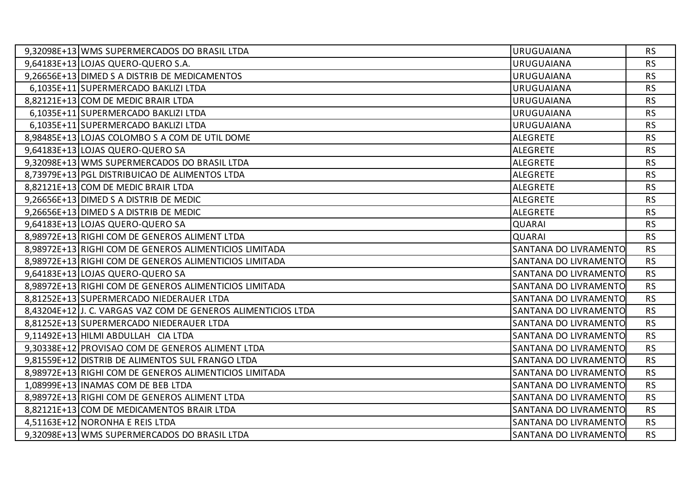| 9,32098E+13 WMS SUPERMERCADOS DO BRASIL LTDA                  | <b>URUGUAIANA</b>     | <b>RS</b> |
|---------------------------------------------------------------|-----------------------|-----------|
| 9,64183E+13 LOJAS QUERO-QUERO S.A.                            | <b>URUGUAIANA</b>     | <b>RS</b> |
| 9,26656E+13 DIMED S A DISTRIB DE MEDICAMENTOS                 | <b>URUGUAIANA</b>     | <b>RS</b> |
| 6,1035E+11 SUPERMERCADO BAKLIZI LTDA                          | <b>URUGUAIANA</b>     | <b>RS</b> |
| 8,82121E+13 COM DE MEDIC BRAIR LTDA                           | <b>URUGUAIANA</b>     | <b>RS</b> |
| 6,1035E+11 SUPERMERCADO BAKLIZI LTDA                          | <b>URUGUAIANA</b>     | <b>RS</b> |
| 6,1035E+11 SUPERMERCADO BAKLIZI LTDA                          | <b>URUGUAIANA</b>     | <b>RS</b> |
| 8,98485E+13 LOJAS COLOMBO S A COM DE UTIL DOME                | <b>ALEGRETE</b>       | <b>RS</b> |
| 9,64183E+13 LOJAS QUERO-QUERO SA                              | <b>ALEGRETE</b>       | <b>RS</b> |
| 9,32098E+13 WMS SUPERMERCADOS DO BRASIL LTDA                  | <b>ALEGRETE</b>       | <b>RS</b> |
| 8,73979E+13 PGL DISTRIBUICAO DE ALIMENTOS LTDA                | <b>ALEGRETE</b>       | <b>RS</b> |
| 8,82121E+13 COM DE MEDIC BRAIR LTDA                           | <b>ALEGRETE</b>       | <b>RS</b> |
| 9,26656E+13 DIMED S A DISTRIB DE MEDIC                        | <b>ALEGRETE</b>       | <b>RS</b> |
| 9,26656E+13 DIMED S A DISTRIB DE MEDIC                        | <b>ALEGRETE</b>       | <b>RS</b> |
| 9,64183E+13 LOJAS QUERO-QUERO SA                              | <b>QUARAI</b>         | <b>RS</b> |
| 8,98972E+13 RIGHI COM DE GENEROS ALIMENT LTDA                 | <b>QUARAI</b>         | <b>RS</b> |
| 8,98972E+13 RIGHI COM DE GENEROS ALIMENTICIOS LIMITADA        | SANTANA DO LIVRAMENTO | <b>RS</b> |
| 8,98972E+13 RIGHI COM DE GENEROS ALIMENTICIOS LIMITADA        | SANTANA DO LIVRAMENTO | <b>RS</b> |
| 9,64183E+13 LOJAS QUERO-QUERO SA                              | SANTANA DO LIVRAMENTO | <b>RS</b> |
| 8,98972E+13 RIGHI COM DE GENEROS ALIMENTICIOS LIMITADA        | SANTANA DO LIVRAMENTO | <b>RS</b> |
| 8,81252E+13 SUPERMERCADO NIEDERAUER LTDA                      | SANTANA DO LIVRAMENTO | <b>RS</b> |
| 8,43204E+12 J. C. VARGAS VAZ COM DE GENEROS ALIMENTICIOS LTDA | SANTANA DO LIVRAMENTO | <b>RS</b> |
| 8,81252E+13 SUPERMERCADO NIEDERAUER LTDA                      | SANTANA DO LIVRAMENTO | <b>RS</b> |
| 9,11492E+13 HILMI ABDULLAH CIA LTDA                           | SANTANA DO LIVRAMENTO | <b>RS</b> |
| 9,30338E+12 PROVISAO COM DE GENEROS ALIMENT LTDA              | SANTANA DO LIVRAMENTO | <b>RS</b> |
| 9,81559E+12 DISTRIB DE ALIMENTOS SUL FRANGO LTDA              | SANTANA DO LIVRAMENTO | <b>RS</b> |
| 8,98972E+13 RIGHI COM DE GENEROS ALIMENTICIOS LIMITADA        | SANTANA DO LIVRAMENTO | <b>RS</b> |
| 1,08999E+13   INAMAS COM DE BEB LTDA                          | SANTANA DO LIVRAMENTO | <b>RS</b> |
| 8,98972E+13 RIGHI COM DE GENEROS ALIMENT LTDA                 | SANTANA DO LIVRAMENTO | <b>RS</b> |
| 8,82121E+13 COM DE MEDICAMENTOS BRAIR LTDA                    | SANTANA DO LIVRAMENTO | <b>RS</b> |
| 4,51163E+12 NORONHA E REIS LTDA                               | SANTANA DO LIVRAMENTO | <b>RS</b> |
| 9,32098E+13 WMS SUPERMERCADOS DO BRASIL LTDA                  | SANTANA DO LIVRAMENTO | <b>RS</b> |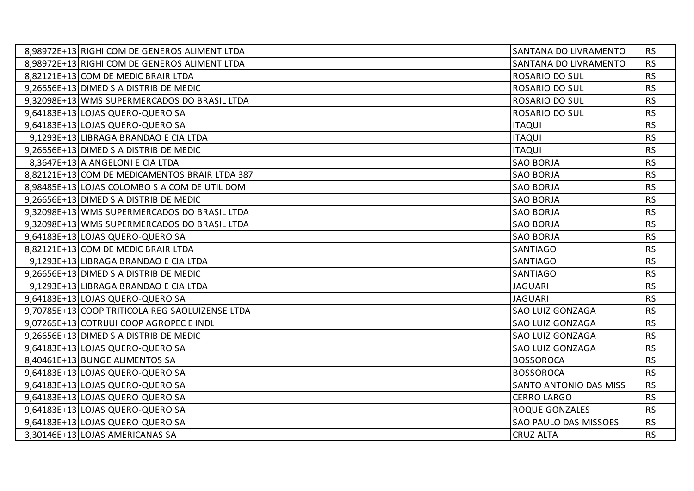| 8,98972E+13 RIGHI COM DE GENEROS ALIMENT LTDA   | SANTANA DO LIVRAMENTO        | <b>RS</b> |
|-------------------------------------------------|------------------------------|-----------|
| 8,98972E+13 RIGHI COM DE GENEROS ALIMENT LTDA   | SANTANA DO LIVRAMENTO        | <b>RS</b> |
| 8,82121E+13 COM DE MEDIC BRAIR LTDA             | <b>ROSARIO DO SUL</b>        | <b>RS</b> |
| 9,26656E+13 DIMED S A DISTRIB DE MEDIC          | ROSARIO DO SUL               | <b>RS</b> |
| 9,32098E+13 WMS SUPERMERCADOS DO BRASIL LTDA    | <b>ROSARIO DO SUL</b>        | <b>RS</b> |
| 9,64183E+13 LOJAS QUERO-QUERO SA                | <b>ROSARIO DO SUL</b>        | <b>RS</b> |
| 9,64183E+13 LOJAS QUERO-QUERO SA                | <b>ITAQUI</b>                | <b>RS</b> |
| 9,1293E+13 LIBRAGA BRANDAO E CIA LTDA           | <b>ITAQUI</b>                | <b>RS</b> |
| 9,26656E+13 DIMED S A DISTRIB DE MEDIC          | <b>ITAQUI</b>                | <b>RS</b> |
| 8,3647E+13 A ANGELONI E CIA LTDA                | <b>SAO BORJA</b>             | <b>RS</b> |
| 8,82121E+13 COM DE MEDICAMENTOS BRAIR LTDA 387  | <b>SAO BORJA</b>             | <b>RS</b> |
| 8,98485E+13 LOJAS COLOMBO S A COM DE UTIL DOM   | <b>SAO BORJA</b>             | <b>RS</b> |
| 9,26656E+13 DIMED S A DISTRIB DE MEDIC          | <b>SAO BORJA</b>             | <b>RS</b> |
| 9,32098E+13 WMS SUPERMERCADOS DO BRASIL LTDA    | <b>SAO BORJA</b>             | <b>RS</b> |
| 9,32098E+13 WMS SUPERMERCADOS DO BRASIL LTDA    | <b>SAO BORJA</b>             | <b>RS</b> |
| 9,64183E+13 LOJAS QUERO-QUERO SA                | <b>SAO BORJA</b>             | <b>RS</b> |
| 8,82121E+13 COM DE MEDIC BRAIR LTDA             | <b>SANTIAGO</b>              | <b>RS</b> |
| 9,1293E+13 LIBRAGA BRANDAO E CIA LTDA           | <b>SANTIAGO</b>              | <b>RS</b> |
| 9,26656E+13 DIMED S A DISTRIB DE MEDIC          | <b>SANTIAGO</b>              | <b>RS</b> |
| 9,1293E+13 LIBRAGA BRANDAO E CIA LTDA           | <b>JAGUARI</b>               | <b>RS</b> |
| 9,64183E+13 LOJAS QUERO-QUERO SA                | <b>JAGUARI</b>               | <b>RS</b> |
| 9,70785E+13 COOP TRITICOLA REG SAOLUIZENSE LTDA | <b>SAO LUIZ GONZAGA</b>      | <b>RS</b> |
| 9,07265E+13 COTRIJUI COOP AGROPEC E INDL        | <b>SAO LUIZ GONZAGA</b>      | <b>RS</b> |
| 9,26656E+13 DIMED S A DISTRIB DE MEDIC          | <b>SAO LUIZ GONZAGA</b>      | <b>RS</b> |
| 9,64183E+13 LOJAS QUERO-QUERO SA                | <b>SAO LUIZ GONZAGA</b>      | <b>RS</b> |
| 8,40461E+13 BUNGE ALIMENTOS SA                  | <b>BOSSOROCA</b>             | <b>RS</b> |
| 9,64183E+13 LOJAS QUERO-QUERO SA                | <b>BOSSOROCA</b>             | <b>RS</b> |
| 9,64183E+13 LOJAS QUERO-QUERO SA                | SANTO ANTONIO DAS MISS       | <b>RS</b> |
| 9,64183E+13 LOJAS QUERO-QUERO SA                | <b>CERRO LARGO</b>           | <b>RS</b> |
| 9,64183E+13 LOJAS QUERO-QUERO SA                | <b>ROQUE GONZALES</b>        | <b>RS</b> |
| 9,64183E+13 LOJAS QUERO-QUERO SA                | <b>SAO PAULO DAS MISSOES</b> | <b>RS</b> |
| 3,30146E+13 LOJAS AMERICANAS SA                 | <b>CRUZ ALTA</b>             | <b>RS</b> |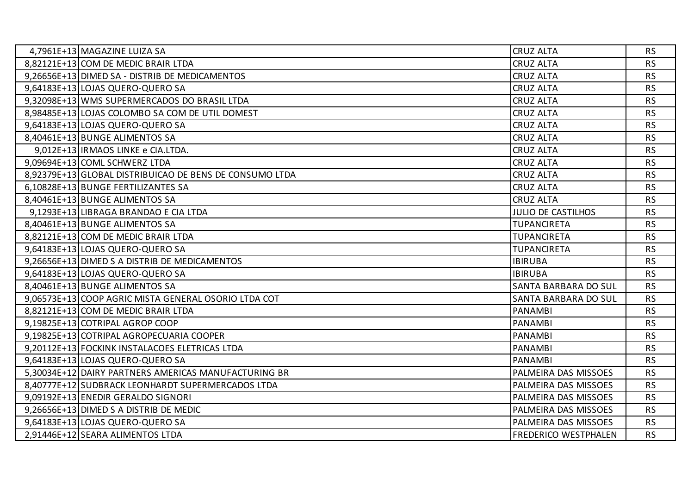| 4,7961E+13 MAGAZINE LUIZA SA                            | <b>CRUZ ALTA</b>            | <b>RS</b> |
|---------------------------------------------------------|-----------------------------|-----------|
| 8,82121E+13 COM DE MEDIC BRAIR LTDA                     | <b>CRUZ ALTA</b>            | <b>RS</b> |
| 9,26656E+13 DIMED SA - DISTRIB DE MEDICAMENTOS          | <b>CRUZ ALTA</b>            | <b>RS</b> |
| 9,64183E+13 LOJAS QUERO-QUERO SA                        | <b>CRUZ ALTA</b>            | <b>RS</b> |
| 9,32098E+13 WMS SUPERMERCADOS DO BRASIL LTDA            | <b>CRUZ ALTA</b>            | <b>RS</b> |
| 8,98485E+13 LOJAS COLOMBO SA COM DE UTIL DOMEST         | <b>CRUZ ALTA</b>            | <b>RS</b> |
| 9,64183E+13 LOJAS QUERO-QUERO SA                        | <b>CRUZ ALTA</b>            | <b>RS</b> |
| 8,40461E+13 BUNGE ALIMENTOS SA                          | <b>CRUZ ALTA</b>            | <b>RS</b> |
| 9,012E+13   IRMAOS LINKE e CIA.LTDA.                    | <b>CRUZ ALTA</b>            | <b>RS</b> |
| 9,09694E+13 COML SCHWERZ LTDA                           | <b>CRUZ ALTA</b>            | <b>RS</b> |
| 8,92379E+13 GLOBAL DISTRIBUICAO DE BENS DE CONSUMO LTDA | <b>CRUZ ALTA</b>            | <b>RS</b> |
| 6,10828E+13 BUNGE FERTILIZANTES SA                      | <b>CRUZ ALTA</b>            | <b>RS</b> |
| 8,40461E+13 BUNGE ALIMENTOS SA                          | <b>CRUZ ALTA</b>            | <b>RS</b> |
| 9,1293E+13 LIBRAGA BRANDAO E CIA LTDA                   | <b>JULIO DE CASTILHOS</b>   | <b>RS</b> |
| 8,40461E+13 BUNGE ALIMENTOS SA                          | <b>TUPANCIRETA</b>          | <b>RS</b> |
| 8,82121E+13 COM DE MEDIC BRAIR LTDA                     | <b>TUPANCIRETA</b>          | <b>RS</b> |
| 9,64183E+13 LOJAS QUERO-QUERO SA                        | <b>TUPANCIRETA</b>          | <b>RS</b> |
| 9,26656E+13 DIMED S A DISTRIB DE MEDICAMENTOS           | <b>IBIRUBA</b>              | <b>RS</b> |
| 9,64183E+13 LOJAS QUERO-QUERO SA                        | <b>IBIRUBA</b>              | <b>RS</b> |
| 8,40461E+13 BUNGE ALIMENTOS SA                          | SANTA BARBARA DO SUL        | <b>RS</b> |
| 9,06573E+13 COOP AGRIC MISTA GENERAL OSORIO LTDA COT    | SANTA BARBARA DO SUL        | <b>RS</b> |
| 8,82121E+13 COM DE MEDIC BRAIR LTDA                     | <b>PANAMBI</b>              | <b>RS</b> |
| 9,19825E+13 COTRIPAL AGROP COOP                         | <b>PANAMBI</b>              | <b>RS</b> |
| 9,19825E+13 COTRIPAL AGROPECUARIA COOPER                | <b>PANAMBI</b>              | <b>RS</b> |
| 9,20112E+13 FOCKINK INSTALACOES ELETRICAS LTDA          | <b>PANAMBI</b>              | <b>RS</b> |
| 9,64183E+13 LOJAS QUERO-QUERO SA                        | <b>PANAMBI</b>              | <b>RS</b> |
| 5,30034E+12 DAIRY PARTNERS AMERICAS MANUFACTURING BR    | PALMEIRA DAS MISSOES        | <b>RS</b> |
| 8,40777E+12 SUDBRACK LEONHARDT SUPERMERCADOS LTDA       | PALMEIRA DAS MISSOES        | <b>RS</b> |
| 9,09192E+13 ENEDIR GERALDO SIGNORI                      | PALMEIRA DAS MISSOES        | <b>RS</b> |
| 9,26656E+13 DIMED S A DISTRIB DE MEDIC                  | PALMEIRA DAS MISSOES        | <b>RS</b> |
| 9,64183E+13 LOJAS QUERO-QUERO SA                        | PALMEIRA DAS MISSOES        | <b>RS</b> |
| 2,91446E+12 SEARA ALIMENTOS LTDA                        | <b>FREDERICO WESTPHALEN</b> | <b>RS</b> |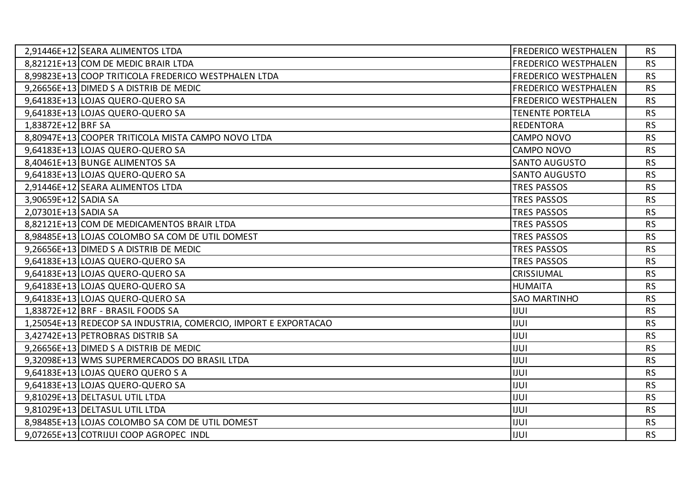|                      | 2,91446E+12 SEARA ALIMENTOS LTDA                                | <b>FREDERICO WESTPHALEN</b> | <b>RS</b> |
|----------------------|-----------------------------------------------------------------|-----------------------------|-----------|
|                      | 8,82121E+13 COM DE MEDIC BRAIR LTDA                             | FREDERICO WESTPHALEN        | <b>RS</b> |
|                      | 8,99823E+13 COOP TRITICOLA FREDERICO WESTPHALEN LTDA            | <b>FREDERICO WESTPHALEN</b> | <b>RS</b> |
|                      | 9,26656E+13 DIMED S A DISTRIB DE MEDIC                          | FREDERICO WESTPHALEN        | <b>RS</b> |
|                      | 9,64183E+13 LOJAS QUERO-QUERO SA                                | <b>FREDERICO WESTPHALEN</b> | <b>RS</b> |
|                      | 9,64183E+13 LOJAS QUERO-QUERO SA                                | <b>TENENTE PORTELA</b>      | <b>RS</b> |
| 1,83872E+12 BRF SA   |                                                                 | <b>REDENTORA</b>            | <b>RS</b> |
|                      | 8,80947E+13 COOPER TRITICOLA MISTA CAMPO NOVO LTDA              | <b>CAMPO NOVO</b>           | <b>RS</b> |
|                      | 9,64183E+13 LOJAS QUERO-QUERO SA                                | <b>CAMPO NOVO</b>           | <b>RS</b> |
|                      | 8,40461E+13 BUNGE ALIMENTOS SA                                  | <b>SANTO AUGUSTO</b>        | <b>RS</b> |
|                      | 9,64183E+13 LOJAS QUERO-QUERO SA                                | <b>SANTO AUGUSTO</b>        | <b>RS</b> |
|                      | 2,91446E+12 SEARA ALIMENTOS LTDA                                | <b>TRES PASSOS</b>          | <b>RS</b> |
| 3,90659E+12 SADIA SA |                                                                 | <b>TRES PASSOS</b>          | <b>RS</b> |
| 2,07301E+13 SADIA SA |                                                                 | <b>TRES PASSOS</b>          | <b>RS</b> |
|                      | 8,82121E+13 COM DE MEDICAMENTOS BRAIR LTDA                      | <b>TRES PASSOS</b>          | <b>RS</b> |
|                      | 8,98485E+13 LOJAS COLOMBO SA COM DE UTIL DOMEST                 | <b>TRES PASSOS</b>          | <b>RS</b> |
|                      | 9,26656E+13 DIMED S A DISTRIB DE MEDIC                          | <b>TRES PASSOS</b>          | <b>RS</b> |
|                      | 9,64183E+13 LOJAS QUERO-QUERO SA                                | <b>TRES PASSOS</b>          | <b>RS</b> |
|                      | 9,64183E+13 LOJAS QUERO-QUERO SA                                | CRISSIUMAL                  | <b>RS</b> |
|                      | 9,64183E+13 LOJAS QUERO-QUERO SA                                | <b>HUMAITA</b>              | <b>RS</b> |
|                      | 9,64183E+13 LOJAS QUERO-QUERO SA                                | <b>SAO MARTINHO</b>         | <b>RS</b> |
|                      | 1,83872E+12 BRF - BRASIL FOODS SA                               | <b>IJUI</b>                 | <b>RS</b> |
|                      | 1,25054E+13 REDECOP SA INDUSTRIA, COMERCIO, IMPORT E EXPORTACAO | <b>IJUI</b>                 | <b>RS</b> |
|                      | 3,42742E+13 PETROBRAS DISTRIB SA                                | <b>IJUI</b>                 | <b>RS</b> |
|                      | 9,26656E+13 DIMED S A DISTRIB DE MEDIC                          | <b>IJUI</b>                 | <b>RS</b> |
|                      | 9,32098E+13 WMS SUPERMERCADOS DO BRASIL LTDA                    | <b>IJUI</b>                 | <b>RS</b> |
|                      | 9,64183E+13 LOJAS QUERO QUERO S A                               | <b>IJUI</b>                 | <b>RS</b> |
|                      | 9,64183E+13 LOJAS QUERO-QUERO SA                                | <b>IJUI</b>                 | <b>RS</b> |
|                      | 9,81029E+13 DELTASUL UTIL LTDA                                  | <b>IJUI</b>                 | <b>RS</b> |
|                      | 9,81029E+13 DELTASUL UTIL LTDA                                  | <b>IJUI</b>                 | <b>RS</b> |
|                      | 8,98485E+13 LOJAS COLOMBO SA COM DE UTIL DOMEST                 | <b>IJUI</b>                 | <b>RS</b> |
|                      | 9,07265E+13 COTRIJUI COOP AGROPEC INDL                          | <b>IJUI</b>                 | <b>RS</b> |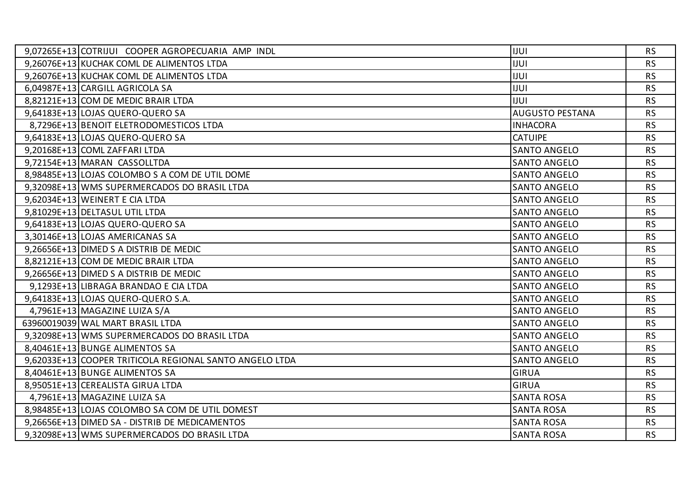| 9,07265E+13 COTRIJUI COOPER AGROPECUARIA AMP INDL       | <b>IUUI</b>            | <b>RS</b> |
|---------------------------------------------------------|------------------------|-----------|
| 9,26076E+13 KUCHAK COML DE ALIMENTOS LTDA               | <b>IJUI</b>            | <b>RS</b> |
| 9,26076E+13 KUCHAK COML DE ALIMENTOS LTDA               | <b>IJUI</b>            | <b>RS</b> |
| 6,04987E+13 CARGILL AGRICOLA SA                         | <b>IJUI</b>            | <b>RS</b> |
| 8,82121E+13 COM DE MEDIC BRAIR LTDA                     | <b>IJUI</b>            | <b>RS</b> |
| 9,64183E+13 LOJAS QUERO-QUERO SA                        | <b>AUGUSTO PESTANA</b> | <b>RS</b> |
| 8,7296E+13 BENOIT ELETRODOMESTICOS LTDA                 | <b>INHACORA</b>        | <b>RS</b> |
| 9,64183E+13 LOJAS QUERO-QUERO SA                        | <b>CATUIPE</b>         | <b>RS</b> |
| 9,20168E+13 COML ZAFFARI LTDA                           | <b>SANTO ANGELO</b>    | <b>RS</b> |
| 9,72154E+13 MARAN CASSOLLTDA                            | <b>SANTO ANGELO</b>    | <b>RS</b> |
| 8,98485E+13 LOJAS COLOMBO S A COM DE UTIL DOME          | <b>SANTO ANGELO</b>    | <b>RS</b> |
| 9,32098E+13 WMS SUPERMERCADOS DO BRASIL LTDA            | <b>SANTO ANGELO</b>    | <b>RS</b> |
| 9,62034E+13 WEINERT E CIA LTDA                          | <b>SANTO ANGELO</b>    | <b>RS</b> |
| 9,81029E+13 DELTASUL UTIL LTDA                          | <b>SANTO ANGELO</b>    | <b>RS</b> |
| 9,64183E+13 LOJAS QUERO-QUERO SA                        | <b>SANTO ANGELO</b>    | <b>RS</b> |
| 3,30146E+13 LOJAS AMERICANAS SA                         | <b>SANTO ANGELO</b>    | <b>RS</b> |
| 9,26656E+13 DIMED S A DISTRIB DE MEDIC                  | <b>SANTO ANGELO</b>    | <b>RS</b> |
| 8,82121E+13 COM DE MEDIC BRAIR LTDA                     | <b>SANTO ANGELO</b>    | <b>RS</b> |
| 9,26656E+13 DIMED S A DISTRIB DE MEDIC                  | <b>SANTO ANGELO</b>    | <b>RS</b> |
| 9,1293E+13 LIBRAGA BRANDAO E CIA LTDA                   | <b>SANTO ANGELO</b>    | <b>RS</b> |
| 9,64183E+13 LOJAS QUERO-QUERO S.A.                      | <b>SANTO ANGELO</b>    | <b>RS</b> |
| 4,7961E+13 MAGAZINE LUIZA S/A                           | <b>SANTO ANGELO</b>    | <b>RS</b> |
| 63960019039 WAL MART BRASIL LTDA                        | <b>SANTO ANGELO</b>    | <b>RS</b> |
| 9,32098E+13 WMS SUPERMERCADOS DO BRASIL LTDA            | <b>SANTO ANGELO</b>    | <b>RS</b> |
| 8,40461E+13 BUNGE ALIMENTOS SA                          | <b>SANTO ANGELO</b>    | <b>RS</b> |
| 9,62033E+13 COOPER TRITICOLA REGIONAL SANTO ANGELO LTDA | <b>SANTO ANGELO</b>    | <b>RS</b> |
| 8,40461E+13 BUNGE ALIMENTOS SA                          | <b>GIRUA</b>           | <b>RS</b> |
| 8,95051E+13 CEREALISTA GIRUA LTDA                       | <b>GIRUA</b>           | <b>RS</b> |
| 4,7961E+13 MAGAZINE LUIZA SA                            | <b>SANTA ROSA</b>      | <b>RS</b> |
| 8,98485E+13 LOJAS COLOMBO SA COM DE UTIL DOMEST         | <b>SANTA ROSA</b>      | <b>RS</b> |
| 9,26656E+13 DIMED SA - DISTRIB DE MEDICAMENTOS          | <b>SANTA ROSA</b>      | <b>RS</b> |
| 9,32098E+13 WMS SUPERMERCADOS DO BRASIL LTDA            | <b>SANTA ROSA</b>      | <b>RS</b> |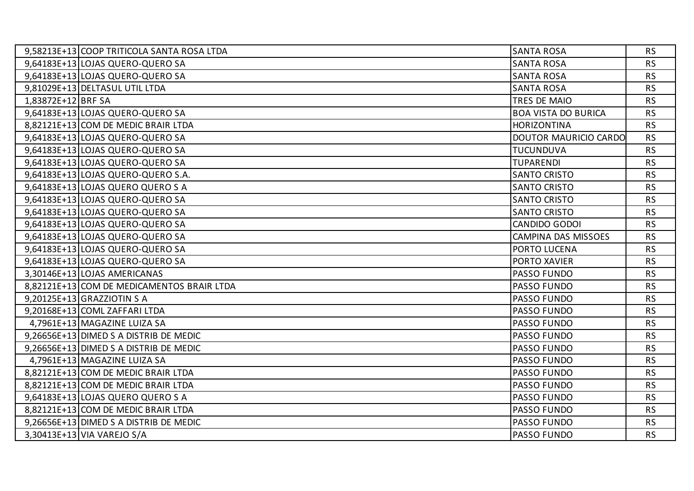|                    | 9,58213E+13 COOP TRITICOLA SANTA ROSA LTDA | <b>SANTA ROSA</b>            | <b>RS</b> |
|--------------------|--------------------------------------------|------------------------------|-----------|
|                    | 9,64183E+13 LOJAS QUERO-QUERO SA           | <b>SANTA ROSA</b>            | <b>RS</b> |
|                    | 9,64183E+13 LOJAS QUERO-QUERO SA           | <b>SANTA ROSA</b>            | <b>RS</b> |
|                    | 9,81029E+13 DELTASUL UTIL LTDA             | <b>SANTA ROSA</b>            | <b>RS</b> |
| 1,83872E+12 BRF SA |                                            | TRES DE MAIO                 | <b>RS</b> |
|                    | 9,64183E+13 LOJAS QUERO-QUERO SA           | <b>BOA VISTA DO BURICA</b>   | <b>RS</b> |
|                    | 8,82121E+13 COM DE MEDIC BRAIR LTDA        | <b>HORIZONTINA</b>           | <b>RS</b> |
|                    | 9,64183E+13 LOJAS QUERO-QUERO SA           | <b>DOUTOR MAURICIO CARDO</b> | <b>RS</b> |
|                    | 9,64183E+13 LOJAS QUERO-QUERO SA           | TUCUNDUVA                    | <b>RS</b> |
|                    | 9,64183E+13 LOJAS QUERO-QUERO SA           | <b>TUPARENDI</b>             | <b>RS</b> |
|                    | 9,64183E+13 LOJAS QUERO-QUERO S.A.         | <b>SANTO CRISTO</b>          | <b>RS</b> |
|                    | 9,64183E+13 LOJAS QUERO QUERO S A          | <b>SANTO CRISTO</b>          | <b>RS</b> |
|                    | 9,64183E+13 LOJAS QUERO-QUERO SA           | <b>SANTO CRISTO</b>          | <b>RS</b> |
|                    | 9,64183E+13 LOJAS QUERO-QUERO SA           | <b>SANTO CRISTO</b>          | <b>RS</b> |
|                    | 9,64183E+13 LOJAS QUERO-QUERO SA           | CANDIDO GODOI                | <b>RS</b> |
|                    | 9,64183E+13 LOJAS QUERO-QUERO SA           | CAMPINA DAS MISSOES          | <b>RS</b> |
|                    | 9,64183E+13 LOJAS QUERO-QUERO SA           | PORTO LUCENA                 | <b>RS</b> |
|                    | 9,64183E+13 LOJAS QUERO-QUERO SA           | PORTO XAVIER                 | <b>RS</b> |
|                    | 3,30146E+13 LOJAS AMERICANAS               | PASSO FUNDO                  | <b>RS</b> |
|                    | 8,82121E+13 COM DE MEDICAMENTOS BRAIR LTDA | PASSO FUNDO                  | <b>RS</b> |
|                    | 9,20125E+13 GRAZZIOTIN S A                 | PASSO FUNDO                  | <b>RS</b> |
|                    | 9,20168E+13 COML ZAFFARI LTDA              | PASSO FUNDO                  | <b>RS</b> |
|                    | 4,7961E+13 MAGAZINE LUIZA SA               | PASSO FUNDO                  | <b>RS</b> |
|                    | 9,26656E+13 DIMED S A DISTRIB DE MEDIC     | PASSO FUNDO                  | <b>RS</b> |
|                    | 9,26656E+13 DIMED S A DISTRIB DE MEDIC     | PASSO FUNDO                  | <b>RS</b> |
|                    | 4,7961E+13 MAGAZINE LUIZA SA               | PASSO FUNDO                  | <b>RS</b> |
|                    | 8,82121E+13 COM DE MEDIC BRAIR LTDA        | PASSO FUNDO                  | <b>RS</b> |
|                    | 8,82121E+13 COM DE MEDIC BRAIR LTDA        | PASSO FUNDO                  | <b>RS</b> |
|                    | 9,64183E+13 LOJAS QUERO QUERO S A          | PASSO FUNDO                  | <b>RS</b> |
|                    | 8,82121E+13 COM DE MEDIC BRAIR LTDA        | PASSO FUNDO                  | <b>RS</b> |
|                    | 9,26656E+13 DIMED S A DISTRIB DE MEDIC     | PASSO FUNDO                  | <b>RS</b> |
|                    | 3,30413E+13 VIA VAREJO S/A                 | PASSO FUNDO                  | <b>RS</b> |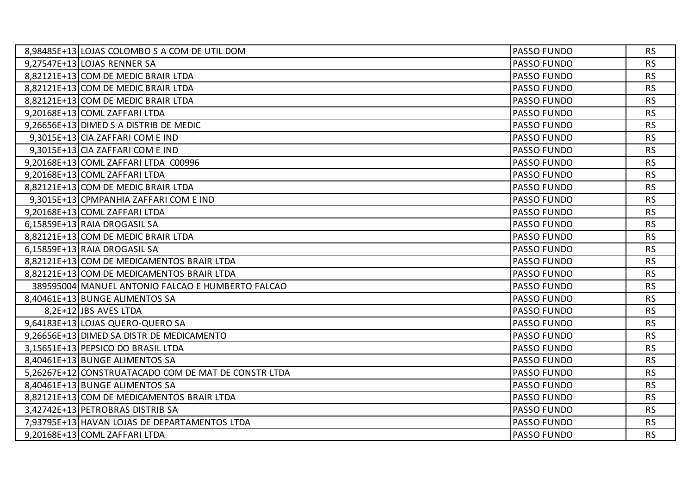| 8,98485E+13 LOJAS COLOMBO S A COM DE UTIL DOM        | <b>PASSO FUNDO</b> | <b>RS</b> |
|------------------------------------------------------|--------------------|-----------|
| 9,27547E+13 LOJAS RENNER SA                          | PASSO FUNDO        | <b>RS</b> |
| 8,82121E+13 COM DE MEDIC BRAIR LTDA                  | <b>PASSO FUNDO</b> | <b>RS</b> |
| 8,82121E+13 COM DE MEDIC BRAIR LTDA                  | PASSO FUNDO        | <b>RS</b> |
| 8,82121E+13 COM DE MEDIC BRAIR LTDA                  | PASSO FUNDO        | <b>RS</b> |
| 9,20168E+13 COML ZAFFARI LTDA                        | <b>PASSO FUNDO</b> | <b>RS</b> |
| 9,26656E+13 DIMED S A DISTRIB DE MEDIC               | PASSO FUNDO        | <b>RS</b> |
| $9,3015E+13$ CIA ZAFFARI COM E IND                   | PASSO FUNDO        | <b>RS</b> |
| 9,3015E+13 CIA ZAFFARI COM E IND                     | PASSO FUNDO        | <b>RS</b> |
| 9,20168E+13 COML ZAFFARI LTDA C00996                 | PASSO FUNDO        | <b>RS</b> |
| 9,20168E+13 COML ZAFFARI LTDA                        | PASSO FUNDO        | <b>RS</b> |
| 8,82121E+13 COM DE MEDIC BRAIR LTDA                  | <b>PASSO FUNDO</b> | <b>RS</b> |
| 9,3015E+13 CPMPANHIA ZAFFARI COM E IND               | PASSO FUNDO        | <b>RS</b> |
| 9,20168E+13 COML ZAFFARI LTDA                        | PASSO FUNDO        | <b>RS</b> |
| 6,15859E+13 RAIA DROGASIL SA                         | <b>PASSO FUNDO</b> | <b>RS</b> |
| 8,82121E+13 COM DE MEDIC BRAIR LTDA                  | PASSO FUNDO        | <b>RS</b> |
| 6,15859E+13 RAIA DROGASIL SA                         | PASSO FUNDO        | <b>RS</b> |
| 8,82121E+13 COM DE MEDICAMENTOS BRAIR LTDA           | <b>PASSO FUNDO</b> | <b>RS</b> |
| 8,82121E+13 COM DE MEDICAMENTOS BRAIR LTDA           | <b>PASSO FUNDO</b> | <b>RS</b> |
| 389595004 MANUEL ANTONIO FALCAO E HUMBERTO FALCAO    | PASSO FUNDO        | <b>RS</b> |
| 8,40461E+13 BUNGE ALIMENTOS SA                       | PASSO FUNDO        | <b>RS</b> |
| 8,2E+12 JBS AVES LTDA                                | PASSO FUNDO        | <b>RS</b> |
| 9,64183E+13 LOJAS QUERO-QUERO SA                     | PASSO FUNDO        | <b>RS</b> |
| 9,26656E+13 DIMED SA DISTR DE MEDICAMENTO            | PASSO FUNDO        | <b>RS</b> |
| 3,15651E+13 PEPSICO DO BRASIL LTDA                   | <b>PASSO FUNDO</b> | <b>RS</b> |
| 8,40461E+13 BUNGE ALIMENTOS SA                       | PASSO FUNDO        | <b>RS</b> |
| 5,26267E+12 CONSTRUATACADO COM DE MAT DE CONSTR LTDA | PASSO FUNDO        | <b>RS</b> |
| 8,40461E+13 BUNGE ALIMENTOS SA                       | PASSO FUNDO        | <b>RS</b> |
| 8,82121E+13 COM DE MEDICAMENTOS BRAIR LTDA           | PASSO FUNDO        | <b>RS</b> |
| 3,42742E+13 PETROBRAS DISTRIB SA                     | PASSO FUNDO        | <b>RS</b> |
| 7,93795E+13 HAVAN LOJAS DE DEPARTAMENTOS LTDA        | PASSO FUNDO        | <b>RS</b> |
| 9,20168E+13 COML ZAFFARI LTDA                        | <b>PASSO FUNDO</b> | <b>RS</b> |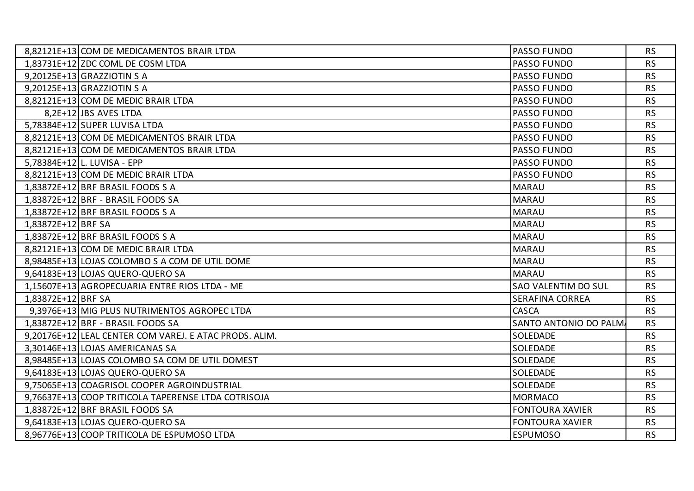| 8,82121E+13 COM DE MEDICAMENTOS BRAIR LTDA             | PASSO FUNDO                | <b>RS</b> |
|--------------------------------------------------------|----------------------------|-----------|
| 1,83731E+12 ZDC COML DE COSM LTDA                      | PASSO FUNDO                | <b>RS</b> |
| 9,20125E+13 GRAZZIOTIN S A                             | <b>PASSO FUNDO</b>         | <b>RS</b> |
| 9,20125E+13 GRAZZIOTIN S A                             | PASSO FUNDO                | <b>RS</b> |
| 8,82121E+13 COM DE MEDIC BRAIR LTDA                    | PASSO FUNDO                | <b>RS</b> |
| 8,2E+12 JBS AVES LTDA                                  | <b>PASSO FUNDO</b>         | <b>RS</b> |
| 5,78384E+12 SUPER LUVISA LTDA                          | PASSO FUNDO                | <b>RS</b> |
| 8,82121E+13 COM DE MEDICAMENTOS BRAIR LTDA             | PASSO FUNDO                | <b>RS</b> |
| 8,82121E+13 COM DE MEDICAMENTOS BRAIR LTDA             | <b>PASSO FUNDO</b>         | <b>RS</b> |
| 5,78384E+12 L. LUVISA - EPP                            | PASSO FUNDO                | <b>RS</b> |
| 8,82121E+13 COM DE MEDIC BRAIR LTDA                    | PASSO FUNDO                | <b>RS</b> |
| 1,83872E+12 BRF BRASIL FOODS S A                       | <b>MARAU</b>               | <b>RS</b> |
| 1,83872E+12 BRF - BRASIL FOODS SA                      | <b>MARAU</b>               | <b>RS</b> |
| 1,83872E+12 BRF BRASIL FOODS S A                       | <b>MARAU</b>               | <b>RS</b> |
| 1,83872E+12 BRF SA                                     | <b>MARAU</b>               | <b>RS</b> |
| 1,83872E+12 BRF BRASIL FOODS S A                       | <b>MARAU</b>               | <b>RS</b> |
| 8,82121E+13 COM DE MEDIC BRAIR LTDA                    | <b>MARAU</b>               | <b>RS</b> |
| 8,98485E+13 LOJAS COLOMBO S A COM DE UTIL DOME         | <b>MARAU</b>               | <b>RS</b> |
| 9,64183E+13 LOJAS QUERO-QUERO SA                       | <b>MARAU</b>               | <b>RS</b> |
| 1,15607E+13 AGROPECUARIA ENTRE RIOS LTDA - ME          | <b>SAO VALENTIM DO SUL</b> | <b>RS</b> |
| 1,83872E+12 BRF SA                                     | <b>SERAFINA CORREA</b>     | <b>RS</b> |
| 9,3976E+13 MIG PLUS NUTRIMENTOS AGROPEC LTDA           | CASCA                      | <b>RS</b> |
| 1,83872E+12 BRF - BRASIL FOODS SA                      | SANTO ANTONIO DO PALM      | <b>RS</b> |
| 9,20176E+12 LEAL CENTER COM VAREJ. E ATAC PRODS. ALIM. | <b>SOLEDADE</b>            | <b>RS</b> |
| 3,30146E+13 LOJAS AMERICANAS SA                        | <b>SOLEDADE</b>            | <b>RS</b> |
| 8,98485E+13 LOJAS COLOMBO SA COM DE UTIL DOMEST        | <b>SOLEDADE</b>            | <b>RS</b> |
| 9,64183E+13 LOJAS QUERO-QUERO SA                       | <b>SOLEDADE</b>            | <b>RS</b> |
| 9,75065E+13 COAGRISOL COOPER AGROINDUSTRIAL            | <b>SOLEDADE</b>            | <b>RS</b> |
| 9,76637E+13 COOP TRITICOLA TAPERENSE LTDA COTRISOJA    | <b>MORMACO</b>             | <b>RS</b> |
| 1,83872E+12 BRF BRASIL FOODS SA                        | <b>FONTOURA XAVIER</b>     | <b>RS</b> |
| 9,64183E+13 LOJAS QUERO-QUERO SA                       | <b>FONTOURA XAVIER</b>     | <b>RS</b> |
| 8,96776E+13 COOP TRITICOLA DE ESPUMOSO LTDA            | <b>ESPUMOSO</b>            | <b>RS</b> |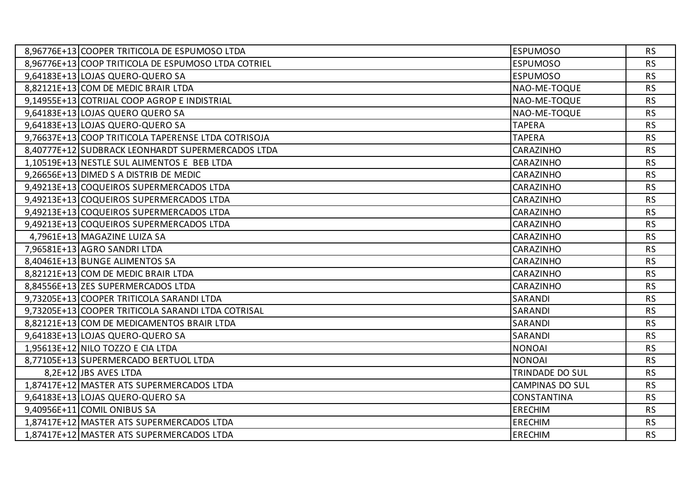| 8,96776E+13 COOPER TRITICOLA DE ESPUMOSO LTDA       | <b>ESPUMOSO</b>        | <b>RS</b> |
|-----------------------------------------------------|------------------------|-----------|
| 8,96776E+13 COOP TRITICOLA DE ESPUMOSO LTDA COTRIEL | <b>ESPUMOSO</b>        | <b>RS</b> |
| 9,64183E+13 LOJAS QUERO-QUERO SA                    | <b>ESPUMOSO</b>        | <b>RS</b> |
| 8,82121E+13 COM DE MEDIC BRAIR LTDA                 | NAO-ME-TOQUE           | <b>RS</b> |
| 9,14955E+13 COTRIJAL COOP AGROP E INDISTRIAL        | NAO-ME-TOQUE           | <b>RS</b> |
| 9,64183E+13 LOJAS QUERO QUERO SA                    | NAO-ME-TOQUE           | <b>RS</b> |
| 9,64183E+13 LOJAS QUERO-QUERO SA                    | <b>TAPERA</b>          | <b>RS</b> |
| 9,76637E+13 COOP TRITICOLA TAPERENSE LTDA COTRISOJA | <b>TAPERA</b>          | <b>RS</b> |
| 8,40777E+12 SUDBRACK LEONHARDT SUPERMERCADOS LTDA   | CARAZINHO              | <b>RS</b> |
| 1,10519E+13 NESTLE SUL ALIMENTOS E BEB LTDA         | <b>CARAZINHO</b>       | <b>RS</b> |
| 9,26656E+13 DIMED S A DISTRIB DE MEDIC              | CARAZINHO              | <b>RS</b> |
| 9,49213E+13 COQUEIROS SUPERMERCADOS LTDA            | CARAZINHO              | <b>RS</b> |
| 9,49213E+13 COQUEIROS SUPERMERCADOS LTDA            | CARAZINHO              | <b>RS</b> |
| 9,49213E+13 COQUEIROS SUPERMERCADOS LTDA            | CARAZINHO              | <b>RS</b> |
| 9,49213E+13 COQUEIROS SUPERMERCADOS LTDA            | <b>CARAZINHO</b>       | <b>RS</b> |
| 4,7961E+13 MAGAZINE LUIZA SA                        | CARAZINHO              | <b>RS</b> |
| 7,96581E+13 AGRO SANDRILTDA                         | CARAZINHO              | <b>RS</b> |
| 8,40461E+13 BUNGE ALIMENTOS SA                      | <b>CARAZINHO</b>       | <b>RS</b> |
| 8,82121E+13 COM DE MEDIC BRAIR LTDA                 | <b>CARAZINHO</b>       | <b>RS</b> |
| 8,84556E+13 ZES SUPERMERCADOS LTDA                  | CARAZINHO              | <b>RS</b> |
| 9,73205E+13 COOPER TRITICOLA SARANDI LTDA           | SARANDI                | <b>RS</b> |
| 9,73205E+13 COOPER TRITICOLA SARANDI LTDA COTRISAL  | SARANDI                | <b>RS</b> |
| 8,82121E+13 COM DE MEDICAMENTOS BRAIR LTDA          | SARANDI                | <b>RS</b> |
| 9,64183E+13 LOJAS QUERO-QUERO SA                    | SARANDI                | <b>RS</b> |
| 1,95613E+12 NILO TOZZO E CIA LTDA                   | <b>NONOAI</b>          | <b>RS</b> |
| 8,77105E+13 SUPERMERCADO BERTUOL LTDA               | <b>NONOAI</b>          | <b>RS</b> |
| 8,2E+12 JBS AVES LTDA                               | TRINDADE DO SUL        | <b>RS</b> |
| 1,87417E+12 MASTER ATS SUPERMERCADOS LTDA           | <b>CAMPINAS DO SUL</b> | <b>RS</b> |
| 9,64183E+13 LOJAS QUERO-QUERO SA                    | <b>CONSTANTINA</b>     | <b>RS</b> |
| 9,40956E+11 COMIL ONIBUS SA                         | <b>ERECHIM</b>         | <b>RS</b> |
| 1,87417E+12 MASTER ATS SUPERMERCADOS LTDA           | <b>ERECHIM</b>         | <b>RS</b> |
| 1,87417E+12 MASTER ATS SUPERMERCADOS LTDA           | <b>ERECHIM</b>         | <b>RS</b> |